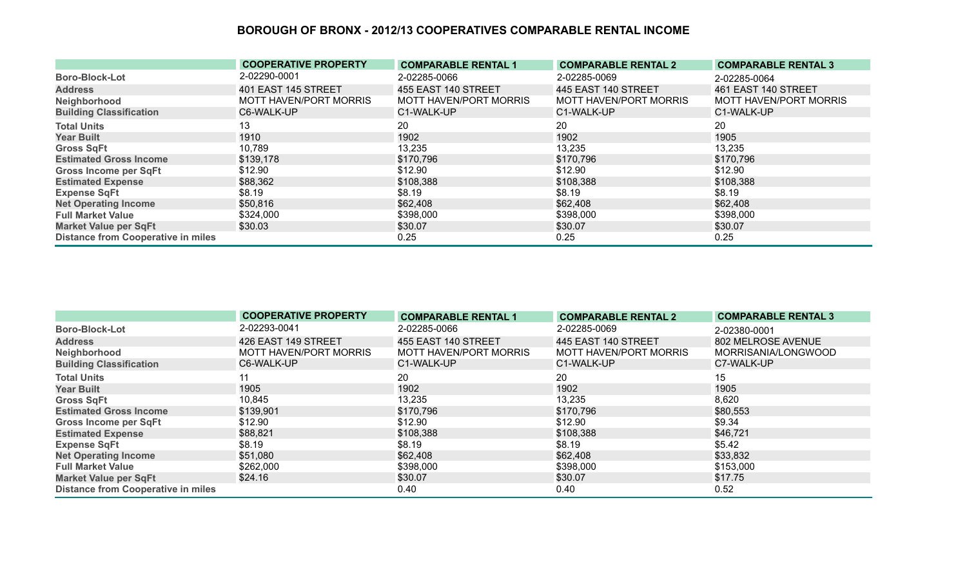|                                           | <b>COOPERATIVE PROPERTY</b>   | <b>COMPARABLE RENTAL 1</b> | <b>COMPARABLE RENTAL 2</b> | <b>COMPARABLE RENTAL 3</b> |
|-------------------------------------------|-------------------------------|----------------------------|----------------------------|----------------------------|
| <b>Boro-Block-Lot</b>                     | 2-02290-0001                  | 2-02285-0066               | 2-02285-0069               | 2-02285-0064               |
| <b>Address</b>                            | 401 EAST 145 STREET           | 455 EAST 140 STREET        | 445 EAST 140 STREET        | 461 EAST 140 STREET        |
| Neighborhood                              | <b>MOTT HAVEN/PORT MORRIS</b> | MOTT HAVEN/PORT MORRIS     | MOTT HAVEN/PORT MORRIS     | MOTT HAVEN/PORT MORRIS     |
| <b>Building Classification</b>            | C6-WALK-UP                    | C1-WALK-UP                 | C1-WALK-UP                 | C1-WALK-UP                 |
| <b>Total Units</b>                        | 13                            | 20                         | 20                         | 20                         |
| <b>Year Built</b>                         | 1910                          | 1902                       | 1902                       | 1905                       |
| <b>Gross SqFt</b>                         | 10,789                        | 13,235                     | 13,235                     | 13,235                     |
| <b>Estimated Gross Income</b>             | \$139,178                     | \$170,796                  | \$170,796                  | \$170,796                  |
| Gross Income per SqFt                     | \$12.90                       | \$12.90                    | \$12.90                    | \$12.90                    |
| <b>Estimated Expense</b>                  | \$88,362                      | \$108,388                  | \$108,388                  | \$108,388                  |
| <b>Expense SqFt</b>                       | \$8.19                        | \$8.19                     | \$8.19                     | \$8.19                     |
| <b>Net Operating Income</b>               | \$50,816                      | \$62,408                   | \$62,408                   | \$62,408                   |
| <b>Full Market Value</b>                  | \$324,000                     | \$398,000                  | \$398,000                  | \$398,000                  |
| <b>Market Value per SqFt</b>              | \$30.03                       | \$30.07                    | \$30.07                    | \$30.07                    |
| <b>Distance from Cooperative in miles</b> |                               | 0.25                       | 0.25                       | 0.25                       |

|                                           | <b>COOPERATIVE PROPERTY</b> | <b>COMPARABLE RENTAL 1</b> | <b>COMPARABLE RENTAL 2</b> | <b>COMPARABLE RENTAL 3</b> |
|-------------------------------------------|-----------------------------|----------------------------|----------------------------|----------------------------|
| <b>Boro-Block-Lot</b>                     | 2-02293-0041                | 2-02285-0066               | 2-02285-0069               | 2-02380-0001               |
| <b>Address</b>                            | 426 EAST 149 STREET         | 455 EAST 140 STREET        | 445 EAST 140 STREET        | 802 MELROSE AVENUE         |
| Neighborhood                              | MOTT HAVEN/PORT MORRIS      | MOTT HAVEN/PORT MORRIS     | MOTT HAVEN/PORT MORRIS     | MORRISANIA/LONGWOOD        |
| <b>Building Classification</b>            | C6-WALK-UP                  | C1-WALK-UP                 | C1-WALK-UP                 | C7-WALK-UP                 |
| <b>Total Units</b>                        |                             | 20                         | 20                         | 15                         |
| <b>Year Built</b>                         | 1905                        | 1902                       | 1902                       | 1905                       |
| <b>Gross SqFt</b>                         | 10,845                      | 13,235                     | 13,235                     | 8,620                      |
| <b>Estimated Gross Income</b>             | \$139,901                   | \$170,796                  | \$170,796                  | \$80,553                   |
| <b>Gross Income per SqFt</b>              | \$12.90                     | \$12.90                    | \$12.90                    | \$9.34                     |
| <b>Estimated Expense</b>                  | \$88,821                    | \$108,388                  | \$108,388                  | \$46,721                   |
| <b>Expense SqFt</b>                       | \$8.19                      | \$8.19                     | \$8.19                     | \$5.42                     |
| <b>Net Operating Income</b>               | \$51,080                    | \$62,408                   | \$62,408                   | \$33,832                   |
| <b>Full Market Value</b>                  | \$262,000                   | \$398,000                  | \$398,000                  | \$153,000                  |
| <b>Market Value per SqFt</b>              | \$24.16                     | \$30.07                    | \$30.07                    | \$17.75                    |
| <b>Distance from Cooperative in miles</b> |                             | 0.40                       | 0.40                       | 0.52                       |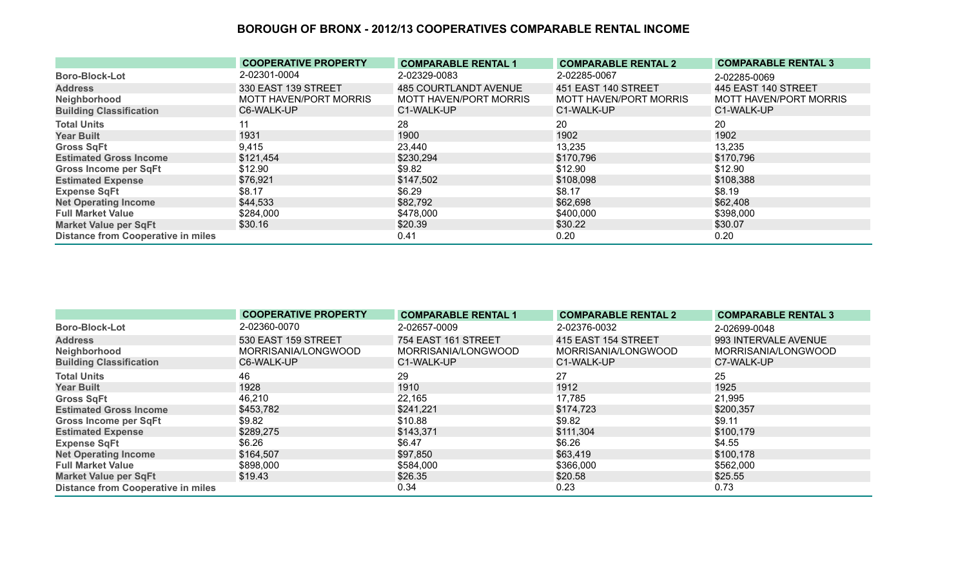|                                           | <b>COOPERATIVE PROPERTY</b> | <b>COMPARABLE RENTAL 1</b>   | <b>COMPARABLE RENTAL 2</b> | <b>COMPARABLE RENTAL 3</b>    |
|-------------------------------------------|-----------------------------|------------------------------|----------------------------|-------------------------------|
| <b>Boro-Block-Lot</b>                     | 2-02301-0004                | 2-02329-0083                 | 2-02285-0067               | 2-02285-0069                  |
| <b>Address</b>                            | 330 EAST 139 STREET         | <b>485 COURTLANDT AVENUE</b> | 451 EAST 140 STREET        | 445 EAST 140 STREET           |
| Neighborhood                              | MOTT HAVEN/PORT MORRIS      | MOTT HAVEN/PORT MORRIS       | MOTT HAVEN/PORT MORRIS     | <b>MOTT HAVEN/PORT MORRIS</b> |
| <b>Building Classification</b>            | C6-WALK-UP                  | C1-WALK-UP                   | C1-WALK-UP                 | C1-WALK-UP                    |
| <b>Total Units</b>                        |                             | 28                           | 20                         | 20                            |
| <b>Year Built</b>                         | 1931                        | 1900                         | 1902                       | 1902                          |
| <b>Gross SqFt</b>                         | 9,415                       | 23,440                       | 13,235                     | 13,235                        |
| <b>Estimated Gross Income</b>             | \$121,454                   | \$230,294                    | \$170,796                  | \$170,796                     |
| <b>Gross Income per SqFt</b>              | \$12.90                     | \$9.82                       | \$12.90                    | \$12.90                       |
| <b>Estimated Expense</b>                  | \$76,921                    | \$147,502                    | \$108,098                  | \$108,388                     |
| <b>Expense SqFt</b>                       | \$8.17                      | \$6.29                       | \$8.17                     | \$8.19                        |
| <b>Net Operating Income</b>               | \$44,533                    | \$82,792                     | \$62,698                   | \$62,408                      |
| <b>Full Market Value</b>                  | \$284,000                   | \$478,000                    | \$400,000                  | \$398,000                     |
| <b>Market Value per SqFt</b>              | \$30.16                     | \$20.39                      | \$30.22                    | \$30.07                       |
| <b>Distance from Cooperative in miles</b> |                             | 0.41                         | 0.20                       | 0.20                          |

|                                           | <b>COOPERATIVE PROPERTY</b> | <b>COMPARABLE RENTAL 1</b> | <b>COMPARABLE RENTAL 2</b> | <b>COMPARABLE RENTAL 3</b> |
|-------------------------------------------|-----------------------------|----------------------------|----------------------------|----------------------------|
| <b>Boro-Block-Lot</b>                     | 2-02360-0070                | 2-02657-0009               | 2-02376-0032               | 2-02699-0048               |
| <b>Address</b>                            | 530 EAST 159 STREET         | 754 EAST 161 STREET        | 415 EAST 154 STREET        | 993 INTERVALE AVENUE       |
| Neighborhood                              | MORRISANIA/LONGWOOD         | MORRISANIA/LONGWOOD        | MORRISANIA/LONGWOOD        | MORRISANIA/LONGWOOD        |
| <b>Building Classification</b>            | C6-WALK-UP                  | C1-WALK-UP                 | C1-WALK-UP                 | C7-WALK-UP                 |
| <b>Total Units</b>                        | 46                          | 29                         | 27                         | 25                         |
| <b>Year Built</b>                         | 1928                        | 1910                       | 1912                       | 1925                       |
| <b>Gross SqFt</b>                         | 46,210                      | 22,165                     | 17,785                     | 21,995                     |
| <b>Estimated Gross Income</b>             | \$453,782                   | \$241,221                  | \$174,723                  | \$200,357                  |
| <b>Gross Income per SqFt</b>              | \$9.82                      | \$10.88                    | \$9.82                     | \$9.11                     |
| <b>Estimated Expense</b>                  | \$289,275                   | \$143,371                  | \$111,304                  | \$100,179                  |
| <b>Expense SqFt</b>                       | \$6.26                      | \$6.47                     | \$6.26                     | \$4.55                     |
| <b>Net Operating Income</b>               | \$164,507                   | \$97,850                   | \$63,419                   | \$100,178                  |
| <b>Full Market Value</b>                  | \$898,000                   | \$584,000                  | \$366,000                  | \$562,000                  |
| <b>Market Value per SqFt</b>              | \$19.43                     | \$26.35                    | \$20.58                    | \$25.55                    |
| <b>Distance from Cooperative in miles</b> |                             | 0.34                       | 0.23                       | 0.73                       |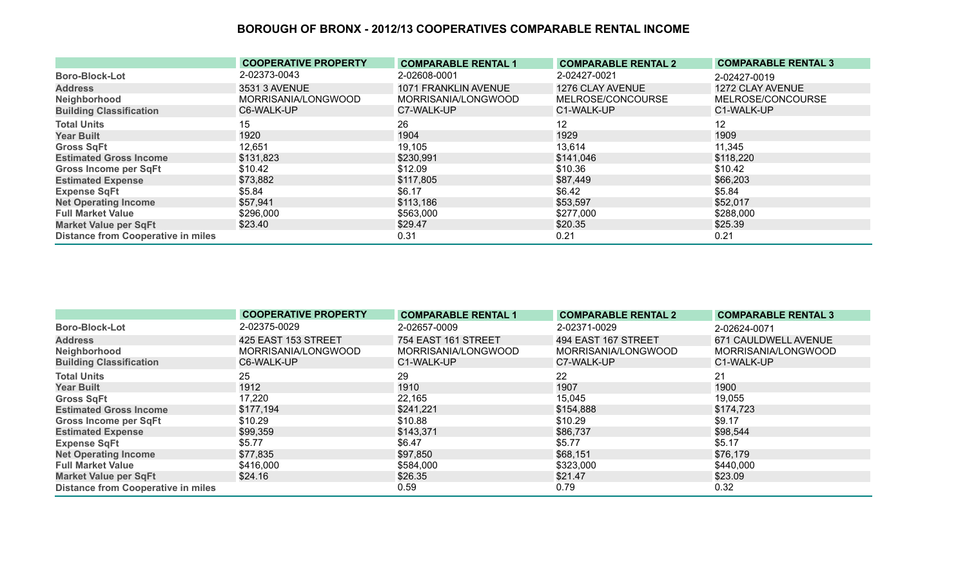|                                           | <b>COOPERATIVE PROPERTY</b> | <b>COMPARABLE RENTAL 1</b> | <b>COMPARABLE RENTAL 2</b> | <b>COMPARABLE RENTAL 3</b> |
|-------------------------------------------|-----------------------------|----------------------------|----------------------------|----------------------------|
| <b>Boro-Block-Lot</b>                     | 2-02373-0043                | 2-02608-0001               | 2-02427-0021               | 2-02427-0019               |
| <b>Address</b>                            | 3531 3 AVENUE               | 1071 FRANKLIN AVENUE       | 1276 CLAY AVENUE           | 1272 CLAY AVENUE           |
| Neighborhood                              | MORRISANIA/LONGWOOD         | MORRISANIA/LONGWOOD        | MELROSE/CONCOURSE          | MELROSE/CONCOURSE          |
| <b>Building Classification</b>            | C6-WALK-UP                  | C7-WALK-UP                 | C1-WALK-UP                 | C1-WALK-UP                 |
| <b>Total Units</b>                        | 15                          | 26                         | 12                         | 12                         |
| <b>Year Built</b>                         | 1920                        | 1904                       | 1929                       | 1909                       |
| <b>Gross SqFt</b>                         | 12,651                      | 19,105                     | 13,614                     | 11,345                     |
| <b>Estimated Gross Income</b>             | \$131,823                   | \$230,991                  | \$141,046                  | \$118,220                  |
| <b>Gross Income per SqFt</b>              | \$10.42                     | \$12.09                    | \$10.36                    | \$10.42                    |
| <b>Estimated Expense</b>                  | \$73,882                    | \$117,805                  | \$87,449                   | \$66,203                   |
| <b>Expense SqFt</b>                       | \$5.84                      | \$6.17                     | \$6.42                     | \$5.84                     |
| <b>Net Operating Income</b>               | \$57,941                    | \$113,186                  | \$53,597                   | \$52,017                   |
| <b>Full Market Value</b>                  | \$296,000                   | \$563,000                  | \$277,000                  | \$288,000                  |
| <b>Market Value per SqFt</b>              | \$23.40                     | \$29.47                    | \$20.35                    | \$25.39                    |
| <b>Distance from Cooperative in miles</b> |                             | 0.31                       | 0.21                       | 0.21                       |

|                                           | <b>COOPERATIVE PROPERTY</b> | <b>COMPARABLE RENTAL 1</b> | <b>COMPARABLE RENTAL 2</b> | <b>COMPARABLE RENTAL 3</b> |
|-------------------------------------------|-----------------------------|----------------------------|----------------------------|----------------------------|
| <b>Boro-Block-Lot</b>                     | 2-02375-0029                | 2-02657-0009               | 2-02371-0029               | 2-02624-0071               |
| <b>Address</b>                            | 425 EAST 153 STREET         | 754 EAST 161 STREET        | 494 EAST 167 STREET        | 671 CAULDWELL AVENUE       |
| Neighborhood                              | MORRISANIA/LONGWOOD         | MORRISANIA/LONGWOOD        | MORRISANIA/LONGWOOD        | MORRISANIA/LONGWOOD        |
| <b>Building Classification</b>            | C6-WALK-UP                  | C1-WALK-UP                 | C7-WALK-UP                 | C1-WALK-UP                 |
| <b>Total Units</b>                        | 25                          | 29                         | 22                         | 21                         |
| <b>Year Built</b>                         | 1912                        | 1910                       | 1907                       | 1900                       |
| <b>Gross SqFt</b>                         | 17,220                      | 22,165                     | 15,045                     | 19,055                     |
| <b>Estimated Gross Income</b>             | \$177,194                   | \$241,221                  | \$154,888                  | \$174,723                  |
| <b>Gross Income per SqFt</b>              | \$10.29                     | \$10.88                    | \$10.29                    | \$9.17                     |
| <b>Estimated Expense</b>                  | \$99,359                    | \$143,371                  | \$86,737                   | \$98,544                   |
| <b>Expense SqFt</b>                       | \$5.77                      | \$6.47                     | \$5.77                     | \$5.17                     |
| <b>Net Operating Income</b>               | \$77,835                    | \$97,850                   | \$68,151                   | \$76,179                   |
| <b>Full Market Value</b>                  | \$416,000                   | \$584,000                  | \$323,000                  | \$440,000                  |
| <b>Market Value per SqFt</b>              | \$24.16                     | \$26.35                    | \$21.47                    | \$23.09                    |
| <b>Distance from Cooperative in miles</b> |                             | 0.59                       | 0.79                       | 0.32                       |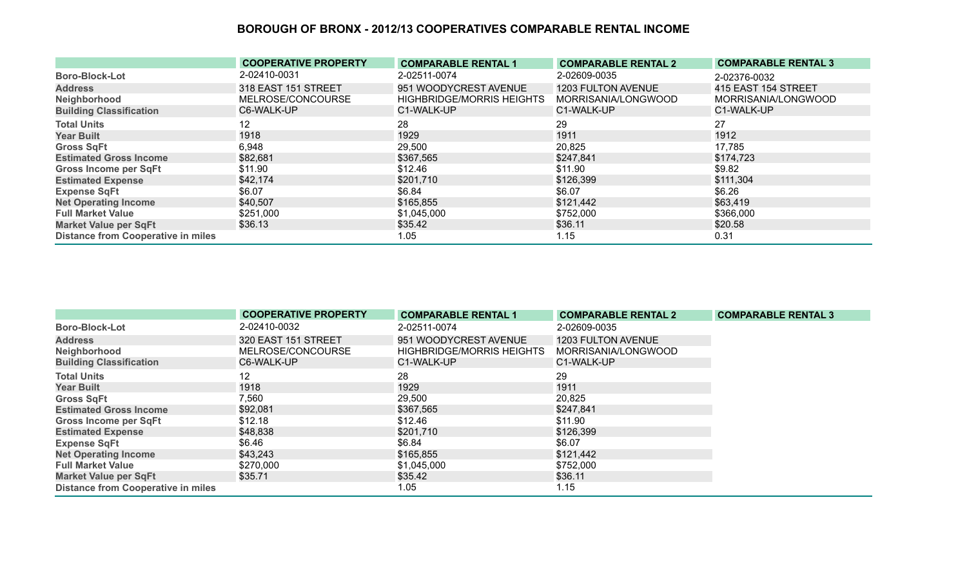|                                           | <b>COOPERATIVE PROPERTY</b> | <b>COMPARABLE RENTAL 1</b>       | <b>COMPARABLE RENTAL 2</b> | <b>COMPARABLE RENTAL 3</b> |
|-------------------------------------------|-----------------------------|----------------------------------|----------------------------|----------------------------|
| <b>Boro-Block-Lot</b>                     | 2-02410-0031                | 2-02511-0074                     | 2-02609-0035               | 2-02376-0032               |
| <b>Address</b>                            | 318 EAST 151 STREET         | 951 WOODYCREST AVENUE            | 1203 FULTON AVENUE         | 415 EAST 154 STREET        |
| Neighborhood                              | MELROSE/CONCOURSE           | <b>HIGHBRIDGE/MORRIS HEIGHTS</b> | MORRISANIA/LONGWOOD        | MORRISANIA/LONGWOOD        |
| <b>Building Classification</b>            | C6-WALK-UP                  | C1-WALK-UP                       | C1-WALK-UP                 | C1-WALK-UP                 |
| <b>Total Units</b>                        | 12                          | 28                               | 29                         | 27                         |
| <b>Year Built</b>                         | 1918                        | 1929                             | 1911                       | 1912                       |
| <b>Gross SqFt</b>                         | 6,948                       | 29,500                           | 20,825                     | 17,785                     |
| <b>Estimated Gross Income</b>             | \$82,681                    | \$367,565                        | \$247,841                  | \$174,723                  |
| <b>Gross Income per SqFt</b>              | \$11.90                     | \$12.46                          | \$11.90                    | \$9.82                     |
| <b>Estimated Expense</b>                  | \$42,174                    | \$201,710                        | \$126,399                  | \$111,304                  |
| <b>Expense SqFt</b>                       | \$6.07                      | \$6.84                           | \$6.07                     | \$6.26                     |
| <b>Net Operating Income</b>               | \$40,507                    | \$165,855                        | \$121,442                  | \$63,419                   |
| <b>Full Market Value</b>                  | \$251,000                   | \$1,045,000                      | \$752,000                  | \$366,000                  |
| <b>Market Value per SqFt</b>              | \$36.13                     | \$35.42                          | \$36.11                    | \$20.58                    |
| <b>Distance from Cooperative in miles</b> |                             | 1.05                             | 1.15                       | 0.31                       |

|                                           | <b>COOPERATIVE PROPERTY</b> | <b>COMPARABLE RENTAL 1</b>       | <b>COMPARABLE RENTAL 2</b> | <b>COMPARABLE RENTAL 3</b> |
|-------------------------------------------|-----------------------------|----------------------------------|----------------------------|----------------------------|
| <b>Boro-Block-Lot</b>                     | 2-02410-0032                | 2-02511-0074                     | 2-02609-0035               |                            |
| <b>Address</b>                            | 320 EAST 151 STREET         | 951 WOODYCREST AVENUE            | 1203 FULTON AVENUE         |                            |
| Neighborhood                              | MELROSE/CONCOURSE           | <b>HIGHBRIDGE/MORRIS HEIGHTS</b> | MORRISANIA/LONGWOOD        |                            |
| <b>Building Classification</b>            | C6-WALK-UP                  | C1-WALK-UP                       | C1-WALK-UP                 |                            |
| <b>Total Units</b>                        | 12                          | 28                               | 29                         |                            |
| <b>Year Built</b>                         | 1918                        | 1929                             | 1911                       |                            |
| <b>Gross SqFt</b>                         | 7,560                       | 29,500                           | 20,825                     |                            |
| <b>Estimated Gross Income</b>             | \$92,081                    | \$367,565                        | \$247,841                  |                            |
| <b>Gross Income per SqFt</b>              | \$12.18                     | \$12.46                          | \$11.90                    |                            |
| <b>Estimated Expense</b>                  | \$48,838                    | \$201,710                        | \$126,399                  |                            |
| <b>Expense SqFt</b>                       | \$6.46                      | \$6.84                           | \$6.07                     |                            |
| <b>Net Operating Income</b>               | \$43,243                    | \$165,855                        | \$121,442                  |                            |
| <b>Full Market Value</b>                  | \$270,000                   | \$1,045,000                      | \$752,000                  |                            |
| <b>Market Value per SqFt</b>              | \$35.71                     | \$35.42                          | \$36.11                    |                            |
| <b>Distance from Cooperative in miles</b> |                             | 1.05                             | 1.15                       |                            |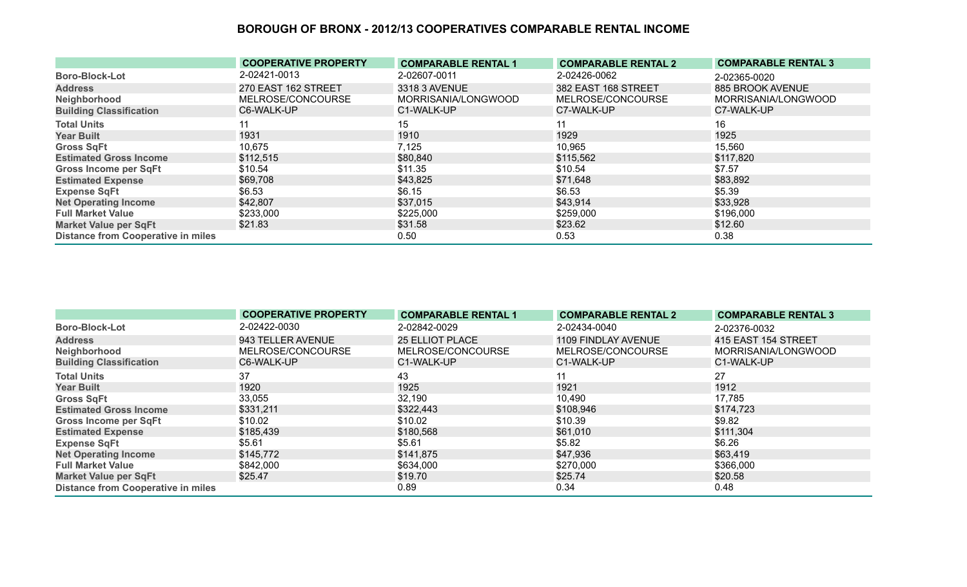|                                           | <b>COOPERATIVE PROPERTY</b> | <b>COMPARABLE RENTAL 1</b> | <b>COMPARABLE RENTAL 2</b> | <b>COMPARABLE RENTAL 3</b> |
|-------------------------------------------|-----------------------------|----------------------------|----------------------------|----------------------------|
| <b>Boro-Block-Lot</b>                     | 2-02421-0013                | 2-02607-0011               | 2-02426-0062               | 2-02365-0020               |
| <b>Address</b>                            | 270 EAST 162 STREET         | 3318 3 AVENUE              | 382 EAST 168 STREET        | 885 BROOK AVENUE           |
| Neighborhood                              | MELROSE/CONCOURSE           | MORRISANIA/LONGWOOD        | MELROSE/CONCOURSE          | MORRISANIA/LONGWOOD        |
| <b>Building Classification</b>            | C6-WALK-UP                  | C1-WALK-UP                 | C7-WALK-UP                 | C7-WALK-UP                 |
| <b>Total Units</b>                        |                             | 15                         | 11                         | 16                         |
| <b>Year Built</b>                         | 1931                        | 1910                       | 1929                       | 1925                       |
| <b>Gross SqFt</b>                         | 10,675                      | 7,125                      | 10,965                     | 15,560                     |
| <b>Estimated Gross Income</b>             | \$112,515                   | \$80,840                   | \$115,562                  | \$117,820                  |
| <b>Gross Income per SqFt</b>              | \$10.54                     | \$11.35                    | \$10.54                    | \$7.57                     |
| <b>Estimated Expense</b>                  | \$69,708                    | \$43,825                   | \$71,648                   | \$83,892                   |
| <b>Expense SqFt</b>                       | \$6.53                      | \$6.15                     | \$6.53                     | \$5.39                     |
| <b>Net Operating Income</b>               | \$42,807                    | \$37,015                   | \$43,914                   | \$33,928                   |
| <b>Full Market Value</b>                  | \$233,000                   | \$225,000                  | \$259,000                  | \$196,000                  |
| <b>Market Value per SqFt</b>              | \$21.83                     | \$31.58                    | \$23.62                    | \$12.60                    |
| <b>Distance from Cooperative in miles</b> |                             | 0.50                       | 0.53                       | 0.38                       |

|                                           | <b>COOPERATIVE PROPERTY</b> | <b>COMPARABLE RENTAL 1</b> | <b>COMPARABLE RENTAL 2</b> | <b>COMPARABLE RENTAL 3</b> |
|-------------------------------------------|-----------------------------|----------------------------|----------------------------|----------------------------|
| <b>Boro-Block-Lot</b>                     | 2-02422-0030                | 2-02842-0029               | 2-02434-0040               | 2-02376-0032               |
| <b>Address</b>                            | 943 TELLER AVENUE           | <b>25 ELLIOT PLACE</b>     | 1109 FINDLAY AVENUE        | 415 EAST 154 STREET        |
| Neighborhood                              | MELROSE/CONCOURSE           | MELROSE/CONCOURSE          | MELROSE/CONCOURSE          | MORRISANIA/LONGWOOD        |
| <b>Building Classification</b>            | C6-WALK-UP                  | C1-WALK-UP                 | C1-WALK-UP                 | C1-WALK-UP                 |
| <b>Total Units</b>                        | 37                          | 43                         | 11                         | 27                         |
| <b>Year Built</b>                         | 1920                        | 1925                       | 1921                       | 1912                       |
| <b>Gross SqFt</b>                         | 33,055                      | 32,190                     | 10,490                     | 17,785                     |
| <b>Estimated Gross Income</b>             | \$331,211                   | \$322,443                  | \$108,946                  | \$174,723                  |
| <b>Gross Income per SqFt</b>              | \$10.02                     | \$10.02                    | \$10.39                    | \$9.82                     |
| <b>Estimated Expense</b>                  | \$185,439                   | \$180,568                  | \$61,010                   | \$111,304                  |
| <b>Expense SqFt</b>                       | \$5.61                      | \$5.61                     | \$5.82                     | \$6.26                     |
| <b>Net Operating Income</b>               | \$145,772                   | \$141,875                  | \$47,936                   | \$63,419                   |
| <b>Full Market Value</b>                  | \$842,000                   | \$634,000                  | \$270,000                  | \$366,000                  |
| <b>Market Value per SqFt</b>              | \$25.47                     | \$19.70                    | \$25.74                    | \$20.58                    |
| <b>Distance from Cooperative in miles</b> |                             | 0.89                       | 0.34                       | 0.48                       |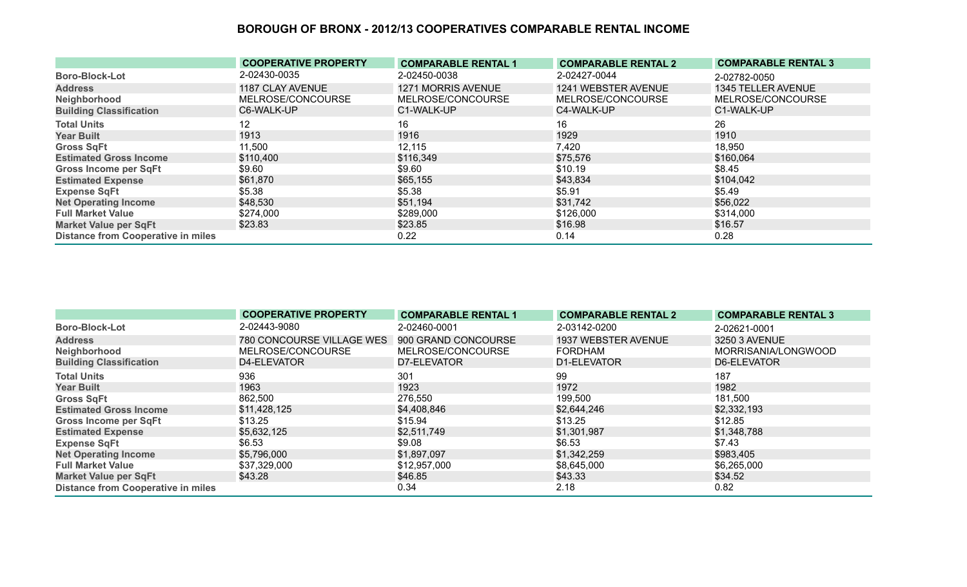|                                           | <b>COOPERATIVE PROPERTY</b> | <b>COMPARABLE RENTAL 1</b> | <b>COMPARABLE RENTAL 2</b> | <b>COMPARABLE RENTAL 3</b> |
|-------------------------------------------|-----------------------------|----------------------------|----------------------------|----------------------------|
| <b>Boro-Block-Lot</b>                     | 2-02430-0035                | 2-02450-0038               | 2-02427-0044               | 2-02782-0050               |
| <b>Address</b>                            | 1187 CLAY AVENUE            | 1271 MORRIS AVENUE         | 1241 WEBSTER AVENUE        | 1345 TELLER AVENUE         |
| Neighborhood                              | MELROSE/CONCOURSE           | MELROSE/CONCOURSE          | MELROSE/CONCOURSE          | MELROSE/CONCOURSE          |
| <b>Building Classification</b>            | C6-WALK-UP                  | C1-WALK-UP                 | C4-WALK-UP                 | C1-WALK-UP                 |
| <b>Total Units</b>                        | 12                          | 16                         | 16                         | 26                         |
| <b>Year Built</b>                         | 1913                        | 1916                       | 1929                       | 1910                       |
| <b>Gross SqFt</b>                         | 11,500                      | 12,115                     | 7,420                      | 18,950                     |
| <b>Estimated Gross Income</b>             | \$110,400                   | \$116,349                  | \$75,576                   | \$160,064                  |
| <b>Gross Income per SqFt</b>              | \$9.60                      | \$9.60                     | \$10.19                    | \$8.45                     |
| <b>Estimated Expense</b>                  | \$61,870                    | \$65,155                   | \$43,834                   | \$104,042                  |
| <b>Expense SqFt</b>                       | \$5.38                      | \$5.38                     | \$5.91                     | \$5.49                     |
| <b>Net Operating Income</b>               | \$48,530                    | \$51,194                   | \$31,742                   | \$56,022                   |
| <b>Full Market Value</b>                  | \$274,000                   | \$289,000                  | \$126,000                  | \$314,000                  |
| <b>Market Value per SqFt</b>              | \$23.83                     | \$23.85                    | \$16.98                    | \$16.57                    |
| <b>Distance from Cooperative in miles</b> |                             | 0.22                       | 0.14                       | 0.28                       |

|                                           | <b>COOPERATIVE PROPERTY</b> | <b>COMPARABLE RENTAL 1</b> | <b>COMPARABLE RENTAL 2</b> | <b>COMPARABLE RENTAL 3</b> |
|-------------------------------------------|-----------------------------|----------------------------|----------------------------|----------------------------|
| <b>Boro-Block-Lot</b>                     | 2-02443-9080                | 2-02460-0001               | 2-03142-0200               | 2-02621-0001               |
| <b>Address</b>                            | 780 CONCOURSE VILLAGE WES   | 900 GRAND CONCOURSE        | 1937 WEBSTER AVENUE        | 3250 3 AVENUE              |
| Neighborhood                              | MELROSE/CONCOURSE           | MELROSE/CONCOURSE          | <b>FORDHAM</b>             | MORRISANIA/LONGWOOD        |
| <b>Building Classification</b>            | D4-ELEVATOR                 | D7-ELEVATOR                | D1-ELEVATOR                | D6-ELEVATOR                |
| <b>Total Units</b>                        | 936                         | 301                        | 99                         | 187                        |
| <b>Year Built</b>                         | 1963                        | 1923                       | 1972                       | 1982                       |
| <b>Gross SqFt</b>                         | 862,500                     | 276,550                    | 199,500                    | 181,500                    |
| <b>Estimated Gross Income</b>             | \$11,428,125                | \$4,408,846                | \$2,644,246                | \$2,332,193                |
| <b>Gross Income per SqFt</b>              | \$13.25                     | \$15.94                    | \$13.25                    | \$12.85                    |
| <b>Estimated Expense</b>                  | \$5,632,125                 | \$2,511,749                | \$1,301,987                | \$1,348,788                |
| <b>Expense SqFt</b>                       | \$6.53                      | \$9.08                     | \$6.53                     | \$7.43                     |
| <b>Net Operating Income</b>               | \$5,796,000                 | \$1,897,097                | \$1,342,259                | \$983,405                  |
| <b>Full Market Value</b>                  | \$37,329,000                | \$12,957,000               | \$8,645,000                | \$6,265,000                |
| <b>Market Value per SqFt</b>              | \$43.28                     | \$46.85                    | \$43.33                    | \$34.52                    |
| <b>Distance from Cooperative in miles</b> |                             | 0.34                       | 2.18                       | 0.82                       |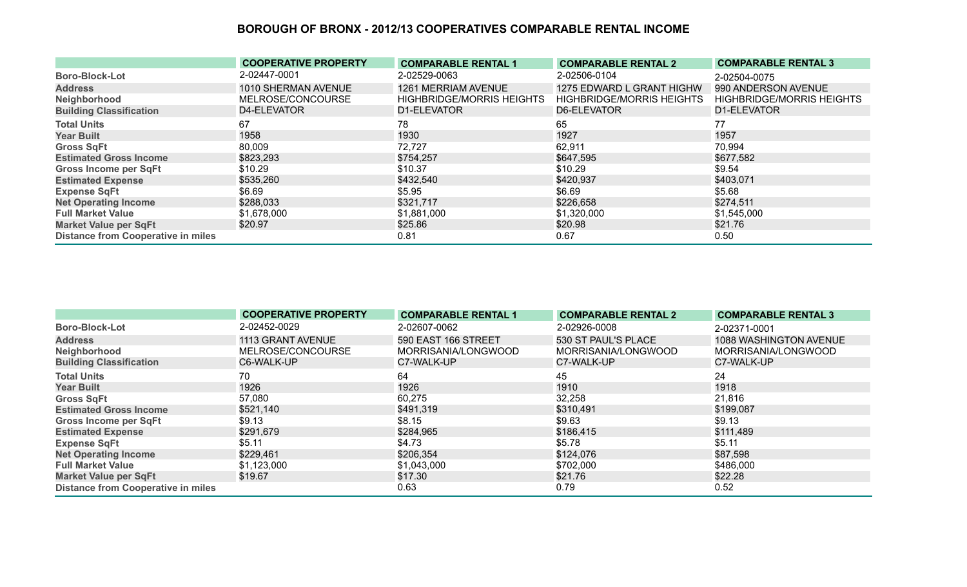|                                           | <b>COOPERATIVE PROPERTY</b> | <b>COMPARABLE RENTAL 1</b>       | <b>COMPARABLE RENTAL 2</b>       | <b>COMPARABLE RENTAL 3</b>       |
|-------------------------------------------|-----------------------------|----------------------------------|----------------------------------|----------------------------------|
| <b>Boro-Block-Lot</b>                     | 2-02447-0001                | 2-02529-0063                     | 2-02506-0104                     | 2-02504-0075                     |
| <b>Address</b>                            | 1010 SHERMAN AVENUE         | 1261 MERRIAM AVENUE              | 1275 EDWARD L GRANT HIGHW        | 990 ANDERSON AVENUE              |
| Neighborhood                              | MELROSE/CONCOURSE           | <b>HIGHBRIDGE/MORRIS HEIGHTS</b> | <b>HIGHBRIDGE/MORRIS HEIGHTS</b> | <b>HIGHBRIDGE/MORRIS HEIGHTS</b> |
| <b>Building Classification</b>            | D4-ELEVATOR                 | D1-ELEVATOR                      | D6-ELEVATOR                      | D1-ELEVATOR                      |
| <b>Total Units</b>                        | 67                          | 78.                              | 65                               | 77                               |
| <b>Year Built</b>                         | 1958                        | 1930                             | 1927                             | 1957                             |
| <b>Gross SqFt</b>                         | 80,009                      | 72,727                           | 62,911                           | 70,994                           |
| <b>Estimated Gross Income</b>             | \$823,293                   | \$754,257                        | \$647,595                        | \$677,582                        |
| Gross Income per SqFt                     | \$10.29                     | \$10.37                          | \$10.29                          | \$9.54                           |
| <b>Estimated Expense</b>                  | \$535,260                   | \$432,540                        | \$420,937                        | \$403,071                        |
| <b>Expense SqFt</b>                       | \$6.69                      | \$5.95                           | \$6.69                           | \$5.68                           |
| <b>Net Operating Income</b>               | \$288,033                   | \$321,717                        | \$226,658                        | \$274,511                        |
| <b>Full Market Value</b>                  | \$1,678,000                 | \$1,881,000                      | \$1,320,000                      | \$1,545,000                      |
| <b>Market Value per SqFt</b>              | \$20.97                     | \$25.86                          | \$20.98                          | \$21.76                          |
| <b>Distance from Cooperative in miles</b> |                             | 0.81                             | 0.67                             | 0.50                             |

|                                           | <b>COOPERATIVE PROPERTY</b> | <b>COMPARABLE RENTAL 1</b> | <b>COMPARABLE RENTAL 2</b> | <b>COMPARABLE RENTAL 3</b> |
|-------------------------------------------|-----------------------------|----------------------------|----------------------------|----------------------------|
| <b>Boro-Block-Lot</b>                     | 2-02452-0029                | 2-02607-0062               | 2-02926-0008               | 2-02371-0001               |
| <b>Address</b>                            | 1113 GRANT AVENUE           | 590 EAST 166 STREET        | 530 ST PAUL'S PLACE        | 1088 WASHINGTON AVENUE     |
| Neighborhood                              | MELROSE/CONCOURSE           | MORRISANIA/LONGWOOD        | MORRISANIA/LONGWOOD        | MORRISANIA/LONGWOOD        |
| <b>Building Classification</b>            | C6-WALK-UP                  | C7-WALK-UP                 | C7-WALK-UP                 | C7-WALK-UP                 |
| <b>Total Units</b>                        | 70                          | 64                         | 45                         | 24                         |
| <b>Year Built</b>                         | 1926                        | 1926                       | 1910                       | 1918                       |
| <b>Gross SqFt</b>                         | 57,080                      | 60,275                     | 32,258                     | 21,816                     |
| <b>Estimated Gross Income</b>             | \$521,140                   | \$491,319                  | \$310,491                  | \$199,087                  |
| <b>Gross Income per SqFt</b>              | \$9.13                      | \$8.15                     | \$9.63                     | \$9.13                     |
| <b>Estimated Expense</b>                  | \$291,679                   | \$284,965                  | \$186,415                  | \$111,489                  |
| <b>Expense SqFt</b>                       | \$5.11                      | \$4.73                     | \$5.78                     | \$5.11                     |
| <b>Net Operating Income</b>               | \$229,461                   | \$206,354                  | \$124,076                  | \$87,598                   |
| <b>Full Market Value</b>                  | \$1,123,000                 | \$1,043,000                | \$702,000                  | \$486,000                  |
| <b>Market Value per SqFt</b>              | \$19.67                     | \$17.30                    | \$21.76                    | \$22.28                    |
| <b>Distance from Cooperative in miles</b> |                             | 0.63                       | 0.79                       | 0.52                       |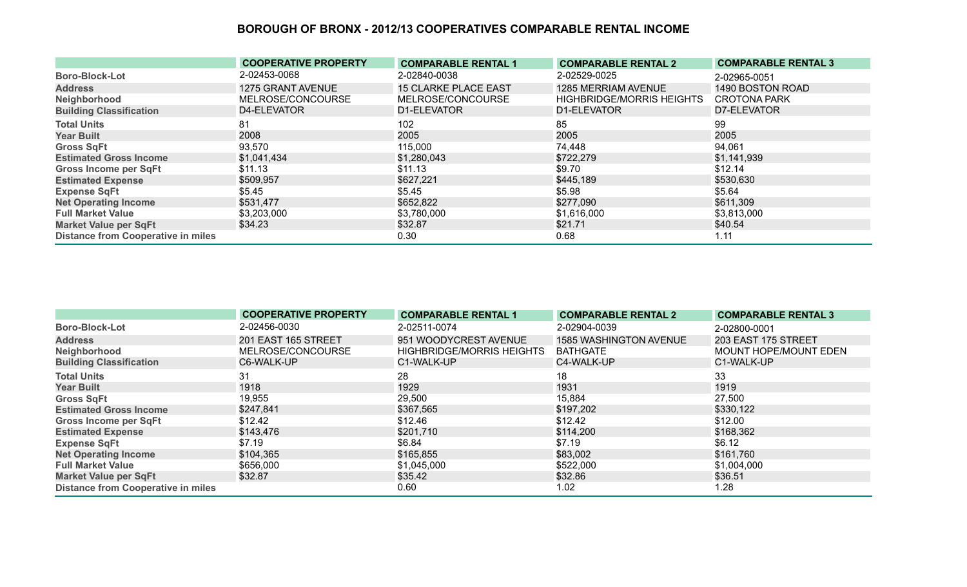|                                           | <b>COOPERATIVE PROPERTY</b> | <b>COMPARABLE RENTAL 1</b>  | <b>COMPARABLE RENTAL 2</b>       | <b>COMPARABLE RENTAL 3</b> |
|-------------------------------------------|-----------------------------|-----------------------------|----------------------------------|----------------------------|
| <b>Boro-Block-Lot</b>                     | 2-02453-0068                | 2-02840-0038                | 2-02529-0025                     | 2-02965-0051               |
| <b>Address</b>                            | 1275 GRANT AVENUE           | <b>15 CLARKE PLACE EAST</b> | 1285 MERRIAM AVENUE              | 1490 BOSTON ROAD           |
| Neighborhood                              | MELROSE/CONCOURSE           | MELROSE/CONCOURSE           | <b>HIGHBRIDGE/MORRIS HEIGHTS</b> | <b>CROTONA PARK</b>        |
| <b>Building Classification</b>            | D4-ELEVATOR                 | D1-ELEVATOR                 | D1-ELEVATOR                      | D7-ELEVATOR                |
| <b>Total Units</b>                        | 81                          | 102                         | 85                               | 99                         |
| <b>Year Built</b>                         | 2008                        | 2005                        | 2005                             | 2005                       |
| <b>Gross SqFt</b>                         | 93,570                      | 115,000                     | 74,448                           | 94,061                     |
| <b>Estimated Gross Income</b>             | \$1,041,434                 | \$1,280,043                 | \$722,279                        | \$1,141,939                |
| <b>Gross Income per SqFt</b>              | \$11.13                     | \$11.13                     | \$9.70                           | \$12.14                    |
| <b>Estimated Expense</b>                  | \$509,957                   | \$627,221                   | \$445,189                        | \$530,630                  |
| <b>Expense SqFt</b>                       | \$5.45                      | \$5.45                      | \$5.98                           | \$5.64                     |
| <b>Net Operating Income</b>               | \$531,477                   | \$652,822                   | \$277,090                        | \$611,309                  |
| <b>Full Market Value</b>                  | \$3,203,000                 | \$3,780,000                 | \$1,616,000                      | \$3,813,000                |
| <b>Market Value per SqFt</b>              | \$34.23                     | \$32.87                     | \$21.71                          | \$40.54                    |
| <b>Distance from Cooperative in miles</b> |                             | 0.30                        | 0.68                             | 1.11                       |

|                                           | <b>COOPERATIVE PROPERTY</b> | <b>COMPARABLE RENTAL 1</b>       | <b>COMPARABLE RENTAL 2</b> | <b>COMPARABLE RENTAL 3</b> |
|-------------------------------------------|-----------------------------|----------------------------------|----------------------------|----------------------------|
| <b>Boro-Block-Lot</b>                     | 2-02456-0030                | 2-02511-0074                     | 2-02904-0039               | 2-02800-0001               |
| <b>Address</b>                            | 201 EAST 165 STREET         | 951 WOODYCREST AVENUE            | 1585 WASHINGTON AVENUE     | 203 EAST 175 STREET        |
| Neighborhood                              | MELROSE/CONCOURSE           | <b>HIGHBRIDGE/MORRIS HEIGHTS</b> | <b>BATHGATE</b>            | MOUNT HOPE/MOUNT EDEN      |
| <b>Building Classification</b>            | C6-WALK-UP                  | C1-WALK-UP                       | C4-WALK-UP                 | C1-WALK-UP                 |
| <b>Total Units</b>                        | 31                          | 28                               | 18                         | 33                         |
| <b>Year Built</b>                         | 1918                        | 1929                             | 1931                       | 1919                       |
| <b>Gross SqFt</b>                         | 19,955                      | 29,500                           | 15,884                     | 27,500                     |
| <b>Estimated Gross Income</b>             | \$247,841                   | \$367,565                        | \$197,202                  | \$330,122                  |
| <b>Gross Income per SqFt</b>              | \$12.42                     | \$12.46                          | \$12.42                    | \$12.00                    |
| <b>Estimated Expense</b>                  | \$143,476                   | \$201,710                        | \$114,200                  | \$168,362                  |
| <b>Expense SqFt</b>                       | \$7.19                      | \$6.84                           | \$7.19                     | \$6.12                     |
| <b>Net Operating Income</b>               | \$104,365                   | \$165,855                        | \$83,002                   | \$161,760                  |
| <b>Full Market Value</b>                  | \$656,000                   | \$1,045,000                      | \$522,000                  | \$1,004,000                |
| <b>Market Value per SqFt</b>              | \$32.87                     | \$35.42                          | \$32.86                    | \$36.51                    |
| <b>Distance from Cooperative in miles</b> |                             | 0.60                             | 1.02                       | 1.28                       |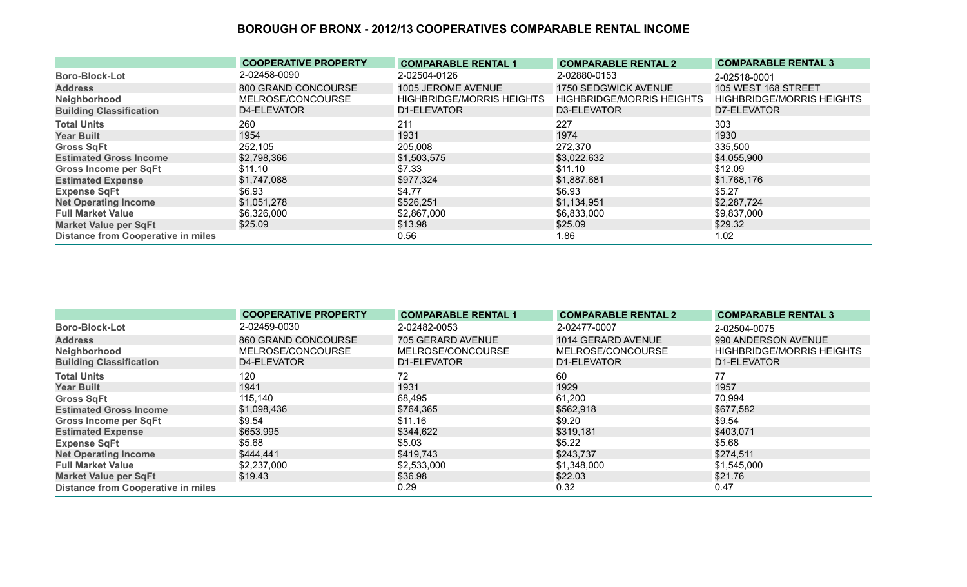|                                           | <b>COOPERATIVE PROPERTY</b> | <b>COMPARABLE RENTAL 1</b>       | <b>COMPARABLE RENTAL 2</b>       | <b>COMPARABLE RENTAL 3</b>       |
|-------------------------------------------|-----------------------------|----------------------------------|----------------------------------|----------------------------------|
| <b>Boro-Block-Lot</b>                     | 2-02458-0090                | 2-02504-0126                     | 2-02880-0153                     | 2-02518-0001                     |
| <b>Address</b>                            | 800 GRAND CONCOURSE         | 1005 JEROME AVENUE               | 1750 SEDGWICK AVENUE             | <b>105 WEST 168 STREET</b>       |
| Neighborhood                              | MELROSE/CONCOURSE           | <b>HIGHBRIDGE/MORRIS HEIGHTS</b> | <b>HIGHBRIDGE/MORRIS HEIGHTS</b> | <b>HIGHBRIDGE/MORRIS HEIGHTS</b> |
| <b>Building Classification</b>            | D4-ELEVATOR                 | D1-ELEVATOR                      | D3-ELEVATOR                      | D7-ELEVATOR                      |
| <b>Total Units</b>                        | 260                         | 211                              | 227                              | 303                              |
| <b>Year Built</b>                         | 1954                        | 1931                             | 1974                             | 1930                             |
| <b>Gross SqFt</b>                         | 252,105                     | 205,008                          | 272,370                          | 335,500                          |
| <b>Estimated Gross Income</b>             | \$2,798,366                 | \$1,503,575                      | \$3,022,632                      | \$4,055,900                      |
| Gross Income per SqFt                     | \$11.10                     | \$7.33                           | \$11.10                          | \$12.09                          |
| <b>Estimated Expense</b>                  | \$1,747,088                 | \$977,324                        | \$1,887,681                      | \$1,768,176                      |
| <b>Expense SqFt</b>                       | \$6.93                      | \$4.77                           | \$6.93                           | \$5.27                           |
| <b>Net Operating Income</b>               | \$1,051,278                 | \$526,251                        | \$1,134,951                      | \$2,287,724                      |
| <b>Full Market Value</b>                  | \$6,326,000                 | \$2,867,000                      | \$6,833,000                      | \$9,837,000                      |
| <b>Market Value per SqFt</b>              | \$25.09                     | \$13.98                          | \$25.09                          | \$29.32                          |
| <b>Distance from Cooperative in miles</b> |                             | 0.56                             | 1.86                             | 1.02                             |

|                                           | <b>COOPERATIVE PROPERTY</b> | <b>COMPARABLE RENTAL 1</b> | <b>COMPARABLE RENTAL 2</b> | <b>COMPARABLE RENTAL 3</b>       |
|-------------------------------------------|-----------------------------|----------------------------|----------------------------|----------------------------------|
| <b>Boro-Block-Lot</b>                     | 2-02459-0030                | 2-02482-0053               | 2-02477-0007               | 2-02504-0075                     |
| <b>Address</b>                            | 860 GRAND CONCOURSE         | 705 GERARD AVENUE          | 1014 GERARD AVENUE         | 990 ANDERSON AVENUE              |
| Neighborhood                              | MELROSE/CONCOURSE           | MELROSE/CONCOURSE          | MELROSE/CONCOURSE          | <b>HIGHBRIDGE/MORRIS HEIGHTS</b> |
| <b>Building Classification</b>            | D4-ELEVATOR                 | D1-ELEVATOR                | D1-ELEVATOR                | D1-ELEVATOR                      |
| <b>Total Units</b>                        | 120                         | 72                         | 60                         | 77                               |
| <b>Year Built</b>                         | 1941                        | 1931                       | 1929                       | 1957                             |
| <b>Gross SqFt</b>                         | 115,140                     | 68,495                     | 61,200                     | 70,994                           |
| <b>Estimated Gross Income</b>             | \$1,098,436                 | \$764,365                  | \$562,918                  | \$677,582                        |
| Gross Income per SqFt                     | \$9.54                      | \$11.16                    | \$9.20                     | \$9.54                           |
| <b>Estimated Expense</b>                  | \$653,995                   | \$344,622                  | \$319,181                  | \$403,071                        |
| <b>Expense SqFt</b>                       | \$5.68                      | \$5.03                     | \$5.22                     | \$5.68                           |
| <b>Net Operating Income</b>               | \$444,441                   | \$419,743                  | \$243,737                  | \$274,511                        |
| <b>Full Market Value</b>                  | \$2,237,000                 | \$2,533,000                | \$1,348,000                | \$1,545,000                      |
| <b>Market Value per SqFt</b>              | \$19.43                     | \$36.98                    | \$22.03                    | \$21.76                          |
| <b>Distance from Cooperative in miles</b> |                             | 0.29                       | 0.32                       | 0.47                             |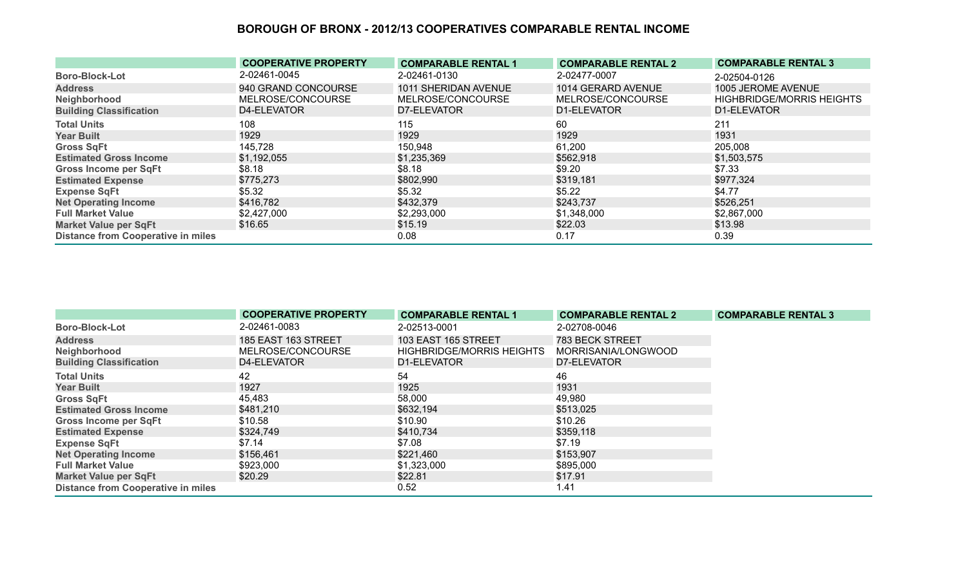|                                           | <b>COOPERATIVE PROPERTY</b> | <b>COMPARABLE RENTAL 1</b> | <b>COMPARABLE RENTAL 2</b> | <b>COMPARABLE RENTAL 3</b>       |
|-------------------------------------------|-----------------------------|----------------------------|----------------------------|----------------------------------|
| <b>Boro-Block-Lot</b>                     | 2-02461-0045                | 2-02461-0130               | 2-02477-0007               | 2-02504-0126                     |
| <b>Address</b>                            | 940 GRAND CONCOURSE         | 1011 SHERIDAN AVENUE       | 1014 GERARD AVENUE         | 1005 JEROME AVENUE               |
| Neighborhood                              | MELROSE/CONCOURSE           | MELROSE/CONCOURSE          | MELROSE/CONCOURSE          | <b>HIGHBRIDGE/MORRIS HEIGHTS</b> |
| <b>Building Classification</b>            | D4-ELEVATOR                 | D7-ELEVATOR                | D1-ELEVATOR                | D1-ELEVATOR                      |
| <b>Total Units</b>                        | 108                         | 115                        | 60                         | 211                              |
| <b>Year Built</b>                         | 1929                        | 1929                       | 1929                       | 1931                             |
| <b>Gross SqFt</b>                         | 145,728                     | 150,948                    | 61,200                     | 205,008                          |
| <b>Estimated Gross Income</b>             | \$1,192,055                 | \$1,235,369                | \$562,918                  | \$1,503,575                      |
| <b>Gross Income per SqFt</b>              | \$8.18                      | \$8.18                     | \$9.20                     | \$7.33                           |
| <b>Estimated Expense</b>                  | \$775,273                   | \$802,990                  | \$319,181                  | \$977,324                        |
| <b>Expense SqFt</b>                       | \$5.32                      | \$5.32                     | \$5.22                     | \$4.77                           |
| <b>Net Operating Income</b>               | \$416,782                   | \$432,379                  | \$243,737                  | \$526,251                        |
| <b>Full Market Value</b>                  | \$2,427,000                 | \$2,293,000                | \$1,348,000                | \$2,867,000                      |
| <b>Market Value per SqFt</b>              | \$16.65                     | \$15.19                    | \$22.03                    | \$13.98                          |
| <b>Distance from Cooperative in miles</b> |                             | 0.08                       | 0.17                       | 0.39                             |

|                                           | <b>COOPERATIVE PROPERTY</b> | <b>COMPARABLE RENTAL 1</b>       | <b>COMPARABLE RENTAL 2</b> | <b>COMPARABLE RENTAL 3</b> |
|-------------------------------------------|-----------------------------|----------------------------------|----------------------------|----------------------------|
| <b>Boro-Block-Lot</b>                     | 2-02461-0083                | 2-02513-0001                     | 2-02708-0046               |                            |
| <b>Address</b>                            | 185 EAST 163 STREET         | 103 EAST 165 STREET              | <b>783 BECK STREET</b>     |                            |
| Neighborhood                              | MELROSE/CONCOURSE           | <b>HIGHBRIDGE/MORRIS HEIGHTS</b> | MORRISANIA/LONGWOOD        |                            |
| <b>Building Classification</b>            | D4-ELEVATOR                 | D1-ELEVATOR                      | D7-ELEVATOR                |                            |
| <b>Total Units</b>                        | 42                          | 54                               | 46                         |                            |
| <b>Year Built</b>                         | 1927                        | 1925                             | 1931                       |                            |
| <b>Gross SqFt</b>                         | 45,483                      | 58,000                           | 49,980                     |                            |
| <b>Estimated Gross Income</b>             | \$481,210                   | \$632,194                        | \$513,025                  |                            |
| <b>Gross Income per SqFt</b>              | \$10.58                     | \$10.90                          | \$10.26                    |                            |
| <b>Estimated Expense</b>                  | \$324,749                   | \$410,734                        | \$359,118                  |                            |
| <b>Expense SqFt</b>                       | \$7.14                      | \$7.08                           | \$7.19                     |                            |
| <b>Net Operating Income</b>               | \$156,461                   | \$221,460                        | \$153,907                  |                            |
| <b>Full Market Value</b>                  | \$923,000                   | \$1,323,000                      | \$895,000                  |                            |
| <b>Market Value per SqFt</b>              | \$20.29                     | \$22.81                          | \$17.91                    |                            |
| <b>Distance from Cooperative in miles</b> |                             | 0.52                             | 1.41                       |                            |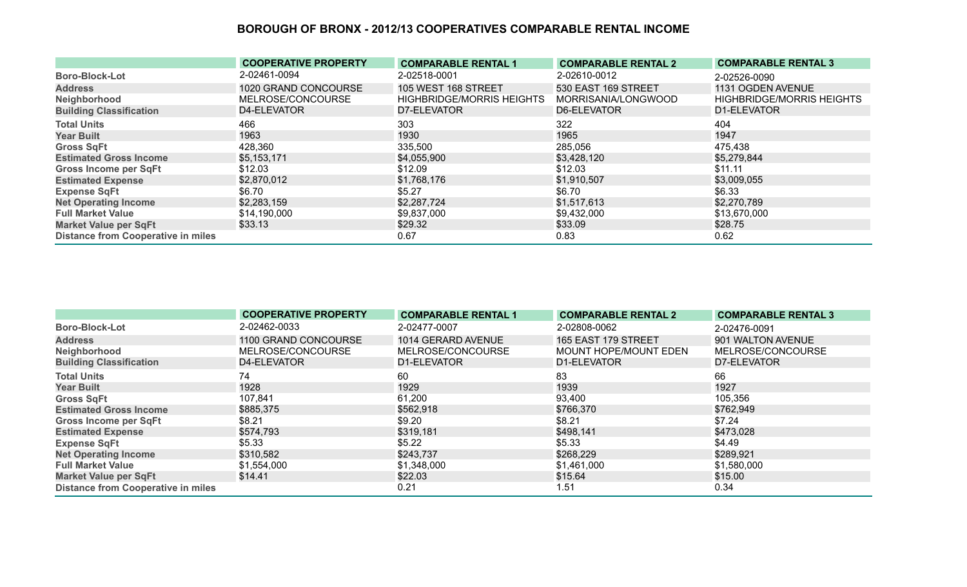|                                           | <b>COOPERATIVE PROPERTY</b> | <b>COMPARABLE RENTAL 1</b>       | <b>COMPARABLE RENTAL 2</b> | <b>COMPARABLE RENTAL 3</b>       |
|-------------------------------------------|-----------------------------|----------------------------------|----------------------------|----------------------------------|
| <b>Boro-Block-Lot</b>                     | 2-02461-0094                | 2-02518-0001                     | 2-02610-0012               | 2-02526-0090                     |
| <b>Address</b>                            | 1020 GRAND CONCOURSE        | 105 WEST 168 STREET              | 530 EAST 169 STREET        | 1131 OGDEN AVENUE                |
| Neighborhood                              | MELROSE/CONCOURSE           | <b>HIGHBRIDGE/MORRIS HEIGHTS</b> | MORRISANIA/LONGWOOD        | <b>HIGHBRIDGE/MORRIS HEIGHTS</b> |
| <b>Building Classification</b>            | D4-ELEVATOR                 | D7-ELEVATOR                      | D6-ELEVATOR                | D1-ELEVATOR                      |
| <b>Total Units</b>                        | 466                         | 303                              | 322                        | 404                              |
| <b>Year Built</b>                         | 1963                        | 1930                             | 1965                       | 1947                             |
| <b>Gross SqFt</b>                         | 428,360                     | 335,500                          | 285,056                    | 475,438                          |
| <b>Estimated Gross Income</b>             | \$5,153,171                 | \$4,055,900                      | \$3,428,120                | \$5,279,844                      |
| <b>Gross Income per SqFt</b>              | \$12.03                     | \$12.09                          | \$12.03                    | \$11.11                          |
| <b>Estimated Expense</b>                  | \$2,870,012                 | \$1,768,176                      | \$1,910,507                | \$3,009,055                      |
| <b>Expense SqFt</b>                       | \$6.70                      | \$5.27                           | \$6.70                     | \$6.33                           |
| <b>Net Operating Income</b>               | \$2,283,159                 | \$2,287,724                      | \$1,517,613                | \$2,270,789                      |
| <b>Full Market Value</b>                  | \$14,190,000                | \$9,837,000                      | \$9,432,000                | \$13,670,000                     |
| <b>Market Value per SqFt</b>              | \$33.13                     | \$29.32                          | \$33.09                    | \$28.75                          |
| <b>Distance from Cooperative in miles</b> |                             | 0.67                             | 0.83                       | 0.62                             |

|                                           | <b>COOPERATIVE PROPERTY</b> | <b>COMPARABLE RENTAL 1</b> | <b>COMPARABLE RENTAL 2</b> | <b>COMPARABLE RENTAL 3</b> |
|-------------------------------------------|-----------------------------|----------------------------|----------------------------|----------------------------|
| <b>Boro-Block-Lot</b>                     | 2-02462-0033                | 2-02477-0007               | 2-02808-0062               | 2-02476-0091               |
| <b>Address</b>                            | 1100 GRAND CONCOURSE        | 1014 GERARD AVENUE         | 165 EAST 179 STREET        | 901 WALTON AVENUE          |
| Neighborhood                              | MELROSE/CONCOURSE           | MELROSE/CONCOURSE          | MOUNT HOPE/MOUNT EDEN      | MELROSE/CONCOURSE          |
| <b>Building Classification</b>            | D4-ELEVATOR                 | D1-ELEVATOR                | D1-ELEVATOR                | D7-ELEVATOR                |
| <b>Total Units</b>                        | 74                          | 60                         | 83                         | 66                         |
| <b>Year Built</b>                         | 1928                        | 1929                       | 1939                       | 1927                       |
| <b>Gross SqFt</b>                         | 107,841                     | 61,200                     | 93,400                     | 105,356                    |
| <b>Estimated Gross Income</b>             | \$885,375                   | \$562,918                  | \$766,370                  | \$762,949                  |
| <b>Gross Income per SqFt</b>              | \$8.21                      | \$9.20                     | \$8.21                     | \$7.24                     |
| <b>Estimated Expense</b>                  | \$574,793                   | \$319,181                  | \$498,141                  | \$473,028                  |
| <b>Expense SqFt</b>                       | \$5.33                      | \$5.22                     | \$5.33                     | \$4.49                     |
| <b>Net Operating Income</b>               | \$310,582                   | \$243,737                  | \$268,229                  | \$289,921                  |
| <b>Full Market Value</b>                  | \$1,554,000                 | \$1,348,000                | \$1,461,000                | \$1,580,000                |
| <b>Market Value per SqFt</b>              | \$14.41                     | \$22.03                    | \$15.64                    | \$15.00                    |
| <b>Distance from Cooperative in miles</b> |                             | 0.21                       | 1.51                       | 0.34                       |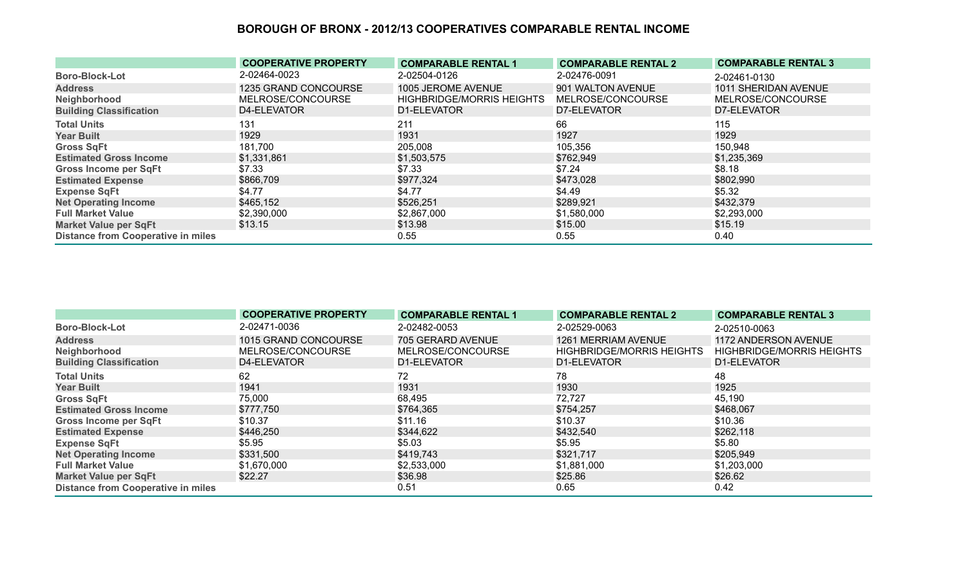|                                           | <b>COOPERATIVE PROPERTY</b> | <b>COMPARABLE RENTAL 1</b>       | <b>COMPARABLE RENTAL 2</b> | <b>COMPARABLE RENTAL 3</b> |
|-------------------------------------------|-----------------------------|----------------------------------|----------------------------|----------------------------|
| <b>Boro-Block-Lot</b>                     | 2-02464-0023                | 2-02504-0126                     | 2-02476-0091               | 2-02461-0130               |
| <b>Address</b>                            | 1235 GRAND CONCOURSE        | 1005 JEROME AVENUE               | 901 WALTON AVENUE          | 1011 SHERIDAN AVENUE       |
| Neighborhood                              | MELROSE/CONCOURSE           | <b>HIGHBRIDGE/MORRIS HEIGHTS</b> | MELROSE/CONCOURSE          | MELROSE/CONCOURSE          |
| <b>Building Classification</b>            | D4-ELEVATOR                 | D1-ELEVATOR                      | D7-ELEVATOR                | D7-ELEVATOR                |
| <b>Total Units</b>                        | 131                         | 211                              | 66                         | 115                        |
| <b>Year Built</b>                         | 1929                        | 1931                             | 1927                       | 1929                       |
| <b>Gross SqFt</b>                         | 181,700                     | 205,008                          | 105,356                    | 150,948                    |
| <b>Estimated Gross Income</b>             | \$1,331,861                 | \$1,503,575                      | \$762,949                  | \$1,235,369                |
| <b>Gross Income per SqFt</b>              | \$7.33                      | \$7.33                           | \$7.24                     | \$8.18                     |
| <b>Estimated Expense</b>                  | \$866,709                   | \$977,324                        | \$473,028                  | \$802,990                  |
| <b>Expense SqFt</b>                       | \$4.77                      | \$4.77                           | \$4.49                     | \$5.32                     |
| <b>Net Operating Income</b>               | \$465,152                   | \$526,251                        | \$289,921                  | \$432,379                  |
| <b>Full Market Value</b>                  | \$2,390,000                 | \$2,867,000                      | \$1,580,000                | \$2,293,000                |
| <b>Market Value per SqFt</b>              | \$13.15                     | \$13.98                          | \$15.00                    | \$15.19                    |
| <b>Distance from Cooperative in miles</b> |                             | 0.55                             | 0.55                       | 0.40                       |

|                                           | <b>COOPERATIVE PROPERTY</b> | <b>COMPARABLE RENTAL 1</b> | <b>COMPARABLE RENTAL 2</b>       | <b>COMPARABLE RENTAL 3</b>       |
|-------------------------------------------|-----------------------------|----------------------------|----------------------------------|----------------------------------|
| <b>Boro-Block-Lot</b>                     | 2-02471-0036                | 2-02482-0053               | 2-02529-0063                     | 2-02510-0063                     |
| <b>Address</b>                            | 1015 GRAND CONCOURSE        | 705 GERARD AVENUE          | 1261 MERRIAM AVENUE              | 1172 ANDERSON AVENUE             |
| Neighborhood                              | MELROSE/CONCOURSE           | MELROSE/CONCOURSE          | <b>HIGHBRIDGE/MORRIS HEIGHTS</b> | <b>HIGHBRIDGE/MORRIS HEIGHTS</b> |
| <b>Building Classification</b>            | D4-ELEVATOR                 | D1-ELEVATOR                | D1-ELEVATOR                      | D1-ELEVATOR                      |
| <b>Total Units</b>                        | 62                          | 72                         | 78                               | 48                               |
| <b>Year Built</b>                         | 1941                        | 1931                       | 1930                             | 1925                             |
| <b>Gross SqFt</b>                         | 75,000                      | 68,495                     | 72,727                           | 45,190                           |
| <b>Estimated Gross Income</b>             | \$777,750                   | \$764,365                  | \$754,257                        | \$468,067                        |
| Gross Income per SqFt                     | \$10.37                     | \$11.16                    | \$10.37                          | \$10.36                          |
| <b>Estimated Expense</b>                  | \$446,250                   | \$344,622                  | \$432,540                        | \$262,118                        |
| <b>Expense SqFt</b>                       | \$5.95                      | \$5.03                     | \$5.95                           | \$5.80                           |
| <b>Net Operating Income</b>               | \$331,500                   | \$419,743                  | \$321,717                        | \$205,949                        |
| <b>Full Market Value</b>                  | \$1,670,000                 | \$2,533,000                | \$1,881,000                      | \$1,203,000                      |
| <b>Market Value per SqFt</b>              | \$22.27                     | \$36.98                    | \$25.86                          | \$26.62                          |
| <b>Distance from Cooperative in miles</b> |                             | 0.51                       | 0.65                             | 0.42                             |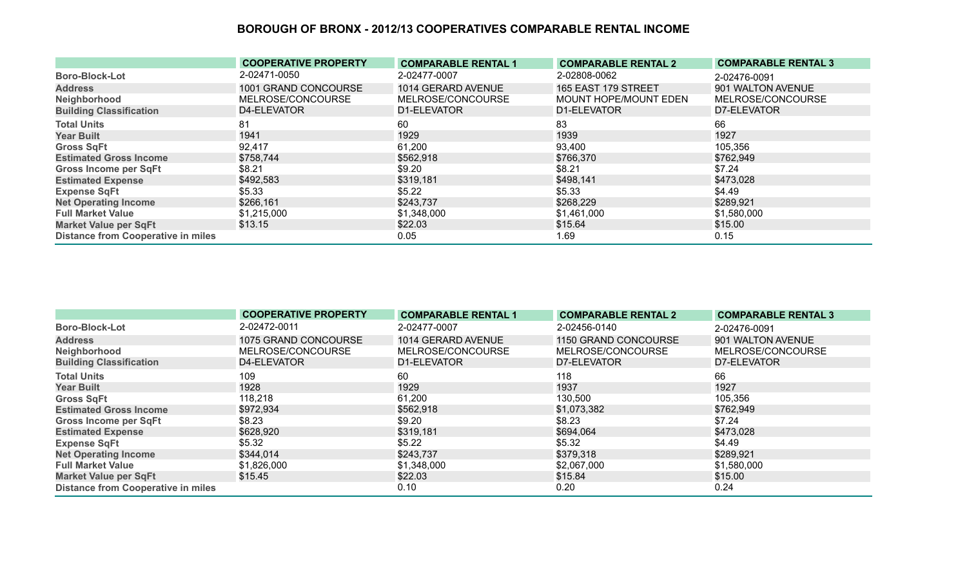|                                           | <b>COOPERATIVE PROPERTY</b> | <b>COMPARABLE RENTAL 1</b> | <b>COMPARABLE RENTAL 2</b> | <b>COMPARABLE RENTAL 3</b> |
|-------------------------------------------|-----------------------------|----------------------------|----------------------------|----------------------------|
| <b>Boro-Block-Lot</b>                     | 2-02471-0050                | 2-02477-0007               | 2-02808-0062               | 2-02476-0091               |
| <b>Address</b>                            | 1001 GRAND CONCOURSE        | 1014 GERARD AVENUE         | <b>165 EAST 179 STREET</b> | 901 WALTON AVENUE          |
| Neighborhood                              | MELROSE/CONCOURSE           | MELROSE/CONCOURSE          | MOUNT HOPE/MOUNT EDEN      | MELROSE/CONCOURSE          |
| <b>Building Classification</b>            | D4-ELEVATOR                 | D1-ELEVATOR                | D1-ELEVATOR                | D7-ELEVATOR                |
| <b>Total Units</b>                        | 81                          | 60                         | 83                         | 66                         |
| <b>Year Built</b>                         | 1941                        | 1929                       | 1939                       | 1927                       |
| <b>Gross SqFt</b>                         | 92,417                      | 61,200                     | 93,400                     | 105,356                    |
| <b>Estimated Gross Income</b>             | \$758,744                   | \$562,918                  | \$766,370                  | \$762,949                  |
| <b>Gross Income per SqFt</b>              | \$8.21                      | \$9.20                     | \$8.21                     | \$7.24                     |
| <b>Estimated Expense</b>                  | \$492,583                   | \$319,181                  | \$498,141                  | \$473,028                  |
| <b>Expense SqFt</b>                       | \$5.33                      | \$5.22                     | \$5.33                     | \$4.49                     |
| <b>Net Operating Income</b>               | \$266,161                   | \$243,737                  | \$268,229                  | \$289,921                  |
| <b>Full Market Value</b>                  | \$1,215,000                 | \$1,348,000                | \$1,461,000                | \$1,580,000                |
| <b>Market Value per SqFt</b>              | \$13.15                     | \$22.03                    | \$15.64                    | \$15.00                    |
| <b>Distance from Cooperative in miles</b> |                             | 0.05                       | 1.69                       | 0.15                       |

|                                           | <b>COOPERATIVE PROPERTY</b> | <b>COMPARABLE RENTAL 1</b> | <b>COMPARABLE RENTAL 2</b> | <b>COMPARABLE RENTAL 3</b> |
|-------------------------------------------|-----------------------------|----------------------------|----------------------------|----------------------------|
| <b>Boro-Block-Lot</b>                     | 2-02472-0011                | 2-02477-0007               | 2-02456-0140               | 2-02476-0091               |
| <b>Address</b>                            | 1075 GRAND CONCOURSE        | 1014 GERARD AVENUE         | 1150 GRAND CONCOURSE       | 901 WALTON AVENUE          |
| Neighborhood                              | MELROSE/CONCOURSE           | MELROSE/CONCOURSE          | MELROSE/CONCOURSE          | MELROSE/CONCOURSE          |
| <b>Building Classification</b>            | D4-ELEVATOR                 | D1-ELEVATOR                | D7-ELEVATOR                | D7-ELEVATOR                |
| <b>Total Units</b>                        | 109                         | 60                         | 118                        | 66                         |
| <b>Year Built</b>                         | 1928                        | 1929                       | 1937                       | 1927                       |
| <b>Gross SqFt</b>                         | 118,218                     | 61,200                     | 130,500                    | 105,356                    |
| <b>Estimated Gross Income</b>             | \$972,934                   | \$562,918                  | \$1,073,382                | \$762,949                  |
| <b>Gross Income per SqFt</b>              | \$8.23                      | \$9.20                     | \$8.23                     | \$7.24                     |
| <b>Estimated Expense</b>                  | \$628,920                   | \$319,181                  | \$694,064                  | \$473,028                  |
| <b>Expense SqFt</b>                       | \$5.32                      | \$5.22                     | \$5.32                     | \$4.49                     |
| <b>Net Operating Income</b>               | \$344,014                   | \$243,737                  | \$379,318                  | \$289,921                  |
| <b>Full Market Value</b>                  | \$1,826,000                 | \$1,348,000                | \$2,067,000                | \$1,580,000                |
| <b>Market Value per SqFt</b>              | \$15.45                     | \$22.03                    | \$15.84                    | \$15.00                    |
| <b>Distance from Cooperative in miles</b> |                             | 0.10                       | 0.20                       | 0.24                       |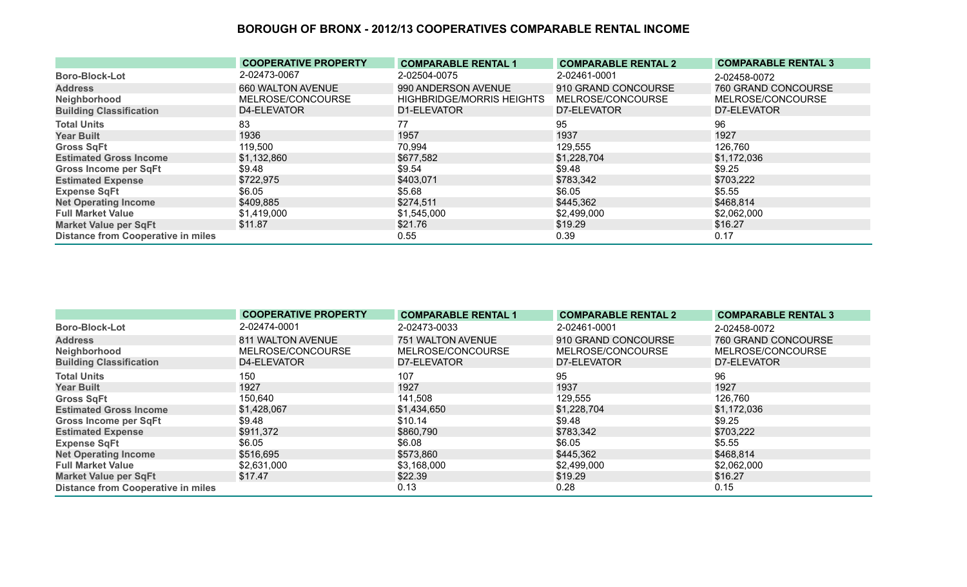|                                           | <b>COOPERATIVE PROPERTY</b> | <b>COMPARABLE RENTAL 1</b>       | <b>COMPARABLE RENTAL 2</b> | <b>COMPARABLE RENTAL 3</b> |
|-------------------------------------------|-----------------------------|----------------------------------|----------------------------|----------------------------|
| <b>Boro-Block-Lot</b>                     | 2-02473-0067                | 2-02504-0075                     | 2-02461-0001               | 2-02458-0072               |
| <b>Address</b>                            | 660 WALTON AVENUE           | 990 ANDERSON AVENUE              | 910 GRAND CONCOURSE        | 760 GRAND CONCOURSE        |
| Neighborhood                              | MELROSE/CONCOURSE           | <b>HIGHBRIDGE/MORRIS HEIGHTS</b> | MELROSE/CONCOURSE          | MELROSE/CONCOURSE          |
| <b>Building Classification</b>            | D4-ELEVATOR                 | D1-ELEVATOR                      | D7-ELEVATOR                | D7-ELEVATOR                |
| <b>Total Units</b>                        | 83                          | 77                               | 95                         | 96                         |
| <b>Year Built</b>                         | 1936                        | 1957                             | 1937                       | 1927                       |
| <b>Gross SqFt</b>                         | 119,500                     | 70,994                           | 129,555                    | 126,760                    |
| <b>Estimated Gross Income</b>             | \$1,132,860                 | \$677,582                        | \$1,228,704                | \$1,172,036                |
| <b>Gross Income per SqFt</b>              | \$9.48                      | \$9.54                           | \$9.48                     | \$9.25                     |
| <b>Estimated Expense</b>                  | \$722,975                   | \$403,071                        | \$783,342                  | \$703,222                  |
| <b>Expense SqFt</b>                       | \$6.05                      | \$5.68                           | \$6.05                     | \$5.55                     |
| <b>Net Operating Income</b>               | \$409,885                   | \$274,511                        | \$445,362                  | \$468,814                  |
| <b>Full Market Value</b>                  | \$1,419,000                 | \$1,545,000                      | \$2,499,000                | \$2,062,000                |
| <b>Market Value per SqFt</b>              | \$11.87                     | \$21.76                          | \$19.29                    | \$16.27                    |
| <b>Distance from Cooperative in miles</b> |                             | 0.55                             | 0.39                       | 0.17                       |

|                                           | <b>COOPERATIVE PROPERTY</b> | <b>COMPARABLE RENTAL 1</b> | <b>COMPARABLE RENTAL 2</b> | <b>COMPARABLE RENTAL 3</b> |
|-------------------------------------------|-----------------------------|----------------------------|----------------------------|----------------------------|
| <b>Boro-Block-Lot</b>                     | 2-02474-0001                | 2-02473-0033               | 2-02461-0001               | 2-02458-0072               |
| <b>Address</b>                            | 811 WALTON AVENUE           | 751 WALTON AVENUE          | 910 GRAND CONCOURSE        | 760 GRAND CONCOURSE        |
| Neighborhood                              | MELROSE/CONCOURSE           | MELROSE/CONCOURSE          | MELROSE/CONCOURSE          | MELROSE/CONCOURSE          |
| <b>Building Classification</b>            | D4-ELEVATOR                 | D7-ELEVATOR                | D7-ELEVATOR                | D7-ELEVATOR                |
| <b>Total Units</b>                        | 150                         | 107                        | 95                         | 96                         |
| <b>Year Built</b>                         | 1927                        | 1927                       | 1937                       | 1927                       |
| <b>Gross SqFt</b>                         | 150,640                     | 141,508                    | 129,555                    | 126,760                    |
| <b>Estimated Gross Income</b>             | \$1,428,067                 | \$1,434,650                | \$1,228,704                | \$1,172,036                |
| <b>Gross Income per SqFt</b>              | \$9.48                      | \$10.14                    | \$9.48                     | \$9.25                     |
| <b>Estimated Expense</b>                  | \$911,372                   | \$860,790                  | \$783,342                  | \$703,222                  |
| <b>Expense SqFt</b>                       | \$6.05                      | \$6.08                     | \$6.05                     | \$5.55                     |
| <b>Net Operating Income</b>               | \$516,695                   | \$573,860                  | \$445,362                  | \$468,814                  |
| <b>Full Market Value</b>                  | \$2,631,000                 | \$3,168,000                | \$2,499,000                | \$2,062,000                |
| <b>Market Value per SqFt</b>              | \$17.47                     | \$22.39                    | \$19.29                    | \$16.27                    |
| <b>Distance from Cooperative in miles</b> |                             | 0.13                       | 0.28                       | 0.15                       |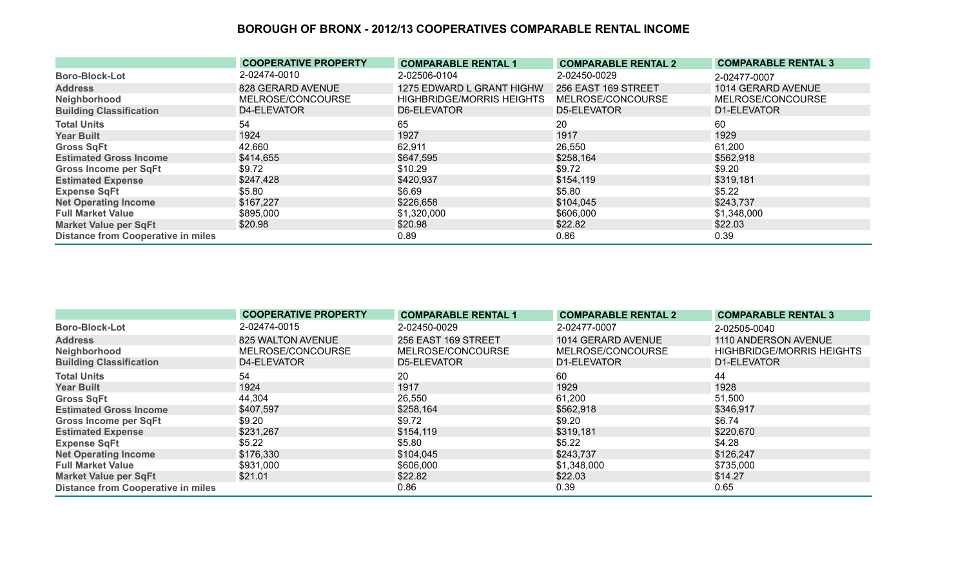|                                           | <b>COOPERATIVE PROPERTY</b> | <b>COMPARABLE RENTAL 1</b>       | <b>COMPARABLE RENTAL 2</b> | <b>COMPARABLE RENTAL 3</b> |
|-------------------------------------------|-----------------------------|----------------------------------|----------------------------|----------------------------|
| <b>Boro-Block-Lot</b>                     | 2-02474-0010                | 2-02506-0104                     | 2-02450-0029               | 2-02477-0007               |
| <b>Address</b>                            | 828 GERARD AVENUE           | 1275 EDWARD L GRANT HIGHW        | 256 EAST 169 STREET        | 1014 GERARD AVENUE         |
| Neighborhood                              | MELROSE/CONCOURSE           | <b>HIGHBRIDGE/MORRIS HEIGHTS</b> | MELROSE/CONCOURSE          | MELROSE/CONCOURSE          |
| <b>Building Classification</b>            | D4-ELEVATOR                 | D6-ELEVATOR                      | D5-ELEVATOR                | D1-ELEVATOR                |
| <b>Total Units</b>                        | 54                          | 65                               | 20                         | 60                         |
| <b>Year Built</b>                         | 1924                        | 1927                             | 1917                       | 1929                       |
| <b>Gross SqFt</b>                         | 42,660                      | 62,911                           | 26,550                     | 61,200                     |
| <b>Estimated Gross Income</b>             | \$414,655                   | \$647,595                        | \$258,164                  | \$562,918                  |
| <b>Gross Income per SqFt</b>              | \$9.72                      | \$10.29                          | \$9.72                     | \$9.20                     |
| <b>Estimated Expense</b>                  | \$247,428                   | \$420,937                        | \$154,119                  | \$319,181                  |
| <b>Expense SqFt</b>                       | \$5.80                      | \$6.69                           | \$5.80                     | \$5.22                     |
| <b>Net Operating Income</b>               | \$167,227                   | \$226,658                        | \$104,045                  | \$243,737                  |
| <b>Full Market Value</b>                  | \$895,000                   | \$1,320,000                      | \$606,000                  | \$1,348,000                |
| <b>Market Value per SqFt</b>              | \$20.98                     | \$20.98                          | \$22.82                    | \$22.03                    |
| <b>Distance from Cooperative in miles</b> |                             | 0.89                             | 0.86                       | 0.39                       |

|                                           | <b>COOPERATIVE PROPERTY</b> | <b>COMPARABLE RENTAL 1</b> | <b>COMPARABLE RENTAL 2</b> | <b>COMPARABLE RENTAL 3</b>       |
|-------------------------------------------|-----------------------------|----------------------------|----------------------------|----------------------------------|
| <b>Boro-Block-Lot</b>                     | 2-02474-0015                | 2-02450-0029               | 2-02477-0007               | 2-02505-0040                     |
| <b>Address</b>                            | 825 WALTON AVENUE           | 256 EAST 169 STREET        | 1014 GERARD AVENUE         | 1110 ANDERSON AVENUE             |
| Neighborhood                              | MELROSE/CONCOURSE           | MELROSE/CONCOURSE          | MELROSE/CONCOURSE          | <b>HIGHBRIDGE/MORRIS HEIGHTS</b> |
| <b>Building Classification</b>            | D4-ELEVATOR                 | D5-ELEVATOR                | D1-ELEVATOR                | D1-ELEVATOR                      |
| <b>Total Units</b>                        | 54                          | 20                         | 60                         | 44                               |
| <b>Year Built</b>                         | 1924                        | 1917                       | 1929                       | 1928                             |
| <b>Gross SqFt</b>                         | 44,304                      | 26,550                     | 61,200                     | 51,500                           |
| <b>Estimated Gross Income</b>             | \$407,597                   | \$258,164                  | \$562,918                  | \$346,917                        |
| <b>Gross Income per SqFt</b>              | \$9.20                      | \$9.72                     | \$9.20                     | \$6.74                           |
| <b>Estimated Expense</b>                  | \$231,267                   | \$154,119                  | \$319,181                  | \$220,670                        |
| <b>Expense SqFt</b>                       | \$5.22                      | \$5.80                     | \$5.22                     | \$4.28                           |
| <b>Net Operating Income</b>               | \$176,330                   | \$104,045                  | \$243,737                  | \$126,247                        |
| <b>Full Market Value</b>                  | \$931,000                   | \$606,000                  | \$1,348,000                | \$735,000                        |
| <b>Market Value per SqFt</b>              | \$21.01                     | \$22.82                    | \$22.03                    | \$14.27                          |
| <b>Distance from Cooperative in miles</b> |                             | 0.86                       | 0.39                       | 0.65                             |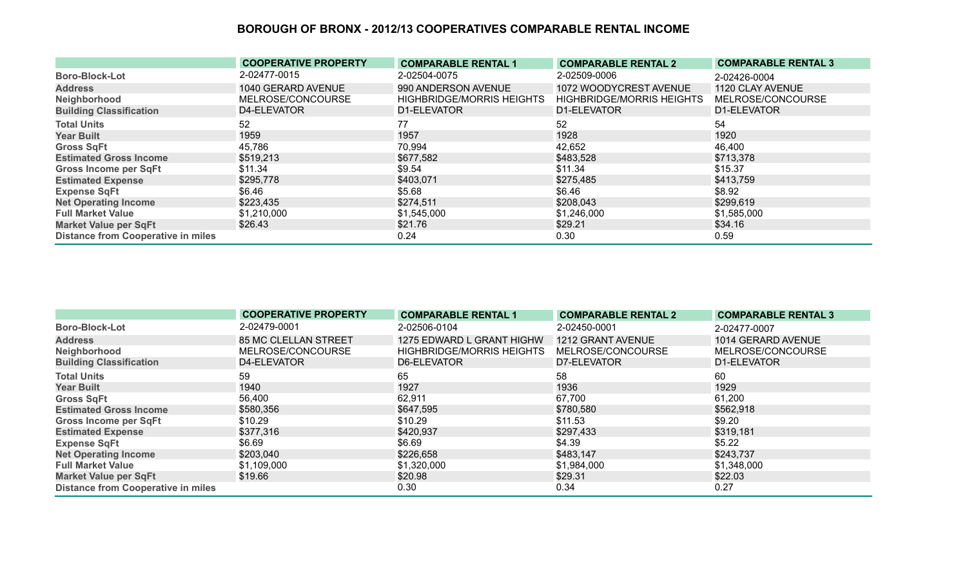|                                           | <b>COOPERATIVE PROPERTY</b> | <b>COMPARABLE RENTAL 1</b>       | <b>COMPARABLE RENTAL 2</b>       | <b>COMPARABLE RENTAL 3</b> |
|-------------------------------------------|-----------------------------|----------------------------------|----------------------------------|----------------------------|
| <b>Boro-Block-Lot</b>                     | 2-02477-0015                | 2-02504-0075                     | 2-02509-0006                     | 2-02426-0004               |
| <b>Address</b>                            | 1040 GERARD AVENUE          | 990 ANDERSON AVENUE              | 1072 WOODYCREST AVENUE           | 1120 CLAY AVENUE           |
| Neighborhood                              | MELROSE/CONCOURSE           | <b>HIGHBRIDGE/MORRIS HEIGHTS</b> | <b>HIGHBRIDGE/MORRIS HEIGHTS</b> | MELROSE/CONCOURSE          |
| <b>Building Classification</b>            | D4-ELEVATOR                 | D1-ELEVATOR                      | D1-ELEVATOR                      | D1-ELEVATOR                |
| <b>Total Units</b>                        | 52                          | 77                               | 52                               | 54                         |
| <b>Year Built</b>                         | 1959                        | 1957                             | 1928                             | 1920                       |
| <b>Gross SqFt</b>                         | 45,786                      | 70,994                           | 42,652                           | 46,400                     |
| <b>Estimated Gross Income</b>             | \$519,213                   | \$677,582                        | \$483,528                        | \$713,378                  |
| <b>Gross Income per SqFt</b>              | \$11.34                     | \$9.54                           | \$11.34                          | \$15.37                    |
| <b>Estimated Expense</b>                  | \$295,778                   | \$403,071                        | \$275,485                        | \$413,759                  |
| <b>Expense SqFt</b>                       | \$6.46                      | \$5.68                           | \$6.46                           | \$8.92                     |
| <b>Net Operating Income</b>               | \$223,435                   | \$274,511                        | \$208,043                        | \$299,619                  |
| <b>Full Market Value</b>                  | \$1,210,000                 | \$1,545,000                      | \$1,246,000                      | \$1,585,000                |
| <b>Market Value per SqFt</b>              | \$26.43                     | \$21.76                          | \$29.21                          | \$34.16                    |
| <b>Distance from Cooperative in miles</b> |                             | 0.24                             | 0.30                             | 0.59                       |

|                                           | <b>COOPERATIVE PROPERTY</b> | <b>COMPARABLE RENTAL 1</b>       | <b>COMPARABLE RENTAL 2</b> | <b>COMPARABLE RENTAL 3</b> |
|-------------------------------------------|-----------------------------|----------------------------------|----------------------------|----------------------------|
| <b>Boro-Block-Lot</b>                     | 2-02479-0001                | 2-02506-0104                     | 2-02450-0001               | 2-02477-0007               |
| <b>Address</b>                            | <b>85 MC CLELLAN STREET</b> | 1275 EDWARD L GRANT HIGHW        | 1212 GRANT AVENUE          | 1014 GERARD AVENUE         |
| Neighborhood                              | MELROSE/CONCOURSE           | <b>HIGHBRIDGE/MORRIS HEIGHTS</b> | MELROSE/CONCOURSE          | MELROSE/CONCOURSE          |
| <b>Building Classification</b>            | D4-ELEVATOR                 | D6-ELEVATOR                      | D7-ELEVATOR                | D1-ELEVATOR                |
| <b>Total Units</b>                        | 59                          | 65                               | 58                         | 60                         |
| <b>Year Built</b>                         | 1940                        | 1927                             | 1936                       | 1929                       |
| <b>Gross SqFt</b>                         | 56,400                      | 62,911                           | 67,700                     | 61,200                     |
| <b>Estimated Gross Income</b>             | \$580,356                   | \$647,595                        | \$780,580                  | \$562,918                  |
| <b>Gross Income per SqFt</b>              | \$10.29                     | \$10.29                          | \$11.53                    | \$9.20                     |
| <b>Estimated Expense</b>                  | \$377,316                   | \$420,937                        | \$297,433                  | \$319,181                  |
| <b>Expense SqFt</b>                       | \$6.69                      | \$6.69                           | \$4.39                     | \$5.22                     |
| <b>Net Operating Income</b>               | \$203,040                   | \$226,658                        | \$483,147                  | \$243,737                  |
| <b>Full Market Value</b>                  | \$1,109,000                 | \$1,320,000                      | \$1,984,000                | \$1,348,000                |
| <b>Market Value per SqFt</b>              | \$19.66                     | \$20.98                          | \$29.31                    | \$22.03                    |
| <b>Distance from Cooperative in miles</b> |                             | 0.30                             | 0.34                       | 0.27                       |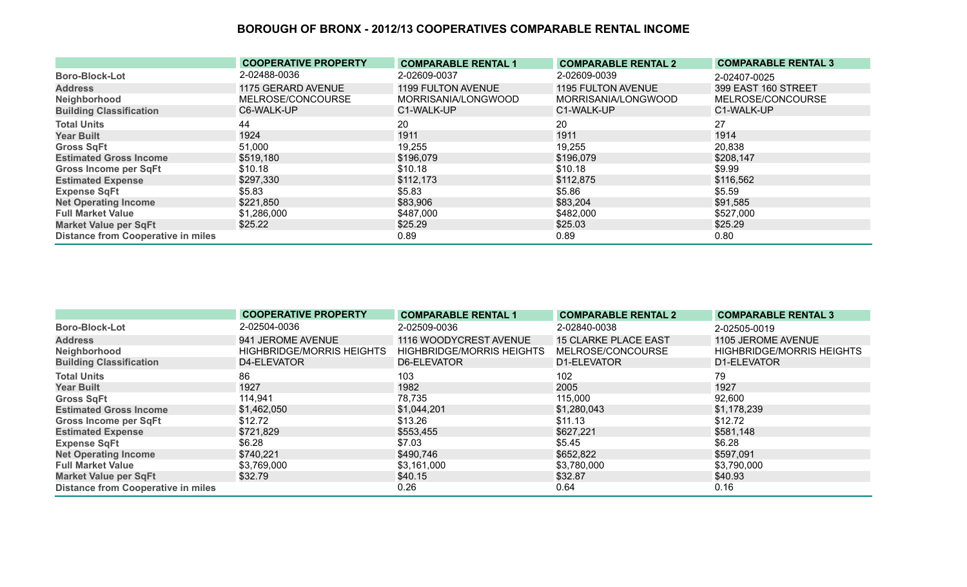|                                           | <b>COOPERATIVE PROPERTY</b> | <b>COMPARABLE RENTAL 1</b> | <b>COMPARABLE RENTAL 2</b> | <b>COMPARABLE RENTAL 3</b> |
|-------------------------------------------|-----------------------------|----------------------------|----------------------------|----------------------------|
| <b>Boro-Block-Lot</b>                     | 2-02488-0036                | 2-02609-0037               | 2-02609-0039               | 2-02407-0025               |
| <b>Address</b>                            | 1175 GERARD AVENUE          | <b>1199 FULTON AVENUE</b>  | <b>1195 FULTON AVENUE</b>  | 399 EAST 160 STREET        |
| Neighborhood                              | MELROSE/CONCOURSE           | MORRISANIA/LONGWOOD        | MORRISANIA/LONGWOOD        | MELROSE/CONCOURSE          |
| <b>Building Classification</b>            | C6-WALK-UP                  | C1-WALK-UP                 | C1-WALK-UP                 | C1-WALK-UP                 |
| <b>Total Units</b>                        | 44                          | 20                         | 20                         | 27                         |
| <b>Year Built</b>                         | 1924                        | 1911                       | 1911                       | 1914                       |
| <b>Gross SqFt</b>                         | 51,000                      | 19,255                     | 19,255                     | 20,838                     |
| <b>Estimated Gross Income</b>             | \$519,180                   | \$196,079                  | \$196,079                  | \$208,147                  |
| <b>Gross Income per SqFt</b>              | \$10.18                     | \$10.18                    | \$10.18                    | \$9.99                     |
| <b>Estimated Expense</b>                  | \$297,330                   | \$112,173                  | \$112,875                  | \$116,562                  |
| <b>Expense SqFt</b>                       | \$5.83                      | \$5.83                     | \$5.86                     | \$5.59                     |
| <b>Net Operating Income</b>               | \$221,850                   | \$83,906                   | \$83,204                   | \$91,585                   |
| <b>Full Market Value</b>                  | \$1,286,000                 | \$487,000                  | \$482,000                  | \$527,000                  |
| <b>Market Value per SqFt</b>              | \$25.22                     | \$25.29                    | \$25.03                    | \$25.29                    |
| <b>Distance from Cooperative in miles</b> |                             | 0.89                       | 0.89                       | 0.80                       |

|                                           | <b>COOPERATIVE PROPERTY</b>      | <b>COMPARABLE RENTAL 1</b>       | <b>COMPARABLE RENTAL 2</b>  | <b>COMPARABLE RENTAL 3</b>       |
|-------------------------------------------|----------------------------------|----------------------------------|-----------------------------|----------------------------------|
| <b>Boro-Block-Lot</b>                     | 2-02504-0036                     | 2-02509-0036                     | 2-02840-0038                | 2-02505-0019                     |
| <b>Address</b>                            | 941 JEROME AVENUE                | 1116 WOODYCREST AVENUE           | <b>15 CLARKE PLACE EAST</b> | 1105 JEROME AVENUE               |
| Neighborhood                              | <b>HIGHBRIDGE/MORRIS HEIGHTS</b> | <b>HIGHBRIDGE/MORRIS HEIGHTS</b> | MELROSE/CONCOURSE           | <b>HIGHBRIDGE/MORRIS HEIGHTS</b> |
| <b>Building Classification</b>            | D4-ELEVATOR                      | D6-ELEVATOR                      | D1-ELEVATOR                 | D1-ELEVATOR                      |
| <b>Total Units</b>                        | 86                               | 103                              | 102                         | 79                               |
| <b>Year Built</b>                         | 1927                             | 1982                             | 2005                        | 1927                             |
| <b>Gross SqFt</b>                         | 114,941                          | 78,735                           | 115,000                     | 92,600                           |
| <b>Estimated Gross Income</b>             | \$1,462,050                      | \$1,044,201                      | \$1,280,043                 | \$1,178,239                      |
| <b>Gross Income per SqFt</b>              | \$12.72                          | \$13.26                          | \$11.13                     | \$12.72                          |
| <b>Estimated Expense</b>                  | \$721,829                        | \$553,455                        | \$627,221                   | \$581,148                        |
| <b>Expense SqFt</b>                       | \$6.28                           | \$7.03                           | \$5.45                      | \$6.28                           |
| <b>Net Operating Income</b>               | \$740,221                        | \$490,746                        | \$652,822                   | \$597,091                        |
| <b>Full Market Value</b>                  | \$3,769,000                      | \$3,161,000                      | \$3,780,000                 | \$3,790,000                      |
| <b>Market Value per SqFt</b>              | \$32.79                          | \$40.15                          | \$32.87                     | \$40.93                          |
| <b>Distance from Cooperative in miles</b> |                                  | 0.26                             | 0.64                        | 0.16                             |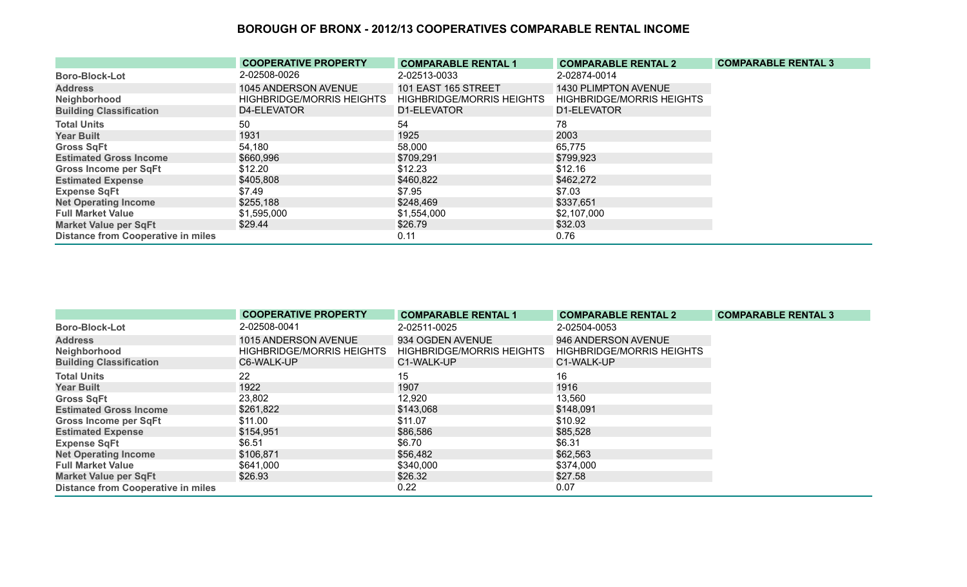|                                           | <b>COOPERATIVE PROPERTY</b>      | <b>COMPARABLE RENTAL 1</b>       | <b>COMPARABLE RENTAL 2</b>       | <b>COMPARABLE RENTAL 3</b> |
|-------------------------------------------|----------------------------------|----------------------------------|----------------------------------|----------------------------|
| <b>Boro-Block-Lot</b>                     | 2-02508-0026                     | 2-02513-0033                     | 2-02874-0014                     |                            |
| <b>Address</b>                            | 1045 ANDERSON AVENUE             | <b>101 EAST 165 STREET</b>       | 1430 PLIMPTON AVENUE             |                            |
| Neighborhood                              | <b>HIGHBRIDGE/MORRIS HEIGHTS</b> | <b>HIGHBRIDGE/MORRIS HEIGHTS</b> | <b>HIGHBRIDGE/MORRIS HEIGHTS</b> |                            |
| <b>Building Classification</b>            | D4-ELEVATOR                      | D1-ELEVATOR                      | D1-ELEVATOR                      |                            |
| <b>Total Units</b>                        | 50                               | 54                               | 78                               |                            |
| <b>Year Built</b>                         | 1931                             | 1925                             | 2003                             |                            |
| <b>Gross SqFt</b>                         | 54,180                           | 58,000                           | 65,775                           |                            |
| <b>Estimated Gross Income</b>             | \$660,996                        | \$709,291                        | \$799,923                        |                            |
| <b>Gross Income per SqFt</b>              | \$12.20                          | \$12.23                          | \$12.16                          |                            |
| <b>Estimated Expense</b>                  | \$405,808                        | \$460,822                        | \$462,272                        |                            |
| <b>Expense SqFt</b>                       | \$7.49                           | \$7.95                           | \$7.03                           |                            |
| <b>Net Operating Income</b>               | \$255,188                        | \$248,469                        | \$337,651                        |                            |
| <b>Full Market Value</b>                  | \$1,595,000                      | \$1,554,000                      | \$2,107,000                      |                            |
| <b>Market Value per SqFt</b>              | \$29.44                          | \$26.79                          | \$32.03                          |                            |
| <b>Distance from Cooperative in miles</b> |                                  | 0.11                             | 0.76                             |                            |

|                                           | <b>COOPERATIVE PROPERTY</b>      | <b>COMPARABLE RENTAL 1</b>       | <b>COMPARABLE RENTAL 2</b>       | <b>COMPARABLE RENTAL 3</b> |
|-------------------------------------------|----------------------------------|----------------------------------|----------------------------------|----------------------------|
| <b>Boro-Block-Lot</b>                     | 2-02508-0041                     | 2-02511-0025                     | 2-02504-0053                     |                            |
| <b>Address</b>                            | 1015 ANDERSON AVENUE             | 934 OGDEN AVENUE                 | 946 ANDERSON AVENUE              |                            |
| Neighborhood                              | <b>HIGHBRIDGE/MORRIS HEIGHTS</b> | <b>HIGHBRIDGE/MORRIS HEIGHTS</b> | <b>HIGHBRIDGE/MORRIS HEIGHTS</b> |                            |
| <b>Building Classification</b>            | C6-WALK-UP                       | C1-WALK-UP                       | C1-WALK-UP                       |                            |
| <b>Total Units</b>                        | 22                               | 15                               | 16                               |                            |
| <b>Year Built</b>                         | 1922                             | 1907                             | 1916                             |                            |
| <b>Gross SqFt</b>                         | 23,802                           | 12,920                           | 13,560                           |                            |
| <b>Estimated Gross Income</b>             | \$261,822                        | \$143,068                        | \$148,091                        |                            |
| <b>Gross Income per SqFt</b>              | \$11.00                          | \$11.07                          | \$10.92                          |                            |
| <b>Estimated Expense</b>                  | \$154,951                        | \$86,586                         | \$85,528                         |                            |
| <b>Expense SqFt</b>                       | \$6.51                           | \$6.70                           | \$6.31                           |                            |
| <b>Net Operating Income</b>               | \$106,871                        | \$56,482                         | \$62,563                         |                            |
| <b>Full Market Value</b>                  | \$641,000                        | \$340,000                        | \$374,000                        |                            |
| <b>Market Value per SqFt</b>              | \$26.93                          | \$26.32                          | \$27.58                          |                            |
| <b>Distance from Cooperative in miles</b> |                                  | 0.22                             | 0.07                             |                            |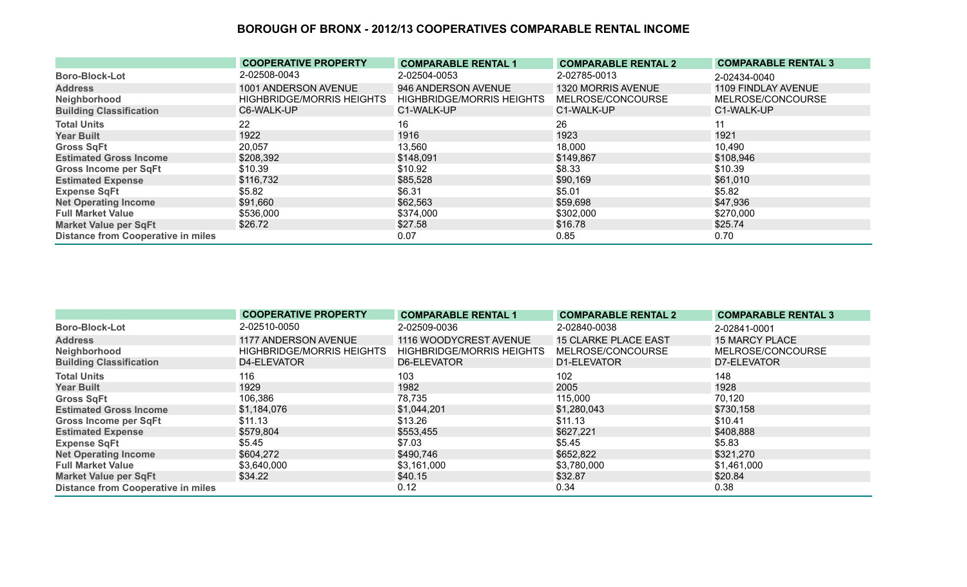|                                           | <b>COOPERATIVE PROPERTY</b>      | <b>COMPARABLE RENTAL 1</b>       | <b>COMPARABLE RENTAL 2</b> | <b>COMPARABLE RENTAL 3</b> |
|-------------------------------------------|----------------------------------|----------------------------------|----------------------------|----------------------------|
| <b>Boro-Block-Lot</b>                     | 2-02508-0043                     | 2-02504-0053                     | 2-02785-0013               | 2-02434-0040               |
| <b>Address</b>                            | 1001 ANDERSON AVENUE             | 946 ANDERSON AVENUE              | 1320 MORRIS AVENUE         | 1109 FINDLAY AVENUE        |
| Neighborhood                              | <b>HIGHBRIDGE/MORRIS HEIGHTS</b> | <b>HIGHBRIDGE/MORRIS HEIGHTS</b> | MELROSE/CONCOURSE          | MELROSE/CONCOURSE          |
| <b>Building Classification</b>            | C6-WALK-UP                       | C1-WALK-UP                       | C1-WALK-UP                 | C1-WALK-UP                 |
| <b>Total Units</b>                        | 22                               | 16                               | 26                         | 11                         |
| <b>Year Built</b>                         | 1922                             | 1916                             | 1923                       | 1921                       |
| <b>Gross SqFt</b>                         | 20,057                           | 13,560                           | 18,000                     | 10,490                     |
| <b>Estimated Gross Income</b>             | \$208,392                        | \$148,091                        | \$149,867                  | \$108,946                  |
| <b>Gross Income per SqFt</b>              | \$10.39                          | \$10.92                          | \$8.33                     | \$10.39                    |
| <b>Estimated Expense</b>                  | \$116,732                        | \$85,528                         | \$90,169                   | \$61,010                   |
| <b>Expense SqFt</b>                       | \$5.82                           | \$6.31                           | \$5.01                     | \$5.82                     |
| <b>Net Operating Income</b>               | \$91,660                         | \$62,563                         | \$59,698                   | \$47,936                   |
| <b>Full Market Value</b>                  | \$536,000                        | \$374,000                        | \$302,000                  | \$270,000                  |
| <b>Market Value per SqFt</b>              | \$26.72                          | \$27.58                          | \$16.78                    | \$25.74                    |
| <b>Distance from Cooperative in miles</b> |                                  | 0.07                             | 0.85                       | 0.70                       |

|                                           | <b>COOPERATIVE PROPERTY</b>      | <b>COMPARABLE RENTAL 1</b>       | <b>COMPARABLE RENTAL 2</b>  | <b>COMPARABLE RENTAL 3</b> |
|-------------------------------------------|----------------------------------|----------------------------------|-----------------------------|----------------------------|
| <b>Boro-Block-Lot</b>                     | 2-02510-0050                     | 2-02509-0036                     | 2-02840-0038                | 2-02841-0001               |
| <b>Address</b>                            | 1177 ANDERSON AVENUE             | 1116 WOODYCREST AVENUE           | <b>15 CLARKE PLACE EAST</b> | <b>15 MARCY PLACE</b>      |
| Neighborhood                              | <b>HIGHBRIDGE/MORRIS HEIGHTS</b> | <b>HIGHBRIDGE/MORRIS HEIGHTS</b> | MELROSE/CONCOURSE           | MELROSE/CONCOURSE          |
| <b>Building Classification</b>            | D4-ELEVATOR                      | D6-ELEVATOR                      | D1-ELEVATOR                 | D7-ELEVATOR                |
| <b>Total Units</b>                        | 116                              | 103                              | 102                         | 148                        |
| <b>Year Built</b>                         | 1929                             | 1982                             | 2005                        | 1928                       |
| <b>Gross SqFt</b>                         | 106,386                          | 78,735                           | 115,000                     | 70,120                     |
| <b>Estimated Gross Income</b>             | \$1,184,076                      | \$1,044,201                      | \$1,280,043                 | \$730,158                  |
| <b>Gross Income per SqFt</b>              | \$11.13                          | \$13.26                          | \$11.13                     | \$10.41                    |
| <b>Estimated Expense</b>                  | \$579,804                        | \$553,455                        | \$627,221                   | \$408,888                  |
| <b>Expense SqFt</b>                       | \$5.45                           | \$7.03                           | \$5.45                      | \$5.83                     |
| <b>Net Operating Income</b>               | \$604,272                        | \$490,746                        | \$652,822                   | \$321,270                  |
| <b>Full Market Value</b>                  | \$3,640,000                      | \$3,161,000                      | \$3,780,000                 | \$1,461,000                |
| <b>Market Value per SqFt</b>              | \$34.22                          | \$40.15                          | \$32.87                     | \$20.84                    |
| <b>Distance from Cooperative in miles</b> |                                  | 0.12                             | 0.34                        | 0.38                       |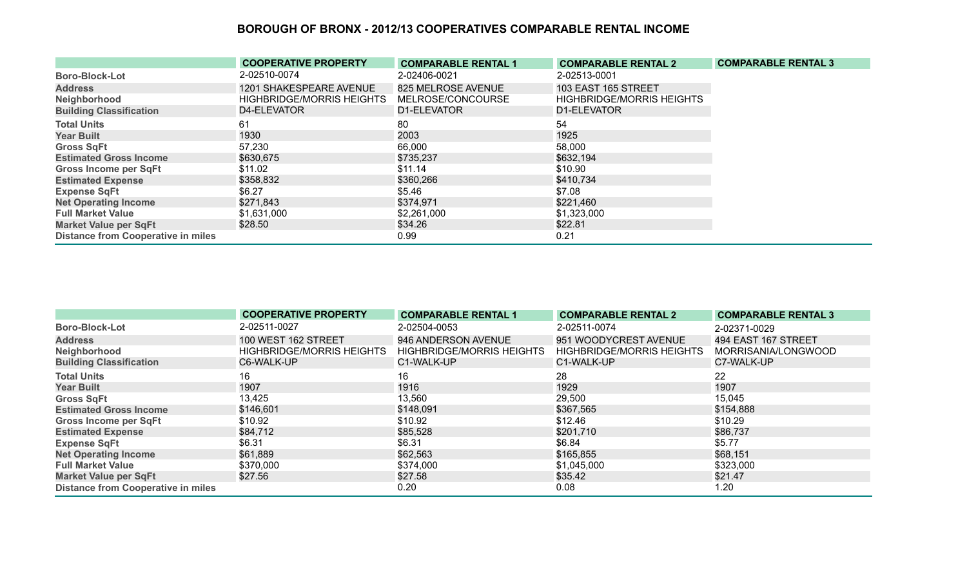|                                           | <b>COOPERATIVE PROPERTY</b>      | <b>COMPARABLE RENTAL 1</b> | <b>COMPARABLE RENTAL 2</b>       | <b>COMPARABLE RENTAL 3</b> |
|-------------------------------------------|----------------------------------|----------------------------|----------------------------------|----------------------------|
| <b>Boro-Block-Lot</b>                     | 2-02510-0074                     | 2-02406-0021               | 2-02513-0001                     |                            |
| <b>Address</b>                            | 1201 SHAKESPEARE AVENUE          | 825 MELROSE AVENUE         | 103 EAST 165 STREET              |                            |
| Neighborhood                              | <b>HIGHBRIDGE/MORRIS HEIGHTS</b> | MELROSE/CONCOURSE          | <b>HIGHBRIDGE/MORRIS HEIGHTS</b> |                            |
| <b>Building Classification</b>            | D4-ELEVATOR                      | D1-ELEVATOR                | D1-ELEVATOR                      |                            |
| <b>Total Units</b>                        | 61                               | 80                         | 54                               |                            |
| <b>Year Built</b>                         | 1930                             | 2003                       | 1925                             |                            |
| <b>Gross SqFt</b>                         | 57,230                           | 66,000                     | 58,000                           |                            |
| <b>Estimated Gross Income</b>             | \$630,675                        | \$735,237                  | \$632,194                        |                            |
| <b>Gross Income per SqFt</b>              | \$11.02                          | \$11.14                    | \$10.90                          |                            |
| <b>Estimated Expense</b>                  | \$358,832                        | \$360,266                  | \$410,734                        |                            |
| <b>Expense SqFt</b>                       | \$6.27                           | \$5.46                     | \$7.08                           |                            |
| <b>Net Operating Income</b>               | \$271,843                        | \$374,971                  | \$221,460                        |                            |
| <b>Full Market Value</b>                  | \$1,631,000                      | \$2,261,000                | \$1,323,000                      |                            |
| <b>Market Value per SqFt</b>              | \$28.50                          | \$34.26                    | \$22.81                          |                            |
| <b>Distance from Cooperative in miles</b> |                                  | 0.99                       | 0.21                             |                            |

|                                           | <b>COOPERATIVE PROPERTY</b>      | <b>COMPARABLE RENTAL 1</b>       | <b>COMPARABLE RENTAL 2</b>       | <b>COMPARABLE RENTAL 3</b> |
|-------------------------------------------|----------------------------------|----------------------------------|----------------------------------|----------------------------|
| <b>Boro-Block-Lot</b>                     | 2-02511-0027                     | 2-02504-0053                     | 2-02511-0074                     | 2-02371-0029               |
| <b>Address</b>                            | 100 WEST 162 STREET              | 946 ANDERSON AVENUE              | 951 WOODYCREST AVENUE            | 494 EAST 167 STREET        |
| Neighborhood                              | <b>HIGHBRIDGE/MORRIS HEIGHTS</b> | <b>HIGHBRIDGE/MORRIS HEIGHTS</b> | <b>HIGHBRIDGE/MORRIS HEIGHTS</b> | MORRISANIA/LONGWOOD        |
| <b>Building Classification</b>            | C6-WALK-UP                       | C1-WALK-UP                       | C1-WALK-UP                       | C7-WALK-UP                 |
| <b>Total Units</b>                        | 16                               | 16                               | 28                               | 22                         |
| <b>Year Built</b>                         | 1907                             | 1916                             | 1929                             | 1907                       |
| <b>Gross SqFt</b>                         | 13,425                           | 13,560                           | 29,500                           | 15,045                     |
| <b>Estimated Gross Income</b>             | \$146,601                        | \$148,091                        | \$367,565                        | \$154,888                  |
| <b>Gross Income per SqFt</b>              | \$10.92                          | \$10.92                          | \$12.46                          | \$10.29                    |
| <b>Estimated Expense</b>                  | \$84,712                         | \$85,528                         | \$201,710                        | \$86,737                   |
| <b>Expense SqFt</b>                       | \$6.31                           | \$6.31                           | \$6.84                           | \$5.77                     |
| <b>Net Operating Income</b>               | \$61,889                         | \$62,563                         | \$165,855                        | \$68,151                   |
| <b>Full Market Value</b>                  | \$370,000                        | \$374,000                        | \$1,045,000                      | \$323,000                  |
| <b>Market Value per SqFt</b>              | \$27.56                          | \$27.58                          | \$35.42                          | \$21.47                    |
| <b>Distance from Cooperative in miles</b> |                                  | 0.20                             | 0.08                             | 1.20                       |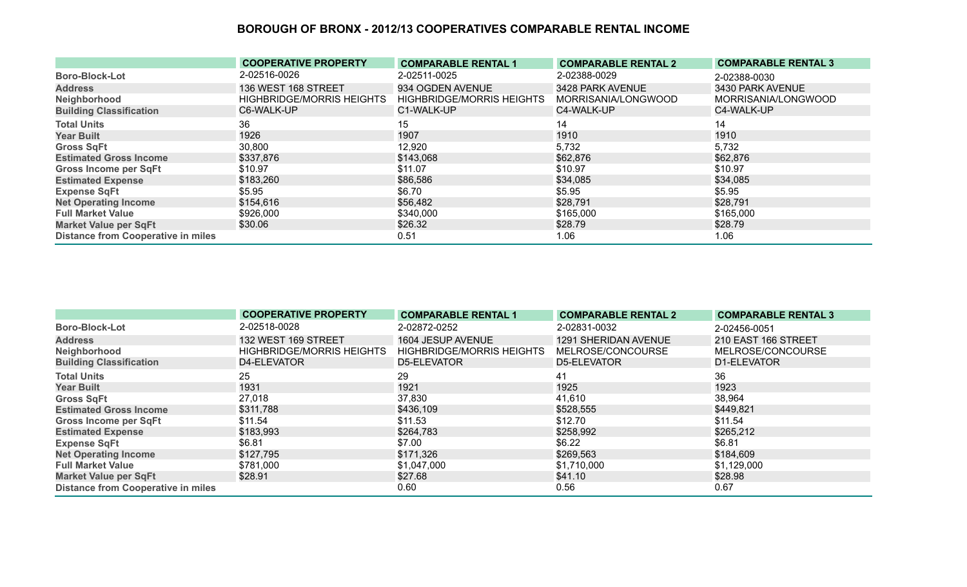|                                           | <b>COOPERATIVE PROPERTY</b>      | <b>COMPARABLE RENTAL 1</b>       | <b>COMPARABLE RENTAL 2</b> | <b>COMPARABLE RENTAL 3</b> |
|-------------------------------------------|----------------------------------|----------------------------------|----------------------------|----------------------------|
| <b>Boro-Block-Lot</b>                     | 2-02516-0026                     | 2-02511-0025                     | 2-02388-0029               | 2-02388-0030               |
| <b>Address</b>                            | 136 WEST 168 STREET              | 934 OGDEN AVENUE                 | 3428 PARK AVENUE           | 3430 PARK AVENUE           |
| Neighborhood                              | <b>HIGHBRIDGE/MORRIS HEIGHTS</b> | <b>HIGHBRIDGE/MORRIS HEIGHTS</b> | MORRISANIA/LONGWOOD        | MORRISANIA/LONGWOOD        |
| <b>Building Classification</b>            | C6-WALK-UP                       | C1-WALK-UP                       | C4-WALK-UP                 | C4-WALK-UP                 |
| <b>Total Units</b>                        | 36                               | 15                               | 14                         | 14                         |
| <b>Year Built</b>                         | 1926                             | 1907                             | 1910                       | 1910                       |
| <b>Gross SqFt</b>                         | 30,800                           | 12,920                           | 5,732                      | 5,732                      |
| <b>Estimated Gross Income</b>             | \$337,876                        | \$143,068                        | \$62,876                   | \$62,876                   |
| <b>Gross Income per SqFt</b>              | \$10.97                          | \$11.07                          | \$10.97                    | \$10.97                    |
| <b>Estimated Expense</b>                  | \$183,260                        | \$86,586                         | \$34,085                   | \$34,085                   |
| <b>Expense SqFt</b>                       | \$5.95                           | \$6.70                           | \$5.95                     | \$5.95                     |
| <b>Net Operating Income</b>               | \$154,616                        | \$56,482                         | \$28,791                   | \$28,791                   |
| <b>Full Market Value</b>                  | \$926,000                        | \$340,000                        | \$165,000                  | \$165,000                  |
| <b>Market Value per SqFt</b>              | \$30.06                          | \$26.32                          | \$28.79                    | \$28.79                    |
| <b>Distance from Cooperative in miles</b> |                                  | 0.51                             | 1.06                       | 1.06                       |

|                                           | <b>COOPERATIVE PROPERTY</b>      | <b>COMPARABLE RENTAL 1</b>       | <b>COMPARABLE RENTAL 2</b> | <b>COMPARABLE RENTAL 3</b> |
|-------------------------------------------|----------------------------------|----------------------------------|----------------------------|----------------------------|
| <b>Boro-Block-Lot</b>                     | 2-02518-0028                     | 2-02872-0252                     | 2-02831-0032               | 2-02456-0051               |
| <b>Address</b>                            | 132 WEST 169 STREET              | 1604 JESUP AVENUE                | 1291 SHERIDAN AVENUE       | 210 EAST 166 STREET        |
| Neighborhood                              | <b>HIGHBRIDGE/MORRIS HEIGHTS</b> | <b>HIGHBRIDGE/MORRIS HEIGHTS</b> | MELROSE/CONCOURSE          | MELROSE/CONCOURSE          |
| <b>Building Classification</b>            | D4-ELEVATOR                      | D5-ELEVATOR                      | D5-ELEVATOR                | D1-ELEVATOR                |
| <b>Total Units</b>                        | 25                               | 29                               | 41                         | 36                         |
| <b>Year Built</b>                         | 1931                             | 1921                             | 1925                       | 1923                       |
| <b>Gross SqFt</b>                         | 27,018                           | 37,830                           | 41,610                     | 38,964                     |
| <b>Estimated Gross Income</b>             | \$311,788                        | \$436,109                        | \$528,555                  | \$449,821                  |
| <b>Gross Income per SqFt</b>              | \$11.54                          | \$11.53                          | \$12.70                    | \$11.54                    |
| <b>Estimated Expense</b>                  | \$183,993                        | \$264,783                        | \$258,992                  | \$265,212                  |
| <b>Expense SqFt</b>                       | \$6.81                           | \$7.00                           | \$6.22                     | \$6.81                     |
| <b>Net Operating Income</b>               | \$127,795                        | \$171,326                        | \$269,563                  | \$184,609                  |
| <b>Full Market Value</b>                  | \$781,000                        | \$1,047,000                      | \$1,710,000                | \$1,129,000                |
| <b>Market Value per SqFt</b>              | \$28.91                          | \$27.68                          | \$41.10                    | \$28.98                    |
| <b>Distance from Cooperative in miles</b> |                                  | 0.60                             | 0.56                       | 0.67                       |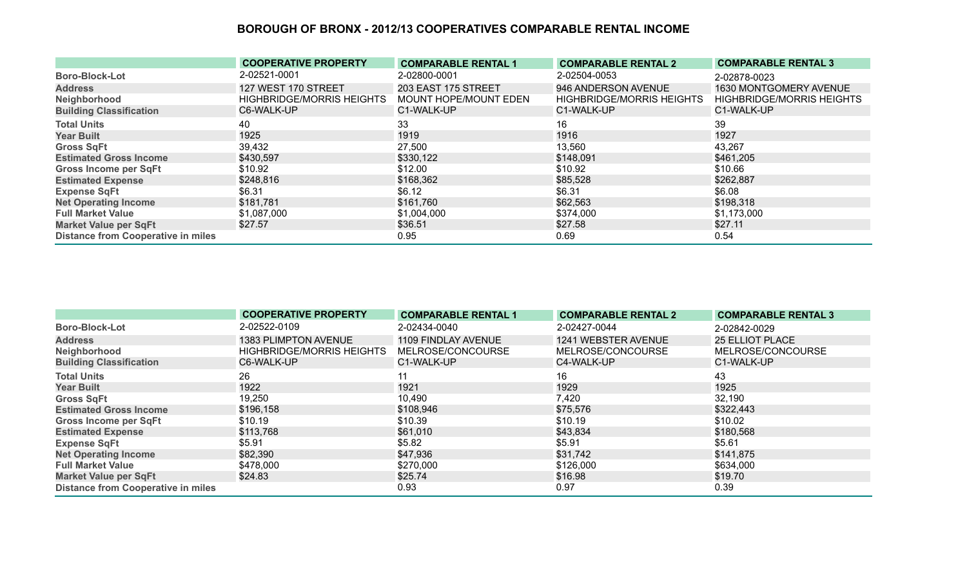|                                           | <b>COOPERATIVE PROPERTY</b>      | <b>COMPARABLE RENTAL 1</b> | <b>COMPARABLE RENTAL 2</b>       | <b>COMPARABLE RENTAL 3</b>       |
|-------------------------------------------|----------------------------------|----------------------------|----------------------------------|----------------------------------|
| <b>Boro-Block-Lot</b>                     | 2-02521-0001                     | 2-02800-0001               | 2-02504-0053                     | 2-02878-0023                     |
| <b>Address</b>                            | 127 WEST 170 STREET              | 203 EAST 175 STREET        | 946 ANDERSON AVENUE              | 1630 MONTGOMERY AVENUE           |
| Neighborhood                              | <b>HIGHBRIDGE/MORRIS HEIGHTS</b> | MOUNT HOPE/MOUNT EDEN      | <b>HIGHBRIDGE/MORRIS HEIGHTS</b> | <b>HIGHBRIDGE/MORRIS HEIGHTS</b> |
| <b>Building Classification</b>            | C6-WALK-UP                       | C1-WALK-UP                 | C1-WALK-UP                       | C1-WALK-UP                       |
| <b>Total Units</b>                        | 40                               | 33                         | 16                               | 39                               |
| <b>Year Built</b>                         | 1925                             | 1919                       | 1916                             | 1927                             |
| <b>Gross SqFt</b>                         | 39,432                           | 27,500                     | 13,560                           | 43,267                           |
| <b>Estimated Gross Income</b>             | \$430,597                        | \$330,122                  | \$148,091                        | \$461,205                        |
| <b>Gross Income per SqFt</b>              | \$10.92                          | \$12.00                    | \$10.92                          | \$10.66                          |
| <b>Estimated Expense</b>                  | \$248,816                        | \$168,362                  | \$85,528                         | \$262,887                        |
| <b>Expense SqFt</b>                       | \$6.31                           | \$6.12                     | \$6.31                           | \$6.08                           |
| <b>Net Operating Income</b>               | \$181,781                        | \$161,760                  | \$62,563                         | \$198,318                        |
| <b>Full Market Value</b>                  | \$1,087,000                      | \$1,004,000                | \$374,000                        | \$1,173,000                      |
| <b>Market Value per SqFt</b>              | \$27.57                          | \$36.51                    | \$27.58                          | \$27.11                          |
| <b>Distance from Cooperative in miles</b> |                                  | 0.95                       | 0.69                             | 0.54                             |

|                                           | <b>COOPERATIVE PROPERTY</b>      | <b>COMPARABLE RENTAL 1</b> | <b>COMPARABLE RENTAL 2</b> | <b>COMPARABLE RENTAL 3</b> |
|-------------------------------------------|----------------------------------|----------------------------|----------------------------|----------------------------|
| <b>Boro-Block-Lot</b>                     | 2-02522-0109                     | 2-02434-0040               | 2-02427-0044               | 2-02842-0029               |
| <b>Address</b>                            | 1383 PLIMPTON AVENUE             | 1109 FINDLAY AVENUE        | 1241 WEBSTER AVENUE        | <b>25 ELLIOT PLACE</b>     |
| Neighborhood                              | <b>HIGHBRIDGE/MORRIS HEIGHTS</b> | MELROSE/CONCOURSE          | MELROSE/CONCOURSE          | MELROSE/CONCOURSE          |
| <b>Building Classification</b>            | C6-WALK-UP                       | C1-WALK-UP                 | C4-WALK-UP                 | C1-WALK-UP                 |
| <b>Total Units</b>                        | 26                               |                            | 16                         | 43                         |
| <b>Year Built</b>                         | 1922                             | 1921                       | 1929                       | 1925                       |
| <b>Gross SqFt</b>                         | 19,250                           | 10,490                     | 7,420                      | 32,190                     |
| <b>Estimated Gross Income</b>             | \$196,158                        | \$108,946                  | \$75,576                   | \$322,443                  |
| <b>Gross Income per SqFt</b>              | \$10.19                          | \$10.39                    | \$10.19                    | \$10.02                    |
| <b>Estimated Expense</b>                  | \$113,768                        | \$61,010                   | \$43,834                   | \$180,568                  |
| <b>Expense SqFt</b>                       | \$5.91                           | \$5.82                     | \$5.91                     | \$5.61                     |
| <b>Net Operating Income</b>               | \$82,390                         | \$47,936                   | \$31,742                   | \$141,875                  |
| <b>Full Market Value</b>                  | \$478,000                        | \$270,000                  | \$126,000                  | \$634,000                  |
| <b>Market Value per SqFt</b>              | \$24.83                          | \$25.74                    | \$16.98                    | \$19.70                    |
| <b>Distance from Cooperative in miles</b> |                                  | 0.93                       | 0.97                       | 0.39                       |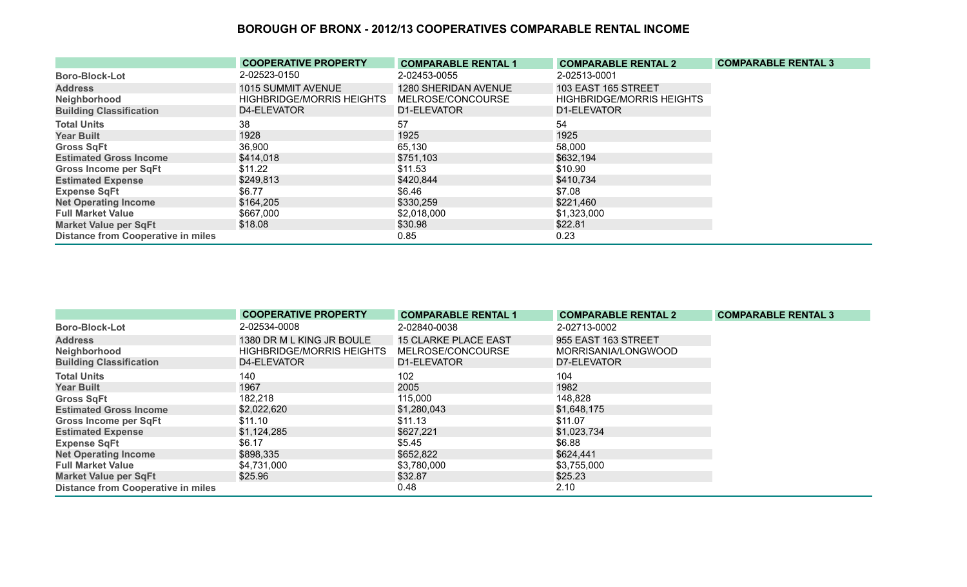|                                           | <b>COOPERATIVE PROPERTY</b>      | <b>COMPARABLE RENTAL 1</b> | <b>COMPARABLE RENTAL 2</b>       | <b>COMPARABLE RENTAL 3</b> |
|-------------------------------------------|----------------------------------|----------------------------|----------------------------------|----------------------------|
| <b>Boro-Block-Lot</b>                     | 2-02523-0150                     | 2-02453-0055               | 2-02513-0001                     |                            |
| <b>Address</b>                            | 1015 SUMMIT AVENUE               | 1280 SHERIDAN AVENUE       | 103 EAST 165 STREET              |                            |
| Neighborhood                              | <b>HIGHBRIDGE/MORRIS HEIGHTS</b> | MELROSE/CONCOURSE          | <b>HIGHBRIDGE/MORRIS HEIGHTS</b> |                            |
| <b>Building Classification</b>            | D4-ELEVATOR                      | D1-ELEVATOR                | D1-ELEVATOR                      |                            |
| <b>Total Units</b>                        | 38                               | 57                         | 54                               |                            |
| <b>Year Built</b>                         | 1928                             | 1925                       | 1925                             |                            |
| <b>Gross SqFt</b>                         | 36,900                           | 65,130                     | 58,000                           |                            |
| <b>Estimated Gross Income</b>             | \$414,018                        | \$751,103                  | \$632,194                        |                            |
| <b>Gross Income per SqFt</b>              | \$11.22                          | \$11.53                    | \$10.90                          |                            |
| <b>Estimated Expense</b>                  | \$249,813                        | \$420,844                  | \$410,734                        |                            |
| <b>Expense SqFt</b>                       | \$6.77                           | \$6.46                     | \$7.08                           |                            |
| <b>Net Operating Income</b>               | \$164,205                        | \$330,259                  | \$221,460                        |                            |
| <b>Full Market Value</b>                  | \$667,000                        | \$2,018,000                | \$1,323,000                      |                            |
| <b>Market Value per SqFt</b>              | \$18.08                          | \$30.98                    | \$22.81                          |                            |
| <b>Distance from Cooperative in miles</b> |                                  | 0.85                       | 0.23                             |                            |

|                                           | <b>COOPERATIVE PROPERTY</b>      | <b>COMPARABLE RENTAL 1</b>  | <b>COMPARABLE RENTAL 2</b> | <b>COMPARABLE RENTAL 3</b> |
|-------------------------------------------|----------------------------------|-----------------------------|----------------------------|----------------------------|
| <b>Boro-Block-Lot</b>                     | 2-02534-0008                     | 2-02840-0038                | 2-02713-0002               |                            |
| <b>Address</b>                            | 1380 DR M L KING JR BOULE        | <b>15 CLARKE PLACE EAST</b> | 955 EAST 163 STREET        |                            |
| Neighborhood                              | <b>HIGHBRIDGE/MORRIS HEIGHTS</b> | MELROSE/CONCOURSE           | MORRISANIA/LONGWOOD        |                            |
| <b>Building Classification</b>            | D4-ELEVATOR                      | D1-ELEVATOR                 | D7-ELEVATOR                |                            |
| <b>Total Units</b>                        | 140                              | 102                         | 104                        |                            |
| <b>Year Built</b>                         | 1967                             | 2005                        | 1982                       |                            |
| <b>Gross SqFt</b>                         | 182,218                          | 115,000                     | 148,828                    |                            |
| <b>Estimated Gross Income</b>             | \$2,022,620                      | \$1,280,043                 | \$1,648,175                |                            |
| <b>Gross Income per SqFt</b>              | \$11.10                          | \$11.13                     | \$11.07                    |                            |
| <b>Estimated Expense</b>                  | \$1,124,285                      | \$627,221                   | \$1,023,734                |                            |
| <b>Expense SqFt</b>                       | \$6.17                           | \$5.45                      | \$6.88                     |                            |
| <b>Net Operating Income</b>               | \$898,335                        | \$652,822                   | \$624,441                  |                            |
| <b>Full Market Value</b>                  | \$4,731,000                      | \$3,780,000                 | \$3,755,000                |                            |
| <b>Market Value per SqFt</b>              | \$25.96                          | \$32.87                     | \$25.23                    |                            |
| <b>Distance from Cooperative in miles</b> |                                  | 0.48                        | 2.10                       |                            |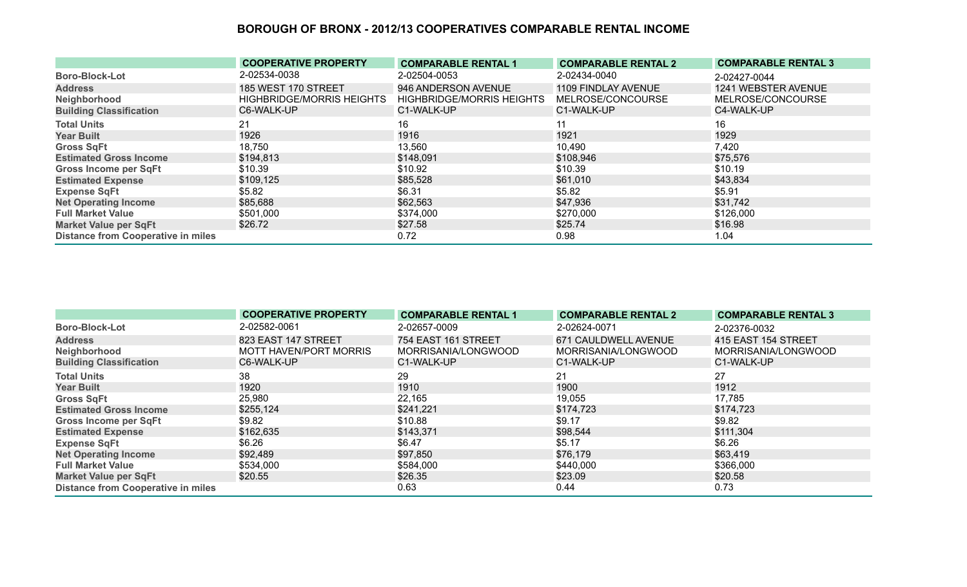|                                           | <b>COOPERATIVE PROPERTY</b>      | <b>COMPARABLE RENTAL 1</b>       | <b>COMPARABLE RENTAL 2</b> | <b>COMPARABLE RENTAL 3</b> |
|-------------------------------------------|----------------------------------|----------------------------------|----------------------------|----------------------------|
| <b>Boro-Block-Lot</b>                     | 2-02534-0038                     | 2-02504-0053                     | 2-02434-0040               | 2-02427-0044               |
| <b>Address</b>                            | 185 WEST 170 STREET              | 946 ANDERSON AVENUE              | 1109 FINDLAY AVENUE        | 1241 WEBSTER AVENUE        |
| Neighborhood                              | <b>HIGHBRIDGE/MORRIS HEIGHTS</b> | <b>HIGHBRIDGE/MORRIS HEIGHTS</b> | MELROSE/CONCOURSE          | MELROSE/CONCOURSE          |
| <b>Building Classification</b>            | C6-WALK-UP                       | C1-WALK-UP                       | C1-WALK-UP                 | C4-WALK-UP                 |
| <b>Total Units</b>                        | 21                               | 16                               | 11                         | 16                         |
| <b>Year Built</b>                         | 1926                             | 1916                             | 1921                       | 1929                       |
| <b>Gross SqFt</b>                         | 18,750                           | 13,560                           | 10,490                     | 7,420                      |
| <b>Estimated Gross Income</b>             | \$194,813                        | \$148,091                        | \$108,946                  | \$75,576                   |
| <b>Gross Income per SqFt</b>              | \$10.39                          | \$10.92                          | \$10.39                    | \$10.19                    |
| <b>Estimated Expense</b>                  | \$109,125                        | \$85,528                         | \$61,010                   | \$43,834                   |
| <b>Expense SqFt</b>                       | \$5.82                           | \$6.31                           | \$5.82                     | \$5.91                     |
| <b>Net Operating Income</b>               | \$85,688                         | \$62,563                         | \$47,936                   | \$31,742                   |
| <b>Full Market Value</b>                  | \$501,000                        | \$374,000                        | \$270,000                  | \$126,000                  |
| <b>Market Value per SqFt</b>              | \$26.72                          | \$27.58                          | \$25.74                    | \$16.98                    |
| <b>Distance from Cooperative in miles</b> |                                  | 0.72                             | 0.98                       | 1.04                       |

|                                           | <b>COOPERATIVE PROPERTY</b> | <b>COMPARABLE RENTAL 1</b> | <b>COMPARABLE RENTAL 2</b> | <b>COMPARABLE RENTAL 3</b> |
|-------------------------------------------|-----------------------------|----------------------------|----------------------------|----------------------------|
| <b>Boro-Block-Lot</b>                     | 2-02582-0061                | 2-02657-0009               | 2-02624-0071               | 2-02376-0032               |
| <b>Address</b>                            | 823 EAST 147 STREET         | 754 EAST 161 STREET        | 671 CAULDWELL AVENUE       | 415 EAST 154 STREET        |
| Neighborhood                              | MOTT HAVEN/PORT MORRIS      | MORRISANIA/LONGWOOD        | MORRISANIA/LONGWOOD        | MORRISANIA/LONGWOOD        |
| <b>Building Classification</b>            | C6-WALK-UP                  | C1-WALK-UP                 | C1-WALK-UP                 | C1-WALK-UP                 |
| <b>Total Units</b>                        | 38                          | 29                         | 21                         | 27                         |
| <b>Year Built</b>                         | 1920                        | 1910                       | 1900                       | 1912                       |
| <b>Gross SqFt</b>                         | 25,980                      | 22,165                     | 19,055                     | 17,785                     |
| <b>Estimated Gross Income</b>             | \$255,124                   | \$241,221                  | \$174,723                  | \$174,723                  |
| <b>Gross Income per SqFt</b>              | \$9.82                      | \$10.88                    | \$9.17                     | \$9.82                     |
| <b>Estimated Expense</b>                  | \$162,635                   | \$143,371                  | \$98,544                   | \$111,304                  |
| <b>Expense SqFt</b>                       | \$6.26                      | \$6.47                     | \$5.17                     | \$6.26                     |
| <b>Net Operating Income</b>               | \$92,489                    | \$97,850                   | \$76,179                   | \$63,419                   |
| <b>Full Market Value</b>                  | \$534,000                   | \$584,000                  | \$440,000                  | \$366,000                  |
| <b>Market Value per SqFt</b>              | \$20.55                     | \$26.35                    | \$23.09                    | \$20.58                    |
| <b>Distance from Cooperative in miles</b> |                             | 0.63                       | 0.44                       | 0.73                       |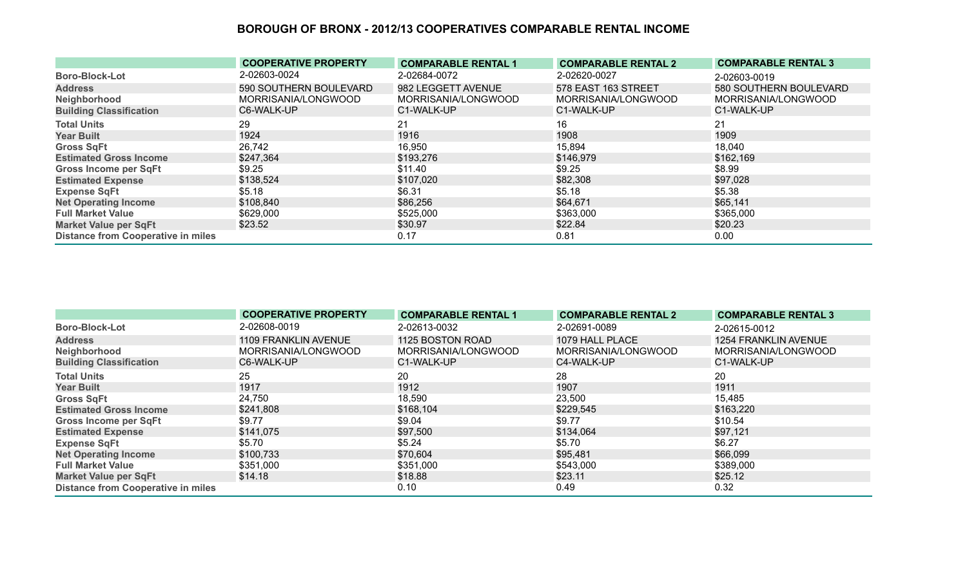|                                           | <b>COOPERATIVE PROPERTY</b> | <b>COMPARABLE RENTAL 1</b> | <b>COMPARABLE RENTAL 2</b> | <b>COMPARABLE RENTAL 3</b> |
|-------------------------------------------|-----------------------------|----------------------------|----------------------------|----------------------------|
| <b>Boro-Block-Lot</b>                     | 2-02603-0024                | 2-02684-0072               | 2-02620-0027               | 2-02603-0019               |
| <b>Address</b>                            | 590 SOUTHERN BOULEVARD      | 982 LEGGETT AVENUE         | 578 EAST 163 STREET        | 580 SOUTHERN BOULEVARD     |
| Neighborhood                              | MORRISANIA/LONGWOOD         | MORRISANIA/LONGWOOD        | MORRISANIA/LONGWOOD        | MORRISANIA/LONGWOOD        |
| <b>Building Classification</b>            | C6-WALK-UP                  | C1-WALK-UP                 | C1-WALK-UP                 | C1-WALK-UP                 |
| <b>Total Units</b>                        | 29                          | 21                         | 16                         | 21                         |
| <b>Year Built</b>                         | 1924                        | 1916                       | 1908                       | 1909                       |
| <b>Gross SqFt</b>                         | 26,742                      | 16,950                     | 15,894                     | 18,040                     |
| <b>Estimated Gross Income</b>             | \$247,364                   | \$193,276                  | \$146,979                  | \$162,169                  |
| <b>Gross Income per SqFt</b>              | \$9.25                      | \$11.40                    | \$9.25                     | \$8.99                     |
| <b>Estimated Expense</b>                  | \$138,524                   | \$107,020                  | \$82,308                   | \$97,028                   |
| <b>Expense SqFt</b>                       | \$5.18                      | \$6.31                     | \$5.18                     | \$5.38                     |
| <b>Net Operating Income</b>               | \$108,840                   | \$86,256                   | \$64,671                   | \$65,141                   |
| <b>Full Market Value</b>                  | \$629,000                   | \$525,000                  | \$363,000                  | \$365,000                  |
| <b>Market Value per SqFt</b>              | \$23.52                     | \$30.97                    | \$22.84                    | \$20.23                    |
| <b>Distance from Cooperative in miles</b> |                             | 0.17                       | 0.81                       | 0.00                       |

|                                           | <b>COOPERATIVE PROPERTY</b> | <b>COMPARABLE RENTAL 1</b> | <b>COMPARABLE RENTAL 2</b> | <b>COMPARABLE RENTAL 3</b>  |
|-------------------------------------------|-----------------------------|----------------------------|----------------------------|-----------------------------|
| <b>Boro-Block-Lot</b>                     | 2-02608-0019                | 2-02613-0032               | 2-02691-0089               | 2-02615-0012                |
| <b>Address</b>                            | 1109 FRANKLIN AVENUE        | 1125 BOSTON ROAD           | 1079 HALL PLACE            | <b>1254 FRANKLIN AVENUE</b> |
| Neighborhood                              | MORRISANIA/LONGWOOD         | MORRISANIA/LONGWOOD        | MORRISANIA/LONGWOOD        | MORRISANIA/LONGWOOD         |
| <b>Building Classification</b>            | C6-WALK-UP                  | C1-WALK-UP                 | C4-WALK-UP                 | C1-WALK-UP                  |
| <b>Total Units</b>                        | 25                          | 20                         | 28                         | 20                          |
| <b>Year Built</b>                         | 1917                        | 1912                       | 1907                       | 1911                        |
| <b>Gross SqFt</b>                         | 24,750                      | 18,590                     | 23,500                     | 15,485                      |
| <b>Estimated Gross Income</b>             | \$241,808                   | \$168,104                  | \$229,545                  | \$163,220                   |
| <b>Gross Income per SqFt</b>              | \$9.77                      | \$9.04                     | \$9.77                     | \$10.54                     |
| <b>Estimated Expense</b>                  | \$141,075                   | \$97,500                   | \$134,064                  | \$97,121                    |
| <b>Expense SqFt</b>                       | \$5.70                      | \$5.24                     | \$5.70                     | \$6.27                      |
| <b>Net Operating Income</b>               | \$100,733                   | \$70,604                   | \$95,481                   | \$66,099                    |
| <b>Full Market Value</b>                  | \$351,000                   | \$351,000                  | \$543,000                  | \$389,000                   |
| <b>Market Value per SqFt</b>              | \$14.18                     | \$18.88                    | \$23.11                    | \$25.12                     |
| <b>Distance from Cooperative in miles</b> |                             | 0.10                       | 0.49                       | 0.32                        |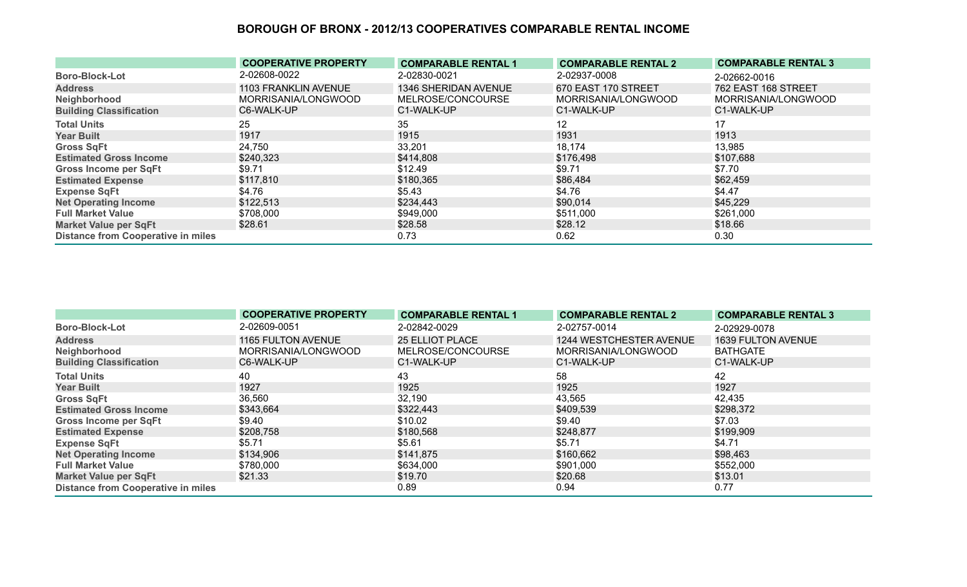|                                           | <b>COOPERATIVE PROPERTY</b> | <b>COMPARABLE RENTAL 1</b> | <b>COMPARABLE RENTAL 2</b> | <b>COMPARABLE RENTAL 3</b> |
|-------------------------------------------|-----------------------------|----------------------------|----------------------------|----------------------------|
| <b>Boro-Block-Lot</b>                     | 2-02608-0022                | 2-02830-0021               | 2-02937-0008               | 2-02662-0016               |
| <b>Address</b>                            | 1103 FRANKLIN AVENUE        | 1346 SHERIDAN AVENUE       | 670 EAST 170 STREET        | <b>762 EAST 168 STREET</b> |
| Neighborhood                              | MORRISANIA/LONGWOOD         | MELROSE/CONCOURSE          | MORRISANIA/LONGWOOD        | MORRISANIA/LONGWOOD        |
| <b>Building Classification</b>            | C6-WALK-UP                  | C1-WALK-UP                 | C1-WALK-UP                 | C1-WALK-UP                 |
| <b>Total Units</b>                        | 25                          | 35                         | 12                         | 17                         |
| <b>Year Built</b>                         | 1917                        | 1915                       | 1931                       | 1913                       |
| <b>Gross SqFt</b>                         | 24,750                      | 33,201                     | 18,174                     | 13,985                     |
| <b>Estimated Gross Income</b>             | \$240,323                   | \$414,808                  | \$176,498                  | \$107,688                  |
| <b>Gross Income per SqFt</b>              | \$9.71                      | \$12.49                    | \$9.71                     | \$7.70                     |
| <b>Estimated Expense</b>                  | \$117,810                   | \$180,365                  | \$86,484                   | \$62,459                   |
| <b>Expense SqFt</b>                       | \$4.76                      | \$5.43                     | \$4.76                     | \$4.47                     |
| <b>Net Operating Income</b>               | \$122,513                   | \$234,443                  | \$90,014                   | \$45,229                   |
| <b>Full Market Value</b>                  | \$708,000                   | \$949,000                  | \$511,000                  | \$261,000                  |
| <b>Market Value per SqFt</b>              | \$28.61                     | \$28.58                    | \$28.12                    | \$18.66                    |
| <b>Distance from Cooperative in miles</b> |                             | 0.73                       | 0.62                       | 0.30                       |

|                                           | <b>COOPERATIVE PROPERTY</b> | <b>COMPARABLE RENTAL 1</b> | <b>COMPARABLE RENTAL 2</b> | <b>COMPARABLE RENTAL 3</b> |
|-------------------------------------------|-----------------------------|----------------------------|----------------------------|----------------------------|
| <b>Boro-Block-Lot</b>                     | 2-02609-0051                | 2-02842-0029               | 2-02757-0014               | 2-02929-0078               |
| <b>Address</b>                            | 1165 FULTON AVENUE          | <b>25 ELLIOT PLACE</b>     | 1244 WESTCHESTER AVENUE    | <b>1639 FULTON AVENUE</b>  |
| Neighborhood                              | MORRISANIA/LONGWOOD         | MELROSE/CONCOURSE          | MORRISANIA/LONGWOOD        | <b>BATHGATE</b>            |
| <b>Building Classification</b>            | C6-WALK-UP                  | C1-WALK-UP                 | C1-WALK-UP                 | C1-WALK-UP                 |
| <b>Total Units</b>                        | 40                          | 43                         | 58                         | 42                         |
| <b>Year Built</b>                         | 1927                        | 1925                       | 1925                       | 1927                       |
| <b>Gross SqFt</b>                         | 36,560                      | 32,190                     | 43,565                     | 42,435                     |
| <b>Estimated Gross Income</b>             | \$343,664                   | \$322,443                  | \$409,539                  | \$298,372                  |
| <b>Gross Income per SqFt</b>              | \$9.40                      | \$10.02                    | \$9.40                     | \$7.03                     |
| <b>Estimated Expense</b>                  | \$208,758                   | \$180,568                  | \$248,877                  | \$199,909                  |
| <b>Expense SqFt</b>                       | \$5.71                      | \$5.61                     | \$5.71                     | \$4.71                     |
| <b>Net Operating Income</b>               | \$134,906                   | \$141,875                  | \$160,662                  | \$98,463                   |
| <b>Full Market Value</b>                  | \$780,000                   | \$634,000                  | \$901,000                  | \$552,000                  |
| <b>Market Value per SqFt</b>              | \$21.33                     | \$19.70                    | \$20.68                    | \$13.01                    |
| <b>Distance from Cooperative in miles</b> |                             | 0.89                       | 0.94                       | 0.77                       |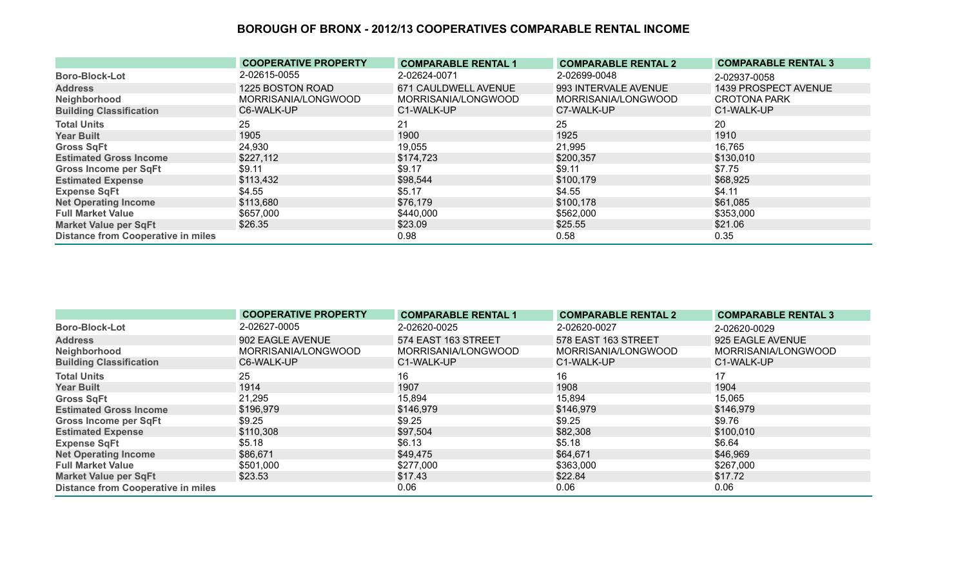|                                           | <b>COOPERATIVE PROPERTY</b> | <b>COMPARABLE RENTAL 1</b> | <b>COMPARABLE RENTAL 2</b> | <b>COMPARABLE RENTAL 3</b> |
|-------------------------------------------|-----------------------------|----------------------------|----------------------------|----------------------------|
| <b>Boro-Block-Lot</b>                     | 2-02615-0055                | 2-02624-0071               | 2-02699-0048               | 2-02937-0058               |
| <b>Address</b>                            | 1225 BOSTON ROAD            | 671 CAULDWELL AVENUE       | 993 INTERVALE AVENUE       | 1439 PROSPECT AVENUE       |
| Neighborhood                              | MORRISANIA/LONGWOOD         | MORRISANIA/LONGWOOD        | MORRISANIA/LONGWOOD        | <b>CROTONA PARK</b>        |
| <b>Building Classification</b>            | C6-WALK-UP                  | C1-WALK-UP                 | C7-WALK-UP                 | C1-WALK-UP                 |
| <b>Total Units</b>                        | 25                          | 21                         | 25                         | 20                         |
| <b>Year Built</b>                         | 1905                        | 1900                       | 1925                       | 1910                       |
| <b>Gross SqFt</b>                         | 24,930                      | 19,055                     | 21,995                     | 16,765                     |
| <b>Estimated Gross Income</b>             | \$227,112                   | \$174,723                  | \$200,357                  | \$130,010                  |
| Gross Income per SqFt                     | \$9.11                      | \$9.17                     | \$9.11                     | \$7.75                     |
| <b>Estimated Expense</b>                  | \$113,432                   | \$98,544                   | \$100,179                  | \$68,925                   |
| <b>Expense SqFt</b>                       | \$4.55                      | \$5.17                     | \$4.55                     | \$4.11                     |
| <b>Net Operating Income</b>               | \$113,680                   | \$76,179                   | \$100,178                  | \$61,085                   |
| <b>Full Market Value</b>                  | \$657,000                   | \$440,000                  | \$562,000                  | \$353,000                  |
| <b>Market Value per SqFt</b>              | \$26.35                     | \$23.09                    | \$25.55                    | \$21.06                    |
| <b>Distance from Cooperative in miles</b> |                             | 0.98                       | 0.58                       | 0.35                       |

|                                           | <b>COOPERATIVE PROPERTY</b> | <b>COMPARABLE RENTAL 1</b> | <b>COMPARABLE RENTAL 2</b> | <b>COMPARABLE RENTAL 3</b> |
|-------------------------------------------|-----------------------------|----------------------------|----------------------------|----------------------------|
| <b>Boro-Block-Lot</b>                     | 2-02627-0005                | 2-02620-0025               | 2-02620-0027               | 2-02620-0029               |
| <b>Address</b>                            | 902 EAGLE AVENUE            | 574 EAST 163 STREET        | 578 EAST 163 STREET        | 925 EAGLE AVENUE           |
| Neighborhood                              | MORRISANIA/LONGWOOD         | MORRISANIA/LONGWOOD        | MORRISANIA/LONGWOOD        | MORRISANIA/LONGWOOD        |
| <b>Building Classification</b>            | C6-WALK-UP                  | C1-WALK-UP                 | C1-WALK-UP                 | C1-WALK-UP                 |
| <b>Total Units</b>                        | 25                          | 16                         | 16                         | 17                         |
| <b>Year Built</b>                         | 1914                        | 1907                       | 1908                       | 1904                       |
| <b>Gross SqFt</b>                         | 21,295                      | 15,894                     | 15,894                     | 15,065                     |
| <b>Estimated Gross Income</b>             | \$196,979                   | \$146,979                  | \$146,979                  | \$146,979                  |
| <b>Gross Income per SqFt</b>              | \$9.25                      | \$9.25                     | \$9.25                     | \$9.76                     |
| <b>Estimated Expense</b>                  | \$110,308                   | \$97,504                   | \$82,308                   | \$100,010                  |
| <b>Expense SqFt</b>                       | \$5.18                      | \$6.13                     | \$5.18                     | \$6.64                     |
| <b>Net Operating Income</b>               | \$86,671                    | \$49,475                   | \$64,671                   | \$46,969                   |
| <b>Full Market Value</b>                  | \$501,000                   | \$277,000                  | \$363,000                  | \$267,000                  |
| <b>Market Value per SqFt</b>              | \$23.53                     | \$17.43                    | \$22.84                    | \$17.72                    |
| <b>Distance from Cooperative in miles</b> |                             | 0.06                       | 0.06                       | 0.06                       |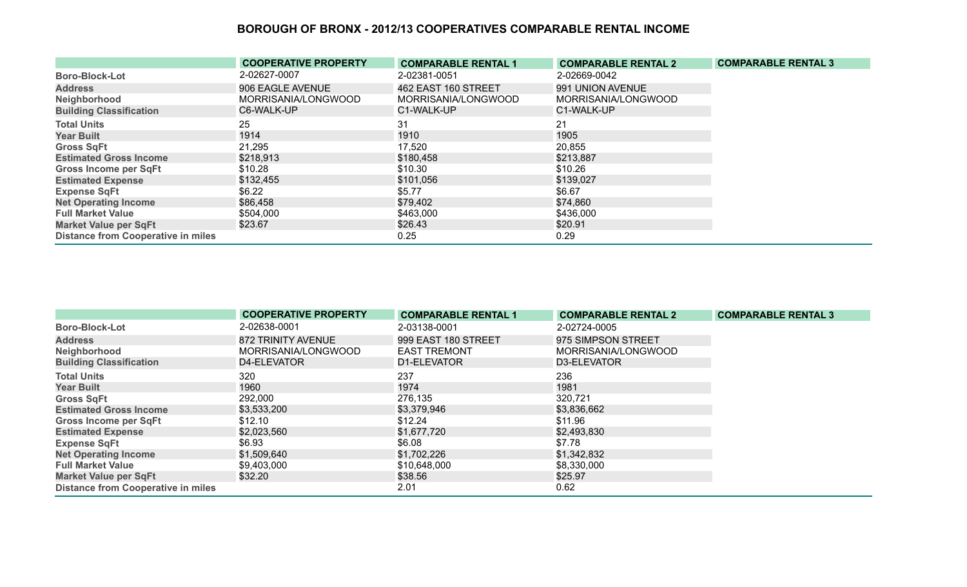|                                           | <b>COOPERATIVE PROPERTY</b> | <b>COMPARABLE RENTAL 1</b> | <b>COMPARABLE RENTAL 2</b> | <b>COMPARABLE RENTAL 3</b> |
|-------------------------------------------|-----------------------------|----------------------------|----------------------------|----------------------------|
| <b>Boro-Block-Lot</b>                     | 2-02627-0007                | 2-02381-0051               | 2-02669-0042               |                            |
| <b>Address</b>                            | 906 EAGLE AVENUE            | 462 EAST 160 STREET        | 991 UNION AVENUE           |                            |
| Neighborhood                              | MORRISANIA/LONGWOOD         | MORRISANIA/LONGWOOD        | MORRISANIA/LONGWOOD        |                            |
| <b>Building Classification</b>            | C6-WALK-UP                  | C1-WALK-UP                 | C1-WALK-UP                 |                            |
| <b>Total Units</b>                        | 25                          | 31                         | 21                         |                            |
| <b>Year Built</b>                         | 1914                        | 1910                       | 1905                       |                            |
| <b>Gross SqFt</b>                         | 21,295                      | 17,520                     | 20,855                     |                            |
| <b>Estimated Gross Income</b>             | \$218,913                   | \$180,458                  | \$213,887                  |                            |
| <b>Gross Income per SqFt</b>              | \$10.28                     | \$10.30                    | \$10.26                    |                            |
| <b>Estimated Expense</b>                  | \$132,455                   | \$101,056                  | \$139,027                  |                            |
| <b>Expense SqFt</b>                       | \$6.22                      | \$5.77                     | \$6.67                     |                            |
| <b>Net Operating Income</b>               | \$86,458                    | \$79,402                   | \$74,860                   |                            |
| <b>Full Market Value</b>                  | \$504,000                   | \$463,000                  | \$436,000                  |                            |
| <b>Market Value per SqFt</b>              | \$23.67                     | \$26.43                    | \$20.91                    |                            |
| <b>Distance from Cooperative in miles</b> |                             | 0.25                       | 0.29                       |                            |

|                                           | <b>COOPERATIVE PROPERTY</b> | <b>COMPARABLE RENTAL 1</b> | <b>COMPARABLE RENTAL 2</b> | <b>COMPARABLE RENTAL 3</b> |
|-------------------------------------------|-----------------------------|----------------------------|----------------------------|----------------------------|
| <b>Boro-Block-Lot</b>                     | 2-02638-0001                | 2-03138-0001               | 2-02724-0005               |                            |
| <b>Address</b>                            | 872 TRINITY AVENUE          | 999 EAST 180 STREET        | 975 SIMPSON STREET         |                            |
| Neighborhood                              | MORRISANIA/LONGWOOD         | <b>EAST TREMONT</b>        | MORRISANIA/LONGWOOD        |                            |
| <b>Building Classification</b>            | D4-ELEVATOR                 | D1-ELEVATOR                | D3-ELEVATOR                |                            |
| <b>Total Units</b>                        | 320                         | 237                        | 236                        |                            |
| <b>Year Built</b>                         | 1960                        | 1974                       | 1981                       |                            |
| <b>Gross SqFt</b>                         | 292,000                     | 276,135                    | 320,721                    |                            |
| <b>Estimated Gross Income</b>             | \$3,533,200                 | \$3,379,946                | \$3,836,662                |                            |
| <b>Gross Income per SqFt</b>              | \$12.10                     | \$12.24                    | \$11.96                    |                            |
| <b>Estimated Expense</b>                  | \$2,023,560                 | \$1,677,720                | \$2,493,830                |                            |
| <b>Expense SqFt</b>                       | \$6.93                      | \$6.08                     | \$7.78                     |                            |
| <b>Net Operating Income</b>               | \$1,509,640                 | \$1,702,226                | \$1,342,832                |                            |
| <b>Full Market Value</b>                  | \$9,403,000                 | \$10,648,000               | \$8,330,000                |                            |
| <b>Market Value per SqFt</b>              | \$32.20                     | \$38.56                    | \$25.97                    |                            |
| <b>Distance from Cooperative in miles</b> |                             | 2.01                       | 0.62                       |                            |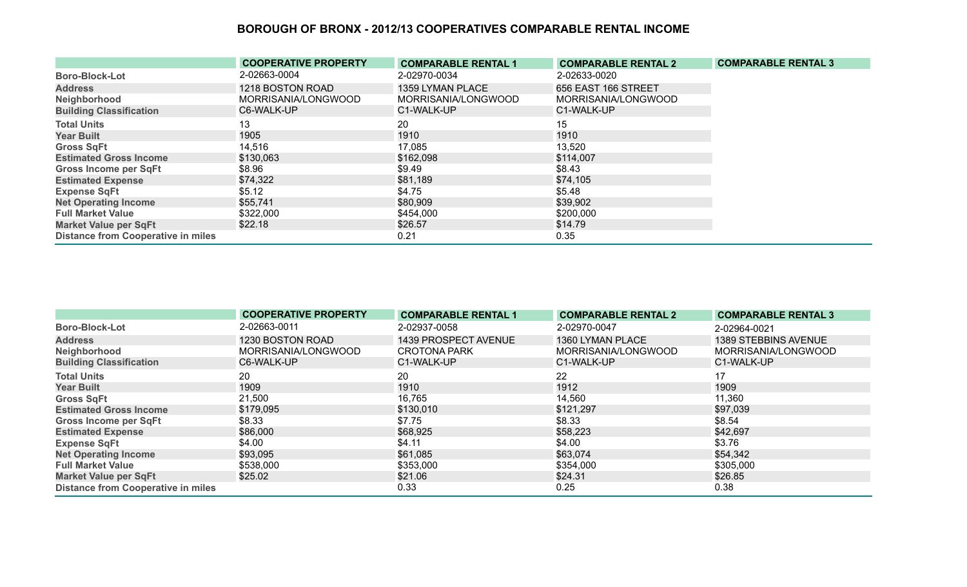|                                           | <b>COOPERATIVE PROPERTY</b> | <b>COMPARABLE RENTAL 1</b> | <b>COMPARABLE RENTAL 2</b> | <b>COMPARABLE RENTAL 3</b> |
|-------------------------------------------|-----------------------------|----------------------------|----------------------------|----------------------------|
| <b>Boro-Block-Lot</b>                     | 2-02663-0004                | 2-02970-0034               | 2-02633-0020               |                            |
| <b>Address</b>                            | 1218 BOSTON ROAD            | 1359 LYMAN PLACE           | 656 EAST 166 STREET        |                            |
| Neighborhood                              | MORRISANIA/LONGWOOD         | MORRISANIA/LONGWOOD        | MORRISANIA/LONGWOOD        |                            |
| <b>Building Classification</b>            | C6-WALK-UP                  | C1-WALK-UP                 | C1-WALK-UP                 |                            |
| <b>Total Units</b>                        | 13                          | 20                         | 15                         |                            |
| <b>Year Built</b>                         | 1905                        | 1910                       | 1910                       |                            |
| <b>Gross SqFt</b>                         | 14,516                      | 17,085                     | 13,520                     |                            |
| <b>Estimated Gross Income</b>             | \$130,063                   | \$162,098                  | \$114,007                  |                            |
| <b>Gross Income per SqFt</b>              | \$8.96                      | \$9.49                     | \$8.43                     |                            |
| <b>Estimated Expense</b>                  | \$74,322                    | \$81,189                   | \$74,105                   |                            |
| <b>Expense SqFt</b>                       | \$5.12                      | \$4.75                     | \$5.48                     |                            |
| <b>Net Operating Income</b>               | \$55,741                    | \$80,909                   | \$39,902                   |                            |
| <b>Full Market Value</b>                  | \$322,000                   | \$454,000                  | \$200,000                  |                            |
| <b>Market Value per SqFt</b>              | \$22.18                     | \$26.57                    | \$14.79                    |                            |
| <b>Distance from Cooperative in miles</b> |                             | 0.21                       | 0.35                       |                            |

|                                           | <b>COOPERATIVE PROPERTY</b> | <b>COMPARABLE RENTAL 1</b> | <b>COMPARABLE RENTAL 2</b> | <b>COMPARABLE RENTAL 3</b> |
|-------------------------------------------|-----------------------------|----------------------------|----------------------------|----------------------------|
| <b>Boro-Block-Lot</b>                     | 2-02663-0011                | 2-02937-0058               | 2-02970-0047               | 2-02964-0021               |
| <b>Address</b>                            | 1230 BOSTON ROAD            | 1439 PROSPECT AVENUE       | 1360 LYMAN PLACE           | 1389 STEBBINS AVENUE       |
| Neighborhood                              | MORRISANIA/LONGWOOD         | <b>CROTONA PARK</b>        | MORRISANIA/LONGWOOD        | MORRISANIA/LONGWOOD        |
| <b>Building Classification</b>            | C6-WALK-UP                  | C1-WALK-UP                 | C1-WALK-UP                 | C1-WALK-UP                 |
| <b>Total Units</b>                        | 20                          | 20                         | 22                         | 17                         |
| <b>Year Built</b>                         | 1909                        | 1910                       | 1912                       | 1909                       |
| <b>Gross SqFt</b>                         | 21,500                      | 16,765                     | 14,560                     | 11,360                     |
| <b>Estimated Gross Income</b>             | \$179,095                   | \$130,010                  | \$121,297                  | \$97,039                   |
| <b>Gross Income per SqFt</b>              | \$8.33                      | \$7.75                     | \$8.33                     | \$8.54                     |
| <b>Estimated Expense</b>                  | \$86,000                    | \$68,925                   | \$58,223                   | \$42,697                   |
| <b>Expense SqFt</b>                       | \$4.00                      | \$4.11                     | \$4.00                     | \$3.76                     |
| <b>Net Operating Income</b>               | \$93,095                    | \$61,085                   | \$63,074                   | \$54,342                   |
| <b>Full Market Value</b>                  | \$538,000                   | \$353,000                  | \$354,000                  | \$305,000                  |
| <b>Market Value per SqFt</b>              | \$25.02                     | \$21.06                    | \$24.31                    | \$26.85                    |
| <b>Distance from Cooperative in miles</b> |                             | 0.33                       | 0.25                       | 0.38                       |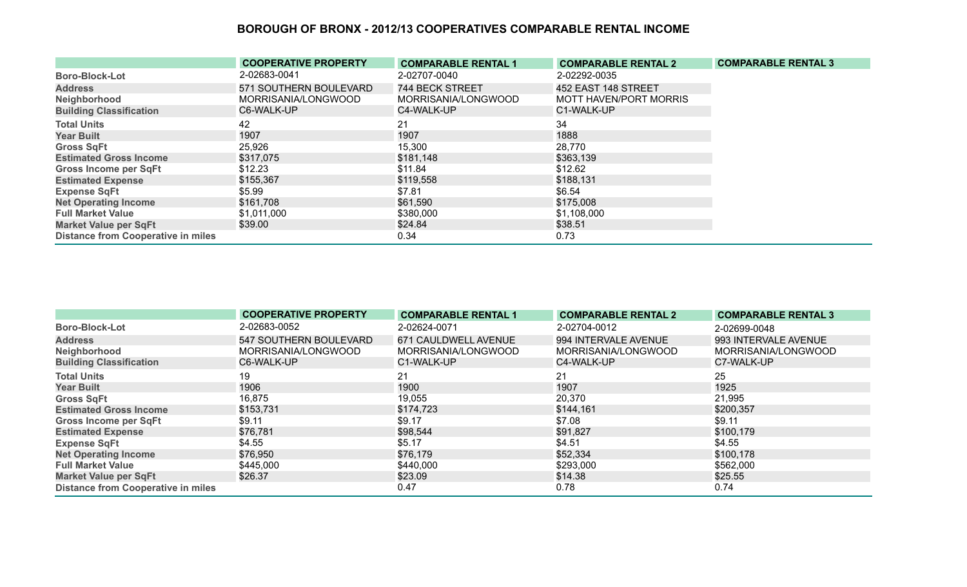|                                           | <b>COOPERATIVE PROPERTY</b> | <b>COMPARABLE RENTAL 1</b> | <b>COMPARABLE RENTAL 2</b> | <b>COMPARABLE RENTAL 3</b> |
|-------------------------------------------|-----------------------------|----------------------------|----------------------------|----------------------------|
| <b>Boro-Block-Lot</b>                     | 2-02683-0041                | 2-02707-0040               | 2-02292-0035               |                            |
| <b>Address</b>                            | 571 SOUTHERN BOULEVARD      | 744 BECK STREET            | 452 EAST 148 STREET        |                            |
| Neighborhood                              | MORRISANIA/LONGWOOD         | MORRISANIA/LONGWOOD        | MOTT HAVEN/PORT MORRIS     |                            |
| <b>Building Classification</b>            | C6-WALK-UP                  | C4-WALK-UP                 | C1-WALK-UP                 |                            |
| <b>Total Units</b>                        | 42                          | 21                         | 34                         |                            |
| <b>Year Built</b>                         | 1907                        | 1907                       | 1888                       |                            |
| <b>Gross SqFt</b>                         | 25,926                      | 15,300                     | 28,770                     |                            |
| <b>Estimated Gross Income</b>             | \$317,075                   | \$181,148                  | \$363,139                  |                            |
| <b>Gross Income per SqFt</b>              | \$12.23                     | \$11.84                    | \$12.62                    |                            |
| <b>Estimated Expense</b>                  | \$155,367                   | \$119,558                  | \$188,131                  |                            |
| <b>Expense SqFt</b>                       | \$5.99                      | \$7.81                     | \$6.54                     |                            |
| <b>Net Operating Income</b>               | \$161,708                   | \$61,590                   | \$175,008                  |                            |
| <b>Full Market Value</b>                  | \$1,011,000                 | \$380,000                  | \$1,108,000                |                            |
| <b>Market Value per SqFt</b>              | \$39.00                     | \$24.84                    | \$38.51                    |                            |
| <b>Distance from Cooperative in miles</b> |                             | 0.34                       | 0.73                       |                            |

|                                           | <b>COOPERATIVE PROPERTY</b> | <b>COMPARABLE RENTAL 1</b> | <b>COMPARABLE RENTAL 2</b> | <b>COMPARABLE RENTAL 3</b> |
|-------------------------------------------|-----------------------------|----------------------------|----------------------------|----------------------------|
| <b>Boro-Block-Lot</b>                     | 2-02683-0052                | 2-02624-0071               | 2-02704-0012               | 2-02699-0048               |
| <b>Address</b>                            | 547 SOUTHERN BOULEVARD      | 671 CAULDWELL AVENUE       | 994 INTERVALE AVENUE       | 993 INTERVALE AVENUE       |
| Neighborhood                              | MORRISANIA/LONGWOOD         | MORRISANIA/LONGWOOD        | MORRISANIA/LONGWOOD        | MORRISANIA/LONGWOOD        |
| <b>Building Classification</b>            | C6-WALK-UP                  | C1-WALK-UP                 | C4-WALK-UP                 | C7-WALK-UP                 |
| <b>Total Units</b>                        | 19                          | 21                         | 21                         | 25                         |
| <b>Year Built</b>                         | 1906                        | 1900                       | 1907                       | 1925                       |
| <b>Gross SqFt</b>                         | 16,875                      | 19,055                     | 20,370                     | 21,995                     |
| <b>Estimated Gross Income</b>             | \$153,731                   | \$174,723                  | \$144,161                  | \$200,357                  |
| <b>Gross Income per SqFt</b>              | \$9.11                      | \$9.17                     | \$7.08                     | \$9.11                     |
| <b>Estimated Expense</b>                  | \$76,781                    | \$98,544                   | \$91,827                   | \$100,179                  |
| <b>Expense SqFt</b>                       | \$4.55                      | \$5.17                     | \$4.51                     | \$4.55                     |
| <b>Net Operating Income</b>               | \$76,950                    | \$76,179                   | \$52,334                   | \$100,178                  |
| <b>Full Market Value</b>                  | \$445,000                   | \$440,000                  | \$293,000                  | \$562,000                  |
| <b>Market Value per SqFt</b>              | \$26.37                     | \$23.09                    | \$14.38                    | \$25.55                    |
| <b>Distance from Cooperative in miles</b> |                             | 0.47                       | 0.78                       | 0.74                       |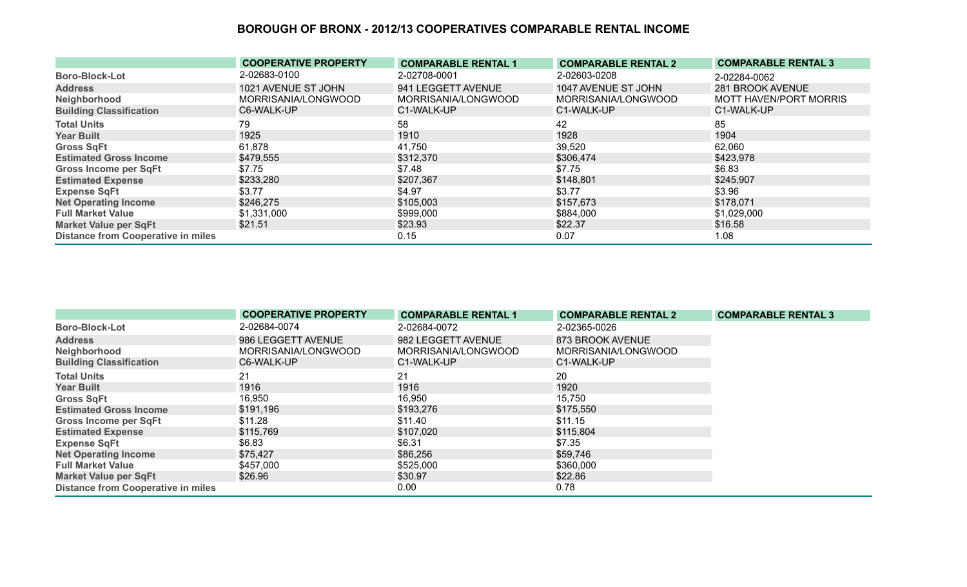|                                           | <b>COOPERATIVE PROPERTY</b> | <b>COMPARABLE RENTAL 1</b> | <b>COMPARABLE RENTAL 2</b> | <b>COMPARABLE RENTAL 3</b> |
|-------------------------------------------|-----------------------------|----------------------------|----------------------------|----------------------------|
| <b>Boro-Block-Lot</b>                     | 2-02683-0100                | 2-02708-0001               | 2-02603-0208               | 2-02284-0062               |
| <b>Address</b>                            | 1021 AVENUE ST JOHN         | 941 LEGGETT AVENUE         | 1047 AVENUE ST JOHN        | 281 BROOK AVENUE           |
| Neighborhood                              | MORRISANIA/LONGWOOD         | MORRISANIA/LONGWOOD        | MORRISANIA/LONGWOOD        | MOTT HAVEN/PORT MORRIS     |
| <b>Building Classification</b>            | C6-WALK-UP                  | C1-WALK-UP                 | C1-WALK-UP                 | C1-WALK-UP                 |
| <b>Total Units</b>                        | 79                          | 58                         | 42                         | 85                         |
| <b>Year Built</b>                         | 1925                        | 1910                       | 1928                       | 1904                       |
| <b>Gross SqFt</b>                         | 61,878                      | 41,750                     | 39,520                     | 62,060                     |
| <b>Estimated Gross Income</b>             | \$479,555                   | \$312,370                  | \$306,474                  | \$423,978                  |
| <b>Gross Income per SqFt</b>              | \$7.75                      | \$7.48                     | \$7.75                     | \$6.83                     |
| <b>Estimated Expense</b>                  | \$233,280                   | \$207,367                  | \$148,801                  | \$245,907                  |
| <b>Expense SqFt</b>                       | \$3.77                      | \$4.97                     | \$3.77                     | \$3.96                     |
| <b>Net Operating Income</b>               | \$246,275                   | \$105,003                  | \$157,673                  | \$178,071                  |
| <b>Full Market Value</b>                  | \$1,331,000                 | \$999,000                  | \$884,000                  | \$1,029,000                |
| <b>Market Value per SqFt</b>              | \$21.51                     | \$23.93                    | \$22.37                    | \$16.58                    |
| <b>Distance from Cooperative in miles</b> |                             | 0.15                       | 0.07                       | 1.08                       |

|                                           | <b>COOPERATIVE PROPERTY</b> | <b>COMPARABLE RENTAL 1</b> | <b>COMPARABLE RENTAL 2</b> | <b>COMPARABLE RENTAL 3</b> |
|-------------------------------------------|-----------------------------|----------------------------|----------------------------|----------------------------|
| <b>Boro-Block-Lot</b>                     | 2-02684-0074                | 2-02684-0072               | 2-02365-0026               |                            |
| <b>Address</b>                            | 986 LEGGETT AVENUE          | 982 LEGGETT AVENUE         | 873 BROOK AVENUE           |                            |
| Neighborhood                              | MORRISANIA/LONGWOOD         | MORRISANIA/LONGWOOD        | MORRISANIA/LONGWOOD        |                            |
| <b>Building Classification</b>            | C6-WALK-UP                  | C1-WALK-UP                 | C1-WALK-UP                 |                            |
| <b>Total Units</b>                        | 21                          | 21                         | 20                         |                            |
| <b>Year Built</b>                         | 1916                        | 1916                       | 1920                       |                            |
| <b>Gross SqFt</b>                         | 16,950                      | 16,950                     | 15,750                     |                            |
| <b>Estimated Gross Income</b>             | \$191,196                   | \$193,276                  | \$175,550                  |                            |
| <b>Gross Income per SqFt</b>              | \$11.28                     | \$11.40                    | \$11.15                    |                            |
| <b>Estimated Expense</b>                  | \$115,769                   | \$107,020                  | \$115,804                  |                            |
| <b>Expense SqFt</b>                       | \$6.83                      | \$6.31                     | \$7.35                     |                            |
| <b>Net Operating Income</b>               | \$75,427                    | \$86,256                   | \$59,746                   |                            |
| <b>Full Market Value</b>                  | \$457,000                   | \$525,000                  | \$360,000                  |                            |
| <b>Market Value per SqFt</b>              | \$26.96                     | \$30.97                    | \$22.86                    |                            |
| <b>Distance from Cooperative in miles</b> |                             | 0.00                       | 0.78                       |                            |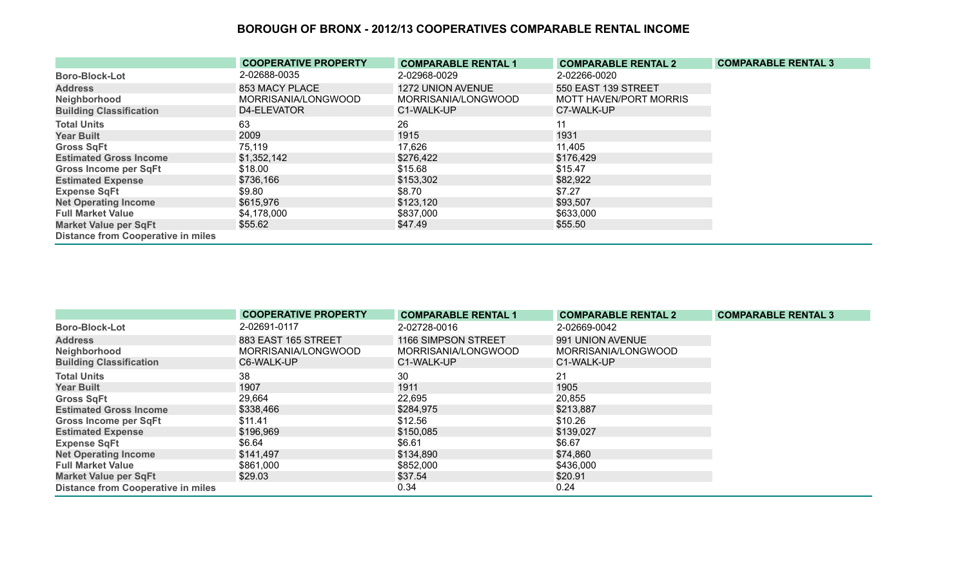|                                           | <b>COOPERATIVE PROPERTY</b> | <b>COMPARABLE RENTAL 1</b> | <b>COMPARABLE RENTAL 2</b> | <b>COMPARABLE RENTAL 3</b> |
|-------------------------------------------|-----------------------------|----------------------------|----------------------------|----------------------------|
| <b>Boro-Block-Lot</b>                     | 2-02688-0035                | 2-02968-0029               | 2-02266-0020               |                            |
| <b>Address</b>                            | 853 MACY PLACE              | <b>1272 UNION AVENUE</b>   | 550 EAST 139 STREET        |                            |
| Neighborhood                              | MORRISANIA/LONGWOOD         | MORRISANIA/LONGWOOD        | MOTT HAVEN/PORT MORRIS     |                            |
| <b>Building Classification</b>            | D4-ELEVATOR                 | C1-WALK-UP                 | C7-WALK-UP                 |                            |
| <b>Total Units</b>                        | 63                          | 26                         |                            |                            |
| <b>Year Built</b>                         | 2009                        | 1915                       | 1931                       |                            |
| <b>Gross SqFt</b>                         | 75,119                      | 17,626                     | 11,405                     |                            |
| <b>Estimated Gross Income</b>             | \$1,352,142                 | \$276,422                  | \$176,429                  |                            |
| <b>Gross Income per SqFt</b>              | \$18.00                     | \$15.68                    | \$15.47                    |                            |
| <b>Estimated Expense</b>                  | \$736,166                   | \$153,302                  | \$82,922                   |                            |
| <b>Expense SqFt</b>                       | \$9.80                      | \$8.70                     | \$7.27                     |                            |
| <b>Net Operating Income</b>               | \$615,976                   | \$123,120                  | \$93,507                   |                            |
| <b>Full Market Value</b>                  | \$4,178,000                 | \$837,000                  | \$633,000                  |                            |
| <b>Market Value per SqFt</b>              | \$55.62                     | \$47.49                    | \$55.50                    |                            |
| <b>Distance from Cooperative in miles</b> |                             |                            |                            |                            |

|                                           | <b>COOPERATIVE PROPERTY</b> | <b>COMPARABLE RENTAL 1</b> | <b>COMPARABLE RENTAL 2</b> | <b>COMPARABLE RENTAL 3</b> |
|-------------------------------------------|-----------------------------|----------------------------|----------------------------|----------------------------|
| <b>Boro-Block-Lot</b>                     | 2-02691-0117                | 2-02728-0016               | 2-02669-0042               |                            |
| <b>Address</b>                            | 883 EAST 165 STREET         | 1166 SIMPSON STREET        | 991 UNION AVENUE           |                            |
| Neighborhood                              | MORRISANIA/LONGWOOD         | MORRISANIA/LONGWOOD        | MORRISANIA/LONGWOOD        |                            |
| <b>Building Classification</b>            | C6-WALK-UP                  | C1-WALK-UP                 | C1-WALK-UP                 |                            |
| <b>Total Units</b>                        | 38                          | 30                         | 21                         |                            |
| <b>Year Built</b>                         | 1907                        | 1911                       | 1905                       |                            |
| <b>Gross SqFt</b>                         | 29,664                      | 22,695                     | 20,855                     |                            |
| <b>Estimated Gross Income</b>             | \$338,466                   | \$284,975                  | \$213,887                  |                            |
| <b>Gross Income per SqFt</b>              | \$11.41                     | \$12.56                    | \$10.26                    |                            |
| <b>Estimated Expense</b>                  | \$196,969                   | \$150,085                  | \$139,027                  |                            |
| <b>Expense SqFt</b>                       | \$6.64                      | \$6.61                     | \$6.67                     |                            |
| <b>Net Operating Income</b>               | \$141,497                   | \$134,890                  | \$74,860                   |                            |
| <b>Full Market Value</b>                  | \$861,000                   | \$852,000                  | \$436,000                  |                            |
| <b>Market Value per SqFt</b>              | \$29.03                     | \$37.54                    | \$20.91                    |                            |
| <b>Distance from Cooperative in miles</b> |                             | 0.34                       | 0.24                       |                            |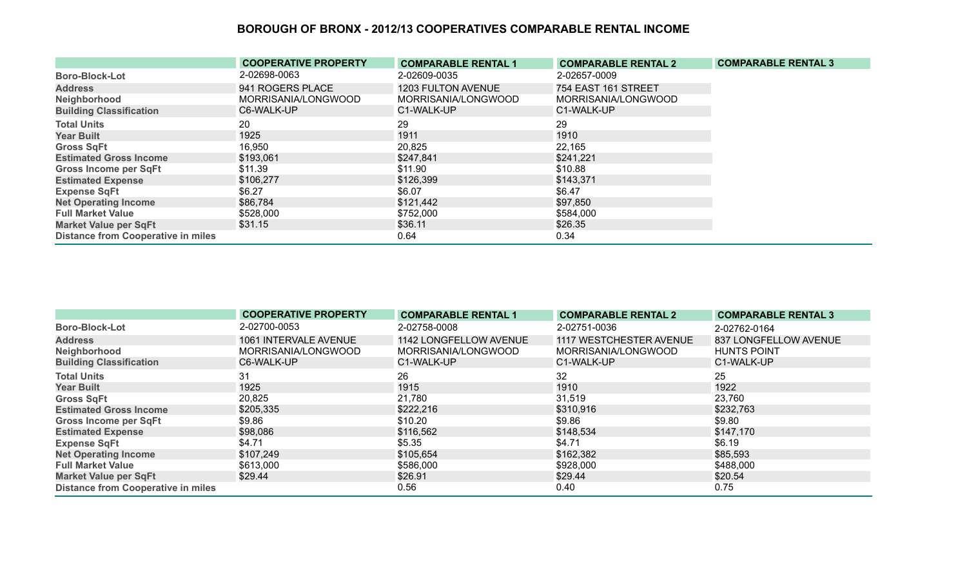|                                           | <b>COOPERATIVE PROPERTY</b> | <b>COMPARABLE RENTAL 1</b> | <b>COMPARABLE RENTAL 2</b> | <b>COMPARABLE RENTAL 3</b> |
|-------------------------------------------|-----------------------------|----------------------------|----------------------------|----------------------------|
| <b>Boro-Block-Lot</b>                     | 2-02698-0063                | 2-02609-0035               | 2-02657-0009               |                            |
| <b>Address</b>                            | 941 ROGERS PLACE            | <b>1203 FULTON AVENUE</b>  | 754 EAST 161 STREET        |                            |
| Neighborhood                              | MORRISANIA/LONGWOOD         | MORRISANIA/LONGWOOD        | MORRISANIA/LONGWOOD        |                            |
| <b>Building Classification</b>            | C6-WALK-UP                  | C1-WALK-UP                 | C1-WALK-UP                 |                            |
| <b>Total Units</b>                        | 20                          | 29                         | 29                         |                            |
| <b>Year Built</b>                         | 1925                        | 1911                       | 1910                       |                            |
| <b>Gross SqFt</b>                         | 16,950                      | 20,825                     | 22,165                     |                            |
| <b>Estimated Gross Income</b>             | \$193,061                   | \$247,841                  | \$241,221                  |                            |
| <b>Gross Income per SqFt</b>              | \$11.39                     | \$11.90                    | \$10.88                    |                            |
| <b>Estimated Expense</b>                  | \$106,277                   | \$126,399                  | \$143,371                  |                            |
| <b>Expense SqFt</b>                       | \$6.27                      | \$6.07                     | \$6.47                     |                            |
| <b>Net Operating Income</b>               | \$86,784                    | \$121,442                  | \$97,850                   |                            |
| <b>Full Market Value</b>                  | \$528,000                   | \$752,000                  | \$584,000                  |                            |
| <b>Market Value per SqFt</b>              | \$31.15                     | \$36.11                    | \$26.35                    |                            |
| <b>Distance from Cooperative in miles</b> |                             | 0.64                       | 0.34                       |                            |

|                                           | <b>COOPERATIVE PROPERTY</b> | <b>COMPARABLE RENTAL 1</b> | <b>COMPARABLE RENTAL 2</b> | <b>COMPARABLE RENTAL 3</b> |
|-------------------------------------------|-----------------------------|----------------------------|----------------------------|----------------------------|
| <b>Boro-Block-Lot</b>                     | 2-02700-0053                | 2-02758-0008               | 2-02751-0036               | 2-02762-0164               |
| <b>Address</b>                            | 1061 INTERVALE AVENUE       | 1142 LONGFELLOW AVENUE     | 1117 WESTCHESTER AVENUE    | 837 LONGFELLOW AVENUE      |
| Neighborhood                              | MORRISANIA/LONGWOOD         | MORRISANIA/LONGWOOD        | MORRISANIA/LONGWOOD        | <b>HUNTS POINT</b>         |
| <b>Building Classification</b>            | C6-WALK-UP                  | C1-WALK-UP                 | C1-WALK-UP                 | C1-WALK-UP                 |
| <b>Total Units</b>                        | 31                          | 26                         | 32                         | 25                         |
| <b>Year Built</b>                         | 1925                        | 1915                       | 1910                       | 1922                       |
| <b>Gross SqFt</b>                         | 20,825                      | 21,780                     | 31,519                     | 23,760                     |
| <b>Estimated Gross Income</b>             | \$205,335                   | \$222,216                  | \$310,916                  | \$232,763                  |
| <b>Gross Income per SqFt</b>              | \$9.86                      | \$10.20                    | \$9.86                     | \$9.80                     |
| <b>Estimated Expense</b>                  | \$98,086                    | \$116,562                  | \$148,534                  | \$147,170                  |
| <b>Expense SqFt</b>                       | \$4.71                      | \$5.35                     | \$4.71                     | \$6.19                     |
| <b>Net Operating Income</b>               | \$107,249                   | \$105,654                  | \$162,382                  | \$85,593                   |
| <b>Full Market Value</b>                  | \$613,000                   | \$586,000                  | \$928,000                  | \$488,000                  |
| <b>Market Value per SqFt</b>              | \$29.44                     | \$26.91                    | \$29.44                    | \$20.54                    |
| <b>Distance from Cooperative in miles</b> |                             | 0.56                       | 0.40                       | 0.75                       |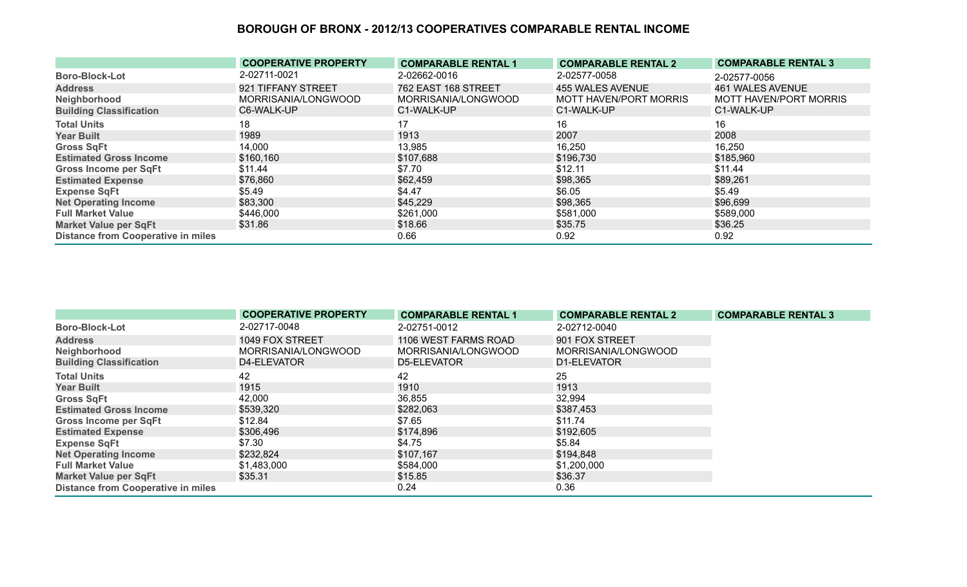|                                           | <b>COOPERATIVE PROPERTY</b> | <b>COMPARABLE RENTAL 1</b> | <b>COMPARABLE RENTAL 2</b> | <b>COMPARABLE RENTAL 3</b>    |
|-------------------------------------------|-----------------------------|----------------------------|----------------------------|-------------------------------|
| <b>Boro-Block-Lot</b>                     | 2-02711-0021                | 2-02662-0016               | 2-02577-0058               | 2-02577-0056                  |
| <b>Address</b>                            | 921 TIFFANY STREET          | 762 EAST 168 STREET        | 455 WALES AVENUE           | 461 WALES AVENUE              |
| Neighborhood                              | MORRISANIA/LONGWOOD         | MORRISANIA/LONGWOOD        | MOTT HAVEN/PORT MORRIS     | <b>MOTT HAVEN/PORT MORRIS</b> |
| <b>Building Classification</b>            | C6-WALK-UP                  | C1-WALK-UP                 | C1-WALK-UP                 | C1-WALK-UP                    |
| <b>Total Units</b>                        | 18                          | 17                         | 16                         | 16                            |
| <b>Year Built</b>                         | 1989                        | 1913                       | 2007                       | 2008                          |
| <b>Gross SqFt</b>                         | 14,000                      | 13,985                     | 16,250                     | 16,250                        |
| <b>Estimated Gross Income</b>             | \$160,160                   | \$107,688                  | \$196,730                  | \$185,960                     |
| <b>Gross Income per SqFt</b>              | \$11.44                     | \$7.70                     | \$12.11                    | \$11.44                       |
| <b>Estimated Expense</b>                  | \$76,860                    | \$62,459                   | \$98,365                   | \$89,261                      |
| <b>Expense SqFt</b>                       | \$5.49                      | \$4.47                     | \$6.05                     | \$5.49                        |
| <b>Net Operating Income</b>               | \$83,300                    | \$45,229                   | \$98,365                   | \$96,699                      |
| <b>Full Market Value</b>                  | \$446,000                   | \$261,000                  | \$581,000                  | \$589,000                     |
| <b>Market Value per SqFt</b>              | \$31.86                     | \$18.66                    | \$35.75                    | \$36.25                       |
| <b>Distance from Cooperative in miles</b> |                             | 0.66                       | 0.92                       | 0.92                          |

|                                           | <b>COOPERATIVE PROPERTY</b> | <b>COMPARABLE RENTAL 1</b> | <b>COMPARABLE RENTAL 2</b> | <b>COMPARABLE RENTAL 3</b> |
|-------------------------------------------|-----------------------------|----------------------------|----------------------------|----------------------------|
| <b>Boro-Block-Lot</b>                     | 2-02717-0048                | 2-02751-0012               | 2-02712-0040               |                            |
| <b>Address</b>                            | 1049 FOX STREET             | 1106 WEST FARMS ROAD       | 901 FOX STREET             |                            |
| Neighborhood                              | MORRISANIA/LONGWOOD         | MORRISANIA/LONGWOOD        | MORRISANIA/LONGWOOD        |                            |
| <b>Building Classification</b>            | D4-ELEVATOR                 | D5-ELEVATOR                | D1-ELEVATOR                |                            |
| <b>Total Units</b>                        | 42                          | 42                         | 25                         |                            |
| <b>Year Built</b>                         | 1915                        | 1910                       | 1913                       |                            |
| <b>Gross SqFt</b>                         | 42,000                      | 36,855                     | 32,994                     |                            |
| <b>Estimated Gross Income</b>             | \$539,320                   | \$282,063                  | \$387,453                  |                            |
| <b>Gross Income per SqFt</b>              | \$12.84                     | \$7.65                     | \$11.74                    |                            |
| <b>Estimated Expense</b>                  | \$306,496                   | \$174,896                  | \$192,605                  |                            |
| <b>Expense SqFt</b>                       | \$7.30                      | \$4.75                     | \$5.84                     |                            |
| <b>Net Operating Income</b>               | \$232,824                   | \$107,167                  | \$194,848                  |                            |
| <b>Full Market Value</b>                  | \$1,483,000                 | \$584,000                  | \$1,200,000                |                            |
| <b>Market Value per SqFt</b>              | \$35.31                     | \$15.85                    | \$36.37                    |                            |
| <b>Distance from Cooperative in miles</b> |                             | 0.24                       | 0.36                       |                            |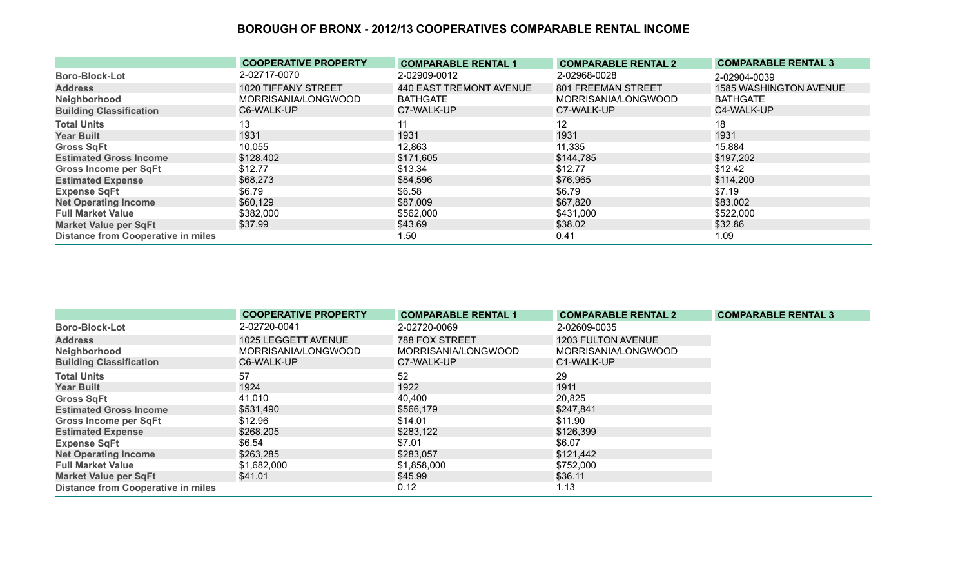|                                           | <b>COOPERATIVE PROPERTY</b> | <b>COMPARABLE RENTAL 1</b> | <b>COMPARABLE RENTAL 2</b> | <b>COMPARABLE RENTAL 3</b>    |
|-------------------------------------------|-----------------------------|----------------------------|----------------------------|-------------------------------|
| <b>Boro-Block-Lot</b>                     | 2-02717-0070                | 2-02909-0012               | 2-02968-0028               | 2-02904-0039                  |
| <b>Address</b>                            | 1020 TIFFANY STREET         | 440 EAST TREMONT AVENUE    | 801 FREEMAN STREET         | <b>1585 WASHINGTON AVENUE</b> |
| Neighborhood                              | MORRISANIA/LONGWOOD         | <b>BATHGATE</b>            | MORRISANIA/LONGWOOD        | <b>BATHGATE</b>               |
| <b>Building Classification</b>            | C6-WALK-UP                  | C7-WALK-UP                 | C7-WALK-UP                 | C4-WALK-UP                    |
| <b>Total Units</b>                        | 13                          | 11                         | 12                         | 18                            |
| <b>Year Built</b>                         | 1931                        | 1931                       | 1931                       | 1931                          |
| <b>Gross SqFt</b>                         | 10,055                      | 12,863                     | 11,335                     | 15,884                        |
| <b>Estimated Gross Income</b>             | \$128,402                   | \$171,605                  | \$144,785                  | \$197,202                     |
| <b>Gross Income per SqFt</b>              | \$12.77                     | \$13.34                    | \$12.77                    | \$12.42                       |
| <b>Estimated Expense</b>                  | \$68,273                    | \$84,596                   | \$76,965                   | \$114,200                     |
| <b>Expense SqFt</b>                       | \$6.79                      | \$6.58                     | \$6.79                     | \$7.19                        |
| <b>Net Operating Income</b>               | \$60,129                    | \$87,009                   | \$67,820                   | \$83,002                      |
| <b>Full Market Value</b>                  | \$382,000                   | \$562,000                  | \$431,000                  | \$522,000                     |
| <b>Market Value per SqFt</b>              | \$37.99                     | \$43.69                    | \$38.02                    | \$32.86                       |
| <b>Distance from Cooperative in miles</b> |                             | 1.50                       | 0.41                       | 1.09                          |

|                                           | <b>COOPERATIVE PROPERTY</b> | <b>COMPARABLE RENTAL 1</b> | <b>COMPARABLE RENTAL 2</b> | <b>COMPARABLE RENTAL 3</b> |
|-------------------------------------------|-----------------------------|----------------------------|----------------------------|----------------------------|
| <b>Boro-Block-Lot</b>                     | 2-02720-0041                | 2-02720-0069               | 2-02609-0035               |                            |
| <b>Address</b>                            | 1025 LEGGETT AVENUE         | <b>788 FOX STREET</b>      | 1203 FULTON AVENUE         |                            |
| Neighborhood                              | MORRISANIA/LONGWOOD         | MORRISANIA/LONGWOOD        | MORRISANIA/LONGWOOD        |                            |
| <b>Building Classification</b>            | C6-WALK-UP                  | C7-WALK-UP                 | C1-WALK-UP                 |                            |
| <b>Total Units</b>                        | 57                          | 52                         | 29                         |                            |
| <b>Year Built</b>                         | 1924                        | 1922                       | 1911                       |                            |
| <b>Gross SqFt</b>                         | 41,010                      | 40,400                     | 20,825                     |                            |
| <b>Estimated Gross Income</b>             | \$531,490                   | \$566,179                  | \$247,841                  |                            |
| <b>Gross Income per SqFt</b>              | \$12.96                     | \$14.01                    | \$11.90                    |                            |
| <b>Estimated Expense</b>                  | \$268,205                   | \$283,122                  | \$126,399                  |                            |
| <b>Expense SqFt</b>                       | \$6.54                      | \$7.01                     | \$6.07                     |                            |
| <b>Net Operating Income</b>               | \$263,285                   | \$283,057                  | \$121,442                  |                            |
| <b>Full Market Value</b>                  | \$1,682,000                 | \$1,858,000                | \$752,000                  |                            |
| <b>Market Value per SqFt</b>              | \$41.01                     | \$45.99                    | \$36.11                    |                            |
| <b>Distance from Cooperative in miles</b> |                             | 0.12                       | 1.13                       |                            |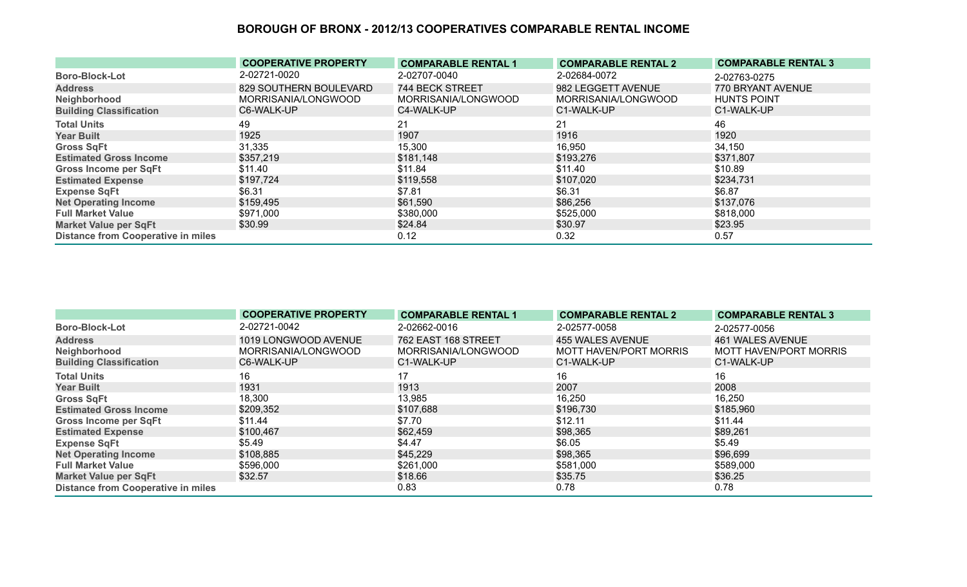|                                           | <b>COOPERATIVE PROPERTY</b> | <b>COMPARABLE RENTAL 1</b> | <b>COMPARABLE RENTAL 2</b> | <b>COMPARABLE RENTAL 3</b> |
|-------------------------------------------|-----------------------------|----------------------------|----------------------------|----------------------------|
| <b>Boro-Block-Lot</b>                     | 2-02721-0020                | 2-02707-0040               | 2-02684-0072               | 2-02763-0275               |
| <b>Address</b>                            | 829 SOUTHERN BOULEVARD      | 744 BECK STREET            | 982 LEGGETT AVENUE         | 770 BRYANT AVENUE          |
| Neighborhood                              | MORRISANIA/LONGWOOD         | MORRISANIA/LONGWOOD        | MORRISANIA/LONGWOOD        | <b>HUNTS POINT</b>         |
| <b>Building Classification</b>            | C6-WALK-UP                  | C4-WALK-UP                 | C1-WALK-UP                 | C1-WALK-UP                 |
| <b>Total Units</b>                        | 49                          | 21                         | 21                         | 46                         |
| <b>Year Built</b>                         | 1925                        | 1907                       | 1916                       | 1920                       |
| <b>Gross SqFt</b>                         | 31,335                      | 15,300                     | 16,950                     | 34,150                     |
| <b>Estimated Gross Income</b>             | \$357,219                   | \$181,148                  | \$193,276                  | \$371,807                  |
| <b>Gross Income per SqFt</b>              | \$11.40                     | \$11.84                    | \$11.40                    | \$10.89                    |
| <b>Estimated Expense</b>                  | \$197,724                   | \$119,558                  | \$107,020                  | \$234,731                  |
| <b>Expense SqFt</b>                       | \$6.31                      | \$7.81                     | \$6.31                     | \$6.87                     |
| <b>Net Operating Income</b>               | \$159,495                   | \$61,590                   | \$86,256                   | \$137,076                  |
| <b>Full Market Value</b>                  | \$971,000                   | \$380,000                  | \$525,000                  | \$818,000                  |
| <b>Market Value per SqFt</b>              | \$30.99                     | \$24.84                    | \$30.97                    | \$23.95                    |
| <b>Distance from Cooperative in miles</b> |                             | 0.12                       | 0.32                       | 0.57                       |

|                                           | <b>COOPERATIVE PROPERTY</b> | <b>COMPARABLE RENTAL 1</b> | <b>COMPARABLE RENTAL 2</b> | <b>COMPARABLE RENTAL 3</b> |
|-------------------------------------------|-----------------------------|----------------------------|----------------------------|----------------------------|
| <b>Boro-Block-Lot</b>                     | 2-02721-0042                | 2-02662-0016               | 2-02577-0058               | 2-02577-0056               |
| <b>Address</b>                            | 1019 LONGWOOD AVENUE        | 762 EAST 168 STREET        | 455 WALES AVENUE           | 461 WALES AVENUE           |
| Neighborhood                              | MORRISANIA/LONGWOOD         | MORRISANIA/LONGWOOD        | MOTT HAVEN/PORT MORRIS     | MOTT HAVEN/PORT MORRIS     |
| <b>Building Classification</b>            | C6-WALK-UP                  | C1-WALK-UP                 | C1-WALK-UP                 | C1-WALK-UP                 |
| <b>Total Units</b>                        | 16                          | 17                         | 16                         | 16                         |
| <b>Year Built</b>                         | 1931                        | 1913                       | 2007                       | 2008                       |
| <b>Gross SqFt</b>                         | 18,300                      | 13,985                     | 16,250                     | 16,250                     |
| <b>Estimated Gross Income</b>             | \$209,352                   | \$107,688                  | \$196,730                  | \$185,960                  |
| <b>Gross Income per SqFt</b>              | \$11.44                     | \$7.70                     | \$12.11                    | \$11.44                    |
| <b>Estimated Expense</b>                  | \$100,467                   | \$62,459                   | \$98,365                   | \$89,261                   |
| <b>Expense SqFt</b>                       | \$5.49                      | \$4.47                     | \$6.05                     | \$5.49                     |
| <b>Net Operating Income</b>               | \$108,885                   | \$45,229                   | \$98,365                   | \$96,699                   |
| <b>Full Market Value</b>                  | \$596,000                   | \$261,000                  | \$581,000                  | \$589,000                  |
| <b>Market Value per SqFt</b>              | \$32.57                     | \$18.66                    | \$35.75                    | \$36.25                    |
| <b>Distance from Cooperative in miles</b> |                             | 0.83                       | 0.78                       | 0.78                       |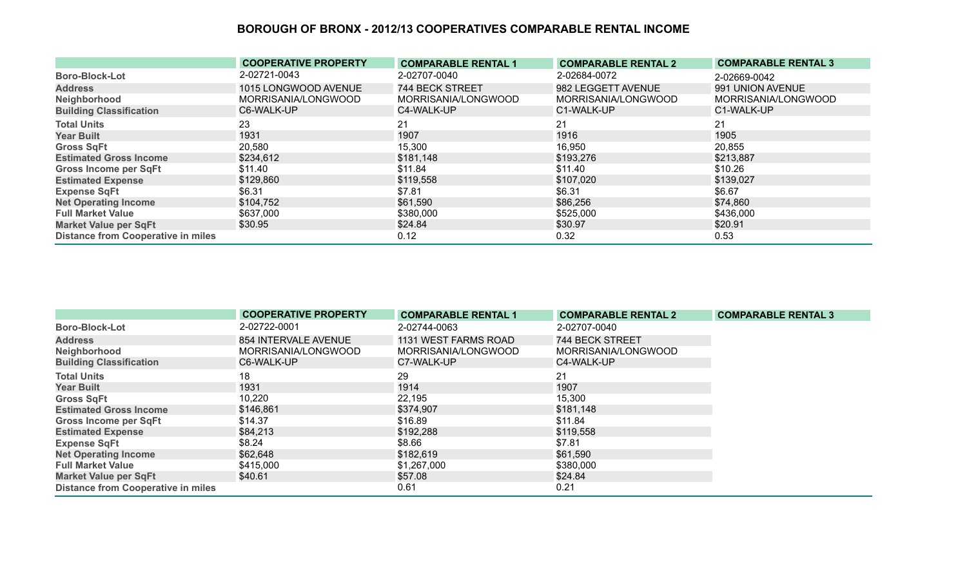|                                           | <b>COOPERATIVE PROPERTY</b> | <b>COMPARABLE RENTAL 1</b> | <b>COMPARABLE RENTAL 2</b> | <b>COMPARABLE RENTAL 3</b> |
|-------------------------------------------|-----------------------------|----------------------------|----------------------------|----------------------------|
| <b>Boro-Block-Lot</b>                     | 2-02721-0043                | 2-02707-0040               | 2-02684-0072               | 2-02669-0042               |
| <b>Address</b>                            | 1015 LONGWOOD AVENUE        | 744 BECK STREET            | 982 LEGGETT AVENUE         | 991 UNION AVENUE           |
| Neighborhood                              | MORRISANIA/LONGWOOD         | MORRISANIA/LONGWOOD        | MORRISANIA/LONGWOOD        | MORRISANIA/LONGWOOD        |
| <b>Building Classification</b>            | C6-WALK-UP                  | C4-WALK-UP                 | C1-WALK-UP                 | C1-WALK-UP                 |
| <b>Total Units</b>                        | 23                          | 21                         | 21                         | 21                         |
| <b>Year Built</b>                         | 1931                        | 1907                       | 1916                       | 1905                       |
| <b>Gross SqFt</b>                         | 20,580                      | 15,300                     | 16,950                     | 20,855                     |
| <b>Estimated Gross Income</b>             | \$234,612                   | \$181,148                  | \$193,276                  | \$213,887                  |
| <b>Gross Income per SqFt</b>              | \$11.40                     | \$11.84                    | \$11.40                    | \$10.26                    |
| <b>Estimated Expense</b>                  | \$129,860                   | \$119,558                  | \$107,020                  | \$139,027                  |
| <b>Expense SqFt</b>                       | \$6.31                      | \$7.81                     | \$6.31                     | \$6.67                     |
| <b>Net Operating Income</b>               | \$104,752                   | \$61,590                   | \$86,256                   | \$74,860                   |
| <b>Full Market Value</b>                  | \$637,000                   | \$380,000                  | \$525,000                  | \$436,000                  |
| <b>Market Value per SqFt</b>              | \$30.95                     | \$24.84                    | \$30.97                    | \$20.91                    |
| <b>Distance from Cooperative in miles</b> |                             | 0.12                       | 0.32                       | 0.53                       |

|                                           | <b>COOPERATIVE PROPERTY</b> | <b>COMPARABLE RENTAL 1</b> | <b>COMPARABLE RENTAL 2</b> | <b>COMPARABLE RENTAL 3</b> |
|-------------------------------------------|-----------------------------|----------------------------|----------------------------|----------------------------|
| <b>Boro-Block-Lot</b>                     | 2-02722-0001                | 2-02744-0063               | 2-02707-0040               |                            |
| <b>Address</b>                            | 854 INTERVALE AVENUE        | 1131 WEST FARMS ROAD       | 744 BECK STREET            |                            |
| Neighborhood                              | MORRISANIA/LONGWOOD         | MORRISANIA/LONGWOOD        | MORRISANIA/LONGWOOD        |                            |
| <b>Building Classification</b>            | C6-WALK-UP                  | C7-WALK-UP                 | C4-WALK-UP                 |                            |
| <b>Total Units</b>                        | 18                          | 29                         | 21                         |                            |
| <b>Year Built</b>                         | 1931                        | 1914                       | 1907                       |                            |
| <b>Gross SqFt</b>                         | 10,220                      | 22,195                     | 15,300                     |                            |
| <b>Estimated Gross Income</b>             | \$146,861                   | \$374,907                  | \$181,148                  |                            |
| <b>Gross Income per SqFt</b>              | \$14.37                     | \$16.89                    | \$11.84                    |                            |
| <b>Estimated Expense</b>                  | \$84,213                    | \$192,288                  | \$119,558                  |                            |
| <b>Expense SqFt</b>                       | \$8.24                      | \$8.66                     | \$7.81                     |                            |
| <b>Net Operating Income</b>               | \$62,648                    | \$182,619                  | \$61,590                   |                            |
| <b>Full Market Value</b>                  | \$415,000                   | \$1,267,000                | \$380,000                  |                            |
| <b>Market Value per SqFt</b>              | \$40.61                     | \$57.08                    | \$24.84                    |                            |
| <b>Distance from Cooperative in miles</b> |                             | 0.61                       | 0.21                       |                            |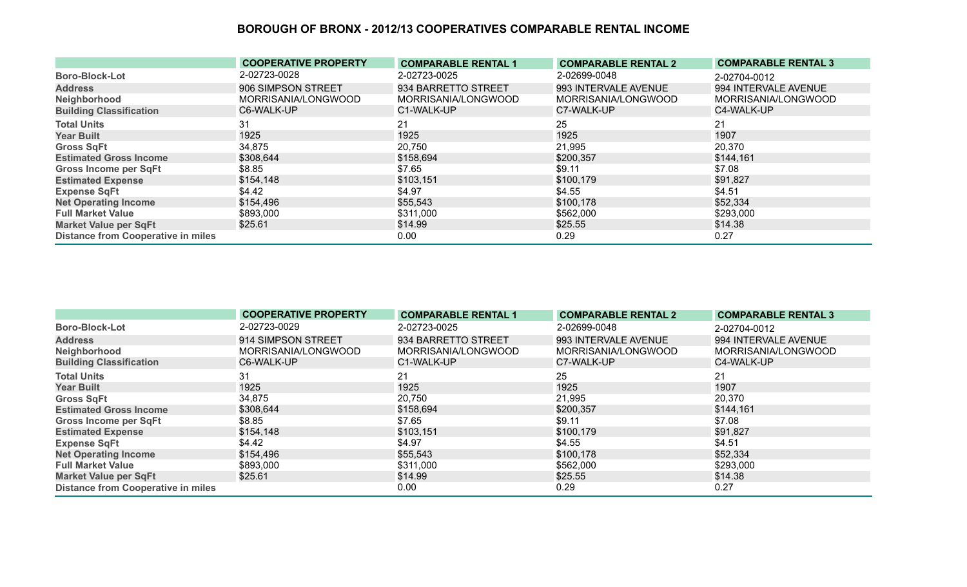|                                           | <b>COOPERATIVE PROPERTY</b> | <b>COMPARABLE RENTAL 1</b> | <b>COMPARABLE RENTAL 2</b> | <b>COMPARABLE RENTAL 3</b> |
|-------------------------------------------|-----------------------------|----------------------------|----------------------------|----------------------------|
| <b>Boro-Block-Lot</b>                     | 2-02723-0028                | 2-02723-0025               | 2-02699-0048               | 2-02704-0012               |
| <b>Address</b>                            | 906 SIMPSON STREET          | 934 BARRETTO STREET        | 993 INTERVALE AVENUE       | 994 INTERVALE AVENUE       |
| Neighborhood                              | MORRISANIA/LONGWOOD         | MORRISANIA/LONGWOOD        | MORRISANIA/LONGWOOD        | MORRISANIA/LONGWOOD        |
| <b>Building Classification</b>            | C6-WALK-UP                  | C1-WALK-UP                 | C7-WALK-UP                 | C4-WALK-UP                 |
| <b>Total Units</b>                        | 31                          | 21                         | 25                         | 21                         |
| <b>Year Built</b>                         | 1925                        | 1925                       | 1925                       | 1907                       |
| <b>Gross SqFt</b>                         | 34,875                      | 20,750                     | 21,995                     | 20,370                     |
| <b>Estimated Gross Income</b>             | \$308,644                   | \$158,694                  | \$200,357                  | \$144,161                  |
| <b>Gross Income per SqFt</b>              | \$8.85                      | \$7.65                     | \$9.11                     | \$7.08                     |
| <b>Estimated Expense</b>                  | \$154,148                   | \$103,151                  | \$100,179                  | \$91,827                   |
| <b>Expense SqFt</b>                       | \$4.42                      | \$4.97                     | \$4.55                     | \$4.51                     |
| <b>Net Operating Income</b>               | \$154,496                   | \$55,543                   | \$100,178                  | \$52,334                   |
| <b>Full Market Value</b>                  | \$893,000                   | \$311,000                  | \$562,000                  | \$293,000                  |
| <b>Market Value per SqFt</b>              | \$25.61                     | \$14.99                    | \$25.55                    | \$14.38                    |
| <b>Distance from Cooperative in miles</b> |                             | 0.00                       | 0.29                       | 0.27                       |

|                                           | <b>COOPERATIVE PROPERTY</b> | <b>COMPARABLE RENTAL 1</b> | <b>COMPARABLE RENTAL 2</b> | <b>COMPARABLE RENTAL 3</b> |
|-------------------------------------------|-----------------------------|----------------------------|----------------------------|----------------------------|
| <b>Boro-Block-Lot</b>                     | 2-02723-0029                | 2-02723-0025               | 2-02699-0048               | 2-02704-0012               |
| <b>Address</b>                            | 914 SIMPSON STREET          | 934 BARRETTO STREET        | 993 INTERVALE AVENUE       | 994 INTERVALE AVENUE       |
| Neighborhood                              | MORRISANIA/LONGWOOD         | MORRISANIA/LONGWOOD        | MORRISANIA/LONGWOOD        | MORRISANIA/LONGWOOD        |
| <b>Building Classification</b>            | C6-WALK-UP                  | C1-WALK-UP                 | C7-WALK-UP                 | C4-WALK-UP                 |
| <b>Total Units</b>                        | 31                          | 21                         | 25                         | 21                         |
| <b>Year Built</b>                         | 1925                        | 1925                       | 1925                       | 1907                       |
| <b>Gross SqFt</b>                         | 34,875                      | 20,750                     | 21,995                     | 20,370                     |
| <b>Estimated Gross Income</b>             | \$308,644                   | \$158,694                  | \$200,357                  | \$144,161                  |
| <b>Gross Income per SqFt</b>              | \$8.85                      | \$7.65                     | \$9.11                     | \$7.08                     |
| <b>Estimated Expense</b>                  | \$154,148                   | \$103,151                  | \$100,179                  | \$91,827                   |
| <b>Expense SqFt</b>                       | \$4.42                      | \$4.97                     | \$4.55                     | \$4.51                     |
| <b>Net Operating Income</b>               | \$154,496                   | \$55,543                   | \$100,178                  | \$52,334                   |
| <b>Full Market Value</b>                  | \$893,000                   | \$311,000                  | \$562,000                  | \$293,000                  |
| <b>Market Value per SqFt</b>              | \$25.61                     | \$14.99                    | \$25.55                    | \$14.38                    |
| <b>Distance from Cooperative in miles</b> |                             | 0.00                       | 0.29                       | 0.27                       |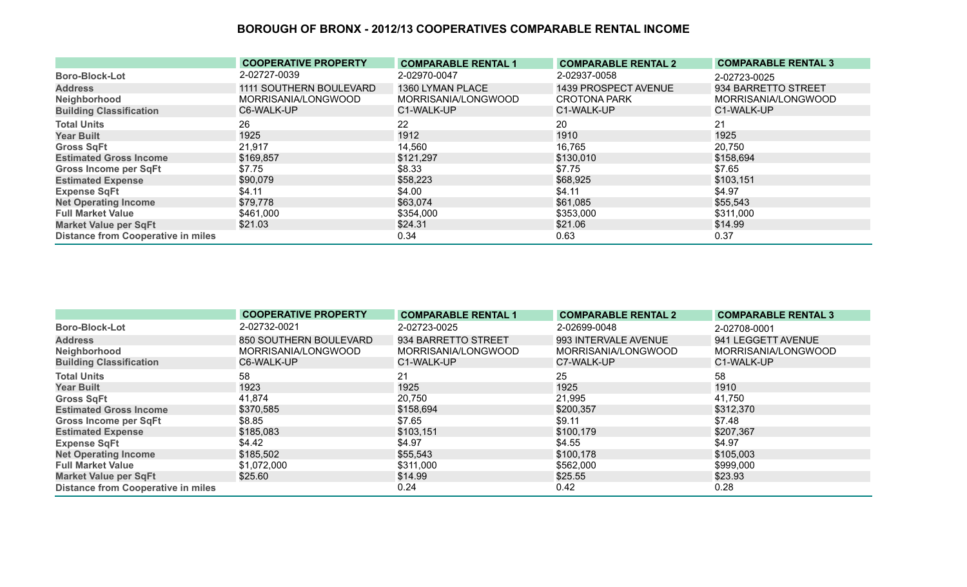|                                           | <b>COOPERATIVE PROPERTY</b> | <b>COMPARABLE RENTAL 1</b> | <b>COMPARABLE RENTAL 2</b> | <b>COMPARABLE RENTAL 3</b> |
|-------------------------------------------|-----------------------------|----------------------------|----------------------------|----------------------------|
| <b>Boro-Block-Lot</b>                     | 2-02727-0039                | 2-02970-0047               | 2-02937-0058               | 2-02723-0025               |
| <b>Address</b>                            | 1111 SOUTHERN BOULEVARD     | 1360 LYMAN PLACE           | 1439 PROSPECT AVENUE       | 934 BARRETTO STREET        |
| Neighborhood                              | MORRISANIA/LONGWOOD         | MORRISANIA/LONGWOOD        | <b>CROTONA PARK</b>        | MORRISANIA/LONGWOOD        |
| <b>Building Classification</b>            | C6-WALK-UP                  | C1-WALK-UP                 | C1-WALK-UP                 | C1-WALK-UP                 |
| <b>Total Units</b>                        | 26                          | 22                         | 20                         | 21                         |
| <b>Year Built</b>                         | 1925                        | 1912                       | 1910                       | 1925                       |
| <b>Gross SqFt</b>                         | 21,917                      | 14,560                     | 16,765                     | 20,750                     |
| <b>Estimated Gross Income</b>             | \$169,857                   | \$121,297                  | \$130,010                  | \$158,694                  |
| <b>Gross Income per SqFt</b>              | \$7.75                      | \$8.33                     | \$7.75                     | \$7.65                     |
| <b>Estimated Expense</b>                  | \$90,079                    | \$58,223                   | \$68,925                   | \$103,151                  |
| <b>Expense SqFt</b>                       | \$4.11                      | \$4.00                     | \$4.11                     | \$4.97                     |
| <b>Net Operating Income</b>               | \$79,778                    | \$63,074                   | \$61,085                   | \$55,543                   |
| <b>Full Market Value</b>                  | \$461,000                   | \$354,000                  | \$353,000                  | \$311,000                  |
| <b>Market Value per SqFt</b>              | \$21.03                     | \$24.31                    | \$21.06                    | \$14.99                    |
| <b>Distance from Cooperative in miles</b> |                             | 0.34                       | 0.63                       | 0.37                       |

|                                           | <b>COOPERATIVE PROPERTY</b> | <b>COMPARABLE RENTAL 1</b> | <b>COMPARABLE RENTAL 2</b> | <b>COMPARABLE RENTAL 3</b> |
|-------------------------------------------|-----------------------------|----------------------------|----------------------------|----------------------------|
| <b>Boro-Block-Lot</b>                     | 2-02732-0021                | 2-02723-0025               | 2-02699-0048               | 2-02708-0001               |
| <b>Address</b>                            | 850 SOUTHERN BOULEVARD      | 934 BARRETTO STREET        | 993 INTERVALE AVENUE       | 941 LEGGETT AVENUE         |
| Neighborhood                              | MORRISANIA/LONGWOOD         | MORRISANIA/LONGWOOD        | MORRISANIA/LONGWOOD        | MORRISANIA/LONGWOOD        |
| <b>Building Classification</b>            | C6-WALK-UP                  | C1-WALK-UP                 | C7-WALK-UP                 | C1-WALK-UP                 |
| <b>Total Units</b>                        | 58                          | 21                         | 25                         | 58                         |
| <b>Year Built</b>                         | 1923                        | 1925                       | 1925                       | 1910                       |
| <b>Gross SqFt</b>                         | 41,874                      | 20,750                     | 21,995                     | 41,750                     |
| <b>Estimated Gross Income</b>             | \$370,585                   | \$158,694                  | \$200,357                  | \$312,370                  |
| <b>Gross Income per SqFt</b>              | \$8.85                      | \$7.65                     | \$9.11                     | \$7.48                     |
| <b>Estimated Expense</b>                  | \$185,083                   | \$103,151                  | \$100,179                  | \$207,367                  |
| <b>Expense SqFt</b>                       | \$4.42                      | \$4.97                     | \$4.55                     | \$4.97                     |
| <b>Net Operating Income</b>               | \$185,502                   | \$55,543                   | \$100,178                  | \$105,003                  |
| <b>Full Market Value</b>                  | \$1,072,000                 | \$311,000                  | \$562,000                  | \$999,000                  |
| <b>Market Value per SqFt</b>              | \$25.60                     | \$14.99                    | \$25.55                    | \$23.93                    |
| <b>Distance from Cooperative in miles</b> |                             | 0.24                       | 0.42                       | 0.28                       |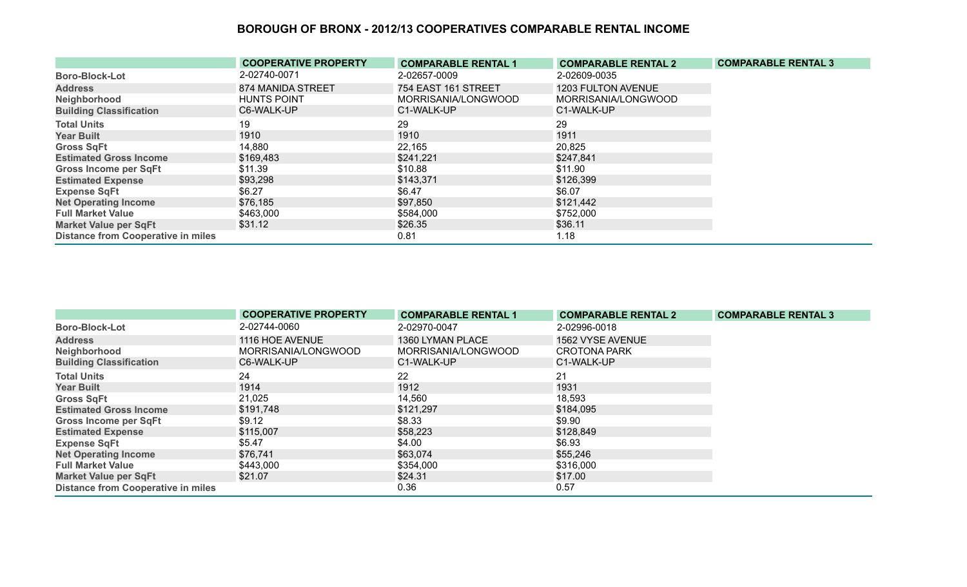|                                           | <b>COOPERATIVE PROPERTY</b> | <b>COMPARABLE RENTAL 1</b> | <b>COMPARABLE RENTAL 2</b> | <b>COMPARABLE RENTAL 3</b> |
|-------------------------------------------|-----------------------------|----------------------------|----------------------------|----------------------------|
| <b>Boro-Block-Lot</b>                     | 2-02740-0071                | 2-02657-0009               | 2-02609-0035               |                            |
| <b>Address</b>                            | 874 MANIDA STREET           | 754 EAST 161 STREET        | <b>1203 FULTON AVENUE</b>  |                            |
| Neighborhood                              | <b>HUNTS POINT</b>          | MORRISANIA/LONGWOOD        | MORRISANIA/LONGWOOD        |                            |
| <b>Building Classification</b>            | C6-WALK-UP                  | C1-WALK-UP                 | C1-WALK-UP                 |                            |
| <b>Total Units</b>                        | 19                          | 29                         | 29                         |                            |
| <b>Year Built</b>                         | 1910                        | 1910                       | 1911                       |                            |
| <b>Gross SqFt</b>                         | 14,880                      | 22,165                     | 20,825                     |                            |
| <b>Estimated Gross Income</b>             | \$169,483                   | \$241,221                  | \$247,841                  |                            |
| <b>Gross Income per SqFt</b>              | \$11.39                     | \$10.88                    | \$11.90                    |                            |
| <b>Estimated Expense</b>                  | \$93,298                    | \$143,371                  | \$126,399                  |                            |
| <b>Expense SqFt</b>                       | \$6.27                      | \$6.47                     | \$6.07                     |                            |
| <b>Net Operating Income</b>               | \$76,185                    | \$97,850                   | \$121,442                  |                            |
| <b>Full Market Value</b>                  | \$463,000                   | \$584,000                  | \$752,000                  |                            |
| <b>Market Value per SqFt</b>              | \$31.12                     | \$26.35                    | \$36.11                    |                            |
| <b>Distance from Cooperative in miles</b> |                             | 0.81                       | 1.18                       |                            |

|                                           | <b>COOPERATIVE PROPERTY</b> | <b>COMPARABLE RENTAL 1</b> | <b>COMPARABLE RENTAL 2</b> | <b>COMPARABLE RENTAL 3</b> |
|-------------------------------------------|-----------------------------|----------------------------|----------------------------|----------------------------|
| <b>Boro-Block-Lot</b>                     | 2-02744-0060                | 2-02970-0047               | 2-02996-0018               |                            |
| <b>Address</b>                            | 1116 HOE AVENUE             | 1360 LYMAN PLACE           | 1562 VYSE AVENUE           |                            |
| Neighborhood                              | MORRISANIA/LONGWOOD         | MORRISANIA/LONGWOOD        | CROTONA PARK               |                            |
| <b>Building Classification</b>            | C6-WALK-UP                  | C1-WALK-UP                 | C1-WALK-UP                 |                            |
| <b>Total Units</b>                        | 24                          | 22                         | 21                         |                            |
| <b>Year Built</b>                         | 1914                        | 1912                       | 1931                       |                            |
| <b>Gross SqFt</b>                         | 21,025                      | 14,560                     | 18,593                     |                            |
| <b>Estimated Gross Income</b>             | \$191,748                   | \$121,297                  | \$184,095                  |                            |
| <b>Gross Income per SqFt</b>              | \$9.12                      | \$8.33                     | \$9.90                     |                            |
| <b>Estimated Expense</b>                  | \$115,007                   | \$58,223                   | \$128,849                  |                            |
| <b>Expense SqFt</b>                       | \$5.47                      | \$4.00                     | \$6.93                     |                            |
| <b>Net Operating Income</b>               | \$76,741                    | \$63,074                   | \$55,246                   |                            |
| <b>Full Market Value</b>                  | \$443,000                   | \$354,000                  | \$316,000                  |                            |
| <b>Market Value per SqFt</b>              | \$21.07                     | \$24.31                    | \$17.00                    |                            |
| <b>Distance from Cooperative in miles</b> |                             | 0.36                       | 0.57                       |                            |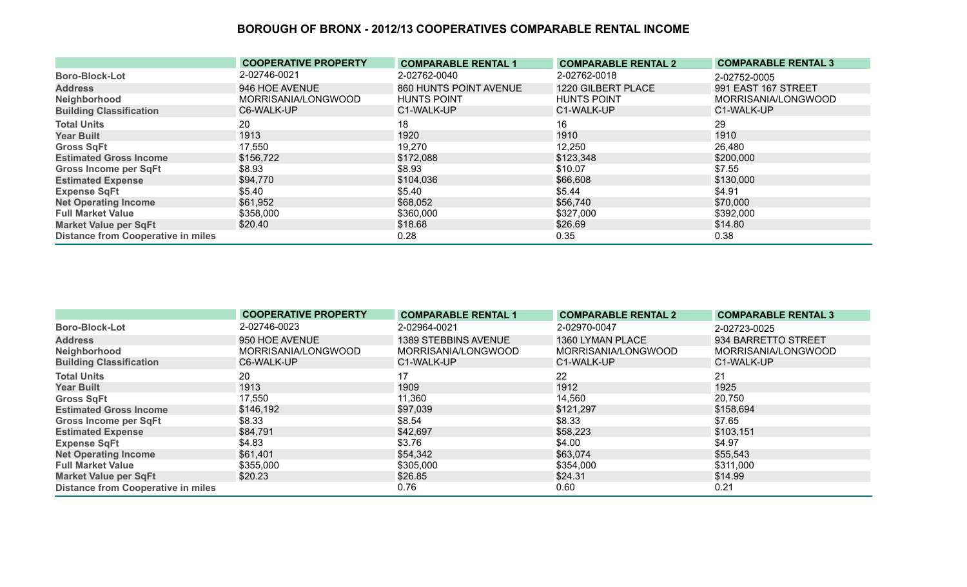|                                           | <b>COOPERATIVE PROPERTY</b> | <b>COMPARABLE RENTAL 1</b> | <b>COMPARABLE RENTAL 2</b> | <b>COMPARABLE RENTAL 3</b> |
|-------------------------------------------|-----------------------------|----------------------------|----------------------------|----------------------------|
| <b>Boro-Block-Lot</b>                     | 2-02746-0021                | 2-02762-0040               | 2-02762-0018               | 2-02752-0005               |
| <b>Address</b>                            | 946 HOE AVENUE              | 860 HUNTS POINT AVENUE     | 1220 GILBERT PLACE         | 991 EAST 167 STREET        |
| Neighborhood                              | MORRISANIA/LONGWOOD         | <b>HUNTS POINT</b>         | <b>HUNTS POINT</b>         | MORRISANIA/LONGWOOD        |
| <b>Building Classification</b>            | C6-WALK-UP                  | C1-WALK-UP                 | C1-WALK-UP                 | C1-WALK-UP                 |
| <b>Total Units</b>                        | 20                          | 18                         | 16                         | 29                         |
| <b>Year Built</b>                         | 1913                        | 1920                       | 1910                       | 1910                       |
| <b>Gross SqFt</b>                         | 17,550                      | 19,270                     | 12,250                     | 26,480                     |
| <b>Estimated Gross Income</b>             | \$156,722                   | \$172,088                  | \$123,348                  | \$200,000                  |
| <b>Gross Income per SqFt</b>              | \$8.93                      | \$8.93                     | \$10.07                    | \$7.55                     |
| <b>Estimated Expense</b>                  | \$94,770                    | \$104,036                  | \$66,608                   | \$130,000                  |
| <b>Expense SqFt</b>                       | \$5.40                      | \$5.40                     | \$5.44                     | \$4.91                     |
| <b>Net Operating Income</b>               | \$61,952                    | \$68,052                   | \$56,740                   | \$70,000                   |
| <b>Full Market Value</b>                  | \$358,000                   | \$360,000                  | \$327,000                  | \$392,000                  |
| <b>Market Value per SqFt</b>              | \$20.40                     | \$18.68                    | \$26.69                    | \$14.80                    |
| <b>Distance from Cooperative in miles</b> |                             | 0.28                       | 0.35                       | 0.38                       |

|                                           | <b>COOPERATIVE PROPERTY</b> | <b>COMPARABLE RENTAL 1</b> | <b>COMPARABLE RENTAL 2</b> | <b>COMPARABLE RENTAL 3</b> |
|-------------------------------------------|-----------------------------|----------------------------|----------------------------|----------------------------|
| <b>Boro-Block-Lot</b>                     | 2-02746-0023                | 2-02964-0021               | 2-02970-0047               | 2-02723-0025               |
| <b>Address</b>                            | 950 HOE AVENUE              | 1389 STEBBINS AVENUE       | 1360 LYMAN PLACE           | 934 BARRETTO STREET        |
| Neighborhood                              | MORRISANIA/LONGWOOD         | MORRISANIA/LONGWOOD        | MORRISANIA/LONGWOOD        | MORRISANIA/LONGWOOD        |
| <b>Building Classification</b>            | C6-WALK-UP                  | C1-WALK-UP                 | C1-WALK-UP                 | C1-WALK-UP                 |
| <b>Total Units</b>                        | 20                          | 17                         | 22                         | 21                         |
| <b>Year Built</b>                         | 1913                        | 1909                       | 1912                       | 1925                       |
| <b>Gross SqFt</b>                         | 17,550                      | 11,360                     | 14,560                     | 20,750                     |
| <b>Estimated Gross Income</b>             | \$146,192                   | \$97,039                   | \$121,297                  | \$158,694                  |
| <b>Gross Income per SqFt</b>              | \$8.33                      | \$8.54                     | \$8.33                     | \$7.65                     |
| <b>Estimated Expense</b>                  | \$84,791                    | \$42,697                   | \$58,223                   | \$103,151                  |
| <b>Expense SqFt</b>                       | \$4.83                      | \$3.76                     | \$4.00                     | \$4.97                     |
| <b>Net Operating Income</b>               | \$61,401                    | \$54,342                   | \$63,074                   | \$55,543                   |
| <b>Full Market Value</b>                  | \$355,000                   | \$305,000                  | \$354,000                  | \$311,000                  |
| <b>Market Value per SqFt</b>              | \$20.23                     | \$26.85                    | \$24.31                    | \$14.99                    |
| <b>Distance from Cooperative in miles</b> |                             | 0.76                       | 0.60                       | 0.21                       |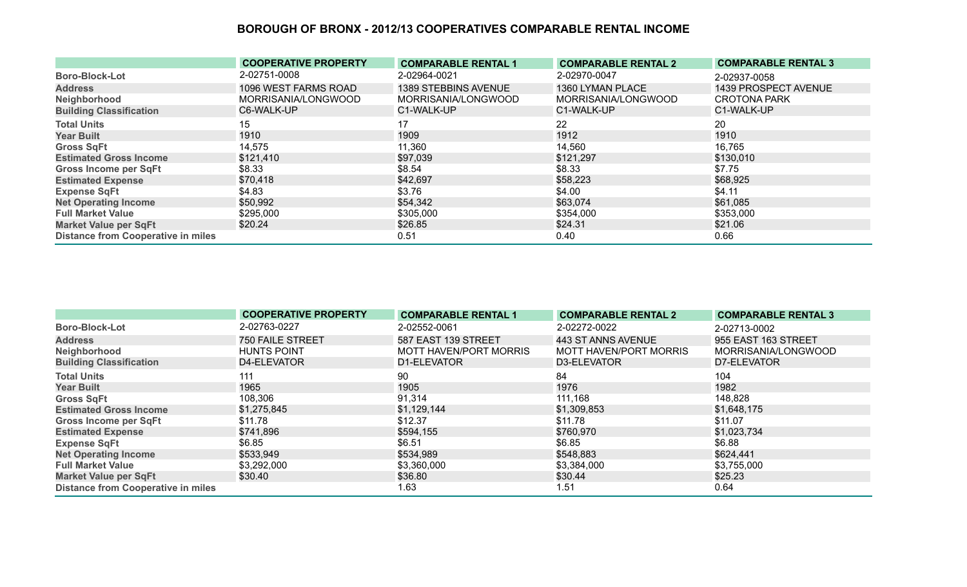|                                           | <b>COOPERATIVE PROPERTY</b> | <b>COMPARABLE RENTAL 1</b> | <b>COMPARABLE RENTAL 2</b> | <b>COMPARABLE RENTAL 3</b> |
|-------------------------------------------|-----------------------------|----------------------------|----------------------------|----------------------------|
| <b>Boro-Block-Lot</b>                     | 2-02751-0008                | 2-02964-0021               | 2-02970-0047               | 2-02937-0058               |
| <b>Address</b>                            | 1096 WEST FARMS ROAD        | 1389 STEBBINS AVENUE       | 1360 LYMAN PLACE           | 1439 PROSPECT AVENUE       |
| Neighborhood                              | MORRISANIA/LONGWOOD         | MORRISANIA/LONGWOOD        | MORRISANIA/LONGWOOD        | <b>CROTONA PARK</b>        |
| <b>Building Classification</b>            | C6-WALK-UP                  | C1-WALK-UP                 | C1-WALK-UP                 | C1-WALK-UP                 |
| <b>Total Units</b>                        | 15                          | 17                         | 22                         | 20                         |
| <b>Year Built</b>                         | 1910                        | 1909                       | 1912                       | 1910                       |
| <b>Gross SqFt</b>                         | 14,575                      | 11,360                     | 14,560                     | 16,765                     |
| <b>Estimated Gross Income</b>             | \$121,410                   | \$97,039                   | \$121,297                  | \$130,010                  |
| <b>Gross Income per SqFt</b>              | \$8.33                      | \$8.54                     | \$8.33                     | \$7.75                     |
| <b>Estimated Expense</b>                  | \$70,418                    | \$42,697                   | \$58,223                   | \$68,925                   |
| <b>Expense SqFt</b>                       | \$4.83                      | \$3.76                     | \$4.00                     | \$4.11                     |
| <b>Net Operating Income</b>               | \$50,992                    | \$54,342                   | \$63,074                   | \$61,085                   |
| <b>Full Market Value</b>                  | \$295,000                   | \$305,000                  | \$354,000                  | \$353,000                  |
| <b>Market Value per SqFt</b>              | \$20.24                     | \$26.85                    | \$24.31                    | \$21.06                    |
| <b>Distance from Cooperative in miles</b> |                             | 0.51                       | 0.40                       | 0.66                       |

|                                           | <b>COOPERATIVE PROPERTY</b> | <b>COMPARABLE RENTAL 1</b> | <b>COMPARABLE RENTAL 2</b> | <b>COMPARABLE RENTAL 3</b> |
|-------------------------------------------|-----------------------------|----------------------------|----------------------------|----------------------------|
| <b>Boro-Block-Lot</b>                     | 2-02763-0227                | 2-02552-0061               | 2-02272-0022               | 2-02713-0002               |
| <b>Address</b>                            | <b>750 FAILE STREET</b>     | 587 EAST 139 STREET        | 443 ST ANNS AVENUE         | 955 EAST 163 STREET        |
| Neighborhood                              | <b>HUNTS POINT</b>          | MOTT HAVEN/PORT MORRIS     | MOTT HAVEN/PORT MORRIS     | MORRISANIA/LONGWOOD        |
| <b>Building Classification</b>            | D4-ELEVATOR                 | D1-ELEVATOR                | D3-ELEVATOR                | D7-ELEVATOR                |
| <b>Total Units</b>                        | 111                         | 90                         | 84                         | 104                        |
| <b>Year Built</b>                         | 1965                        | 1905                       | 1976                       | 1982                       |
| <b>Gross SqFt</b>                         | 108,306                     | 91,314                     | 111,168                    | 148,828                    |
| <b>Estimated Gross Income</b>             | \$1,275,845                 | \$1,129,144                | \$1,309,853                | \$1,648,175                |
| <b>Gross Income per SqFt</b>              | \$11.78                     | \$12.37                    | \$11.78                    | \$11.07                    |
| <b>Estimated Expense</b>                  | \$741,896                   | \$594,155                  | \$760,970                  | \$1,023,734                |
| <b>Expense SqFt</b>                       | \$6.85                      | \$6.51                     | \$6.85                     | \$6.88                     |
| <b>Net Operating Income</b>               | \$533,949                   | \$534,989                  | \$548,883                  | \$624,441                  |
| <b>Full Market Value</b>                  | \$3,292,000                 | \$3,360,000                | \$3,384,000                | \$3,755,000                |
| <b>Market Value per SqFt</b>              | \$30.40                     | \$36.80                    | \$30.44                    | \$25.23                    |
| <b>Distance from Cooperative in miles</b> |                             | 1.63                       | 1.51                       | 0.64                       |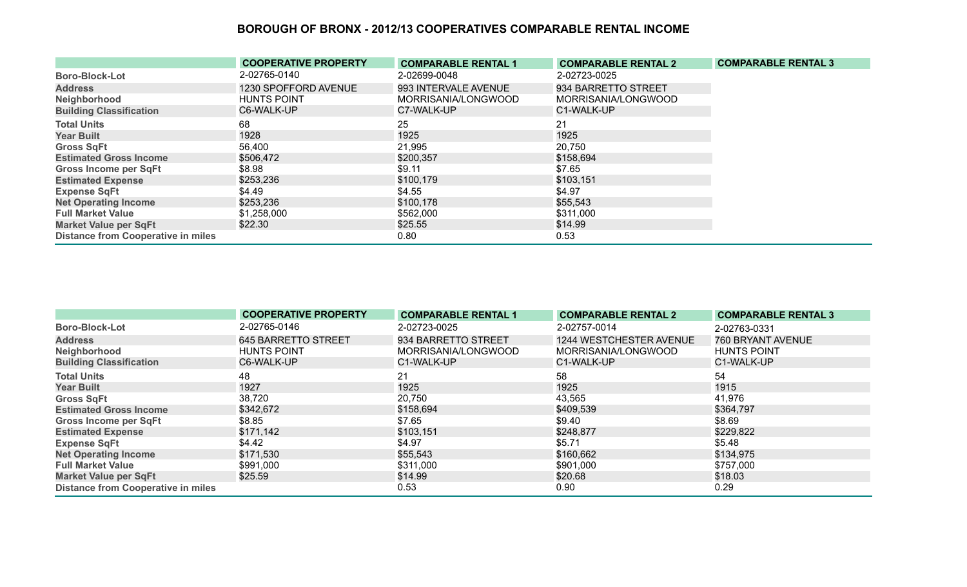|                                           | <b>COOPERATIVE PROPERTY</b> | <b>COMPARABLE RENTAL 1</b> | <b>COMPARABLE RENTAL 2</b> | <b>COMPARABLE RENTAL 3</b> |
|-------------------------------------------|-----------------------------|----------------------------|----------------------------|----------------------------|
| <b>Boro-Block-Lot</b>                     | 2-02765-0140                | 2-02699-0048               | 2-02723-0025               |                            |
| <b>Address</b>                            | 1230 SPOFFORD AVENUE        | 993 INTERVALE AVENUE       | 934 BARRETTO STREET        |                            |
| Neighborhood                              | <b>HUNTS POINT</b>          | MORRISANIA/LONGWOOD        | MORRISANIA/LONGWOOD        |                            |
| <b>Building Classification</b>            | C6-WALK-UP                  | C7-WALK-UP                 | C1-WALK-UP                 |                            |
| <b>Total Units</b>                        | 68                          | 25                         | 21                         |                            |
| <b>Year Built</b>                         | 1928                        | 1925                       | 1925                       |                            |
| <b>Gross SqFt</b>                         | 56,400                      | 21,995                     | 20,750                     |                            |
| <b>Estimated Gross Income</b>             | \$506,472                   | \$200,357                  | \$158,694                  |                            |
| <b>Gross Income per SqFt</b>              | \$8.98                      | \$9.11                     | \$7.65                     |                            |
| <b>Estimated Expense</b>                  | \$253,236                   | \$100,179                  | \$103,151                  |                            |
| <b>Expense SqFt</b>                       | \$4.49                      | \$4.55                     | \$4.97                     |                            |
| <b>Net Operating Income</b>               | \$253,236                   | \$100,178                  | \$55,543                   |                            |
| <b>Full Market Value</b>                  | \$1,258,000                 | \$562,000                  | \$311,000                  |                            |
| <b>Market Value per SqFt</b>              | \$22.30                     | \$25.55                    | \$14.99                    |                            |
| <b>Distance from Cooperative in miles</b> |                             | 0.80                       | 0.53                       |                            |

|                                           | <b>COOPERATIVE PROPERTY</b> | <b>COMPARABLE RENTAL 1</b> | <b>COMPARABLE RENTAL 2</b> | <b>COMPARABLE RENTAL 3</b> |
|-------------------------------------------|-----------------------------|----------------------------|----------------------------|----------------------------|
| <b>Boro-Block-Lot</b>                     | 2-02765-0146                | 2-02723-0025               | 2-02757-0014               | 2-02763-0331               |
| <b>Address</b>                            | 645 BARRETTO STREET         | 934 BARRETTO STREET        | 1244 WESTCHESTER AVENUE    | 760 BRYANT AVENUE          |
| Neighborhood                              | <b>HUNTS POINT</b>          | MORRISANIA/LONGWOOD        | MORRISANIA/LONGWOOD        | <b>HUNTS POINT</b>         |
| <b>Building Classification</b>            | C6-WALK-UP                  | C1-WALK-UP                 | C1-WALK-UP                 | C1-WALK-UP                 |
| <b>Total Units</b>                        | 48                          | 21                         | 58                         | 54                         |
| <b>Year Built</b>                         | 1927                        | 1925                       | 1925                       | 1915                       |
| <b>Gross SqFt</b>                         | 38,720                      | 20,750                     | 43,565                     | 41,976                     |
| <b>Estimated Gross Income</b>             | \$342,672                   | \$158,694                  | \$409,539                  | \$364,797                  |
| <b>Gross Income per SqFt</b>              | \$8.85                      | \$7.65                     | \$9.40                     | \$8.69                     |
| <b>Estimated Expense</b>                  | \$171,142                   | \$103,151                  | \$248,877                  | \$229,822                  |
| <b>Expense SqFt</b>                       | \$4.42                      | \$4.97                     | \$5.71                     | \$5.48                     |
| <b>Net Operating Income</b>               | \$171,530                   | \$55,543                   | \$160,662                  | \$134,975                  |
| <b>Full Market Value</b>                  | \$991,000                   | \$311,000                  | \$901,000                  | \$757,000                  |
| <b>Market Value per SqFt</b>              | \$25.59                     | \$14.99                    | \$20.68                    | \$18.03                    |
| <b>Distance from Cooperative in miles</b> |                             | 0.53                       | 0.90                       | 0.29                       |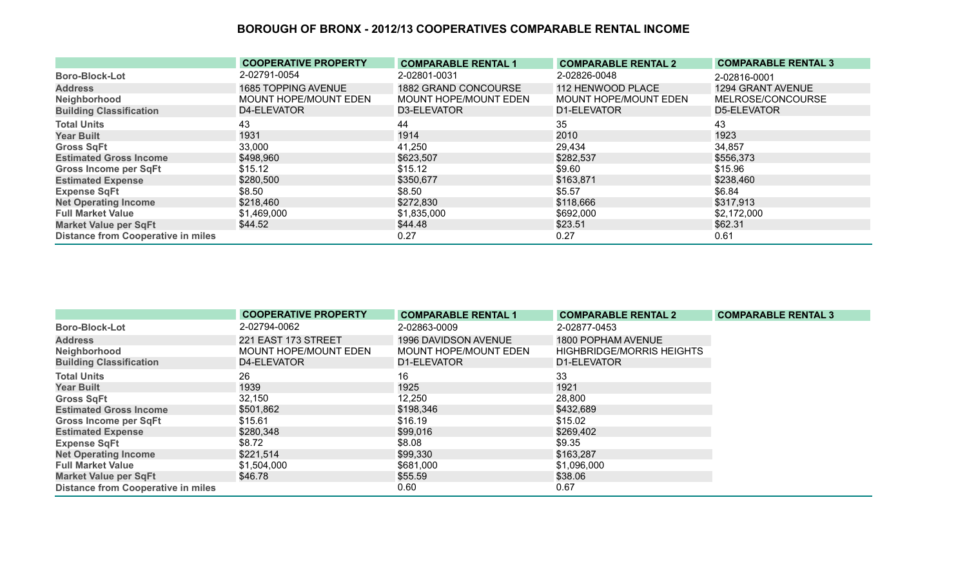|                                           | <b>COOPERATIVE PROPERTY</b> | <b>COMPARABLE RENTAL 1</b>  | <b>COMPARABLE RENTAL 2</b> | <b>COMPARABLE RENTAL 3</b> |
|-------------------------------------------|-----------------------------|-----------------------------|----------------------------|----------------------------|
| <b>Boro-Block-Lot</b>                     | 2-02791-0054                | 2-02801-0031                | 2-02826-0048               | 2-02816-0001               |
| <b>Address</b>                            | <b>1685 TOPPING AVENUE</b>  | <b>1882 GRAND CONCOURSE</b> | 112 HENWOOD PLACE          | 1294 GRANT AVENUE          |
| Neighborhood                              | MOUNT HOPE/MOUNT EDEN       | MOUNT HOPE/MOUNT EDEN       | MOUNT HOPE/MOUNT EDEN      | MELROSE/CONCOURSE          |
| <b>Building Classification</b>            | D4-ELEVATOR                 | D3-ELEVATOR                 | D1-ELEVATOR                | D5-ELEVATOR                |
| <b>Total Units</b>                        | 43                          | 44                          | 35                         | 43                         |
| <b>Year Built</b>                         | 1931                        | 1914                        | 2010                       | 1923                       |
| <b>Gross SqFt</b>                         | 33,000                      | 41,250                      | 29,434                     | 34,857                     |
| <b>Estimated Gross Income</b>             | \$498,960                   | \$623,507                   | \$282,537                  | \$556,373                  |
| <b>Gross Income per SqFt</b>              | \$15.12                     | \$15.12                     | \$9.60                     | \$15.96                    |
| <b>Estimated Expense</b>                  | \$280,500                   | \$350,677                   | \$163,871                  | \$238,460                  |
| <b>Expense SqFt</b>                       | \$8.50                      | \$8.50                      | \$5.57                     | \$6.84                     |
| <b>Net Operating Income</b>               | \$218,460                   | \$272,830                   | \$118,666                  | \$317,913                  |
| <b>Full Market Value</b>                  | \$1,469,000                 | \$1,835,000                 | \$692,000                  | \$2,172,000                |
| <b>Market Value per SqFt</b>              | \$44.52                     | \$44.48                     | \$23.51                    | \$62.31                    |
| <b>Distance from Cooperative in miles</b> |                             | 0.27                        | 0.27                       | 0.61                       |

|                                           | <b>COOPERATIVE PROPERTY</b>  | <b>COMPARABLE RENTAL 1</b>   | <b>COMPARABLE RENTAL 2</b>       | <b>COMPARABLE RENTAL 3</b> |
|-------------------------------------------|------------------------------|------------------------------|----------------------------------|----------------------------|
| <b>Boro-Block-Lot</b>                     | 2-02794-0062                 | 2-02863-0009                 | 2-02877-0453                     |                            |
| <b>Address</b>                            | 221 EAST 173 STREET          | 1996 DAVIDSON AVENUE         | 1800 POPHAM AVENUE               |                            |
| Neighborhood                              | <b>MOUNT HOPE/MOUNT EDEN</b> | <b>MOUNT HOPE/MOUNT EDEN</b> | <b>HIGHBRIDGE/MORRIS HEIGHTS</b> |                            |
| <b>Building Classification</b>            | D4-ELEVATOR                  | D1-ELEVATOR                  | D1-ELEVATOR                      |                            |
| <b>Total Units</b>                        | 26                           | 16                           | 33                               |                            |
| <b>Year Built</b>                         | 1939                         | 1925                         | 1921                             |                            |
| <b>Gross SqFt</b>                         | 32,150                       | 12,250                       | 28,800                           |                            |
| <b>Estimated Gross Income</b>             | \$501,862                    | \$198,346                    | \$432,689                        |                            |
| Gross Income per SqFt                     | \$15.61                      | \$16.19                      | \$15.02                          |                            |
| <b>Estimated Expense</b>                  | \$280,348                    | \$99,016                     | \$269,402                        |                            |
| <b>Expense SqFt</b>                       | \$8.72                       | \$8.08                       | \$9.35                           |                            |
| <b>Net Operating Income</b>               | \$221,514                    | \$99,330                     | \$163,287                        |                            |
| <b>Full Market Value</b>                  | \$1,504,000                  | \$681,000                    | \$1,096,000                      |                            |
| <b>Market Value per SqFt</b>              | \$46.78                      | \$55.59                      | \$38.06                          |                            |
| <b>Distance from Cooperative in miles</b> |                              | 0.60                         | 0.67                             |                            |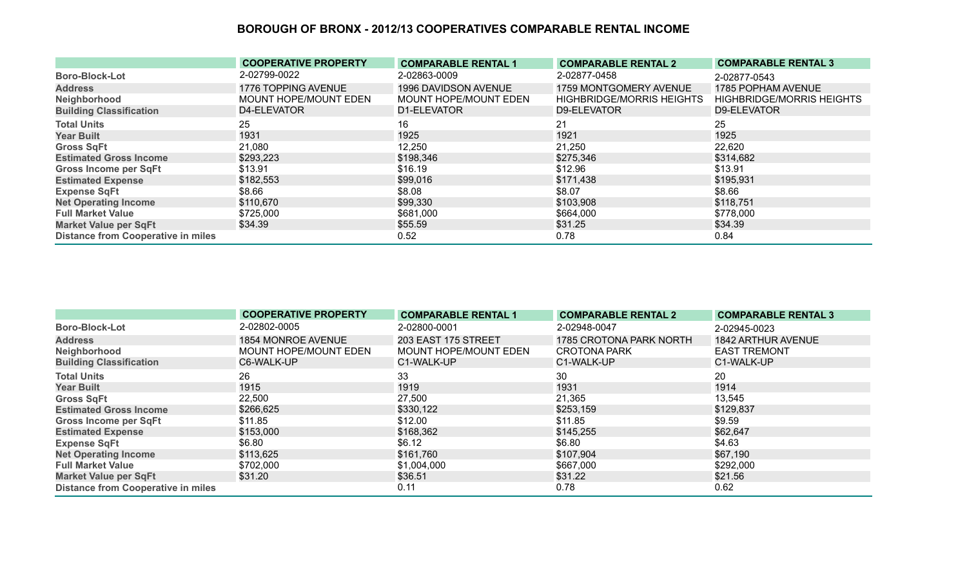|                                           | <b>COOPERATIVE PROPERTY</b> | <b>COMPARABLE RENTAL 1</b>  | <b>COMPARABLE RENTAL 2</b>       | <b>COMPARABLE RENTAL 3</b>       |
|-------------------------------------------|-----------------------------|-----------------------------|----------------------------------|----------------------------------|
| <b>Boro-Block-Lot</b>                     | 2-02799-0022                | 2-02863-0009                | 2-02877-0458                     | 2-02877-0543                     |
| <b>Address</b>                            | 1776 TOPPING AVENUE         | <b>1996 DAVIDSON AVENUE</b> | 1759 MONTGOMERY AVENUE           | 1785 POPHAM AVENUE               |
| Neighborhood                              | MOUNT HOPE/MOUNT EDEN       | MOUNT HOPE/MOUNT EDEN       | <b>HIGHBRIDGE/MORRIS HEIGHTS</b> | <b>HIGHBRIDGE/MORRIS HEIGHTS</b> |
| <b>Building Classification</b>            | D4-ELEVATOR                 | D1-ELEVATOR                 | D9-ELEVATOR                      | D9-ELEVATOR                      |
| <b>Total Units</b>                        | 25                          | 16                          | 21                               | 25                               |
| <b>Year Built</b>                         | 1931                        | 1925                        | 1921                             | 1925                             |
| <b>Gross SqFt</b>                         | 21,080                      | 12,250                      | 21,250                           | 22,620                           |
| <b>Estimated Gross Income</b>             | \$293,223                   | \$198,346                   | \$275,346                        | \$314,682                        |
| <b>Gross Income per SqFt</b>              | \$13.91                     | \$16.19                     | \$12.96                          | \$13.91                          |
| <b>Estimated Expense</b>                  | \$182,553                   | \$99,016                    | \$171,438                        | \$195,931                        |
| <b>Expense SqFt</b>                       | \$8.66                      | \$8.08                      | \$8.07                           | \$8.66                           |
| <b>Net Operating Income</b>               | \$110,670                   | \$99,330                    | \$103,908                        | \$118,751                        |
| <b>Full Market Value</b>                  | \$725,000                   | \$681,000                   | \$664,000                        | \$778,000                        |
| <b>Market Value per SqFt</b>              | \$34.39                     | \$55.59                     | \$31.25                          | \$34.39                          |
| <b>Distance from Cooperative in miles</b> |                             | 0.52                        | 0.78                             | 0.84                             |

|                                           | <b>COOPERATIVE PROPERTY</b> | <b>COMPARABLE RENTAL 1</b> | <b>COMPARABLE RENTAL 2</b> | <b>COMPARABLE RENTAL 3</b> |
|-------------------------------------------|-----------------------------|----------------------------|----------------------------|----------------------------|
| <b>Boro-Block-Lot</b>                     | 2-02802-0005                | 2-02800-0001               | 2-02948-0047               | 2-02945-0023               |
| <b>Address</b>                            | 1854 MONROE AVENUE          | 203 EAST 175 STREET        | 1785 CROTONA PARK NORTH    | <b>1842 ARTHUR AVENUE</b>  |
| Neighborhood                              | MOUNT HOPE/MOUNT EDEN       | MOUNT HOPE/MOUNT EDEN      | <b>CROTONA PARK</b>        | <b>EAST TREMONT</b>        |
| <b>Building Classification</b>            | C6-WALK-UP                  | C1-WALK-UP                 | C1-WALK-UP                 | C1-WALK-UP                 |
| <b>Total Units</b>                        | 26                          | 33                         | 30                         | 20                         |
| <b>Year Built</b>                         | 1915                        | 1919                       | 1931                       | 1914                       |
| <b>Gross SqFt</b>                         | 22,500                      | 27,500                     | 21,365                     | 13,545                     |
| <b>Estimated Gross Income</b>             | \$266,625                   | \$330,122                  | \$253,159                  | \$129,837                  |
| <b>Gross Income per SqFt</b>              | \$11.85                     | \$12.00                    | \$11.85                    | \$9.59                     |
| <b>Estimated Expense</b>                  | \$153,000                   | \$168,362                  | \$145,255                  | \$62,647                   |
| <b>Expense SqFt</b>                       | \$6.80                      | \$6.12                     | \$6.80                     | \$4.63                     |
| <b>Net Operating Income</b>               | \$113,625                   | \$161,760                  | \$107,904                  | \$67,190                   |
| <b>Full Market Value</b>                  | \$702,000                   | \$1,004,000                | \$667,000                  | \$292,000                  |
| <b>Market Value per SqFt</b>              | \$31.20                     | \$36.51                    | \$31.22                    | \$21.56                    |
| <b>Distance from Cooperative in miles</b> |                             | 0.11                       | 0.78                       | 0.62                       |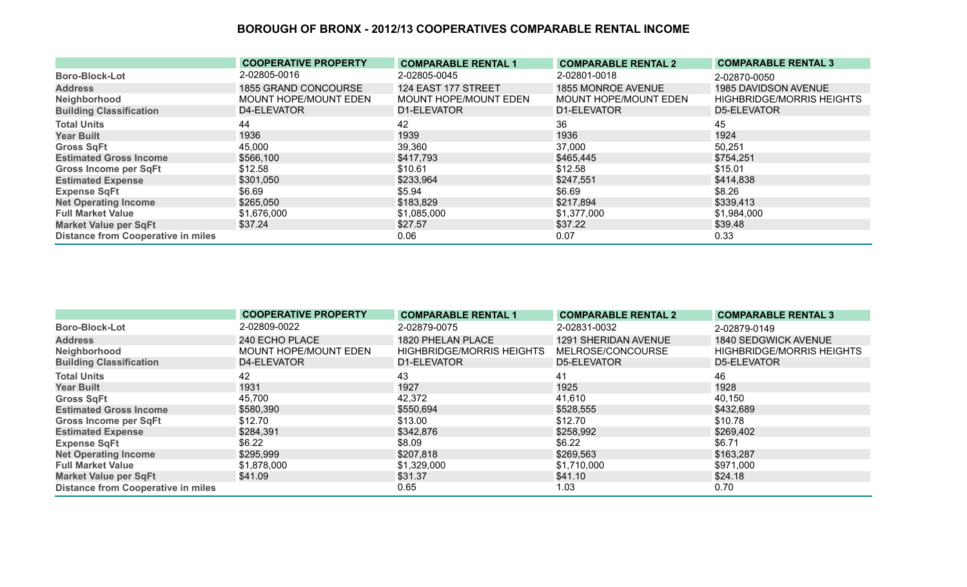|                                           | <b>COOPERATIVE PROPERTY</b> | <b>COMPARABLE RENTAL 1</b> | <b>COMPARABLE RENTAL 2</b> | <b>COMPARABLE RENTAL 3</b>       |
|-------------------------------------------|-----------------------------|----------------------------|----------------------------|----------------------------------|
| <b>Boro-Block-Lot</b>                     | 2-02805-0016                | 2-02805-0045               | 2-02801-0018               | 2-02870-0050                     |
| <b>Address</b>                            | 1855 GRAND CONCOURSE        | 124 EAST 177 STREET        | 1855 MONROE AVENUE         | 1985 DAVIDSON AVENUE             |
| Neighborhood                              | MOUNT HOPE/MOUNT EDEN       | MOUNT HOPE/MOUNT EDEN      | MOUNT HOPE/MOUNT EDEN      | <b>HIGHBRIDGE/MORRIS HEIGHTS</b> |
| <b>Building Classification</b>            | D4-ELEVATOR                 | D1-ELEVATOR                | D1-ELEVATOR                | D5-ELEVATOR                      |
| <b>Total Units</b>                        | 44                          | 42                         | 36                         | 45                               |
| <b>Year Built</b>                         | 1936                        | 1939                       | 1936                       | 1924                             |
| <b>Gross SqFt</b>                         | 45,000                      | 39,360                     | 37,000                     | 50,251                           |
| <b>Estimated Gross Income</b>             | \$566,100                   | \$417,793                  | \$465,445                  | \$754,251                        |
| <b>Gross Income per SqFt</b>              | \$12.58                     | \$10.61                    | \$12.58                    | \$15.01                          |
| <b>Estimated Expense</b>                  | \$301,050                   | \$233,964                  | \$247,551                  | \$414,838                        |
| <b>Expense SqFt</b>                       | \$6.69                      | \$5.94                     | \$6.69                     | \$8.26                           |
| <b>Net Operating Income</b>               | \$265,050                   | \$183,829                  | \$217,894                  | \$339,413                        |
| <b>Full Market Value</b>                  | \$1,676,000                 | \$1,085,000                | \$1,377,000                | \$1,984,000                      |
| <b>Market Value per SqFt</b>              | \$37.24                     | \$27.57                    | \$37.22                    | \$39.48                          |
| <b>Distance from Cooperative in miles</b> |                             | 0.06                       | 0.07                       | 0.33                             |

|                                           | <b>COOPERATIVE PROPERTY</b> | <b>COMPARABLE RENTAL 1</b>       | <b>COMPARABLE RENTAL 2</b> | <b>COMPARABLE RENTAL 3</b>       |
|-------------------------------------------|-----------------------------|----------------------------------|----------------------------|----------------------------------|
| <b>Boro-Block-Lot</b>                     | 2-02809-0022                | 2-02879-0075                     | 2-02831-0032               | 2-02879-0149                     |
| <b>Address</b>                            | 240 ECHO PLACE              | 1820 PHELAN PLACE                | 1291 SHERIDAN AVENUE       | 1840 SEDGWICK AVENUE             |
| Neighborhood                              | MOUNT HOPE/MOUNT EDEN       | <b>HIGHBRIDGE/MORRIS HEIGHTS</b> | MELROSE/CONCOURSE          | <b>HIGHBRIDGE/MORRIS HEIGHTS</b> |
| <b>Building Classification</b>            | D4-ELEVATOR                 | D1-ELEVATOR                      | D5-ELEVATOR                | D5-ELEVATOR                      |
| <b>Total Units</b>                        | 42                          | 43                               | -41                        | 46                               |
| <b>Year Built</b>                         | 1931                        | 1927                             | 1925                       | 1928                             |
| <b>Gross SqFt</b>                         | 45,700                      | 42,372                           | 41,610                     | 40,150                           |
| <b>Estimated Gross Income</b>             | \$580,390                   | \$550,694                        | \$528,555                  | \$432,689                        |
| Gross Income per SqFt                     | \$12.70                     | \$13.00                          | \$12.70                    | \$10.78                          |
| <b>Estimated Expense</b>                  | \$284,391                   | \$342,876                        | \$258,992                  | \$269,402                        |
| <b>Expense SqFt</b>                       | \$6.22                      | \$8.09                           | \$6.22                     | \$6.71                           |
| <b>Net Operating Income</b>               | \$295,999                   | \$207,818                        | \$269,563                  | \$163,287                        |
| <b>Full Market Value</b>                  | \$1,878,000                 | \$1,329,000                      | \$1,710,000                | \$971,000                        |
| <b>Market Value per SqFt</b>              | \$41.09                     | \$31.37                          | \$41.10                    | \$24.18                          |
| <b>Distance from Cooperative in miles</b> |                             | 0.65                             | 1.03                       | 0.70                             |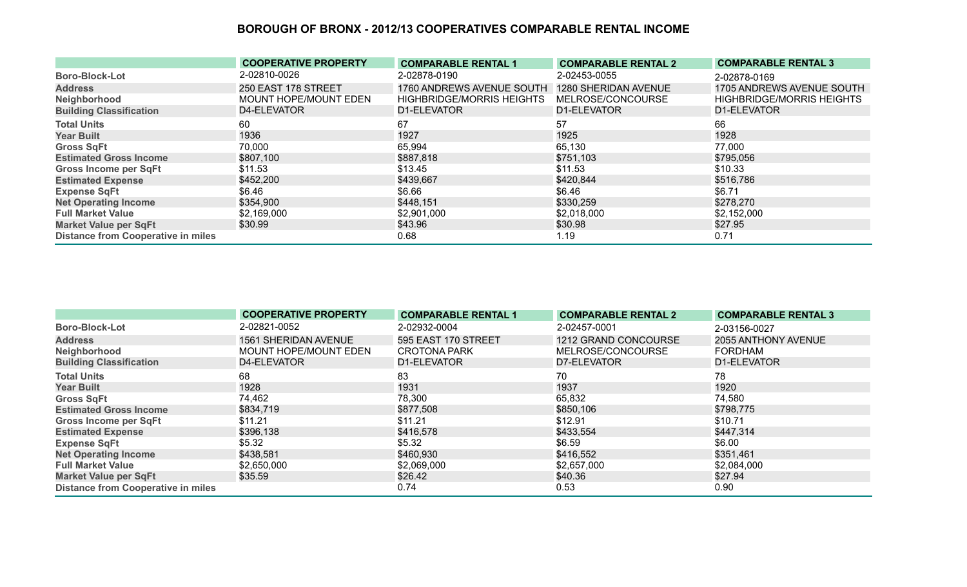|                                           | <b>COOPERATIVE PROPERTY</b> | <b>COMPARABLE RENTAL 1</b>       | <b>COMPARABLE RENTAL 2</b> | <b>COMPARABLE RENTAL 3</b>       |
|-------------------------------------------|-----------------------------|----------------------------------|----------------------------|----------------------------------|
| <b>Boro-Block-Lot</b>                     | 2-02810-0026                | 2-02878-0190                     | 2-02453-0055               | 2-02878-0169                     |
| <b>Address</b>                            | 250 EAST 178 STREET         | 1760 ANDREWS AVENUE SOUTH        | 1280 SHERIDAN AVENUE       | 1705 ANDREWS AVENUE SOUTH        |
| Neighborhood                              | MOUNT HOPE/MOUNT EDEN       | <b>HIGHBRIDGE/MORRIS HEIGHTS</b> | MELROSE/CONCOURSE          | <b>HIGHBRIDGE/MORRIS HEIGHTS</b> |
| <b>Building Classification</b>            | D4-ELEVATOR                 | D1-ELEVATOR                      | D1-ELEVATOR                | D1-ELEVATOR                      |
| <b>Total Units</b>                        | 60                          | 67                               | 57                         | 66                               |
| <b>Year Built</b>                         | 1936                        | 1927                             | 1925                       | 1928                             |
| <b>Gross SqFt</b>                         | 70,000                      | 65,994                           | 65,130                     | 77,000                           |
| <b>Estimated Gross Income</b>             | \$807,100                   | \$887,818                        | \$751,103                  | \$795,056                        |
| <b>Gross Income per SqFt</b>              | \$11.53                     | \$13.45                          | \$11.53                    | \$10.33                          |
| <b>Estimated Expense</b>                  | \$452,200                   | \$439,667                        | \$420,844                  | \$516,786                        |
| <b>Expense SqFt</b>                       | \$6.46                      | \$6.66                           | \$6.46                     | \$6.71                           |
| <b>Net Operating Income</b>               | \$354,900                   | \$448,151                        | \$330,259                  | \$278,270                        |
| <b>Full Market Value</b>                  | \$2,169,000                 | \$2,901,000                      | \$2,018,000                | \$2,152,000                      |
| <b>Market Value per SqFt</b>              | \$30.99                     | \$43.96                          | \$30.98                    | \$27.95                          |
| <b>Distance from Cooperative in miles</b> |                             | 0.68                             | 1.19                       | 0.71                             |

|                                           | <b>COOPERATIVE PROPERTY</b> | <b>COMPARABLE RENTAL 1</b> | <b>COMPARABLE RENTAL 2</b> | <b>COMPARABLE RENTAL 3</b> |
|-------------------------------------------|-----------------------------|----------------------------|----------------------------|----------------------------|
| <b>Boro-Block-Lot</b>                     | 2-02821-0052                | 2-02932-0004               | 2-02457-0001               | 2-03156-0027               |
| <b>Address</b>                            | <b>1561 SHERIDAN AVENUE</b> | 595 EAST 170 STREET        | 1212 GRAND CONCOURSE       | 2055 ANTHONY AVENUE        |
| Neighborhood                              | MOUNT HOPE/MOUNT EDEN       | <b>CROTONA PARK</b>        | MELROSE/CONCOURSE          | <b>FORDHAM</b>             |
| <b>Building Classification</b>            | D4-ELEVATOR                 | D1-ELEVATOR                | D7-ELEVATOR                | D1-ELEVATOR                |
| <b>Total Units</b>                        | 68                          | 83                         | 70                         | 78                         |
| <b>Year Built</b>                         | 1928                        | 1931                       | 1937                       | 1920                       |
| <b>Gross SqFt</b>                         | 74,462                      | 78,300                     | 65,832                     | 74,580                     |
| <b>Estimated Gross Income</b>             | \$834,719                   | \$877,508                  | \$850,106                  | \$798,775                  |
| <b>Gross Income per SqFt</b>              | \$11.21                     | \$11.21                    | \$12.91                    | \$10.71                    |
| <b>Estimated Expense</b>                  | \$396,138                   | \$416,578                  | \$433,554                  | \$447,314                  |
| <b>Expense SqFt</b>                       | \$5.32                      | \$5.32                     | \$6.59                     | \$6.00                     |
| <b>Net Operating Income</b>               | \$438,581                   | \$460,930                  | \$416,552                  | \$351,461                  |
| <b>Full Market Value</b>                  | \$2,650,000                 | \$2,069,000                | \$2,657,000                | \$2,084,000                |
| <b>Market Value per SqFt</b>              | \$35.59                     | \$26.42                    | \$40.36                    | \$27.94                    |
| <b>Distance from Cooperative in miles</b> |                             | 0.74                       | 0.53                       | 0.90                       |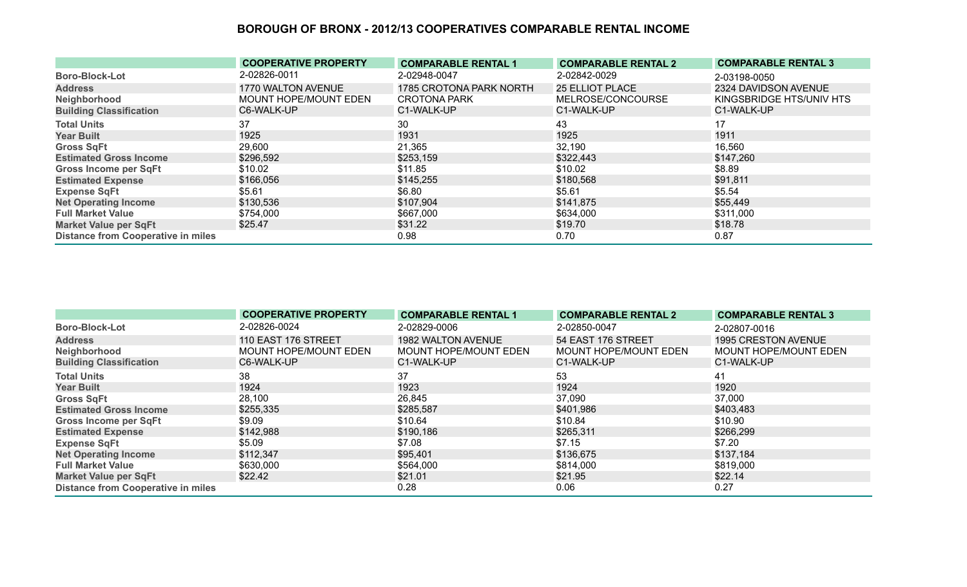|                                           | <b>COOPERATIVE PROPERTY</b> | <b>COMPARABLE RENTAL 1</b> | <b>COMPARABLE RENTAL 2</b> | <b>COMPARABLE RENTAL 3</b> |
|-------------------------------------------|-----------------------------|----------------------------|----------------------------|----------------------------|
| <b>Boro-Block-Lot</b>                     | 2-02826-0011                | 2-02948-0047               | 2-02842-0029               | 2-03198-0050               |
| <b>Address</b>                            | 1770 WALTON AVENUE          | 1785 CROTONA PARK NORTH    | <b>25 ELLIOT PLACE</b>     | 2324 DAVIDSON AVENUE       |
| Neighborhood                              | MOUNT HOPE/MOUNT EDEN       | <b>CROTONA PARK</b>        | MELROSE/CONCOURSE          | KINGSBRIDGE HTS/UNIV HTS   |
| <b>Building Classification</b>            | C6-WALK-UP                  | C1-WALK-UP                 | C1-WALK-UP                 | C1-WALK-UP                 |
| <b>Total Units</b>                        | 37                          | 30                         | 43                         | 17                         |
| <b>Year Built</b>                         | 1925                        | 1931                       | 1925                       | 1911                       |
| <b>Gross SqFt</b>                         | 29,600                      | 21,365                     | 32,190                     | 16,560                     |
| <b>Estimated Gross Income</b>             | \$296,592                   | \$253,159                  | \$322,443                  | \$147,260                  |
| <b>Gross Income per SqFt</b>              | \$10.02                     | \$11.85                    | \$10.02                    | \$8.89                     |
| <b>Estimated Expense</b>                  | \$166,056                   | \$145,255                  | \$180,568                  | \$91,811                   |
| <b>Expense SqFt</b>                       | \$5.61                      | \$6.80                     | \$5.61                     | \$5.54                     |
| <b>Net Operating Income</b>               | \$130,536                   | \$107,904                  | \$141,875                  | \$55,449                   |
| <b>Full Market Value</b>                  | \$754,000                   | \$667,000                  | \$634,000                  | \$311,000                  |
| <b>Market Value per SqFt</b>              | \$25.47                     | \$31.22                    | \$19.70                    | \$18.78                    |
| <b>Distance from Cooperative in miles</b> |                             | 0.98                       | 0.70                       | 0.87                       |

|                                           | <b>COOPERATIVE PROPERTY</b> | <b>COMPARABLE RENTAL 1</b> | <b>COMPARABLE RENTAL 2</b> | <b>COMPARABLE RENTAL 3</b>   |
|-------------------------------------------|-----------------------------|----------------------------|----------------------------|------------------------------|
| <b>Boro-Block-Lot</b>                     | 2-02826-0024                | 2-02829-0006               | 2-02850-0047               | 2-02807-0016                 |
| <b>Address</b>                            | 110 EAST 176 STREET         | <b>1982 WALTON AVENUE</b>  | 54 EAST 176 STREET         | 1995 CRESTON AVENUE          |
| Neighborhood                              | MOUNT HOPE/MOUNT EDEN       | MOUNT HOPE/MOUNT EDEN      | MOUNT HOPE/MOUNT EDEN      | <b>MOUNT HOPE/MOUNT EDEN</b> |
| <b>Building Classification</b>            | C6-WALK-UP                  | C1-WALK-UP                 | C1-WALK-UP                 | C1-WALK-UP                   |
| <b>Total Units</b>                        | 38                          | 37                         | 53                         | 41                           |
| <b>Year Built</b>                         | 1924                        | 1923                       | 1924                       | 1920                         |
| <b>Gross SqFt</b>                         | 28,100                      | 26,845                     | 37,090                     | 37,000                       |
| <b>Estimated Gross Income</b>             | \$255,335                   | \$285,587                  | \$401,986                  | \$403,483                    |
| <b>Gross Income per SqFt</b>              | \$9.09                      | \$10.64                    | \$10.84                    | \$10.90                      |
| <b>Estimated Expense</b>                  | \$142,988                   | \$190,186                  | \$265,311                  | \$266,299                    |
| <b>Expense SqFt</b>                       | \$5.09                      | \$7.08                     | \$7.15                     | \$7.20                       |
| <b>Net Operating Income</b>               | \$112,347                   | \$95,401                   | \$136,675                  | \$137,184                    |
| <b>Full Market Value</b>                  | \$630,000                   | \$564,000                  | \$814,000                  | \$819,000                    |
| <b>Market Value per SqFt</b>              | \$22.42                     | \$21.01                    | \$21.95                    | \$22.14                      |
| <b>Distance from Cooperative in miles</b> |                             | 0.28                       | 0.06                       | 0.27                         |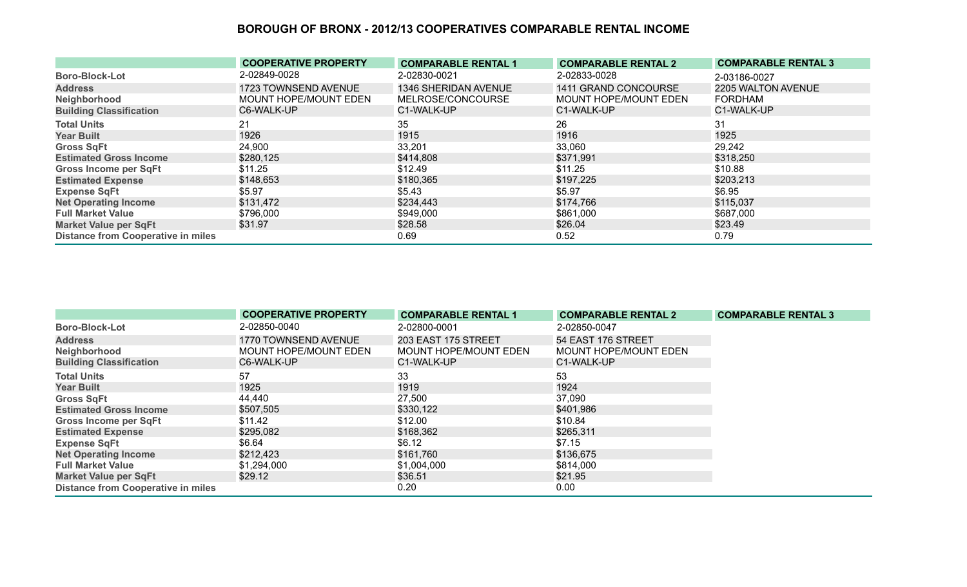|                                           | <b>COOPERATIVE PROPERTY</b> | <b>COMPARABLE RENTAL 1</b> | <b>COMPARABLE RENTAL 2</b> | <b>COMPARABLE RENTAL 3</b> |
|-------------------------------------------|-----------------------------|----------------------------|----------------------------|----------------------------|
| <b>Boro-Block-Lot</b>                     | 2-02849-0028                | 2-02830-0021               | 2-02833-0028               | 2-03186-0027               |
| <b>Address</b>                            | 1723 TOWNSEND AVENUE        | 1346 SHERIDAN AVENUE       | 1411 GRAND CONCOURSE       | 2205 WALTON AVENUE         |
| Neighborhood                              | MOUNT HOPE/MOUNT EDEN       | MELROSE/CONCOURSE          | MOUNT HOPE/MOUNT EDEN      | <b>FORDHAM</b>             |
| <b>Building Classification</b>            | C6-WALK-UP                  | C1-WALK-UP                 | C1-WALK-UP                 | C1-WALK-UP                 |
| <b>Total Units</b>                        | 21                          | 35                         | 26                         | 31                         |
| <b>Year Built</b>                         | 1926                        | 1915                       | 1916                       | 1925                       |
| <b>Gross SqFt</b>                         | 24,900                      | 33,201                     | 33,060                     | 29,242                     |
| <b>Estimated Gross Income</b>             | \$280,125                   | \$414,808                  | \$371,991                  | \$318,250                  |
| <b>Gross Income per SqFt</b>              | \$11.25                     | \$12.49                    | \$11.25                    | \$10.88                    |
| <b>Estimated Expense</b>                  | \$148,653                   | \$180,365                  | \$197,225                  | \$203,213                  |
| <b>Expense SqFt</b>                       | \$5.97                      | \$5.43                     | \$5.97                     | \$6.95                     |
| <b>Net Operating Income</b>               | \$131,472                   | \$234,443                  | \$174,766                  | \$115,037                  |
| <b>Full Market Value</b>                  | \$796,000                   | \$949,000                  | \$861,000                  | \$687,000                  |
| <b>Market Value per SqFt</b>              | \$31.97                     | \$28.58                    | \$26.04                    | \$23.49                    |
| <b>Distance from Cooperative in miles</b> |                             | 0.69                       | 0.52                       | 0.79                       |

|                                           | <b>COOPERATIVE PROPERTY</b>  | <b>COMPARABLE RENTAL 1</b>   | <b>COMPARABLE RENTAL 2</b>   | <b>COMPARABLE RENTAL 3</b> |
|-------------------------------------------|------------------------------|------------------------------|------------------------------|----------------------------|
| <b>Boro-Block-Lot</b>                     | 2-02850-0040                 | 2-02800-0001                 | 2-02850-0047                 |                            |
| <b>Address</b>                            | 1770 TOWNSEND AVENUE         | 203 EAST 175 STREET          | 54 EAST 176 STREET           |                            |
| Neighborhood                              | <b>MOUNT HOPE/MOUNT EDEN</b> | <b>MOUNT HOPE/MOUNT EDEN</b> | <b>MOUNT HOPE/MOUNT EDEN</b> |                            |
| <b>Building Classification</b>            | C6-WALK-UP                   | C1-WALK-UP                   | C1-WALK-UP                   |                            |
| <b>Total Units</b>                        | 57                           | 33                           | 53                           |                            |
| <b>Year Built</b>                         | 1925                         | 1919                         | 1924                         |                            |
| <b>Gross SqFt</b>                         | 44,440                       | 27,500                       | 37,090                       |                            |
| <b>Estimated Gross Income</b>             | \$507,505                    | \$330,122                    | \$401,986                    |                            |
| <b>Gross Income per SqFt</b>              | \$11.42                      | \$12.00                      | \$10.84                      |                            |
| <b>Estimated Expense</b>                  | \$295,082                    | \$168,362                    | \$265,311                    |                            |
| <b>Expense SqFt</b>                       | \$6.64                       | \$6.12                       | \$7.15                       |                            |
| <b>Net Operating Income</b>               | \$212,423                    | \$161,760                    | \$136,675                    |                            |
| <b>Full Market Value</b>                  | \$1,294,000                  | \$1,004,000                  | \$814,000                    |                            |
| <b>Market Value per SqFt</b>              | \$29.12                      | \$36.51                      | \$21.95                      |                            |
| <b>Distance from Cooperative in miles</b> |                              | 0.20                         | 0.00                         |                            |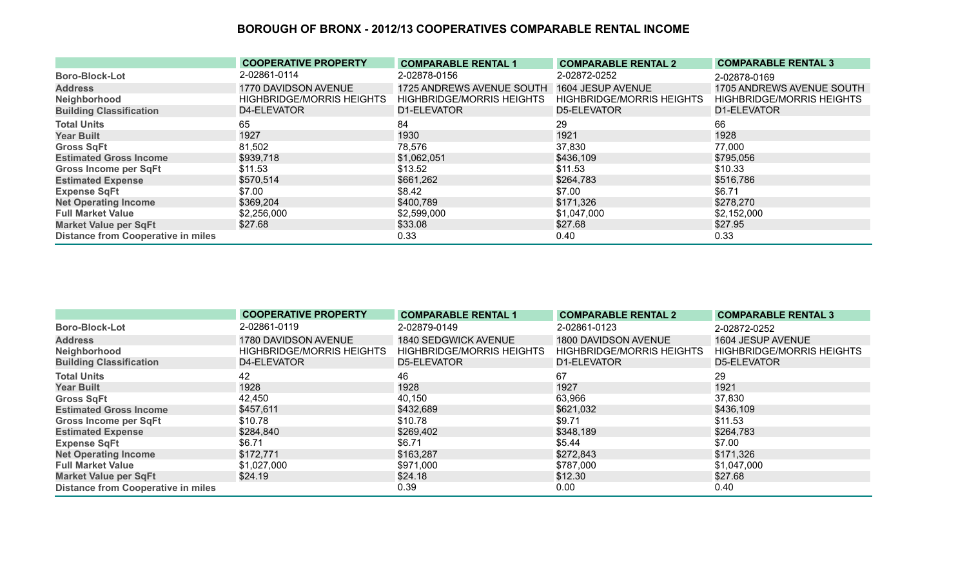|                                           | <b>COOPERATIVE PROPERTY</b>      | <b>COMPARABLE RENTAL 1</b>       | <b>COMPARABLE RENTAL 2</b>       | <b>COMPARABLE RENTAL 3</b>       |
|-------------------------------------------|----------------------------------|----------------------------------|----------------------------------|----------------------------------|
| <b>Boro-Block-Lot</b>                     | 2-02861-0114                     | 2-02878-0156                     | 2-02872-0252                     | 2-02878-0169                     |
| <b>Address</b>                            | 1770 DAVIDSON AVENUE             | 1725 ANDREWS AVENUE SOUTH        | 1604 JESUP AVENUE                | 1705 ANDREWS AVENUE SOUTH        |
| Neighborhood                              | <b>HIGHBRIDGE/MORRIS HEIGHTS</b> | <b>HIGHBRIDGE/MORRIS HEIGHTS</b> | <b>HIGHBRIDGE/MORRIS HEIGHTS</b> | <b>HIGHBRIDGE/MORRIS HEIGHTS</b> |
| <b>Building Classification</b>            | D4-ELEVATOR                      | D1-ELEVATOR                      | D5-ELEVATOR                      | D1-ELEVATOR                      |
| <b>Total Units</b>                        | 65                               | 84                               | 29                               | 66                               |
| <b>Year Built</b>                         | 1927                             | 1930                             | 1921                             | 1928                             |
| <b>Gross SqFt</b>                         | 81,502                           | 78,576                           | 37,830                           | 77,000                           |
| <b>Estimated Gross Income</b>             | \$939,718                        | \$1,062,051                      | \$436,109                        | \$795,056                        |
| <b>Gross Income per SqFt</b>              | \$11.53                          | \$13.52                          | \$11.53                          | \$10.33                          |
| <b>Estimated Expense</b>                  | \$570,514                        | \$661,262                        | \$264,783                        | \$516,786                        |
| <b>Expense SqFt</b>                       | \$7.00                           | \$8.42                           | \$7.00                           | \$6.71                           |
| <b>Net Operating Income</b>               | \$369,204                        | \$400,789                        | \$171,326                        | \$278,270                        |
| <b>Full Market Value</b>                  | \$2,256,000                      | \$2,599,000                      | \$1,047,000                      | \$2,152,000                      |
| <b>Market Value per SqFt</b>              | \$27.68                          | \$33.08                          | \$27.68                          | \$27.95                          |
| <b>Distance from Cooperative in miles</b> |                                  | 0.33                             | 0.40                             | 0.33                             |

|                                           | <b>COOPERATIVE PROPERTY</b>      | <b>COMPARABLE RENTAL 1</b>       | <b>COMPARABLE RENTAL 2</b>       | <b>COMPARABLE RENTAL 3</b>       |
|-------------------------------------------|----------------------------------|----------------------------------|----------------------------------|----------------------------------|
| <b>Boro-Block-Lot</b>                     | 2-02861-0119                     | 2-02879-0149                     | 2-02861-0123                     | 2-02872-0252                     |
| <b>Address</b>                            | 1780 DAVIDSON AVENUE             | 1840 SEDGWICK AVENUE             | 1800 DAVIDSON AVENUE             | 1604 JESUP AVENUE                |
| Neighborhood                              | <b>HIGHBRIDGE/MORRIS HEIGHTS</b> | <b>HIGHBRIDGE/MORRIS HEIGHTS</b> | <b>HIGHBRIDGE/MORRIS HEIGHTS</b> | <b>HIGHBRIDGE/MORRIS HEIGHTS</b> |
| <b>Building Classification</b>            | D4-ELEVATOR                      | D5-ELEVATOR                      | D1-ELEVATOR                      | D5-ELEVATOR                      |
| <b>Total Units</b>                        | 42                               | 46                               | 67                               | 29                               |
| <b>Year Built</b>                         | 1928                             | 1928                             | 1927                             | 1921                             |
| <b>Gross SqFt</b>                         | 42,450                           | 40,150                           | 63,966                           | 37,830                           |
| <b>Estimated Gross Income</b>             | \$457,611                        | \$432,689                        | \$621,032                        | \$436,109                        |
| <b>Gross Income per SqFt</b>              | \$10.78                          | \$10.78                          | \$9.71                           | \$11.53                          |
| <b>Estimated Expense</b>                  | \$284,840                        | \$269,402                        | \$348,189                        | \$264,783                        |
| <b>Expense SqFt</b>                       | \$6.71                           | \$6.71                           | \$5.44                           | \$7.00                           |
| <b>Net Operating Income</b>               | \$172,771                        | \$163,287                        | \$272,843                        | \$171,326                        |
| <b>Full Market Value</b>                  | \$1,027,000                      | \$971,000                        | \$787,000                        | \$1,047,000                      |
| <b>Market Value per SqFt</b>              | \$24.19                          | \$24.18                          | \$12.30                          | \$27.68                          |
| <b>Distance from Cooperative in miles</b> |                                  | 0.39                             | 0.00                             | 0.40                             |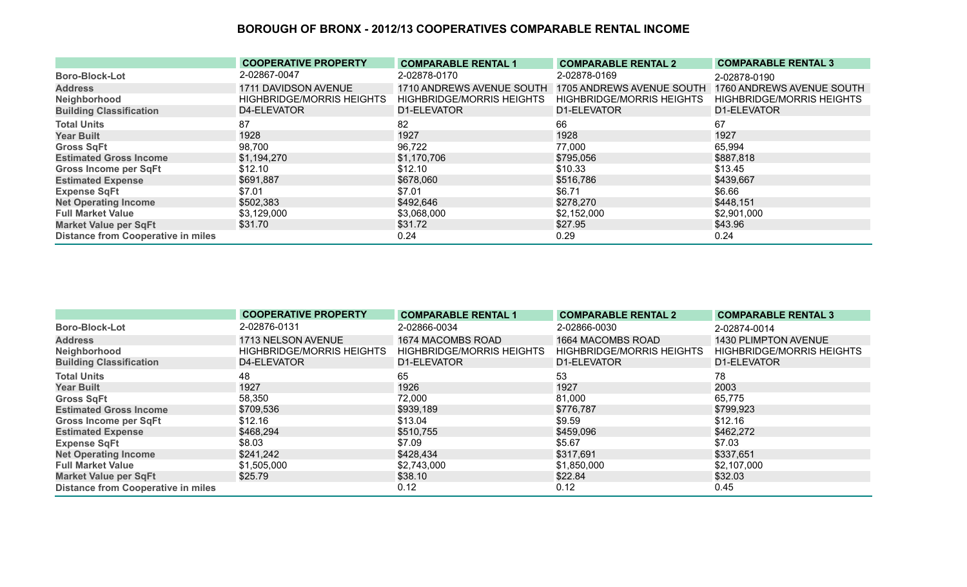|                                           | <b>COOPERATIVE PROPERTY</b>      | <b>COMPARABLE RENTAL 1</b>       | <b>COMPARABLE RENTAL 2</b>       | <b>COMPARABLE RENTAL 3</b>       |
|-------------------------------------------|----------------------------------|----------------------------------|----------------------------------|----------------------------------|
| <b>Boro-Block-Lot</b>                     | 2-02867-0047                     | 2-02878-0170                     | 2-02878-0169                     | 2-02878-0190                     |
| <b>Address</b>                            | 1711 DAVIDSON AVENUE             | 1710 ANDREWS AVENUE SOUTH        | 1705 ANDREWS AVENUE SOUTH        | 1760 ANDREWS AVENUE SOUTH        |
| Neighborhood                              | <b>HIGHBRIDGE/MORRIS HEIGHTS</b> | <b>HIGHBRIDGE/MORRIS HEIGHTS</b> | <b>HIGHBRIDGE/MORRIS HEIGHTS</b> | <b>HIGHBRIDGE/MORRIS HEIGHTS</b> |
| <b>Building Classification</b>            | D4-ELEVATOR                      | D1-ELEVATOR                      | D1-ELEVATOR                      | D1-ELEVATOR                      |
| <b>Total Units</b>                        | 87                               | 82                               | 66                               | 67                               |
| <b>Year Built</b>                         | 1928                             | 1927                             | 1928                             | 1927                             |
| <b>Gross SqFt</b>                         | 98,700                           | 96,722                           | 77,000                           | 65,994                           |
| <b>Estimated Gross Income</b>             | \$1,194,270                      | \$1,170,706                      | \$795,056                        | \$887,818                        |
| <b>Gross Income per SqFt</b>              | \$12.10                          | \$12.10                          | \$10.33                          | \$13.45                          |
| <b>Estimated Expense</b>                  | \$691,887                        | \$678,060                        | \$516,786                        | \$439,667                        |
| <b>Expense SqFt</b>                       | \$7.01                           | \$7.01                           | \$6.71                           | \$6.66                           |
| <b>Net Operating Income</b>               | \$502,383                        | \$492,646                        | \$278,270                        | \$448,151                        |
| <b>Full Market Value</b>                  | \$3,129,000                      | \$3,068,000                      | \$2,152,000                      | \$2,901,000                      |
| Market Value per SqFt                     | \$31.70                          | \$31.72                          | \$27.95                          | \$43.96                          |
| <b>Distance from Cooperative in miles</b> |                                  | 0.24                             | 0.29                             | 0.24                             |

|                                           | <b>COOPERATIVE PROPERTY</b>      | <b>COMPARABLE RENTAL 1</b>       | <b>COMPARABLE RENTAL 2</b>       | <b>COMPARABLE RENTAL 3</b>       |
|-------------------------------------------|----------------------------------|----------------------------------|----------------------------------|----------------------------------|
| <b>Boro-Block-Lot</b>                     | 2-02876-0131                     | 2-02866-0034                     | 2-02866-0030                     | 2-02874-0014                     |
| <b>Address</b>                            | 1713 NELSON AVENUE               | 1674 MACOMBS ROAD                | 1664 MACOMBS ROAD                | 1430 PLIMPTON AVENUE             |
| Neighborhood                              | <b>HIGHBRIDGE/MORRIS HEIGHTS</b> | <b>HIGHBRIDGE/MORRIS HEIGHTS</b> | <b>HIGHBRIDGE/MORRIS HEIGHTS</b> | <b>HIGHBRIDGE/MORRIS HEIGHTS</b> |
| <b>Building Classification</b>            | D4-ELEVATOR                      | D1-ELEVATOR                      | D1-ELEVATOR                      | D1-ELEVATOR                      |
| <b>Total Units</b>                        | 48                               | 65                               | 53                               | 78                               |
| <b>Year Built</b>                         | 1927                             | 1926                             | 1927                             | 2003                             |
| <b>Gross SqFt</b>                         | 58,350                           | 72,000                           | 81,000                           | 65,775                           |
| <b>Estimated Gross Income</b>             | \$709,536                        | \$939,189                        | \$776,787                        | \$799,923                        |
| <b>Gross Income per SqFt</b>              | \$12.16                          | \$13.04                          | \$9.59                           | \$12.16                          |
| <b>Estimated Expense</b>                  | \$468,294                        | \$510,755                        | \$459,096                        | \$462,272                        |
| <b>Expense SqFt</b>                       | \$8.03                           | \$7.09                           | \$5.67                           | \$7.03                           |
| <b>Net Operating Income</b>               | \$241,242                        | \$428,434                        | \$317,691                        | \$337,651                        |
| <b>Full Market Value</b>                  | \$1,505,000                      | \$2,743,000                      | \$1,850,000                      | \$2,107,000                      |
| <b>Market Value per SqFt</b>              | \$25.79                          | \$38.10                          | \$22.84                          | \$32.03                          |
| <b>Distance from Cooperative in miles</b> |                                  | 0.12                             | 0.12                             | 0.45                             |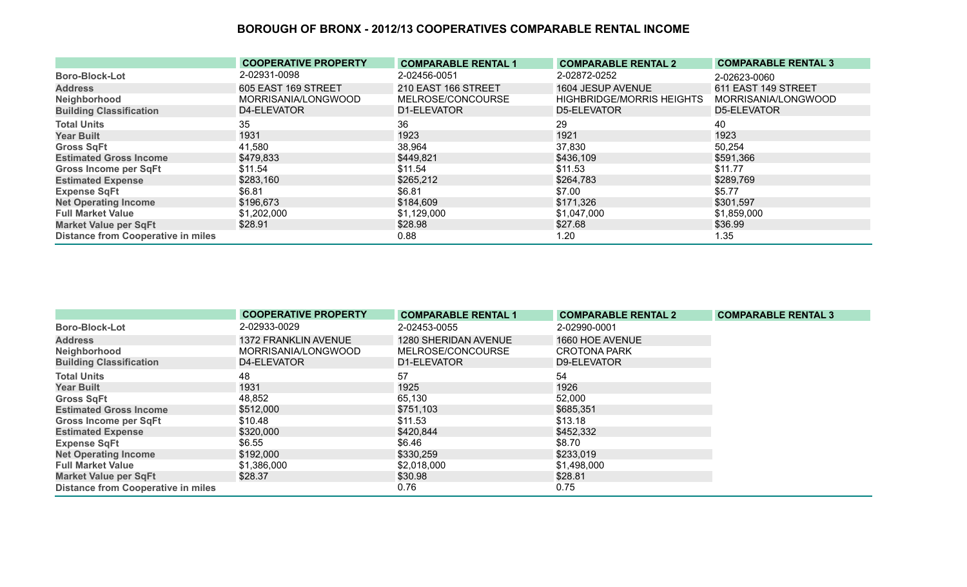|                                           | <b>COOPERATIVE PROPERTY</b> | <b>COMPARABLE RENTAL 1</b> | <b>COMPARABLE RENTAL 2</b>       | <b>COMPARABLE RENTAL 3</b> |
|-------------------------------------------|-----------------------------|----------------------------|----------------------------------|----------------------------|
| <b>Boro-Block-Lot</b>                     | 2-02931-0098                | 2-02456-0051               | 2-02872-0252                     | 2-02623-0060               |
| <b>Address</b>                            | 605 EAST 169 STREET         | 210 EAST 166 STREET        | 1604 JESUP AVENUE                | 611 EAST 149 STREET        |
| Neighborhood                              | MORRISANIA/LONGWOOD         | MELROSE/CONCOURSE          | <b>HIGHBRIDGE/MORRIS HEIGHTS</b> | MORRISANIA/LONGWOOD        |
| <b>Building Classification</b>            | D4-ELEVATOR                 | D1-ELEVATOR                | D5-ELEVATOR                      | D5-ELEVATOR                |
| <b>Total Units</b>                        | 35                          | 36                         | 29                               | 40                         |
| <b>Year Built</b>                         | 1931                        | 1923                       | 1921                             | 1923                       |
| <b>Gross SqFt</b>                         | 41,580                      | 38,964                     | 37,830                           | 50,254                     |
| <b>Estimated Gross Income</b>             | \$479,833                   | \$449,821                  | \$436,109                        | \$591,366                  |
| <b>Gross Income per SqFt</b>              | \$11.54                     | \$11.54                    | \$11.53                          | \$11.77                    |
| <b>Estimated Expense</b>                  | \$283,160                   | \$265,212                  | \$264,783                        | \$289,769                  |
| <b>Expense SqFt</b>                       | \$6.81                      | \$6.81                     | \$7.00                           | \$5.77                     |
| <b>Net Operating Income</b>               | \$196,673                   | \$184,609                  | \$171,326                        | \$301,597                  |
| <b>Full Market Value</b>                  | \$1,202,000                 | \$1,129,000                | \$1,047,000                      | \$1,859,000                |
| <b>Market Value per SqFt</b>              | \$28.91                     | \$28.98                    | \$27.68                          | \$36.99                    |
| <b>Distance from Cooperative in miles</b> |                             | 0.88                       | 1.20                             | 1.35                       |

|                                           | <b>COOPERATIVE PROPERTY</b> | <b>COMPARABLE RENTAL 1</b>  | <b>COMPARABLE RENTAL 2</b> | <b>COMPARABLE RENTAL 3</b> |
|-------------------------------------------|-----------------------------|-----------------------------|----------------------------|----------------------------|
| <b>Boro-Block-Lot</b>                     | 2-02933-0029                | 2-02453-0055                | 2-02990-0001               |                            |
| <b>Address</b>                            | <b>1372 FRANKLIN AVENUE</b> | <b>1280 SHERIDAN AVENUE</b> | 1660 HOE AVENUE            |                            |
| Neighborhood                              | MORRISANIA/LONGWOOD         | MELROSE/CONCOURSE           | <b>CROTONA PARK</b>        |                            |
| <b>Building Classification</b>            | D4-ELEVATOR                 | D1-ELEVATOR                 | D9-ELEVATOR                |                            |
| <b>Total Units</b>                        | 48                          | 57                          | 54                         |                            |
| <b>Year Built</b>                         | 1931                        | 1925                        | 1926                       |                            |
| <b>Gross SqFt</b>                         | 48,852                      | 65,130                      | 52,000                     |                            |
| <b>Estimated Gross Income</b>             | \$512,000                   | \$751,103                   | \$685,351                  |                            |
| Gross Income per SqFt                     | \$10.48                     | \$11.53                     | \$13.18                    |                            |
| <b>Estimated Expense</b>                  | \$320,000                   | \$420,844                   | \$452,332                  |                            |
| <b>Expense SqFt</b>                       | \$6.55                      | \$6.46                      | \$8.70                     |                            |
| <b>Net Operating Income</b>               | \$192,000                   | \$330,259                   | \$233,019                  |                            |
| <b>Full Market Value</b>                  | \$1,386,000                 | \$2,018,000                 | \$1,498,000                |                            |
| <b>Market Value per SqFt</b>              | \$28.37                     | \$30.98                     | \$28.81                    |                            |
| <b>Distance from Cooperative in miles</b> |                             | 0.76                        | 0.75                       |                            |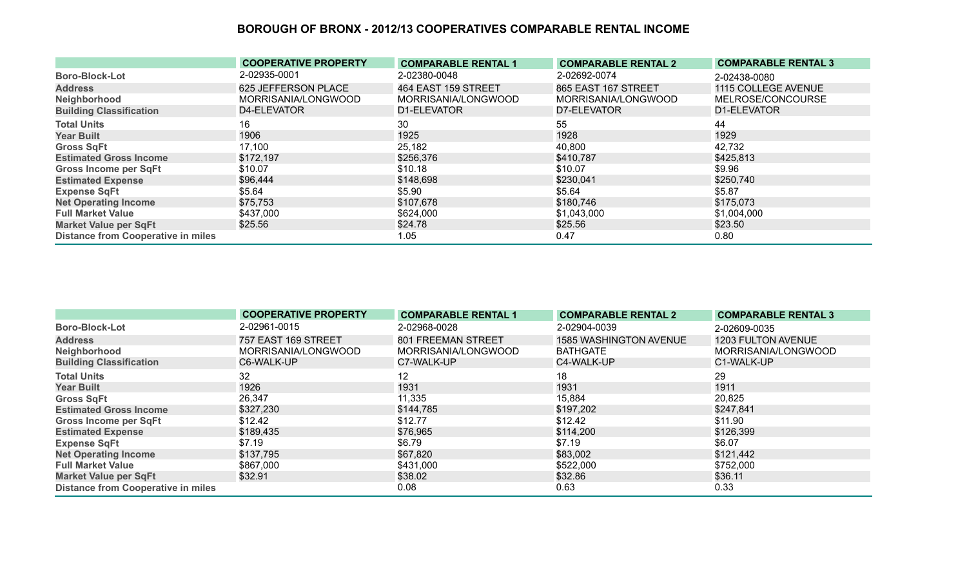|                                           | <b>COOPERATIVE PROPERTY</b> | <b>COMPARABLE RENTAL 1</b> | <b>COMPARABLE RENTAL 2</b> | <b>COMPARABLE RENTAL 3</b> |
|-------------------------------------------|-----------------------------|----------------------------|----------------------------|----------------------------|
| <b>Boro-Block-Lot</b>                     | 2-02935-0001                | 2-02380-0048               | 2-02692-0074               | 2-02438-0080               |
| <b>Address</b>                            | 625 JEFFERSON PLACE         | 464 EAST 159 STREET        | 865 EAST 167 STREET        | 1115 COLLEGE AVENUE        |
| Neighborhood                              | MORRISANIA/LONGWOOD         | MORRISANIA/LONGWOOD        | MORRISANIA/LONGWOOD        | MELROSE/CONCOURSE          |
| <b>Building Classification</b>            | D4-ELEVATOR                 | D1-ELEVATOR                | D7-ELEVATOR                | D1-ELEVATOR                |
| <b>Total Units</b>                        | 16.                         | 30                         | 55                         | 44                         |
| <b>Year Built</b>                         | 1906                        | 1925                       | 1928                       | 1929                       |
| <b>Gross SqFt</b>                         | 17,100                      | 25,182                     | 40,800                     | 42,732                     |
| <b>Estimated Gross Income</b>             | \$172,197                   | \$256,376                  | \$410,787                  | \$425,813                  |
| <b>Gross Income per SqFt</b>              | \$10.07                     | \$10.18                    | \$10.07                    | \$9.96                     |
| <b>Estimated Expense</b>                  | \$96,444                    | \$148,698                  | \$230,041                  | \$250,740                  |
| <b>Expense SqFt</b>                       | \$5.64                      | \$5.90                     | \$5.64                     | \$5.87                     |
| <b>Net Operating Income</b>               | \$75,753                    | \$107,678                  | \$180,746                  | \$175,073                  |
| <b>Full Market Value</b>                  | \$437,000                   | \$624,000                  | \$1,043,000                | \$1,004,000                |
| <b>Market Value per SqFt</b>              | \$25.56                     | \$24.78                    | \$25.56                    | \$23.50                    |
| <b>Distance from Cooperative in miles</b> |                             | 1.05                       | 0.47                       | 0.80                       |

|                                           | <b>COOPERATIVE PROPERTY</b> | <b>COMPARABLE RENTAL 1</b> | <b>COMPARABLE RENTAL 2</b>    | <b>COMPARABLE RENTAL 3</b> |
|-------------------------------------------|-----------------------------|----------------------------|-------------------------------|----------------------------|
| <b>Boro-Block-Lot</b>                     | 2-02961-0015                | 2-02968-0028               | 2-02904-0039                  | 2-02609-0035               |
| <b>Address</b>                            | 757 EAST 169 STREET         | 801 FREEMAN STREET         | <b>1585 WASHINGTON AVENUE</b> | 1203 FULTON AVENUE         |
| Neighborhood                              | MORRISANIA/LONGWOOD         | MORRISANIA/LONGWOOD        | <b>BATHGATE</b>               | MORRISANIA/LONGWOOD        |
| <b>Building Classification</b>            | C6-WALK-UP                  | C7-WALK-UP                 | C4-WALK-UP                    | C1-WALK-UP                 |
| <b>Total Units</b>                        | 32                          | 12                         | 18                            | 29                         |
| <b>Year Built</b>                         | 1926                        | 1931                       | 1931                          | 1911                       |
| <b>Gross SqFt</b>                         | 26,347                      | 11,335                     | 15,884                        | 20,825                     |
| <b>Estimated Gross Income</b>             | \$327,230                   | \$144,785                  | \$197,202                     | \$247,841                  |
| <b>Gross Income per SqFt</b>              | \$12.42                     | \$12.77                    | \$12.42                       | \$11.90                    |
| <b>Estimated Expense</b>                  | \$189,435                   | \$76,965                   | \$114,200                     | \$126,399                  |
| <b>Expense SqFt</b>                       | \$7.19                      | \$6.79                     | \$7.19                        | \$6.07                     |
| <b>Net Operating Income</b>               | \$137,795                   | \$67,820                   | \$83,002                      | \$121,442                  |
| <b>Full Market Value</b>                  | \$867,000                   | \$431,000                  | \$522,000                     | \$752,000                  |
| <b>Market Value per SqFt</b>              | \$32.91                     | \$38.02                    | \$32.86                       | \$36.11                    |
| <b>Distance from Cooperative in miles</b> |                             | 0.08                       | 0.63                          | 0.33                       |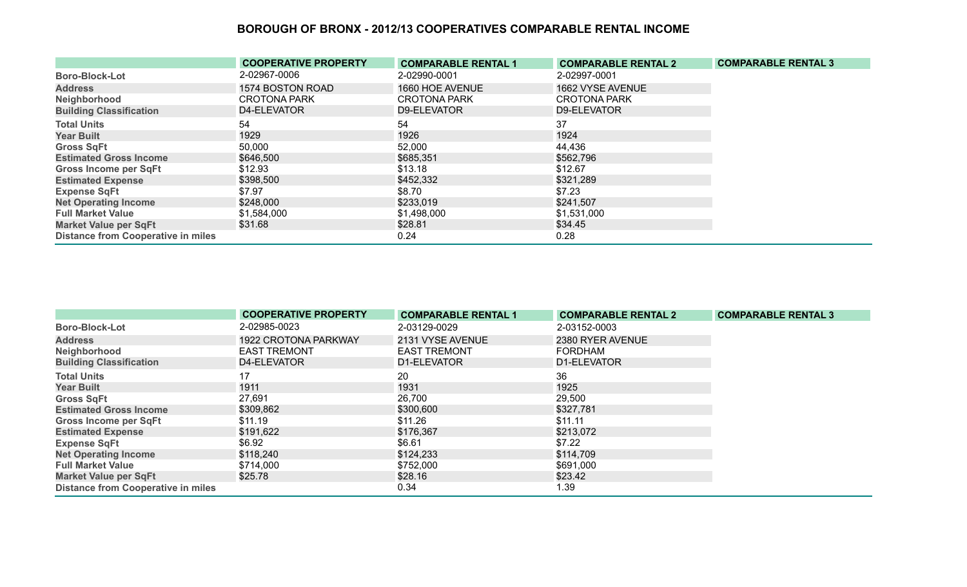|                                           | <b>COOPERATIVE PROPERTY</b> | <b>COMPARABLE RENTAL 1</b> | <b>COMPARABLE RENTAL 2</b> | <b>COMPARABLE RENTAL 3</b> |
|-------------------------------------------|-----------------------------|----------------------------|----------------------------|----------------------------|
| <b>Boro-Block-Lot</b>                     | 2-02967-0006                | 2-02990-0001               | 2-02997-0001               |                            |
| <b>Address</b>                            | 1574 BOSTON ROAD            | 1660 HOE AVENUE            | 1662 VYSE AVENUE           |                            |
| Neighborhood                              | <b>CROTONA PARK</b>         | <b>CROTONA PARK</b>        | <b>CROTONA PARK</b>        |                            |
| <b>Building Classification</b>            | D4-ELEVATOR                 | D9-ELEVATOR                | D9-ELEVATOR                |                            |
| <b>Total Units</b>                        | 54                          | 54                         | 37                         |                            |
| <b>Year Built</b>                         | 1929                        | 1926                       | 1924                       |                            |
| <b>Gross SqFt</b>                         | 50,000                      | 52,000                     | 44,436                     |                            |
| <b>Estimated Gross Income</b>             | \$646,500                   | \$685,351                  | \$562,796                  |                            |
| <b>Gross Income per SqFt</b>              | \$12.93                     | \$13.18                    | \$12.67                    |                            |
| <b>Estimated Expense</b>                  | \$398,500                   | \$452,332                  | \$321,289                  |                            |
| <b>Expense SqFt</b>                       | \$7.97                      | \$8.70                     | \$7.23                     |                            |
| <b>Net Operating Income</b>               | \$248,000                   | \$233,019                  | \$241,507                  |                            |
| <b>Full Market Value</b>                  | \$1,584,000                 | \$1,498,000                | \$1,531,000                |                            |
| <b>Market Value per SqFt</b>              | \$31.68                     | \$28.81                    | \$34.45                    |                            |
| <b>Distance from Cooperative in miles</b> |                             | 0.24                       | 0.28                       |                            |

|                                           | <b>COOPERATIVE PROPERTY</b> | <b>COMPARABLE RENTAL 1</b> | <b>COMPARABLE RENTAL 2</b> | <b>COMPARABLE RENTAL 3</b> |
|-------------------------------------------|-----------------------------|----------------------------|----------------------------|----------------------------|
| <b>Boro-Block-Lot</b>                     | 2-02985-0023                | 2-03129-0029               | 2-03152-0003               |                            |
| <b>Address</b>                            | 1922 CROTONA PARKWAY        | 2131 VYSE AVENUE           | 2380 RYER AVENUE           |                            |
| Neighborhood                              | <b>EAST TREMONT</b>         | <b>EAST TREMONT</b>        | <b>FORDHAM</b>             |                            |
| <b>Building Classification</b>            | D4-ELEVATOR                 | D1-ELEVATOR                | D1-ELEVATOR                |                            |
| <b>Total Units</b>                        | 17                          | 20                         | 36                         |                            |
| <b>Year Built</b>                         | 1911                        | 1931                       | 1925                       |                            |
| <b>Gross SqFt</b>                         | 27,691                      | 26,700                     | 29,500                     |                            |
| <b>Estimated Gross Income</b>             | \$309,862                   | \$300,600                  | \$327,781                  |                            |
| <b>Gross Income per SqFt</b>              | \$11.19                     | \$11.26                    | \$11.11                    |                            |
| <b>Estimated Expense</b>                  | \$191,622                   | \$176,367                  | \$213,072                  |                            |
| <b>Expense SqFt</b>                       | \$6.92                      | \$6.61                     | \$7.22                     |                            |
| <b>Net Operating Income</b>               | \$118,240                   | \$124,233                  | \$114,709                  |                            |
| <b>Full Market Value</b>                  | \$714,000                   | \$752,000                  | \$691,000                  |                            |
| <b>Market Value per SqFt</b>              | \$25.78                     | \$28.16                    | \$23.42                    |                            |
| <b>Distance from Cooperative in miles</b> |                             | 0.34                       | 1.39                       |                            |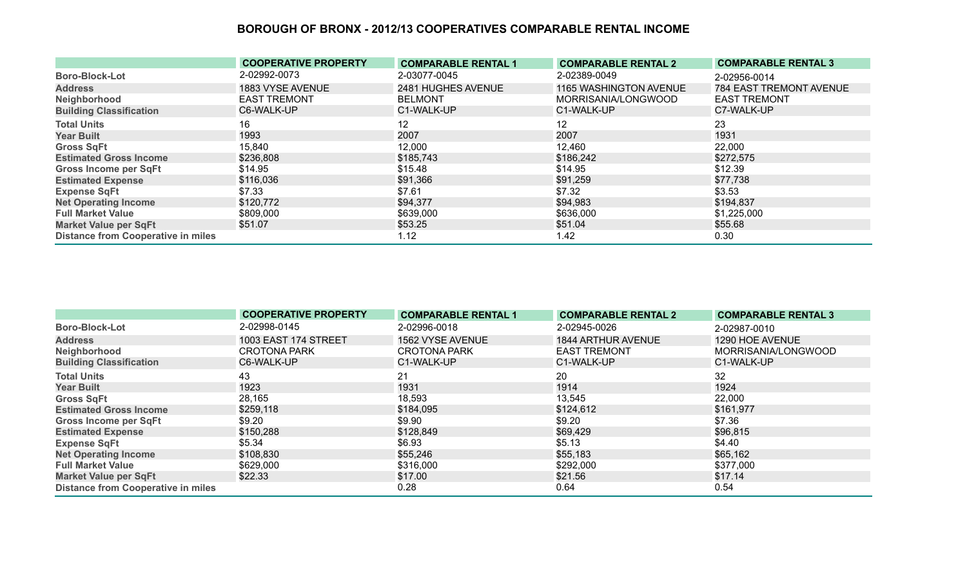|                                           | <b>COOPERATIVE PROPERTY</b> | <b>COMPARABLE RENTAL 1</b> | <b>COMPARABLE RENTAL 2</b> | <b>COMPARABLE RENTAL 3</b> |
|-------------------------------------------|-----------------------------|----------------------------|----------------------------|----------------------------|
| <b>Boro-Block-Lot</b>                     | 2-02992-0073                | 2-03077-0045               | 2-02389-0049               | 2-02956-0014               |
| <b>Address</b>                            | 1883 VYSE AVENUE            | 2481 HUGHES AVENUE         | 1165 WASHINGTON AVENUE     | 784 EAST TREMONT AVENUE    |
| Neighborhood                              | <b>EAST TREMONT</b>         | <b>BELMONT</b>             | MORRISANIA/LONGWOOD        | <b>EAST TREMONT</b>        |
| <b>Building Classification</b>            | C6-WALK-UP                  | C1-WALK-UP                 | C1-WALK-UP                 | C7-WALK-UP                 |
| <b>Total Units</b>                        | 16                          | 12                         | 12                         | 23                         |
| <b>Year Built</b>                         | 1993                        | 2007                       | 2007                       | 1931                       |
| <b>Gross SqFt</b>                         | 15,840                      | 12,000                     | 12,460                     | 22,000                     |
| <b>Estimated Gross Income</b>             | \$236,808                   | \$185,743                  | \$186,242                  | \$272,575                  |
| <b>Gross Income per SqFt</b>              | \$14.95                     | \$15.48                    | \$14.95                    | \$12.39                    |
| <b>Estimated Expense</b>                  | \$116,036                   | \$91,366                   | \$91,259                   | \$77,738                   |
| <b>Expense SqFt</b>                       | \$7.33                      | \$7.61                     | \$7.32                     | \$3.53                     |
| <b>Net Operating Income</b>               | \$120,772                   | \$94,377                   | \$94,983                   | \$194,837                  |
| <b>Full Market Value</b>                  | \$809,000                   | \$639,000                  | \$636,000                  | \$1,225,000                |
| <b>Market Value per SqFt</b>              | \$51.07                     | \$53.25                    | \$51.04                    | \$55.68                    |
| <b>Distance from Cooperative in miles</b> |                             | 1.12                       | 1.42                       | 0.30                       |

|                                           | <b>COOPERATIVE PROPERTY</b> | <b>COMPARABLE RENTAL 1</b> | <b>COMPARABLE RENTAL 2</b> | <b>COMPARABLE RENTAL 3</b> |
|-------------------------------------------|-----------------------------|----------------------------|----------------------------|----------------------------|
| <b>Boro-Block-Lot</b>                     | 2-02998-0145                | 2-02996-0018               | 2-02945-0026               | 2-02987-0010               |
| <b>Address</b>                            | <b>1003 EAST 174 STREET</b> | 1562 VYSE AVENUE           | 1844 ARTHUR AVENUE         | 1290 HOE AVENUE            |
| Neighborhood                              | <b>CROTONA PARK</b>         | <b>CROTONA PARK</b>        | <b>EAST TREMONT</b>        | MORRISANIA/LONGWOOD        |
| <b>Building Classification</b>            | C6-WALK-UP                  | C1-WALK-UP                 | C1-WALK-UP                 | C1-WALK-UP                 |
| <b>Total Units</b>                        | 43                          | 21                         | 20                         | 32                         |
| <b>Year Built</b>                         | 1923                        | 1931                       | 1914                       | 1924                       |
| <b>Gross SqFt</b>                         | 28,165                      | 18,593                     | 13,545                     | 22,000                     |
| <b>Estimated Gross Income</b>             | \$259,118                   | \$184,095                  | \$124,612                  | \$161,977                  |
| <b>Gross Income per SqFt</b>              | \$9.20                      | \$9.90                     | \$9.20                     | \$7.36                     |
| <b>Estimated Expense</b>                  | \$150,288                   | \$128,849                  | \$69,429                   | \$96,815                   |
| <b>Expense SqFt</b>                       | \$5.34                      | \$6.93                     | \$5.13                     | \$4.40                     |
| <b>Net Operating Income</b>               | \$108,830                   | \$55,246                   | \$55,183                   | \$65,162                   |
| <b>Full Market Value</b>                  | \$629,000                   | \$316,000                  | \$292,000                  | \$377,000                  |
| <b>Market Value per SqFt</b>              | \$22.33                     | \$17.00                    | \$21.56                    | \$17.14                    |
| <b>Distance from Cooperative in miles</b> |                             | 0.28                       | 0.64                       | 0.54                       |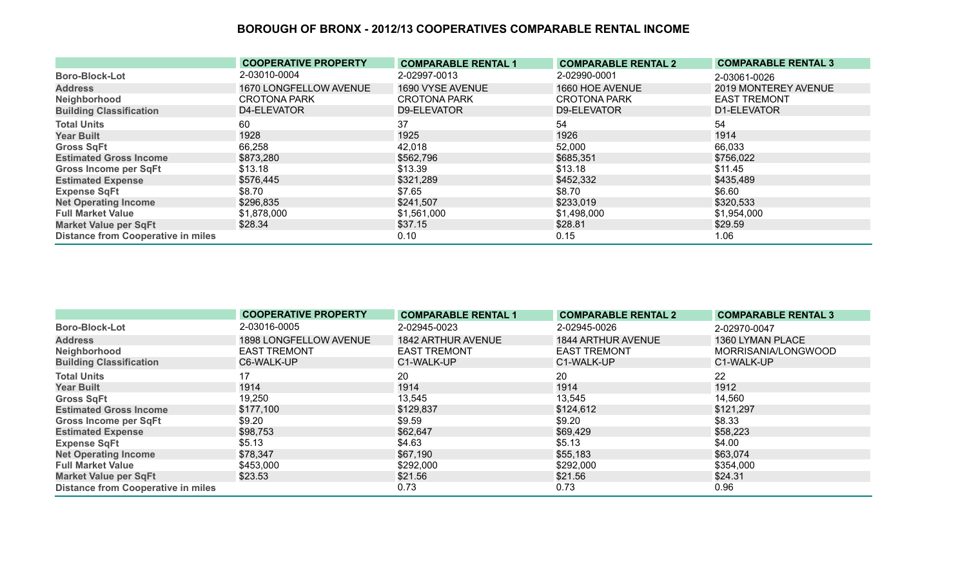|                                           | <b>COOPERATIVE PROPERTY</b> | <b>COMPARABLE RENTAL 1</b> | <b>COMPARABLE RENTAL 2</b> | <b>COMPARABLE RENTAL 3</b> |
|-------------------------------------------|-----------------------------|----------------------------|----------------------------|----------------------------|
| <b>Boro-Block-Lot</b>                     | 2-03010-0004                | 2-02997-0013               | 2-02990-0001               | 2-03061-0026               |
| <b>Address</b>                            | 1670 LONGFELLOW AVENUE      | 1690 VYSE AVENUE           | 1660 HOE AVENUE            | 2019 MONTEREY AVENUE       |
| Neighborhood                              | <b>CROTONA PARK</b>         | <b>CROTONA PARK</b>        | <b>CROTONA PARK</b>        | <b>EAST TREMONT</b>        |
| <b>Building Classification</b>            | D4-ELEVATOR                 | D9-ELEVATOR                | D9-ELEVATOR                | D1-ELEVATOR                |
| <b>Total Units</b>                        | 60                          | 37                         | 54                         | 54                         |
| <b>Year Built</b>                         | 1928                        | 1925                       | 1926                       | 1914                       |
| <b>Gross SqFt</b>                         | 66,258                      | 42,018                     | 52,000                     | 66,033                     |
| <b>Estimated Gross Income</b>             | \$873,280                   | \$562,796                  | \$685,351                  | \$756,022                  |
| <b>Gross Income per SqFt</b>              | \$13.18                     | \$13.39                    | \$13.18                    | \$11.45                    |
| <b>Estimated Expense</b>                  | \$576,445                   | \$321,289                  | \$452,332                  | \$435,489                  |
| <b>Expense SqFt</b>                       | \$8.70                      | \$7.65                     | \$8.70                     | \$6.60                     |
| <b>Net Operating Income</b>               | \$296,835                   | \$241,507                  | \$233,019                  | \$320,533                  |
| <b>Full Market Value</b>                  | \$1,878,000                 | \$1,561,000                | \$1,498,000                | \$1,954,000                |
| <b>Market Value per SqFt</b>              | \$28.34                     | \$37.15                    | \$28.81                    | \$29.59                    |
| <b>Distance from Cooperative in miles</b> |                             | 0.10                       | 0.15                       | 1.06                       |

|                                           | <b>COOPERATIVE PROPERTY</b> | <b>COMPARABLE RENTAL 1</b> | <b>COMPARABLE RENTAL 2</b> | <b>COMPARABLE RENTAL 3</b> |
|-------------------------------------------|-----------------------------|----------------------------|----------------------------|----------------------------|
| <b>Boro-Block-Lot</b>                     | 2-03016-0005                | 2-02945-0023               | 2-02945-0026               | 2-02970-0047               |
| <b>Address</b>                            | 1898 LONGFELLOW AVENUE      | 1842 ARTHUR AVENUE         | 1844 ARTHUR AVENUE         | 1360 LYMAN PLACE           |
| Neighborhood                              | <b>EAST TREMONT</b>         | <b>EAST TREMONT</b>        | <b>EAST TREMONT</b>        | MORRISANIA/LONGWOOD        |
| <b>Building Classification</b>            | C6-WALK-UP                  | C1-WALK-UP                 | C1-WALK-UP                 | C1-WALK-UP                 |
| <b>Total Units</b>                        |                             | 20                         | 20                         | 22                         |
| <b>Year Built</b>                         | 1914                        | 1914                       | 1914                       | 1912                       |
| <b>Gross SqFt</b>                         | 19,250                      | 13,545                     | 13,545                     | 14,560                     |
| <b>Estimated Gross Income</b>             | \$177,100                   | \$129,837                  | \$124,612                  | \$121,297                  |
| <b>Gross Income per SqFt</b>              | \$9.20                      | \$9.59                     | \$9.20                     | \$8.33                     |
| <b>Estimated Expense</b>                  | \$98,753                    | \$62,647                   | \$69,429                   | \$58,223                   |
| <b>Expense SqFt</b>                       | \$5.13                      | \$4.63                     | \$5.13                     | \$4.00                     |
| <b>Net Operating Income</b>               | \$78,347                    | \$67,190                   | \$55,183                   | \$63,074                   |
| <b>Full Market Value</b>                  | \$453,000                   | \$292,000                  | \$292,000                  | \$354,000                  |
| <b>Market Value per SqFt</b>              | \$23.53                     | \$21.56                    | \$21.56                    | \$24.31                    |
| <b>Distance from Cooperative in miles</b> |                             | 0.73                       | 0.73                       | 0.96                       |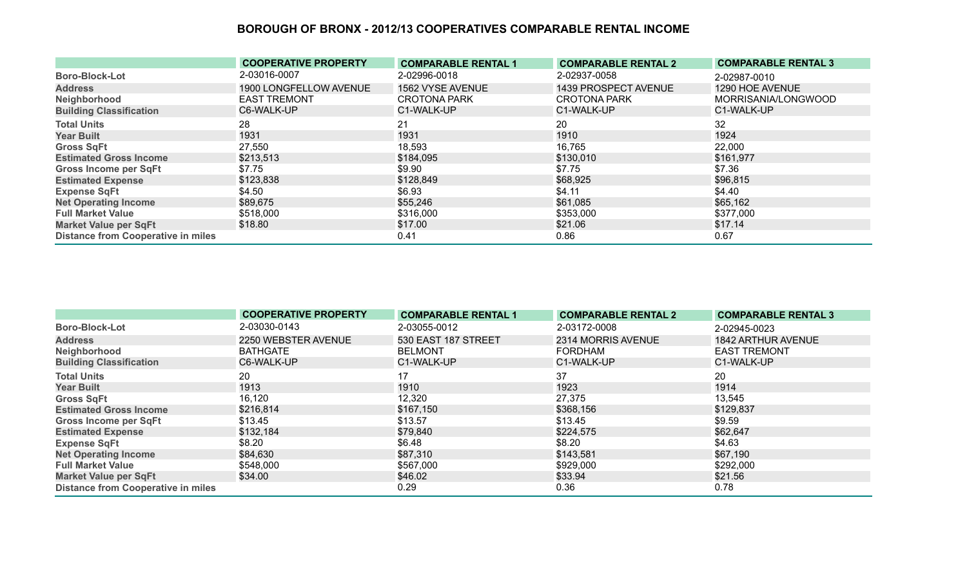|                                           | <b>COOPERATIVE PROPERTY</b> | <b>COMPARABLE RENTAL 1</b> | <b>COMPARABLE RENTAL 2</b> | <b>COMPARABLE RENTAL 3</b> |
|-------------------------------------------|-----------------------------|----------------------------|----------------------------|----------------------------|
| <b>Boro-Block-Lot</b>                     | 2-03016-0007                | 2-02996-0018               | 2-02937-0058               | 2-02987-0010               |
| <b>Address</b>                            | 1900 LONGFELLOW AVENUE      | 1562 VYSE AVENUE           | 1439 PROSPECT AVENUE       | 1290 HOE AVENUE            |
| Neighborhood                              | <b>EAST TREMONT</b>         | <b>CROTONA PARK</b>        | <b>CROTONA PARK</b>        | MORRISANIA/LONGWOOD        |
| <b>Building Classification</b>            | C6-WALK-UP                  | C1-WALK-UP                 | C1-WALK-UP                 | C1-WALK-UP                 |
| <b>Total Units</b>                        | 28                          | 21                         | 20                         | 32                         |
| <b>Year Built</b>                         | 1931                        | 1931                       | 1910                       | 1924                       |
| <b>Gross SqFt</b>                         | 27,550                      | 18,593                     | 16,765                     | 22,000                     |
| <b>Estimated Gross Income</b>             | \$213,513                   | \$184,095                  | \$130,010                  | \$161,977                  |
| <b>Gross Income per SqFt</b>              | \$7.75                      | \$9.90                     | \$7.75                     | \$7.36                     |
| <b>Estimated Expense</b>                  | \$123,838                   | \$128,849                  | \$68,925                   | \$96,815                   |
| <b>Expense SqFt</b>                       | \$4.50                      | \$6.93                     | \$4.11                     | \$4.40                     |
| <b>Net Operating Income</b>               | \$89,675                    | \$55,246                   | \$61,085                   | \$65,162                   |
| <b>Full Market Value</b>                  | \$518,000                   | \$316,000                  | \$353,000                  | \$377,000                  |
| <b>Market Value per SqFt</b>              | \$18.80                     | \$17.00                    | \$21.06                    | \$17.14                    |
| <b>Distance from Cooperative in miles</b> |                             | 0.41                       | 0.86                       | 0.67                       |

|                                           | <b>COOPERATIVE PROPERTY</b> | <b>COMPARABLE RENTAL 1</b> | <b>COMPARABLE RENTAL 2</b> | <b>COMPARABLE RENTAL 3</b> |
|-------------------------------------------|-----------------------------|----------------------------|----------------------------|----------------------------|
| <b>Boro-Block-Lot</b>                     | 2-03030-0143                | 2-03055-0012               | 2-03172-0008               | 2-02945-0023               |
| <b>Address</b>                            | 2250 WEBSTER AVENUE         | 530 EAST 187 STREET        | 2314 MORRIS AVENUE         | <b>1842 ARTHUR AVENUE</b>  |
| Neighborhood                              | <b>BATHGATE</b>             | <b>BELMONT</b>             | <b>FORDHAM</b>             | <b>EAST TREMONT</b>        |
| <b>Building Classification</b>            | C6-WALK-UP                  | C1-WALK-UP                 | C1-WALK-UP                 | C1-WALK-UP                 |
| <b>Total Units</b>                        | 20                          |                            | 37                         | 20                         |
| <b>Year Built</b>                         | 1913                        | 1910                       | 1923                       | 1914                       |
| <b>Gross SqFt</b>                         | 16,120                      | 12,320                     | 27,375                     | 13,545                     |
| <b>Estimated Gross Income</b>             | \$216,814                   | \$167,150                  | \$368,156                  | \$129,837                  |
| <b>Gross Income per SqFt</b>              | \$13.45                     | \$13.57                    | \$13.45                    | \$9.59                     |
| <b>Estimated Expense</b>                  | \$132,184                   | \$79,840                   | \$224,575                  | \$62,647                   |
| <b>Expense SqFt</b>                       | \$8.20                      | \$6.48                     | \$8.20                     | \$4.63                     |
| <b>Net Operating Income</b>               | \$84,630                    | \$87,310                   | \$143,581                  | \$67,190                   |
| <b>Full Market Value</b>                  | \$548,000                   | \$567,000                  | \$929,000                  | \$292,000                  |
| <b>Market Value per SqFt</b>              | \$34.00                     | \$46.02                    | \$33.94                    | \$21.56                    |
| <b>Distance from Cooperative in miles</b> |                             | 0.29                       | 0.36                       | 0.78                       |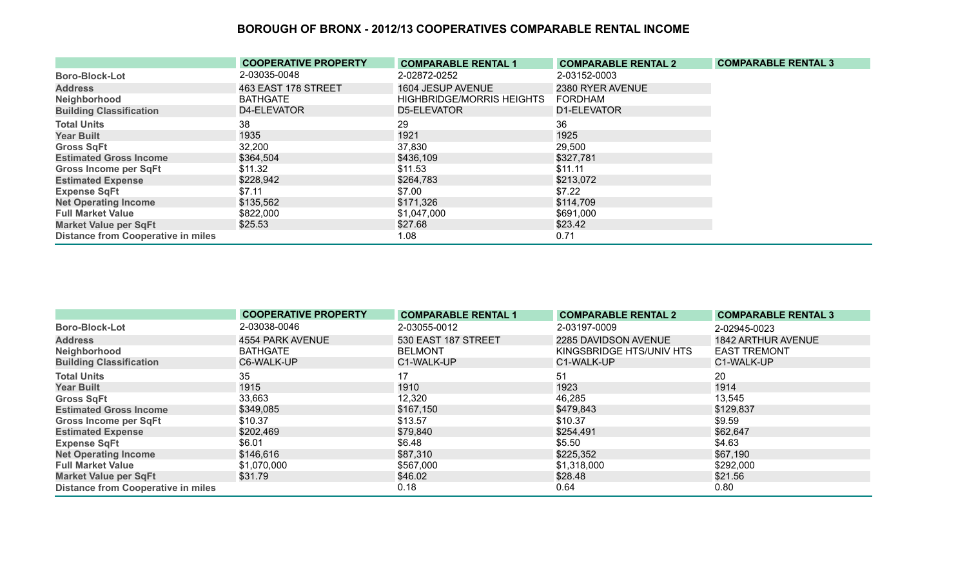|                                           | <b>COOPERATIVE PROPERTY</b> | <b>COMPARABLE RENTAL 1</b>       | <b>COMPARABLE RENTAL 2</b> | <b>COMPARABLE RENTAL 3</b> |
|-------------------------------------------|-----------------------------|----------------------------------|----------------------------|----------------------------|
| <b>Boro-Block-Lot</b>                     | 2-03035-0048                | 2-02872-0252                     | 2-03152-0003               |                            |
| <b>Address</b>                            | 463 EAST 178 STREET         | 1604 JESUP AVENUE                | 2380 RYER AVENUE           |                            |
| Neighborhood                              | <b>BATHGATE</b>             | <b>HIGHBRIDGE/MORRIS HEIGHTS</b> | <b>FORDHAM</b>             |                            |
| <b>Building Classification</b>            | D4-ELEVATOR                 | D5-ELEVATOR                      | D1-ELEVATOR                |                            |
| <b>Total Units</b>                        | 38                          | 29                               | 36                         |                            |
| <b>Year Built</b>                         | 1935                        | 1921                             | 1925                       |                            |
| <b>Gross SqFt</b>                         | 32,200                      | 37,830                           | 29,500                     |                            |
| <b>Estimated Gross Income</b>             | \$364,504                   | \$436,109                        | \$327,781                  |                            |
| <b>Gross Income per SqFt</b>              | \$11.32                     | \$11.53                          | \$11.11                    |                            |
| <b>Estimated Expense</b>                  | \$228,942                   | \$264,783                        | \$213,072                  |                            |
| <b>Expense SqFt</b>                       | \$7.11                      | \$7.00                           | \$7.22                     |                            |
| <b>Net Operating Income</b>               | \$135,562                   | \$171,326                        | \$114,709                  |                            |
| <b>Full Market Value</b>                  | \$822,000                   | \$1,047,000                      | \$691,000                  |                            |
| <b>Market Value per SqFt</b>              | \$25.53                     | \$27.68                          | \$23.42                    |                            |
| <b>Distance from Cooperative in miles</b> |                             | 1.08                             | 0.71                       |                            |

|                                           | <b>COOPERATIVE PROPERTY</b> | <b>COMPARABLE RENTAL 1</b> | <b>COMPARABLE RENTAL 2</b> | <b>COMPARABLE RENTAL 3</b> |
|-------------------------------------------|-----------------------------|----------------------------|----------------------------|----------------------------|
| <b>Boro-Block-Lot</b>                     | 2-03038-0046                | 2-03055-0012               | 2-03197-0009               | 2-02945-0023               |
| <b>Address</b>                            | 4554 PARK AVENUE            | 530 EAST 187 STREET        | 2285 DAVIDSON AVENUE       | <b>1842 ARTHUR AVENUE</b>  |
| Neighborhood                              | BATHGATE                    | <b>BELMONT</b>             | KINGSBRIDGE HTS/UNIV HTS   | <b>EAST TREMONT</b>        |
| <b>Building Classification</b>            | C6-WALK-UP                  | C1-WALK-UP                 | C1-WALK-UP                 | C1-WALK-UP                 |
| <b>Total Units</b>                        | 35                          |                            | 51                         | 20                         |
| <b>Year Built</b>                         | 1915                        | 1910                       | 1923                       | 1914                       |
| <b>Gross SqFt</b>                         | 33,663                      | 12,320                     | 46,285                     | 13,545                     |
| <b>Estimated Gross Income</b>             | \$349,085                   | \$167,150                  | \$479,843                  | \$129,837                  |
| <b>Gross Income per SqFt</b>              | \$10.37                     | \$13.57                    | \$10.37                    | \$9.59                     |
| <b>Estimated Expense</b>                  | \$202,469                   | \$79,840                   | \$254,491                  | \$62,647                   |
| <b>Expense SqFt</b>                       | \$6.01                      | \$6.48                     | \$5.50                     | \$4.63                     |
| <b>Net Operating Income</b>               | \$146,616                   | \$87,310                   | \$225,352                  | \$67,190                   |
| <b>Full Market Value</b>                  | \$1,070,000                 | \$567,000                  | \$1,318,000                | \$292,000                  |
| <b>Market Value per SqFt</b>              | \$31.79                     | \$46.02                    | \$28.48                    | \$21.56                    |
| <b>Distance from Cooperative in miles</b> |                             | 0.18                       | 0.64                       | 0.80                       |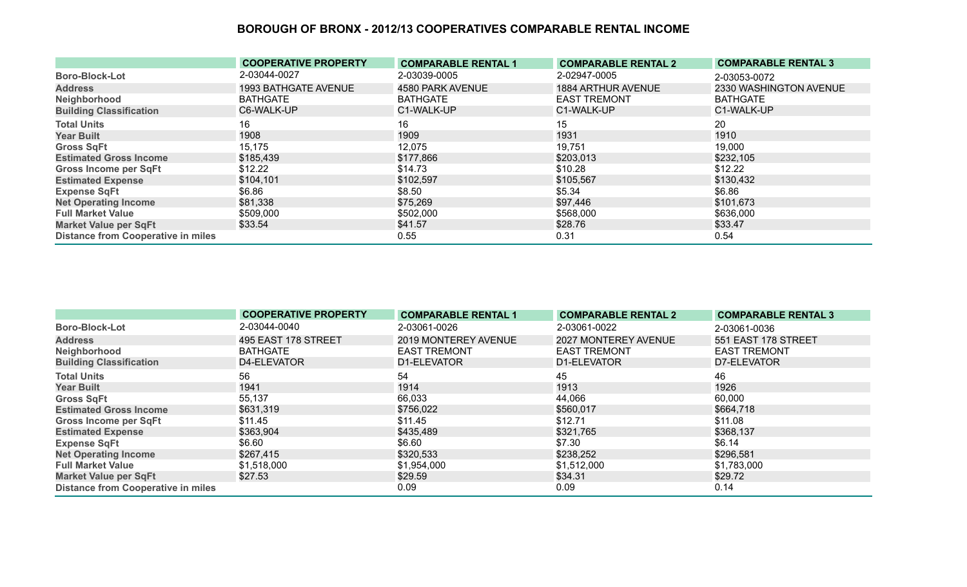|                                           | <b>COOPERATIVE PROPERTY</b> | <b>COMPARABLE RENTAL 1</b> | <b>COMPARABLE RENTAL 2</b> | <b>COMPARABLE RENTAL 3</b> |
|-------------------------------------------|-----------------------------|----------------------------|----------------------------|----------------------------|
| <b>Boro-Block-Lot</b>                     | 2-03044-0027                | 2-03039-0005               | 2-02947-0005               | 2-03053-0072               |
| <b>Address</b>                            | 1993 BATHGATE AVENUE        | 4580 PARK AVENUE           | 1884 ARTHUR AVENUE         | 2330 WASHINGTON AVENUE     |
| Neighborhood                              | <b>BATHGATE</b>             | <b>BATHGATE</b>            | <b>EAST TREMONT</b>        | <b>BATHGATE</b>            |
| <b>Building Classification</b>            | C6-WALK-UP                  | C1-WALK-UP                 | C1-WALK-UP                 | C1-WALK-UP                 |
| <b>Total Units</b>                        | 16                          | 16                         | 15                         | 20                         |
| <b>Year Built</b>                         | 1908                        | 1909                       | 1931                       | 1910                       |
| <b>Gross SqFt</b>                         | 15,175                      | 12,075                     | 19,751                     | 19,000                     |
| <b>Estimated Gross Income</b>             | \$185,439                   | \$177,866                  | \$203,013                  | \$232,105                  |
| Gross Income per SqFt                     | \$12.22                     | \$14.73                    | \$10.28                    | \$12.22                    |
| <b>Estimated Expense</b>                  | \$104,101                   | \$102,597                  | \$105,567                  | \$130,432                  |
| <b>Expense SqFt</b>                       | \$6.86                      | \$8.50                     | \$5.34                     | \$6.86                     |
| <b>Net Operating Income</b>               | \$81,338                    | \$75,269                   | \$97,446                   | \$101,673                  |
| <b>Full Market Value</b>                  | \$509,000                   | \$502,000                  | \$568,000                  | \$636,000                  |
| <b>Market Value per SqFt</b>              | \$33.54                     | \$41.57                    | \$28.76                    | \$33.47                    |
| <b>Distance from Cooperative in miles</b> |                             | 0.55                       | 0.31                       | 0.54                       |

|                                           | <b>COOPERATIVE PROPERTY</b> | <b>COMPARABLE RENTAL 1</b> | <b>COMPARABLE RENTAL 2</b> | <b>COMPARABLE RENTAL 3</b> |
|-------------------------------------------|-----------------------------|----------------------------|----------------------------|----------------------------|
| <b>Boro-Block-Lot</b>                     | 2-03044-0040                | 2-03061-0026               | 2-03061-0022               | 2-03061-0036               |
| <b>Address</b>                            | 495 EAST 178 STREET         | 2019 MONTEREY AVENUE       | 2027 MONTEREY AVENUE       | 551 EAST 178 STREET        |
| Neighborhood                              | <b>BATHGATE</b>             | <b>EAST TREMONT</b>        | <b>EAST TREMONT</b>        | <b>EAST TREMONT</b>        |
| <b>Building Classification</b>            | D4-ELEVATOR                 | D1-ELEVATOR                | D1-ELEVATOR                | D7-ELEVATOR                |
| <b>Total Units</b>                        | 56                          | 54                         | 45                         | 46                         |
| <b>Year Built</b>                         | 1941                        | 1914                       | 1913                       | 1926                       |
| <b>Gross SqFt</b>                         | 55,137                      | 66,033                     | 44,066                     | 60,000                     |
| <b>Estimated Gross Income</b>             | \$631,319                   | \$756,022                  | \$560,017                  | \$664,718                  |
| <b>Gross Income per SqFt</b>              | \$11.45                     | \$11.45                    | \$12.71                    | \$11.08                    |
| <b>Estimated Expense</b>                  | \$363,904                   | \$435,489                  | \$321,765                  | \$368,137                  |
| <b>Expense SqFt</b>                       | \$6.60                      | \$6.60                     | \$7.30                     | \$6.14                     |
| <b>Net Operating Income</b>               | \$267,415                   | \$320,533                  | \$238,252                  | \$296,581                  |
| <b>Full Market Value</b>                  | \$1,518,000                 | \$1,954,000                | \$1,512,000                | \$1,783,000                |
| <b>Market Value per SqFt</b>              | \$27.53                     | \$29.59                    | \$34.31                    | \$29.72                    |
| <b>Distance from Cooperative in miles</b> |                             | 0.09                       | 0.09                       | 0.14                       |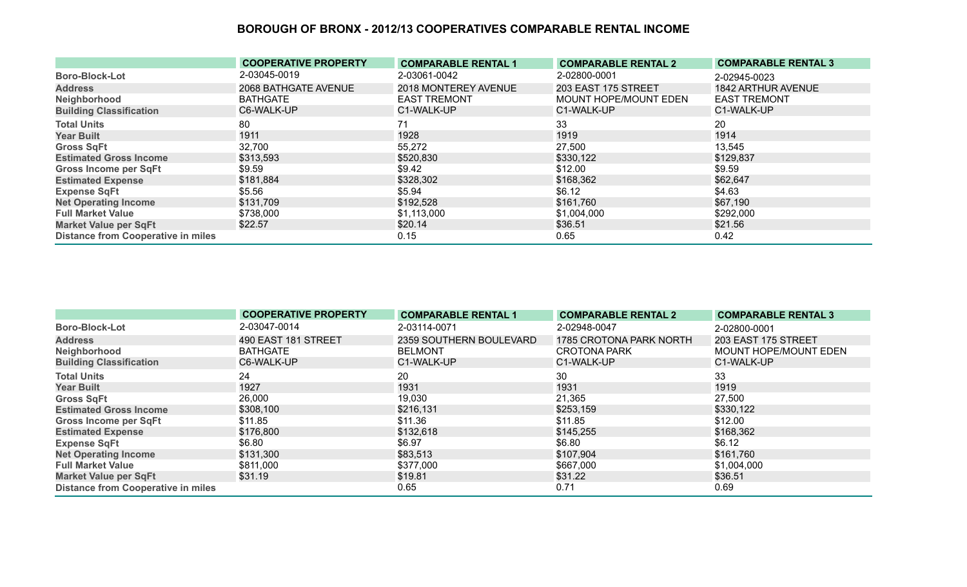|                                           | <b>COOPERATIVE PROPERTY</b> | <b>COMPARABLE RENTAL 1</b> | <b>COMPARABLE RENTAL 2</b> | <b>COMPARABLE RENTAL 3</b> |
|-------------------------------------------|-----------------------------|----------------------------|----------------------------|----------------------------|
| <b>Boro-Block-Lot</b>                     | 2-03045-0019                | 2-03061-0042               | 2-02800-0001               | 2-02945-0023               |
| <b>Address</b>                            | 2068 BATHGATE AVENUE        | 2018 MONTEREY AVENUE       | 203 EAST 175 STREET        | 1842 ARTHUR AVENUE         |
| Neighborhood                              | <b>BATHGATE</b>             | <b>EAST TREMONT</b>        | MOUNT HOPE/MOUNT EDEN      | <b>EAST TREMONT</b>        |
| <b>Building Classification</b>            | C6-WALK-UP                  | C1-WALK-UP                 | C1-WALK-UP                 | C1-WALK-UP                 |
| <b>Total Units</b>                        | 80                          |                            | 33                         | 20                         |
| <b>Year Built</b>                         | 1911                        | 1928                       | 1919                       | 1914                       |
| <b>Gross SqFt</b>                         | 32,700                      | 55,272                     | 27,500                     | 13,545                     |
| <b>Estimated Gross Income</b>             | \$313,593                   | \$520,830                  | \$330,122                  | \$129,837                  |
| <b>Gross Income per SqFt</b>              | \$9.59                      | \$9.42                     | \$12.00                    | \$9.59                     |
| <b>Estimated Expense</b>                  | \$181,884                   | \$328,302                  | \$168,362                  | \$62,647                   |
| <b>Expense SqFt</b>                       | \$5.56                      | \$5.94                     | \$6.12                     | \$4.63                     |
| <b>Net Operating Income</b>               | \$131,709                   | \$192,528                  | \$161,760                  | \$67,190                   |
| <b>Full Market Value</b>                  | \$738,000                   | \$1,113,000                | \$1,004,000                | \$292,000                  |
| <b>Market Value per SqFt</b>              | \$22.57                     | \$20.14                    | \$36.51                    | \$21.56                    |
| <b>Distance from Cooperative in miles</b> |                             | 0.15                       | 0.65                       | 0.42                       |

|                                           | <b>COOPERATIVE PROPERTY</b> | <b>COMPARABLE RENTAL 1</b> | <b>COMPARABLE RENTAL 2</b> | <b>COMPARABLE RENTAL 3</b> |
|-------------------------------------------|-----------------------------|----------------------------|----------------------------|----------------------------|
| <b>Boro-Block-Lot</b>                     | 2-03047-0014                | 2-03114-0071               | 2-02948-0047               | 2-02800-0001               |
| <b>Address</b>                            | 490 EAST 181 STREET         | 2359 SOUTHERN BOULEVARD    | 1785 CROTONA PARK NORTH    | 203 EAST 175 STREET        |
| Neighborhood                              | <b>BATHGATE</b>             | <b>BELMONT</b>             | <b>CROTONA PARK</b>        | MOUNT HOPE/MOUNT EDEN      |
| <b>Building Classification</b>            | C6-WALK-UP                  | C1-WALK-UP                 | C1-WALK-UP                 | C1-WALK-UP                 |
| <b>Total Units</b>                        | 24                          | 20                         | 30                         | 33                         |
| <b>Year Built</b>                         | 1927                        | 1931                       | 1931                       | 1919                       |
| <b>Gross SqFt</b>                         | 26,000                      | 19,030                     | 21,365                     | 27,500                     |
| <b>Estimated Gross Income</b>             | \$308,100                   | \$216,131                  | \$253,159                  | \$330,122                  |
| Gross Income per SqFt                     | \$11.85                     | \$11.36                    | \$11.85                    | \$12.00                    |
| <b>Estimated Expense</b>                  | \$176,800                   | \$132,618                  | \$145,255                  | \$168,362                  |
| <b>Expense SqFt</b>                       | \$6.80                      | \$6.97                     | \$6.80                     | \$6.12                     |
| <b>Net Operating Income</b>               | \$131,300                   | \$83,513                   | \$107,904                  | \$161,760                  |
| <b>Full Market Value</b>                  | \$811,000                   | \$377,000                  | \$667,000                  | \$1,004,000                |
| <b>Market Value per SqFt</b>              | \$31.19                     | \$19.81                    | \$31.22                    | \$36.51                    |
| <b>Distance from Cooperative in miles</b> |                             | 0.65                       | 0.71                       | 0.69                       |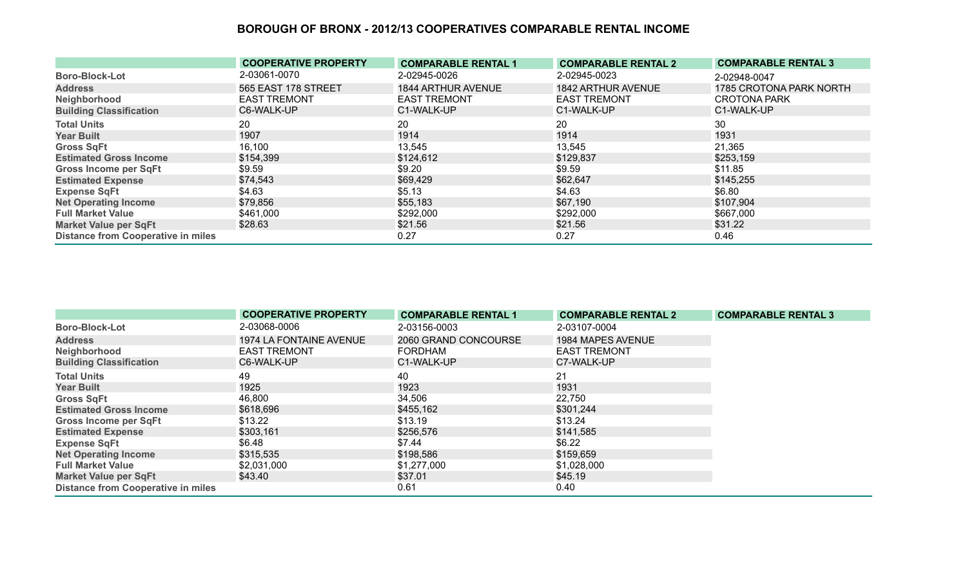|                                           | <b>COOPERATIVE PROPERTY</b> | <b>COMPARABLE RENTAL 1</b> | <b>COMPARABLE RENTAL 2</b> | <b>COMPARABLE RENTAL 3</b> |
|-------------------------------------------|-----------------------------|----------------------------|----------------------------|----------------------------|
| <b>Boro-Block-Lot</b>                     | 2-03061-0070                | 2-02945-0026               | 2-02945-0023               | 2-02948-0047               |
| <b>Address</b>                            | 565 EAST 178 STREET         | <b>1844 ARTHUR AVENUE</b>  | 1842 ARTHUR AVENUE         | 1785 CROTONA PARK NORTH    |
| Neighborhood                              | <b>EAST TREMONT</b>         | <b>EAST TREMONT</b>        | <b>EAST TREMONT</b>        | <b>CROTONA PARK</b>        |
| <b>Building Classification</b>            | C6-WALK-UP                  | C1-WALK-UP                 | C1-WALK-UP                 | C1-WALK-UP                 |
| <b>Total Units</b>                        | 20                          | 20                         | 20                         | 30                         |
| <b>Year Built</b>                         | 1907                        | 1914                       | 1914                       | 1931                       |
| <b>Gross SqFt</b>                         | 16,100                      | 13,545                     | 13,545                     | 21,365                     |
| <b>Estimated Gross Income</b>             | \$154,399                   | \$124,612                  | \$129,837                  | \$253,159                  |
| Gross Income per SqFt                     | \$9.59                      | \$9.20                     | \$9.59                     | \$11.85                    |
| <b>Estimated Expense</b>                  | \$74,543                    | \$69,429                   | \$62,647                   | \$145,255                  |
| <b>Expense SqFt</b>                       | \$4.63                      | \$5.13                     | \$4.63                     | \$6.80                     |
| <b>Net Operating Income</b>               | \$79,856                    | \$55,183                   | \$67,190                   | \$107,904                  |
| <b>Full Market Value</b>                  | \$461,000                   | \$292,000                  | \$292,000                  | \$667,000                  |
| <b>Market Value per SqFt</b>              | \$28.63                     | \$21.56                    | \$21.56                    | \$31.22                    |
| <b>Distance from Cooperative in miles</b> |                             | 0.27                       | 0.27                       | 0.46                       |

|                                           | <b>COOPERATIVE PROPERTY</b> | <b>COMPARABLE RENTAL 1</b> | <b>COMPARABLE RENTAL 2</b> | <b>COMPARABLE RENTAL 3</b> |
|-------------------------------------------|-----------------------------|----------------------------|----------------------------|----------------------------|
| <b>Boro-Block-Lot</b>                     | 2-03068-0006                | 2-03156-0003               | 2-03107-0004               |                            |
| <b>Address</b>                            | 1974 LA FONTAINE AVENUE     | 2060 GRAND CONCOURSE       | 1984 MAPES AVENUE          |                            |
| Neighborhood                              | <b>EAST TREMONT</b>         | <b>FORDHAM</b>             | <b>EAST TREMONT</b>        |                            |
| <b>Building Classification</b>            | C6-WALK-UP                  | C1-WALK-UP                 | C7-WALK-UP                 |                            |
| <b>Total Units</b>                        | 49                          | 40                         | 21                         |                            |
| <b>Year Built</b>                         | 1925                        | 1923                       | 1931                       |                            |
| <b>Gross SqFt</b>                         | 46,800                      | 34,506                     | 22,750                     |                            |
| <b>Estimated Gross Income</b>             | \$618,696                   | \$455,162                  | \$301,244                  |                            |
| <b>Gross Income per SqFt</b>              | \$13.22                     | \$13.19                    | \$13.24                    |                            |
| <b>Estimated Expense</b>                  | \$303,161                   | \$256,576                  | \$141,585                  |                            |
| <b>Expense SqFt</b>                       | \$6.48                      | \$7.44                     | \$6.22                     |                            |
| <b>Net Operating Income</b>               | \$315,535                   | \$198,586                  | \$159,659                  |                            |
| <b>Full Market Value</b>                  | \$2,031,000                 | \$1,277,000                | \$1,028,000                |                            |
| <b>Market Value per SqFt</b>              | \$43.40                     | \$37.01                    | \$45.19                    |                            |
| <b>Distance from Cooperative in miles</b> |                             | 0.61                       | 0.40                       |                            |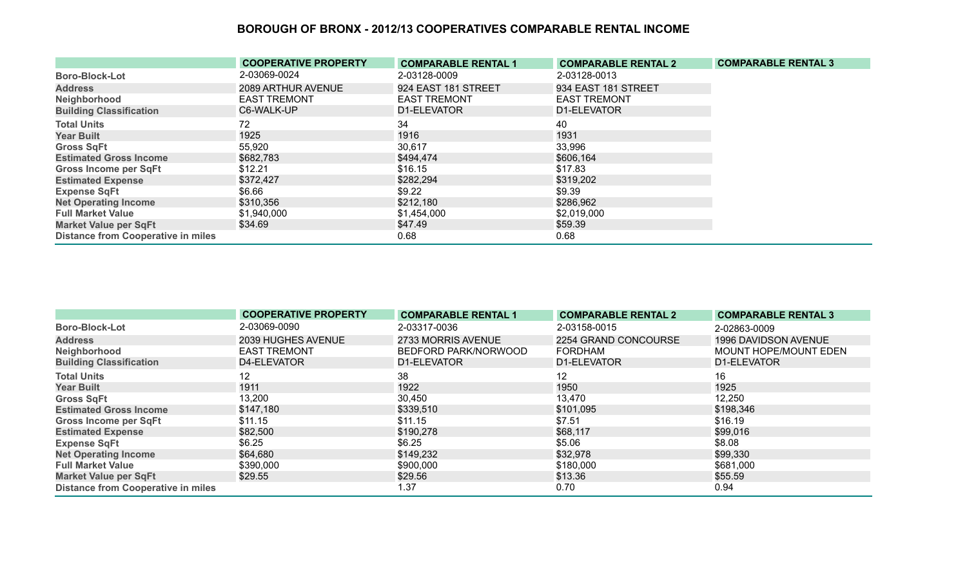|                                           | <b>COOPERATIVE PROPERTY</b> | <b>COMPARABLE RENTAL 1</b> | <b>COMPARABLE RENTAL 2</b> | <b>COMPARABLE RENTAL 3</b> |
|-------------------------------------------|-----------------------------|----------------------------|----------------------------|----------------------------|
| <b>Boro-Block-Lot</b>                     | 2-03069-0024                | 2-03128-0009               | 2-03128-0013               |                            |
| <b>Address</b>                            | 2089 ARTHUR AVENUE          | 924 EAST 181 STREET        | 934 EAST 181 STREET        |                            |
| Neighborhood                              | <b>EAST TREMONT</b>         | <b>EAST TREMONT</b>        | <b>EAST TREMONT</b>        |                            |
| <b>Building Classification</b>            | C6-WALK-UP                  | D1-ELEVATOR                | D1-ELEVATOR                |                            |
| <b>Total Units</b>                        | 72.                         | 34                         | 40                         |                            |
| <b>Year Built</b>                         | 1925                        | 1916                       | 1931                       |                            |
| <b>Gross SqFt</b>                         | 55,920                      | 30,617                     | 33,996                     |                            |
| <b>Estimated Gross Income</b>             | \$682,783                   | \$494,474                  | \$606,164                  |                            |
| <b>Gross Income per SqFt</b>              | \$12.21                     | \$16.15                    | \$17.83                    |                            |
| <b>Estimated Expense</b>                  | \$372,427                   | \$282,294                  | \$319,202                  |                            |
| <b>Expense SqFt</b>                       | \$6.66                      | \$9.22                     | \$9.39                     |                            |
| <b>Net Operating Income</b>               | \$310,356                   | \$212,180                  | \$286,962                  |                            |
| <b>Full Market Value</b>                  | \$1,940,000                 | \$1,454,000                | \$2,019,000                |                            |
| <b>Market Value per SqFt</b>              | \$34.69                     | \$47.49                    | \$59.39                    |                            |
| <b>Distance from Cooperative in miles</b> |                             | 0.68                       | 0.68                       |                            |

|                                           | <b>COOPERATIVE PROPERTY</b> | <b>COMPARABLE RENTAL 1</b> | <b>COMPARABLE RENTAL 2</b> | <b>COMPARABLE RENTAL 3</b>   |
|-------------------------------------------|-----------------------------|----------------------------|----------------------------|------------------------------|
| <b>Boro-Block-Lot</b>                     | 2-03069-0090                | 2-03317-0036               | 2-03158-0015               | 2-02863-0009                 |
| <b>Address</b>                            | 2039 HUGHES AVENUE          | 2733 MORRIS AVENUE         | 2254 GRAND CONCOURSE       | 1996 DAVIDSON AVENUE         |
| Neighborhood                              | <b>EAST TREMONT</b>         | BEDFORD PARK/NORWOOD       | FORDHAM                    | <b>MOUNT HOPE/MOUNT EDEN</b> |
| <b>Building Classification</b>            | D4-ELEVATOR                 | D1-ELEVATOR                | D1-ELEVATOR                | D1-ELEVATOR                  |
| <b>Total Units</b>                        | 12                          | 38                         | 12                         | 16                           |
| <b>Year Built</b>                         | 1911                        | 1922                       | 1950                       | 1925                         |
| <b>Gross SqFt</b>                         | 13,200                      | 30,450                     | 13,470                     | 12,250                       |
| <b>Estimated Gross Income</b>             | \$147,180                   | \$339,510                  | \$101,095                  | \$198,346                    |
| <b>Gross Income per SqFt</b>              | \$11.15                     | \$11.15                    | \$7.51                     | \$16.19                      |
| <b>Estimated Expense</b>                  | \$82,500                    | \$190,278                  | \$68,117                   | \$99,016                     |
| <b>Expense SqFt</b>                       | \$6.25                      | \$6.25                     | \$5.06                     | \$8.08                       |
| <b>Net Operating Income</b>               | \$64,680                    | \$149,232                  | \$32,978                   | \$99,330                     |
| <b>Full Market Value</b>                  | \$390,000                   | \$900,000                  | \$180,000                  | \$681,000                    |
| <b>Market Value per SqFt</b>              | \$29.55                     | \$29.56                    | \$13.36                    | \$55.59                      |
| <b>Distance from Cooperative in miles</b> |                             | 1.37                       | 0.70                       | 0.94                         |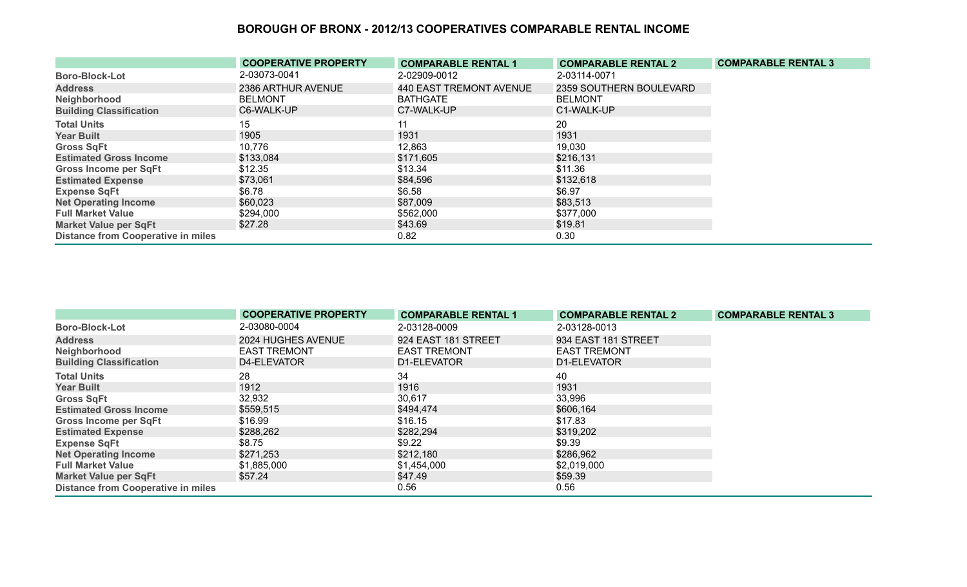|                                           | <b>COOPERATIVE PROPERTY</b> | <b>COMPARABLE RENTAL 1</b> | <b>COMPARABLE RENTAL 2</b> | <b>COMPARABLE RENTAL 3</b> |
|-------------------------------------------|-----------------------------|----------------------------|----------------------------|----------------------------|
| <b>Boro-Block-Lot</b>                     | 2-03073-0041                | 2-02909-0012               | 2-03114-0071               |                            |
| <b>Address</b>                            | 2386 ARTHUR AVENUE          | 440 EAST TREMONT AVENUE    | 2359 SOUTHERN BOULEVARD    |                            |
| Neighborhood                              | <b>BELMONT</b>              | <b>BATHGATE</b>            | <b>BELMONT</b>             |                            |
| <b>Building Classification</b>            | C6-WALK-UP                  | C7-WALK-UP                 | C1-WALK-UP                 |                            |
| <b>Total Units</b>                        | 15 <sub>15</sub>            | 11                         | 20                         |                            |
| <b>Year Built</b>                         | 1905                        | 1931                       | 1931                       |                            |
| <b>Gross SqFt</b>                         | 10,776                      | 12,863                     | 19,030                     |                            |
| <b>Estimated Gross Income</b>             | \$133,084                   | \$171,605                  | \$216,131                  |                            |
| <b>Gross Income per SqFt</b>              | \$12.35                     | \$13.34                    | \$11.36                    |                            |
| <b>Estimated Expense</b>                  | \$73,061                    | \$84,596                   | \$132,618                  |                            |
| <b>Expense SqFt</b>                       | \$6.78                      | \$6.58                     | \$6.97                     |                            |
| <b>Net Operating Income</b>               | \$60,023                    | \$87,009                   | \$83,513                   |                            |
| <b>Full Market Value</b>                  | \$294,000                   | \$562,000                  | \$377,000                  |                            |
| <b>Market Value per SqFt</b>              | \$27.28                     | \$43.69                    | \$19.81                    |                            |
| <b>Distance from Cooperative in miles</b> |                             | 0.82                       | 0.30                       |                            |

|                                           | <b>COOPERATIVE PROPERTY</b> | <b>COMPARABLE RENTAL 1</b> | <b>COMPARABLE RENTAL 2</b> | <b>COMPARABLE RENTAL 3</b> |
|-------------------------------------------|-----------------------------|----------------------------|----------------------------|----------------------------|
| <b>Boro-Block-Lot</b>                     | 2-03080-0004                | 2-03128-0009               | 2-03128-0013               |                            |
| <b>Address</b>                            | 2024 HUGHES AVENUE          | 924 EAST 181 STREET        | 934 EAST 181 STREET        |                            |
| Neighborhood                              | <b>EAST TREMONT</b>         | <b>EAST TREMONT</b>        | <b>EAST TREMONT</b>        |                            |
| <b>Building Classification</b>            | D4-ELEVATOR                 | D1-ELEVATOR                | D1-ELEVATOR                |                            |
| <b>Total Units</b>                        | 28                          | 34                         | 40                         |                            |
| <b>Year Built</b>                         | 1912                        | 1916                       | 1931                       |                            |
| <b>Gross SqFt</b>                         | 32,932                      | 30,617                     | 33,996                     |                            |
| <b>Estimated Gross Income</b>             | \$559,515                   | \$494,474                  | \$606,164                  |                            |
| Gross Income per SqFt                     | \$16.99                     | \$16.15                    | \$17.83                    |                            |
| <b>Estimated Expense</b>                  | \$288,262                   | \$282,294                  | \$319,202                  |                            |
| <b>Expense SqFt</b>                       | \$8.75                      | \$9.22                     | \$9.39                     |                            |
| <b>Net Operating Income</b>               | \$271,253                   | \$212,180                  | \$286,962                  |                            |
| <b>Full Market Value</b>                  | \$1,885,000                 | \$1,454,000                | \$2,019,000                |                            |
| <b>Market Value per SqFt</b>              | \$57.24                     | \$47.49                    | \$59.39                    |                            |
| <b>Distance from Cooperative in miles</b> |                             | 0.56                       | 0.56                       |                            |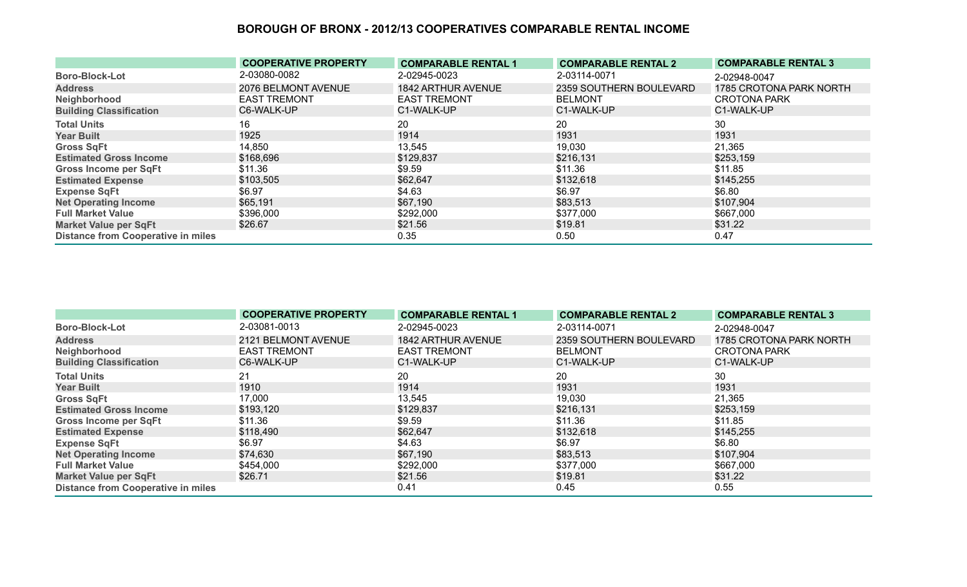|                                           | <b>COOPERATIVE PROPERTY</b> | <b>COMPARABLE RENTAL 1</b> | <b>COMPARABLE RENTAL 2</b> | <b>COMPARABLE RENTAL 3</b> |
|-------------------------------------------|-----------------------------|----------------------------|----------------------------|----------------------------|
| <b>Boro-Block-Lot</b>                     | 2-03080-0082                | 2-02945-0023               | 2-03114-0071               | 2-02948-0047               |
| <b>Address</b>                            | 2076 BELMONT AVENUE         | 1842 ARTHUR AVENUE         | 2359 SOUTHERN BOULEVARD    | 1785 CROTONA PARK NORTH    |
| Neighborhood                              | <b>EAST TREMONT</b>         | <b>EAST TREMONT</b>        | <b>BELMONT</b>             | <b>CROTONA PARK</b>        |
| <b>Building Classification</b>            | C6-WALK-UP                  | C1-WALK-UP                 | C1-WALK-UP                 | C1-WALK-UP                 |
| <b>Total Units</b>                        | 16                          | 20                         | 20                         | 30                         |
| <b>Year Built</b>                         | 1925                        | 1914                       | 1931                       | 1931                       |
| <b>Gross SqFt</b>                         | 14,850                      | 13,545                     | 19,030                     | 21,365                     |
| <b>Estimated Gross Income</b>             | \$168,696                   | \$129,837                  | \$216,131                  | \$253,159                  |
| <b>Gross Income per SqFt</b>              | \$11.36                     | \$9.59                     | \$11.36                    | \$11.85                    |
| <b>Estimated Expense</b>                  | \$103,505                   | \$62,647                   | \$132,618                  | \$145,255                  |
| <b>Expense SqFt</b>                       | \$6.97                      | \$4.63                     | \$6.97                     | \$6.80                     |
| <b>Net Operating Income</b>               | \$65,191                    | \$67,190                   | \$83,513                   | \$107,904                  |
| <b>Full Market Value</b>                  | \$396,000                   | \$292,000                  | \$377,000                  | \$667,000                  |
| <b>Market Value per SqFt</b>              | \$26.67                     | \$21.56                    | \$19.81                    | \$31.22                    |
| <b>Distance from Cooperative in miles</b> |                             | 0.35                       | 0.50                       | 0.47                       |

|                                           | <b>COOPERATIVE PROPERTY</b> | <b>COMPARABLE RENTAL 1</b> | <b>COMPARABLE RENTAL 2</b> | <b>COMPARABLE RENTAL 3</b> |
|-------------------------------------------|-----------------------------|----------------------------|----------------------------|----------------------------|
| <b>Boro-Block-Lot</b>                     | 2-03081-0013                | 2-02945-0023               | 2-03114-0071               | 2-02948-0047               |
| <b>Address</b>                            | 2121 BELMONT AVENUE         | 1842 ARTHUR AVENUE         | 2359 SOUTHERN BOULEVARD    | 1785 CROTONA PARK NORTH    |
| Neighborhood                              | <b>EAST TREMONT</b>         | <b>EAST TREMONT</b>        | <b>BELMONT</b>             | <b>CROTONA PARK</b>        |
| <b>Building Classification</b>            | C6-WALK-UP                  | C1-WALK-UP                 | C1-WALK-UP                 | C1-WALK-UP                 |
| <b>Total Units</b>                        | 21                          | 20                         | 20                         | 30                         |
| <b>Year Built</b>                         | 1910                        | 1914                       | 1931                       | 1931                       |
| <b>Gross SqFt</b>                         | 17,000                      | 13,545                     | 19,030                     | 21,365                     |
| <b>Estimated Gross Income</b>             | \$193,120                   | \$129,837                  | \$216,131                  | \$253,159                  |
| Gross Income per SqFt                     | \$11.36                     | \$9.59                     | \$11.36                    | \$11.85                    |
| <b>Estimated Expense</b>                  | \$118,490                   | \$62,647                   | \$132,618                  | \$145,255                  |
| <b>Expense SqFt</b>                       | \$6.97                      | \$4.63                     | \$6.97                     | \$6.80                     |
| <b>Net Operating Income</b>               | \$74,630                    | \$67,190                   | \$83,513                   | \$107,904                  |
| <b>Full Market Value</b>                  | \$454,000                   | \$292,000                  | \$377,000                  | \$667,000                  |
| <b>Market Value per SqFt</b>              | \$26.71                     | \$21.56                    | \$19.81                    | \$31.22                    |
| <b>Distance from Cooperative in miles</b> |                             | 0.41                       | 0.45                       | 0.55                       |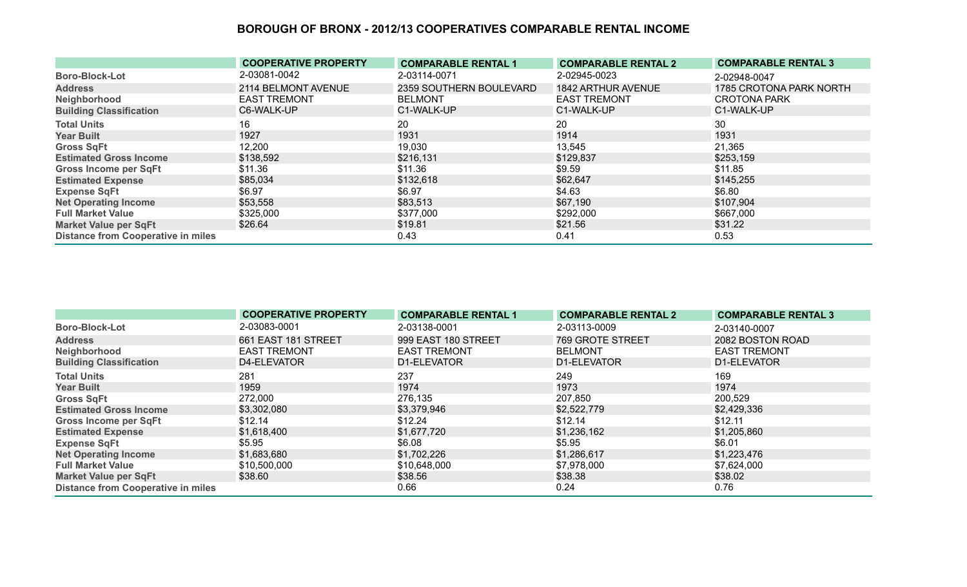|                                           | <b>COOPERATIVE PROPERTY</b> | <b>COMPARABLE RENTAL 1</b> | <b>COMPARABLE RENTAL 2</b> | <b>COMPARABLE RENTAL 3</b> |
|-------------------------------------------|-----------------------------|----------------------------|----------------------------|----------------------------|
| <b>Boro-Block-Lot</b>                     | 2-03081-0042                | 2-03114-0071               | 2-02945-0023               | 2-02948-0047               |
| <b>Address</b>                            | 2114 BELMONT AVENUE         | 2359 SOUTHERN BOULEVARD    | 1842 ARTHUR AVENUE         | 1785 CROTONA PARK NORTH    |
| Neighborhood                              | <b>EAST TREMONT</b>         | <b>BELMONT</b>             | <b>EAST TREMONT</b>        | <b>CROTONA PARK</b>        |
| <b>Building Classification</b>            | C6-WALK-UP                  | C1-WALK-UP                 | C1-WALK-UP                 | C1-WALK-UP                 |
| <b>Total Units</b>                        | 16                          | 20                         | 20                         | 30                         |
| <b>Year Built</b>                         | 1927                        | 1931                       | 1914                       | 1931                       |
| <b>Gross SqFt</b>                         | 12,200                      | 19,030                     | 13,545                     | 21,365                     |
| <b>Estimated Gross Income</b>             | \$138,592                   | \$216,131                  | \$129,837                  | \$253,159                  |
| <b>Gross Income per SqFt</b>              | \$11.36                     | \$11.36                    | \$9.59                     | \$11.85                    |
| <b>Estimated Expense</b>                  | \$85,034                    | \$132,618                  | \$62,647                   | \$145,255                  |
| <b>Expense SqFt</b>                       | \$6.97                      | \$6.97                     | \$4.63                     | \$6.80                     |
| <b>Net Operating Income</b>               | \$53,558                    | \$83,513                   | \$67,190                   | \$107,904                  |
| <b>Full Market Value</b>                  | \$325,000                   | \$377,000                  | \$292,000                  | \$667,000                  |
| <b>Market Value per SqFt</b>              | \$26.64                     | \$19.81                    | \$21.56                    | \$31.22                    |
| <b>Distance from Cooperative in miles</b> |                             | 0.43                       | 0.41                       | 0.53                       |

|                                           | <b>COOPERATIVE PROPERTY</b> | <b>COMPARABLE RENTAL 1</b> | <b>COMPARABLE RENTAL 2</b> | <b>COMPARABLE RENTAL 3</b> |
|-------------------------------------------|-----------------------------|----------------------------|----------------------------|----------------------------|
| <b>Boro-Block-Lot</b>                     | 2-03083-0001                | 2-03138-0001               | 2-03113-0009               | 2-03140-0007               |
| <b>Address</b>                            | 661 EAST 181 STREET         | 999 EAST 180 STREET        | 769 GROTE STREET           | 2082 BOSTON ROAD           |
| Neighborhood                              | <b>EAST TREMONT</b>         | <b>EAST TREMONT</b>        | <b>BELMONT</b>             | <b>EAST TREMONT</b>        |
| <b>Building Classification</b>            | D4-ELEVATOR                 | D1-ELEVATOR                | D1-ELEVATOR                | D1-ELEVATOR                |
| <b>Total Units</b>                        | 281                         | 237                        | 249                        | 169                        |
| <b>Year Built</b>                         | 1959                        | 1974                       | 1973                       | 1974                       |
| <b>Gross SqFt</b>                         | 272,000                     | 276,135                    | 207,850                    | 200,529                    |
| <b>Estimated Gross Income</b>             | \$3,302,080                 | \$3,379,946                | \$2,522,779                | \$2,429,336                |
| <b>Gross Income per SqFt</b>              | \$12.14                     | \$12.24                    | \$12.14                    | \$12.11                    |
| <b>Estimated Expense</b>                  | \$1,618,400                 | \$1,677,720                | \$1,236,162                | \$1,205,860                |
| <b>Expense SqFt</b>                       | \$5.95                      | \$6.08                     | \$5.95                     | \$6.01                     |
| <b>Net Operating Income</b>               | \$1,683,680                 | \$1,702,226                | \$1,286,617                | \$1,223,476                |
| <b>Full Market Value</b>                  | \$10,500,000                | \$10,648,000               | \$7,978,000                | \$7,624,000                |
| <b>Market Value per SqFt</b>              | \$38.60                     | \$38.56                    | \$38.38                    | \$38.02                    |
| <b>Distance from Cooperative in miles</b> |                             | 0.66                       | 0.24                       | 0.76                       |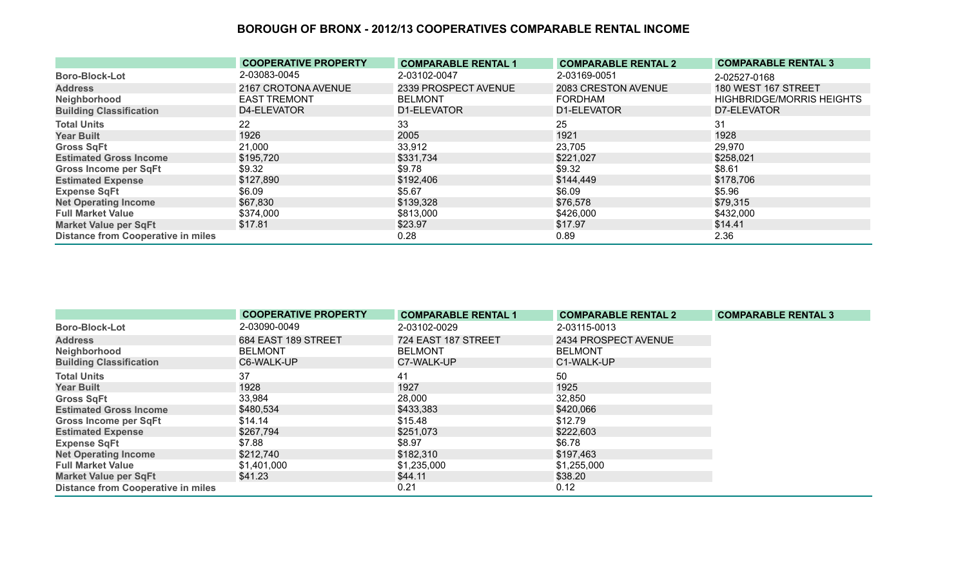|                                           | <b>COOPERATIVE PROPERTY</b> | <b>COMPARABLE RENTAL 1</b> | <b>COMPARABLE RENTAL 2</b> | <b>COMPARABLE RENTAL 3</b>       |
|-------------------------------------------|-----------------------------|----------------------------|----------------------------|----------------------------------|
| <b>Boro-Block-Lot</b>                     | 2-03083-0045                | 2-03102-0047               | 2-03169-0051               | 2-02527-0168                     |
| <b>Address</b>                            | 2167 CROTONA AVENUE         | 2339 PROSPECT AVENUE       | 2083 CRESTON AVENUE        | 180 WEST 167 STREET              |
| Neighborhood                              | <b>EAST TREMONT</b>         | <b>BELMONT</b>             | <b>FORDHAM</b>             | <b>HIGHBRIDGE/MORRIS HEIGHTS</b> |
| <b>Building Classification</b>            | D4-ELEVATOR                 | D1-ELEVATOR                | D1-ELEVATOR                | D7-ELEVATOR                      |
| <b>Total Units</b>                        | 22                          | 33                         | 25                         | 31                               |
| <b>Year Built</b>                         | 1926                        | 2005                       | 1921                       | 1928                             |
| <b>Gross SqFt</b>                         | 21,000                      | 33,912                     | 23,705                     | 29,970                           |
| <b>Estimated Gross Income</b>             | \$195,720                   | \$331,734                  | \$221,027                  | \$258,021                        |
| Gross Income per SqFt                     | \$9.32                      | \$9.78                     | \$9.32                     | \$8.61                           |
| <b>Estimated Expense</b>                  | \$127,890                   | \$192,406                  | \$144,449                  | \$178,706                        |
| <b>Expense SqFt</b>                       | \$6.09                      | \$5.67                     | \$6.09                     | \$5.96                           |
| <b>Net Operating Income</b>               | \$67,830                    | \$139,328                  | \$76,578                   | \$79,315                         |
| <b>Full Market Value</b>                  | \$374,000                   | \$813,000                  | \$426,000                  | \$432,000                        |
| <b>Market Value per SqFt</b>              | \$17.81                     | \$23.97                    | \$17.97                    | \$14.41                          |
| <b>Distance from Cooperative in miles</b> |                             | 0.28                       | 0.89                       | 2.36                             |

|                                           | <b>COOPERATIVE PROPERTY</b> | <b>COMPARABLE RENTAL 1</b> | <b>COMPARABLE RENTAL 2</b> | <b>COMPARABLE RENTAL 3</b> |
|-------------------------------------------|-----------------------------|----------------------------|----------------------------|----------------------------|
| <b>Boro-Block-Lot</b>                     | 2-03090-0049                | 2-03102-0029               | 2-03115-0013               |                            |
| <b>Address</b>                            | 684 EAST 189 STREET         | 724 EAST 187 STREET        | 2434 PROSPECT AVENUE       |                            |
| Neighborhood                              | <b>BELMONT</b>              | <b>BELMONT</b>             | <b>BELMONT</b>             |                            |
| <b>Building Classification</b>            | C6-WALK-UP                  | C7-WALK-UP                 | C1-WALK-UP                 |                            |
| <b>Total Units</b>                        | 37                          | 41                         | 50                         |                            |
| <b>Year Built</b>                         | 1928                        | 1927                       | 1925                       |                            |
| <b>Gross SqFt</b>                         | 33,984                      | 28,000                     | 32,850                     |                            |
| <b>Estimated Gross Income</b>             | \$480,534                   | \$433,383                  | \$420,066                  |                            |
| Gross Income per SqFt                     | \$14.14                     | \$15.48                    | \$12.79                    |                            |
| <b>Estimated Expense</b>                  | \$267,794                   | \$251,073                  | \$222,603                  |                            |
| <b>Expense SqFt</b>                       | \$7.88                      | \$8.97                     | \$6.78                     |                            |
| <b>Net Operating Income</b>               | \$212,740                   | \$182,310                  | \$197,463                  |                            |
| <b>Full Market Value</b>                  | \$1,401,000                 | \$1,235,000                | \$1,255,000                |                            |
| <b>Market Value per SqFt</b>              | \$41.23                     | \$44.11                    | \$38.20                    |                            |
| <b>Distance from Cooperative in miles</b> |                             | 0.21                       | 0.12                       |                            |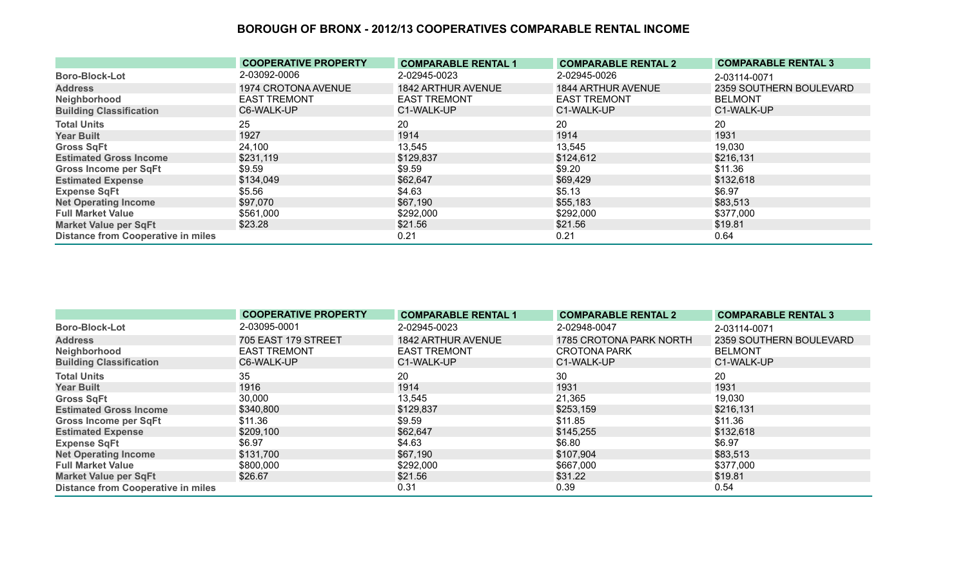|                                           | <b>COOPERATIVE PROPERTY</b> | <b>COMPARABLE RENTAL 1</b> | <b>COMPARABLE RENTAL 2</b> | <b>COMPARABLE RENTAL 3</b> |
|-------------------------------------------|-----------------------------|----------------------------|----------------------------|----------------------------|
| <b>Boro-Block-Lot</b>                     | 2-03092-0006                | 2-02945-0023               | 2-02945-0026               | 2-03114-0071               |
| <b>Address</b>                            | 1974 CROTONA AVENUE         | 1842 ARTHUR AVENUE         | 1844 ARTHUR AVENUE         | 2359 SOUTHERN BOULEVARD    |
| Neighborhood                              | <b>EAST TREMONT</b>         | <b>EAST TREMONT</b>        | <b>EAST TREMONT</b>        | <b>BELMONT</b>             |
| <b>Building Classification</b>            | C6-WALK-UP                  | C1-WALK-UP                 | C1-WALK-UP                 | C1-WALK-UP                 |
| <b>Total Units</b>                        | 25                          | 20                         | 20                         | 20                         |
| <b>Year Built</b>                         | 1927                        | 1914                       | 1914                       | 1931                       |
| <b>Gross SqFt</b>                         | 24,100                      | 13,545                     | 13,545                     | 19,030                     |
| <b>Estimated Gross Income</b>             | \$231,119                   | \$129,837                  | \$124,612                  | \$216,131                  |
| <b>Gross Income per SqFt</b>              | \$9.59                      | \$9.59                     | \$9.20                     | \$11.36                    |
| <b>Estimated Expense</b>                  | \$134,049                   | \$62,647                   | \$69,429                   | \$132,618                  |
| <b>Expense SqFt</b>                       | \$5.56                      | \$4.63                     | \$5.13                     | \$6.97                     |
| <b>Net Operating Income</b>               | \$97,070                    | \$67,190                   | \$55,183                   | \$83,513                   |
| <b>Full Market Value</b>                  | \$561,000                   | \$292,000                  | \$292,000                  | \$377,000                  |
| <b>Market Value per SqFt</b>              | \$23.28                     | \$21.56                    | \$21.56                    | \$19.81                    |
| <b>Distance from Cooperative in miles</b> |                             | 0.21                       | 0.21                       | 0.64                       |

|                                           | <b>COOPERATIVE PROPERTY</b> | <b>COMPARABLE RENTAL 1</b> | <b>COMPARABLE RENTAL 2</b> | <b>COMPARABLE RENTAL 3</b>     |
|-------------------------------------------|-----------------------------|----------------------------|----------------------------|--------------------------------|
| <b>Boro-Block-Lot</b>                     | 2-03095-0001                | 2-02945-0023               | 2-02948-0047               | 2-03114-0071                   |
| <b>Address</b>                            | 705 EAST 179 STREET         | 1842 ARTHUR AVENUE         | 1785 CROTONA PARK NORTH    | <b>2359 SOUTHERN BOULEVARD</b> |
| Neighborhood                              | <b>EAST TREMONT</b>         | <b>EAST TREMONT</b>        | <b>CROTONA PARK</b>        | <b>BELMONT</b>                 |
| <b>Building Classification</b>            | C6-WALK-UP                  | C1-WALK-UP                 | C1-WALK-UP                 | C1-WALK-UP                     |
| <b>Total Units</b>                        | 35                          | 20                         | 30                         | 20                             |
| <b>Year Built</b>                         | 1916                        | 1914                       | 1931                       | 1931                           |
| <b>Gross SqFt</b>                         | 30,000                      | 13,545                     | 21,365                     | 19,030                         |
| <b>Estimated Gross Income</b>             | \$340,800                   | \$129,837                  | \$253,159                  | \$216,131                      |
| Gross Income per SqFt                     | \$11.36                     | \$9.59                     | \$11.85                    | \$11.36                        |
| <b>Estimated Expense</b>                  | \$209,100                   | \$62,647                   | \$145,255                  | \$132,618                      |
| <b>Expense SqFt</b>                       | \$6.97                      | \$4.63                     | \$6.80                     | \$6.97                         |
| <b>Net Operating Income</b>               | \$131,700                   | \$67,190                   | \$107,904                  | \$83,513                       |
| <b>Full Market Value</b>                  | \$800,000                   | \$292,000                  | \$667,000                  | \$377,000                      |
| <b>Market Value per SqFt</b>              | \$26.67                     | \$21.56                    | \$31.22                    | \$19.81                        |
| <b>Distance from Cooperative in miles</b> |                             | 0.31                       | 0.39                       | 0.54                           |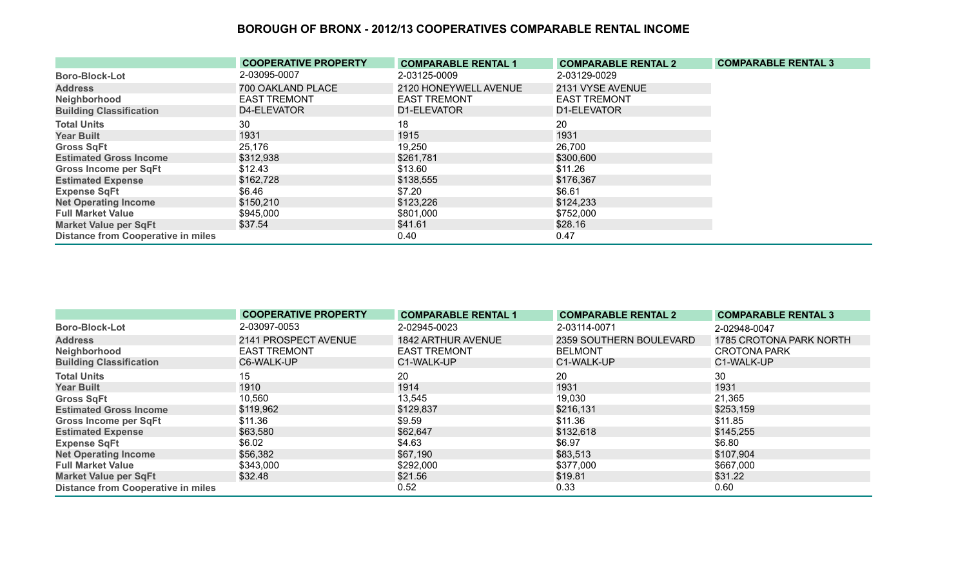|                                           | <b>COOPERATIVE PROPERTY</b> | <b>COMPARABLE RENTAL 1</b> | <b>COMPARABLE RENTAL 2</b> | <b>COMPARABLE RENTAL 3</b> |
|-------------------------------------------|-----------------------------|----------------------------|----------------------------|----------------------------|
| <b>Boro-Block-Lot</b>                     | 2-03095-0007                | 2-03125-0009               | 2-03129-0029               |                            |
| <b>Address</b>                            | 700 OAKLAND PLACE           | 2120 HONEYWELL AVENUE      | 2131 VYSE AVENUE           |                            |
| Neighborhood                              | <b>EAST TREMONT</b>         | <b>EAST TREMONT</b>        | <b>EAST TREMONT</b>        |                            |
| <b>Building Classification</b>            | D4-ELEVATOR                 | D1-ELEVATOR                | D1-ELEVATOR                |                            |
| <b>Total Units</b>                        | 30                          | 18                         | 20                         |                            |
| <b>Year Built</b>                         | 1931                        | 1915                       | 1931                       |                            |
| <b>Gross SqFt</b>                         | 25,176                      | 19,250                     | 26,700                     |                            |
| <b>Estimated Gross Income</b>             | \$312,938                   | \$261,781                  | \$300,600                  |                            |
| <b>Gross Income per SqFt</b>              | \$12.43                     | \$13.60                    | \$11.26                    |                            |
| <b>Estimated Expense</b>                  | \$162,728                   | \$138,555                  | \$176,367                  |                            |
| <b>Expense SqFt</b>                       | \$6.46                      | \$7.20                     | \$6.61                     |                            |
| <b>Net Operating Income</b>               | \$150,210                   | \$123,226                  | \$124,233                  |                            |
| <b>Full Market Value</b>                  | \$945,000                   | \$801,000                  | \$752,000                  |                            |
| <b>Market Value per SqFt</b>              | \$37.54                     | \$41.61                    | \$28.16                    |                            |
| <b>Distance from Cooperative in miles</b> |                             | 0.40                       | 0.47                       |                            |

|                                           | <b>COOPERATIVE PROPERTY</b> | <b>COMPARABLE RENTAL 1</b> | <b>COMPARABLE RENTAL 2</b> | <b>COMPARABLE RENTAL 3</b> |
|-------------------------------------------|-----------------------------|----------------------------|----------------------------|----------------------------|
| <b>Boro-Block-Lot</b>                     | 2-03097-0053                | 2-02945-0023               | 2-03114-0071               | 2-02948-0047               |
| <b>Address</b>                            | 2141 PROSPECT AVENUE        | 1842 ARTHUR AVENUE         | 2359 SOUTHERN BOULEVARD    | 1785 CROTONA PARK NORTH    |
| Neighborhood                              | <b>EAST TREMONT</b>         | <b>EAST TREMONT</b>        | <b>BELMONT</b>             | <b>CROTONA PARK</b>        |
| <b>Building Classification</b>            | C6-WALK-UP                  | C1-WALK-UP                 | C1-WALK-UP                 | C1-WALK-UP                 |
| <b>Total Units</b>                        | 15                          | 20                         | 20                         | 30                         |
| <b>Year Built</b>                         | 1910                        | 1914                       | 1931                       | 1931                       |
| <b>Gross SqFt</b>                         | 10,560                      | 13,545                     | 19,030                     | 21,365                     |
| <b>Estimated Gross Income</b>             | \$119,962                   | \$129,837                  | \$216,131                  | \$253,159                  |
| <b>Gross Income per SqFt</b>              | \$11.36                     | \$9.59                     | \$11.36                    | \$11.85                    |
| <b>Estimated Expense</b>                  | \$63,580                    | \$62,647                   | \$132,618                  | \$145,255                  |
| <b>Expense SqFt</b>                       | \$6.02                      | \$4.63                     | \$6.97                     | \$6.80                     |
| <b>Net Operating Income</b>               | \$56,382                    | \$67,190                   | \$83,513                   | \$107,904                  |
| <b>Full Market Value</b>                  | \$343,000                   | \$292,000                  | \$377,000                  | \$667,000                  |
| <b>Market Value per SqFt</b>              | \$32.48                     | \$21.56                    | \$19.81                    | \$31.22                    |
| <b>Distance from Cooperative in miles</b> |                             | 0.52                       | 0.33                       | 0.60                       |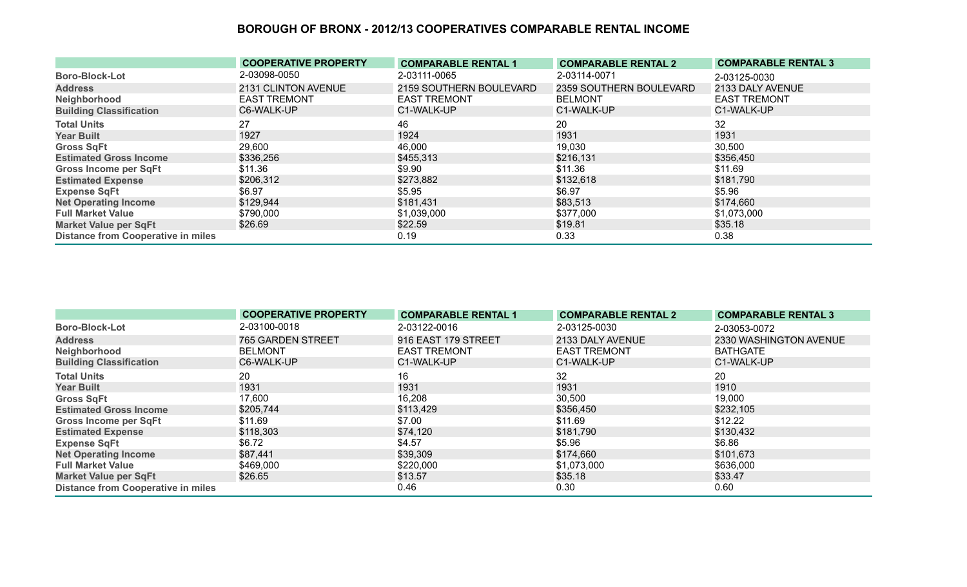|                                           | <b>COOPERATIVE PROPERTY</b> | <b>COMPARABLE RENTAL 1</b> | <b>COMPARABLE RENTAL 2</b> | <b>COMPARABLE RENTAL 3</b> |
|-------------------------------------------|-----------------------------|----------------------------|----------------------------|----------------------------|
| <b>Boro-Block-Lot</b>                     | 2-03098-0050                | 2-03111-0065               | 2-03114-0071               | 2-03125-0030               |
| <b>Address</b>                            | 2131 CLINTON AVENUE         | 2159 SOUTHERN BOULEVARD    | 2359 SOUTHERN BOULEVARD    | 2133 DALY AVENUE           |
| Neighborhood                              | <b>EAST TREMONT</b>         | <b>EAST TREMONT</b>        | <b>BELMONT</b>             | <b>EAST TREMONT</b>        |
| <b>Building Classification</b>            | C6-WALK-UP                  | C1-WALK-UP                 | C1-WALK-UP                 | C1-WALK-UP                 |
| <b>Total Units</b>                        | 27                          | 46                         | 20                         | 32                         |
| <b>Year Built</b>                         | 1927                        | 1924                       | 1931                       | 1931                       |
| <b>Gross SqFt</b>                         | 29,600                      | 46,000                     | 19,030                     | 30,500                     |
| <b>Estimated Gross Income</b>             | \$336,256                   | \$455,313                  | \$216,131                  | \$356,450                  |
| <b>Gross Income per SqFt</b>              | \$11.36                     | \$9.90                     | \$11.36                    | \$11.69                    |
| <b>Estimated Expense</b>                  | \$206,312                   | \$273,882                  | \$132,618                  | \$181,790                  |
| <b>Expense SqFt</b>                       | \$6.97                      | \$5.95                     | \$6.97                     | \$5.96                     |
| <b>Net Operating Income</b>               | \$129,944                   | \$181,431                  | \$83,513                   | \$174,660                  |
| <b>Full Market Value</b>                  | \$790,000                   | \$1,039,000                | \$377,000                  | \$1,073,000                |
| <b>Market Value per SqFt</b>              | \$26.69                     | \$22.59                    | \$19.81                    | \$35.18                    |
| <b>Distance from Cooperative in miles</b> |                             | 0.19                       | 0.33                       | 0.38                       |

|                                           | <b>COOPERATIVE PROPERTY</b> | <b>COMPARABLE RENTAL 1</b> | <b>COMPARABLE RENTAL 2</b> | <b>COMPARABLE RENTAL 3</b> |
|-------------------------------------------|-----------------------------|----------------------------|----------------------------|----------------------------|
| <b>Boro-Block-Lot</b>                     | 2-03100-0018                | 2-03122-0016               | 2-03125-0030               | 2-03053-0072               |
| <b>Address</b>                            | 765 GARDEN STREET           | 916 EAST 179 STREET        | 2133 DALY AVENUE           | 2330 WASHINGTON AVENUE     |
| Neighborhood                              | <b>BELMONT</b>              | <b>EAST TREMONT</b>        | <b>EAST TREMONT</b>        | <b>BATHGATE</b>            |
| <b>Building Classification</b>            | C6-WALK-UP                  | C1-WALK-UP                 | C1-WALK-UP                 | C1-WALK-UP                 |
| <b>Total Units</b>                        | 20                          | 16                         | 32                         | 20                         |
| <b>Year Built</b>                         | 1931                        | 1931                       | 1931                       | 1910                       |
| <b>Gross SqFt</b>                         | 17,600                      | 16,208                     | 30,500                     | 19,000                     |
| <b>Estimated Gross Income</b>             | \$205,744                   | \$113,429                  | \$356,450                  | \$232,105                  |
| Gross Income per SqFt                     | \$11.69                     | \$7.00                     | \$11.69                    | \$12.22                    |
| <b>Estimated Expense</b>                  | \$118,303                   | \$74,120                   | \$181,790                  | \$130,432                  |
| <b>Expense SqFt</b>                       | \$6.72                      | \$4.57                     | \$5.96                     | \$6.86                     |
| <b>Net Operating Income</b>               | \$87,441                    | \$39,309                   | \$174,660                  | \$101,673                  |
| <b>Full Market Value</b>                  | \$469,000                   | \$220,000                  | \$1,073,000                | \$636,000                  |
| <b>Market Value per SqFt</b>              | \$26.65                     | \$13.57                    | \$35.18                    | \$33.47                    |
| <b>Distance from Cooperative in miles</b> |                             | 0.46                       | 0.30                       | 0.60                       |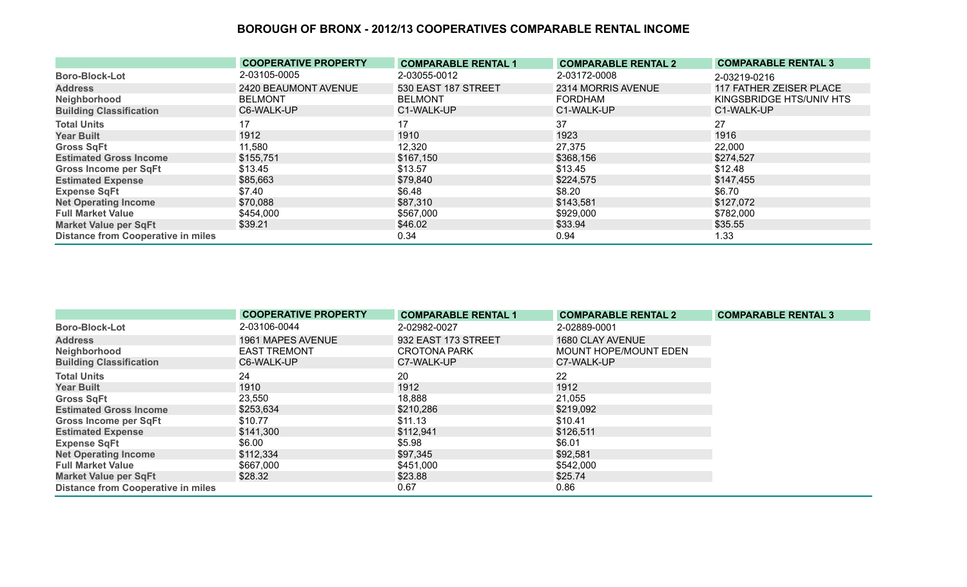|                                           | <b>COOPERATIVE PROPERTY</b> | <b>COMPARABLE RENTAL 1</b> | <b>COMPARABLE RENTAL 2</b> | <b>COMPARABLE RENTAL 3</b> |
|-------------------------------------------|-----------------------------|----------------------------|----------------------------|----------------------------|
| <b>Boro-Block-Lot</b>                     | 2-03105-0005                | 2-03055-0012               | 2-03172-0008               | 2-03219-0216               |
| <b>Address</b>                            | 2420 BEAUMONT AVENUE        | 530 EAST 187 STREET        | 2314 MORRIS AVENUE         | 117 FATHER ZEISER PLACE    |
| Neighborhood                              | <b>BELMONT</b>              | <b>BELMONT</b>             | <b>FORDHAM</b>             | KINGSBRIDGE HTS/UNIV HTS   |
| <b>Building Classification</b>            | C6-WALK-UP                  | C1-WALK-UP                 | C1-WALK-UP                 | C1-WALK-UP                 |
| <b>Total Units</b>                        | 17                          | 17                         | 37                         | 27                         |
| <b>Year Built</b>                         | 1912                        | 1910                       | 1923                       | 1916                       |
| <b>Gross SqFt</b>                         | 11,580                      | 12,320                     | 27,375                     | 22,000                     |
| <b>Estimated Gross Income</b>             | \$155,751                   | \$167,150                  | \$368,156                  | \$274,527                  |
| <b>Gross Income per SqFt</b>              | \$13.45                     | \$13.57                    | \$13.45                    | \$12.48                    |
| <b>Estimated Expense</b>                  | \$85,663                    | \$79,840                   | \$224,575                  | \$147,455                  |
| <b>Expense SqFt</b>                       | \$7.40                      | \$6.48                     | \$8.20                     | \$6.70                     |
| <b>Net Operating Income</b>               | \$70,088                    | \$87,310                   | \$143,581                  | \$127,072                  |
| <b>Full Market Value</b>                  | \$454,000                   | \$567,000                  | \$929,000                  | \$782,000                  |
| <b>Market Value per SqFt</b>              | \$39.21                     | \$46.02                    | \$33.94                    | \$35.55                    |
| <b>Distance from Cooperative in miles</b> |                             | 0.34                       | 0.94                       | 1.33                       |

|                                           | <b>COOPERATIVE PROPERTY</b> | <b>COMPARABLE RENTAL 1</b> | <b>COMPARABLE RENTAL 2</b>   | <b>COMPARABLE RENTAL 3</b> |
|-------------------------------------------|-----------------------------|----------------------------|------------------------------|----------------------------|
| <b>Boro-Block-Lot</b>                     | 2-03106-0044                | 2-02982-0027               | 2-02889-0001                 |                            |
| <b>Address</b>                            | 1961 MAPES AVENUE           | 932 EAST 173 STREET        | 1680 CLAY AVENUE             |                            |
| Neighborhood                              | <b>EAST TREMONT</b>         | <b>CROTONA PARK</b>        | <b>MOUNT HOPE/MOUNT EDEN</b> |                            |
| <b>Building Classification</b>            | C6-WALK-UP                  | C7-WALK-UP                 | C7-WALK-UP                   |                            |
| <b>Total Units</b>                        | 24                          | 20                         | 22                           |                            |
| <b>Year Built</b>                         | 1910                        | 1912                       | 1912                         |                            |
| <b>Gross SqFt</b>                         | 23,550                      | 18,888                     | 21,055                       |                            |
| <b>Estimated Gross Income</b>             | \$253,634                   | \$210,286                  | \$219,092                    |                            |
| <b>Gross Income per SqFt</b>              | \$10.77                     | \$11.13                    | \$10.41                      |                            |
| <b>Estimated Expense</b>                  | \$141,300                   | \$112,941                  | \$126,511                    |                            |
| <b>Expense SqFt</b>                       | \$6.00                      | \$5.98                     | \$6.01                       |                            |
| <b>Net Operating Income</b>               | \$112,334                   | \$97,345                   | \$92,581                     |                            |
| <b>Full Market Value</b>                  | \$667,000                   | \$451,000                  | \$542,000                    |                            |
| <b>Market Value per SqFt</b>              | \$28.32                     | \$23.88                    | \$25.74                      |                            |
| <b>Distance from Cooperative in miles</b> |                             | 0.67                       | 0.86                         |                            |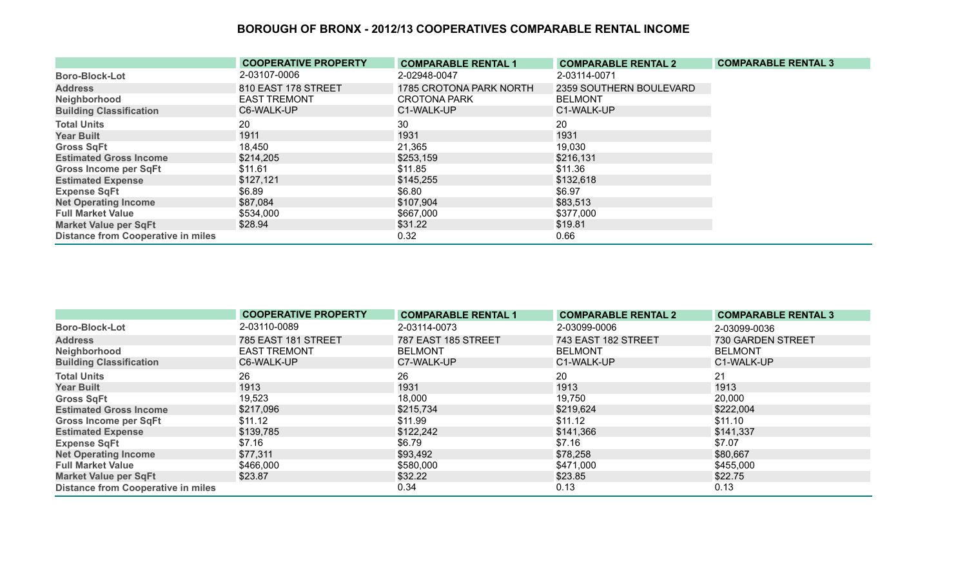|                                           | <b>COOPERATIVE PROPERTY</b> | <b>COMPARABLE RENTAL 1</b> | <b>COMPARABLE RENTAL 2</b> | <b>COMPARABLE RENTAL 3</b> |
|-------------------------------------------|-----------------------------|----------------------------|----------------------------|----------------------------|
| <b>Boro-Block-Lot</b>                     | 2-03107-0006                | 2-02948-0047               | 2-03114-0071               |                            |
| <b>Address</b>                            | 810 EAST 178 STREET         | 1785 CROTONA PARK NORTH    | 2359 SOUTHERN BOULEVARD    |                            |
| Neighborhood                              | <b>EAST TREMONT</b>         | CROTONA PARK               | <b>BELMONT</b>             |                            |
| <b>Building Classification</b>            | C6-WALK-UP                  | C1-WALK-UP                 | C1-WALK-UP                 |                            |
| <b>Total Units</b>                        | 20                          | 30                         | 20                         |                            |
| <b>Year Built</b>                         | 1911                        | 1931                       | 1931                       |                            |
| <b>Gross SqFt</b>                         | 18,450                      | 21,365                     | 19,030                     |                            |
| <b>Estimated Gross Income</b>             | \$214,205                   | \$253,159                  | \$216,131                  |                            |
| <b>Gross Income per SqFt</b>              | \$11.61                     | \$11.85                    | \$11.36                    |                            |
| <b>Estimated Expense</b>                  | \$127,121                   | \$145,255                  | \$132,618                  |                            |
| <b>Expense SqFt</b>                       | \$6.89                      | \$6.80                     | \$6.97                     |                            |
| <b>Net Operating Income</b>               | \$87,084                    | \$107,904                  | \$83,513                   |                            |
| <b>Full Market Value</b>                  | \$534,000                   | \$667,000                  | \$377,000                  |                            |
| <b>Market Value per SqFt</b>              | \$28.94                     | \$31.22                    | \$19.81                    |                            |
| <b>Distance from Cooperative in miles</b> |                             | 0.32                       | 0.66                       |                            |

|                                           | <b>COOPERATIVE PROPERTY</b> | <b>COMPARABLE RENTAL 1</b> | <b>COMPARABLE RENTAL 2</b> | <b>COMPARABLE RENTAL 3</b> |
|-------------------------------------------|-----------------------------|----------------------------|----------------------------|----------------------------|
| <b>Boro-Block-Lot</b>                     | 2-03110-0089                | 2-03114-0073               | 2-03099-0006               | 2-03099-0036               |
| <b>Address</b>                            | 785 EAST 181 STREET         | 787 EAST 185 STREET        | 743 EAST 182 STREET        | 730 GARDEN STREET          |
| Neighborhood                              | <b>EAST TREMONT</b>         | <b>BELMONT</b>             | <b>BELMONT</b>             | <b>BELMONT</b>             |
| <b>Building Classification</b>            | C6-WALK-UP                  | C7-WALK-UP                 | C1-WALK-UP                 | C1-WALK-UP                 |
| <b>Total Units</b>                        | 26                          | 26                         | 20                         | 21                         |
| <b>Year Built</b>                         | 1913                        | 1931                       | 1913                       | 1913                       |
| <b>Gross SqFt</b>                         | 19,523                      | 18,000                     | 19,750                     | 20,000                     |
| <b>Estimated Gross Income</b>             | \$217,096                   | \$215,734                  | \$219,624                  | \$222,004                  |
| <b>Gross Income per SqFt</b>              | \$11.12                     | \$11.99                    | \$11.12                    | \$11.10                    |
| <b>Estimated Expense</b>                  | \$139,785                   | \$122,242                  | \$141,366                  | \$141,337                  |
| <b>Expense SqFt</b>                       | \$7.16                      | \$6.79                     | \$7.16                     | \$7.07                     |
| <b>Net Operating Income</b>               | \$77,311                    | \$93,492                   | \$78,258                   | \$80,667                   |
| <b>Full Market Value</b>                  | \$466,000                   | \$580,000                  | \$471,000                  | \$455,000                  |
| <b>Market Value per SqFt</b>              | \$23.87                     | \$32.22                    | \$23.85                    | \$22.75                    |
| <b>Distance from Cooperative in miles</b> |                             | 0.34                       | 0.13                       | 0.13                       |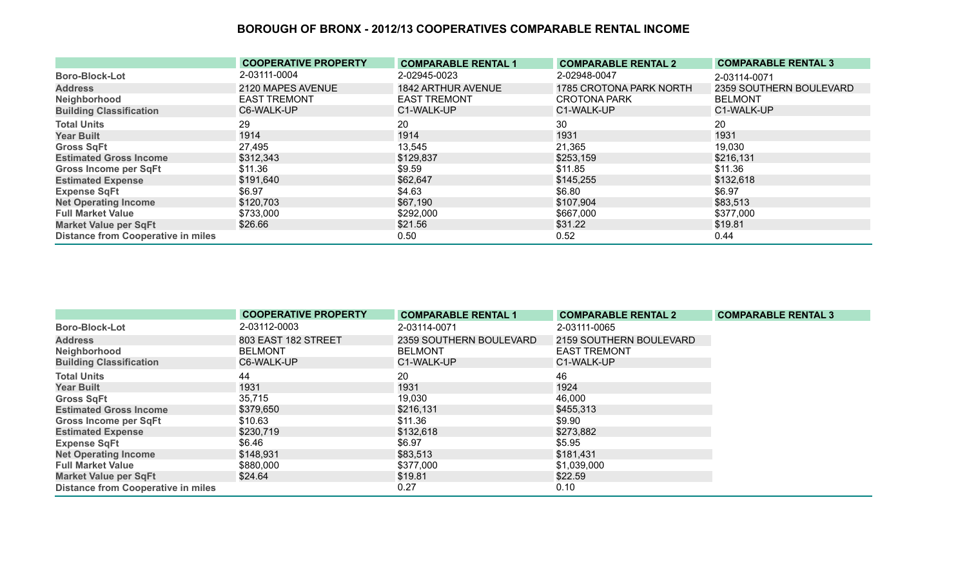|                                           | <b>COOPERATIVE PROPERTY</b> | <b>COMPARABLE RENTAL 1</b> | <b>COMPARABLE RENTAL 2</b> | <b>COMPARABLE RENTAL 3</b> |
|-------------------------------------------|-----------------------------|----------------------------|----------------------------|----------------------------|
| <b>Boro-Block-Lot</b>                     | 2-03111-0004                | 2-02945-0023               | 2-02948-0047               | 2-03114-0071               |
| <b>Address</b>                            | 2120 MAPES AVENUE           | 1842 ARTHUR AVENUE         | 1785 CROTONA PARK NORTH    | 2359 SOUTHERN BOULEVARD    |
| Neighborhood                              | <b>EAST TREMONT</b>         | <b>EAST TREMONT</b>        | <b>CROTONA PARK</b>        | <b>BELMONT</b>             |
| <b>Building Classification</b>            | C6-WALK-UP                  | C1-WALK-UP                 | C1-WALK-UP                 | C1-WALK-UP                 |
| <b>Total Units</b>                        | 29                          | 20                         | 30                         | 20                         |
| <b>Year Built</b>                         | 1914                        | 1914                       | 1931                       | 1931                       |
| <b>Gross SqFt</b>                         | 27,495                      | 13,545                     | 21,365                     | 19,030                     |
| <b>Estimated Gross Income</b>             | \$312,343                   | \$129,837                  | \$253,159                  | \$216,131                  |
| <b>Gross Income per SqFt</b>              | \$11.36                     | \$9.59                     | \$11.85                    | \$11.36                    |
| <b>Estimated Expense</b>                  | \$191,640                   | \$62,647                   | \$145,255                  | \$132,618                  |
| <b>Expense SqFt</b>                       | \$6.97                      | \$4.63                     | \$6.80                     | \$6.97                     |
| <b>Net Operating Income</b>               | \$120,703                   | \$67,190                   | \$107,904                  | \$83,513                   |
| <b>Full Market Value</b>                  | \$733,000                   | \$292,000                  | \$667,000                  | \$377,000                  |
| <b>Market Value per SqFt</b>              | \$26.66                     | \$21.56                    | \$31.22                    | \$19.81                    |
| <b>Distance from Cooperative in miles</b> |                             | 0.50                       | 0.52                       | 0.44                       |

|                                           | <b>COOPERATIVE PROPERTY</b> | <b>COMPARABLE RENTAL 1</b> | <b>COMPARABLE RENTAL 2</b> | <b>COMPARABLE RENTAL 3</b> |
|-------------------------------------------|-----------------------------|----------------------------|----------------------------|----------------------------|
| <b>Boro-Block-Lot</b>                     | 2-03112-0003                | 2-03114-0071               | 2-03111-0065               |                            |
| <b>Address</b>                            | 803 EAST 182 STREET         | 2359 SOUTHERN BOULEVARD    | 2159 SOUTHERN BOULEVARD    |                            |
| Neighborhood                              | <b>BELMONT</b>              | <b>BELMONT</b>             | <b>EAST TREMONT</b>        |                            |
| <b>Building Classification</b>            | C6-WALK-UP                  | C1-WALK-UP                 | C1-WALK-UP                 |                            |
| <b>Total Units</b>                        | 44                          | 20                         | 46                         |                            |
| <b>Year Built</b>                         | 1931                        | 1931                       | 1924                       |                            |
| <b>Gross SqFt</b>                         | 35,715                      | 19,030                     | 46,000                     |                            |
| <b>Estimated Gross Income</b>             | \$379,650                   | \$216,131                  | \$455,313                  |                            |
| <b>Gross Income per SqFt</b>              | \$10.63                     | \$11.36                    | \$9.90                     |                            |
| <b>Estimated Expense</b>                  | \$230,719                   | \$132,618                  | \$273,882                  |                            |
| <b>Expense SqFt</b>                       | \$6.46                      | \$6.97                     | \$5.95                     |                            |
| <b>Net Operating Income</b>               | \$148,931                   | \$83,513                   | \$181,431                  |                            |
| <b>Full Market Value</b>                  | \$880,000                   | \$377,000                  | \$1,039,000                |                            |
| <b>Market Value per SqFt</b>              | \$24.64                     | \$19.81                    | \$22.59                    |                            |
| <b>Distance from Cooperative in miles</b> |                             | 0.27                       | 0.10                       |                            |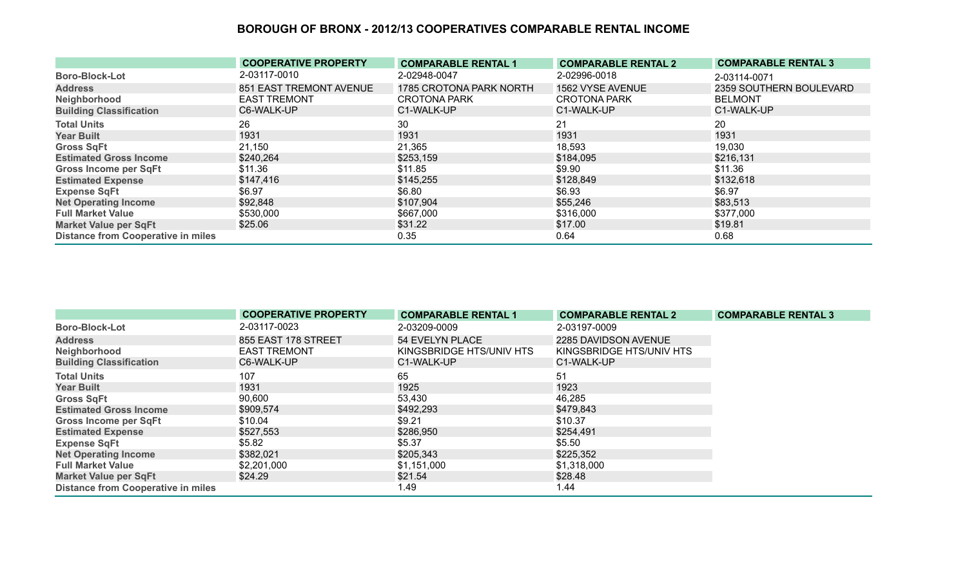|                                           | <b>COOPERATIVE PROPERTY</b> | <b>COMPARABLE RENTAL 1</b> | <b>COMPARABLE RENTAL 2</b> | <b>COMPARABLE RENTAL 3</b> |
|-------------------------------------------|-----------------------------|----------------------------|----------------------------|----------------------------|
| <b>Boro-Block-Lot</b>                     | 2-03117-0010                | 2-02948-0047               | 2-02996-0018               | 2-03114-0071               |
| <b>Address</b>                            | 851 EAST TREMONT AVENUE     | 1785 CROTONA PARK NORTH    | 1562 VYSE AVENUE           | 2359 SOUTHERN BOULEVARD    |
| Neighborhood                              | <b>EAST TREMONT</b>         | <b>CROTONA PARK</b>        | <b>CROTONA PARK</b>        | <b>BELMONT</b>             |
| <b>Building Classification</b>            | C6-WALK-UP                  | C1-WALK-UP                 | C1-WALK-UP                 | C1-WALK-UP                 |
| <b>Total Units</b>                        | 26                          | 30                         | 21                         | 20                         |
| <b>Year Built</b>                         | 1931                        | 1931                       | 1931                       | 1931                       |
| <b>Gross SqFt</b>                         | 21,150                      | 21,365                     | 18,593                     | 19,030                     |
| <b>Estimated Gross Income</b>             | \$240,264                   | \$253,159                  | \$184,095                  | \$216,131                  |
| <b>Gross Income per SqFt</b>              | \$11.36                     | \$11.85                    | \$9.90                     | \$11.36                    |
| <b>Estimated Expense</b>                  | \$147,416                   | \$145,255                  | \$128,849                  | \$132,618                  |
| <b>Expense SqFt</b>                       | \$6.97                      | \$6.80                     | \$6.93                     | \$6.97                     |
| <b>Net Operating Income</b>               | \$92,848                    | \$107,904                  | \$55,246                   | \$83,513                   |
| <b>Full Market Value</b>                  | \$530,000                   | \$667,000                  | \$316,000                  | \$377,000                  |
| <b>Market Value per SqFt</b>              | \$25.06                     | \$31.22                    | \$17.00                    | \$19.81                    |
| <b>Distance from Cooperative in miles</b> |                             | 0.35                       | 0.64                       | 0.68                       |

|                                           | <b>COOPERATIVE PROPERTY</b> | <b>COMPARABLE RENTAL 1</b> | <b>COMPARABLE RENTAL 2</b> | <b>COMPARABLE RENTAL 3</b> |
|-------------------------------------------|-----------------------------|----------------------------|----------------------------|----------------------------|
| <b>Boro-Block-Lot</b>                     | 2-03117-0023                | 2-03209-0009               | 2-03197-0009               |                            |
| <b>Address</b>                            | 855 EAST 178 STREET         | 54 EVELYN PLACE            | 2285 DAVIDSON AVENUE       |                            |
| Neighborhood                              | <b>EAST TREMONT</b>         | KINGSBRIDGE HTS/UNIV HTS   | KINGSBRIDGE HTS/UNIV HTS   |                            |
| <b>Building Classification</b>            | C6-WALK-UP                  | C1-WALK-UP                 | C1-WALK-UP                 |                            |
| <b>Total Units</b>                        | 107                         | 65                         | 51                         |                            |
| <b>Year Built</b>                         | 1931                        | 1925                       | 1923                       |                            |
| <b>Gross SqFt</b>                         | 90,600                      | 53,430                     | 46,285                     |                            |
| <b>Estimated Gross Income</b>             | \$909,574                   | \$492,293                  | \$479,843                  |                            |
| <b>Gross Income per SqFt</b>              | \$10.04                     | \$9.21                     | \$10.37                    |                            |
| <b>Estimated Expense</b>                  | \$527,553                   | \$286,950                  | \$254,491                  |                            |
| <b>Expense SqFt</b>                       | \$5.82                      | \$5.37                     | \$5.50                     |                            |
| <b>Net Operating Income</b>               | \$382,021                   | \$205,343                  | \$225,352                  |                            |
| <b>Full Market Value</b>                  | \$2,201,000                 | \$1,151,000                | \$1,318,000                |                            |
| <b>Market Value per SqFt</b>              | \$24.29                     | \$21.54                    | \$28.48                    |                            |
| <b>Distance from Cooperative in miles</b> |                             | 1.49                       | 1.44                       |                            |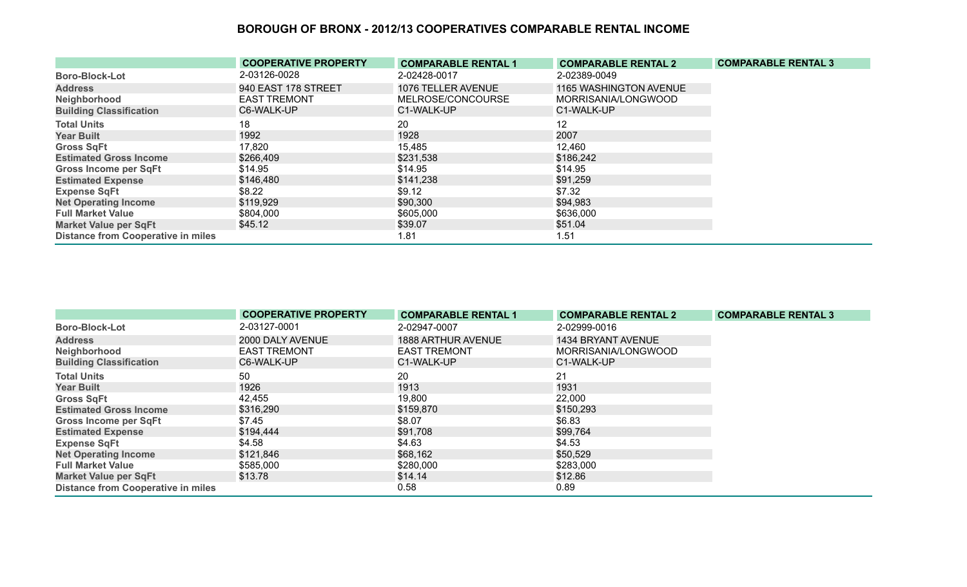|                                           | <b>COOPERATIVE PROPERTY</b> | <b>COMPARABLE RENTAL 1</b> | <b>COMPARABLE RENTAL 2</b> | <b>COMPARABLE RENTAL 3</b> |
|-------------------------------------------|-----------------------------|----------------------------|----------------------------|----------------------------|
| <b>Boro-Block-Lot</b>                     | 2-03126-0028                | 2-02428-0017               | 2-02389-0049               |                            |
| <b>Address</b>                            | 940 EAST 178 STREET         | 1076 TELLER AVENUE         | 1165 WASHINGTON AVENUE     |                            |
| Neighborhood                              | <b>EAST TREMONT</b>         | MELROSE/CONCOURSE          | MORRISANIA/LONGWOOD        |                            |
| <b>Building Classification</b>            | C6-WALK-UP                  | C1-WALK-UP                 | C1-WALK-UP                 |                            |
| <b>Total Units</b>                        | 18                          | 20                         | 12                         |                            |
| <b>Year Built</b>                         | 1992                        | 1928                       | 2007                       |                            |
| <b>Gross SqFt</b>                         | 17,820                      | 15,485                     | 12,460                     |                            |
| <b>Estimated Gross Income</b>             | \$266,409                   | \$231,538                  | \$186,242                  |                            |
| <b>Gross Income per SqFt</b>              | \$14.95                     | \$14.95                    | \$14.95                    |                            |
| <b>Estimated Expense</b>                  | \$146,480                   | \$141,238                  | \$91,259                   |                            |
| <b>Expense SqFt</b>                       | \$8.22                      | \$9.12                     | \$7.32                     |                            |
| <b>Net Operating Income</b>               | \$119,929                   | \$90,300                   | \$94,983                   |                            |
| <b>Full Market Value</b>                  | \$804,000                   | \$605,000                  | \$636,000                  |                            |
| <b>Market Value per SqFt</b>              | \$45.12                     | \$39.07                    | \$51.04                    |                            |
| <b>Distance from Cooperative in miles</b> |                             | 1.81                       | 1.51                       |                            |

|                                           | <b>COOPERATIVE PROPERTY</b> | <b>COMPARABLE RENTAL 1</b> | <b>COMPARABLE RENTAL 2</b> | <b>COMPARABLE RENTAL 3</b> |
|-------------------------------------------|-----------------------------|----------------------------|----------------------------|----------------------------|
| <b>Boro-Block-Lot</b>                     | 2-03127-0001                | 2-02947-0007               | 2-02999-0016               |                            |
| <b>Address</b>                            | 2000 DALY AVENUE            | <b>1888 ARTHUR AVENUE</b>  | 1434 BRYANT AVENUE         |                            |
| Neighborhood                              | <b>EAST TREMONT</b>         | <b>EAST TREMONT</b>        | MORRISANIA/LONGWOOD        |                            |
| <b>Building Classification</b>            | C6-WALK-UP                  | C1-WALK-UP                 | C1-WALK-UP                 |                            |
| <b>Total Units</b>                        | 50                          | 20                         | 21                         |                            |
| <b>Year Built</b>                         | 1926                        | 1913                       | 1931                       |                            |
| <b>Gross SqFt</b>                         | 42,455                      | 19,800                     | 22,000                     |                            |
| <b>Estimated Gross Income</b>             | \$316,290                   | \$159,870                  | \$150,293                  |                            |
| <b>Gross Income per SqFt</b>              | \$7.45                      | \$8.07                     | \$6.83                     |                            |
| <b>Estimated Expense</b>                  | \$194,444                   | \$91,708                   | \$99,764                   |                            |
| <b>Expense SqFt</b>                       | \$4.58                      | \$4.63                     | \$4.53                     |                            |
| <b>Net Operating Income</b>               | \$121,846                   | \$68,162                   | \$50,529                   |                            |
| <b>Full Market Value</b>                  | \$585,000                   | \$280,000                  | \$283,000                  |                            |
| <b>Market Value per SqFt</b>              | \$13.78                     | \$14.14                    | \$12.86                    |                            |
| <b>Distance from Cooperative in miles</b> |                             | 0.58                       | 0.89                       |                            |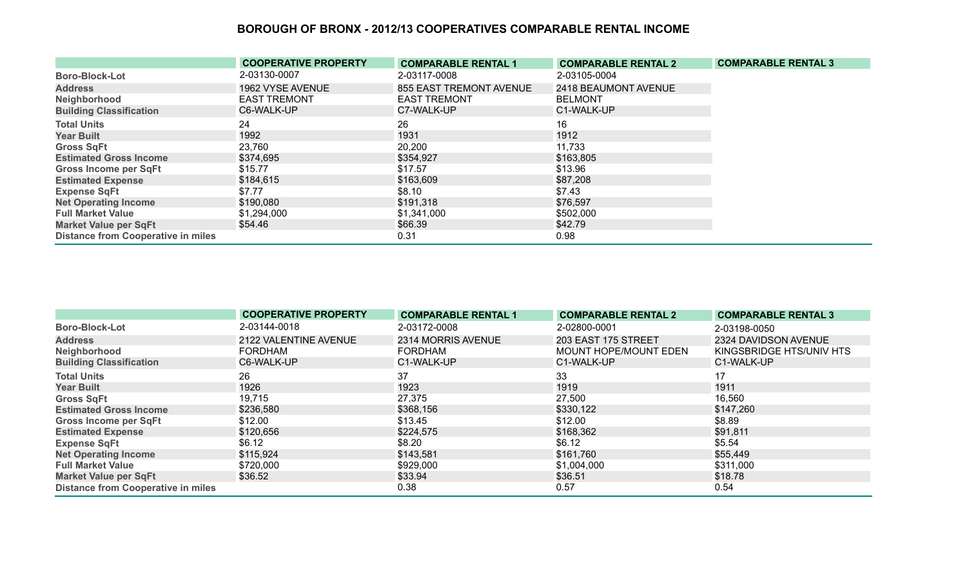|                                           | <b>COOPERATIVE PROPERTY</b> | <b>COMPARABLE RENTAL 1</b> | <b>COMPARABLE RENTAL 2</b> | <b>COMPARABLE RENTAL 3</b> |
|-------------------------------------------|-----------------------------|----------------------------|----------------------------|----------------------------|
| <b>Boro-Block-Lot</b>                     | 2-03130-0007                | 2-03117-0008               | 2-03105-0004               |                            |
| <b>Address</b>                            | 1962 VYSE AVENUE            | 855 EAST TREMONT AVENUE    | 2418 BEAUMONT AVENUE       |                            |
| Neighborhood                              | <b>EAST TREMONT</b>         | <b>EAST TREMONT</b>        | <b>BELMONT</b>             |                            |
| <b>Building Classification</b>            | C6-WALK-UP                  | C7-WALK-UP                 | C1-WALK-UP                 |                            |
| <b>Total Units</b>                        | 24                          | 26                         | 16                         |                            |
| <b>Year Built</b>                         | 1992                        | 1931                       | 1912                       |                            |
| <b>Gross SqFt</b>                         | 23,760                      | 20,200                     | 11,733                     |                            |
| <b>Estimated Gross Income</b>             | \$374,695                   | \$354,927                  | \$163,805                  |                            |
| <b>Gross Income per SqFt</b>              | \$15.77                     | \$17.57                    | \$13.96                    |                            |
| <b>Estimated Expense</b>                  | \$184,615                   | \$163,609                  | \$87,208                   |                            |
| <b>Expense SqFt</b>                       | \$7.77                      | \$8.10                     | \$7.43                     |                            |
| <b>Net Operating Income</b>               | \$190,080                   | \$191,318                  | \$76,597                   |                            |
| <b>Full Market Value</b>                  | \$1,294,000                 | \$1,341,000                | \$502,000                  |                            |
| <b>Market Value per SqFt</b>              | \$54.46                     | \$66.39                    | \$42.79                    |                            |
| <b>Distance from Cooperative in miles</b> |                             | 0.31                       | 0.98                       |                            |

|                                           | <b>COOPERATIVE PROPERTY</b> | <b>COMPARABLE RENTAL 1</b> | <b>COMPARABLE RENTAL 2</b> | <b>COMPARABLE RENTAL 3</b> |
|-------------------------------------------|-----------------------------|----------------------------|----------------------------|----------------------------|
| <b>Boro-Block-Lot</b>                     | 2-03144-0018                | 2-03172-0008               | 2-02800-0001               | 2-03198-0050               |
| <b>Address</b>                            | 2122 VALENTINE AVENUE       | 2314 MORRIS AVENUE         | 203 EAST 175 STREET        | 2324 DAVIDSON AVENUE       |
| Neighborhood                              | <b>FORDHAM</b>              | <b>FORDHAM</b>             | MOUNT HOPE/MOUNT EDEN      | KINGSBRIDGE HTS/UNIV HTS   |
| <b>Building Classification</b>            | C6-WALK-UP                  | C1-WALK-UP                 | C1-WALK-UP                 | C1-WALK-UP                 |
| <b>Total Units</b>                        | 26                          | 37                         | 33                         | 17                         |
| <b>Year Built</b>                         | 1926                        | 1923                       | 1919                       | 1911                       |
| <b>Gross SqFt</b>                         | 19,715                      | 27,375                     | 27,500                     | 16,560                     |
| <b>Estimated Gross Income</b>             | \$236,580                   | \$368,156                  | \$330,122                  | \$147,260                  |
| <b>Gross Income per SqFt</b>              | \$12.00                     | \$13.45                    | \$12.00                    | \$8.89                     |
| <b>Estimated Expense</b>                  | \$120,656                   | \$224,575                  | \$168,362                  | \$91,811                   |
| <b>Expense SqFt</b>                       | \$6.12                      | \$8.20                     | \$6.12                     | \$5.54                     |
| <b>Net Operating Income</b>               | \$115,924                   | \$143,581                  | \$161,760                  | \$55,449                   |
| <b>Full Market Value</b>                  | \$720,000                   | \$929,000                  | \$1,004,000                | \$311,000                  |
| <b>Market Value per SqFt</b>              | \$36.52                     | \$33.94                    | \$36.51                    | \$18.78                    |
| <b>Distance from Cooperative in miles</b> |                             | 0.38                       | 0.57                       | 0.54                       |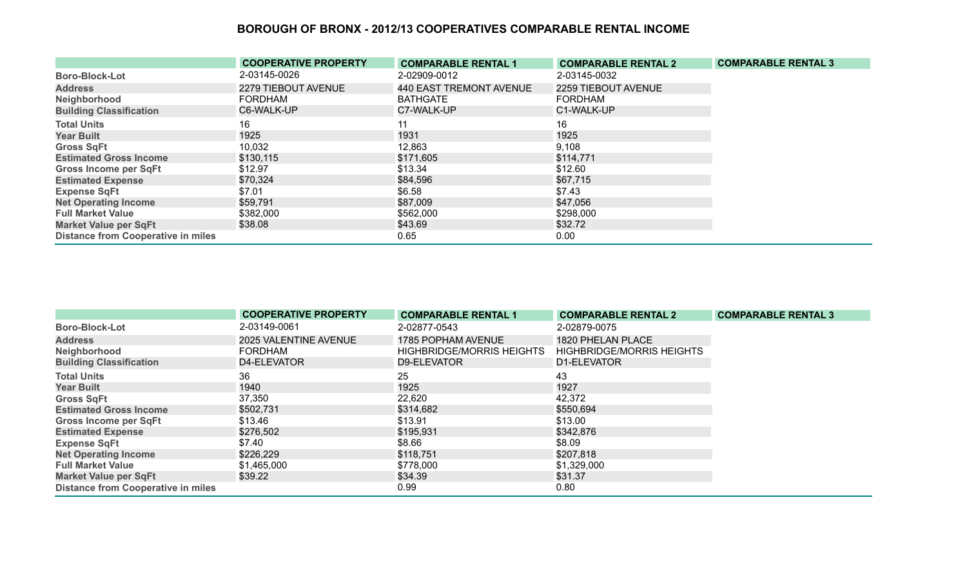|                                           | <b>COOPERATIVE PROPERTY</b> | <b>COMPARABLE RENTAL 1</b> | <b>COMPARABLE RENTAL 2</b> | <b>COMPARABLE RENTAL 3</b> |
|-------------------------------------------|-----------------------------|----------------------------|----------------------------|----------------------------|
| <b>Boro-Block-Lot</b>                     | 2-03145-0026                | 2-02909-0012               | 2-03145-0032               |                            |
| <b>Address</b>                            | 2279 TIEBOUT AVENUE         | 440 EAST TREMONT AVENUE    | 2259 TIEBOUT AVENUE        |                            |
| Neighborhood                              | <b>FORDHAM</b>              | <b>BATHGATE</b>            | FORDHAM                    |                            |
| <b>Building Classification</b>            | C6-WALK-UP                  | C7-WALK-UP                 | C1-WALK-UP                 |                            |
| <b>Total Units</b>                        | 16                          | 11                         | 16                         |                            |
| <b>Year Built</b>                         | 1925                        | 1931                       | 1925                       |                            |
| <b>Gross SqFt</b>                         | 10,032                      | 12,863                     | 9,108                      |                            |
| <b>Estimated Gross Income</b>             | \$130,115                   | \$171,605                  | \$114,771                  |                            |
| <b>Gross Income per SqFt</b>              | \$12.97                     | \$13.34                    | \$12.60                    |                            |
| <b>Estimated Expense</b>                  | \$70,324                    | \$84,596                   | \$67,715                   |                            |
| <b>Expense SqFt</b>                       | \$7.01                      | \$6.58                     | \$7.43                     |                            |
| <b>Net Operating Income</b>               | \$59,791                    | \$87,009                   | \$47,056                   |                            |
| <b>Full Market Value</b>                  | \$382,000                   | \$562,000                  | \$298,000                  |                            |
| <b>Market Value per SqFt</b>              | \$38.08                     | \$43.69                    | \$32.72                    |                            |
| <b>Distance from Cooperative in miles</b> |                             | 0.65                       | 0.00                       |                            |

|                                           | <b>COOPERATIVE PROPERTY</b> | <b>COMPARABLE RENTAL 1</b> | <b>COMPARABLE RENTAL 2</b>       | <b>COMPARABLE RENTAL 3</b> |
|-------------------------------------------|-----------------------------|----------------------------|----------------------------------|----------------------------|
| <b>Boro-Block-Lot</b>                     | 2-03149-0061                | 2-02877-0543               | 2-02879-0075                     |                            |
| <b>Address</b>                            | 2025 VALENTINE AVENUE       | 1785 POPHAM AVENUE         | 1820 PHELAN PLACE                |                            |
| Neighborhood                              | <b>FORDHAM</b>              | HIGHBRIDGE/MORRIS HEIGHTS  | <b>HIGHBRIDGE/MORRIS HEIGHTS</b> |                            |
| <b>Building Classification</b>            | D4-ELEVATOR                 | D9-ELEVATOR                | D1-ELEVATOR                      |                            |
| <b>Total Units</b>                        | 36                          | 25                         | 43                               |                            |
| <b>Year Built</b>                         | 1940                        | 1925                       | 1927                             |                            |
| <b>Gross SqFt</b>                         | 37,350                      | 22,620                     | 42,372                           |                            |
| <b>Estimated Gross Income</b>             | \$502,731                   | \$314,682                  | \$550,694                        |                            |
| <b>Gross Income per SqFt</b>              | \$13.46                     | \$13.91                    | \$13.00                          |                            |
| <b>Estimated Expense</b>                  | \$276,502                   | \$195,931                  | \$342,876                        |                            |
| <b>Expense SqFt</b>                       | \$7.40                      | \$8.66                     | \$8.09                           |                            |
| <b>Net Operating Income</b>               | \$226,229                   | \$118,751                  | \$207,818                        |                            |
| <b>Full Market Value</b>                  | \$1,465,000                 | \$778,000                  | \$1,329,000                      |                            |
| <b>Market Value per SqFt</b>              | \$39.22                     | \$34.39                    | \$31.37                          |                            |
| <b>Distance from Cooperative in miles</b> |                             | 0.99                       | 0.80                             |                            |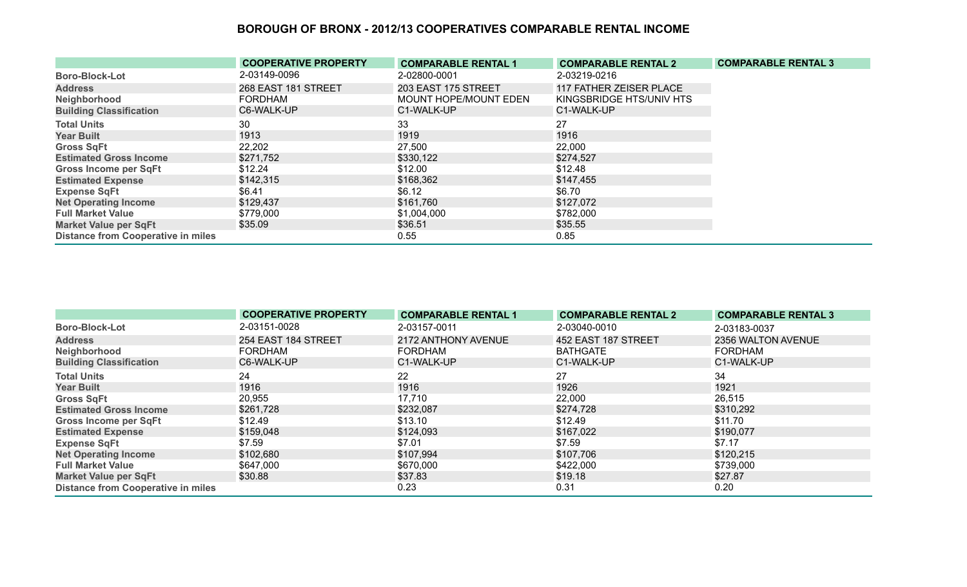|                                           | <b>COOPERATIVE PROPERTY</b> | <b>COMPARABLE RENTAL 1</b>   | <b>COMPARABLE RENTAL 2</b> | <b>COMPARABLE RENTAL 3</b> |
|-------------------------------------------|-----------------------------|------------------------------|----------------------------|----------------------------|
| <b>Boro-Block-Lot</b>                     | 2-03149-0096                | 2-02800-0001                 | 2-03219-0216               |                            |
| <b>Address</b>                            | 268 EAST 181 STREET         | 203 EAST 175 STREET          | 117 FATHER ZEISER PLACE    |                            |
| Neighborhood                              | <b>FORDHAM</b>              | <b>MOUNT HOPE/MOUNT EDEN</b> | KINGSBRIDGE HTS/UNIV HTS   |                            |
| <b>Building Classification</b>            | C6-WALK-UP                  | C1-WALK-UP                   | C1-WALK-UP                 |                            |
| <b>Total Units</b>                        | 30                          | 33                           | 27                         |                            |
| <b>Year Built</b>                         | 1913                        | 1919                         | 1916                       |                            |
| <b>Gross SqFt</b>                         | 22,202                      | 27,500                       | 22,000                     |                            |
| <b>Estimated Gross Income</b>             | \$271,752                   | \$330,122                    | \$274,527                  |                            |
| Gross Income per SqFt                     | \$12.24                     | \$12.00                      | \$12.48                    |                            |
| <b>Estimated Expense</b>                  | \$142,315                   | \$168,362                    | \$147,455                  |                            |
| <b>Expense SqFt</b>                       | \$6.41                      | \$6.12                       | \$6.70                     |                            |
| <b>Net Operating Income</b>               | \$129,437                   | \$161,760                    | \$127,072                  |                            |
| <b>Full Market Value</b>                  | \$779,000                   | \$1,004,000                  | \$782,000                  |                            |
| <b>Market Value per SqFt</b>              | \$35.09                     | \$36.51                      | \$35.55                    |                            |
| <b>Distance from Cooperative in miles</b> |                             | 0.55                         | 0.85                       |                            |

|                                           | <b>COOPERATIVE PROPERTY</b> | <b>COMPARABLE RENTAL 1</b> | <b>COMPARABLE RENTAL 2</b> | <b>COMPARABLE RENTAL 3</b> |
|-------------------------------------------|-----------------------------|----------------------------|----------------------------|----------------------------|
| <b>Boro-Block-Lot</b>                     | 2-03151-0028                | 2-03157-0011               | 2-03040-0010               | 2-03183-0037               |
| <b>Address</b>                            | 254 EAST 184 STREET         | 2172 ANTHONY AVENUE        | 452 EAST 187 STREET        | 2356 WALTON AVENUE         |
| Neighborhood                              | FORDHAM                     | <b>FORDHAM</b>             | <b>BATHGATE</b>            | <b>FORDHAM</b>             |
| <b>Building Classification</b>            | C6-WALK-UP                  | C1-WALK-UP                 | C1-WALK-UP                 | C1-WALK-UP                 |
| <b>Total Units</b>                        | 24                          | 22                         | 27                         | 34                         |
| <b>Year Built</b>                         | 1916                        | 1916                       | 1926                       | 1921                       |
| <b>Gross SqFt</b>                         | 20,955                      | 17,710                     | 22,000                     | 26,515                     |
| <b>Estimated Gross Income</b>             | \$261,728                   | \$232,087                  | \$274,728                  | \$310,292                  |
| <b>Gross Income per SqFt</b>              | \$12.49                     | \$13.10                    | \$12.49                    | \$11.70                    |
| <b>Estimated Expense</b>                  | \$159,048                   | \$124,093                  | \$167,022                  | \$190,077                  |
| <b>Expense SqFt</b>                       | \$7.59                      | \$7.01                     | \$7.59                     | \$7.17                     |
| <b>Net Operating Income</b>               | \$102,680                   | \$107,994                  | \$107,706                  | \$120,215                  |
| <b>Full Market Value</b>                  | \$647,000                   | \$670,000                  | \$422,000                  | \$739,000                  |
| <b>Market Value per SqFt</b>              | \$30.88                     | \$37.83                    | \$19.18                    | \$27.87                    |
| <b>Distance from Cooperative in miles</b> |                             | 0.23                       | 0.31                       | 0.20                       |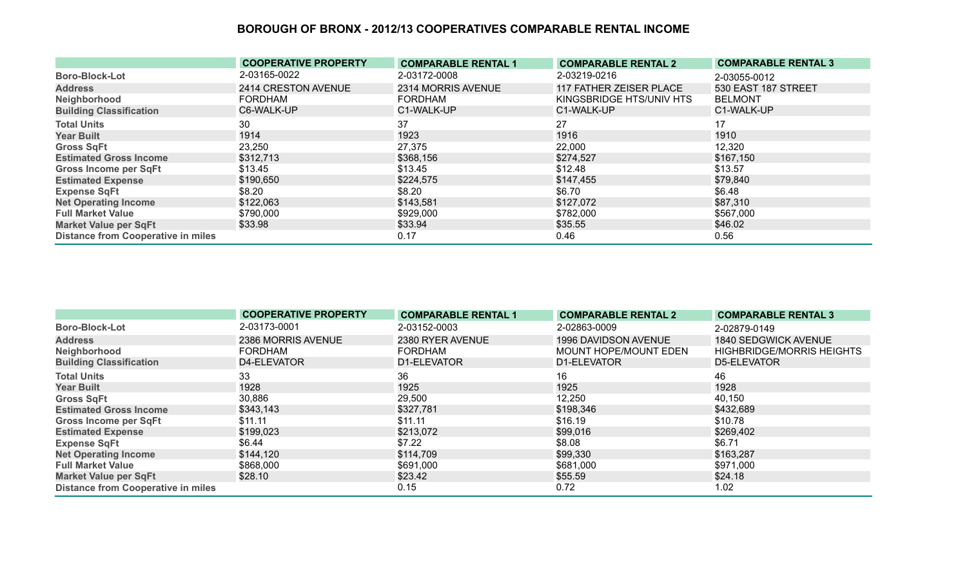|                                           | <b>COOPERATIVE PROPERTY</b> | <b>COMPARABLE RENTAL 1</b> | <b>COMPARABLE RENTAL 2</b> | <b>COMPARABLE RENTAL 3</b> |
|-------------------------------------------|-----------------------------|----------------------------|----------------------------|----------------------------|
| <b>Boro-Block-Lot</b>                     | 2-03165-0022                | 2-03172-0008               | 2-03219-0216               | 2-03055-0012               |
| <b>Address</b>                            | 2414 CRESTON AVENUE         | 2314 MORRIS AVENUE         | 117 FATHER ZEISER PLACE    | 530 EAST 187 STREET        |
| Neighborhood                              | <b>FORDHAM</b>              | <b>FORDHAM</b>             | KINGSBRIDGE HTS/UNIV HTS   | <b>BELMONT</b>             |
| <b>Building Classification</b>            | C6-WALK-UP                  | C1-WALK-UP                 | C1-WALK-UP                 | C1-WALK-UP                 |
| <b>Total Units</b>                        | 30                          | 37                         | 27                         | 17                         |
| <b>Year Built</b>                         | 1914                        | 1923                       | 1916                       | 1910                       |
| <b>Gross SqFt</b>                         | 23,250                      | 27,375                     | 22,000                     | 12,320                     |
| <b>Estimated Gross Income</b>             | \$312,713                   | \$368,156                  | \$274,527                  | \$167,150                  |
| <b>Gross Income per SqFt</b>              | \$13.45                     | \$13.45                    | \$12.48                    | \$13.57                    |
| <b>Estimated Expense</b>                  | \$190,650                   | \$224,575                  | \$147,455                  | \$79,840                   |
| <b>Expense SqFt</b>                       | \$8.20                      | \$8.20                     | \$6.70                     | \$6.48                     |
| <b>Net Operating Income</b>               | \$122,063                   | \$143,581                  | \$127,072                  | \$87,310                   |
| <b>Full Market Value</b>                  | \$790,000                   | \$929,000                  | \$782,000                  | \$567,000                  |
| <b>Market Value per SqFt</b>              | \$33.98                     | \$33.94                    | \$35.55                    | \$46.02                    |
| <b>Distance from Cooperative in miles</b> |                             | 0.17                       | 0.46                       | 0.56                       |

|                                           | <b>COOPERATIVE PROPERTY</b> | <b>COMPARABLE RENTAL 1</b> | <b>COMPARABLE RENTAL 2</b> | <b>COMPARABLE RENTAL 3</b>       |
|-------------------------------------------|-----------------------------|----------------------------|----------------------------|----------------------------------|
| <b>Boro-Block-Lot</b>                     | 2-03173-0001                | 2-03152-0003               | 2-02863-0009               | 2-02879-0149                     |
| <b>Address</b>                            | 2386 MORRIS AVENUE          | 2380 RYER AVENUE           | 1996 DAVIDSON AVENUE       | 1840 SEDGWICK AVENUE             |
| Neighborhood                              | <b>FORDHAM</b>              | <b>FORDHAM</b>             | MOUNT HOPE/MOUNT EDEN      | <b>HIGHBRIDGE/MORRIS HEIGHTS</b> |
| <b>Building Classification</b>            | D4-ELEVATOR                 | D1-ELEVATOR                | D1-ELEVATOR                | D5-ELEVATOR                      |
| <b>Total Units</b>                        | 33                          | 36                         | 16                         | 46                               |
| <b>Year Built</b>                         | 1928                        | 1925                       | 1925                       | 1928                             |
| <b>Gross SqFt</b>                         | 30,886                      | 29,500                     | 12,250                     | 40,150                           |
| <b>Estimated Gross Income</b>             | \$343,143                   | \$327,781                  | \$198,346                  | \$432,689                        |
| <b>Gross Income per SqFt</b>              | \$11.11                     | \$11.11                    | \$16.19                    | \$10.78                          |
| <b>Estimated Expense</b>                  | \$199,023                   | \$213,072                  | \$99,016                   | \$269,402                        |
| <b>Expense SqFt</b>                       | \$6.44                      | \$7.22                     | \$8.08                     | \$6.71                           |
| <b>Net Operating Income</b>               | \$144,120                   | \$114,709                  | \$99,330                   | \$163,287                        |
| <b>Full Market Value</b>                  | \$868,000                   | \$691,000                  | \$681,000                  | \$971,000                        |
| <b>Market Value per SqFt</b>              | \$28.10                     | \$23.42                    | \$55.59                    | \$24.18                          |
| <b>Distance from Cooperative in miles</b> |                             | 0.15                       | 0.72                       | 1.02                             |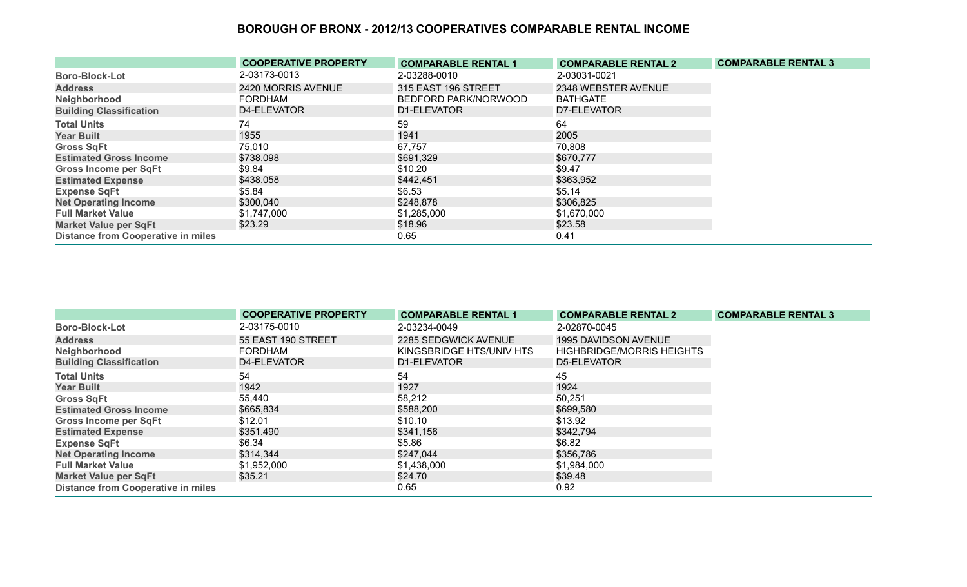|                                           | <b>COOPERATIVE PROPERTY</b> | <b>COMPARABLE RENTAL 1</b> | <b>COMPARABLE RENTAL 2</b> | <b>COMPARABLE RENTAL 3</b> |
|-------------------------------------------|-----------------------------|----------------------------|----------------------------|----------------------------|
| <b>Boro-Block-Lot</b>                     | 2-03173-0013                | 2-03288-0010               | 2-03031-0021               |                            |
| <b>Address</b>                            | 2420 MORRIS AVENUE          | 315 EAST 196 STREET        | 2348 WEBSTER AVENUE        |                            |
| Neighborhood                              | <b>FORDHAM</b>              | BEDFORD PARK/NORWOOD       | <b>BATHGATE</b>            |                            |
| <b>Building Classification</b>            | D4-ELEVATOR                 | D1-ELEVATOR                | D7-ELEVATOR                |                            |
| <b>Total Units</b>                        | 74                          | 59                         | 64                         |                            |
| <b>Year Built</b>                         | 1955                        | 1941                       | 2005                       |                            |
| <b>Gross SqFt</b>                         | 75,010                      | 67,757                     | 70,808                     |                            |
| <b>Estimated Gross Income</b>             | \$738,098                   | \$691,329                  | \$670,777                  |                            |
| <b>Gross Income per SqFt</b>              | \$9.84                      | \$10.20                    | \$9.47                     |                            |
| <b>Estimated Expense</b>                  | \$438,058                   | \$442,451                  | \$363,952                  |                            |
| <b>Expense SqFt</b>                       | \$5.84                      | \$6.53                     | \$5.14                     |                            |
| <b>Net Operating Income</b>               | \$300,040                   | \$248,878                  | \$306,825                  |                            |
| <b>Full Market Value</b>                  | \$1,747,000                 | \$1,285,000                | \$1,670,000                |                            |
| <b>Market Value per SqFt</b>              | \$23.29                     | \$18.96                    | \$23.58                    |                            |
| <b>Distance from Cooperative in miles</b> |                             | 0.65                       | 0.41                       |                            |

|                                           | <b>COOPERATIVE PROPERTY</b> | <b>COMPARABLE RENTAL 1</b> | <b>COMPARABLE RENTAL 2</b>       | <b>COMPARABLE RENTAL 3</b> |
|-------------------------------------------|-----------------------------|----------------------------|----------------------------------|----------------------------|
| <b>Boro-Block-Lot</b>                     | 2-03175-0010                | 2-03234-0049               | 2-02870-0045                     |                            |
| <b>Address</b>                            | 55 EAST 190 STREET          | 2285 SEDGWICK AVENUE       | 1995 DAVIDSON AVENUE             |                            |
| Neighborhood                              | <b>FORDHAM</b>              | KINGSBRIDGE HTS/UNIV HTS   | <b>HIGHBRIDGE/MORRIS HEIGHTS</b> |                            |
| <b>Building Classification</b>            | D4-ELEVATOR                 | D1-ELEVATOR                | D5-ELEVATOR                      |                            |
| <b>Total Units</b>                        | 54                          | 54                         | 45                               |                            |
| <b>Year Built</b>                         | 1942                        | 1927                       | 1924                             |                            |
| <b>Gross SqFt</b>                         | 55,440                      | 58,212                     | 50,251                           |                            |
| <b>Estimated Gross Income</b>             | \$665,834                   | \$588,200                  | \$699,580                        |                            |
| <b>Gross Income per SqFt</b>              | \$12.01                     | \$10.10                    | \$13.92                          |                            |
| <b>Estimated Expense</b>                  | \$351,490                   | \$341,156                  | \$342,794                        |                            |
| <b>Expense SqFt</b>                       | \$6.34                      | \$5.86                     | \$6.82                           |                            |
| <b>Net Operating Income</b>               | \$314,344                   | \$247,044                  | \$356,786                        |                            |
| <b>Full Market Value</b>                  | \$1,952,000                 | \$1,438,000                | \$1,984,000                      |                            |
| <b>Market Value per SqFt</b>              | \$35.21                     | \$24.70                    | \$39.48                          |                            |
| <b>Distance from Cooperative in miles</b> |                             | 0.65                       | 0.92                             |                            |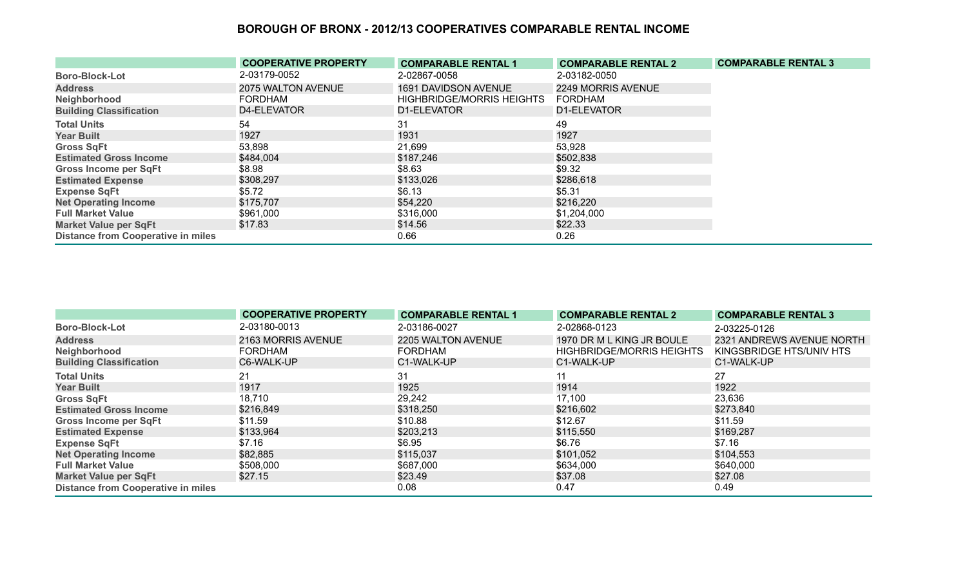|                                           | <b>COOPERATIVE PROPERTY</b> | <b>COMPARABLE RENTAL 1</b>       | <b>COMPARABLE RENTAL 2</b> | <b>COMPARABLE RENTAL 3</b> |
|-------------------------------------------|-----------------------------|----------------------------------|----------------------------|----------------------------|
| <b>Boro-Block-Lot</b>                     | 2-03179-0052                | 2-02867-0058                     | 2-03182-0050               |                            |
| <b>Address</b>                            | 2075 WALTON AVENUE          | 1691 DAVIDSON AVENUE             | 2249 MORRIS AVENUE         |                            |
| Neighborhood                              | <b>FORDHAM</b>              | <b>HIGHBRIDGE/MORRIS HEIGHTS</b> | <b>FORDHAM</b>             |                            |
| <b>Building Classification</b>            | D4-ELEVATOR                 | D1-ELEVATOR                      | D1-ELEVATOR                |                            |
| <b>Total Units</b>                        | 54                          | 31                               | 49                         |                            |
| <b>Year Built</b>                         | 1927                        | 1931                             | 1927                       |                            |
| <b>Gross SqFt</b>                         | 53,898                      | 21,699                           | 53,928                     |                            |
| <b>Estimated Gross Income</b>             | \$484,004                   | \$187,246                        | \$502,838                  |                            |
| Gross Income per SqFt                     | \$8.98                      | \$8.63                           | \$9.32                     |                            |
| <b>Estimated Expense</b>                  | \$308,297                   | \$133,026                        | \$286,618                  |                            |
| <b>Expense SqFt</b>                       | \$5.72                      | \$6.13                           | \$5.31                     |                            |
| <b>Net Operating Income</b>               | \$175,707                   | \$54,220                         | \$216,220                  |                            |
| <b>Full Market Value</b>                  | \$961,000                   | \$316,000                        | \$1,204,000                |                            |
| <b>Market Value per SqFt</b>              | \$17.83                     | \$14.56                          | \$22.33                    |                            |
| <b>Distance from Cooperative in miles</b> |                             | 0.66                             | 0.26                       |                            |

|                                           | <b>COOPERATIVE PROPERTY</b> | <b>COMPARABLE RENTAL 1</b> | <b>COMPARABLE RENTAL 2</b>       | <b>COMPARABLE RENTAL 3</b> |
|-------------------------------------------|-----------------------------|----------------------------|----------------------------------|----------------------------|
| <b>Boro-Block-Lot</b>                     | 2-03180-0013                | 2-03186-0027               | 2-02868-0123                     | 2-03225-0126               |
| <b>Address</b>                            | 2163 MORRIS AVENUE          | 2205 WALTON AVENUE         | 1970 DR M L KING JR BOULE        | 2321 ANDREWS AVENUE NORTH  |
| Neighborhood                              | <b>FORDHAM</b>              | <b>FORDHAM</b>             | <b>HIGHBRIDGE/MORRIS HEIGHTS</b> | KINGSBRIDGE HTS/UNIV HTS   |
| <b>Building Classification</b>            | C6-WALK-UP                  | C1-WALK-UP                 | C1-WALK-UP                       | C1-WALK-UP                 |
| <b>Total Units</b>                        | 21                          | 31                         | 11                               | 27                         |
| <b>Year Built</b>                         | 1917                        | 1925                       | 1914                             | 1922                       |
| <b>Gross SqFt</b>                         | 18,710                      | 29,242                     | 17,100                           | 23,636                     |
| <b>Estimated Gross Income</b>             | \$216,849                   | \$318,250                  | \$216,602                        | \$273,840                  |
| <b>Gross Income per SqFt</b>              | \$11.59                     | \$10.88                    | \$12.67                          | \$11.59                    |
| <b>Estimated Expense</b>                  | \$133,964                   | \$203,213                  | \$115,550                        | \$169,287                  |
| <b>Expense SqFt</b>                       | \$7.16                      | \$6.95                     | \$6.76                           | \$7.16                     |
| <b>Net Operating Income</b>               | \$82,885                    | \$115,037                  | \$101,052                        | \$104,553                  |
| <b>Full Market Value</b>                  | \$508,000                   | \$687,000                  | \$634,000                        | \$640,000                  |
| <b>Market Value per SqFt</b>              | \$27.15                     | \$23.49                    | \$37.08                          | \$27.08                    |
| <b>Distance from Cooperative in miles</b> |                             | 0.08                       | 0.47                             | 0.49                       |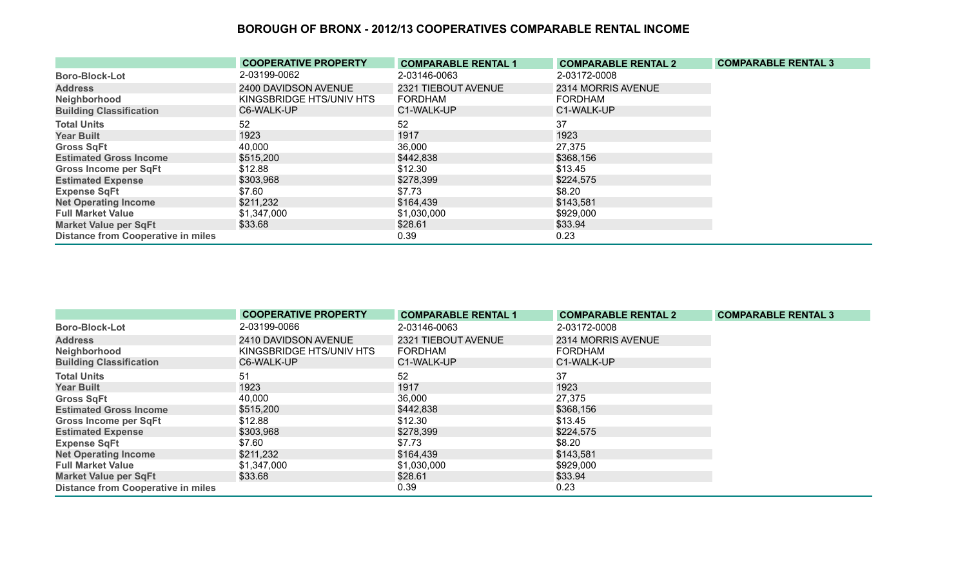|                                           | <b>COOPERATIVE PROPERTY</b> | <b>COMPARABLE RENTAL 1</b> | <b>COMPARABLE RENTAL 2</b> | <b>COMPARABLE RENTAL 3</b> |
|-------------------------------------------|-----------------------------|----------------------------|----------------------------|----------------------------|
| <b>Boro-Block-Lot</b>                     | 2-03199-0062                | 2-03146-0063               | 2-03172-0008               |                            |
| <b>Address</b>                            | 2400 DAVIDSON AVENUE        | 2321 TIEBOUT AVENUE        | 2314 MORRIS AVENUE         |                            |
| Neighborhood                              | KINGSBRIDGE HTS/UNIV HTS    | <b>FORDHAM</b>             | <b>FORDHAM</b>             |                            |
| <b>Building Classification</b>            | C6-WALK-UP                  | C1-WALK-UP                 | C1-WALK-UP                 |                            |
| <b>Total Units</b>                        | 52                          | 52                         | 37                         |                            |
| <b>Year Built</b>                         | 1923                        | 1917                       | 1923                       |                            |
| <b>Gross SqFt</b>                         | 40,000                      | 36,000                     | 27,375                     |                            |
| <b>Estimated Gross Income</b>             | \$515,200                   | \$442,838                  | \$368,156                  |                            |
| <b>Gross Income per SqFt</b>              | \$12.88                     | \$12.30                    | \$13.45                    |                            |
| <b>Estimated Expense</b>                  | \$303,968                   | \$278,399                  | \$224,575                  |                            |
| <b>Expense SqFt</b>                       | \$7.60                      | \$7.73                     | \$8.20                     |                            |
| <b>Net Operating Income</b>               | \$211,232                   | \$164,439                  | \$143,581                  |                            |
| <b>Full Market Value</b>                  | \$1,347,000                 | \$1,030,000                | \$929,000                  |                            |
| <b>Market Value per SqFt</b>              | \$33.68                     | \$28.61                    | \$33.94                    |                            |
| <b>Distance from Cooperative in miles</b> |                             | 0.39                       | 0.23                       |                            |

|                                           | <b>COOPERATIVE PROPERTY</b> | <b>COMPARABLE RENTAL 1</b> | <b>COMPARABLE RENTAL 2</b> | <b>COMPARABLE RENTAL 3</b> |
|-------------------------------------------|-----------------------------|----------------------------|----------------------------|----------------------------|
| <b>Boro-Block-Lot</b>                     | 2-03199-0066                | 2-03146-0063               | 2-03172-0008               |                            |
| <b>Address</b>                            | 2410 DAVIDSON AVENUE        | 2321 TIEBOUT AVENUE        | 2314 MORRIS AVENUE         |                            |
| Neighborhood                              | KINGSBRIDGE HTS/UNIV HTS    | FORDHAM                    | <b>FORDHAM</b>             |                            |
| <b>Building Classification</b>            | C6-WALK-UP                  | C1-WALK-UP                 | C1-WALK-UP                 |                            |
| <b>Total Units</b>                        | 51                          | 52                         | 37                         |                            |
| <b>Year Built</b>                         | 1923                        | 1917                       | 1923                       |                            |
| <b>Gross SqFt</b>                         | 40,000                      | 36,000                     | 27,375                     |                            |
| <b>Estimated Gross Income</b>             | \$515,200                   | \$442,838                  | \$368,156                  |                            |
| <b>Gross Income per SqFt</b>              | \$12.88                     | \$12.30                    | \$13.45                    |                            |
| <b>Estimated Expense</b>                  | \$303,968                   | \$278,399                  | \$224,575                  |                            |
| <b>Expense SqFt</b>                       | \$7.60                      | \$7.73                     | \$8.20                     |                            |
| <b>Net Operating Income</b>               | \$211,232                   | \$164,439                  | \$143,581                  |                            |
| <b>Full Market Value</b>                  | \$1,347,000                 | \$1,030,000                | \$929,000                  |                            |
| <b>Market Value per SqFt</b>              | \$33.68                     | \$28.61                    | \$33.94                    |                            |
| <b>Distance from Cooperative in miles</b> |                             | 0.39                       | 0.23                       |                            |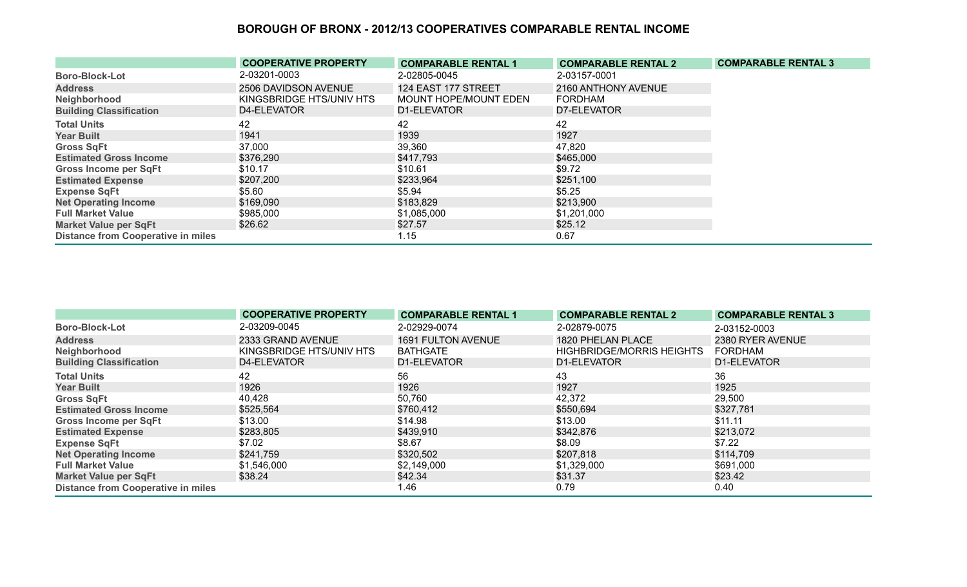|                                           | <b>COOPERATIVE PROPERTY</b> | <b>COMPARABLE RENTAL 1</b> | <b>COMPARABLE RENTAL 2</b> | <b>COMPARABLE RENTAL 3</b> |
|-------------------------------------------|-----------------------------|----------------------------|----------------------------|----------------------------|
| <b>Boro-Block-Lot</b>                     | 2-03201-0003                | 2-02805-0045               | 2-03157-0001               |                            |
| <b>Address</b>                            | 2506 DAVIDSON AVENUE        | 124 EAST 177 STREET        | 2160 ANTHONY AVENUE        |                            |
| Neighborhood                              | KINGSBRIDGE HTS/UNIV HTS    | MOUNT HOPE/MOUNT EDEN      | FORDHAM                    |                            |
| <b>Building Classification</b>            | D4-ELEVATOR                 | D1-ELEVATOR                | D7-ELEVATOR                |                            |
| <b>Total Units</b>                        | 42                          | 42                         | 42                         |                            |
| <b>Year Built</b>                         | 1941                        | 1939                       | 1927                       |                            |
| <b>Gross SqFt</b>                         | 37,000                      | 39,360                     | 47,820                     |                            |
| <b>Estimated Gross Income</b>             | \$376,290                   | \$417,793                  | \$465,000                  |                            |
| Gross Income per SqFt                     | \$10.17                     | \$10.61                    | \$9.72                     |                            |
| <b>Estimated Expense</b>                  | \$207,200                   | \$233,964                  | \$251,100                  |                            |
| <b>Expense SqFt</b>                       | \$5.60                      | \$5.94                     | \$5.25                     |                            |
| <b>Net Operating Income</b>               | \$169,090                   | \$183,829                  | \$213,900                  |                            |
| <b>Full Market Value</b>                  | \$985,000                   | \$1,085,000                | \$1,201,000                |                            |
| <b>Market Value per SqFt</b>              | \$26.62                     | \$27.57                    | \$25.12                    |                            |
| <b>Distance from Cooperative in miles</b> |                             | 1.15                       | 0.67                       |                            |

|                                           | <b>COOPERATIVE PROPERTY</b> | <b>COMPARABLE RENTAL 1</b> | <b>COMPARABLE RENTAL 2</b>       | <b>COMPARABLE RENTAL 3</b> |
|-------------------------------------------|-----------------------------|----------------------------|----------------------------------|----------------------------|
| <b>Boro-Block-Lot</b>                     | 2-03209-0045                | 2-02929-0074               | 2-02879-0075                     | 2-03152-0003               |
| <b>Address</b>                            | 2333 GRAND AVENUE           | <b>1691 FULTON AVENUE</b>  | 1820 PHELAN PLACE                | 2380 RYER AVENUE           |
| Neighborhood                              | KINGSBRIDGE HTS/UNIV HTS    | BATHGATE                   | <b>HIGHBRIDGE/MORRIS HEIGHTS</b> | FORDHAM                    |
| <b>Building Classification</b>            | D4-ELEVATOR                 | D1-ELEVATOR                | D1-ELEVATOR                      | D1-ELEVATOR                |
| <b>Total Units</b>                        | 42                          | 56                         | 43                               | 36                         |
| <b>Year Built</b>                         | 1926                        | 1926                       | 1927                             | 1925                       |
| <b>Gross SqFt</b>                         | 40,428                      | 50,760                     | 42,372                           | 29,500                     |
| <b>Estimated Gross Income</b>             | \$525,564                   | \$760,412                  | \$550,694                        | \$327,781                  |
| <b>Gross Income per SqFt</b>              | \$13.00                     | \$14.98                    | \$13.00                          | \$11.11                    |
| <b>Estimated Expense</b>                  | \$283,805                   | \$439,910                  | \$342,876                        | \$213,072                  |
| <b>Expense SqFt</b>                       | \$7.02                      | \$8.67                     | \$8.09                           | \$7.22                     |
| <b>Net Operating Income</b>               | \$241,759                   | \$320,502                  | \$207,818                        | \$114,709                  |
| <b>Full Market Value</b>                  | \$1,546,000                 | \$2,149,000                | \$1,329,000                      | \$691,000                  |
| <b>Market Value per SqFt</b>              | \$38.24                     | \$42.34                    | \$31.37                          | \$23.42                    |
| <b>Distance from Cooperative in miles</b> |                             | 1.46                       | 0.79                             | 0.40                       |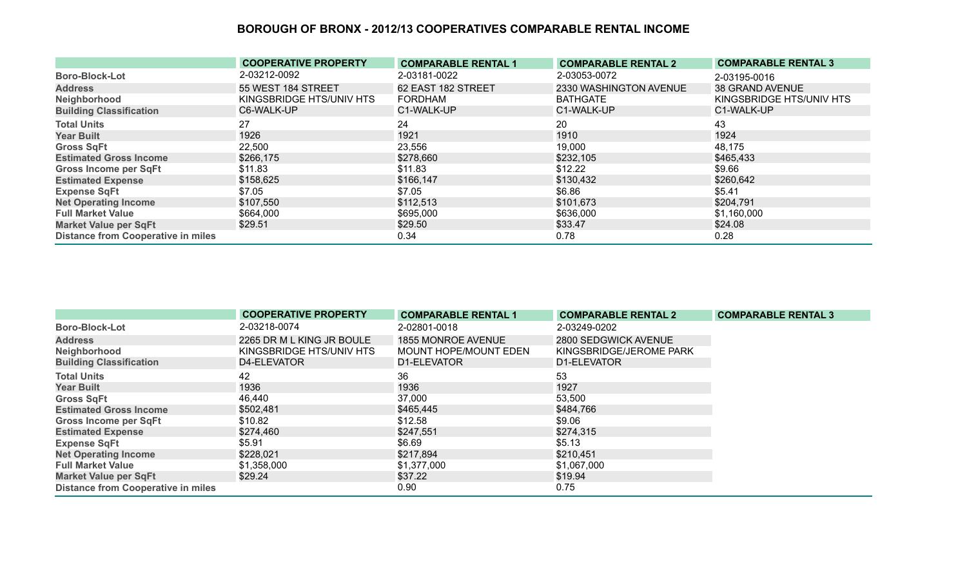|                                           | <b>COOPERATIVE PROPERTY</b> | <b>COMPARABLE RENTAL 1</b> | <b>COMPARABLE RENTAL 2</b> | <b>COMPARABLE RENTAL 3</b> |
|-------------------------------------------|-----------------------------|----------------------------|----------------------------|----------------------------|
| <b>Boro-Block-Lot</b>                     | 2-03212-0092                | 2-03181-0022               | 2-03053-0072               | 2-03195-0016               |
| <b>Address</b>                            | 55 WEST 184 STREET          | 62 EAST 182 STREET         | 2330 WASHINGTON AVENUE     | <b>38 GRAND AVENUE</b>     |
| Neighborhood                              | KINGSBRIDGE HTS/UNIV HTS    | <b>FORDHAM</b>             | <b>BATHGATE</b>            | KINGSBRIDGE HTS/UNIV HTS   |
| <b>Building Classification</b>            | C6-WALK-UP                  | C1-WALK-UP                 | C1-WALK-UP                 | C1-WALK-UP                 |
| <b>Total Units</b>                        | 27                          | 24                         | 20                         | 43                         |
| <b>Year Built</b>                         | 1926                        | 1921                       | 1910                       | 1924                       |
| <b>Gross SqFt</b>                         | 22,500                      | 23,556                     | 19,000                     | 48,175                     |
| <b>Estimated Gross Income</b>             | \$266,175                   | \$278,660                  | \$232,105                  | \$465,433                  |
| <b>Gross Income per SqFt</b>              | \$11.83                     | \$11.83                    | \$12.22                    | \$9.66                     |
| <b>Estimated Expense</b>                  | \$158,625                   | \$166,147                  | \$130,432                  | \$260,642                  |
| <b>Expense SqFt</b>                       | \$7.05                      | \$7.05                     | \$6.86                     | \$5.41                     |
| <b>Net Operating Income</b>               | \$107,550                   | \$112,513                  | \$101,673                  | \$204,791                  |
| <b>Full Market Value</b>                  | \$664,000                   | \$695,000                  | \$636,000                  | \$1,160,000                |
| <b>Market Value per SqFt</b>              | \$29.51                     | \$29.50                    | \$33.47                    | \$24.08                    |
| <b>Distance from Cooperative in miles</b> |                             | 0.34                       | 0.78                       | 0.28                       |

|                                           | <b>COOPERATIVE PROPERTY</b> | <b>COMPARABLE RENTAL 1</b> | <b>COMPARABLE RENTAL 2</b> | <b>COMPARABLE RENTAL 3</b> |
|-------------------------------------------|-----------------------------|----------------------------|----------------------------|----------------------------|
| <b>Boro-Block-Lot</b>                     | 2-03218-0074                | 2-02801-0018               | 2-03249-0202               |                            |
| <b>Address</b>                            | 2265 DR M L KING JR BOULE   | 1855 MONROE AVENUE         | 2800 SEDGWICK AVENUE       |                            |
| Neighborhood                              | KINGSBRIDGE HTS/UNIV HTS    | MOUNT HOPE/MOUNT EDEN      | KINGSBRIDGE/JEROME PARK    |                            |
| <b>Building Classification</b>            | D4-ELEVATOR                 | D1-ELEVATOR                | D1-ELEVATOR                |                            |
| <b>Total Units</b>                        | 42                          | 36                         | 53                         |                            |
| <b>Year Built</b>                         | 1936                        | 1936                       | 1927                       |                            |
| <b>Gross SqFt</b>                         | 46,440                      | 37,000                     | 53,500                     |                            |
| <b>Estimated Gross Income</b>             | \$502,481                   | \$465,445                  | \$484,766                  |                            |
| <b>Gross Income per SqFt</b>              | \$10.82                     | \$12.58                    | \$9.06                     |                            |
| <b>Estimated Expense</b>                  | \$274,460                   | \$247,551                  | \$274,315                  |                            |
| <b>Expense SqFt</b>                       | \$5.91                      | \$6.69                     | \$5.13                     |                            |
| <b>Net Operating Income</b>               | \$228,021                   | \$217,894                  | \$210,451                  |                            |
| <b>Full Market Value</b>                  | \$1,358,000                 | \$1,377,000                | \$1,067,000                |                            |
| <b>Market Value per SqFt</b>              | \$29.24                     | \$37.22                    | \$19.94                    |                            |
| <b>Distance from Cooperative in miles</b> |                             | 0.90                       | 0.75                       |                            |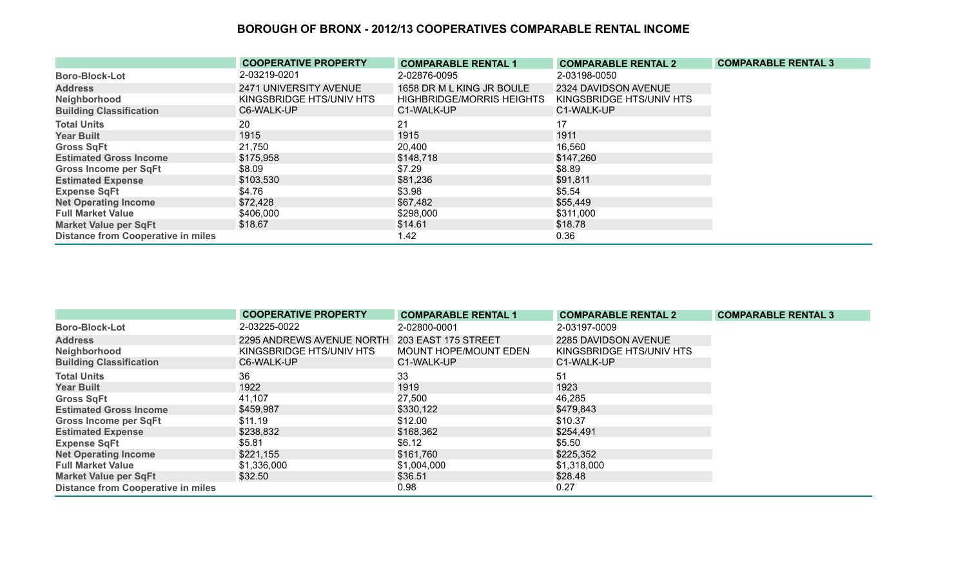|                                           | <b>COOPERATIVE PROPERTY</b> | <b>COMPARABLE RENTAL 1</b>       | <b>COMPARABLE RENTAL 2</b> | <b>COMPARABLE RENTAL 3</b> |
|-------------------------------------------|-----------------------------|----------------------------------|----------------------------|----------------------------|
| <b>Boro-Block-Lot</b>                     | 2-03219-0201                | 2-02876-0095                     | 2-03198-0050               |                            |
| <b>Address</b>                            | 2471 UNIVERSITY AVENUE      | 1658 DR M L KING JR BOULE        | 2324 DAVIDSON AVENUE       |                            |
| Neighborhood                              | KINGSBRIDGE HTS/UNIV HTS    | <b>HIGHBRIDGE/MORRIS HEIGHTS</b> | KINGSBRIDGE HTS/UNIV HTS   |                            |
| <b>Building Classification</b>            | C6-WALK-UP                  | C1-WALK-UP                       | C1-WALK-UP                 |                            |
| <b>Total Units</b>                        | 20                          | 21                               | 17                         |                            |
| <b>Year Built</b>                         | 1915                        | 1915                             | 1911                       |                            |
| <b>Gross SqFt</b>                         | 21,750                      | 20,400                           | 16,560                     |                            |
| <b>Estimated Gross Income</b>             | \$175,958                   | \$148,718                        | \$147,260                  |                            |
| <b>Gross Income per SqFt</b>              | \$8.09                      | \$7.29                           | \$8.89                     |                            |
| <b>Estimated Expense</b>                  | \$103,530                   | \$81,236                         | \$91,811                   |                            |
| <b>Expense SqFt</b>                       | \$4.76                      | \$3.98                           | \$5.54                     |                            |
| <b>Net Operating Income</b>               | \$72,428                    | \$67,482                         | \$55,449                   |                            |
| <b>Full Market Value</b>                  | \$406,000                   | \$298,000                        | \$311,000                  |                            |
| <b>Market Value per SqFt</b>              | \$18.67                     | \$14.61                          | \$18.78                    |                            |
| <b>Distance from Cooperative in miles</b> |                             | 1.42                             | 0.36                       |                            |

|                                           | <b>COOPERATIVE PROPERTY</b> | <b>COMPARABLE RENTAL 1</b> | <b>COMPARABLE RENTAL 2</b> | <b>COMPARABLE RENTAL 3</b> |
|-------------------------------------------|-----------------------------|----------------------------|----------------------------|----------------------------|
| <b>Boro-Block-Lot</b>                     | 2-03225-0022                | 2-02800-0001               | 2-03197-0009               |                            |
| <b>Address</b>                            | 2295 ANDREWS AVENUE NORTH   | 203 EAST 175 STREET        | 2285 DAVIDSON AVENUE       |                            |
| Neighborhood                              | KINGSBRIDGE HTS/UNIV HTS    | MOUNT HOPE/MOUNT EDEN      | KINGSBRIDGE HTS/UNIV HTS   |                            |
| <b>Building Classification</b>            | C6-WALK-UP                  | C1-WALK-UP                 | C1-WALK-UP                 |                            |
| <b>Total Units</b>                        | 36                          | 33                         | 51                         |                            |
| <b>Year Built</b>                         | 1922                        | 1919                       | 1923                       |                            |
| <b>Gross SqFt</b>                         | 41,107                      | 27,500                     | 46,285                     |                            |
| <b>Estimated Gross Income</b>             | \$459,987                   | \$330,122                  | \$479,843                  |                            |
| Gross Income per SqFt                     | \$11.19                     | \$12.00                    | \$10.37                    |                            |
| <b>Estimated Expense</b>                  | \$238,832                   | \$168,362                  | \$254,491                  |                            |
| <b>Expense SqFt</b>                       | \$5.81                      | \$6.12                     | \$5.50                     |                            |
| <b>Net Operating Income</b>               | \$221,155                   | \$161,760                  | \$225,352                  |                            |
| <b>Full Market Value</b>                  | \$1,336,000                 | \$1,004,000                | \$1,318,000                |                            |
| <b>Market Value per SqFt</b>              | \$32.50                     | \$36.51                    | \$28.48                    |                            |
| <b>Distance from Cooperative in miles</b> |                             | 0.98                       | 0.27                       |                            |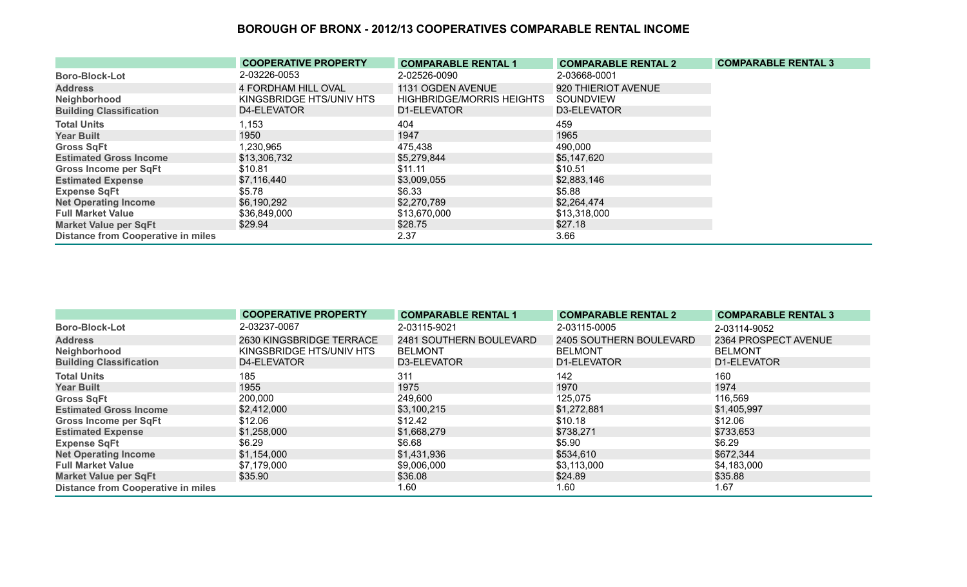|                                           | <b>COOPERATIVE PROPERTY</b> | <b>COMPARABLE RENTAL 1</b>       | <b>COMPARABLE RENTAL 2</b> | <b>COMPARABLE RENTAL 3</b> |
|-------------------------------------------|-----------------------------|----------------------------------|----------------------------|----------------------------|
| <b>Boro-Block-Lot</b>                     | 2-03226-0053                | 2-02526-0090                     | 2-03668-0001               |                            |
| <b>Address</b>                            | <b>4 FORDHAM HILL OVAL</b>  | 1131 OGDEN AVENUE                | 920 THIERIOT AVENUE        |                            |
| Neighborhood                              | KINGSBRIDGE HTS/UNIV HTS    | <b>HIGHBRIDGE/MORRIS HEIGHTS</b> | SOUNDVIEW                  |                            |
| <b>Building Classification</b>            | D4-ELEVATOR                 | D1-ELEVATOR                      | D3-ELEVATOR                |                            |
| <b>Total Units</b>                        | 1,153                       | 404                              | 459                        |                            |
| <b>Year Built</b>                         | 1950                        | 1947                             | 1965                       |                            |
| <b>Gross SqFt</b>                         | 1,230,965                   | 475,438                          | 490,000                    |                            |
| <b>Estimated Gross Income</b>             | \$13,306,732                | \$5,279,844                      | \$5,147,620                |                            |
| Gross Income per SqFt                     | \$10.81                     | \$11.11                          | \$10.51                    |                            |
| <b>Estimated Expense</b>                  | \$7,116,440                 | \$3,009,055                      | \$2,883,146                |                            |
| <b>Expense SqFt</b>                       | \$5.78                      | \$6.33                           | \$5.88                     |                            |
| <b>Net Operating Income</b>               | \$6,190,292                 | \$2,270,789                      | \$2,264,474                |                            |
| <b>Full Market Value</b>                  | \$36,849,000                | \$13,670,000                     | \$13,318,000               |                            |
| <b>Market Value per SqFt</b>              | \$29.94                     | \$28.75                          | \$27.18                    |                            |
| <b>Distance from Cooperative in miles</b> |                             | 2.37                             | 3.66                       |                            |

|                                           | <b>COOPERATIVE PROPERTY</b> | <b>COMPARABLE RENTAL 1</b> | <b>COMPARABLE RENTAL 2</b> | <b>COMPARABLE RENTAL 3</b> |
|-------------------------------------------|-----------------------------|----------------------------|----------------------------|----------------------------|
| <b>Boro-Block-Lot</b>                     | 2-03237-0067                | 2-03115-9021               | 2-03115-0005               | 2-03114-9052               |
| <b>Address</b>                            | 2630 KINGSBRIDGE TERRACE    | 2481 SOUTHERN BOULEVARD    | 2405 SOUTHERN BOULEVARD    | 2364 PROSPECT AVENUE       |
| Neighborhood                              | KINGSBRIDGE HTS/UNIV HTS    | <b>BELMONT</b>             | <b>BELMONT</b>             | <b>BELMONT</b>             |
| <b>Building Classification</b>            | D4-ELEVATOR                 | D3-ELEVATOR                | D1-ELEVATOR                | D1-ELEVATOR                |
| <b>Total Units</b>                        | 185                         | 311                        | 142                        | 160                        |
| <b>Year Built</b>                         | 1955                        | 1975                       | 1970                       | 1974                       |
| <b>Gross SqFt</b>                         | 200,000                     | 249,600                    | 125,075                    | 116,569                    |
| <b>Estimated Gross Income</b>             | \$2,412,000                 | \$3,100,215                | \$1,272,881                | \$1,405,997                |
| <b>Gross Income per SqFt</b>              | \$12.06                     | \$12.42                    | \$10.18                    | \$12.06                    |
| <b>Estimated Expense</b>                  | \$1,258,000                 | \$1,668,279                | \$738,271                  | \$733,653                  |
| <b>Expense SqFt</b>                       | \$6.29                      | \$6.68                     | \$5.90                     | \$6.29                     |
| <b>Net Operating Income</b>               | \$1,154,000                 | \$1,431,936                | \$534,610                  | \$672,344                  |
| <b>Full Market Value</b>                  | \$7,179,000                 | \$9,006,000                | \$3,113,000                | \$4,183,000                |
| <b>Market Value per SqFt</b>              | \$35.90                     | \$36.08                    | \$24.89                    | \$35.88                    |
| <b>Distance from Cooperative in miles</b> |                             | 1.60                       | 1.60                       | 1.67                       |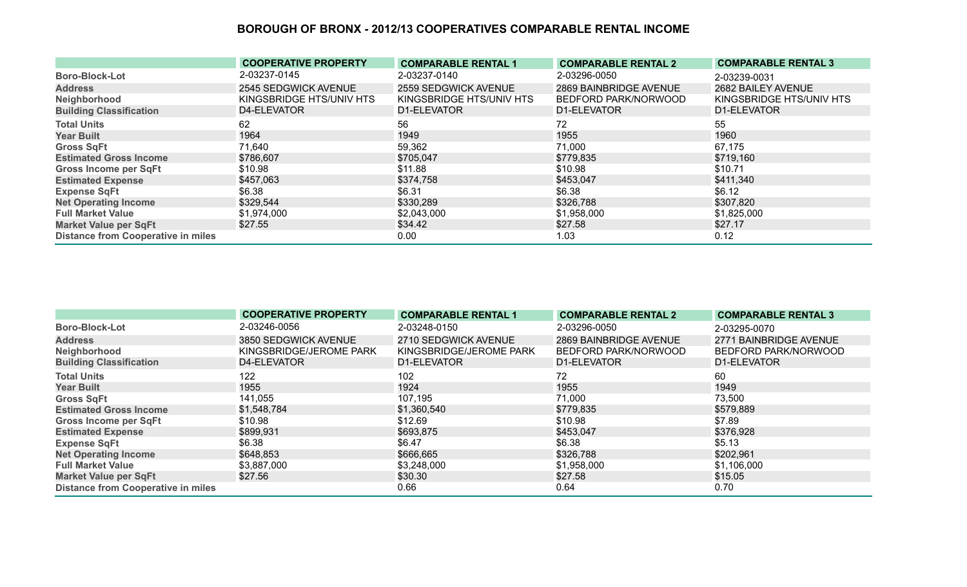|                                           | <b>COOPERATIVE PROPERTY</b> | <b>COMPARABLE RENTAL 1</b> | <b>COMPARABLE RENTAL 2</b> | <b>COMPARABLE RENTAL 3</b> |
|-------------------------------------------|-----------------------------|----------------------------|----------------------------|----------------------------|
| <b>Boro-Block-Lot</b>                     | 2-03237-0145                | 2-03237-0140               | 2-03296-0050               | 2-03239-0031               |
| <b>Address</b>                            | 2545 SEDGWICK AVENUE        | 2559 SEDGWICK AVENUE       | 2869 BAINBRIDGE AVENUE     | 2682 BAILEY AVENUE         |
| Neighborhood                              | KINGSBRIDGE HTS/UNIV HTS    | KINGSBRIDGE HTS/UNIV HTS   | BEDFORD PARK/NORWOOD       | KINGSBRIDGE HTS/UNIV HTS   |
| <b>Building Classification</b>            | D4-ELEVATOR                 | D1-ELEVATOR                | D1-ELEVATOR                | D1-ELEVATOR                |
| <b>Total Units</b>                        | 62                          | 56                         | 72                         | 55                         |
| <b>Year Built</b>                         | 1964                        | 1949                       | 1955                       | 1960                       |
| <b>Gross SqFt</b>                         | 71,640                      | 59,362                     | 71,000                     | 67,175                     |
| <b>Estimated Gross Income</b>             | \$786,607                   | \$705,047                  | \$779,835                  | \$719,160                  |
| <b>Gross Income per SqFt</b>              | \$10.98                     | \$11.88                    | \$10.98                    | \$10.71                    |
| <b>Estimated Expense</b>                  | \$457,063                   | \$374,758                  | \$453,047                  | \$411,340                  |
| <b>Expense SqFt</b>                       | \$6.38                      | \$6.31                     | \$6.38                     | \$6.12                     |
| <b>Net Operating Income</b>               | \$329,544                   | \$330,289                  | \$326,788                  | \$307,820                  |
| <b>Full Market Value</b>                  | \$1,974,000                 | \$2,043,000                | \$1,958,000                | \$1,825,000                |
| <b>Market Value per SqFt</b>              | \$27.55                     | \$34.42                    | \$27.58                    | \$27.17                    |
| <b>Distance from Cooperative in miles</b> |                             | 0.00                       | 1.03                       | 0.12                       |

|                                           | <b>COOPERATIVE PROPERTY</b> | <b>COMPARABLE RENTAL 1</b> | <b>COMPARABLE RENTAL 2</b> | <b>COMPARABLE RENTAL 3</b> |
|-------------------------------------------|-----------------------------|----------------------------|----------------------------|----------------------------|
| <b>Boro-Block-Lot</b>                     | 2-03246-0056                | 2-03248-0150               | 2-03296-0050               | 2-03295-0070               |
| <b>Address</b>                            | 3850 SEDGWICK AVENUE        | 2710 SEDGWICK AVENUE       | 2869 BAINBRIDGE AVENUE     | 2771 BAINBRIDGE AVENUE     |
| Neighborhood                              | KINGSBRIDGE/JEROME PARK     | KINGSBRIDGE/JEROME PARK    | BEDFORD PARK/NORWOOD       | BEDFORD PARK/NORWOOD       |
| <b>Building Classification</b>            | D4-ELEVATOR                 | D1-ELEVATOR                | D1-ELEVATOR                | D1-ELEVATOR                |
| <b>Total Units</b>                        | 122                         | 102                        | 72                         | 60                         |
| <b>Year Built</b>                         | 1955                        | 1924                       | 1955                       | 1949                       |
| <b>Gross SqFt</b>                         | 141,055                     | 107,195                    | 71,000                     | 73,500                     |
| <b>Estimated Gross Income</b>             | \$1,548,784                 | \$1,360,540                | \$779,835                  | \$579,889                  |
| <b>Gross Income per SqFt</b>              | \$10.98                     | \$12.69                    | \$10.98                    | \$7.89                     |
| <b>Estimated Expense</b>                  | \$899,931                   | \$693,875                  | \$453,047                  | \$376,928                  |
| <b>Expense SqFt</b>                       | \$6.38                      | \$6.47                     | \$6.38                     | \$5.13                     |
| <b>Net Operating Income</b>               | \$648,853                   | \$666,665                  | \$326,788                  | \$202,961                  |
| <b>Full Market Value</b>                  | \$3,887,000                 | \$3,248,000                | \$1,958,000                | \$1,106,000                |
| <b>Market Value per SqFt</b>              | \$27.56                     | \$30.30                    | \$27.58                    | \$15.05                    |
| <b>Distance from Cooperative in miles</b> |                             | 0.66                       | 0.64                       | 0.70                       |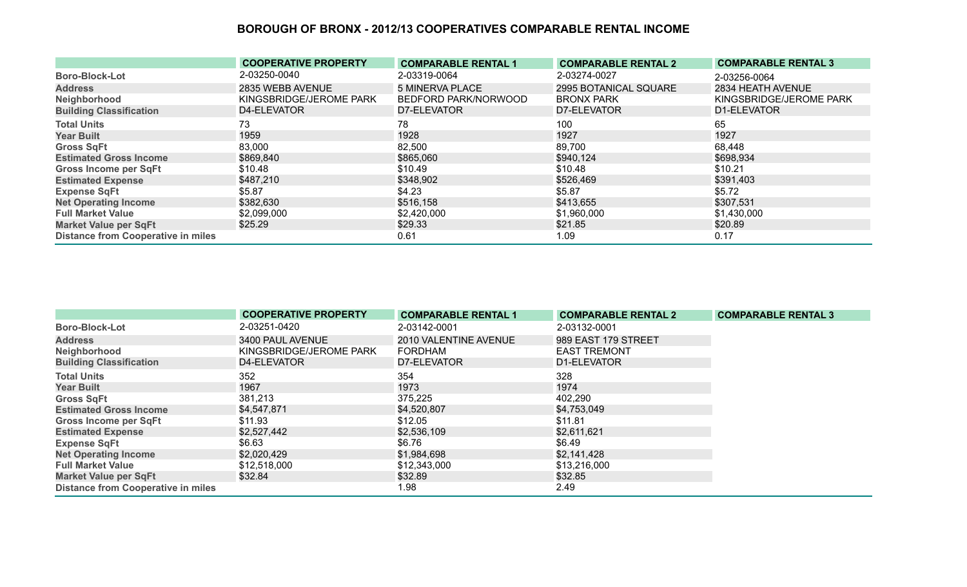|                                           | <b>COOPERATIVE PROPERTY</b> | <b>COMPARABLE RENTAL 1</b> | <b>COMPARABLE RENTAL 2</b> | <b>COMPARABLE RENTAL 3</b> |
|-------------------------------------------|-----------------------------|----------------------------|----------------------------|----------------------------|
| <b>Boro-Block-Lot</b>                     | 2-03250-0040                | 2-03319-0064               | 2-03274-0027               | 2-03256-0064               |
| <b>Address</b>                            | 2835 WEBB AVENUE            | <b>5 MINERVA PLACE</b>     | 2995 BOTANICAL SQUARE      | 2834 HEATH AVENUE          |
| Neighborhood                              | KINGSBRIDGE/JEROME PARK     | BEDFORD PARK/NORWOOD       | <b>BRONX PARK</b>          | KINGSBRIDGE/JEROME PARK    |
| <b>Building Classification</b>            | D4-ELEVATOR                 | D7-ELEVATOR                | D7-ELEVATOR                | D1-ELEVATOR                |
| <b>Total Units</b>                        | 73                          | 78                         | 100                        | 65                         |
| <b>Year Built</b>                         | 1959                        | 1928                       | 1927                       | 1927                       |
| <b>Gross SqFt</b>                         | 83,000                      | 82,500                     | 89,700                     | 68,448                     |
| <b>Estimated Gross Income</b>             | \$869,840                   | \$865,060                  | \$940,124                  | \$698,934                  |
| <b>Gross Income per SqFt</b>              | \$10.48                     | \$10.49                    | \$10.48                    | \$10.21                    |
| <b>Estimated Expense</b>                  | \$487,210                   | \$348,902                  | \$526,469                  | \$391,403                  |
| <b>Expense SqFt</b>                       | \$5.87                      | \$4.23                     | \$5.87                     | \$5.72                     |
| <b>Net Operating Income</b>               | \$382,630                   | \$516,158                  | \$413,655                  | \$307,531                  |
| <b>Full Market Value</b>                  | \$2,099,000                 | \$2,420,000                | \$1,960,000                | \$1,430,000                |
| <b>Market Value per SqFt</b>              | \$25.29                     | \$29.33                    | \$21.85                    | \$20.89                    |
| <b>Distance from Cooperative in miles</b> |                             | 0.61                       | 1.09                       | 0.17                       |

|                                           | <b>COOPERATIVE PROPERTY</b> | <b>COMPARABLE RENTAL 1</b> | <b>COMPARABLE RENTAL 2</b> | <b>COMPARABLE RENTAL 3</b> |
|-------------------------------------------|-----------------------------|----------------------------|----------------------------|----------------------------|
| <b>Boro-Block-Lot</b>                     | 2-03251-0420                | 2-03142-0001               | 2-03132-0001               |                            |
| <b>Address</b>                            | 3400 PAUL AVENUE            | 2010 VALENTINE AVENUE      | 989 EAST 179 STREET        |                            |
| Neighborhood                              | KINGSBRIDGE/JEROME PARK     | <b>FORDHAM</b>             | <b>EAST TREMONT</b>        |                            |
| <b>Building Classification</b>            | D4-ELEVATOR                 | D7-ELEVATOR                | D1-ELEVATOR                |                            |
| <b>Total Units</b>                        | 352                         | 354                        | 328                        |                            |
| <b>Year Built</b>                         | 1967                        | 1973                       | 1974                       |                            |
| <b>Gross SqFt</b>                         | 381,213                     | 375,225                    | 402,290                    |                            |
| <b>Estimated Gross Income</b>             | \$4,547,871                 | \$4,520,807                | \$4,753,049                |                            |
| <b>Gross Income per SqFt</b>              | \$11.93                     | \$12.05                    | \$11.81                    |                            |
| <b>Estimated Expense</b>                  | \$2,527,442                 | \$2,536,109                | \$2,611,621                |                            |
| <b>Expense SqFt</b>                       | \$6.63                      | \$6.76                     | \$6.49                     |                            |
| <b>Net Operating Income</b>               | \$2,020,429                 | \$1,984,698                | \$2,141,428                |                            |
| <b>Full Market Value</b>                  | \$12,518,000                | \$12,343,000               | \$13,216,000               |                            |
| <b>Market Value per SqFt</b>              | \$32.84                     | \$32.89                    | \$32.85                    |                            |
| <b>Distance from Cooperative in miles</b> |                             | 1.98                       | 2.49                       |                            |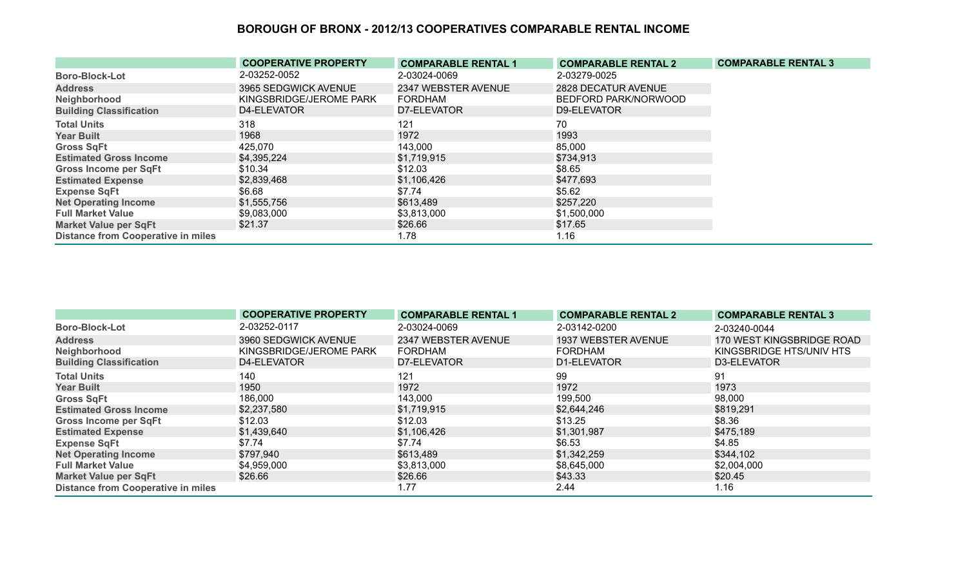|                                           | <b>COOPERATIVE PROPERTY</b> | <b>COMPARABLE RENTAL 1</b> | <b>COMPARABLE RENTAL 2</b> | <b>COMPARABLE RENTAL 3</b> |
|-------------------------------------------|-----------------------------|----------------------------|----------------------------|----------------------------|
| <b>Boro-Block-Lot</b>                     | 2-03252-0052                | 2-03024-0069               | 2-03279-0025               |                            |
| <b>Address</b>                            | 3965 SEDGWICK AVENUE        | 2347 WEBSTER AVENUE        | 2828 DECATUR AVENUE        |                            |
| Neighborhood                              | KINGSBRIDGE/JEROME PARK     | <b>FORDHAM</b>             | BEDFORD PARK/NORWOOD       |                            |
| <b>Building Classification</b>            | D4-ELEVATOR                 | D7-ELEVATOR                | D9-ELEVATOR                |                            |
| <b>Total Units</b>                        | 318                         | 121                        | 70                         |                            |
| <b>Year Built</b>                         | 1968                        | 1972                       | 1993                       |                            |
| <b>Gross SqFt</b>                         | 425,070                     | 143,000                    | 85,000                     |                            |
| <b>Estimated Gross Income</b>             | \$4,395,224                 | \$1,719,915                | \$734,913                  |                            |
| <b>Gross Income per SqFt</b>              | \$10.34                     | \$12.03                    | \$8.65                     |                            |
| <b>Estimated Expense</b>                  | \$2,839,468                 | \$1,106,426                | \$477,693                  |                            |
| <b>Expense SqFt</b>                       | \$6.68                      | \$7.74                     | \$5.62                     |                            |
| <b>Net Operating Income</b>               | \$1,555,756                 | \$613,489                  | \$257,220                  |                            |
| <b>Full Market Value</b>                  | \$9,083,000                 | \$3,813,000                | \$1,500,000                |                            |
| <b>Market Value per SqFt</b>              | \$21.37                     | \$26.66                    | \$17.65                    |                            |
| <b>Distance from Cooperative in miles</b> |                             | 1.78                       | 1.16                       |                            |

|                                           | <b>COOPERATIVE PROPERTY</b> | <b>COMPARABLE RENTAL 1</b> | <b>COMPARABLE RENTAL 2</b> | <b>COMPARABLE RENTAL 3</b> |
|-------------------------------------------|-----------------------------|----------------------------|----------------------------|----------------------------|
| <b>Boro-Block-Lot</b>                     | 2-03252-0117                | 2-03024-0069               | 2-03142-0200               | 2-03240-0044               |
| <b>Address</b>                            | 3960 SEDGWICK AVENUE        | 2347 WEBSTER AVENUE        | 1937 WEBSTER AVENUE        | 170 WEST KINGSBRIDGE ROAD  |
| Neighborhood                              | KINGSBRIDGE/JEROME PARK     | FORDHAM                    | <b>FORDHAM</b>             | KINGSBRIDGE HTS/UNIV HTS   |
| <b>Building Classification</b>            | D4-ELEVATOR                 | D7-ELEVATOR                | D1-ELEVATOR                | D3-ELEVATOR                |
| <b>Total Units</b>                        | 140                         | 121                        | 99                         | 91                         |
| <b>Year Built</b>                         | 1950                        | 1972                       | 1972                       | 1973                       |
| <b>Gross SqFt</b>                         | 186,000                     | 143,000                    | 199,500                    | 98,000                     |
| <b>Estimated Gross Income</b>             | \$2,237,580                 | \$1,719,915                | \$2,644,246                | \$819,291                  |
| <b>Gross Income per SqFt</b>              | \$12.03                     | \$12.03                    | \$13.25                    | \$8.36                     |
| <b>Estimated Expense</b>                  | \$1,439,640                 | \$1,106,426                | \$1,301,987                | \$475,189                  |
| <b>Expense SqFt</b>                       | \$7.74                      | \$7.74                     | \$6.53                     | \$4.85                     |
| <b>Net Operating Income</b>               | \$797,940                   | \$613,489                  | \$1,342,259                | \$344,102                  |
| <b>Full Market Value</b>                  | \$4,959,000                 | \$3,813,000                | \$8,645,000                | \$2,004,000                |
| <b>Market Value per SqFt</b>              | \$26.66                     | \$26.66                    | \$43.33                    | \$20.45                    |
| <b>Distance from Cooperative in miles</b> |                             | 1.77                       | 2.44                       | 1.16                       |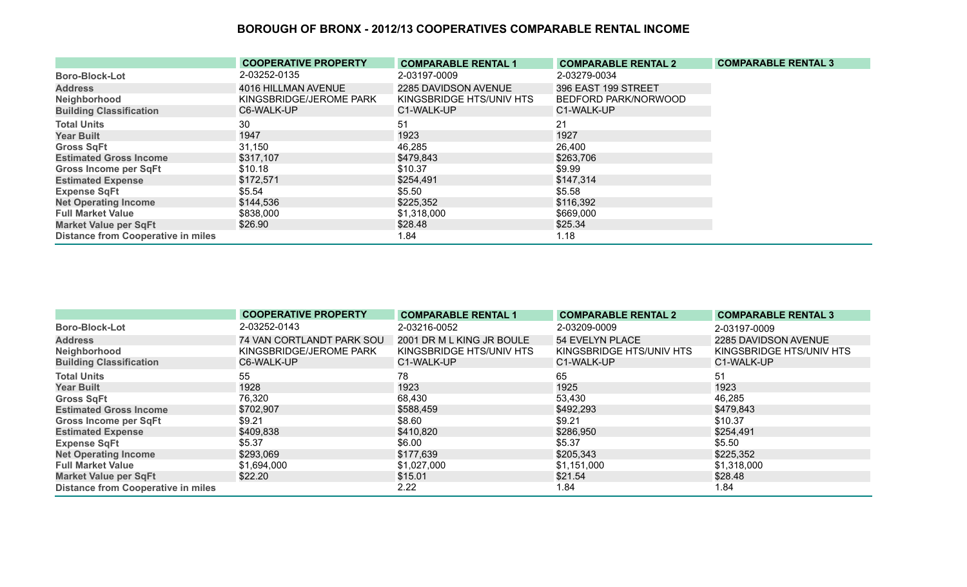|                                           | <b>COOPERATIVE PROPERTY</b> | <b>COMPARABLE RENTAL 1</b> | <b>COMPARABLE RENTAL 2</b> | <b>COMPARABLE RENTAL 3</b> |
|-------------------------------------------|-----------------------------|----------------------------|----------------------------|----------------------------|
| <b>Boro-Block-Lot</b>                     | 2-03252-0135                | 2-03197-0009               | 2-03279-0034               |                            |
| <b>Address</b>                            | 4016 HILLMAN AVENUE         | 2285 DAVIDSON AVENUE       | 396 EAST 199 STREET        |                            |
| Neighborhood                              | KINGSBRIDGE/JEROME PARK     | KINGSBRIDGE HTS/UNIV HTS   | BEDFORD PARK/NORWOOD       |                            |
| <b>Building Classification</b>            | C6-WALK-UP                  | C1-WALK-UP                 | C1-WALK-UP                 |                            |
| <b>Total Units</b>                        | 30                          | 51                         | 21                         |                            |
| <b>Year Built</b>                         | 1947                        | 1923                       | 1927                       |                            |
| <b>Gross SqFt</b>                         | 31,150                      | 46,285                     | 26,400                     |                            |
| <b>Estimated Gross Income</b>             | \$317,107                   | \$479,843                  | \$263,706                  |                            |
| <b>Gross Income per SqFt</b>              | \$10.18                     | \$10.37                    | \$9.99                     |                            |
| <b>Estimated Expense</b>                  | \$172,571                   | \$254,491                  | \$147,314                  |                            |
| <b>Expense SqFt</b>                       | \$5.54                      | \$5.50                     | \$5.58                     |                            |
| <b>Net Operating Income</b>               | \$144,536                   | \$225,352                  | \$116,392                  |                            |
| <b>Full Market Value</b>                  | \$838,000                   | \$1,318,000                | \$669,000                  |                            |
| <b>Market Value per SqFt</b>              | \$26.90                     | \$28.48                    | \$25.34                    |                            |
| <b>Distance from Cooperative in miles</b> |                             | 1.84                       | 1.18                       |                            |

|                                           | <b>COOPERATIVE PROPERTY</b> | <b>COMPARABLE RENTAL 1</b> | <b>COMPARABLE RENTAL 2</b> | <b>COMPARABLE RENTAL 3</b> |
|-------------------------------------------|-----------------------------|----------------------------|----------------------------|----------------------------|
| <b>Boro-Block-Lot</b>                     | 2-03252-0143                | 2-03216-0052               | 2-03209-0009               | 2-03197-0009               |
| <b>Address</b>                            | 74 VAN CORTLANDT PARK SOU   | 2001 DR M L KING JR BOULE  | 54 EVELYN PLACE            | 2285 DAVIDSON AVENUE       |
| Neighborhood                              | KINGSBRIDGE/JEROME PARK     | KINGSBRIDGE HTS/UNIV HTS   | KINGSBRIDGE HTS/UNIV HTS   | KINGSBRIDGE HTS/UNIV HTS   |
| <b>Building Classification</b>            | C6-WALK-UP                  | C1-WALK-UP                 | C1-WALK-UP                 | C1-WALK-UP                 |
| <b>Total Units</b>                        | 55                          | 78                         | 65                         | 51                         |
| <b>Year Built</b>                         | 1928                        | 1923                       | 1925                       | 1923                       |
| <b>Gross SqFt</b>                         | 76,320                      | 68,430                     | 53,430                     | 46,285                     |
| <b>Estimated Gross Income</b>             | \$702,907                   | \$588,459                  | \$492,293                  | \$479,843                  |
| <b>Gross Income per SqFt</b>              | \$9.21                      | \$8.60                     | \$9.21                     | \$10.37                    |
| <b>Estimated Expense</b>                  | \$409,838                   | \$410,820                  | \$286,950                  | \$254,491                  |
| <b>Expense SqFt</b>                       | \$5.37                      | \$6.00                     | \$5.37                     | \$5.50                     |
| <b>Net Operating Income</b>               | \$293,069                   | \$177,639                  | \$205,343                  | \$225,352                  |
| <b>Full Market Value</b>                  | \$1,694,000                 | \$1,027,000                | \$1,151,000                | \$1,318,000                |
| <b>Market Value per SqFt</b>              | \$22.20                     | \$15.01                    | \$21.54                    | \$28.48                    |
| <b>Distance from Cooperative in miles</b> |                             | 2.22                       | 1.84                       | 1.84                       |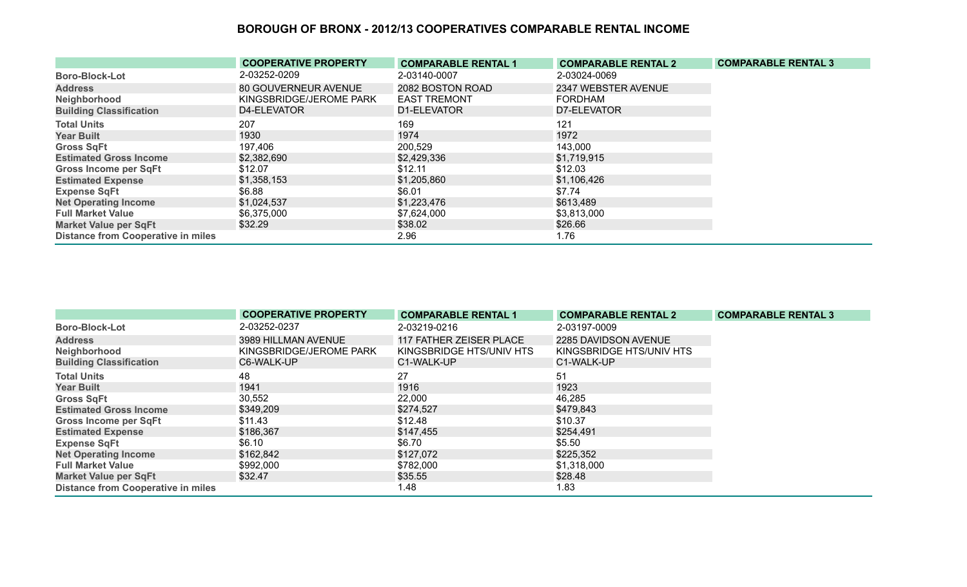|                                           | <b>COOPERATIVE PROPERTY</b> | <b>COMPARABLE RENTAL 1</b> | <b>COMPARABLE RENTAL 2</b> | <b>COMPARABLE RENTAL 3</b> |
|-------------------------------------------|-----------------------------|----------------------------|----------------------------|----------------------------|
| <b>Boro-Block-Lot</b>                     | 2-03252-0209                | 2-03140-0007               | 2-03024-0069               |                            |
| <b>Address</b>                            | 80 GOUVERNEUR AVENUE        | 2082 BOSTON ROAD           | 2347 WEBSTER AVENUE        |                            |
| Neighborhood                              | KINGSBRIDGE/JEROME PARK     | <b>EAST TREMONT</b>        | FORDHAM                    |                            |
| <b>Building Classification</b>            | D4-ELEVATOR                 | D1-ELEVATOR                | D7-ELEVATOR                |                            |
| <b>Total Units</b>                        | 207                         | 169                        | 121                        |                            |
| <b>Year Built</b>                         | 1930                        | 1974                       | 1972                       |                            |
| <b>Gross SqFt</b>                         | 197,406                     | 200,529                    | 143,000                    |                            |
| <b>Estimated Gross Income</b>             | \$2,382,690                 | \$2,429,336                | \$1,719,915                |                            |
| <b>Gross Income per SqFt</b>              | \$12.07                     | \$12.11                    | \$12.03                    |                            |
| <b>Estimated Expense</b>                  | \$1,358,153                 | \$1,205,860                | \$1,106,426                |                            |
| <b>Expense SqFt</b>                       | \$6.88                      | \$6.01                     | \$7.74                     |                            |
| <b>Net Operating Income</b>               | \$1,024,537                 | \$1,223,476                | \$613,489                  |                            |
| <b>Full Market Value</b>                  | \$6,375,000                 | \$7,624,000                | \$3,813,000                |                            |
| <b>Market Value per SqFt</b>              | \$32.29                     | \$38.02                    | \$26.66                    |                            |
| <b>Distance from Cooperative in miles</b> |                             | 2.96                       | 1.76                       |                            |

|                                           | <b>COOPERATIVE PROPERTY</b> | <b>COMPARABLE RENTAL 1</b> | <b>COMPARABLE RENTAL 2</b> | <b>COMPARABLE RENTAL 3</b> |
|-------------------------------------------|-----------------------------|----------------------------|----------------------------|----------------------------|
| <b>Boro-Block-Lot</b>                     | 2-03252-0237                | 2-03219-0216               | 2-03197-0009               |                            |
| <b>Address</b>                            | 3989 HILLMAN AVENUE         | 117 FATHER ZEISER PLACE    | 2285 DAVIDSON AVENUE       |                            |
| Neighborhood                              | KINGSBRIDGE/JEROME PARK     | KINGSBRIDGE HTS/UNIV HTS   | KINGSBRIDGE HTS/UNIV HTS   |                            |
| <b>Building Classification</b>            | C6-WALK-UP                  | C1-WALK-UP                 | C1-WALK-UP                 |                            |
| <b>Total Units</b>                        | 48                          | 27                         | 51                         |                            |
| <b>Year Built</b>                         | 1941                        | 1916                       | 1923                       |                            |
| <b>Gross SqFt</b>                         | 30,552                      | 22,000                     | 46,285                     |                            |
| <b>Estimated Gross Income</b>             | \$349,209                   | \$274,527                  | \$479,843                  |                            |
| Gross Income per SqFt                     | \$11.43                     | \$12.48                    | \$10.37                    |                            |
| <b>Estimated Expense</b>                  | \$186,367                   | \$147,455                  | \$254,491                  |                            |
| <b>Expense SqFt</b>                       | \$6.10                      | \$6.70                     | \$5.50                     |                            |
| <b>Net Operating Income</b>               | \$162,842                   | \$127,072                  | \$225,352                  |                            |
| <b>Full Market Value</b>                  | \$992,000                   | \$782,000                  | \$1,318,000                |                            |
| <b>Market Value per SqFt</b>              | \$32.47                     | \$35.55                    | \$28.48                    |                            |
| <b>Distance from Cooperative in miles</b> |                             | 1.48                       | 1.83                       |                            |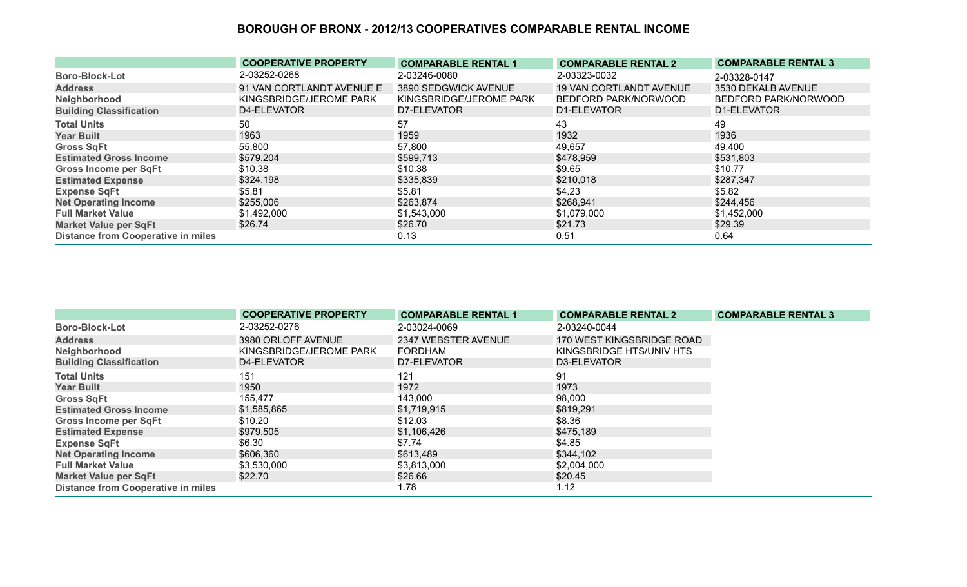|                                           | <b>COOPERATIVE PROPERTY</b> | <b>COMPARABLE RENTAL 1</b> | <b>COMPARABLE RENTAL 2</b>     | <b>COMPARABLE RENTAL 3</b> |
|-------------------------------------------|-----------------------------|----------------------------|--------------------------------|----------------------------|
| <b>Boro-Block-Lot</b>                     | 2-03252-0268                | 2-03246-0080               | 2-03323-0032                   | 2-03328-0147               |
| <b>Address</b>                            | 91 VAN CORTLANDT AVENUE E   | 3890 SEDGWICK AVENUE       | <b>19 VAN CORTLANDT AVENUE</b> | 3530 DEKALB AVENUE         |
| Neighborhood                              | KINGSBRIDGE/JEROME PARK     | KINGSBRIDGE/JEROME PARK    | BEDFORD PARK/NORWOOD           | BEDFORD PARK/NORWOOD       |
| <b>Building Classification</b>            | D4-ELEVATOR                 | D7-ELEVATOR                | D1-ELEVATOR                    | D1-ELEVATOR                |
| <b>Total Units</b>                        | 50                          | 57                         | 43                             | 49                         |
| <b>Year Built</b>                         | 1963                        | 1959                       | 1932                           | 1936                       |
| <b>Gross SqFt</b>                         | 55,800                      | 57,800                     | 49,657                         | 49,400                     |
| <b>Estimated Gross Income</b>             | \$579,204                   | \$599,713                  | \$478,959                      | \$531,803                  |
| <b>Gross Income per SqFt</b>              | \$10.38                     | \$10.38                    | \$9.65                         | \$10.77                    |
| <b>Estimated Expense</b>                  | \$324,198                   | \$335,839                  | \$210,018                      | \$287,347                  |
| <b>Expense SqFt</b>                       | \$5.81                      | \$5.81                     | \$4.23                         | \$5.82                     |
| <b>Net Operating Income</b>               | \$255,006                   | \$263,874                  | \$268,941                      | \$244,456                  |
| <b>Full Market Value</b>                  | \$1,492,000                 | \$1,543,000                | \$1,079,000                    | \$1,452,000                |
| Market Value per SqFt                     | \$26.74                     | \$26.70                    | \$21.73                        | \$29.39                    |
| <b>Distance from Cooperative in miles</b> |                             | 0.13                       | 0.51                           | 0.64                       |

|                                           | <b>COOPERATIVE PROPERTY</b> | <b>COMPARABLE RENTAL 1</b> | <b>COMPARABLE RENTAL 2</b> | <b>COMPARABLE RENTAL 3</b> |
|-------------------------------------------|-----------------------------|----------------------------|----------------------------|----------------------------|
| <b>Boro-Block-Lot</b>                     | 2-03252-0276                | 2-03024-0069               | 2-03240-0044               |                            |
| <b>Address</b>                            | 3980 ORLOFF AVENUE          | 2347 WEBSTER AVENUE        | 170 WEST KINGSBRIDGE ROAD  |                            |
| Neighborhood                              | KINGSBRIDGE/JEROME PARK     | FORDHAM                    | KINGSBRIDGE HTS/UNIV HTS   |                            |
| <b>Building Classification</b>            | D4-ELEVATOR                 | D7-ELEVATOR                | D3-ELEVATOR                |                            |
| <b>Total Units</b>                        | 151                         | 121                        | 91                         |                            |
| <b>Year Built</b>                         | 1950                        | 1972                       | 1973                       |                            |
| <b>Gross SqFt</b>                         | 155,477                     | 143,000                    | 98,000                     |                            |
| <b>Estimated Gross Income</b>             | \$1,585,865                 | \$1,719,915                | \$819,291                  |                            |
| Gross Income per SqFt                     | \$10.20                     | \$12.03                    | \$8.36                     |                            |
| <b>Estimated Expense</b>                  | \$979,505                   | \$1,106,426                | \$475,189                  |                            |
| <b>Expense SqFt</b>                       | \$6.30                      | \$7.74                     | \$4.85                     |                            |
| <b>Net Operating Income</b>               | \$606,360                   | \$613,489                  | \$344,102                  |                            |
| <b>Full Market Value</b>                  | \$3,530,000                 | \$3,813,000                | \$2,004,000                |                            |
| <b>Market Value per SqFt</b>              | \$22.70                     | \$26.66                    | \$20.45                    |                            |
| <b>Distance from Cooperative in miles</b> |                             | 1.78                       | 1.12                       |                            |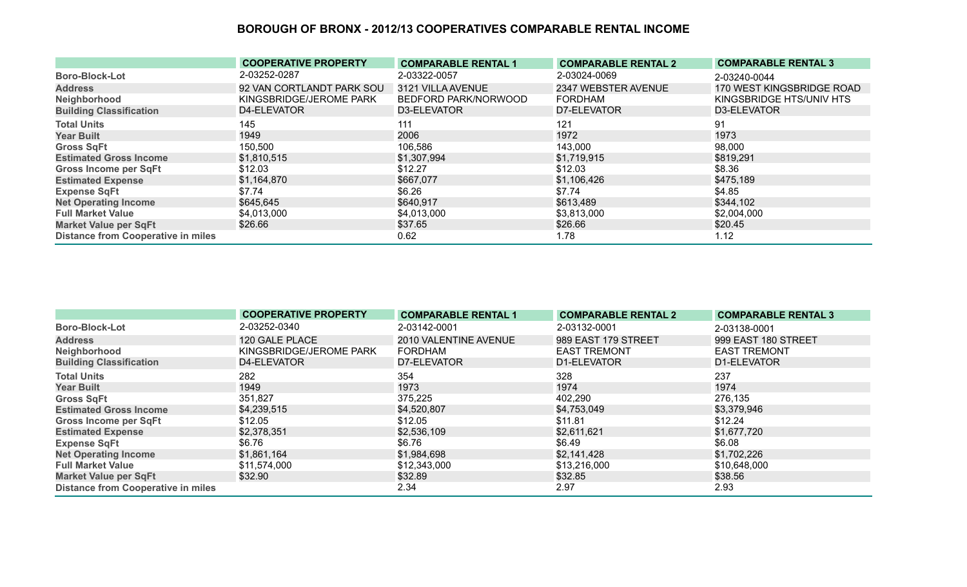|                                           | <b>COOPERATIVE PROPERTY</b> | <b>COMPARABLE RENTAL 1</b> | <b>COMPARABLE RENTAL 2</b> | <b>COMPARABLE RENTAL 3</b> |
|-------------------------------------------|-----------------------------|----------------------------|----------------------------|----------------------------|
| <b>Boro-Block-Lot</b>                     | 2-03252-0287                | 2-03322-0057               | 2-03024-0069               | 2-03240-0044               |
| <b>Address</b>                            | 92 VAN CORTLANDT PARK SOU   | 3121 VILLA AVENUE          | 2347 WEBSTER AVENUE        | 170 WEST KINGSBRIDGE ROAD  |
| Neighborhood                              | KINGSBRIDGE/JEROME PARK     | BEDFORD PARK/NORWOOD       | <b>FORDHAM</b>             | KINGSBRIDGE HTS/UNIV HTS   |
| <b>Building Classification</b>            | D4-ELEVATOR                 | D3-ELEVATOR                | D7-ELEVATOR                | D3-ELEVATOR                |
| <b>Total Units</b>                        | 145                         | 111                        | 121                        | 91                         |
| <b>Year Built</b>                         | 1949                        | 2006                       | 1972                       | 1973                       |
| <b>Gross SqFt</b>                         | 150,500                     | 106,586                    | 143,000                    | 98,000                     |
| <b>Estimated Gross Income</b>             | \$1,810,515                 | \$1,307,994                | \$1,719,915                | \$819,291                  |
| <b>Gross Income per SqFt</b>              | \$12.03                     | \$12.27                    | \$12.03                    | \$8.36                     |
| <b>Estimated Expense</b>                  | \$1,164,870                 | \$667,077                  | \$1,106,426                | \$475,189                  |
| <b>Expense SqFt</b>                       | \$7.74                      | \$6.26                     | \$7.74                     | \$4.85                     |
| <b>Net Operating Income</b>               | \$645,645                   | \$640,917                  | \$613,489                  | \$344,102                  |
| <b>Full Market Value</b>                  | \$4,013,000                 | \$4,013,000                | \$3,813,000                | \$2,004,000                |
| <b>Market Value per SqFt</b>              | \$26.66                     | \$37.65                    | \$26.66                    | \$20.45                    |
| <b>Distance from Cooperative in miles</b> |                             | 0.62                       | 1.78                       | 1.12                       |

|                                           | <b>COOPERATIVE PROPERTY</b> | <b>COMPARABLE RENTAL 1</b> | <b>COMPARABLE RENTAL 2</b> | <b>COMPARABLE RENTAL 3</b> |
|-------------------------------------------|-----------------------------|----------------------------|----------------------------|----------------------------|
| <b>Boro-Block-Lot</b>                     | 2-03252-0340                | 2-03142-0001               | 2-03132-0001               | 2-03138-0001               |
| <b>Address</b>                            | 120 GALE PLACE              | 2010 VALENTINE AVENUE      | 989 EAST 179 STREET        | 999 EAST 180 STREET        |
| Neighborhood                              | KINGSBRIDGE/JEROME PARK     | <b>FORDHAM</b>             | <b>EAST TREMONT</b>        | <b>EAST TREMONT</b>        |
| <b>Building Classification</b>            | D4-ELEVATOR                 | D7-ELEVATOR                | D1-ELEVATOR                | D1-ELEVATOR                |
| <b>Total Units</b>                        | 282                         | 354                        | 328                        | 237                        |
| <b>Year Built</b>                         | 1949                        | 1973                       | 1974                       | 1974                       |
| <b>Gross SqFt</b>                         | 351,827                     | 375,225                    | 402,290                    | 276,135                    |
| <b>Estimated Gross Income</b>             | \$4,239,515                 | \$4,520,807                | \$4,753,049                | \$3,379,946                |
| <b>Gross Income per SqFt</b>              | \$12.05                     | \$12.05                    | \$11.81                    | \$12.24                    |
| <b>Estimated Expense</b>                  | \$2,378,351                 | \$2,536,109                | \$2,611,621                | \$1,677,720                |
| <b>Expense SqFt</b>                       | \$6.76                      | \$6.76                     | \$6.49                     | \$6.08                     |
| <b>Net Operating Income</b>               | \$1,861,164                 | \$1,984,698                | \$2,141,428                | \$1,702,226                |
| <b>Full Market Value</b>                  | \$11,574,000                | \$12,343,000               | \$13,216,000               | \$10,648,000               |
| <b>Market Value per SqFt</b>              | \$32.90                     | \$32.89                    | \$32.85                    | \$38.56                    |
| <b>Distance from Cooperative in miles</b> |                             | 2.34                       | 2.97                       | 2.93                       |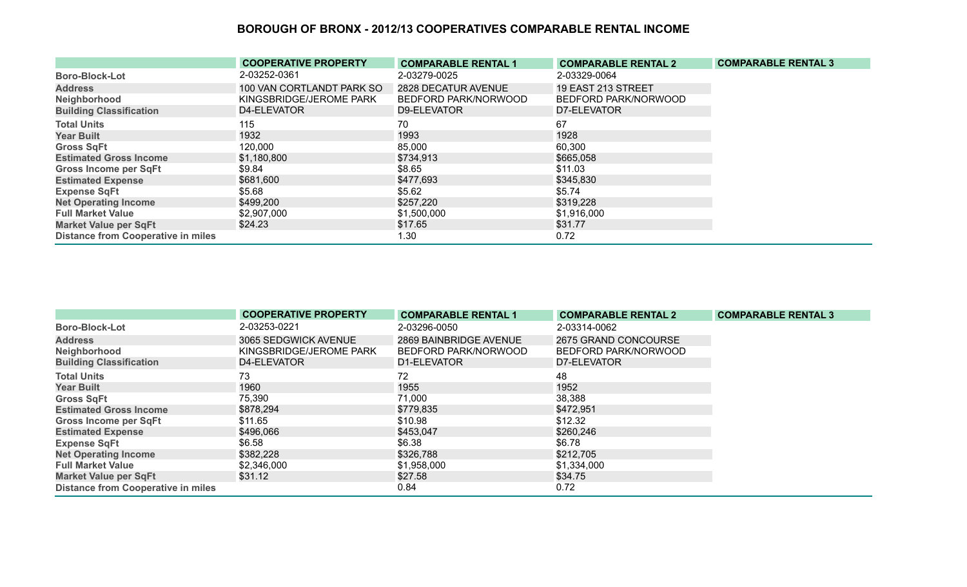|                                           | <b>COOPERATIVE PROPERTY</b> | <b>COMPARABLE RENTAL 1</b> | <b>COMPARABLE RENTAL 2</b> | <b>COMPARABLE RENTAL 3</b> |
|-------------------------------------------|-----------------------------|----------------------------|----------------------------|----------------------------|
| <b>Boro-Block-Lot</b>                     | 2-03252-0361                | 2-03279-0025               | 2-03329-0064               |                            |
| <b>Address</b>                            | 100 VAN CORTLANDT PARK SO   | 2828 DECATUR AVENUE        | 19 EAST 213 STREET         |                            |
| Neighborhood                              | KINGSBRIDGE/JEROME PARK     | BEDFORD PARK/NORWOOD       | BEDFORD PARK/NORWOOD       |                            |
| <b>Building Classification</b>            | D4-ELEVATOR                 | D9-ELEVATOR                | D7-ELEVATOR                |                            |
| <b>Total Units</b>                        | 115                         | 70                         | 67                         |                            |
| <b>Year Built</b>                         | 1932                        | 1993                       | 1928                       |                            |
| <b>Gross SqFt</b>                         | 120,000                     | 85,000                     | 60,300                     |                            |
| <b>Estimated Gross Income</b>             | \$1,180,800                 | \$734,913                  | \$665,058                  |                            |
| <b>Gross Income per SqFt</b>              | \$9.84                      | \$8.65                     | \$11.03                    |                            |
| <b>Estimated Expense</b>                  | \$681,600                   | \$477,693                  | \$345,830                  |                            |
| <b>Expense SqFt</b>                       | \$5.68                      | \$5.62                     | \$5.74                     |                            |
| <b>Net Operating Income</b>               | \$499,200                   | \$257,220                  | \$319,228                  |                            |
| <b>Full Market Value</b>                  | \$2,907,000                 | \$1,500,000                | \$1,916,000                |                            |
| <b>Market Value per SqFt</b>              | \$24.23                     | \$17.65                    | \$31.77                    |                            |
| <b>Distance from Cooperative in miles</b> |                             | 1.30                       | 0.72                       |                            |

|                                           | <b>COOPERATIVE PROPERTY</b> | <b>COMPARABLE RENTAL 1</b> | <b>COMPARABLE RENTAL 2</b> | <b>COMPARABLE RENTAL 3</b> |
|-------------------------------------------|-----------------------------|----------------------------|----------------------------|----------------------------|
| <b>Boro-Block-Lot</b>                     | 2-03253-0221                | 2-03296-0050               | 2-03314-0062               |                            |
| <b>Address</b>                            | 3065 SEDGWICK AVENUE        | 2869 BAINBRIDGE AVENUE     | 2675 GRAND CONCOURSE       |                            |
| Neighborhood                              | KINGSBRIDGE/JEROME PARK     | BEDFORD PARK/NORWOOD       | BEDFORD PARK/NORWOOD       |                            |
| <b>Building Classification</b>            | D4-ELEVATOR                 | D1-ELEVATOR                | D7-ELEVATOR                |                            |
| <b>Total Units</b>                        | 73                          | 72                         | 48                         |                            |
| <b>Year Built</b>                         | 1960                        | 1955                       | 1952                       |                            |
| <b>Gross SqFt</b>                         | 75,390                      | 71,000                     | 38,388                     |                            |
| <b>Estimated Gross Income</b>             | \$878,294                   | \$779,835                  | \$472,951                  |                            |
| <b>Gross Income per SqFt</b>              | \$11.65                     | \$10.98                    | \$12.32                    |                            |
| <b>Estimated Expense</b>                  | \$496,066                   | \$453,047                  | \$260,246                  |                            |
| <b>Expense SqFt</b>                       | \$6.58                      | \$6.38                     | \$6.78                     |                            |
| <b>Net Operating Income</b>               | \$382,228                   | \$326,788                  | \$212,705                  |                            |
| <b>Full Market Value</b>                  | \$2,346,000                 | \$1,958,000                | \$1,334,000                |                            |
| <b>Market Value per SqFt</b>              | \$31.12                     | \$27.58                    | \$34.75                    |                            |
| <b>Distance from Cooperative in miles</b> |                             | 0.84                       | 0.72                       |                            |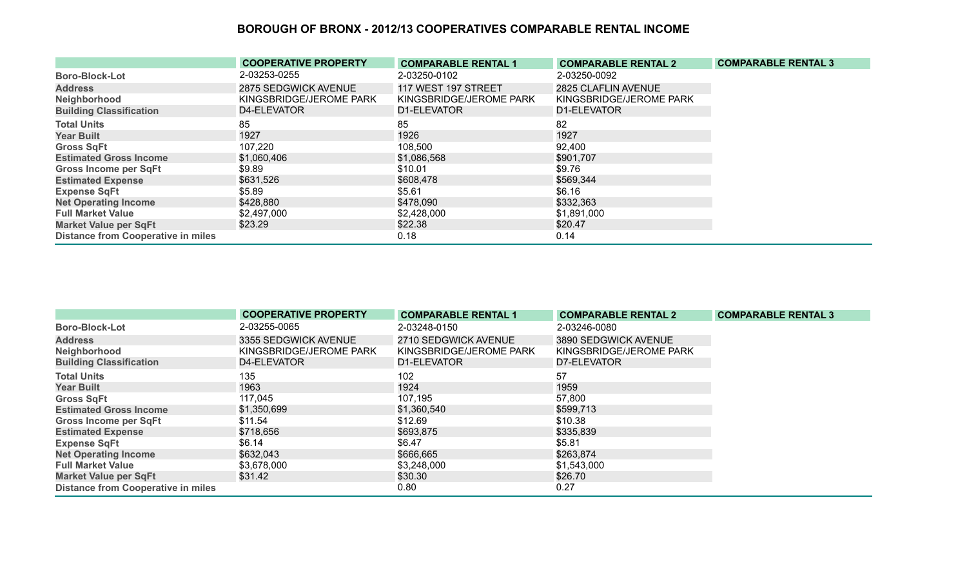|                                           | <b>COOPERATIVE PROPERTY</b> | <b>COMPARABLE RENTAL 1</b> | <b>COMPARABLE RENTAL 2</b> | <b>COMPARABLE RENTAL 3</b> |
|-------------------------------------------|-----------------------------|----------------------------|----------------------------|----------------------------|
| <b>Boro-Block-Lot</b>                     | 2-03253-0255                | 2-03250-0102               | 2-03250-0092               |                            |
| <b>Address</b>                            | 2875 SEDGWICK AVENUE        | 117 WEST 197 STREET        | 2825 CLAFLIN AVENUE        |                            |
| Neighborhood                              | KINGSBRIDGE/JEROME PARK     | KINGSBRIDGE/JEROME PARK    | KINGSBRIDGE/JEROME PARK    |                            |
| <b>Building Classification</b>            | D4-ELEVATOR                 | D1-ELEVATOR                | D1-ELEVATOR                |                            |
| <b>Total Units</b>                        | 85                          | 85                         | 82                         |                            |
| <b>Year Built</b>                         | 1927                        | 1926                       | 1927                       |                            |
| <b>Gross SqFt</b>                         | 107,220                     | 108,500                    | 92,400                     |                            |
| <b>Estimated Gross Income</b>             | \$1,060,406                 | \$1,086,568                | \$901,707                  |                            |
| <b>Gross Income per SqFt</b>              | \$9.89                      | \$10.01                    | \$9.76                     |                            |
| <b>Estimated Expense</b>                  | \$631,526                   | \$608,478                  | \$569,344                  |                            |
| <b>Expense SqFt</b>                       | \$5.89                      | \$5.61                     | \$6.16                     |                            |
| <b>Net Operating Income</b>               | \$428,880                   | \$478,090                  | \$332,363                  |                            |
| <b>Full Market Value</b>                  | \$2,497,000                 | \$2,428,000                | \$1,891,000                |                            |
| <b>Market Value per SqFt</b>              | \$23.29                     | \$22.38                    | \$20.47                    |                            |
| <b>Distance from Cooperative in miles</b> |                             | 0.18                       | 0.14                       |                            |

|                                           | <b>COOPERATIVE PROPERTY</b> | <b>COMPARABLE RENTAL 1</b> | <b>COMPARABLE RENTAL 2</b> | <b>COMPARABLE RENTAL 3</b> |
|-------------------------------------------|-----------------------------|----------------------------|----------------------------|----------------------------|
| <b>Boro-Block-Lot</b>                     | 2-03255-0065                | 2-03248-0150               | 2-03246-0080               |                            |
| <b>Address</b>                            | 3355 SEDGWICK AVENUE        | 2710 SEDGWICK AVENUE       | 3890 SEDGWICK AVENUE       |                            |
| Neighborhood                              | KINGSBRIDGE/JEROME PARK     | KINGSBRIDGE/JEROME PARK    | KINGSBRIDGE/JEROME PARK    |                            |
| <b>Building Classification</b>            | D4-ELEVATOR                 | D1-ELEVATOR                | D7-ELEVATOR                |                            |
| <b>Total Units</b>                        | 135                         | 102                        | 57                         |                            |
| <b>Year Built</b>                         | 1963                        | 1924                       | 1959                       |                            |
| <b>Gross SqFt</b>                         | 117,045                     | 107,195                    | 57,800                     |                            |
| <b>Estimated Gross Income</b>             | \$1,350,699                 | \$1,360,540                | \$599,713                  |                            |
| <b>Gross Income per SqFt</b>              | \$11.54                     | \$12.69                    | \$10.38                    |                            |
| <b>Estimated Expense</b>                  | \$718,656                   | \$693,875                  | \$335,839                  |                            |
| <b>Expense SqFt</b>                       | \$6.14                      | \$6.47                     | \$5.81                     |                            |
| <b>Net Operating Income</b>               | \$632,043                   | \$666,665                  | \$263,874                  |                            |
| <b>Full Market Value</b>                  | \$3,678,000                 | \$3,248,000                | \$1,543,000                |                            |
| <b>Market Value per SqFt</b>              | \$31.42                     | \$30.30                    | \$26.70                    |                            |
| <b>Distance from Cooperative in miles</b> |                             | 0.80                       | 0.27                       |                            |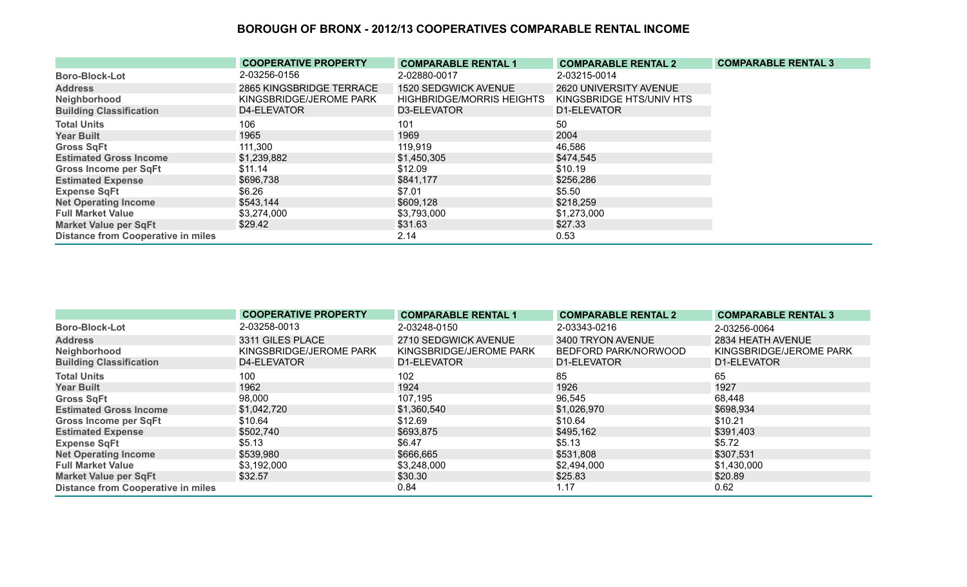|                                           | <b>COOPERATIVE PROPERTY</b> | <b>COMPARABLE RENTAL 1</b>       | <b>COMPARABLE RENTAL 2</b> | <b>COMPARABLE RENTAL 3</b> |
|-------------------------------------------|-----------------------------|----------------------------------|----------------------------|----------------------------|
| <b>Boro-Block-Lot</b>                     | 2-03256-0156                | 2-02880-0017                     | 2-03215-0014               |                            |
| <b>Address</b>                            | 2865 KINGSBRIDGE TERRACE    | 1520 SEDGWICK AVENUE             | 2620 UNIVERSITY AVENUE     |                            |
| Neighborhood                              | KINGSBRIDGE/JEROME PARK     | <b>HIGHBRIDGE/MORRIS HEIGHTS</b> | KINGSBRIDGE HTS/UNIV HTS   |                            |
| <b>Building Classification</b>            | D4-ELEVATOR                 | D3-ELEVATOR                      | D1-ELEVATOR                |                            |
| <b>Total Units</b>                        | 106                         | 101                              | 50                         |                            |
| <b>Year Built</b>                         | 1965                        | 1969                             | 2004                       |                            |
| <b>Gross SqFt</b>                         | 111,300                     | 119,919                          | 46,586                     |                            |
| <b>Estimated Gross Income</b>             | \$1,239,882                 | \$1,450,305                      | \$474,545                  |                            |
| <b>Gross Income per SqFt</b>              | \$11.14                     | \$12.09                          | \$10.19                    |                            |
| <b>Estimated Expense</b>                  | \$696,738                   | \$841,177                        | \$256,286                  |                            |
| <b>Expense SqFt</b>                       | \$6.26                      | \$7.01                           | \$5.50                     |                            |
| <b>Net Operating Income</b>               | \$543,144                   | \$609,128                        | \$218,259                  |                            |
| <b>Full Market Value</b>                  | \$3,274,000                 | \$3,793,000                      | \$1,273,000                |                            |
| <b>Market Value per SqFt</b>              | \$29.42                     | \$31.63                          | \$27.33                    |                            |
| <b>Distance from Cooperative in miles</b> |                             | 2.14                             | 0.53                       |                            |

|                                           | <b>COOPERATIVE PROPERTY</b> | <b>COMPARABLE RENTAL 1</b> | <b>COMPARABLE RENTAL 2</b> | <b>COMPARABLE RENTAL 3</b> |
|-------------------------------------------|-----------------------------|----------------------------|----------------------------|----------------------------|
| <b>Boro-Block-Lot</b>                     | 2-03258-0013                | 2-03248-0150               | 2-03343-0216               | 2-03256-0064               |
| <b>Address</b>                            | 3311 GILES PLACE            | 2710 SEDGWICK AVENUE       | 3400 TRYON AVENUE          | 2834 HEATH AVENUE          |
| Neighborhood                              | KINGSBRIDGE/JEROME PARK     | KINGSBRIDGE/JEROME PARK    | BEDFORD PARK/NORWOOD       | KINGSBRIDGE/JEROME PARK    |
| <b>Building Classification</b>            | D4-ELEVATOR                 | D1-ELEVATOR                | D1-ELEVATOR                | D1-ELEVATOR                |
| <b>Total Units</b>                        | 100                         | 102                        | 85                         | 65                         |
| <b>Year Built</b>                         | 1962                        | 1924                       | 1926                       | 1927                       |
| <b>Gross SqFt</b>                         | 98,000                      | 107,195                    | 96,545                     | 68,448                     |
| <b>Estimated Gross Income</b>             | \$1,042,720                 | \$1,360,540                | \$1,026,970                | \$698,934                  |
| <b>Gross Income per SqFt</b>              | \$10.64                     | \$12.69                    | \$10.64                    | \$10.21                    |
| <b>Estimated Expense</b>                  | \$502,740                   | \$693,875                  | \$495,162                  | \$391,403                  |
| <b>Expense SqFt</b>                       | \$5.13                      | \$6.47                     | \$5.13                     | \$5.72                     |
| <b>Net Operating Income</b>               | \$539,980                   | \$666,665                  | \$531,808                  | \$307,531                  |
| <b>Full Market Value</b>                  | \$3,192,000                 | \$3,248,000                | \$2,494,000                | \$1,430,000                |
| <b>Market Value per SqFt</b>              | \$32.57                     | \$30.30                    | \$25.83                    | \$20.89                    |
| <b>Distance from Cooperative in miles</b> |                             | 0.84                       | 1.17                       | 0.62                       |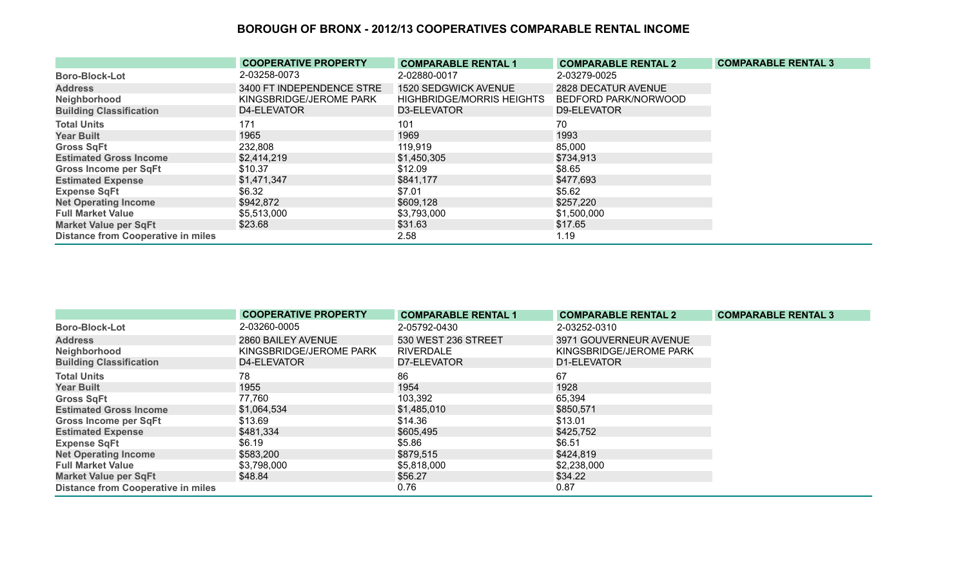|                                           | <b>COOPERATIVE PROPERTY</b> | <b>COMPARABLE RENTAL 1</b>       | <b>COMPARABLE RENTAL 2</b> | <b>COMPARABLE RENTAL 3</b> |
|-------------------------------------------|-----------------------------|----------------------------------|----------------------------|----------------------------|
| <b>Boro-Block-Lot</b>                     | 2-03258-0073                | 2-02880-0017                     | 2-03279-0025               |                            |
| <b>Address</b>                            | 3400 FT INDEPENDENCE STRE   | <b>1520 SEDGWICK AVENUE</b>      | 2828 DECATUR AVENUE        |                            |
| Neighborhood                              | KINGSBRIDGE/JEROME PARK     | <b>HIGHBRIDGE/MORRIS HEIGHTS</b> | BEDFORD PARK/NORWOOD       |                            |
| <b>Building Classification</b>            | D4-ELEVATOR                 | D3-ELEVATOR                      | D9-ELEVATOR                |                            |
| <b>Total Units</b>                        | 171                         | 101                              | 70                         |                            |
| <b>Year Built</b>                         | 1965                        | 1969                             | 1993                       |                            |
| <b>Gross SqFt</b>                         | 232,808                     | 119,919                          | 85,000                     |                            |
| <b>Estimated Gross Income</b>             | \$2,414,219                 | \$1,450,305                      | \$734,913                  |                            |
| <b>Gross Income per SqFt</b>              | \$10.37                     | \$12.09                          | \$8.65                     |                            |
| <b>Estimated Expense</b>                  | \$1,471,347                 | \$841,177                        | \$477,693                  |                            |
| <b>Expense SqFt</b>                       | \$6.32                      | \$7.01                           | \$5.62                     |                            |
| <b>Net Operating Income</b>               | \$942,872                   | \$609,128                        | \$257,220                  |                            |
| <b>Full Market Value</b>                  | \$5,513,000                 | \$3,793,000                      | \$1,500,000                |                            |
| <b>Market Value per SqFt</b>              | \$23.68                     | \$31.63                          | \$17.65                    |                            |
| <b>Distance from Cooperative in miles</b> |                             | 2.58                             | 1.19                       |                            |

|                                           | <b>COOPERATIVE PROPERTY</b> | <b>COMPARABLE RENTAL 1</b> | <b>COMPARABLE RENTAL 2</b> | <b>COMPARABLE RENTAL 3</b> |
|-------------------------------------------|-----------------------------|----------------------------|----------------------------|----------------------------|
| <b>Boro-Block-Lot</b>                     | 2-03260-0005                | 2-05792-0430               | 2-03252-0310               |                            |
| <b>Address</b>                            | 2860 BAILEY AVENUE          | 530 WEST 236 STREET        | 3971 GOUVERNEUR AVENUE     |                            |
| Neighborhood                              | KINGSBRIDGE/JEROME PARK     | <b>RIVERDALE</b>           | KINGSBRIDGE/JEROME PARK    |                            |
| <b>Building Classification</b>            | D4-ELEVATOR                 | D7-ELEVATOR                | D1-ELEVATOR                |                            |
| <b>Total Units</b>                        | 78                          | 86                         | 67                         |                            |
| <b>Year Built</b>                         | 1955                        | 1954                       | 1928                       |                            |
| <b>Gross SqFt</b>                         | 77,760                      | 103,392                    | 65,394                     |                            |
| <b>Estimated Gross Income</b>             | \$1,064,534                 | \$1,485,010                | \$850,571                  |                            |
| <b>Gross Income per SqFt</b>              | \$13.69                     | \$14.36                    | \$13.01                    |                            |
| <b>Estimated Expense</b>                  | \$481,334                   | \$605,495                  | \$425,752                  |                            |
| <b>Expense SqFt</b>                       | \$6.19                      | \$5.86                     | \$6.51                     |                            |
| <b>Net Operating Income</b>               | \$583,200                   | \$879,515                  | \$424,819                  |                            |
| <b>Full Market Value</b>                  | \$3,798,000                 | \$5,818,000                | \$2,238,000                |                            |
| <b>Market Value per SqFt</b>              | \$48.84                     | \$56.27                    | \$34.22                    |                            |
| <b>Distance from Cooperative in miles</b> |                             | 0.76                       | 0.87                       |                            |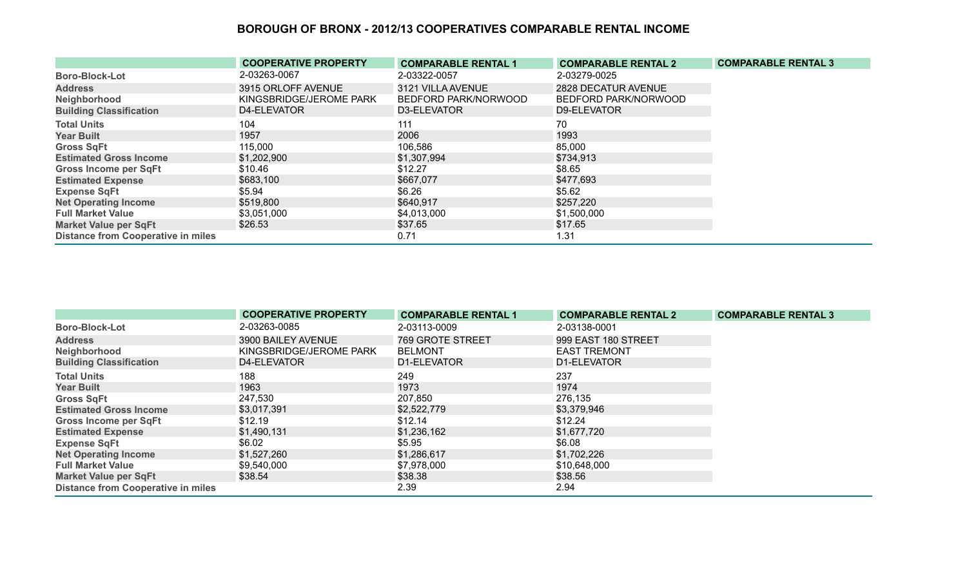|                                           | <b>COOPERATIVE PROPERTY</b> | <b>COMPARABLE RENTAL 1</b> | <b>COMPARABLE RENTAL 2</b> | <b>COMPARABLE RENTAL 3</b> |
|-------------------------------------------|-----------------------------|----------------------------|----------------------------|----------------------------|
| <b>Boro-Block-Lot</b>                     | 2-03263-0067                | 2-03322-0057               | 2-03279-0025               |                            |
| <b>Address</b>                            | 3915 ORLOFF AVENUE          | 3121 VILLA AVENUE          | 2828 DECATUR AVENUE        |                            |
| Neighborhood                              | KINGSBRIDGE/JEROME PARK     | BEDFORD PARK/NORWOOD       | BEDFORD PARK/NORWOOD       |                            |
| <b>Building Classification</b>            | D4-ELEVATOR                 | D3-ELEVATOR                | D9-ELEVATOR                |                            |
| <b>Total Units</b>                        | 104                         | 111                        | 70                         |                            |
| <b>Year Built</b>                         | 1957                        | 2006                       | 1993                       |                            |
| <b>Gross SqFt</b>                         | 115,000                     | 106,586                    | 85,000                     |                            |
| <b>Estimated Gross Income</b>             | \$1,202,900                 | \$1,307,994                | \$734,913                  |                            |
| <b>Gross Income per SqFt</b>              | \$10.46                     | \$12.27                    | \$8.65                     |                            |
| <b>Estimated Expense</b>                  | \$683,100                   | \$667,077                  | \$477,693                  |                            |
| <b>Expense SqFt</b>                       | \$5.94                      | \$6.26                     | \$5.62                     |                            |
| <b>Net Operating Income</b>               | \$519,800                   | \$640,917                  | \$257,220                  |                            |
| <b>Full Market Value</b>                  | \$3,051,000                 | \$4,013,000                | \$1,500,000                |                            |
| <b>Market Value per SqFt</b>              | \$26.53                     | \$37.65                    | \$17.65                    |                            |
| <b>Distance from Cooperative in miles</b> |                             | 0.71                       | 1.31                       |                            |

|                                           | <b>COOPERATIVE PROPERTY</b> | <b>COMPARABLE RENTAL 1</b> | <b>COMPARABLE RENTAL 2</b> | <b>COMPARABLE RENTAL 3</b> |
|-------------------------------------------|-----------------------------|----------------------------|----------------------------|----------------------------|
| <b>Boro-Block-Lot</b>                     | 2-03263-0085                | 2-03113-0009               | 2-03138-0001               |                            |
| <b>Address</b>                            | 3900 BAILEY AVENUE          | 769 GROTE STREET           | 999 EAST 180 STREET        |                            |
| Neighborhood                              | KINGSBRIDGE/JEROME PARK     | <b>BELMONT</b>             | <b>EAST TREMONT</b>        |                            |
| <b>Building Classification</b>            | D4-ELEVATOR                 | D1-ELEVATOR                | D1-ELEVATOR                |                            |
| <b>Total Units</b>                        | 188                         | 249                        | 237                        |                            |
| <b>Year Built</b>                         | 1963                        | 1973                       | 1974                       |                            |
| <b>Gross SqFt</b>                         | 247,530                     | 207,850                    | 276,135                    |                            |
| <b>Estimated Gross Income</b>             | \$3,017,391                 | \$2,522,779                | \$3,379,946                |                            |
| <b>Gross Income per SqFt</b>              | \$12.19                     | \$12.14                    | \$12.24                    |                            |
| <b>Estimated Expense</b>                  | \$1,490,131                 | \$1,236,162                | \$1,677,720                |                            |
| <b>Expense SqFt</b>                       | \$6.02                      | \$5.95                     | \$6.08                     |                            |
| <b>Net Operating Income</b>               | \$1,527,260                 | \$1,286,617                | \$1,702,226                |                            |
| <b>Full Market Value</b>                  | \$9,540,000                 | \$7,978,000                | \$10,648,000               |                            |
| <b>Market Value per SqFt</b>              | \$38.54                     | \$38.38                    | \$38.56                    |                            |
| <b>Distance from Cooperative in miles</b> |                             | 2.39                       | 2.94                       |                            |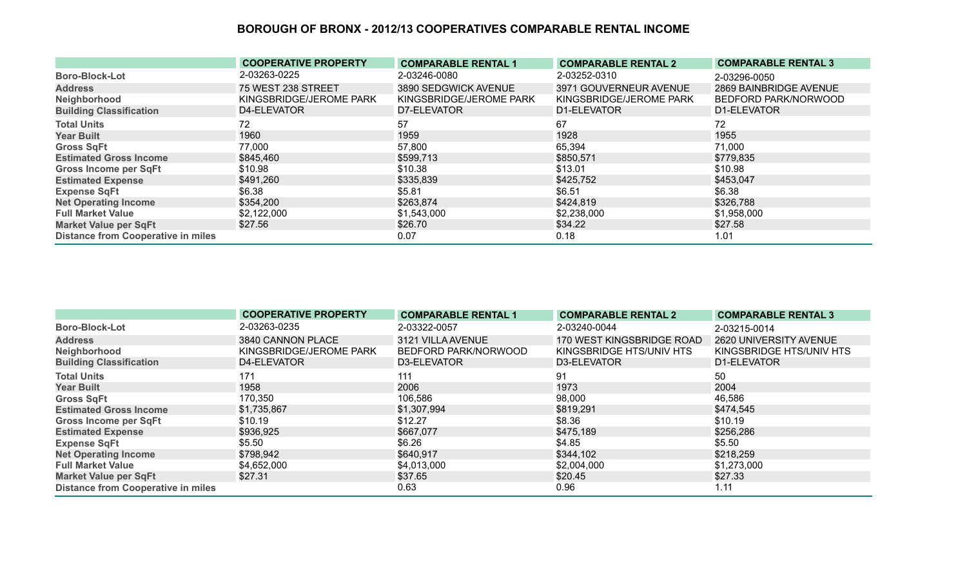|                                           | <b>COOPERATIVE PROPERTY</b> | <b>COMPARABLE RENTAL 1</b> | <b>COMPARABLE RENTAL 2</b> | <b>COMPARABLE RENTAL 3</b> |
|-------------------------------------------|-----------------------------|----------------------------|----------------------------|----------------------------|
| <b>Boro-Block-Lot</b>                     | 2-03263-0225                | 2-03246-0080               | 2-03252-0310               | 2-03296-0050               |
| <b>Address</b>                            | <b>75 WEST 238 STREET</b>   | 3890 SEDGWICK AVENUE       | 3971 GOUVERNEUR AVENUE     | 2869 BAINBRIDGE AVENUE     |
| Neighborhood                              | KINGSBRIDGE/JEROME PARK     | KINGSBRIDGE/JEROME PARK    | KINGSBRIDGE/JEROME PARK    | BEDFORD PARK/NORWOOD       |
| <b>Building Classification</b>            | D4-ELEVATOR                 | D7-ELEVATOR                | D1-ELEVATOR                | D1-ELEVATOR                |
| <b>Total Units</b>                        | 72                          | 57                         | 67                         | 72                         |
| <b>Year Built</b>                         | 1960                        | 1959                       | 1928                       | 1955                       |
| <b>Gross SqFt</b>                         | 77,000                      | 57,800                     | 65,394                     | 71,000                     |
| <b>Estimated Gross Income</b>             | \$845,460                   | \$599,713                  | \$850,571                  | \$779,835                  |
| <b>Gross Income per SqFt</b>              | \$10.98                     | \$10.38                    | \$13.01                    | \$10.98                    |
| <b>Estimated Expense</b>                  | \$491,260                   | \$335,839                  | \$425,752                  | \$453,047                  |
| <b>Expense SqFt</b>                       | \$6.38                      | \$5.81                     | \$6.51                     | \$6.38                     |
| <b>Net Operating Income</b>               | \$354,200                   | \$263,874                  | \$424,819                  | \$326,788                  |
| <b>Full Market Value</b>                  | \$2,122,000                 | \$1,543,000                | \$2,238,000                | \$1,958,000                |
| <b>Market Value per SqFt</b>              | \$27.56                     | \$26.70                    | \$34.22                    | \$27.58                    |
| <b>Distance from Cooperative in miles</b> |                             | 0.07                       | 0.18                       | 1.01                       |

|                                           | <b>COOPERATIVE PROPERTY</b> | <b>COMPARABLE RENTAL 1</b> | <b>COMPARABLE RENTAL 2</b> | <b>COMPARABLE RENTAL 3</b> |
|-------------------------------------------|-----------------------------|----------------------------|----------------------------|----------------------------|
| <b>Boro-Block-Lot</b>                     | 2-03263-0235                | 2-03322-0057               | 2-03240-0044               | 2-03215-0014               |
| <b>Address</b>                            | 3840 CANNON PLACE           | 3121 VILLA AVENUE          | 170 WEST KINGSBRIDGE ROAD  | 2620 UNIVERSITY AVENUE     |
| Neighborhood                              | KINGSBRIDGE/JEROME PARK     | BEDFORD PARK/NORWOOD       | KINGSBRIDGE HTS/UNIV HTS   | KINGSBRIDGE HTS/UNIV HTS   |
| <b>Building Classification</b>            | D4-ELEVATOR                 | D3-ELEVATOR                | D3-ELEVATOR                | D1-ELEVATOR                |
| <b>Total Units</b>                        | 171                         | 111                        | 91                         | 50                         |
| <b>Year Built</b>                         | 1958                        | 2006                       | 1973                       | 2004                       |
| <b>Gross SqFt</b>                         | 170,350                     | 106,586                    | 98,000                     | 46,586                     |
| <b>Estimated Gross Income</b>             | \$1,735,867                 | \$1,307,994                | \$819,291                  | \$474,545                  |
| <b>Gross Income per SqFt</b>              | \$10.19                     | \$12.27                    | \$8.36                     | \$10.19                    |
| <b>Estimated Expense</b>                  | \$936,925                   | \$667,077                  | \$475,189                  | \$256,286                  |
| <b>Expense SqFt</b>                       | \$5.50                      | \$6.26                     | \$4.85                     | \$5.50                     |
| <b>Net Operating Income</b>               | \$798,942                   | \$640,917                  | \$344,102                  | \$218,259                  |
| <b>Full Market Value</b>                  | \$4,652,000                 | \$4,013,000                | \$2,004,000                | \$1,273,000                |
| <b>Market Value per SqFt</b>              | \$27.31                     | \$37.65                    | \$20.45                    | \$27.33                    |
| <b>Distance from Cooperative in miles</b> |                             | 0.63                       | 0.96                       | 1.11                       |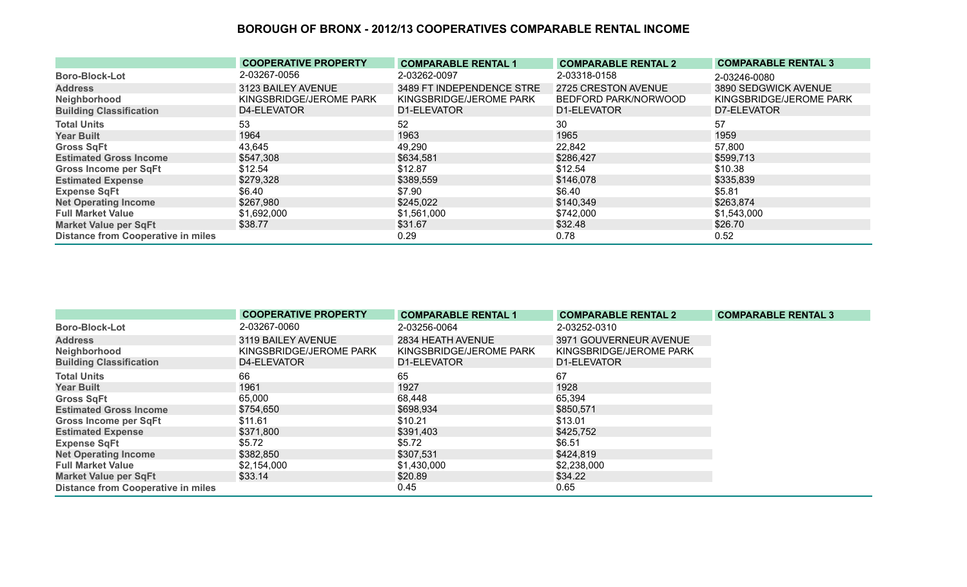|                                           | <b>COOPERATIVE PROPERTY</b> | <b>COMPARABLE RENTAL 1</b> | <b>COMPARABLE RENTAL 2</b> | <b>COMPARABLE RENTAL 3</b> |
|-------------------------------------------|-----------------------------|----------------------------|----------------------------|----------------------------|
| <b>Boro-Block-Lot</b>                     | 2-03267-0056                | 2-03262-0097               | 2-03318-0158               | 2-03246-0080               |
| <b>Address</b>                            | 3123 BAILEY AVENUE          | 3489 FT INDEPENDENCE STRE  | 2725 CRESTON AVENUE        | 3890 SEDGWICK AVENUE       |
| Neighborhood                              | KINGSBRIDGE/JEROME PARK     | KINGSBRIDGE/JEROME PARK    | BEDFORD PARK/NORWOOD       | KINGSBRIDGE/JEROME PARK    |
| <b>Building Classification</b>            | D4-ELEVATOR                 | D1-ELEVATOR                | D1-ELEVATOR                | D7-ELEVATOR                |
| <b>Total Units</b>                        | 53                          | 52                         | 30                         | 57                         |
| <b>Year Built</b>                         | 1964                        | 1963                       | 1965                       | 1959                       |
| <b>Gross SqFt</b>                         | 43,645                      | 49,290                     | 22,842                     | 57,800                     |
| <b>Estimated Gross Income</b>             | \$547,308                   | \$634,581                  | \$286,427                  | \$599,713                  |
| <b>Gross Income per SqFt</b>              | \$12.54                     | \$12.87                    | \$12.54                    | \$10.38                    |
| <b>Estimated Expense</b>                  | \$279,328                   | \$389,559                  | \$146,078                  | \$335,839                  |
| <b>Expense SqFt</b>                       | \$6.40                      | \$7.90                     | \$6.40                     | \$5.81                     |
| <b>Net Operating Income</b>               | \$267,980                   | \$245,022                  | \$140,349                  | \$263,874                  |
| <b>Full Market Value</b>                  | \$1,692,000                 | \$1,561,000                | \$742,000                  | \$1,543,000                |
| <b>Market Value per SqFt</b>              | \$38.77                     | \$31.67                    | \$32.48                    | \$26.70                    |
| <b>Distance from Cooperative in miles</b> |                             | 0.29                       | 0.78                       | 0.52                       |

|                                           | <b>COOPERATIVE PROPERTY</b> | <b>COMPARABLE RENTAL 1</b> | <b>COMPARABLE RENTAL 2</b> | <b>COMPARABLE RENTAL 3</b> |
|-------------------------------------------|-----------------------------|----------------------------|----------------------------|----------------------------|
| <b>Boro-Block-Lot</b>                     | 2-03267-0060                | 2-03256-0064               | 2-03252-0310               |                            |
| <b>Address</b>                            | 3119 BAILEY AVENUE          | 2834 HEATH AVENUE          | 3971 GOUVERNEUR AVENUE     |                            |
| Neighborhood                              | KINGSBRIDGE/JEROME PARK     | KINGSBRIDGE/JEROME PARK    | KINGSBRIDGE/JEROME PARK    |                            |
| <b>Building Classification</b>            | D4-ELEVATOR                 | D1-ELEVATOR                | D1-ELEVATOR                |                            |
| <b>Total Units</b>                        | 66                          | 65                         | 67                         |                            |
| <b>Year Built</b>                         | 1961                        | 1927                       | 1928                       |                            |
| <b>Gross SqFt</b>                         | 65,000                      | 68,448                     | 65,394                     |                            |
| <b>Estimated Gross Income</b>             | \$754,650                   | \$698,934                  | \$850,571                  |                            |
| <b>Gross Income per SqFt</b>              | \$11.61                     | \$10.21                    | \$13.01                    |                            |
| <b>Estimated Expense</b>                  | \$371,800                   | \$391,403                  | \$425,752                  |                            |
| <b>Expense SqFt</b>                       | \$5.72                      | \$5.72                     | \$6.51                     |                            |
| <b>Net Operating Income</b>               | \$382,850                   | \$307,531                  | \$424,819                  |                            |
| <b>Full Market Value</b>                  | \$2,154,000                 | \$1,430,000                | \$2,238,000                |                            |
| <b>Market Value per SqFt</b>              | \$33.14                     | \$20.89                    | \$34.22                    |                            |
| <b>Distance from Cooperative in miles</b> |                             | 0.45                       | 0.65                       |                            |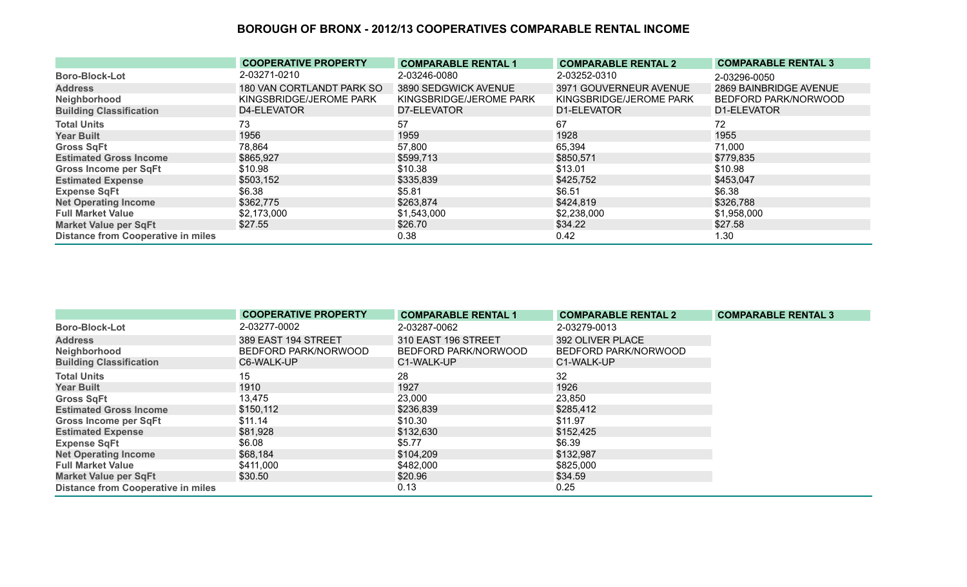|                                           | <b>COOPERATIVE PROPERTY</b> | <b>COMPARABLE RENTAL 1</b> | <b>COMPARABLE RENTAL 2</b> | <b>COMPARABLE RENTAL 3</b> |
|-------------------------------------------|-----------------------------|----------------------------|----------------------------|----------------------------|
| <b>Boro-Block-Lot</b>                     | 2-03271-0210                | 2-03246-0080               | 2-03252-0310               | 2-03296-0050               |
| <b>Address</b>                            | 180 VAN CORTLANDT PARK SO   | 3890 SEDGWICK AVENUE       | 3971 GOUVERNEUR AVENUE     | 2869 BAINBRIDGE AVENUE     |
| Neighborhood                              | KINGSBRIDGE/JEROME PARK     | KINGSBRIDGE/JEROME PARK    | KINGSBRIDGE/JEROME PARK    | BEDFORD PARK/NORWOOD       |
| <b>Building Classification</b>            | D4-ELEVATOR                 | D7-ELEVATOR                | D1-ELEVATOR                | D1-ELEVATOR                |
| <b>Total Units</b>                        | 73                          | 57                         | 67                         | 72.                        |
| <b>Year Built</b>                         | 1956                        | 1959                       | 1928                       | 1955                       |
| <b>Gross SqFt</b>                         | 78,864                      | 57,800                     | 65,394                     | 71,000                     |
| <b>Estimated Gross Income</b>             | \$865,927                   | \$599,713                  | \$850,571                  | \$779,835                  |
| <b>Gross Income per SqFt</b>              | \$10.98                     | \$10.38                    | \$13.01                    | \$10.98                    |
| <b>Estimated Expense</b>                  | \$503,152                   | \$335,839                  | \$425,752                  | \$453,047                  |
| <b>Expense SqFt</b>                       | \$6.38                      | \$5.81                     | \$6.51                     | \$6.38                     |
| <b>Net Operating Income</b>               | \$362,775                   | \$263,874                  | \$424,819                  | \$326,788                  |
| <b>Full Market Value</b>                  | \$2,173,000                 | \$1,543,000                | \$2,238,000                | \$1,958,000                |
| <b>Market Value per SqFt</b>              | \$27.55                     | \$26.70                    | \$34.22                    | \$27.58                    |
| <b>Distance from Cooperative in miles</b> |                             | 0.38                       | 0.42                       | 1.30                       |

|                                           | <b>COOPERATIVE PROPERTY</b> | <b>COMPARABLE RENTAL 1</b> | <b>COMPARABLE RENTAL 2</b> | <b>COMPARABLE RENTAL 3</b> |
|-------------------------------------------|-----------------------------|----------------------------|----------------------------|----------------------------|
| <b>Boro-Block-Lot</b>                     | 2-03277-0002                | 2-03287-0062               | 2-03279-0013               |                            |
| <b>Address</b>                            | 389 EAST 194 STREET         | 310 EAST 196 STREET        | 392 OLIVER PLACE           |                            |
| Neighborhood                              | BEDFORD PARK/NORWOOD        | BEDFORD PARK/NORWOOD       | BEDFORD PARK/NORWOOD       |                            |
| <b>Building Classification</b>            | C6-WALK-UP                  | C1-WALK-UP                 | C1-WALK-UP                 |                            |
| <b>Total Units</b>                        | 15                          | 28                         | 32                         |                            |
| <b>Year Built</b>                         | 1910                        | 1927                       | 1926                       |                            |
| <b>Gross SqFt</b>                         | 13,475                      | 23,000                     | 23,850                     |                            |
| <b>Estimated Gross Income</b>             | \$150,112                   | \$236,839                  | \$285,412                  |                            |
| <b>Gross Income per SqFt</b>              | \$11.14                     | \$10.30                    | \$11.97                    |                            |
| <b>Estimated Expense</b>                  | \$81,928                    | \$132,630                  | \$152,425                  |                            |
| <b>Expense SqFt</b>                       | \$6.08                      | \$5.77                     | \$6.39                     |                            |
| <b>Net Operating Income</b>               | \$68,184                    | \$104,209                  | \$132,987                  |                            |
| <b>Full Market Value</b>                  | \$411,000                   | \$482,000                  | \$825,000                  |                            |
| <b>Market Value per SqFt</b>              | \$30.50                     | \$20.96                    | \$34.59                    |                            |
| <b>Distance from Cooperative in miles</b> |                             | 0.13                       | 0.25                       |                            |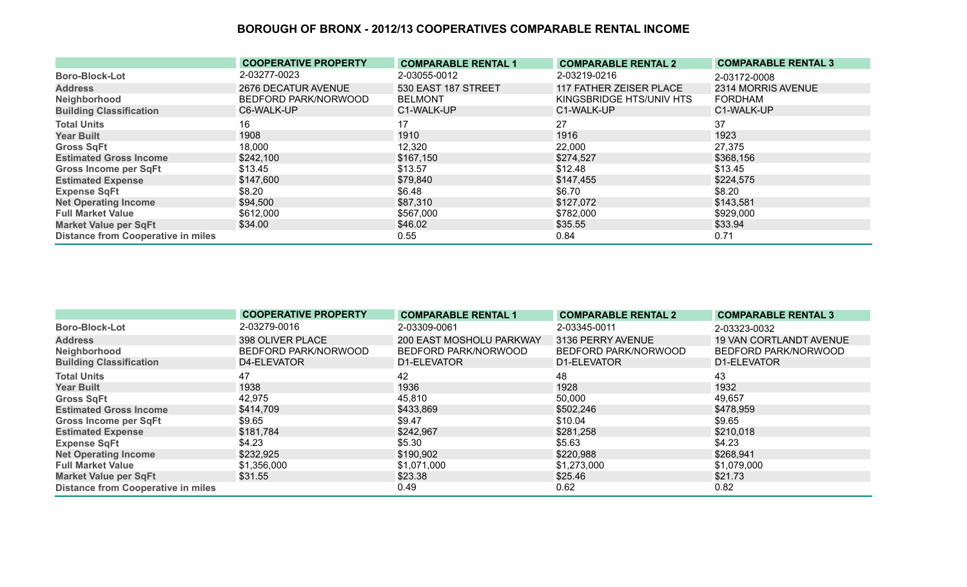|                                           | <b>COOPERATIVE PROPERTY</b> | <b>COMPARABLE RENTAL 1</b> | <b>COMPARABLE RENTAL 2</b> | <b>COMPARABLE RENTAL 3</b> |
|-------------------------------------------|-----------------------------|----------------------------|----------------------------|----------------------------|
| <b>Boro-Block-Lot</b>                     | 2-03277-0023                | 2-03055-0012               | 2-03219-0216               | 2-03172-0008               |
| <b>Address</b>                            | 2676 DECATUR AVENUE         | 530 EAST 187 STREET        | 117 FATHER ZEISER PLACE    | 2314 MORRIS AVENUE         |
| Neighborhood                              | BEDFORD PARK/NORWOOD        | <b>BELMONT</b>             | KINGSBRIDGE HTS/UNIV HTS   | <b>FORDHAM</b>             |
| <b>Building Classification</b>            | C6-WALK-UP                  | C1-WALK-UP                 | C1-WALK-UP                 | C1-WALK-UP                 |
| <b>Total Units</b>                        | 16                          | 17                         | 27                         | 37                         |
| <b>Year Built</b>                         | 1908                        | 1910                       | 1916                       | 1923                       |
| <b>Gross SqFt</b>                         | 18,000                      | 12,320                     | 22,000                     | 27,375                     |
| <b>Estimated Gross Income</b>             | \$242,100                   | \$167,150                  | \$274,527                  | \$368,156                  |
| <b>Gross Income per SqFt</b>              | \$13.45                     | \$13.57                    | \$12.48                    | \$13.45                    |
| <b>Estimated Expense</b>                  | \$147,600                   | \$79,840                   | \$147,455                  | \$224,575                  |
| <b>Expense SqFt</b>                       | \$8.20                      | \$6.48                     | \$6.70                     | \$8.20                     |
| <b>Net Operating Income</b>               | \$94,500                    | \$87,310                   | \$127,072                  | \$143,581                  |
| <b>Full Market Value</b>                  | \$612,000                   | \$567,000                  | \$782,000                  | \$929,000                  |
| <b>Market Value per SqFt</b>              | \$34.00                     | \$46.02                    | \$35.55                    | \$33.94                    |
| <b>Distance from Cooperative in miles</b> |                             | 0.55                       | 0.84                       | 0.71                       |

|                                           | <b>COOPERATIVE PROPERTY</b> | <b>COMPARABLE RENTAL 1</b> | <b>COMPARABLE RENTAL 2</b> | <b>COMPARABLE RENTAL 3</b>     |
|-------------------------------------------|-----------------------------|----------------------------|----------------------------|--------------------------------|
| <b>Boro-Block-Lot</b>                     | 2-03279-0016                | 2-03309-0061               | 2-03345-0011               | 2-03323-0032                   |
| <b>Address</b>                            | 398 OLIVER PLACE            | 200 EAST MOSHOLU PARKWAY   | 3136 PERRY AVENUE          | <b>19 VAN CORTLANDT AVENUE</b> |
| Neighborhood                              | BEDFORD PARK/NORWOOD        | BEDFORD PARK/NORWOOD       | BEDFORD PARK/NORWOOD       | BEDFORD PARK/NORWOOD           |
| <b>Building Classification</b>            | D4-ELEVATOR                 | D1-ELEVATOR                | D1-ELEVATOR                | D1-ELEVATOR                    |
| <b>Total Units</b>                        | 47                          | 42                         | 48                         | 43                             |
| <b>Year Built</b>                         | 1938                        | 1936                       | 1928                       | 1932                           |
| <b>Gross SqFt</b>                         | 42,975                      | 45,810                     | 50,000                     | 49,657                         |
| <b>Estimated Gross Income</b>             | \$414,709                   | \$433,869                  | \$502,246                  | \$478,959                      |
| <b>Gross Income per SqFt</b>              | \$9.65                      | \$9.47                     | \$10.04                    | \$9.65                         |
| <b>Estimated Expense</b>                  | \$181,784                   | \$242,967                  | \$281,258                  | \$210,018                      |
| <b>Expense SqFt</b>                       | \$4.23                      | \$5.30                     | \$5.63                     | \$4.23                         |
| <b>Net Operating Income</b>               | \$232,925                   | \$190,902                  | \$220,988                  | \$268,941                      |
| <b>Full Market Value</b>                  | \$1,356,000                 | \$1,071,000                | \$1,273,000                | \$1,079,000                    |
| <b>Market Value per SqFt</b>              | \$31.55                     | \$23.38                    | \$25.46                    | \$21.73                        |
| <b>Distance from Cooperative in miles</b> |                             | 0.49                       | 0.62                       | 0.82                           |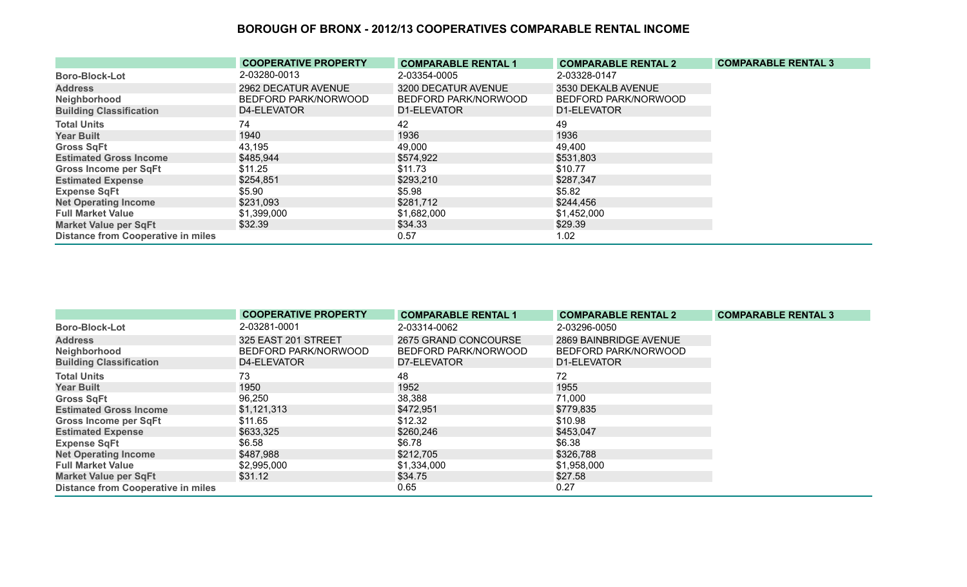|                                           | <b>COOPERATIVE PROPERTY</b> | <b>COMPARABLE RENTAL 1</b> | <b>COMPARABLE RENTAL 2</b> | <b>COMPARABLE RENTAL 3</b> |
|-------------------------------------------|-----------------------------|----------------------------|----------------------------|----------------------------|
| <b>Boro-Block-Lot</b>                     | 2-03280-0013                | 2-03354-0005               | 2-03328-0147               |                            |
| <b>Address</b>                            | 2962 DECATUR AVENUE         | 3200 DECATUR AVENUE        | 3530 DEKALB AVENUE         |                            |
| Neighborhood                              | BEDFORD PARK/NORWOOD        | BEDFORD PARK/NORWOOD       | BEDFORD PARK/NORWOOD       |                            |
| <b>Building Classification</b>            | D4-ELEVATOR                 | D1-ELEVATOR                | D1-ELEVATOR                |                            |
| <b>Total Units</b>                        | 74                          | 42                         | 49                         |                            |
| <b>Year Built</b>                         | 1940                        | 1936                       | 1936                       |                            |
| <b>Gross SqFt</b>                         | 43,195                      | 49,000                     | 49,400                     |                            |
| <b>Estimated Gross Income</b>             | \$485,944                   | \$574,922                  | \$531,803                  |                            |
| <b>Gross Income per SqFt</b>              | \$11.25                     | \$11.73                    | \$10.77                    |                            |
| <b>Estimated Expense</b>                  | \$254,851                   | \$293,210                  | \$287,347                  |                            |
| <b>Expense SqFt</b>                       | \$5.90                      | \$5.98                     | \$5.82                     |                            |
| <b>Net Operating Income</b>               | \$231,093                   | \$281,712                  | \$244,456                  |                            |
| <b>Full Market Value</b>                  | \$1,399,000                 | \$1,682,000                | \$1,452,000                |                            |
| <b>Market Value per SqFt</b>              | \$32.39                     | \$34.33                    | \$29.39                    |                            |
| <b>Distance from Cooperative in miles</b> |                             | 0.57                       | 1.02                       |                            |

|                                           | <b>COOPERATIVE PROPERTY</b> | <b>COMPARABLE RENTAL 1</b> | <b>COMPARABLE RENTAL 2</b> | <b>COMPARABLE RENTAL 3</b> |
|-------------------------------------------|-----------------------------|----------------------------|----------------------------|----------------------------|
| <b>Boro-Block-Lot</b>                     | 2-03281-0001                | 2-03314-0062               | 2-03296-0050               |                            |
| <b>Address</b>                            | 325 EAST 201 STREET         | 2675 GRAND CONCOURSE       | 2869 BAINBRIDGE AVENUE     |                            |
| Neighborhood                              | BEDFORD PARK/NORWOOD        | BEDFORD PARK/NORWOOD       | BEDFORD PARK/NORWOOD       |                            |
| <b>Building Classification</b>            | D4-ELEVATOR                 | D7-ELEVATOR                | D1-ELEVATOR                |                            |
| <b>Total Units</b>                        | 73                          | 48                         | 72                         |                            |
| <b>Year Built</b>                         | 1950                        | 1952                       | 1955                       |                            |
| <b>Gross SqFt</b>                         | 96,250                      | 38,388                     | 71,000                     |                            |
| <b>Estimated Gross Income</b>             | \$1,121,313                 | \$472,951                  | \$779,835                  |                            |
| <b>Gross Income per SqFt</b>              | \$11.65                     | \$12.32                    | \$10.98                    |                            |
| <b>Estimated Expense</b>                  | \$633,325                   | \$260,246                  | \$453,047                  |                            |
| <b>Expense SqFt</b>                       | \$6.58                      | \$6.78                     | \$6.38                     |                            |
| <b>Net Operating Income</b>               | \$487,988                   | \$212,705                  | \$326,788                  |                            |
| <b>Full Market Value</b>                  | \$2,995,000                 | \$1,334,000                | \$1,958,000                |                            |
| <b>Market Value per SqFt</b>              | \$31.12                     | \$34.75                    | \$27.58                    |                            |
| <b>Distance from Cooperative in miles</b> |                             | 0.65                       | 0.27                       |                            |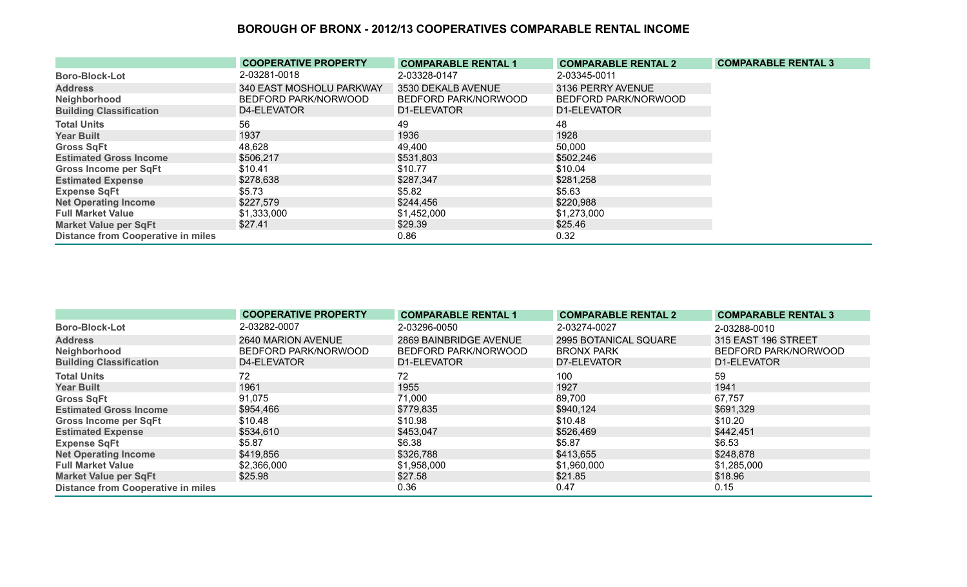|                                           | <b>COOPERATIVE PROPERTY</b> | <b>COMPARABLE RENTAL 1</b> | <b>COMPARABLE RENTAL 2</b> | <b>COMPARABLE RENTAL 3</b> |
|-------------------------------------------|-----------------------------|----------------------------|----------------------------|----------------------------|
| <b>Boro-Block-Lot</b>                     | 2-03281-0018                | 2-03328-0147               | 2-03345-0011               |                            |
| <b>Address</b>                            | 340 EAST MOSHOLU PARKWAY    | 3530 DEKALB AVENUE         | 3136 PERRY AVENUE          |                            |
| Neighborhood                              | BEDFORD PARK/NORWOOD        | BEDFORD PARK/NORWOOD       | BEDFORD PARK/NORWOOD       |                            |
| <b>Building Classification</b>            | D4-ELEVATOR                 | D1-ELEVATOR                | D1-ELEVATOR                |                            |
| <b>Total Units</b>                        | 56                          | 49                         | 48                         |                            |
| <b>Year Built</b>                         | 1937                        | 1936                       | 1928                       |                            |
| <b>Gross SqFt</b>                         | 48,628                      | 49,400                     | 50,000                     |                            |
| <b>Estimated Gross Income</b>             | \$506,217                   | \$531,803                  | \$502,246                  |                            |
| <b>Gross Income per SqFt</b>              | \$10.41                     | \$10.77                    | \$10.04                    |                            |
| <b>Estimated Expense</b>                  | \$278,638                   | \$287,347                  | \$281,258                  |                            |
| <b>Expense SqFt</b>                       | \$5.73                      | \$5.82                     | \$5.63                     |                            |
| <b>Net Operating Income</b>               | \$227,579                   | \$244,456                  | \$220,988                  |                            |
| <b>Full Market Value</b>                  | \$1,333,000                 | \$1,452,000                | \$1,273,000                |                            |
| <b>Market Value per SqFt</b>              | \$27.41                     | \$29.39                    | \$25.46                    |                            |
| <b>Distance from Cooperative in miles</b> |                             | 0.86                       | 0.32                       |                            |

|                                           | <b>COOPERATIVE PROPERTY</b> | <b>COMPARABLE RENTAL 1</b> | <b>COMPARABLE RENTAL 2</b> | <b>COMPARABLE RENTAL 3</b> |
|-------------------------------------------|-----------------------------|----------------------------|----------------------------|----------------------------|
| <b>Boro-Block-Lot</b>                     | 2-03282-0007                | 2-03296-0050               | 2-03274-0027               | 2-03288-0010               |
| <b>Address</b>                            | 2640 MARION AVENUE          | 2869 BAINBRIDGE AVENUE     | 2995 BOTANICAL SQUARE      | 315 EAST 196 STREET        |
| Neighborhood                              | BEDFORD PARK/NORWOOD        | BEDFORD PARK/NORWOOD       | <b>BRONX PARK</b>          | BEDFORD PARK/NORWOOD       |
| <b>Building Classification</b>            | D4-ELEVATOR                 | D1-ELEVATOR                | D7-ELEVATOR                | D1-ELEVATOR                |
| <b>Total Units</b>                        | 72                          | 72                         | 100                        | 59                         |
| <b>Year Built</b>                         | 1961                        | 1955                       | 1927                       | 1941                       |
| <b>Gross SqFt</b>                         | 91,075                      | 71,000                     | 89,700                     | 67,757                     |
| <b>Estimated Gross Income</b>             | \$954,466                   | \$779,835                  | \$940,124                  | \$691,329                  |
| <b>Gross Income per SqFt</b>              | \$10.48                     | \$10.98                    | \$10.48                    | \$10.20                    |
| <b>Estimated Expense</b>                  | \$534,610                   | \$453,047                  | \$526,469                  | \$442,451                  |
| <b>Expense SqFt</b>                       | \$5.87                      | \$6.38                     | \$5.87                     | \$6.53                     |
| <b>Net Operating Income</b>               | \$419,856                   | \$326,788                  | \$413,655                  | \$248,878                  |
| <b>Full Market Value</b>                  | \$2,366,000                 | \$1,958,000                | \$1,960,000                | \$1,285,000                |
| <b>Market Value per SqFt</b>              | \$25.98                     | \$27.58                    | \$21.85                    | \$18.96                    |
| <b>Distance from Cooperative in miles</b> |                             | 0.36                       | 0.47                       | 0.15                       |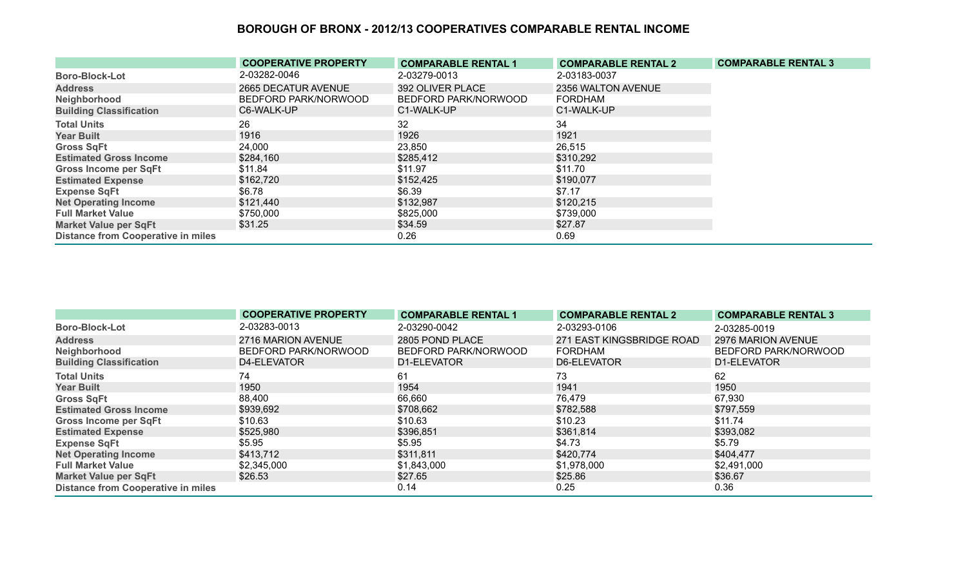|                                           | <b>COOPERATIVE PROPERTY</b> | <b>COMPARABLE RENTAL 1</b> | <b>COMPARABLE RENTAL 2</b> | <b>COMPARABLE RENTAL 3</b> |
|-------------------------------------------|-----------------------------|----------------------------|----------------------------|----------------------------|
| <b>Boro-Block-Lot</b>                     | 2-03282-0046                | 2-03279-0013               | 2-03183-0037               |                            |
| <b>Address</b>                            | 2665 DECATUR AVENUE         | 392 OLIVER PLACE           | 2356 WALTON AVENUE         |                            |
| Neighborhood                              | BEDFORD PARK/NORWOOD        | BEDFORD PARK/NORWOOD       | <b>FORDHAM</b>             |                            |
| <b>Building Classification</b>            | C6-WALK-UP                  | C1-WALK-UP                 | C1-WALK-UP                 |                            |
| <b>Total Units</b>                        | 26                          | 32                         | 34                         |                            |
| <b>Year Built</b>                         | 1916                        | 1926                       | 1921                       |                            |
| <b>Gross SqFt</b>                         | 24,000                      | 23,850                     | 26,515                     |                            |
| <b>Estimated Gross Income</b>             | \$284,160                   | \$285,412                  | \$310,292                  |                            |
| Gross Income per SqFt                     | \$11.84                     | \$11.97                    | \$11.70                    |                            |
| <b>Estimated Expense</b>                  | \$162,720                   | \$152,425                  | \$190,077                  |                            |
| <b>Expense SqFt</b>                       | \$6.78                      | \$6.39                     | \$7.17                     |                            |
| <b>Net Operating Income</b>               | \$121,440                   | \$132,987                  | \$120,215                  |                            |
| <b>Full Market Value</b>                  | \$750,000                   | \$825,000                  | \$739,000                  |                            |
| <b>Market Value per SqFt</b>              | \$31.25                     | \$34.59                    | \$27.87                    |                            |
| <b>Distance from Cooperative in miles</b> |                             | 0.26                       | 0.69                       |                            |

|                                           | <b>COOPERATIVE PROPERTY</b> | <b>COMPARABLE RENTAL 1</b> | <b>COMPARABLE RENTAL 2</b> | <b>COMPARABLE RENTAL 3</b> |
|-------------------------------------------|-----------------------------|----------------------------|----------------------------|----------------------------|
| <b>Boro-Block-Lot</b>                     | 2-03283-0013                | 2-03290-0042               | 2-03293-0106               | 2-03285-0019               |
| <b>Address</b>                            | 2716 MARION AVENUE          | 2805 POND PLACE            | 271 EAST KINGSBRIDGE ROAD  | 2976 MARION AVENUE         |
| Neighborhood                              | BEDFORD PARK/NORWOOD        | BEDFORD PARK/NORWOOD       | <b>FORDHAM</b>             | BEDFORD PARK/NORWOOD       |
| <b>Building Classification</b>            | D4-ELEVATOR                 | D1-ELEVATOR                | D6-ELEVATOR                | D1-ELEVATOR                |
| <b>Total Units</b>                        | 74                          | 61                         | 73                         | 62                         |
| <b>Year Built</b>                         | 1950                        | 1954                       | 1941                       | 1950                       |
| <b>Gross SqFt</b>                         | 88,400                      | 66,660                     | 76,479                     | 67,930                     |
| <b>Estimated Gross Income</b>             | \$939,692                   | \$708,662                  | \$782,588                  | \$797,559                  |
| <b>Gross Income per SqFt</b>              | \$10.63                     | \$10.63                    | \$10.23                    | \$11.74                    |
| <b>Estimated Expense</b>                  | \$525,980                   | \$396,851                  | \$361,814                  | \$393,082                  |
| <b>Expense SqFt</b>                       | \$5.95                      | \$5.95                     | \$4.73                     | \$5.79                     |
| <b>Net Operating Income</b>               | \$413,712                   | \$311,811                  | \$420,774                  | \$404,477                  |
| <b>Full Market Value</b>                  | \$2,345,000                 | \$1,843,000                | \$1,978,000                | \$2,491,000                |
| <b>Market Value per SqFt</b>              | \$26.53                     | \$27.65                    | \$25.86                    | \$36.67                    |
| <b>Distance from Cooperative in miles</b> |                             | 0.14                       | 0.25                       | 0.36                       |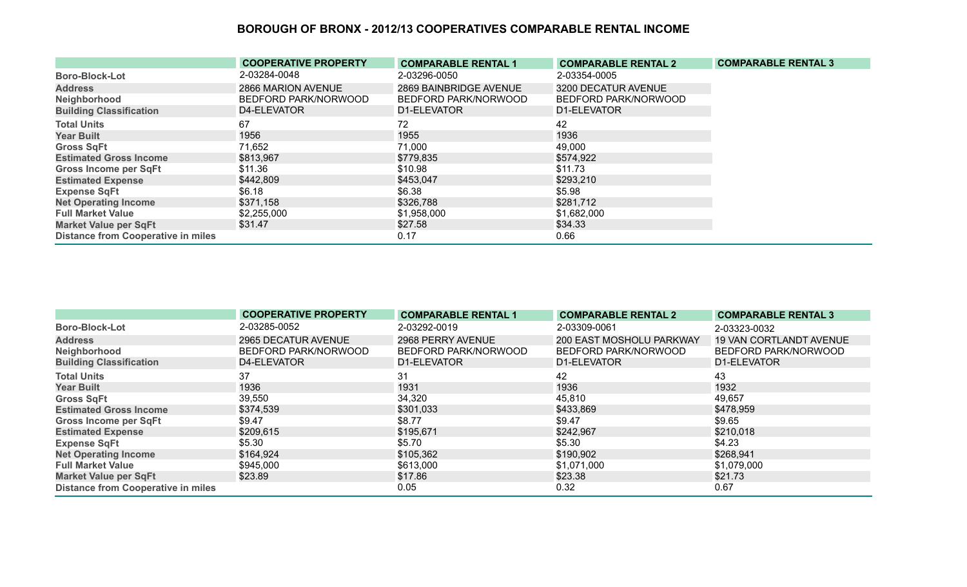|                                           | <b>COOPERATIVE PROPERTY</b> | <b>COMPARABLE RENTAL 1</b> | <b>COMPARABLE RENTAL 2</b> | <b>COMPARABLE RENTAL 3</b> |
|-------------------------------------------|-----------------------------|----------------------------|----------------------------|----------------------------|
| <b>Boro-Block-Lot</b>                     | 2-03284-0048                | 2-03296-0050               | 2-03354-0005               |                            |
| <b>Address</b>                            | 2866 MARION AVENUE          | 2869 BAINBRIDGE AVENUE     | 3200 DECATUR AVENUE        |                            |
| Neighborhood                              | BEDFORD PARK/NORWOOD        | BEDFORD PARK/NORWOOD       | BEDFORD PARK/NORWOOD       |                            |
| <b>Building Classification</b>            | D4-ELEVATOR                 | D1-ELEVATOR                | D1-ELEVATOR                |                            |
| <b>Total Units</b>                        | 67                          | 72                         | 42                         |                            |
| <b>Year Built</b>                         | 1956                        | 1955                       | 1936                       |                            |
| <b>Gross SqFt</b>                         | 71,652                      | 71,000                     | 49,000                     |                            |
| <b>Estimated Gross Income</b>             | \$813,967                   | \$779,835                  | \$574,922                  |                            |
| <b>Gross Income per SqFt</b>              | \$11.36                     | \$10.98                    | \$11.73                    |                            |
| <b>Estimated Expense</b>                  | \$442,809                   | \$453,047                  | \$293,210                  |                            |
| <b>Expense SqFt</b>                       | \$6.18                      | \$6.38                     | \$5.98                     |                            |
| <b>Net Operating Income</b>               | \$371,158                   | \$326,788                  | \$281,712                  |                            |
| <b>Full Market Value</b>                  | \$2,255,000                 | \$1,958,000                | \$1,682,000                |                            |
| <b>Market Value per SqFt</b>              | \$31.47                     | \$27.58                    | \$34.33                    |                            |
| <b>Distance from Cooperative in miles</b> |                             | 0.17                       | 0.66                       |                            |

|                                           | <b>COOPERATIVE PROPERTY</b> | <b>COMPARABLE RENTAL 1</b> | <b>COMPARABLE RENTAL 2</b> | <b>COMPARABLE RENTAL 3</b>     |
|-------------------------------------------|-----------------------------|----------------------------|----------------------------|--------------------------------|
| <b>Boro-Block-Lot</b>                     | 2-03285-0052                | 2-03292-0019               | 2-03309-0061               | 2-03323-0032                   |
| <b>Address</b>                            | 2965 DECATUR AVENUE         | 2968 PERRY AVENUE          | 200 EAST MOSHOLU PARKWAY   | <b>19 VAN CORTLANDT AVENUE</b> |
| Neighborhood                              | BEDFORD PARK/NORWOOD        | BEDFORD PARK/NORWOOD       | BEDFORD PARK/NORWOOD       | BEDFORD PARK/NORWOOD           |
| <b>Building Classification</b>            | D4-ELEVATOR                 | D1-ELEVATOR                | D1-ELEVATOR                | D1-ELEVATOR                    |
| <b>Total Units</b>                        | 37                          | 31                         | 42                         | 43                             |
| <b>Year Built</b>                         | 1936                        | 1931                       | 1936                       | 1932                           |
| <b>Gross SqFt</b>                         | 39,550                      | 34,320                     | 45,810                     | 49,657                         |
| <b>Estimated Gross Income</b>             | \$374,539                   | \$301,033                  | \$433,869                  | \$478,959                      |
| <b>Gross Income per SqFt</b>              | \$9.47                      | \$8.77                     | \$9.47                     | \$9.65                         |
| <b>Estimated Expense</b>                  | \$209,615                   | \$195,671                  | \$242,967                  | \$210,018                      |
| <b>Expense SqFt</b>                       | \$5.30                      | \$5.70                     | \$5.30                     | \$4.23                         |
| <b>Net Operating Income</b>               | \$164,924                   | \$105,362                  | \$190,902                  | \$268,941                      |
| <b>Full Market Value</b>                  | \$945,000                   | \$613,000                  | \$1,071,000                | \$1,079,000                    |
| <b>Market Value per SqFt</b>              | \$23.89                     | \$17.86                    | \$23.38                    | \$21.73                        |
| <b>Distance from Cooperative in miles</b> |                             | 0.05                       | 0.32                       | 0.67                           |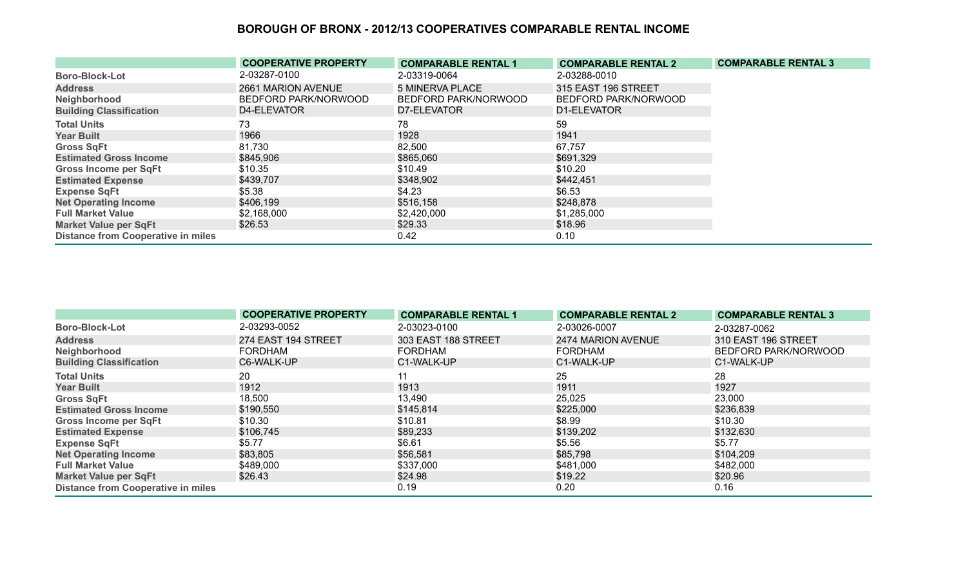|                                           | <b>COOPERATIVE PROPERTY</b> | <b>COMPARABLE RENTAL 1</b> | <b>COMPARABLE RENTAL 2</b> | <b>COMPARABLE RENTAL 3</b> |
|-------------------------------------------|-----------------------------|----------------------------|----------------------------|----------------------------|
| <b>Boro-Block-Lot</b>                     | 2-03287-0100                | 2-03319-0064               | 2-03288-0010               |                            |
| <b>Address</b>                            | 2661 MARION AVENUE          | <b>5 MINERVA PLACE</b>     | 315 EAST 196 STREET        |                            |
| Neighborhood                              | BEDFORD PARK/NORWOOD        | BEDFORD PARK/NORWOOD       | BEDFORD PARK/NORWOOD       |                            |
| <b>Building Classification</b>            | D4-ELEVATOR                 | D7-ELEVATOR                | D1-ELEVATOR                |                            |
| <b>Total Units</b>                        | 73.                         | 78                         | 59                         |                            |
| <b>Year Built</b>                         | 1966                        | 1928                       | 1941                       |                            |
| <b>Gross SqFt</b>                         | 81,730                      | 82,500                     | 67,757                     |                            |
| <b>Estimated Gross Income</b>             | \$845,906                   | \$865,060                  | \$691,329                  |                            |
| <b>Gross Income per SqFt</b>              | \$10.35                     | \$10.49                    | \$10.20                    |                            |
| <b>Estimated Expense</b>                  | \$439,707                   | \$348,902                  | \$442,451                  |                            |
| <b>Expense SqFt</b>                       | \$5.38                      | \$4.23                     | \$6.53                     |                            |
| <b>Net Operating Income</b>               | \$406,199                   | \$516,158                  | \$248,878                  |                            |
| <b>Full Market Value</b>                  | \$2,168,000                 | \$2,420,000                | \$1,285,000                |                            |
| <b>Market Value per SqFt</b>              | \$26.53                     | \$29.33                    | \$18.96                    |                            |
| <b>Distance from Cooperative in miles</b> |                             | 0.42                       | 0.10                       |                            |

|                                           | <b>COOPERATIVE PROPERTY</b> | <b>COMPARABLE RENTAL 1</b> | <b>COMPARABLE RENTAL 2</b> | <b>COMPARABLE RENTAL 3</b> |
|-------------------------------------------|-----------------------------|----------------------------|----------------------------|----------------------------|
| <b>Boro-Block-Lot</b>                     | 2-03293-0052                | 2-03023-0100               | 2-03026-0007               | 2-03287-0062               |
| <b>Address</b>                            | 274 EAST 194 STREET         | 303 EAST 188 STREET        | 2474 MARION AVENUE         | 310 EAST 196 STREET        |
| Neighborhood                              | <b>FORDHAM</b>              | <b>FORDHAM</b>             | <b>FORDHAM</b>             | BEDFORD PARK/NORWOOD       |
| <b>Building Classification</b>            | C6-WALK-UP                  | C1-WALK-UP                 | C1-WALK-UP                 | C1-WALK-UP                 |
| <b>Total Units</b>                        | 20                          | 11                         | 25                         | 28                         |
| <b>Year Built</b>                         | 1912                        | 1913                       | 1911                       | 1927                       |
| <b>Gross SqFt</b>                         | 18,500                      | 13,490                     | 25,025                     | 23,000                     |
| <b>Estimated Gross Income</b>             | \$190,550                   | \$145,814                  | \$225,000                  | \$236,839                  |
| Gross Income per SqFt                     | \$10.30                     | \$10.81                    | \$8.99                     | \$10.30                    |
| <b>Estimated Expense</b>                  | \$106,745                   | \$89,233                   | \$139,202                  | \$132,630                  |
| <b>Expense SqFt</b>                       | \$5.77                      | \$6.61                     | \$5.56                     | \$5.77                     |
| <b>Net Operating Income</b>               | \$83,805                    | \$56,581                   | \$85,798                   | \$104,209                  |
| <b>Full Market Value</b>                  | \$489,000                   | \$337,000                  | \$481,000                  | \$482,000                  |
| <b>Market Value per SqFt</b>              | \$26.43                     | \$24.98                    | \$19.22                    | \$20.96                    |
| <b>Distance from Cooperative in miles</b> |                             | 0.19                       | 0.20                       | 0.16                       |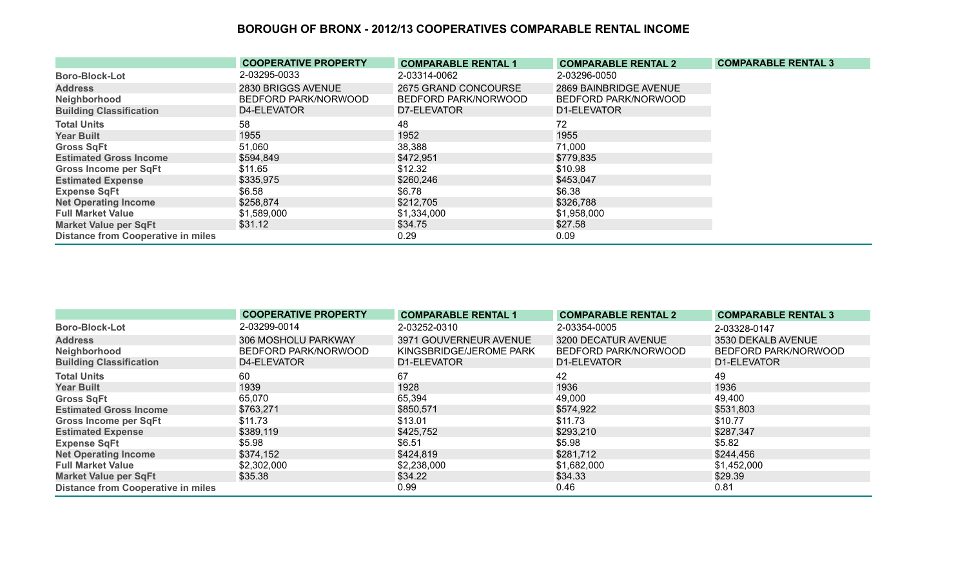|                                           | <b>COOPERATIVE PROPERTY</b> | <b>COMPARABLE RENTAL 1</b> | <b>COMPARABLE RENTAL 2</b> | <b>COMPARABLE RENTAL 3</b> |
|-------------------------------------------|-----------------------------|----------------------------|----------------------------|----------------------------|
| <b>Boro-Block-Lot</b>                     | 2-03295-0033                | 2-03314-0062               | 2-03296-0050               |                            |
| <b>Address</b>                            | 2830 BRIGGS AVENUE          | 2675 GRAND CONCOURSE       | 2869 BAINBRIDGE AVENUE     |                            |
| Neighborhood                              | BEDFORD PARK/NORWOOD        | BEDFORD PARK/NORWOOD       | BEDFORD PARK/NORWOOD       |                            |
| <b>Building Classification</b>            | D4-ELEVATOR                 | D7-ELEVATOR                | D1-ELEVATOR                |                            |
| <b>Total Units</b>                        | 58                          | 48                         | 72                         |                            |
| <b>Year Built</b>                         | 1955                        | 1952                       | 1955                       |                            |
| <b>Gross SqFt</b>                         | 51,060                      | 38,388                     | 71,000                     |                            |
| <b>Estimated Gross Income</b>             | \$594,849                   | \$472,951                  | \$779,835                  |                            |
| <b>Gross Income per SqFt</b>              | \$11.65                     | \$12.32                    | \$10.98                    |                            |
| <b>Estimated Expense</b>                  | \$335,975                   | \$260,246                  | \$453,047                  |                            |
| <b>Expense SqFt</b>                       | \$6.58                      | \$6.78                     | \$6.38                     |                            |
| <b>Net Operating Income</b>               | \$258,874                   | \$212,705                  | \$326,788                  |                            |
| <b>Full Market Value</b>                  | \$1,589,000                 | \$1,334,000                | \$1,958,000                |                            |
| <b>Market Value per SqFt</b>              | \$31.12                     | \$34.75                    | \$27.58                    |                            |
| <b>Distance from Cooperative in miles</b> |                             | 0.29                       | 0.09                       |                            |

|                                           | <b>COOPERATIVE PROPERTY</b> | <b>COMPARABLE RENTAL 1</b> | <b>COMPARABLE RENTAL 2</b> | <b>COMPARABLE RENTAL 3</b> |
|-------------------------------------------|-----------------------------|----------------------------|----------------------------|----------------------------|
| <b>Boro-Block-Lot</b>                     | 2-03299-0014                | 2-03252-0310               | 2-03354-0005               | 2-03328-0147               |
| <b>Address</b>                            | 306 MOSHOLU PARKWAY         | 3971 GOUVERNEUR AVENUE     | 3200 DECATUR AVENUE        | 3530 DEKALB AVENUE         |
| Neighborhood                              | BEDFORD PARK/NORWOOD        | KINGSBRIDGE/JEROME PARK    | BEDFORD PARK/NORWOOD       | BEDFORD PARK/NORWOOD       |
| <b>Building Classification</b>            | D4-ELEVATOR                 | D1-ELEVATOR                | D1-ELEVATOR                | D1-ELEVATOR                |
| <b>Total Units</b>                        | 60                          | 67                         | 42                         | 49                         |
| <b>Year Built</b>                         | 1939                        | 1928                       | 1936                       | 1936                       |
| <b>Gross SqFt</b>                         | 65,070                      | 65,394                     | 49,000                     | 49,400                     |
| <b>Estimated Gross Income</b>             | \$763,271                   | \$850,571                  | \$574,922                  | \$531,803                  |
| <b>Gross Income per SqFt</b>              | \$11.73                     | \$13.01                    | \$11.73                    | \$10.77                    |
| <b>Estimated Expense</b>                  | \$389,119                   | \$425,752                  | \$293,210                  | \$287,347                  |
| <b>Expense SqFt</b>                       | \$5.98                      | \$6.51                     | \$5.98                     | \$5.82                     |
| <b>Net Operating Income</b>               | \$374,152                   | \$424,819                  | \$281,712                  | \$244,456                  |
| <b>Full Market Value</b>                  | \$2,302,000                 | \$2,238,000                | \$1,682,000                | \$1,452,000                |
| <b>Market Value per SqFt</b>              | \$35.38                     | \$34.22                    | \$34.33                    | \$29.39                    |
| <b>Distance from Cooperative in miles</b> |                             | 0.99                       | 0.46                       | 0.81                       |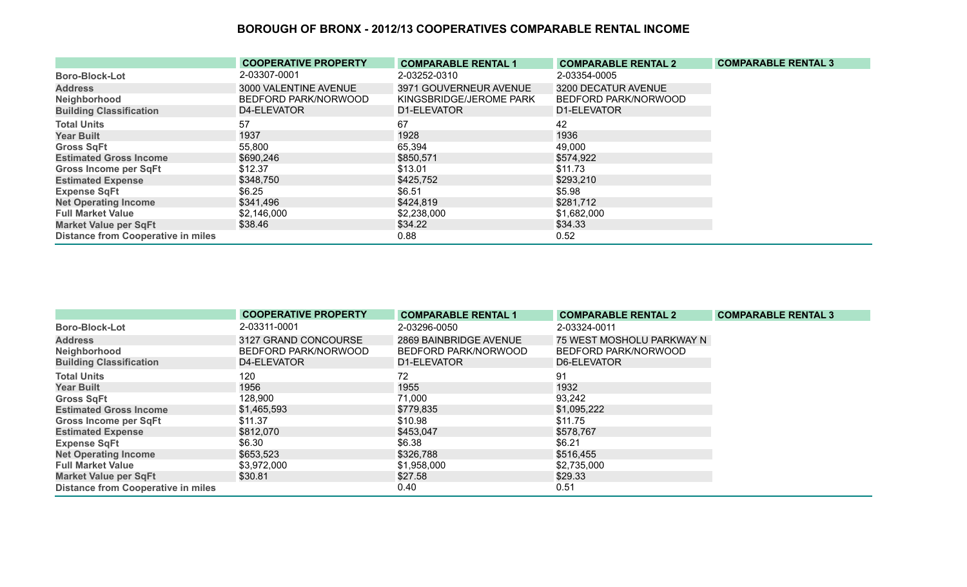|                                           | <b>COOPERATIVE PROPERTY</b> | <b>COMPARABLE RENTAL 1</b> | <b>COMPARABLE RENTAL 2</b> | <b>COMPARABLE RENTAL 3</b> |
|-------------------------------------------|-----------------------------|----------------------------|----------------------------|----------------------------|
| <b>Boro-Block-Lot</b>                     | 2-03307-0001                | 2-03252-0310               | 2-03354-0005               |                            |
| <b>Address</b>                            | 3000 VALENTINE AVENUE       | 3971 GOUVERNEUR AVENUE     | 3200 DECATUR AVENUE        |                            |
| Neighborhood                              | BEDFORD PARK/NORWOOD        | KINGSBRIDGE/JEROME PARK    | BEDFORD PARK/NORWOOD       |                            |
| <b>Building Classification</b>            | D4-ELEVATOR                 | D1-ELEVATOR                | D1-ELEVATOR                |                            |
| <b>Total Units</b>                        | 57                          | 67                         | 42                         |                            |
| <b>Year Built</b>                         | 1937                        | 1928                       | 1936                       |                            |
| <b>Gross SqFt</b>                         | 55,800                      | 65,394                     | 49,000                     |                            |
| <b>Estimated Gross Income</b>             | \$690,246                   | \$850,571                  | \$574,922                  |                            |
| <b>Gross Income per SqFt</b>              | \$12.37                     | \$13.01                    | \$11.73                    |                            |
| <b>Estimated Expense</b>                  | \$348,750                   | \$425,752                  | \$293,210                  |                            |
| <b>Expense SqFt</b>                       | \$6.25                      | \$6.51                     | \$5.98                     |                            |
| <b>Net Operating Income</b>               | \$341,496                   | \$424,819                  | \$281,712                  |                            |
| <b>Full Market Value</b>                  | \$2,146,000                 | \$2,238,000                | \$1,682,000                |                            |
| <b>Market Value per SqFt</b>              | \$38.46                     | \$34.22                    | \$34.33                    |                            |
| <b>Distance from Cooperative in miles</b> |                             | 0.88                       | 0.52                       |                            |

|                                           | <b>COOPERATIVE PROPERTY</b> | <b>COMPARABLE RENTAL 1</b> | <b>COMPARABLE RENTAL 2</b> | <b>COMPARABLE RENTAL 3</b> |
|-------------------------------------------|-----------------------------|----------------------------|----------------------------|----------------------------|
| <b>Boro-Block-Lot</b>                     | 2-03311-0001                | 2-03296-0050               | 2-03324-0011               |                            |
| <b>Address</b>                            | 3127 GRAND CONCOURSE        | 2869 BAINBRIDGE AVENUE     | 75 WEST MOSHOLU PARKWAY N  |                            |
| Neighborhood                              | BEDFORD PARK/NORWOOD        | BEDFORD PARK/NORWOOD       | BEDFORD PARK/NORWOOD       |                            |
| <b>Building Classification</b>            | D4-ELEVATOR                 | D1-ELEVATOR                | D6-ELEVATOR                |                            |
| <b>Total Units</b>                        | 120                         | 72                         | 91                         |                            |
| <b>Year Built</b>                         | 1956                        | 1955                       | 1932                       |                            |
| <b>Gross SqFt</b>                         | 128,900                     | 71,000                     | 93,242                     |                            |
| <b>Estimated Gross Income</b>             | \$1,465,593                 | \$779,835                  | \$1,095,222                |                            |
| <b>Gross Income per SqFt</b>              | \$11.37                     | \$10.98                    | \$11.75                    |                            |
| <b>Estimated Expense</b>                  | \$812,070                   | \$453,047                  | \$578,767                  |                            |
| <b>Expense SqFt</b>                       | \$6.30                      | \$6.38                     | \$6.21                     |                            |
| <b>Net Operating Income</b>               | \$653,523                   | \$326,788                  | \$516,455                  |                            |
| <b>Full Market Value</b>                  | \$3,972,000                 | \$1,958,000                | \$2,735,000                |                            |
| <b>Market Value per SqFt</b>              | \$30.81                     | \$27.58                    | \$29.33                    |                            |
| <b>Distance from Cooperative in miles</b> |                             | 0.40                       | 0.51                       |                            |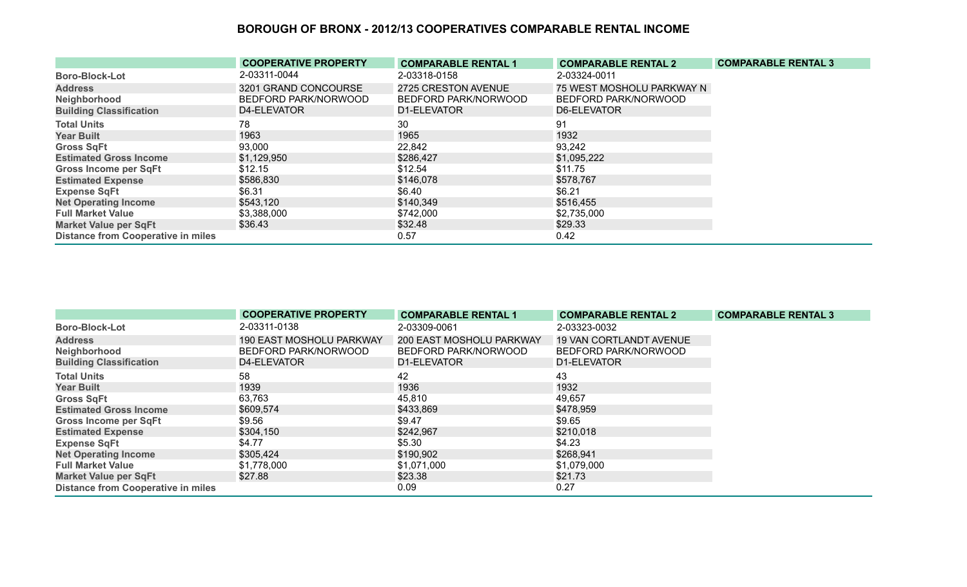|                                           | <b>COOPERATIVE PROPERTY</b> | <b>COMPARABLE RENTAL 1</b> | <b>COMPARABLE RENTAL 2</b> | <b>COMPARABLE RENTAL 3</b> |
|-------------------------------------------|-----------------------------|----------------------------|----------------------------|----------------------------|
| <b>Boro-Block-Lot</b>                     | 2-03311-0044                | 2-03318-0158               | 2-03324-0011               |                            |
| <b>Address</b>                            | 3201 GRAND CONCOURSE        | 2725 CRESTON AVENUE        | 75 WEST MOSHOLU PARKWAY N  |                            |
| Neighborhood                              | BEDFORD PARK/NORWOOD        | BEDFORD PARK/NORWOOD       | BEDFORD PARK/NORWOOD       |                            |
| <b>Building Classification</b>            | D4-ELEVATOR                 | D1-ELEVATOR                | D6-ELEVATOR                |                            |
| <b>Total Units</b>                        | 78                          | 30                         | 91                         |                            |
| <b>Year Built</b>                         | 1963                        | 1965                       | 1932                       |                            |
| <b>Gross SqFt</b>                         | 93,000                      | 22,842                     | 93,242                     |                            |
| <b>Estimated Gross Income</b>             | \$1,129,950                 | \$286,427                  | \$1,095,222                |                            |
| Gross Income per SqFt                     | \$12.15                     | \$12.54                    | \$11.75                    |                            |
| <b>Estimated Expense</b>                  | \$586,830                   | \$146,078                  | \$578,767                  |                            |
| <b>Expense SqFt</b>                       | \$6.31                      | \$6.40                     | \$6.21                     |                            |
| <b>Net Operating Income</b>               | \$543,120                   | \$140,349                  | \$516,455                  |                            |
| <b>Full Market Value</b>                  | \$3,388,000                 | \$742,000                  | \$2,735,000                |                            |
| <b>Market Value per SqFt</b>              | \$36.43                     | \$32.48                    | \$29.33                    |                            |
| <b>Distance from Cooperative in miles</b> |                             | 0.57                       | 0.42                       |                            |

|                                           | <b>COOPERATIVE PROPERTY</b> | <b>COMPARABLE RENTAL 1</b> | <b>COMPARABLE RENTAL 2</b>     | <b>COMPARABLE RENTAL 3</b> |
|-------------------------------------------|-----------------------------|----------------------------|--------------------------------|----------------------------|
| <b>Boro-Block-Lot</b>                     | 2-03311-0138                | 2-03309-0061               | 2-03323-0032                   |                            |
| <b>Address</b>                            | 190 EAST MOSHOLU PARKWAY    | 200 EAST MOSHOLU PARKWAY   | <b>19 VAN CORTLANDT AVENUE</b> |                            |
| Neighborhood                              | BEDFORD PARK/NORWOOD        | BEDFORD PARK/NORWOOD       | BEDFORD PARK/NORWOOD           |                            |
| <b>Building Classification</b>            | D4-ELEVATOR                 | D1-ELEVATOR                | D1-ELEVATOR                    |                            |
| <b>Total Units</b>                        | 58                          | 42                         | 43                             |                            |
| <b>Year Built</b>                         | 1939                        | 1936                       | 1932                           |                            |
| <b>Gross SqFt</b>                         | 63,763                      | 45,810                     | 49,657                         |                            |
| <b>Estimated Gross Income</b>             | \$609,574                   | \$433,869                  | \$478,959                      |                            |
| <b>Gross Income per SqFt</b>              | \$9.56                      | \$9.47                     | \$9.65                         |                            |
| <b>Estimated Expense</b>                  | \$304,150                   | \$242,967                  | \$210,018                      |                            |
| <b>Expense SqFt</b>                       | \$4.77                      | \$5.30                     | \$4.23                         |                            |
| <b>Net Operating Income</b>               | \$305,424                   | \$190,902                  | \$268,941                      |                            |
| <b>Full Market Value</b>                  | \$1,778,000                 | \$1,071,000                | \$1,079,000                    |                            |
| <b>Market Value per SqFt</b>              | \$27.88                     | \$23.38                    | \$21.73                        |                            |
| <b>Distance from Cooperative in miles</b> |                             | 0.09                       | 0.27                           |                            |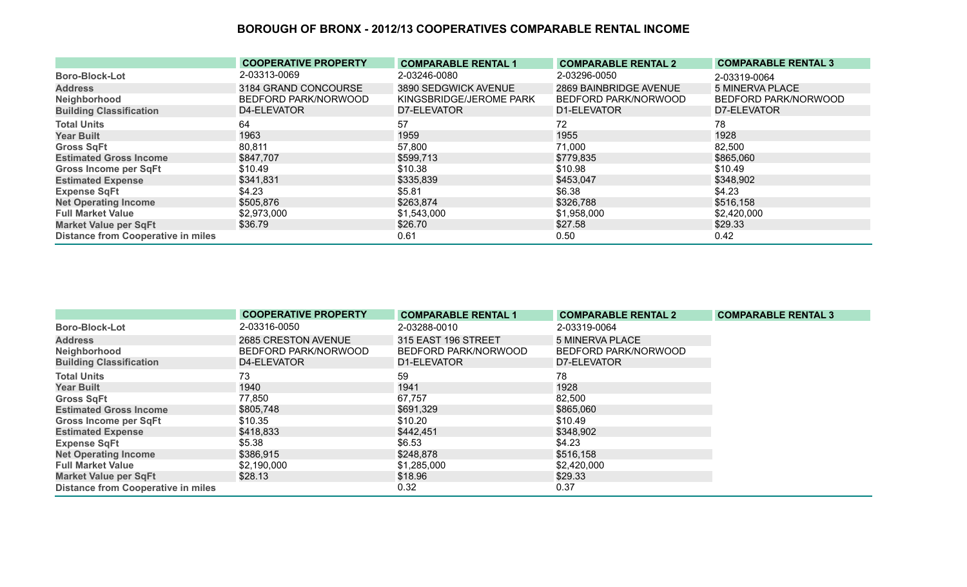|                                           | <b>COOPERATIVE PROPERTY</b> | <b>COMPARABLE RENTAL 1</b> | <b>COMPARABLE RENTAL 2</b> | <b>COMPARABLE RENTAL 3</b> |
|-------------------------------------------|-----------------------------|----------------------------|----------------------------|----------------------------|
| <b>Boro-Block-Lot</b>                     | 2-03313-0069                | 2-03246-0080               | 2-03296-0050               | 2-03319-0064               |
| <b>Address</b>                            | 3184 GRAND CONCOURSE        | 3890 SEDGWICK AVENUE       | 2869 BAINBRIDGE AVENUE     | 5 MINERVA PLACE            |
| Neighborhood                              | BEDFORD PARK/NORWOOD        | KINGSBRIDGE/JEROME PARK    | BEDFORD PARK/NORWOOD       | BEDFORD PARK/NORWOOD       |
| <b>Building Classification</b>            | D4-ELEVATOR                 | D7-ELEVATOR                | D1-ELEVATOR                | D7-ELEVATOR                |
| <b>Total Units</b>                        | 64                          | 57                         | 72                         | 78                         |
| <b>Year Built</b>                         | 1963                        | 1959                       | 1955                       | 1928                       |
| <b>Gross SqFt</b>                         | 80,811                      | 57,800                     | 71,000                     | 82,500                     |
| <b>Estimated Gross Income</b>             | \$847,707                   | \$599,713                  | \$779,835                  | \$865,060                  |
| <b>Gross Income per SqFt</b>              | \$10.49                     | \$10.38                    | \$10.98                    | \$10.49                    |
| <b>Estimated Expense</b>                  | \$341,831                   | \$335,839                  | \$453,047                  | \$348,902                  |
| <b>Expense SqFt</b>                       | \$4.23                      | \$5.81                     | \$6.38                     | \$4.23                     |
| <b>Net Operating Income</b>               | \$505,876                   | \$263,874                  | \$326,788                  | \$516,158                  |
| <b>Full Market Value</b>                  | \$2,973,000                 | \$1,543,000                | \$1,958,000                | \$2,420,000                |
| <b>Market Value per SqFt</b>              | \$36.79                     | \$26.70                    | \$27.58                    | \$29.33                    |
| <b>Distance from Cooperative in miles</b> |                             | 0.61                       | 0.50                       | 0.42                       |

|                                           | <b>COOPERATIVE PROPERTY</b> | <b>COMPARABLE RENTAL 1</b> | <b>COMPARABLE RENTAL 2</b> | <b>COMPARABLE RENTAL 3</b> |
|-------------------------------------------|-----------------------------|----------------------------|----------------------------|----------------------------|
| <b>Boro-Block-Lot</b>                     | 2-03316-0050                | 2-03288-0010               | 2-03319-0064               |                            |
| <b>Address</b>                            | 2685 CRESTON AVENUE         | 315 EAST 196 STREET        | 5 MINERVA PLACE            |                            |
| Neighborhood                              | BEDFORD PARK/NORWOOD        | BEDFORD PARK/NORWOOD       | BEDFORD PARK/NORWOOD       |                            |
| <b>Building Classification</b>            | D4-ELEVATOR                 | D1-ELEVATOR                | D7-ELEVATOR                |                            |
| <b>Total Units</b>                        | 73                          | 59                         | 78                         |                            |
| <b>Year Built</b>                         | 1940                        | 1941                       | 1928                       |                            |
| <b>Gross SqFt</b>                         | 77,850                      | 67,757                     | 82,500                     |                            |
| <b>Estimated Gross Income</b>             | \$805,748                   | \$691,329                  | \$865,060                  |                            |
| <b>Gross Income per SqFt</b>              | \$10.35                     | \$10.20                    | \$10.49                    |                            |
| <b>Estimated Expense</b>                  | \$418,833                   | \$442,451                  | \$348,902                  |                            |
| <b>Expense SqFt</b>                       | \$5.38                      | \$6.53                     | \$4.23                     |                            |
| <b>Net Operating Income</b>               | \$386,915                   | \$248,878                  | \$516,158                  |                            |
| <b>Full Market Value</b>                  | \$2,190,000                 | \$1,285,000                | \$2,420,000                |                            |
| <b>Market Value per SqFt</b>              | \$28.13                     | \$18.96                    | \$29.33                    |                            |
| <b>Distance from Cooperative in miles</b> |                             | 0.32                       | 0.37                       |                            |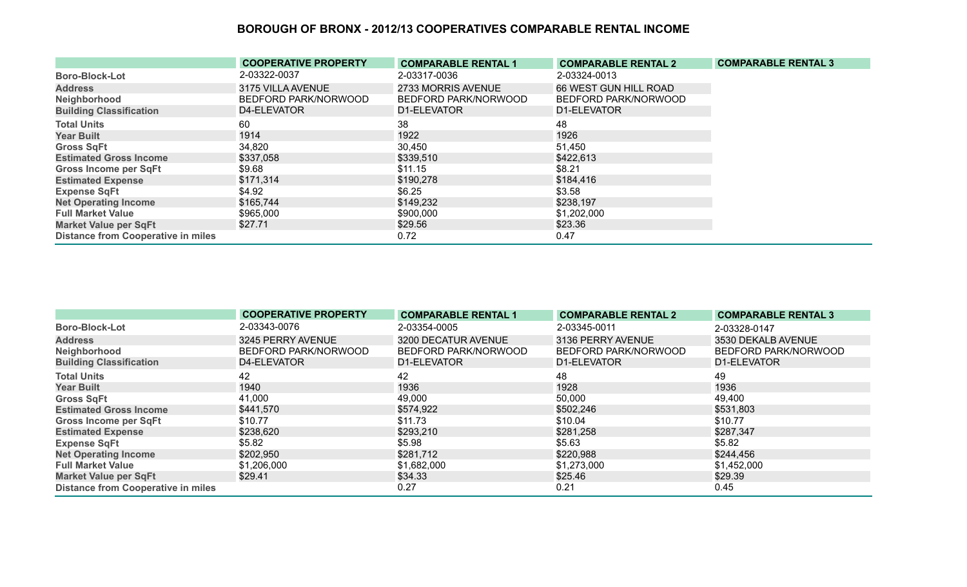|                                           | <b>COOPERATIVE PROPERTY</b> | <b>COMPARABLE RENTAL 1</b> | <b>COMPARABLE RENTAL 2</b> | <b>COMPARABLE RENTAL 3</b> |
|-------------------------------------------|-----------------------------|----------------------------|----------------------------|----------------------------|
| <b>Boro-Block-Lot</b>                     | 2-03322-0037                | 2-03317-0036               | 2-03324-0013               |                            |
| <b>Address</b>                            | 3175 VILLA AVENUE           | 2733 MORRIS AVENUE         | 66 WEST GUN HILL ROAD      |                            |
| Neighborhood                              | BEDFORD PARK/NORWOOD        | BEDFORD PARK/NORWOOD       | BEDFORD PARK/NORWOOD       |                            |
| <b>Building Classification</b>            | D4-ELEVATOR                 | D1-ELEVATOR                | D1-ELEVATOR                |                            |
| <b>Total Units</b>                        | 60                          | 38                         | 48                         |                            |
| <b>Year Built</b>                         | 1914                        | 1922                       | 1926                       |                            |
| <b>Gross SqFt</b>                         | 34,820                      | 30,450                     | 51,450                     |                            |
| <b>Estimated Gross Income</b>             | \$337,058                   | \$339,510                  | \$422,613                  |                            |
| <b>Gross Income per SqFt</b>              | \$9.68                      | \$11.15                    | \$8.21                     |                            |
| <b>Estimated Expense</b>                  | \$171,314                   | \$190,278                  | \$184,416                  |                            |
| <b>Expense SqFt</b>                       | \$4.92                      | \$6.25                     | \$3.58                     |                            |
| <b>Net Operating Income</b>               | \$165,744                   | \$149,232                  | \$238,197                  |                            |
| <b>Full Market Value</b>                  | \$965,000                   | \$900,000                  | \$1,202,000                |                            |
| <b>Market Value per SqFt</b>              | \$27.71                     | \$29.56                    | \$23.36                    |                            |
| <b>Distance from Cooperative in miles</b> |                             | 0.72                       | 0.47                       |                            |

|                                           | <b>COOPERATIVE PROPERTY</b> | <b>COMPARABLE RENTAL 1</b> | <b>COMPARABLE RENTAL 2</b> | <b>COMPARABLE RENTAL 3</b> |
|-------------------------------------------|-----------------------------|----------------------------|----------------------------|----------------------------|
| <b>Boro-Block-Lot</b>                     | 2-03343-0076                | 2-03354-0005               | 2-03345-0011               | 2-03328-0147               |
| <b>Address</b>                            | 3245 PERRY AVENUE           | 3200 DECATUR AVENUE        | 3136 PERRY AVENUE          | 3530 DEKALB AVENUE         |
| Neighborhood                              | BEDFORD PARK/NORWOOD        | BEDFORD PARK/NORWOOD       | BEDFORD PARK/NORWOOD       | BEDFORD PARK/NORWOOD       |
| <b>Building Classification</b>            | D4-ELEVATOR                 | D1-ELEVATOR                | D1-ELEVATOR                | D1-ELEVATOR                |
| <b>Total Units</b>                        | 42                          | 42                         | 48                         | 49                         |
| <b>Year Built</b>                         | 1940                        | 1936                       | 1928                       | 1936                       |
| <b>Gross SqFt</b>                         | 41,000                      | 49,000                     | 50,000                     | 49,400                     |
| <b>Estimated Gross Income</b>             | \$441,570                   | \$574,922                  | \$502,246                  | \$531,803                  |
| <b>Gross Income per SqFt</b>              | \$10.77                     | \$11.73                    | \$10.04                    | \$10.77                    |
| <b>Estimated Expense</b>                  | \$238,620                   | \$293,210                  | \$281,258                  | \$287,347                  |
| <b>Expense SqFt</b>                       | \$5.82                      | \$5.98                     | \$5.63                     | \$5.82                     |
| <b>Net Operating Income</b>               | \$202,950                   | \$281,712                  | \$220,988                  | \$244,456                  |
| <b>Full Market Value</b>                  | \$1,206,000                 | \$1,682,000                | \$1,273,000                | \$1,452,000                |
| <b>Market Value per SqFt</b>              | \$29.41                     | \$34.33                    | \$25.46                    | \$29.39                    |
| <b>Distance from Cooperative in miles</b> |                             | 0.27                       | 0.21                       | 0.45                       |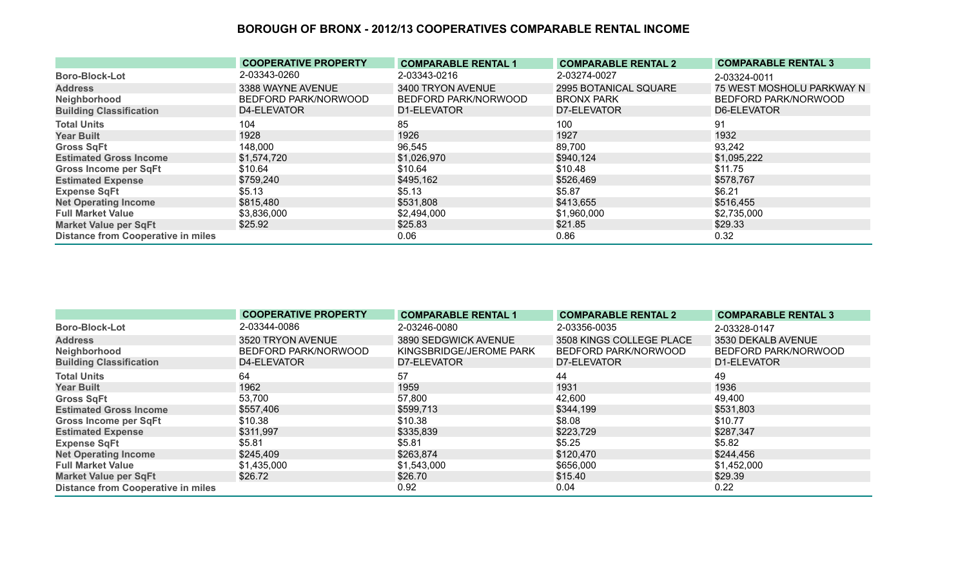|                                           | <b>COOPERATIVE PROPERTY</b> | <b>COMPARABLE RENTAL 1</b> | <b>COMPARABLE RENTAL 2</b> | <b>COMPARABLE RENTAL 3</b> |
|-------------------------------------------|-----------------------------|----------------------------|----------------------------|----------------------------|
| <b>Boro-Block-Lot</b>                     | 2-03343-0260                | 2-03343-0216               | 2-03274-0027               | 2-03324-0011               |
| <b>Address</b>                            | 3388 WAYNE AVENUE           | 3400 TRYON AVENUE          | 2995 BOTANICAL SQUARE      | 75 WEST MOSHOLU PARKWAY N  |
| Neighborhood                              | BEDFORD PARK/NORWOOD        | BEDFORD PARK/NORWOOD       | <b>BRONX PARK</b>          | BEDFORD PARK/NORWOOD       |
| <b>Building Classification</b>            | D4-ELEVATOR                 | D1-ELEVATOR                | D7-ELEVATOR                | D6-ELEVATOR                |
| <b>Total Units</b>                        | 104                         | 85                         | 100                        | -91                        |
| <b>Year Built</b>                         | 1928                        | 1926                       | 1927                       | 1932                       |
| <b>Gross SqFt</b>                         | 148,000                     | 96,545                     | 89,700                     | 93,242                     |
| <b>Estimated Gross Income</b>             | \$1,574,720                 | \$1,026,970                | \$940,124                  | \$1,095,222                |
| <b>Gross Income per SqFt</b>              | \$10.64                     | \$10.64                    | \$10.48                    | \$11.75                    |
| <b>Estimated Expense</b>                  | \$759,240                   | \$495,162                  | \$526,469                  | \$578,767                  |
| <b>Expense SqFt</b>                       | \$5.13                      | \$5.13                     | \$5.87                     | \$6.21                     |
| <b>Net Operating Income</b>               | \$815,480                   | \$531,808                  | \$413,655                  | \$516,455                  |
| <b>Full Market Value</b>                  | \$3,836,000                 | \$2,494,000                | \$1,960,000                | \$2,735,000                |
| <b>Market Value per SqFt</b>              | \$25.92                     | \$25.83                    | \$21.85                    | \$29.33                    |
| <b>Distance from Cooperative in miles</b> |                             | 0.06                       | 0.86                       | 0.32                       |

|                                           | <b>COOPERATIVE PROPERTY</b> | <b>COMPARABLE RENTAL 1</b> | <b>COMPARABLE RENTAL 2</b> | <b>COMPARABLE RENTAL 3</b> |
|-------------------------------------------|-----------------------------|----------------------------|----------------------------|----------------------------|
| <b>Boro-Block-Lot</b>                     | 2-03344-0086                | 2-03246-0080               | 2-03356-0035               | 2-03328-0147               |
| <b>Address</b>                            | 3520 TRYON AVENUE           | 3890 SEDGWICK AVENUE       | 3508 KINGS COLLEGE PLACE   | 3530 DEKALB AVENUE         |
| Neighborhood                              | BEDFORD PARK/NORWOOD        | KINGSBRIDGE/JEROME PARK    | BEDFORD PARK/NORWOOD       | BEDFORD PARK/NORWOOD       |
| <b>Building Classification</b>            | D4-ELEVATOR                 | D7-ELEVATOR                | D7-ELEVATOR                | D1-ELEVATOR                |
| <b>Total Units</b>                        | 64                          | 57                         | 44                         | 49                         |
| <b>Year Built</b>                         | 1962                        | 1959                       | 1931                       | 1936                       |
| <b>Gross SqFt</b>                         | 53,700                      | 57,800                     | 42,600                     | 49,400                     |
| <b>Estimated Gross Income</b>             | \$557,406                   | \$599,713                  | \$344,199                  | \$531,803                  |
| <b>Gross Income per SqFt</b>              | \$10.38                     | \$10.38                    | \$8.08                     | \$10.77                    |
| <b>Estimated Expense</b>                  | \$311,997                   | \$335,839                  | \$223,729                  | \$287,347                  |
| <b>Expense SqFt</b>                       | \$5.81                      | \$5.81                     | \$5.25                     | \$5.82                     |
| <b>Net Operating Income</b>               | \$245,409                   | \$263,874                  | \$120,470                  | \$244,456                  |
| <b>Full Market Value</b>                  | \$1,435,000                 | \$1,543,000                | \$656,000                  | \$1,452,000                |
| <b>Market Value per SqFt</b>              | \$26.72                     | \$26.70                    | \$15.40                    | \$29.39                    |
| <b>Distance from Cooperative in miles</b> |                             | 0.92                       | 0.04                       | 0.22                       |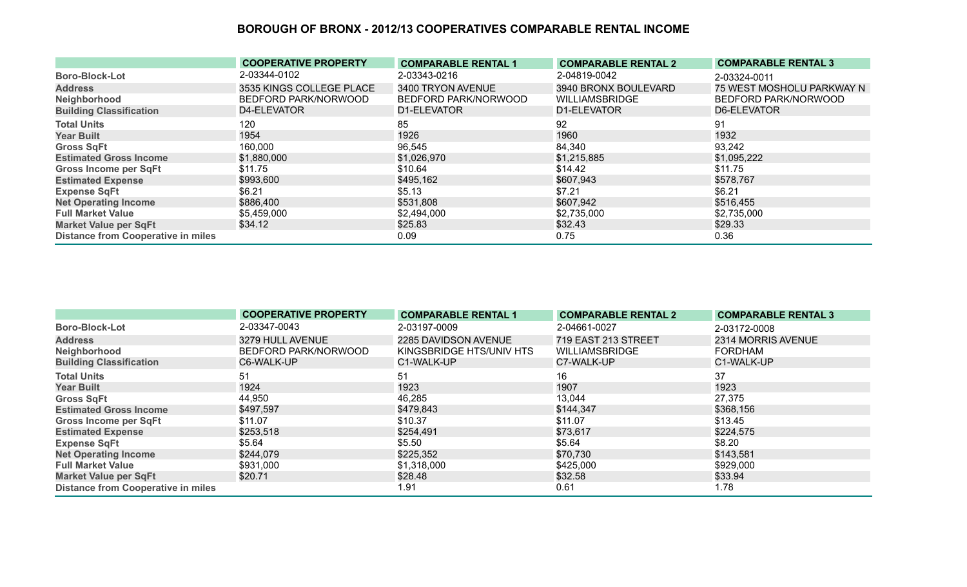|                                           | <b>COOPERATIVE PROPERTY</b> | <b>COMPARABLE RENTAL 1</b> | <b>COMPARABLE RENTAL 2</b> | <b>COMPARABLE RENTAL 3</b> |
|-------------------------------------------|-----------------------------|----------------------------|----------------------------|----------------------------|
| <b>Boro-Block-Lot</b>                     | 2-03344-0102                | 2-03343-0216               | 2-04819-0042               | 2-03324-0011               |
| <b>Address</b>                            | 3535 KINGS COLLEGE PLACE    | 3400 TRYON AVENUE          | 3940 BRONX BOULEVARD       | 75 WEST MOSHOLU PARKWAY N  |
| Neighborhood                              | BEDFORD PARK/NORWOOD        | BEDFORD PARK/NORWOOD       | <b>WILLIAMSBRIDGE</b>      | BEDFORD PARK/NORWOOD       |
| <b>Building Classification</b>            | D4-ELEVATOR                 | D1-ELEVATOR                | D1-ELEVATOR                | D6-ELEVATOR                |
| <b>Total Units</b>                        | 120                         | 85                         | 92                         | 91                         |
| <b>Year Built</b>                         | 1954                        | 1926                       | 1960                       | 1932                       |
| <b>Gross SqFt</b>                         | 160,000                     | 96,545                     | 84,340                     | 93,242                     |
| <b>Estimated Gross Income</b>             | \$1,880,000                 | \$1,026,970                | \$1,215,885                | \$1,095,222                |
| <b>Gross Income per SqFt</b>              | \$11.75                     | \$10.64                    | \$14.42                    | \$11.75                    |
| <b>Estimated Expense</b>                  | \$993,600                   | \$495,162                  | \$607,943                  | \$578,767                  |
| <b>Expense SqFt</b>                       | \$6.21                      | \$5.13                     | \$7.21                     | \$6.21                     |
| <b>Net Operating Income</b>               | \$886,400                   | \$531,808                  | \$607,942                  | \$516,455                  |
| <b>Full Market Value</b>                  | \$5,459,000                 | \$2,494,000                | \$2,735,000                | \$2,735,000                |
| <b>Market Value per SqFt</b>              | \$34.12                     | \$25.83                    | \$32.43                    | \$29.33                    |
| <b>Distance from Cooperative in miles</b> |                             | 0.09                       | 0.75                       | 0.36                       |

|                                           | <b>COOPERATIVE PROPERTY</b> | <b>COMPARABLE RENTAL 1</b> | <b>COMPARABLE RENTAL 2</b> | <b>COMPARABLE RENTAL 3</b> |
|-------------------------------------------|-----------------------------|----------------------------|----------------------------|----------------------------|
| <b>Boro-Block-Lot</b>                     | 2-03347-0043                | 2-03197-0009               | 2-04661-0027               | 2-03172-0008               |
| <b>Address</b>                            | 3279 HULL AVENUE            | 2285 DAVIDSON AVENUE       | 719 EAST 213 STREET        | 2314 MORRIS AVENUE         |
| Neighborhood                              | BEDFORD PARK/NORWOOD        | KINGSBRIDGE HTS/UNIV HTS   | <b>WILLIAMSBRIDGE</b>      | FORDHAM                    |
| <b>Building Classification</b>            | C6-WALK-UP                  | C1-WALK-UP                 | C7-WALK-UP                 | C1-WALK-UP                 |
| <b>Total Units</b>                        | 51                          | 51                         | 16                         | 37                         |
| <b>Year Built</b>                         | 1924                        | 1923                       | 1907                       | 1923                       |
| <b>Gross SqFt</b>                         | 44,950                      | 46,285                     | 13,044                     | 27,375                     |
| <b>Estimated Gross Income</b>             | \$497,597                   | \$479,843                  | \$144,347                  | \$368,156                  |
| <b>Gross Income per SqFt</b>              | \$11.07                     | \$10.37                    | \$11.07                    | \$13.45                    |
| <b>Estimated Expense</b>                  | \$253,518                   | \$254,491                  | \$73,617                   | \$224,575                  |
| <b>Expense SqFt</b>                       | \$5.64                      | \$5.50                     | \$5.64                     | \$8.20                     |
| <b>Net Operating Income</b>               | \$244,079                   | \$225,352                  | \$70,730                   | \$143,581                  |
| <b>Full Market Value</b>                  | \$931,000                   | \$1,318,000                | \$425,000                  | \$929,000                  |
| <b>Market Value per SqFt</b>              | \$20.71                     | \$28.48                    | \$32.58                    | \$33.94                    |
| <b>Distance from Cooperative in miles</b> |                             | 1.91                       | 0.61                       | 1.78                       |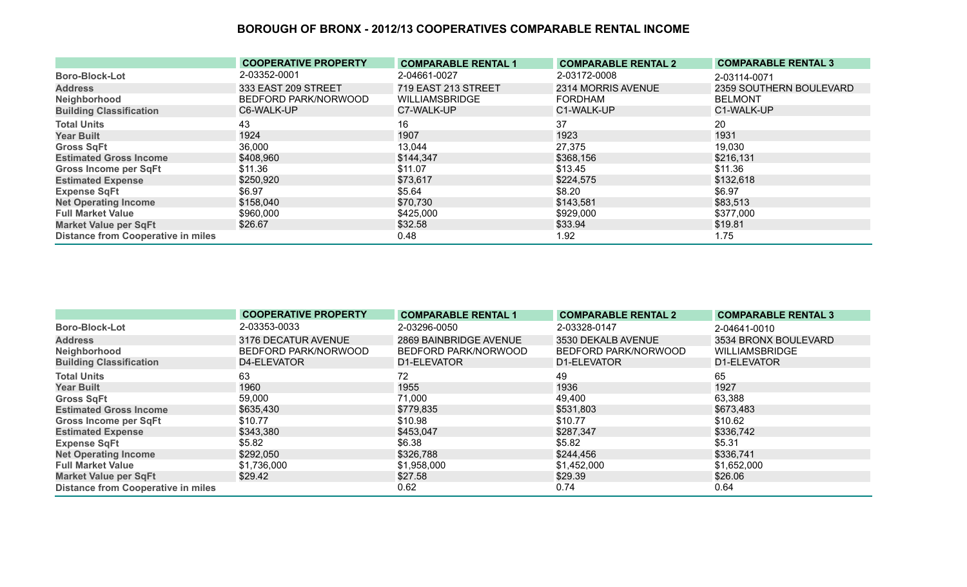|                                           | <b>COOPERATIVE PROPERTY</b> | <b>COMPARABLE RENTAL 1</b> | <b>COMPARABLE RENTAL 2</b> | <b>COMPARABLE RENTAL 3</b> |
|-------------------------------------------|-----------------------------|----------------------------|----------------------------|----------------------------|
| <b>Boro-Block-Lot</b>                     | 2-03352-0001                | 2-04661-0027               | 2-03172-0008               | 2-03114-0071               |
| <b>Address</b>                            | 333 EAST 209 STREET         | 719 EAST 213 STREET        | 2314 MORRIS AVENUE         | 2359 SOUTHERN BOULEVARD    |
| Neighborhood                              | BEDFORD PARK/NORWOOD        | <b>WILLIAMSBRIDGE</b>      | <b>FORDHAM</b>             | <b>BELMONT</b>             |
| <b>Building Classification</b>            | C6-WALK-UP                  | C7-WALK-UP                 | C1-WALK-UP                 | C1-WALK-UP                 |
| <b>Total Units</b>                        | 43                          | 16                         | 37                         | 20                         |
| <b>Year Built</b>                         | 1924                        | 1907                       | 1923                       | 1931                       |
| <b>Gross SqFt</b>                         | 36,000                      | 13,044                     | 27,375                     | 19,030                     |
| <b>Estimated Gross Income</b>             | \$408,960                   | \$144,347                  | \$368,156                  | \$216,131                  |
| Gross Income per SqFt                     | \$11.36                     | \$11.07                    | \$13.45                    | \$11.36                    |
| <b>Estimated Expense</b>                  | \$250,920                   | \$73,617                   | \$224,575                  | \$132,618                  |
| <b>Expense SqFt</b>                       | \$6.97                      | \$5.64                     | \$8.20                     | \$6.97                     |
| <b>Net Operating Income</b>               | \$158,040                   | \$70,730                   | \$143,581                  | \$83,513                   |
| <b>Full Market Value</b>                  | \$960,000                   | \$425,000                  | \$929,000                  | \$377,000                  |
| <b>Market Value per SqFt</b>              | \$26.67                     | \$32.58                    | \$33.94                    | \$19.81                    |
| <b>Distance from Cooperative in miles</b> |                             | 0.48                       | 1.92                       | 1.75                       |

|                                           | <b>COOPERATIVE PROPERTY</b> | <b>COMPARABLE RENTAL 1</b> | <b>COMPARABLE RENTAL 2</b> | <b>COMPARABLE RENTAL 3</b> |
|-------------------------------------------|-----------------------------|----------------------------|----------------------------|----------------------------|
| <b>Boro-Block-Lot</b>                     | 2-03353-0033                | 2-03296-0050               | 2-03328-0147               | 2-04641-0010               |
| <b>Address</b>                            | 3176 DECATUR AVENUE         | 2869 BAINBRIDGE AVENUE     | 3530 DEKALB AVENUE         | 3534 BRONX BOULEVARD       |
| Neighborhood                              | BEDFORD PARK/NORWOOD        | BEDFORD PARK/NORWOOD       | BEDFORD PARK/NORWOOD       | <b>WILLIAMSBRIDGE</b>      |
| <b>Building Classification</b>            | D4-ELEVATOR                 | D1-ELEVATOR                | D1-ELEVATOR                | D1-ELEVATOR                |
| <b>Total Units</b>                        | 63                          | 72                         | 49                         | 65                         |
| <b>Year Built</b>                         | 1960                        | 1955                       | 1936                       | 1927                       |
| <b>Gross SqFt</b>                         | 59,000                      | 71,000                     | 49,400                     | 63,388                     |
| <b>Estimated Gross Income</b>             | \$635,430                   | \$779,835                  | \$531,803                  | \$673,483                  |
| <b>Gross Income per SqFt</b>              | \$10.77                     | \$10.98                    | \$10.77                    | \$10.62                    |
| <b>Estimated Expense</b>                  | \$343,380                   | \$453,047                  | \$287,347                  | \$336,742                  |
| <b>Expense SqFt</b>                       | \$5.82                      | \$6.38                     | \$5.82                     | \$5.31                     |
| <b>Net Operating Income</b>               | \$292,050                   | \$326,788                  | \$244,456                  | \$336,741                  |
| <b>Full Market Value</b>                  | \$1,736,000                 | \$1,958,000                | \$1,452,000                | \$1,652,000                |
| <b>Market Value per SqFt</b>              | \$29.42                     | \$27.58                    | \$29.39                    | \$26.06                    |
| <b>Distance from Cooperative in miles</b> |                             | 0.62                       | 0.74                       | 0.64                       |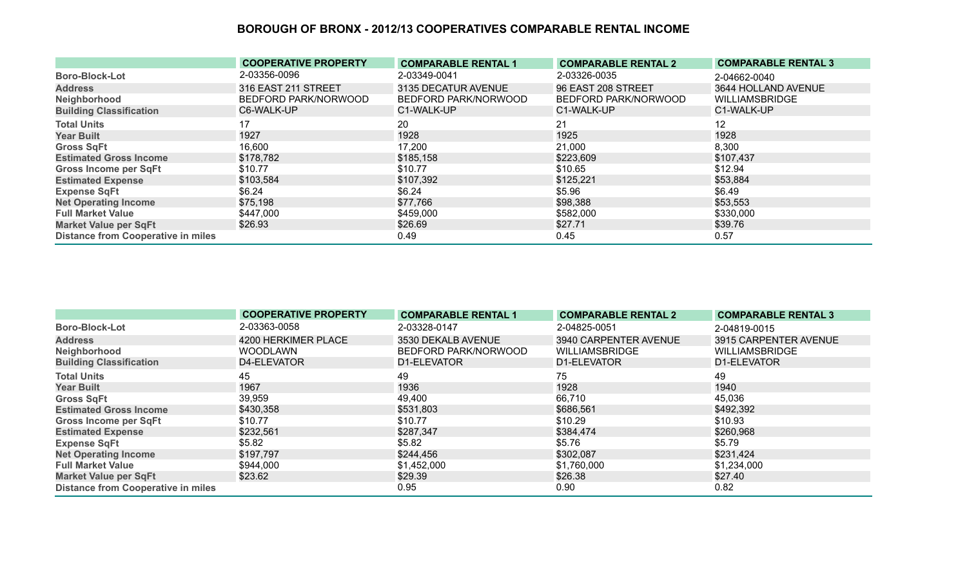|                                           | <b>COOPERATIVE PROPERTY</b> | <b>COMPARABLE RENTAL 1</b> | <b>COMPARABLE RENTAL 2</b> | <b>COMPARABLE RENTAL 3</b> |
|-------------------------------------------|-----------------------------|----------------------------|----------------------------|----------------------------|
| <b>Boro-Block-Lot</b>                     | 2-03356-0096                | 2-03349-0041               | 2-03326-0035               | 2-04662-0040               |
| <b>Address</b>                            | 316 EAST 211 STREET         | 3135 DECATUR AVENUE        | 96 EAST 208 STREET         | 3644 HOLLAND AVENUE        |
| Neighborhood                              | BEDFORD PARK/NORWOOD        | BEDFORD PARK/NORWOOD       | BEDFORD PARK/NORWOOD       | <b>WILLIAMSBRIDGE</b>      |
| <b>Building Classification</b>            | C6-WALK-UP                  | C1-WALK-UP                 | C1-WALK-UP                 | C1-WALK-UP                 |
| <b>Total Units</b>                        | 17                          | 20                         | 21                         | $12 \,$                    |
| <b>Year Built</b>                         | 1927                        | 1928                       | 1925                       | 1928                       |
| <b>Gross SqFt</b>                         | 16,600                      | 17,200                     | 21,000                     | 8,300                      |
| <b>Estimated Gross Income</b>             | \$178,782                   | \$185,158                  | \$223,609                  | \$107,437                  |
| <b>Gross Income per SqFt</b>              | \$10.77                     | \$10.77                    | \$10.65                    | \$12.94                    |
| <b>Estimated Expense</b>                  | \$103,584                   | \$107,392                  | \$125,221                  | \$53,884                   |
| <b>Expense SqFt</b>                       | \$6.24                      | \$6.24                     | \$5.96                     | \$6.49                     |
| <b>Net Operating Income</b>               | \$75,198                    | \$77,766                   | \$98,388                   | \$53,553                   |
| <b>Full Market Value</b>                  | \$447,000                   | \$459,000                  | \$582,000                  | \$330,000                  |
| <b>Market Value per SqFt</b>              | \$26.93                     | \$26.69                    | \$27.71                    | \$39.76                    |
| <b>Distance from Cooperative in miles</b> |                             | 0.49                       | 0.45                       | 0.57                       |

|                                           | <b>COOPERATIVE PROPERTY</b> | <b>COMPARABLE RENTAL 1</b> | <b>COMPARABLE RENTAL 2</b> | <b>COMPARABLE RENTAL 3</b> |
|-------------------------------------------|-----------------------------|----------------------------|----------------------------|----------------------------|
| <b>Boro-Block-Lot</b>                     | 2-03363-0058                | 2-03328-0147               | 2-04825-0051               | 2-04819-0015               |
| <b>Address</b>                            | 4200 HERKIMER PLACE         | 3530 DEKALB AVENUE         | 3940 CARPENTER AVENUE      | 3915 CARPENTER AVENUE      |
| Neighborhood                              | <b>WOODLAWN</b>             | BEDFORD PARK/NORWOOD       | <b>WILLIAMSBRIDGE</b>      | <b>WILLIAMSBRIDGE</b>      |
| <b>Building Classification</b>            | D4-ELEVATOR                 | D1-ELEVATOR                | D1-ELEVATOR                | D1-ELEVATOR                |
| <b>Total Units</b>                        | 45                          | 49                         | 75                         | 49                         |
| <b>Year Built</b>                         | 1967                        | 1936                       | 1928                       | 1940                       |
| <b>Gross SqFt</b>                         | 39,959                      | 49,400                     | 66,710                     | 45,036                     |
| <b>Estimated Gross Income</b>             | \$430,358                   | \$531,803                  | \$686,561                  | \$492,392                  |
| <b>Gross Income per SqFt</b>              | \$10.77                     | \$10.77                    | \$10.29                    | \$10.93                    |
| <b>Estimated Expense</b>                  | \$232,561                   | \$287,347                  | \$384,474                  | \$260,968                  |
| <b>Expense SqFt</b>                       | \$5.82                      | \$5.82                     | \$5.76                     | \$5.79                     |
| <b>Net Operating Income</b>               | \$197,797                   | \$244,456                  | \$302,087                  | \$231,424                  |
| <b>Full Market Value</b>                  | \$944,000                   | \$1,452,000                | \$1,760,000                | \$1,234,000                |
| <b>Market Value per SqFt</b>              | \$23.62                     | \$29.39                    | \$26.38                    | \$27.40                    |
| <b>Distance from Cooperative in miles</b> |                             | 0.95                       | 0.90                       | 0.82                       |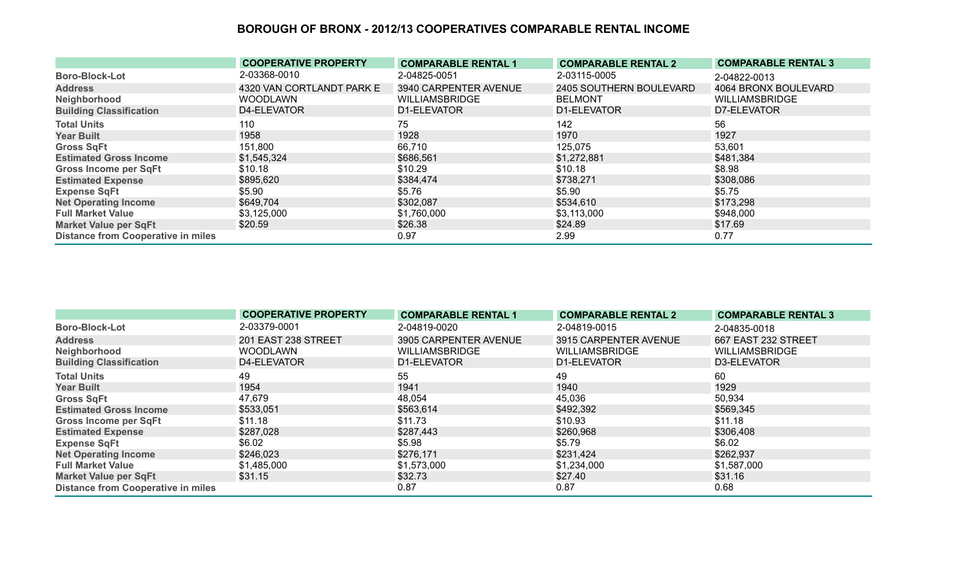|                                           | <b>COOPERATIVE PROPERTY</b> | <b>COMPARABLE RENTAL 1</b> | <b>COMPARABLE RENTAL 2</b> | <b>COMPARABLE RENTAL 3</b> |
|-------------------------------------------|-----------------------------|----------------------------|----------------------------|----------------------------|
| <b>Boro-Block-Lot</b>                     | 2-03368-0010                | 2-04825-0051               | 2-03115-0005               | 2-04822-0013               |
| <b>Address</b>                            | 4320 VAN CORTLANDT PARK E   | 3940 CARPENTER AVENUE      | 2405 SOUTHERN BOULEVARD    | 4064 BRONX BOULEVARD       |
| Neighborhood                              | <b>WOODLAWN</b>             | <b>WILLIAMSBRIDGE</b>      | <b>BELMONT</b>             | <b>WILLIAMSBRIDGE</b>      |
| <b>Building Classification</b>            | D4-ELEVATOR                 | D1-ELEVATOR                | D1-ELEVATOR                | D7-ELEVATOR                |
| <b>Total Units</b>                        | 110                         | 75                         | 142                        | 56                         |
| <b>Year Built</b>                         | 1958                        | 1928                       | 1970                       | 1927                       |
| <b>Gross SqFt</b>                         | 151,800                     | 66,710                     | 125,075                    | 53,601                     |
| <b>Estimated Gross Income</b>             | \$1,545,324                 | \$686,561                  | \$1,272,881                | \$481,384                  |
| <b>Gross Income per SqFt</b>              | \$10.18                     | \$10.29                    | \$10.18                    | \$8.98                     |
| <b>Estimated Expense</b>                  | \$895,620                   | \$384,474                  | \$738,271                  | \$308,086                  |
| <b>Expense SqFt</b>                       | \$5.90                      | \$5.76                     | \$5.90                     | \$5.75                     |
| <b>Net Operating Income</b>               | \$649,704                   | \$302,087                  | \$534,610                  | \$173,298                  |
| <b>Full Market Value</b>                  | \$3,125,000                 | \$1,760,000                | \$3,113,000                | \$948,000                  |
| <b>Market Value per SqFt</b>              | \$20.59                     | \$26.38                    | \$24.89                    | \$17.69                    |
| <b>Distance from Cooperative in miles</b> |                             | 0.97                       | 2.99                       | 0.77                       |

|                                           | <b>COOPERATIVE PROPERTY</b> | <b>COMPARABLE RENTAL 1</b> | <b>COMPARABLE RENTAL 2</b> | <b>COMPARABLE RENTAL 3</b> |
|-------------------------------------------|-----------------------------|----------------------------|----------------------------|----------------------------|
| <b>Boro-Block-Lot</b>                     | 2-03379-0001                | 2-04819-0020               | 2-04819-0015               | 2-04835-0018               |
| <b>Address</b>                            | 201 EAST 238 STREET         | 3905 CARPENTER AVENUE      | 3915 CARPENTER AVENUE      | 667 EAST 232 STREET        |
| Neighborhood                              | <b>WOODLAWN</b>             | <b>WILLIAMSBRIDGE</b>      | <b>WILLIAMSBRIDGE</b>      | <b>WILLIAMSBRIDGE</b>      |
| <b>Building Classification</b>            | D4-ELEVATOR                 | D1-ELEVATOR                | D1-ELEVATOR                | D3-ELEVATOR                |
| <b>Total Units</b>                        | 49                          | 55                         | 49                         | 60                         |
| <b>Year Built</b>                         | 1954                        | 1941                       | 1940                       | 1929                       |
| <b>Gross SqFt</b>                         | 47,679                      | 48,054                     | 45,036                     | 50,934                     |
| <b>Estimated Gross Income</b>             | \$533,051                   | \$563,614                  | \$492,392                  | \$569,345                  |
| <b>Gross Income per SqFt</b>              | \$11.18                     | \$11.73                    | \$10.93                    | \$11.18                    |
| <b>Estimated Expense</b>                  | \$287,028                   | \$287,443                  | \$260,968                  | \$306,408                  |
| <b>Expense SqFt</b>                       | \$6.02                      | \$5.98                     | \$5.79                     | \$6.02                     |
| <b>Net Operating Income</b>               | \$246,023                   | \$276,171                  | \$231,424                  | \$262,937                  |
| <b>Full Market Value</b>                  | \$1,485,000                 | \$1,573,000                | \$1,234,000                | \$1,587,000                |
| <b>Market Value per SqFt</b>              | \$31.15                     | \$32.73                    | \$27.40                    | \$31.16                    |
| <b>Distance from Cooperative in miles</b> |                             | 0.87                       | 0.87                       | 0.68                       |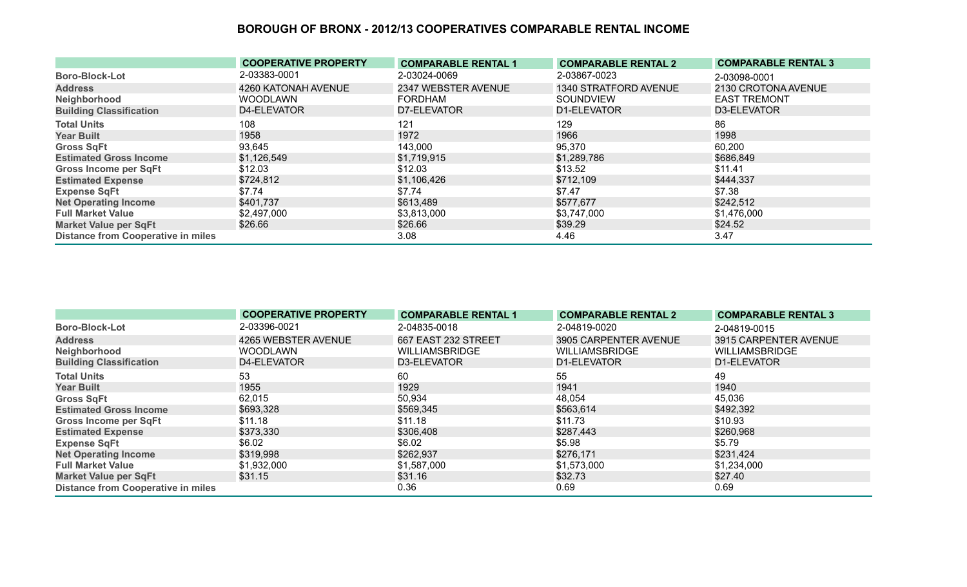|                                           | <b>COOPERATIVE PROPERTY</b> | <b>COMPARABLE RENTAL 1</b> | <b>COMPARABLE RENTAL 2</b> | <b>COMPARABLE RENTAL 3</b> |
|-------------------------------------------|-----------------------------|----------------------------|----------------------------|----------------------------|
| <b>Boro-Block-Lot</b>                     | 2-03383-0001                | 2-03024-0069               | 2-03867-0023               | 2-03098-0001               |
| <b>Address</b>                            | 4260 KATONAH AVENUE         | 2347 WEBSTER AVENUE        | 1340 STRATFORD AVENUE      | 2130 CROTONA AVENUE        |
| Neighborhood                              | <b>WOODLAWN</b>             | <b>FORDHAM</b>             | <b>SOUNDVIEW</b>           | <b>EAST TREMONT</b>        |
| <b>Building Classification</b>            | D4-ELEVATOR                 | D7-ELEVATOR                | D1-ELEVATOR                | D3-ELEVATOR                |
| <b>Total Units</b>                        | 108                         | 121                        | 129                        | 86                         |
| <b>Year Built</b>                         | 1958                        | 1972                       | 1966                       | 1998                       |
| <b>Gross SqFt</b>                         | 93,645                      | 143,000                    | 95,370                     | 60,200                     |
| <b>Estimated Gross Income</b>             | \$1,126,549                 | \$1,719,915                | \$1,289,786                | \$686,849                  |
| <b>Gross Income per SqFt</b>              | \$12.03                     | \$12.03                    | \$13.52                    | \$11.41                    |
| <b>Estimated Expense</b>                  | \$724,812                   | \$1,106,426                | \$712,109                  | \$444,337                  |
| <b>Expense SqFt</b>                       | \$7.74                      | \$7.74                     | \$7.47                     | \$7.38                     |
| <b>Net Operating Income</b>               | \$401,737                   | \$613,489                  | \$577,677                  | \$242,512                  |
| <b>Full Market Value</b>                  | \$2,497,000                 | \$3,813,000                | \$3,747,000                | \$1,476,000                |
| <b>Market Value per SqFt</b>              | \$26.66                     | \$26.66                    | \$39.29                    | \$24.52                    |
| <b>Distance from Cooperative in miles</b> |                             | 3.08                       | 4.46                       | 3.47                       |

|                                           | <b>COOPERATIVE PROPERTY</b> | <b>COMPARABLE RENTAL 1</b> | <b>COMPARABLE RENTAL 2</b> | <b>COMPARABLE RENTAL 3</b> |
|-------------------------------------------|-----------------------------|----------------------------|----------------------------|----------------------------|
| <b>Boro-Block-Lot</b>                     | 2-03396-0021                | 2-04835-0018               | 2-04819-0020               | 2-04819-0015               |
| <b>Address</b>                            | 4265 WEBSTER AVENUE         | 667 EAST 232 STREET        | 3905 CARPENTER AVENUE      | 3915 CARPENTER AVENUE      |
| Neighborhood                              | <b>WOODLAWN</b>             | <b>WILLIAMSBRIDGE</b>      | <b>WILLIAMSBRIDGE</b>      | <b>WILLIAMSBRIDGE</b>      |
| <b>Building Classification</b>            | D4-ELEVATOR                 | D3-ELEVATOR                | D1-ELEVATOR                | D1-ELEVATOR                |
| <b>Total Units</b>                        | 53                          | 60                         | 55                         | 49                         |
| <b>Year Built</b>                         | 1955                        | 1929                       | 1941                       | 1940                       |
| <b>Gross SqFt</b>                         | 62,015                      | 50,934                     | 48,054                     | 45,036                     |
| <b>Estimated Gross Income</b>             | \$693,328                   | \$569,345                  | \$563,614                  | \$492,392                  |
| <b>Gross Income per SqFt</b>              | \$11.18                     | \$11.18                    | \$11.73                    | \$10.93                    |
| <b>Estimated Expense</b>                  | \$373,330                   | \$306,408                  | \$287,443                  | \$260,968                  |
| <b>Expense SqFt</b>                       | \$6.02                      | \$6.02                     | \$5.98                     | \$5.79                     |
| <b>Net Operating Income</b>               | \$319,998                   | \$262,937                  | \$276,171                  | \$231,424                  |
| <b>Full Market Value</b>                  | \$1,932,000                 | \$1,587,000                | \$1,573,000                | \$1,234,000                |
| <b>Market Value per SqFt</b>              | \$31.15                     | \$31.16                    | \$32.73                    | \$27.40                    |
| <b>Distance from Cooperative in miles</b> |                             | 0.36                       | 0.69                       | 0.69                       |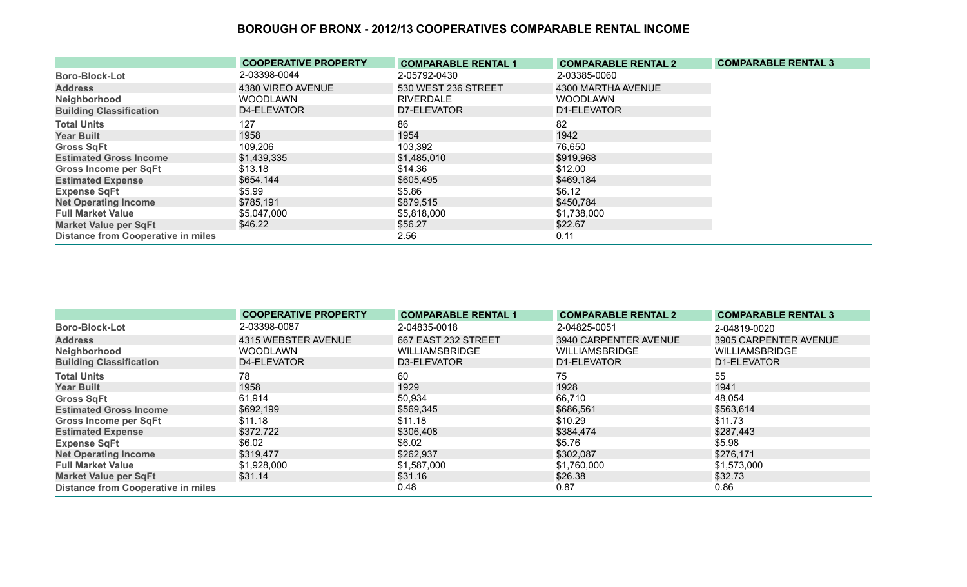|                                           | <b>COOPERATIVE PROPERTY</b> | <b>COMPARABLE RENTAL 1</b> | <b>COMPARABLE RENTAL 2</b> | <b>COMPARABLE RENTAL 3</b> |
|-------------------------------------------|-----------------------------|----------------------------|----------------------------|----------------------------|
| <b>Boro-Block-Lot</b>                     | 2-03398-0044                | 2-05792-0430               | 2-03385-0060               |                            |
| <b>Address</b>                            | 4380 VIREO AVENUE           | 530 WEST 236 STREET        | 4300 MARTHA AVENUE         |                            |
| Neighborhood                              | <b>WOODLAWN</b>             | <b>RIVERDALE</b>           | <b>WOODLAWN</b>            |                            |
| <b>Building Classification</b>            | D4-ELEVATOR                 | D7-ELEVATOR                | D1-ELEVATOR                |                            |
| <b>Total Units</b>                        | 127                         | 86                         | 82                         |                            |
| <b>Year Built</b>                         | 1958                        | 1954                       | 1942                       |                            |
| <b>Gross SqFt</b>                         | 109,206                     | 103,392                    | 76,650                     |                            |
| <b>Estimated Gross Income</b>             | \$1,439,335                 | \$1,485,010                | \$919,968                  |                            |
| <b>Gross Income per SqFt</b>              | \$13.18                     | \$14.36                    | \$12.00                    |                            |
| <b>Estimated Expense</b>                  | \$654,144                   | \$605,495                  | \$469,184                  |                            |
| <b>Expense SqFt</b>                       | \$5.99                      | \$5.86                     | \$6.12                     |                            |
| <b>Net Operating Income</b>               | \$785,191                   | \$879,515                  | \$450,784                  |                            |
| <b>Full Market Value</b>                  | \$5,047,000                 | \$5,818,000                | \$1,738,000                |                            |
| <b>Market Value per SqFt</b>              | \$46.22                     | \$56.27                    | \$22.67                    |                            |
| <b>Distance from Cooperative in miles</b> |                             | 2.56                       | 0.11                       |                            |

|                                           | <b>COOPERATIVE PROPERTY</b> | <b>COMPARABLE RENTAL 1</b> | <b>COMPARABLE RENTAL 2</b> | <b>COMPARABLE RENTAL 3</b> |
|-------------------------------------------|-----------------------------|----------------------------|----------------------------|----------------------------|
| <b>Boro-Block-Lot</b>                     | 2-03398-0087                | 2-04835-0018               | 2-04825-0051               | 2-04819-0020               |
| <b>Address</b>                            | 4315 WEBSTER AVENUE         | 667 EAST 232 STREET        | 3940 CARPENTER AVENUE      | 3905 CARPENTER AVENUE      |
| Neighborhood                              | <b>WOODLAWN</b>             | <b>WILLIAMSBRIDGE</b>      | <b>WILLIAMSBRIDGE</b>      | <b>WILLIAMSBRIDGE</b>      |
| <b>Building Classification</b>            | D4-ELEVATOR                 | D3-ELEVATOR                | D1-ELEVATOR                | D1-ELEVATOR                |
| <b>Total Units</b>                        | 78                          | 60                         | 75                         | 55                         |
| <b>Year Built</b>                         | 1958                        | 1929                       | 1928                       | 1941                       |
| <b>Gross SqFt</b>                         | 61,914                      | 50,934                     | 66,710                     | 48,054                     |
| <b>Estimated Gross Income</b>             | \$692,199                   | \$569,345                  | \$686,561                  | \$563,614                  |
| Gross Income per SqFt                     | \$11.18                     | \$11.18                    | \$10.29                    | \$11.73                    |
| <b>Estimated Expense</b>                  | \$372,722                   | \$306,408                  | \$384,474                  | \$287,443                  |
| <b>Expense SqFt</b>                       | \$6.02                      | \$6.02                     | \$5.76                     | \$5.98                     |
| <b>Net Operating Income</b>               | \$319,477                   | \$262,937                  | \$302,087                  | \$276,171                  |
| <b>Full Market Value</b>                  | \$1,928,000                 | \$1,587,000                | \$1,760,000                | \$1,573,000                |
| <b>Market Value per SqFt</b>              | \$31.14                     | \$31.16                    | \$26.38                    | \$32.73                    |
| <b>Distance from Cooperative in miles</b> |                             | 0.48                       | 0.87                       | 0.86                       |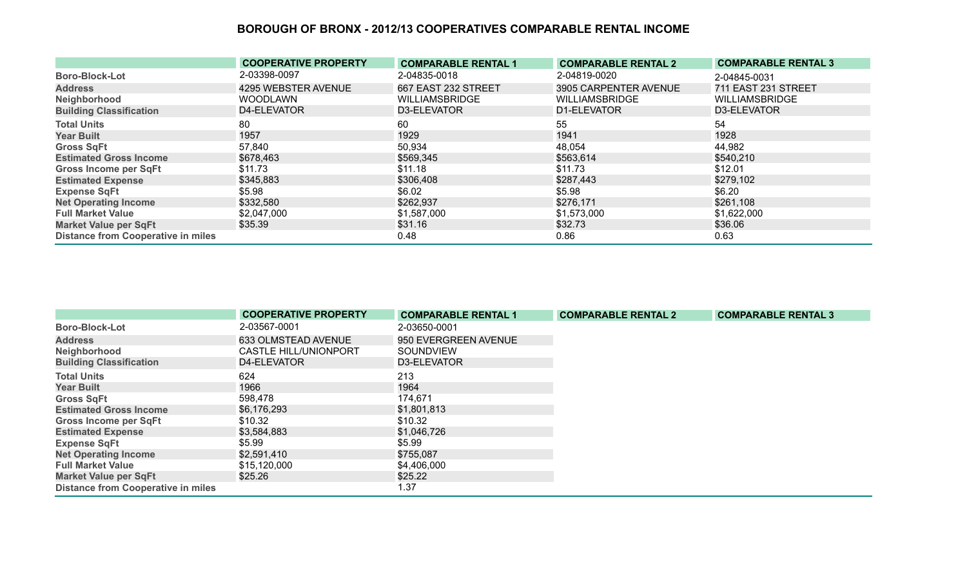|                                           | <b>COOPERATIVE PROPERTY</b> | <b>COMPARABLE RENTAL 1</b> | <b>COMPARABLE RENTAL 2</b> | <b>COMPARABLE RENTAL 3</b> |
|-------------------------------------------|-----------------------------|----------------------------|----------------------------|----------------------------|
| <b>Boro-Block-Lot</b>                     | 2-03398-0097                | 2-04835-0018               | 2-04819-0020               | 2-04845-0031               |
| <b>Address</b>                            | 4295 WEBSTER AVENUE         | 667 EAST 232 STREET        | 3905 CARPENTER AVENUE      | 711 EAST 231 STREET        |
| Neighborhood                              | <b>WOODLAWN</b>             | <b>WILLIAMSBRIDGE</b>      | <b>WILLIAMSBRIDGE</b>      | <b>WILLIAMSBRIDGE</b>      |
| <b>Building Classification</b>            | D4-ELEVATOR                 | D3-ELEVATOR                | D1-ELEVATOR                | D3-ELEVATOR                |
| <b>Total Units</b>                        | 80                          | 60                         | 55                         | 54                         |
| <b>Year Built</b>                         | 1957                        | 1929                       | 1941                       | 1928                       |
| <b>Gross SqFt</b>                         | 57,840                      | 50,934                     | 48,054                     | 44,982                     |
| <b>Estimated Gross Income</b>             | \$678,463                   | \$569,345                  | \$563,614                  | \$540,210                  |
| <b>Gross Income per SqFt</b>              | \$11.73                     | \$11.18                    | \$11.73                    | \$12.01                    |
| <b>Estimated Expense</b>                  | \$345,883                   | \$306,408                  | \$287,443                  | \$279,102                  |
| <b>Expense SqFt</b>                       | \$5.98                      | \$6.02                     | \$5.98                     | \$6.20                     |
| <b>Net Operating Income</b>               | \$332,580                   | \$262,937                  | \$276,171                  | \$261,108                  |
| <b>Full Market Value</b>                  | \$2,047,000                 | \$1,587,000                | \$1,573,000                | \$1,622,000                |
| <b>Market Value per SqFt</b>              | \$35.39                     | \$31.16                    | \$32.73                    | \$36.06                    |
| <b>Distance from Cooperative in miles</b> |                             | 0.48                       | 0.86                       | 0.63                       |

|                                           | <b>COOPERATIVE PROPERTY</b>  | <b>COMPARABLE RENTAL 1</b> | <b>COMPARABLE RENTAL 2</b> | <b>COMPARABLE RENTAL 3</b> |
|-------------------------------------------|------------------------------|----------------------------|----------------------------|----------------------------|
| <b>Boro-Block-Lot</b>                     | 2-03567-0001                 | 2-03650-0001               |                            |                            |
| <b>Address</b>                            | 633 OLMSTEAD AVENUE          | 950 EVERGREEN AVENUE       |                            |                            |
| Neighborhood                              | <b>CASTLE HILL/UNIONPORT</b> | SOUNDVIEW                  |                            |                            |
| <b>Building Classification</b>            | D4-ELEVATOR                  | D3-ELEVATOR                |                            |                            |
| <b>Total Units</b>                        | 624                          | 213                        |                            |                            |
| <b>Year Built</b>                         | 1966                         | 1964                       |                            |                            |
| <b>Gross SqFt</b>                         | 598,478                      | 174,671                    |                            |                            |
| <b>Estimated Gross Income</b>             | \$6,176,293                  | \$1,801,813                |                            |                            |
| <b>Gross Income per SqFt</b>              | \$10.32                      | \$10.32                    |                            |                            |
| <b>Estimated Expense</b>                  | \$3,584,883                  | \$1,046,726                |                            |                            |
| <b>Expense SqFt</b>                       | \$5.99                       | \$5.99                     |                            |                            |
| <b>Net Operating Income</b>               | \$2,591,410                  | \$755,087                  |                            |                            |
| <b>Full Market Value</b>                  | \$15,120,000                 | \$4,406,000                |                            |                            |
| <b>Market Value per SqFt</b>              | \$25.26                      | \$25.22                    |                            |                            |
| <b>Distance from Cooperative in miles</b> |                              | l.37                       |                            |                            |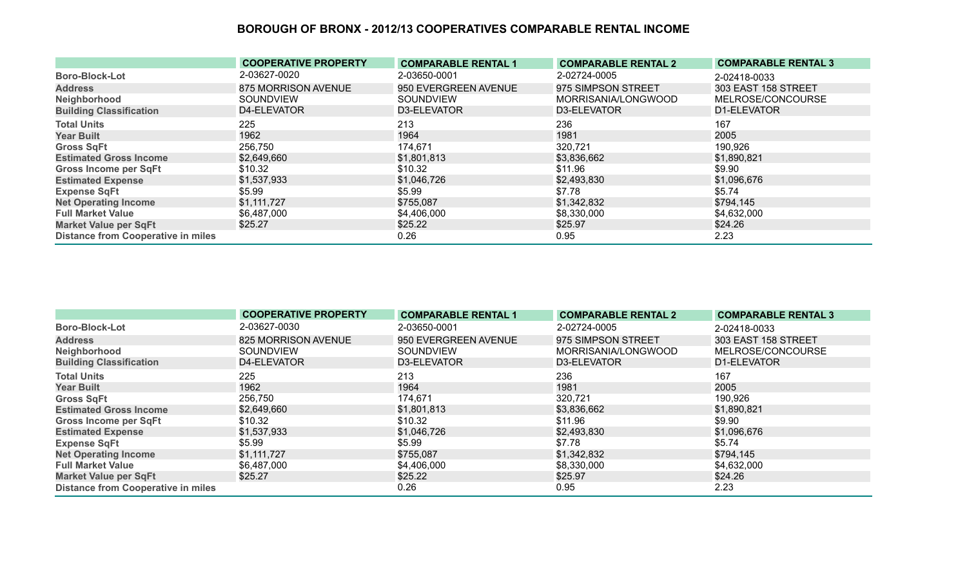|                                           | <b>COOPERATIVE PROPERTY</b> | <b>COMPARABLE RENTAL 1</b> | <b>COMPARABLE RENTAL 2</b> | <b>COMPARABLE RENTAL 3</b> |
|-------------------------------------------|-----------------------------|----------------------------|----------------------------|----------------------------|
| <b>Boro-Block-Lot</b>                     | 2-03627-0020                | 2-03650-0001               | 2-02724-0005               | 2-02418-0033               |
| <b>Address</b>                            | 875 MORRISON AVENUE         | 950 EVERGREEN AVENUE       | 975 SIMPSON STREET         | 303 EAST 158 STREET        |
| Neighborhood                              | <b>SOUNDVIEW</b>            | <b>SOUNDVIEW</b>           | MORRISANIA/LONGWOOD        | MELROSE/CONCOURSE          |
| <b>Building Classification</b>            | D4-ELEVATOR                 | D3-ELEVATOR                | D3-ELEVATOR                | D1-ELEVATOR                |
| <b>Total Units</b>                        | 225                         | 213                        | 236                        | 167                        |
| <b>Year Built</b>                         | 1962                        | 1964                       | 1981                       | 2005                       |
| <b>Gross SqFt</b>                         | 256,750                     | 174,671                    | 320,721                    | 190,926                    |
| <b>Estimated Gross Income</b>             | \$2,649,660                 | \$1,801,813                | \$3,836,662                | \$1,890,821                |
| <b>Gross Income per SqFt</b>              | \$10.32                     | \$10.32                    | \$11.96                    | \$9.90                     |
| <b>Estimated Expense</b>                  | \$1,537,933                 | \$1,046,726                | \$2,493,830                | \$1,096,676                |
| <b>Expense SqFt</b>                       | \$5.99                      | \$5.99                     | \$7.78                     | \$5.74                     |
| <b>Net Operating Income</b>               | \$1,111,727                 | \$755,087                  | \$1,342,832                | \$794,145                  |
| <b>Full Market Value</b>                  | \$6,487,000                 | \$4,406,000                | \$8,330,000                | \$4,632,000                |
| <b>Market Value per SqFt</b>              | \$25.27                     | \$25.22                    | \$25.97                    | \$24.26                    |
| <b>Distance from Cooperative in miles</b> |                             | 0.26                       | 0.95                       | 2.23                       |

|                                           | <b>COOPERATIVE PROPERTY</b> | <b>COMPARABLE RENTAL 1</b> | <b>COMPARABLE RENTAL 2</b> | <b>COMPARABLE RENTAL 3</b> |
|-------------------------------------------|-----------------------------|----------------------------|----------------------------|----------------------------|
| <b>Boro-Block-Lot</b>                     | 2-03627-0030                | 2-03650-0001               | 2-02724-0005               | 2-02418-0033               |
| <b>Address</b>                            | 825 MORRISON AVENUE         | 950 EVERGREEN AVENUE       | 975 SIMPSON STREET         | 303 EAST 158 STREET        |
| Neighborhood                              | SOUNDVIEW                   | <b>SOUNDVIEW</b>           | MORRISANIA/LONGWOOD        | MELROSE/CONCOURSE          |
| <b>Building Classification</b>            | D4-ELEVATOR                 | D3-ELEVATOR                | D3-ELEVATOR                | D1-ELEVATOR                |
| <b>Total Units</b>                        | 225                         | 213                        | 236                        | 167                        |
| <b>Year Built</b>                         | 1962                        | 1964                       | 1981                       | 2005                       |
| <b>Gross SqFt</b>                         | 256,750                     | 174,671                    | 320,721                    | 190,926                    |
| <b>Estimated Gross Income</b>             | \$2,649,660                 | \$1,801,813                | \$3,836,662                | \$1,890,821                |
| <b>Gross Income per SqFt</b>              | \$10.32                     | \$10.32                    | \$11.96                    | \$9.90                     |
| <b>Estimated Expense</b>                  | \$1,537,933                 | \$1,046,726                | \$2,493,830                | \$1,096,676                |
| <b>Expense SqFt</b>                       | \$5.99                      | \$5.99                     | \$7.78                     | \$5.74                     |
| <b>Net Operating Income</b>               | \$1,111,727                 | \$755,087                  | \$1,342,832                | \$794,145                  |
| <b>Full Market Value</b>                  | \$6,487,000                 | \$4,406,000                | \$8,330,000                | \$4,632,000                |
| <b>Market Value per SqFt</b>              | \$25.27                     | \$25.22                    | \$25.97                    | \$24.26                    |
| <b>Distance from Cooperative in miles</b> |                             | 0.26                       | 0.95                       | 2.23                       |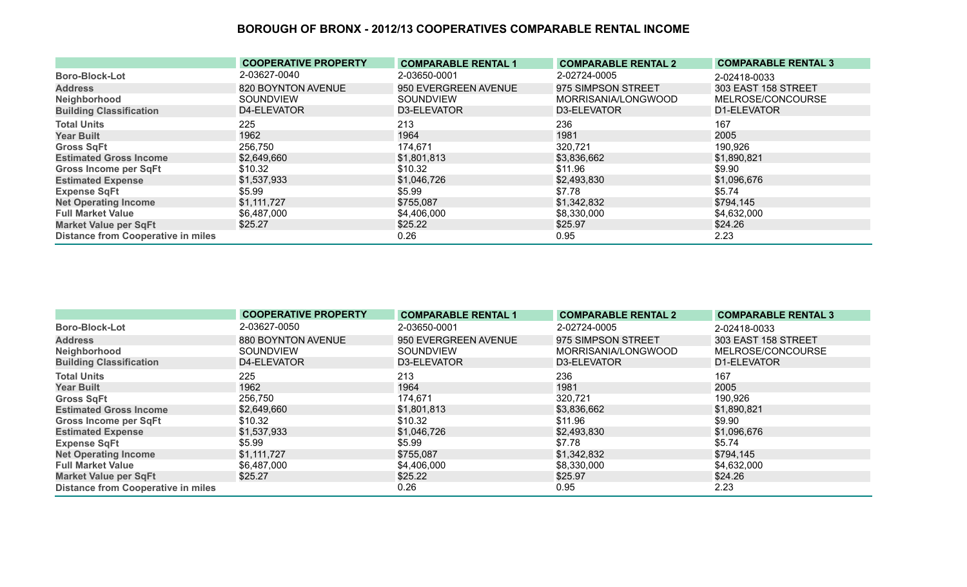|                                           | <b>COOPERATIVE PROPERTY</b> | <b>COMPARABLE RENTAL 1</b> | <b>COMPARABLE RENTAL 2</b> | <b>COMPARABLE RENTAL 3</b> |
|-------------------------------------------|-----------------------------|----------------------------|----------------------------|----------------------------|
| <b>Boro-Block-Lot</b>                     | 2-03627-0040                | 2-03650-0001               | 2-02724-0005               | 2-02418-0033               |
| <b>Address</b>                            | 820 BOYNTON AVENUE          | 950 EVERGREEN AVENUE       | 975 SIMPSON STREET         | 303 EAST 158 STREET        |
| Neighborhood                              | <b>SOUNDVIEW</b>            | <b>SOUNDVIEW</b>           | MORRISANIA/LONGWOOD        | MELROSE/CONCOURSE          |
| <b>Building Classification</b>            | D4-ELEVATOR                 | D3-ELEVATOR                | D3-ELEVATOR                | D1-ELEVATOR                |
| <b>Total Units</b>                        | 225                         | 213                        | 236                        | 167                        |
| <b>Year Built</b>                         | 1962                        | 1964                       | 1981                       | 2005                       |
| <b>Gross SqFt</b>                         | 256,750                     | 174,671                    | 320,721                    | 190,926                    |
| <b>Estimated Gross Income</b>             | \$2,649,660                 | \$1,801,813                | \$3,836,662                | \$1,890,821                |
| <b>Gross Income per SqFt</b>              | \$10.32                     | \$10.32                    | \$11.96                    | \$9.90                     |
| <b>Estimated Expense</b>                  | \$1,537,933                 | \$1,046,726                | \$2,493,830                | \$1,096,676                |
| <b>Expense SqFt</b>                       | \$5.99                      | \$5.99                     | \$7.78                     | \$5.74                     |
| <b>Net Operating Income</b>               | \$1,111,727                 | \$755,087                  | \$1,342,832                | \$794,145                  |
| <b>Full Market Value</b>                  | \$6,487,000                 | \$4,406,000                | \$8,330,000                | \$4,632,000                |
| <b>Market Value per SqFt</b>              | \$25.27                     | \$25.22                    | \$25.97                    | \$24.26                    |
| <b>Distance from Cooperative in miles</b> |                             | 0.26                       | 0.95                       | 2.23                       |

|                                           | <b>COOPERATIVE PROPERTY</b> | <b>COMPARABLE RENTAL 1</b> | <b>COMPARABLE RENTAL 2</b> | <b>COMPARABLE RENTAL 3</b> |
|-------------------------------------------|-----------------------------|----------------------------|----------------------------|----------------------------|
| <b>Boro-Block-Lot</b>                     | 2-03627-0050                | 2-03650-0001               | 2-02724-0005               | 2-02418-0033               |
| <b>Address</b>                            | 880 BOYNTON AVENUE          | 950 EVERGREEN AVENUE       | 975 SIMPSON STREET         | 303 EAST 158 STREET        |
| Neighborhood                              | SOUNDVIEW                   | <b>SOUNDVIEW</b>           | MORRISANIA/LONGWOOD        | MELROSE/CONCOURSE          |
| <b>Building Classification</b>            | D4-ELEVATOR                 | D3-ELEVATOR                | D3-ELEVATOR                | D1-ELEVATOR                |
| <b>Total Units</b>                        | 225                         | 213                        | 236                        | 167                        |
| <b>Year Built</b>                         | 1962                        | 1964                       | 1981                       | 2005                       |
| <b>Gross SqFt</b>                         | 256,750                     | 174,671                    | 320,721                    | 190,926                    |
| <b>Estimated Gross Income</b>             | \$2,649,660                 | \$1,801,813                | \$3,836,662                | \$1,890,821                |
| <b>Gross Income per SqFt</b>              | \$10.32                     | \$10.32                    | \$11.96                    | \$9.90                     |
| <b>Estimated Expense</b>                  | \$1,537,933                 | \$1,046,726                | \$2,493,830                | \$1,096,676                |
| <b>Expense SqFt</b>                       | \$5.99                      | \$5.99                     | \$7.78                     | \$5.74                     |
| <b>Net Operating Income</b>               | \$1,111,727                 | \$755,087                  | \$1,342,832                | \$794,145                  |
| <b>Full Market Value</b>                  | \$6,487,000                 | \$4,406,000                | \$8,330,000                | \$4,632,000                |
| <b>Market Value per SqFt</b>              | \$25.27                     | \$25.22                    | \$25.97                    | \$24.26                    |
| <b>Distance from Cooperative in miles</b> |                             | 0.26                       | 0.95                       | 2.23                       |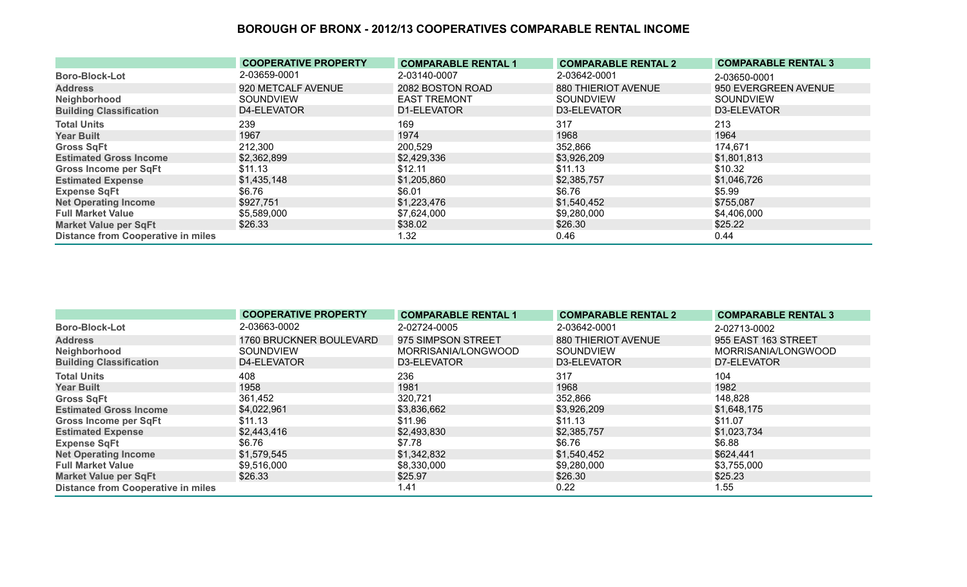|                                           | <b>COOPERATIVE PROPERTY</b> | <b>COMPARABLE RENTAL 1</b> | <b>COMPARABLE RENTAL 2</b> | <b>COMPARABLE RENTAL 3</b> |
|-------------------------------------------|-----------------------------|----------------------------|----------------------------|----------------------------|
| <b>Boro-Block-Lot</b>                     | 2-03659-0001                | 2-03140-0007               | 2-03642-0001               | 2-03650-0001               |
| <b>Address</b>                            | 920 METCALF AVENUE          | 2082 BOSTON ROAD           | 880 THIERIOT AVENUE        | 950 EVERGREEN AVENUE       |
| Neighborhood                              | <b>SOUNDVIEW</b>            | <b>EAST TREMONT</b>        | SOUNDVIEW                  | <b>SOUNDVIEW</b>           |
| <b>Building Classification</b>            | D4-ELEVATOR                 | D1-ELEVATOR                | D3-ELEVATOR                | D3-ELEVATOR                |
| <b>Total Units</b>                        | 239                         | 169                        | 317                        | 213                        |
| <b>Year Built</b>                         | 1967                        | 1974                       | 1968                       | 1964                       |
| <b>Gross SqFt</b>                         | 212,300                     | 200,529                    | 352,866                    | 174,671                    |
| <b>Estimated Gross Income</b>             | \$2,362,899                 | \$2,429,336                | \$3,926,209                | \$1,801,813                |
| <b>Gross Income per SqFt</b>              | \$11.13                     | \$12.11                    | \$11.13                    | \$10.32                    |
| <b>Estimated Expense</b>                  | \$1,435,148                 | \$1,205,860                | \$2,385,757                | \$1,046,726                |
| <b>Expense SqFt</b>                       | \$6.76                      | \$6.01                     | \$6.76                     | \$5.99                     |
| <b>Net Operating Income</b>               | \$927,751                   | \$1,223,476                | \$1,540,452                | \$755,087                  |
| <b>Full Market Value</b>                  | \$5,589,000                 | \$7,624,000                | \$9,280,000                | \$4,406,000                |
| <b>Market Value per SqFt</b>              | \$26.33                     | \$38.02                    | \$26.30                    | \$25.22                    |
| <b>Distance from Cooperative in miles</b> |                             | 1.32                       | 0.46                       | 0.44                       |

|                                           | <b>COOPERATIVE PROPERTY</b> | <b>COMPARABLE RENTAL 1</b> | <b>COMPARABLE RENTAL 2</b> | <b>COMPARABLE RENTAL 3</b> |
|-------------------------------------------|-----------------------------|----------------------------|----------------------------|----------------------------|
| <b>Boro-Block-Lot</b>                     | 2-03663-0002                | 2-02724-0005               | 2-03642-0001               | 2-02713-0002               |
| <b>Address</b>                            | 1760 BRUCKNER BOULEVARD     | 975 SIMPSON STREET         | 880 THIERIOT AVENUE        | 955 EAST 163 STREET        |
| Neighborhood                              | SOUNDVIEW                   | MORRISANIA/LONGWOOD        | SOUNDVIEW                  | MORRISANIA/LONGWOOD        |
| <b>Building Classification</b>            | D4-ELEVATOR                 | D3-ELEVATOR                | D3-ELEVATOR                | D7-ELEVATOR                |
| <b>Total Units</b>                        | 408                         | 236                        | 317                        | 104                        |
| <b>Year Built</b>                         | 1958                        | 1981                       | 1968                       | 1982                       |
| <b>Gross SqFt</b>                         | 361,452                     | 320,721                    | 352,866                    | 148,828                    |
| <b>Estimated Gross Income</b>             | \$4,022,961                 | \$3,836,662                | \$3,926,209                | \$1,648,175                |
| <b>Gross Income per SqFt</b>              | \$11.13                     | \$11.96                    | \$11.13                    | \$11.07                    |
| <b>Estimated Expense</b>                  | \$2,443,416                 | \$2,493,830                | \$2,385,757                | \$1,023,734                |
| <b>Expense SqFt</b>                       | \$6.76                      | \$7.78                     | \$6.76                     | \$6.88                     |
| <b>Net Operating Income</b>               | \$1,579,545                 | \$1,342,832                | \$1,540,452                | \$624,441                  |
| <b>Full Market Value</b>                  | \$9,516,000                 | \$8,330,000                | \$9,280,000                | \$3,755,000                |
| <b>Market Value per SqFt</b>              | \$26.33                     | \$25.97                    | \$26.30                    | \$25.23                    |
| <b>Distance from Cooperative in miles</b> |                             | 1.41                       | 0.22                       | 1.55                       |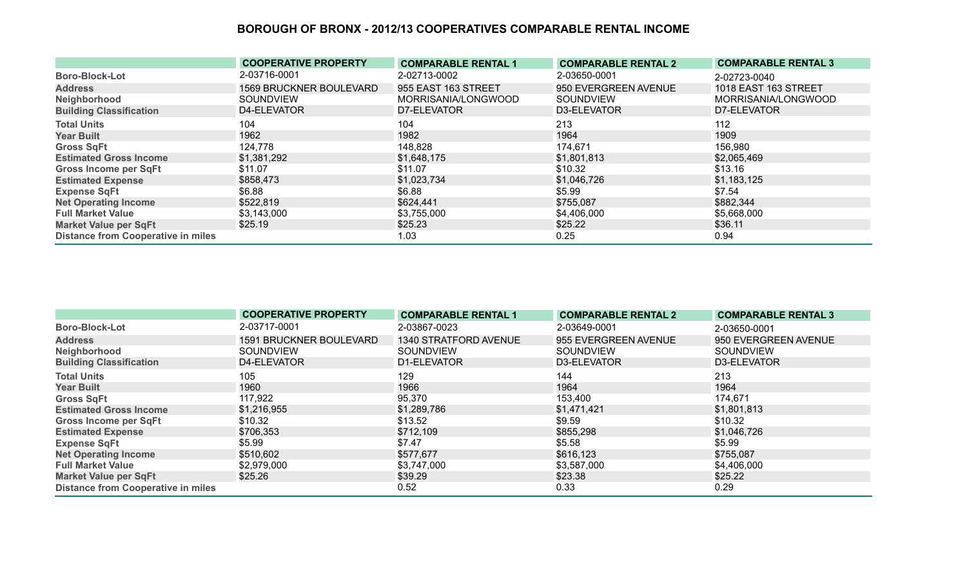|                                           | <b>COOPERATIVE PROPERTY</b>    | <b>COMPARABLE RENTAL 1</b> | <b>COMPARABLE RENTAL 2</b> | <b>COMPARABLE RENTAL 3</b>  |
|-------------------------------------------|--------------------------------|----------------------------|----------------------------|-----------------------------|
| <b>Boro-Block-Lot</b>                     | 2-03716-0001                   | 2-02713-0002               | 2-03650-0001               | 2-02723-0040                |
| <b>Address</b>                            | <b>1569 BRUCKNER BOULEVARD</b> | 955 EAST 163 STREET        | 950 EVERGREEN AVENUE       | <b>1018 EAST 163 STREET</b> |
| Neighborhood                              | <b>SOUNDVIEW</b>               | MORRISANIA/LONGWOOD        | SOUNDVIEW                  | MORRISANIA/LONGWOOD         |
| <b>Building Classification</b>            | D4-ELEVATOR                    | D7-ELEVATOR                | D3-ELEVATOR                | D7-ELEVATOR                 |
| <b>Total Units</b>                        | 104                            | 104                        | 213                        | 112                         |
| <b>Year Built</b>                         | 1962                           | 1982                       | 1964                       | 1909                        |
| <b>Gross SqFt</b>                         | 124,778                        | 148,828                    | 174,671                    | 156,980                     |
| <b>Estimated Gross Income</b>             | \$1,381,292                    | \$1,648,175                | \$1,801,813                | \$2,065,469                 |
| <b>Gross Income per SqFt</b>              | \$11.07                        | \$11.07                    | \$10.32                    | \$13.16                     |
| <b>Estimated Expense</b>                  | \$858,473                      | \$1,023,734                | \$1,046,726                | \$1,183,125                 |
| <b>Expense SqFt</b>                       | \$6.88                         | \$6.88                     | \$5.99                     | \$7.54                      |
| <b>Net Operating Income</b>               | \$522,819                      | \$624,441                  | \$755,087                  | \$882,344                   |
| <b>Full Market Value</b>                  | \$3,143,000                    | \$3,755,000                | \$4,406,000                | \$5,668,000                 |
| <b>Market Value per SqFt</b>              | \$25.19                        | \$25.23                    | \$25.22                    | \$36.11                     |
| <b>Distance from Cooperative in miles</b> |                                | 1.03                       | 0.25                       | 0.94                        |

|                                           | <b>COOPERATIVE PROPERTY</b>    | <b>COMPARABLE RENTAL 1</b> | <b>COMPARABLE RENTAL 2</b> | <b>COMPARABLE RENTAL 3</b> |
|-------------------------------------------|--------------------------------|----------------------------|----------------------------|----------------------------|
| <b>Boro-Block-Lot</b>                     | 2-03717-0001                   | 2-03867-0023               | 2-03649-0001               | 2-03650-0001               |
| <b>Address</b>                            | <b>1591 BRUCKNER BOULEVARD</b> | 1340 STRATFORD AVENUE      | 955 EVERGREEN AVENUE       | 950 EVERGREEN AVENUE       |
| Neighborhood                              | SOUNDVIEW                      | <b>SOUNDVIEW</b>           | SOUNDVIEW                  | <b>SOUNDVIEW</b>           |
| <b>Building Classification</b>            | D4-ELEVATOR                    | D1-ELEVATOR                | D3-ELEVATOR                | D3-ELEVATOR                |
| <b>Total Units</b>                        | 105                            | 129                        | 144                        | 213                        |
| <b>Year Built</b>                         | 1960                           | 1966                       | 1964                       | 1964                       |
| <b>Gross SqFt</b>                         | 117,922                        | 95,370                     | 153,400                    | 174,671                    |
| <b>Estimated Gross Income</b>             | \$1,216,955                    | \$1,289,786                | \$1,471,421                | \$1,801,813                |
| <b>Gross Income per SqFt</b>              | \$10.32                        | \$13.52                    | \$9.59                     | \$10.32                    |
| <b>Estimated Expense</b>                  | \$706,353                      | \$712,109                  | \$855,298                  | \$1,046,726                |
| <b>Expense SqFt</b>                       | \$5.99                         | \$7.47                     | \$5.58                     | \$5.99                     |
| <b>Net Operating Income</b>               | \$510,602                      | \$577,677                  | \$616,123                  | \$755,087                  |
| <b>Full Market Value</b>                  | \$2,979,000                    | \$3,747,000                | \$3,587,000                | \$4,406,000                |
| <b>Market Value per SqFt</b>              | \$25.26                        | \$39.29                    | \$23.38                    | \$25.22                    |
| <b>Distance from Cooperative in miles</b> |                                | 0.52                       | 0.33                       | 0.29                       |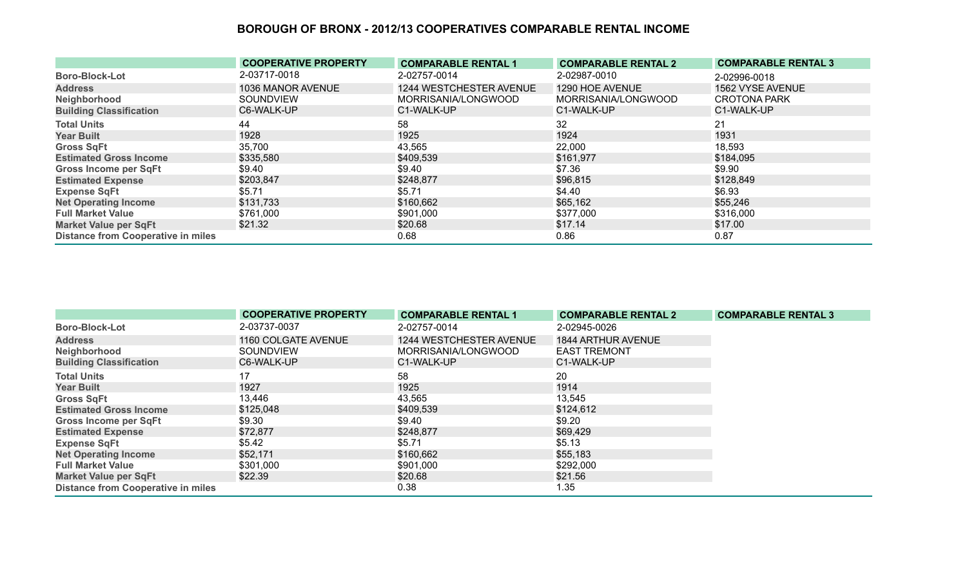|                                           | <b>COOPERATIVE PROPERTY</b> | <b>COMPARABLE RENTAL 1</b> | <b>COMPARABLE RENTAL 2</b> | <b>COMPARABLE RENTAL 3</b> |
|-------------------------------------------|-----------------------------|----------------------------|----------------------------|----------------------------|
| <b>Boro-Block-Lot</b>                     | 2-03717-0018                | 2-02757-0014               | 2-02987-0010               | 2-02996-0018               |
| <b>Address</b>                            | 1036 MANOR AVENUE           | 1244 WESTCHESTER AVENUE    | 1290 HOE AVENUE            | 1562 VYSE AVENUE           |
| Neighborhood                              | <b>SOUNDVIEW</b>            | MORRISANIA/LONGWOOD        | MORRISANIA/LONGWOOD        | <b>CROTONA PARK</b>        |
| <b>Building Classification</b>            | C6-WALK-UP                  | C1-WALK-UP                 | C1-WALK-UP                 | C1-WALK-UP                 |
| <b>Total Units</b>                        | 44                          | 58                         | 32                         | 21                         |
| <b>Year Built</b>                         | 1928                        | 1925                       | 1924                       | 1931                       |
| <b>Gross SqFt</b>                         | 35,700                      | 43,565                     | 22,000                     | 18,593                     |
| <b>Estimated Gross Income</b>             | \$335,580                   | \$409,539                  | \$161,977                  | \$184,095                  |
| <b>Gross Income per SqFt</b>              | \$9.40                      | \$9.40                     | \$7.36                     | \$9.90                     |
| <b>Estimated Expense</b>                  | \$203,847                   | \$248,877                  | \$96,815                   | \$128,849                  |
| <b>Expense SqFt</b>                       | \$5.71                      | \$5.71                     | \$4.40                     | \$6.93                     |
| <b>Net Operating Income</b>               | \$131,733                   | \$160,662                  | \$65,162                   | \$55,246                   |
| <b>Full Market Value</b>                  | \$761,000                   | \$901,000                  | \$377,000                  | \$316,000                  |
| <b>Market Value per SqFt</b>              | \$21.32                     | \$20.68                    | \$17.14                    | \$17.00                    |
| <b>Distance from Cooperative in miles</b> |                             | 0.68                       | 0.86                       | 0.87                       |

|                                           | <b>COOPERATIVE PROPERTY</b> | <b>COMPARABLE RENTAL 1</b> | <b>COMPARABLE RENTAL 2</b> | <b>COMPARABLE RENTAL 3</b> |
|-------------------------------------------|-----------------------------|----------------------------|----------------------------|----------------------------|
| <b>Boro-Block-Lot</b>                     | 2-03737-0037                | 2-02757-0014               | 2-02945-0026               |                            |
| <b>Address</b>                            | 1160 COLGATE AVENUE         | 1244 WESTCHESTER AVENUE    | <b>1844 ARTHUR AVENUE</b>  |                            |
| Neighborhood                              | <b>SOUNDVIEW</b>            | MORRISANIA/LONGWOOD        | <b>EAST TREMONT</b>        |                            |
| <b>Building Classification</b>            | C6-WALK-UP                  | C1-WALK-UP                 | C1-WALK-UP                 |                            |
| <b>Total Units</b>                        | 17                          | 58                         | 20                         |                            |
| <b>Year Built</b>                         | 1927                        | 1925                       | 1914                       |                            |
| <b>Gross SqFt</b>                         | 13,446                      | 43,565                     | 13,545                     |                            |
| <b>Estimated Gross Income</b>             | \$125,048                   | \$409,539                  | \$124,612                  |                            |
| <b>Gross Income per SqFt</b>              | \$9.30                      | \$9.40                     | \$9.20                     |                            |
| <b>Estimated Expense</b>                  | \$72,877                    | \$248,877                  | \$69,429                   |                            |
| <b>Expense SqFt</b>                       | \$5.42                      | \$5.71                     | \$5.13                     |                            |
| <b>Net Operating Income</b>               | \$52,171                    | \$160,662                  | \$55,183                   |                            |
| <b>Full Market Value</b>                  | \$301,000                   | \$901,000                  | \$292,000                  |                            |
| <b>Market Value per SqFt</b>              | \$22.39                     | \$20.68                    | \$21.56                    |                            |
| <b>Distance from Cooperative in miles</b> |                             | 0.38                       | 1.35                       |                            |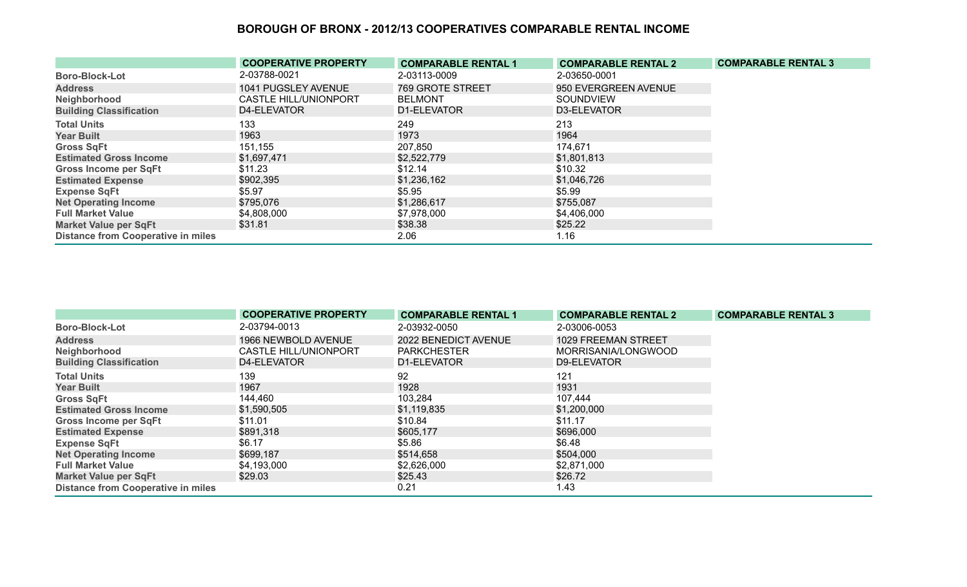|                                           | <b>COOPERATIVE PROPERTY</b> | <b>COMPARABLE RENTAL 1</b> | <b>COMPARABLE RENTAL 2</b> | <b>COMPARABLE RENTAL 3</b> |
|-------------------------------------------|-----------------------------|----------------------------|----------------------------|----------------------------|
| <b>Boro-Block-Lot</b>                     | 2-03788-0021                | 2-03113-0009               | 2-03650-0001               |                            |
| <b>Address</b>                            | 1041 PUGSLEY AVENUE         | 769 GROTE STREET           | 950 EVERGREEN AVENUE       |                            |
| Neighborhood                              | CASTLE HILL/UNIONPORT       | <b>BELMONT</b>             | <b>SOUNDVIEW</b>           |                            |
| <b>Building Classification</b>            | D4-ELEVATOR                 | D1-ELEVATOR                | D3-ELEVATOR                |                            |
| <b>Total Units</b>                        | 133                         | 249                        | 213                        |                            |
| <b>Year Built</b>                         | 1963                        | 1973                       | 1964                       |                            |
| <b>Gross SqFt</b>                         | 151,155                     | 207,850                    | 174,671                    |                            |
| <b>Estimated Gross Income</b>             | \$1,697,471                 | \$2,522,779                | \$1,801,813                |                            |
| <b>Gross Income per SqFt</b>              | \$11.23                     | \$12.14                    | \$10.32                    |                            |
| <b>Estimated Expense</b>                  | \$902,395                   | \$1,236,162                | \$1,046,726                |                            |
| <b>Expense SqFt</b>                       | \$5.97                      | \$5.95                     | \$5.99                     |                            |
| <b>Net Operating Income</b>               | \$795,076                   | \$1,286,617                | \$755,087                  |                            |
| <b>Full Market Value</b>                  | \$4,808,000                 | \$7,978,000                | \$4,406,000                |                            |
| <b>Market Value per SqFt</b>              | \$31.81                     | \$38.38                    | \$25.22                    |                            |
| <b>Distance from Cooperative in miles</b> |                             | 2.06                       | 1.16                       |                            |

|                                           | <b>COOPERATIVE PROPERTY</b> | <b>COMPARABLE RENTAL 1</b> | <b>COMPARABLE RENTAL 2</b> | <b>COMPARABLE RENTAL 3</b> |
|-------------------------------------------|-----------------------------|----------------------------|----------------------------|----------------------------|
| <b>Boro-Block-Lot</b>                     | 2-03794-0013                | 2-03932-0050               | 2-03006-0053               |                            |
| <b>Address</b>                            | 1966 NEWBOLD AVENUE         | 2022 BENEDICT AVENUE       | 1029 FREEMAN STREET        |                            |
| Neighborhood                              | CASTLE HILL/UNIONPORT       | <b>PARKCHESTER</b>         | MORRISANIA/LONGWOOD        |                            |
| <b>Building Classification</b>            | D4-ELEVATOR                 | D1-ELEVATOR                | D9-ELEVATOR                |                            |
| <b>Total Units</b>                        | 139                         | 92                         | 121                        |                            |
| <b>Year Built</b>                         | 1967                        | 1928                       | 1931                       |                            |
| <b>Gross SqFt</b>                         | 144,460                     | 103,284                    | 107,444                    |                            |
| <b>Estimated Gross Income</b>             | \$1,590,505                 | \$1,119,835                | \$1,200,000                |                            |
| <b>Gross Income per SqFt</b>              | \$11.01                     | \$10.84                    | \$11.17                    |                            |
| <b>Estimated Expense</b>                  | \$891,318                   | \$605,177                  | \$696,000                  |                            |
| <b>Expense SqFt</b>                       | \$6.17                      | \$5.86                     | \$6.48                     |                            |
| <b>Net Operating Income</b>               | \$699,187                   | \$514,658                  | \$504,000                  |                            |
| <b>Full Market Value</b>                  | \$4,193,000                 | \$2,626,000                | \$2,871,000                |                            |
| <b>Market Value per SqFt</b>              | \$29.03                     | \$25.43                    | \$26.72                    |                            |
| <b>Distance from Cooperative in miles</b> |                             | 0.21                       | 1.43                       |                            |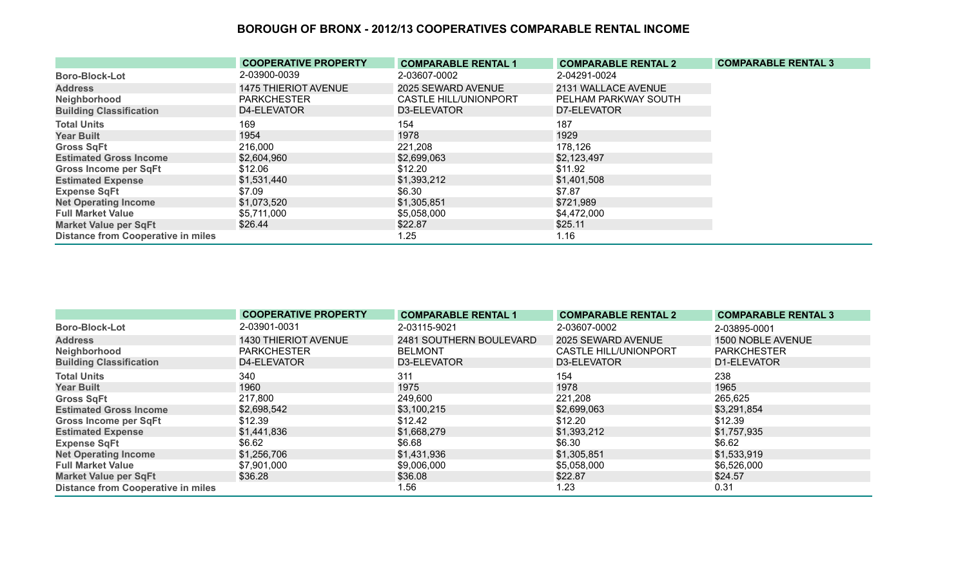|                                           | <b>COOPERATIVE PROPERTY</b> | <b>COMPARABLE RENTAL 1</b>   | <b>COMPARABLE RENTAL 2</b> | <b>COMPARABLE RENTAL 3</b> |
|-------------------------------------------|-----------------------------|------------------------------|----------------------------|----------------------------|
| <b>Boro-Block-Lot</b>                     | 2-03900-0039                | 2-03607-0002                 | 2-04291-0024               |                            |
| <b>Address</b>                            | <b>1475 THIERIOT AVENUE</b> | 2025 SEWARD AVENUE           | 2131 WALLACE AVENUE        |                            |
| Neighborhood                              | <b>PARKCHESTER</b>          | <b>CASTLE HILL/UNIONPORT</b> | PELHAM PARKWAY SOUTH       |                            |
| <b>Building Classification</b>            | D4-ELEVATOR                 | D3-ELEVATOR                  | D7-ELEVATOR                |                            |
| <b>Total Units</b>                        | 169                         | 154                          | 187                        |                            |
| <b>Year Built</b>                         | 1954                        | 1978                         | 1929                       |                            |
| <b>Gross SqFt</b>                         | 216,000                     | 221,208                      | 178,126                    |                            |
| <b>Estimated Gross Income</b>             | \$2,604,960                 | \$2,699,063                  | \$2,123,497                |                            |
| <b>Gross Income per SqFt</b>              | \$12.06                     | \$12.20                      | \$11.92                    |                            |
| <b>Estimated Expense</b>                  | \$1,531,440                 | \$1,393,212                  | \$1,401,508                |                            |
| <b>Expense SqFt</b>                       | \$7.09                      | \$6.30                       | \$7.87                     |                            |
| <b>Net Operating Income</b>               | \$1,073,520                 | \$1,305,851                  | \$721,989                  |                            |
| <b>Full Market Value</b>                  | \$5,711,000                 | \$5,058,000                  | \$4,472,000                |                            |
| <b>Market Value per SqFt</b>              | \$26.44                     | \$22.87                      | \$25.11                    |                            |
| <b>Distance from Cooperative in miles</b> |                             | 1.25                         | 1.16                       |                            |

|                                           | <b>COOPERATIVE PROPERTY</b> | <b>COMPARABLE RENTAL 1</b> | <b>COMPARABLE RENTAL 2</b> | <b>COMPARABLE RENTAL 3</b> |
|-------------------------------------------|-----------------------------|----------------------------|----------------------------|----------------------------|
| <b>Boro-Block-Lot</b>                     | 2-03901-0031                | 2-03115-9021               | 2-03607-0002               | 2-03895-0001               |
| <b>Address</b>                            | 1430 THIERIOT AVENUE        | 2481 SOUTHERN BOULEVARD    | 2025 SEWARD AVENUE         | 1500 NOBLE AVENUE          |
| Neighborhood                              | <b>PARKCHESTER</b>          | <b>BELMONT</b>             | CASTLE HILL/UNIONPORT      | <b>PARKCHESTER</b>         |
| <b>Building Classification</b>            | D4-ELEVATOR                 | D3-ELEVATOR                | D3-ELEVATOR                | D1-ELEVATOR                |
| <b>Total Units</b>                        | 340                         | 311                        | 154                        | 238                        |
| <b>Year Built</b>                         | 1960                        | 1975                       | 1978                       | 1965                       |
| <b>Gross SqFt</b>                         | 217,800                     | 249,600                    | 221,208                    | 265,625                    |
| <b>Estimated Gross Income</b>             | \$2,698,542                 | \$3,100,215                | \$2,699,063                | \$3,291,854                |
| <b>Gross Income per SqFt</b>              | \$12.39                     | \$12.42                    | \$12.20                    | \$12.39                    |
| <b>Estimated Expense</b>                  | \$1,441,836                 | \$1,668,279                | \$1,393,212                | \$1,757,935                |
| <b>Expense SqFt</b>                       | \$6.62                      | \$6.68                     | \$6.30                     | \$6.62                     |
| <b>Net Operating Income</b>               | \$1,256,706                 | \$1,431,936                | \$1,305,851                | \$1,533,919                |
| <b>Full Market Value</b>                  | \$7,901,000                 | \$9,006,000                | \$5,058,000                | \$6,526,000                |
| <b>Market Value per SqFt</b>              | \$36.28                     | \$36.08                    | \$22.87                    | \$24.57                    |
| <b>Distance from Cooperative in miles</b> |                             | 1.56                       | 1.23                       | 0.31                       |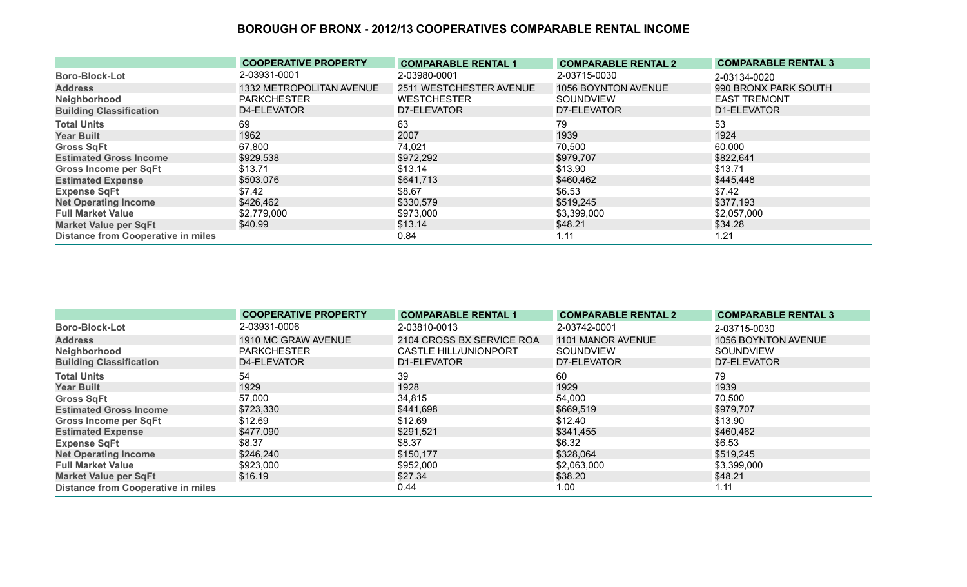|                                           | <b>COOPERATIVE PROPERTY</b> | <b>COMPARABLE RENTAL 1</b> | <b>COMPARABLE RENTAL 2</b> | <b>COMPARABLE RENTAL 3</b> |
|-------------------------------------------|-----------------------------|----------------------------|----------------------------|----------------------------|
| <b>Boro-Block-Lot</b>                     | 2-03931-0001                | 2-03980-0001               | 2-03715-0030               | 2-03134-0020               |
| <b>Address</b>                            | 1332 METROPOLITAN AVENUE    | 2511 WESTCHESTER AVENUE    | 1056 BOYNTON AVENUE        | 990 BRONX PARK SOUTH       |
| Neighborhood                              | <b>PARKCHESTER</b>          | <b>WESTCHESTER</b>         | SOUNDVIEW                  | <b>EAST TREMONT</b>        |
| <b>Building Classification</b>            | D4-ELEVATOR                 | D7-ELEVATOR                | D7-ELEVATOR                | D1-ELEVATOR                |
| <b>Total Units</b>                        | 69                          | 63                         | 79                         | 53                         |
| <b>Year Built</b>                         | 1962                        | 2007                       | 1939                       | 1924                       |
| <b>Gross SqFt</b>                         | 67,800                      | 74,021                     | 70,500                     | 60,000                     |
| <b>Estimated Gross Income</b>             | \$929,538                   | \$972,292                  | \$979,707                  | \$822,641                  |
| <b>Gross Income per SqFt</b>              | \$13.71                     | \$13.14                    | \$13.90                    | \$13.71                    |
| <b>Estimated Expense</b>                  | \$503,076                   | \$641,713                  | \$460,462                  | \$445,448                  |
| <b>Expense SqFt</b>                       | \$7.42                      | \$8.67                     | \$6.53                     | \$7.42                     |
| <b>Net Operating Income</b>               | \$426,462                   | \$330,579                  | \$519,245                  | \$377,193                  |
| <b>Full Market Value</b>                  | \$2,779,000                 | \$973,000                  | \$3,399,000                | \$2,057,000                |
| <b>Market Value per SqFt</b>              | \$40.99                     | \$13.14                    | \$48.21                    | \$34.28                    |
| <b>Distance from Cooperative in miles</b> |                             | 0.84                       | 1.11                       | 1.21                       |

|                                           | <b>COOPERATIVE PROPERTY</b> | <b>COMPARABLE RENTAL 1</b>   | <b>COMPARABLE RENTAL 2</b> | <b>COMPARABLE RENTAL 3</b> |
|-------------------------------------------|-----------------------------|------------------------------|----------------------------|----------------------------|
| <b>Boro-Block-Lot</b>                     | 2-03931-0006                | 2-03810-0013                 | 2-03742-0001               | 2-03715-0030               |
| <b>Address</b>                            | 1910 MC GRAW AVENUE         | 2104 CROSS BX SERVICE ROA    | 1101 MANOR AVENUE          | 1056 BOYNTON AVENUE        |
| Neighborhood                              | <b>PARKCHESTER</b>          | <b>CASTLE HILL/UNIONPORT</b> | SOUNDVIEW                  | <b>SOUNDVIEW</b>           |
| <b>Building Classification</b>            | D4-ELEVATOR                 | D1-ELEVATOR                  | D7-ELEVATOR                | D7-ELEVATOR                |
| <b>Total Units</b>                        | 54                          | 39                           | 60                         | 79                         |
| <b>Year Built</b>                         | 1929                        | 1928                         | 1929                       | 1939                       |
| <b>Gross SqFt</b>                         | 57,000                      | 34,815                       | 54,000                     | 70,500                     |
| <b>Estimated Gross Income</b>             | \$723,330                   | \$441,698                    | \$669,519                  | \$979,707                  |
| <b>Gross Income per SqFt</b>              | \$12.69                     | \$12.69                      | \$12.40                    | \$13.90                    |
| <b>Estimated Expense</b>                  | \$477,090                   | \$291,521                    | \$341,455                  | \$460,462                  |
| <b>Expense SqFt</b>                       | \$8.37                      | \$8.37                       | \$6.32                     | \$6.53                     |
| <b>Net Operating Income</b>               | \$246,240                   | \$150,177                    | \$328,064                  | \$519,245                  |
| <b>Full Market Value</b>                  | \$923,000                   | \$952,000                    | \$2,063,000                | \$3,399,000                |
| <b>Market Value per SqFt</b>              | \$16.19                     | \$27.34                      | \$38.20                    | \$48.21                    |
| <b>Distance from Cooperative in miles</b> |                             | 0.44                         | 1.00                       | 1.11                       |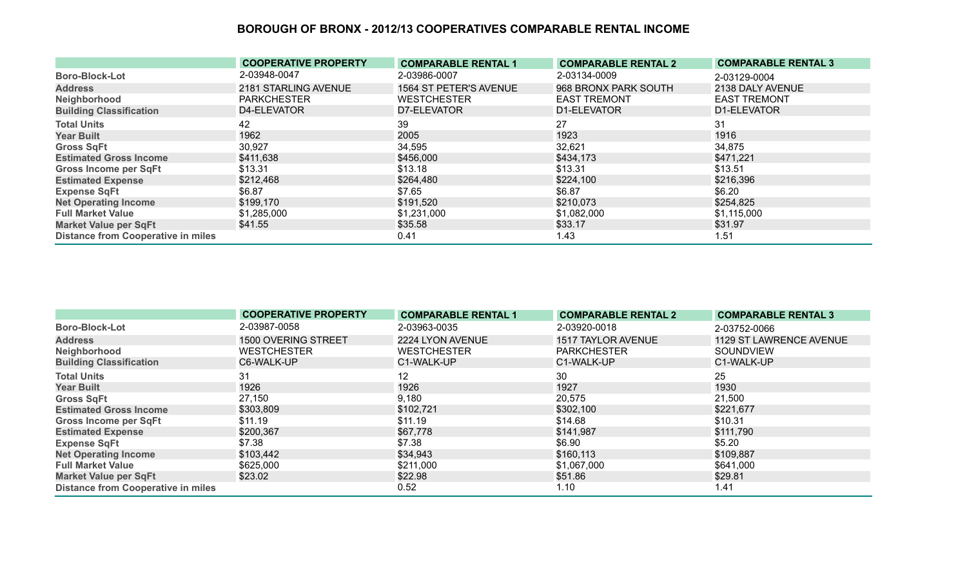|                                           | <b>COOPERATIVE PROPERTY</b> | <b>COMPARABLE RENTAL 1</b> | <b>COMPARABLE RENTAL 2</b> | <b>COMPARABLE RENTAL 3</b> |
|-------------------------------------------|-----------------------------|----------------------------|----------------------------|----------------------------|
| <b>Boro-Block-Lot</b>                     | 2-03948-0047                | 2-03986-0007               | 2-03134-0009               | 2-03129-0004               |
| <b>Address</b>                            | 2181 STARLING AVENUE        | 1564 ST PETER'S AVENUE     | 968 BRONX PARK SOUTH       | 2138 DALY AVENUE           |
| Neighborhood                              | <b>PARKCHESTER</b>          | <b>WESTCHESTER</b>         | <b>EAST TREMONT</b>        | <b>EAST TREMONT</b>        |
| <b>Building Classification</b>            | D4-ELEVATOR                 | D7-ELEVATOR                | D1-ELEVATOR                | D1-ELEVATOR                |
| <b>Total Units</b>                        | 42                          | 39                         | 27                         | 31                         |
| <b>Year Built</b>                         | 1962                        | 2005                       | 1923                       | 1916                       |
| <b>Gross SqFt</b>                         | 30,927                      | 34,595                     | 32,621                     | 34,875                     |
| <b>Estimated Gross Income</b>             | \$411,638                   | \$456,000                  | \$434,173                  | \$471,221                  |
| <b>Gross Income per SqFt</b>              | \$13.31                     | \$13.18                    | \$13.31                    | \$13.51                    |
| <b>Estimated Expense</b>                  | \$212,468                   | \$264,480                  | \$224,100                  | \$216,396                  |
| <b>Expense SqFt</b>                       | \$6.87                      | \$7.65                     | \$6.87                     | \$6.20                     |
| <b>Net Operating Income</b>               | \$199,170                   | \$191,520                  | \$210,073                  | \$254,825                  |
| <b>Full Market Value</b>                  | \$1,285,000                 | \$1,231,000                | \$1,082,000                | \$1,115,000                |
| <b>Market Value per SqFt</b>              | \$41.55                     | \$35.58                    | \$33.17                    | \$31.97                    |
| <b>Distance from Cooperative in miles</b> |                             | 0.41                       | 1.43                       | 1.51                       |

|                                           | <b>COOPERATIVE PROPERTY</b> | <b>COMPARABLE RENTAL 1</b> | <b>COMPARABLE RENTAL 2</b> | <b>COMPARABLE RENTAL 3</b> |
|-------------------------------------------|-----------------------------|----------------------------|----------------------------|----------------------------|
| <b>Boro-Block-Lot</b>                     | 2-03987-0058                | 2-03963-0035               | 2-03920-0018               | 2-03752-0066               |
| <b>Address</b>                            | 1500 OVERING STREET         | 2224 LYON AVENUE           | 1517 TAYLOR AVENUE         | 1129 ST LAWRENCE AVENUE    |
| Neighborhood                              | <b>WESTCHESTER</b>          | <b>WESTCHESTER</b>         | <b>PARKCHESTER</b>         | SOUNDVIEW                  |
| <b>Building Classification</b>            | C6-WALK-UP                  | C1-WALK-UP                 | C1-WALK-UP                 | C1-WALK-UP                 |
| <b>Total Units</b>                        | 31                          | $12 \overline{ }$          | 30                         | 25                         |
| <b>Year Built</b>                         | 1926                        | 1926                       | 1927                       | 1930                       |
| <b>Gross SqFt</b>                         | 27,150                      | 9,180                      | 20,575                     | 21,500                     |
| <b>Estimated Gross Income</b>             | \$303,809                   | \$102,721                  | \$302,100                  | \$221,677                  |
| <b>Gross Income per SqFt</b>              | \$11.19                     | \$11.19                    | \$14.68                    | \$10.31                    |
| <b>Estimated Expense</b>                  | \$200,367                   | \$67,778                   | \$141,987                  | \$111,790                  |
| <b>Expense SqFt</b>                       | \$7.38                      | \$7.38                     | \$6.90                     | \$5.20                     |
| <b>Net Operating Income</b>               | \$103,442                   | \$34,943                   | \$160,113                  | \$109,887                  |
| <b>Full Market Value</b>                  | \$625,000                   | \$211,000                  | \$1,067,000                | \$641,000                  |
| <b>Market Value per SqFt</b>              | \$23.02                     | \$22.98                    | \$51.86                    | \$29.81                    |
| <b>Distance from Cooperative in miles</b> |                             | 0.52                       | 1.10                       | 1.41                       |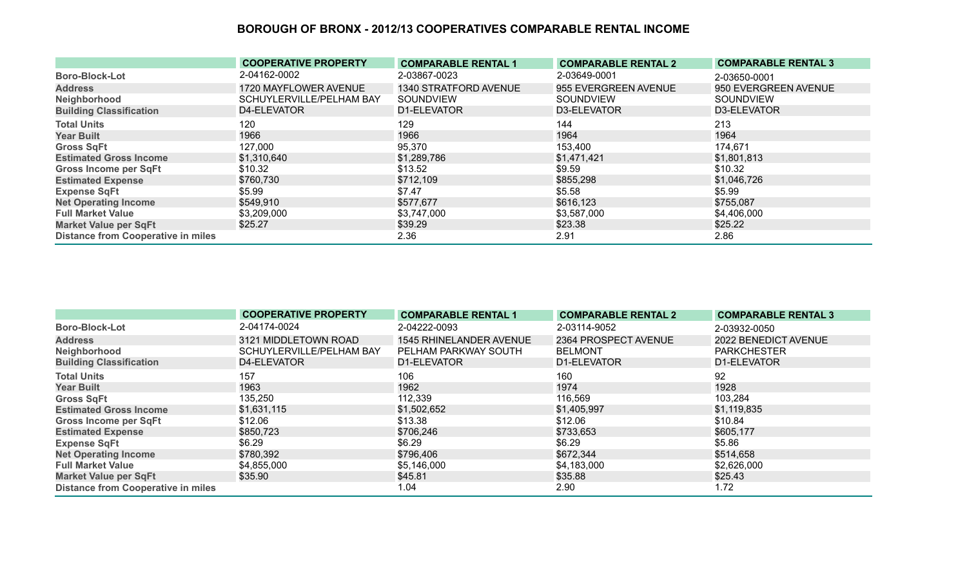|                                           | <b>COOPERATIVE PROPERTY</b> | <b>COMPARABLE RENTAL 1</b> | <b>COMPARABLE RENTAL 2</b> | <b>COMPARABLE RENTAL 3</b> |
|-------------------------------------------|-----------------------------|----------------------------|----------------------------|----------------------------|
| <b>Boro-Block-Lot</b>                     | 2-04162-0002                | 2-03867-0023               | 2-03649-0001               | 2-03650-0001               |
| <b>Address</b>                            | 1720 MAYFLOWER AVENUE       | 1340 STRATFORD AVENUE      | 955 EVERGREEN AVENUE       | 950 EVERGREEN AVENUE       |
| Neighborhood                              | SCHUYLERVILLE/PELHAM BAY    | SOUNDVIEW                  | <b>SOUNDVIEW</b>           | <b>SOUNDVIEW</b>           |
| <b>Building Classification</b>            | D4-ELEVATOR                 | D1-ELEVATOR                | D3-ELEVATOR                | D3-ELEVATOR                |
| <b>Total Units</b>                        | 120                         | 129                        | 144                        | 213                        |
| <b>Year Built</b>                         | 1966                        | 1966                       | 1964                       | 1964                       |
| <b>Gross SqFt</b>                         | 127,000                     | 95,370                     | 153,400                    | 174,671                    |
| <b>Estimated Gross Income</b>             | \$1,310,640                 | \$1,289,786                | \$1,471,421                | \$1,801,813                |
| <b>Gross Income per SqFt</b>              | \$10.32                     | \$13.52                    | \$9.59                     | \$10.32                    |
| <b>Estimated Expense</b>                  | \$760,730                   | \$712,109                  | \$855,298                  | \$1,046,726                |
| <b>Expense SqFt</b>                       | \$5.99                      | \$7.47                     | \$5.58                     | \$5.99                     |
| <b>Net Operating Income</b>               | \$549,910                   | \$577,677                  | \$616,123                  | \$755,087                  |
| <b>Full Market Value</b>                  | \$3,209,000                 | \$3,747,000                | \$3,587,000                | \$4,406,000                |
| <b>Market Value per SqFt</b>              | \$25.27                     | \$39.29                    | \$23.38                    | \$25.22                    |
| <b>Distance from Cooperative in miles</b> |                             | 2.36                       | 2.91                       | 2.86                       |

|                                           | <b>COOPERATIVE PROPERTY</b> | <b>COMPARABLE RENTAL 1</b> | <b>COMPARABLE RENTAL 2</b> | <b>COMPARABLE RENTAL 3</b> |
|-------------------------------------------|-----------------------------|----------------------------|----------------------------|----------------------------|
| <b>Boro-Block-Lot</b>                     | 2-04174-0024                | 2-04222-0093               | 2-03114-9052               | 2-03932-0050               |
| <b>Address</b>                            | 3121 MIDDLETOWN ROAD        | 1545 RHINELANDER AVENUE    | 2364 PROSPECT AVENUE       | 2022 BENEDICT AVENUE       |
| Neighborhood                              | SCHUYLERVILLE/PELHAM BAY    | PELHAM PARKWAY SOUTH       | <b>BELMONT</b>             | <b>PARKCHESTER</b>         |
| <b>Building Classification</b>            | D4-ELEVATOR                 | D1-ELEVATOR                | D1-ELEVATOR                | D1-ELEVATOR                |
| <b>Total Units</b>                        | 157                         | 106                        | 160                        | 92                         |
| <b>Year Built</b>                         | 1963                        | 1962                       | 1974                       | 1928                       |
| <b>Gross SqFt</b>                         | 135,250                     | 112,339                    | 116,569                    | 103,284                    |
| <b>Estimated Gross Income</b>             | \$1,631,115                 | \$1,502,652                | \$1,405,997                | \$1,119,835                |
| <b>Gross Income per SqFt</b>              | \$12.06                     | \$13.38                    | \$12.06                    | \$10.84                    |
| <b>Estimated Expense</b>                  | \$850,723                   | \$706,246                  | \$733,653                  | \$605,177                  |
| <b>Expense SqFt</b>                       | \$6.29                      | \$6.29                     | \$6.29                     | \$5.86                     |
| <b>Net Operating Income</b>               | \$780,392                   | \$796,406                  | \$672,344                  | \$514,658                  |
| <b>Full Market Value</b>                  | \$4,855,000                 | \$5,146,000                | \$4,183,000                | \$2,626,000                |
| <b>Market Value per SqFt</b>              | \$35.90                     | \$45.81                    | \$35.88                    | \$25.43                    |
| <b>Distance from Cooperative in miles</b> |                             | 1.04                       | 2.90                       | 1.72                       |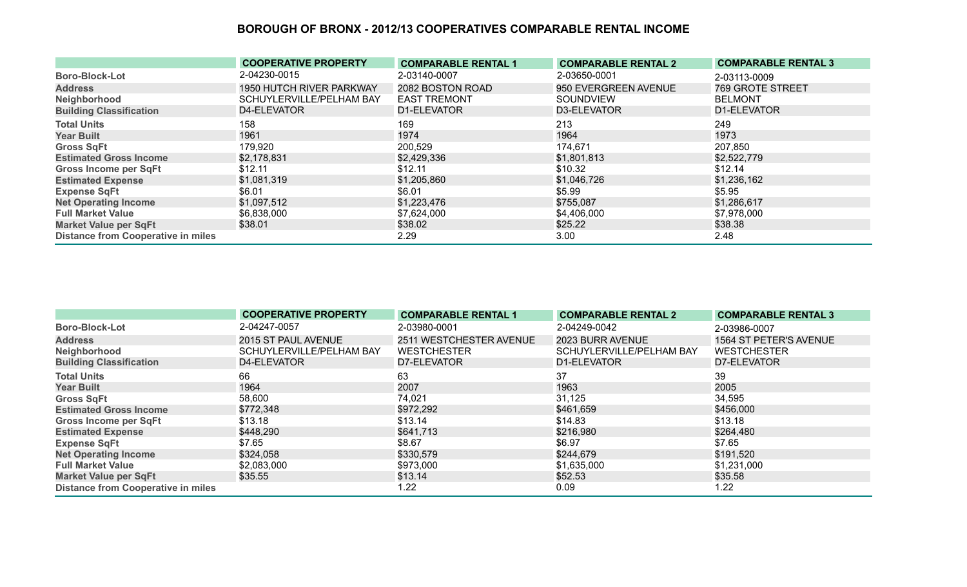|                                           | <b>COOPERATIVE PROPERTY</b> | <b>COMPARABLE RENTAL 1</b> | <b>COMPARABLE RENTAL 2</b> | <b>COMPARABLE RENTAL 3</b> |
|-------------------------------------------|-----------------------------|----------------------------|----------------------------|----------------------------|
| <b>Boro-Block-Lot</b>                     | 2-04230-0015                | 2-03140-0007               | 2-03650-0001               | 2-03113-0009               |
| <b>Address</b>                            | 1950 HUTCH RIVER PARKWAY    | 2082 BOSTON ROAD           | 950 EVERGREEN AVENUE       | 769 GROTE STREET           |
| Neighborhood                              | SCHUYLERVILLE/PELHAM BAY    | <b>EAST TREMONT</b>        | SOUNDVIEW                  | <b>BELMONT</b>             |
| <b>Building Classification</b>            | D4-ELEVATOR                 | D1-ELEVATOR                | D3-ELEVATOR                | D1-ELEVATOR                |
| <b>Total Units</b>                        | 158                         | 169                        | 213                        | 249                        |
| <b>Year Built</b>                         | 1961                        | 1974                       | 1964                       | 1973                       |
| <b>Gross SqFt</b>                         | 179,920                     | 200,529                    | 174,671                    | 207,850                    |
| <b>Estimated Gross Income</b>             | \$2,178,831                 | \$2,429,336                | \$1,801,813                | \$2,522,779                |
| <b>Gross Income per SqFt</b>              | \$12.11                     | \$12.11                    | \$10.32                    | \$12.14                    |
| <b>Estimated Expense</b>                  | \$1,081,319                 | \$1,205,860                | \$1,046,726                | \$1,236,162                |
| <b>Expense SqFt</b>                       | \$6.01                      | \$6.01                     | \$5.99                     | \$5.95                     |
| <b>Net Operating Income</b>               | \$1,097,512                 | \$1,223,476                | \$755,087                  | \$1,286,617                |
| <b>Full Market Value</b>                  | \$6,838,000                 | \$7,624,000                | \$4,406,000                | \$7,978,000                |
| <b>Market Value per SqFt</b>              | \$38.01                     | \$38.02                    | \$25.22                    | \$38.38                    |
| <b>Distance from Cooperative in miles</b> |                             | 2.29                       | 3.00                       | 2.48                       |

|                                           | <b>COOPERATIVE PROPERTY</b> | <b>COMPARABLE RENTAL 1</b> | <b>COMPARABLE RENTAL 2</b> | <b>COMPARABLE RENTAL 3</b> |
|-------------------------------------------|-----------------------------|----------------------------|----------------------------|----------------------------|
| <b>Boro-Block-Lot</b>                     | 2-04247-0057                | 2-03980-0001               | 2-04249-0042               | 2-03986-0007               |
| <b>Address</b>                            | 2015 ST PAUL AVENUE         | 2511 WESTCHESTER AVENUE    | 2023 BURR AVENUE           | 1564 ST PETER'S AVENUE     |
| Neighborhood                              | SCHUYLERVILLE/PELHAM BAY    | <b>WESTCHESTER</b>         | SCHUYLERVILLE/PELHAM BAY   | <b>WESTCHESTER</b>         |
| <b>Building Classification</b>            | D4-ELEVATOR                 | D7-ELEVATOR                | D1-ELEVATOR                | D7-ELEVATOR                |
| <b>Total Units</b>                        | 66                          | 63                         | 37                         | 39                         |
| <b>Year Built</b>                         | 1964                        | 2007                       | 1963                       | 2005                       |
| <b>Gross SqFt</b>                         | 58,600                      | 74,021                     | 31,125                     | 34,595                     |
| <b>Estimated Gross Income</b>             | \$772,348                   | \$972,292                  | \$461,659                  | \$456,000                  |
| <b>Gross Income per SqFt</b>              | \$13.18                     | \$13.14                    | \$14.83                    | \$13.18                    |
| <b>Estimated Expense</b>                  | \$448,290                   | \$641,713                  | \$216,980                  | \$264,480                  |
| <b>Expense SqFt</b>                       | \$7.65                      | \$8.67                     | \$6.97                     | \$7.65                     |
| <b>Net Operating Income</b>               | \$324,058                   | \$330,579                  | \$244,679                  | \$191,520                  |
| <b>Full Market Value</b>                  | \$2,083,000                 | \$973,000                  | \$1,635,000                | \$1,231,000                |
| <b>Market Value per SqFt</b>              | \$35.55                     | \$13.14                    | \$52.53                    | \$35.58                    |
| <b>Distance from Cooperative in miles</b> |                             | 1.22                       | 0.09                       | 1.22                       |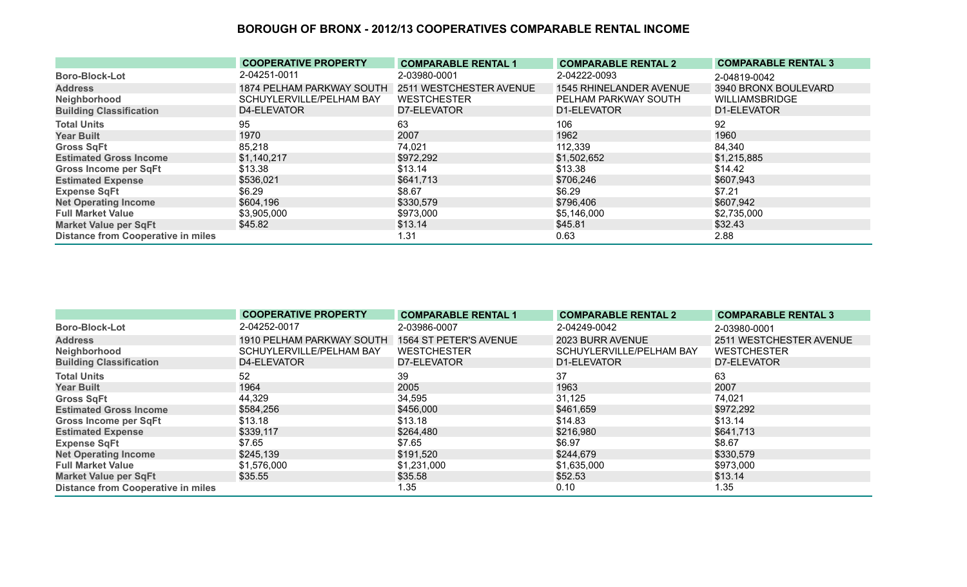|                                           | <b>COOPERATIVE PROPERTY</b> | <b>COMPARABLE RENTAL 1</b> | <b>COMPARABLE RENTAL 2</b> | <b>COMPARABLE RENTAL 3</b> |
|-------------------------------------------|-----------------------------|----------------------------|----------------------------|----------------------------|
| <b>Boro-Block-Lot</b>                     | 2-04251-0011                | 2-03980-0001               | 2-04222-0093               | 2-04819-0042               |
| <b>Address</b>                            | 1874 PELHAM PARKWAY SOUTH   | 2511 WESTCHESTER AVENUE    | 1545 RHINELANDER AVENUE    | 3940 BRONX BOULEVARD       |
| Neighborhood                              | SCHUYLERVILLE/PELHAM BAY    | <b>WESTCHESTER</b>         | PELHAM PARKWAY SOUTH       | <b>WILLIAMSBRIDGE</b>      |
| <b>Building Classification</b>            | D4-ELEVATOR                 | D7-ELEVATOR                | D1-ELEVATOR                | D1-ELEVATOR                |
| <b>Total Units</b>                        | 95                          | 63                         | 106                        | 92                         |
| <b>Year Built</b>                         | 1970                        | 2007                       | 1962                       | 1960                       |
| <b>Gross SqFt</b>                         | 85,218                      | 74,021                     | 112,339                    | 84,340                     |
| <b>Estimated Gross Income</b>             | \$1,140,217                 | \$972,292                  | \$1,502,652                | \$1,215,885                |
| Gross Income per SqFt                     | \$13.38                     | \$13.14                    | \$13.38                    | \$14.42                    |
| <b>Estimated Expense</b>                  | \$536,021                   | \$641,713                  | \$706,246                  | \$607,943                  |
| <b>Expense SqFt</b>                       | \$6.29                      | \$8.67                     | \$6.29                     | \$7.21                     |
| <b>Net Operating Income</b>               | \$604,196                   | \$330,579                  | \$796,406                  | \$607,942                  |
| <b>Full Market Value</b>                  | \$3,905,000                 | \$973,000                  | \$5,146,000                | \$2,735,000                |
| <b>Market Value per SqFt</b>              | \$45.82                     | \$13.14                    | \$45.81                    | \$32.43                    |
| <b>Distance from Cooperative in miles</b> |                             | 1.31                       | 0.63                       | 2.88                       |

|                                           | <b>COOPERATIVE PROPERTY</b> | <b>COMPARABLE RENTAL 1</b> | <b>COMPARABLE RENTAL 2</b> | <b>COMPARABLE RENTAL 3</b> |
|-------------------------------------------|-----------------------------|----------------------------|----------------------------|----------------------------|
| <b>Boro-Block-Lot</b>                     | 2-04252-0017                | 2-03986-0007               | 2-04249-0042               | 2-03980-0001               |
| <b>Address</b>                            | 1910 PELHAM PARKWAY SOUTH   | 1564 ST PETER'S AVENUE     | 2023 BURR AVENUE           | 2511 WESTCHESTER AVENUE    |
| Neighborhood                              | SCHUYLERVILLE/PELHAM BAY    | <b>WESTCHESTER</b>         | SCHUYLERVILLE/PELHAM BAY   | <b>WESTCHESTER</b>         |
| <b>Building Classification</b>            | D4-ELEVATOR                 | D7-ELEVATOR                | D1-ELEVATOR                | D7-ELEVATOR                |
| <b>Total Units</b>                        | 52                          | 39                         | 37                         | 63                         |
| <b>Year Built</b>                         | 1964                        | 2005                       | 1963                       | 2007                       |
| <b>Gross SqFt</b>                         | 44,329                      | 34,595                     | 31,125                     | 74,021                     |
| <b>Estimated Gross Income</b>             | \$584,256                   | \$456,000                  | \$461,659                  | \$972,292                  |
| Gross Income per SqFt                     | \$13.18                     | \$13.18                    | \$14.83                    | \$13.14                    |
| <b>Estimated Expense</b>                  | \$339,117                   | \$264,480                  | \$216,980                  | \$641,713                  |
| <b>Expense SqFt</b>                       | \$7.65                      | \$7.65                     | \$6.97                     | \$8.67                     |
| <b>Net Operating Income</b>               | \$245,139                   | \$191,520                  | \$244,679                  | \$330,579                  |
| <b>Full Market Value</b>                  | \$1,576,000                 | \$1,231,000                | \$1,635,000                | \$973,000                  |
| <b>Market Value per SqFt</b>              | \$35.55                     | \$35.58                    | \$52.53                    | \$13.14                    |
| <b>Distance from Cooperative in miles</b> |                             | 1.35                       | 0.10                       | 1.35                       |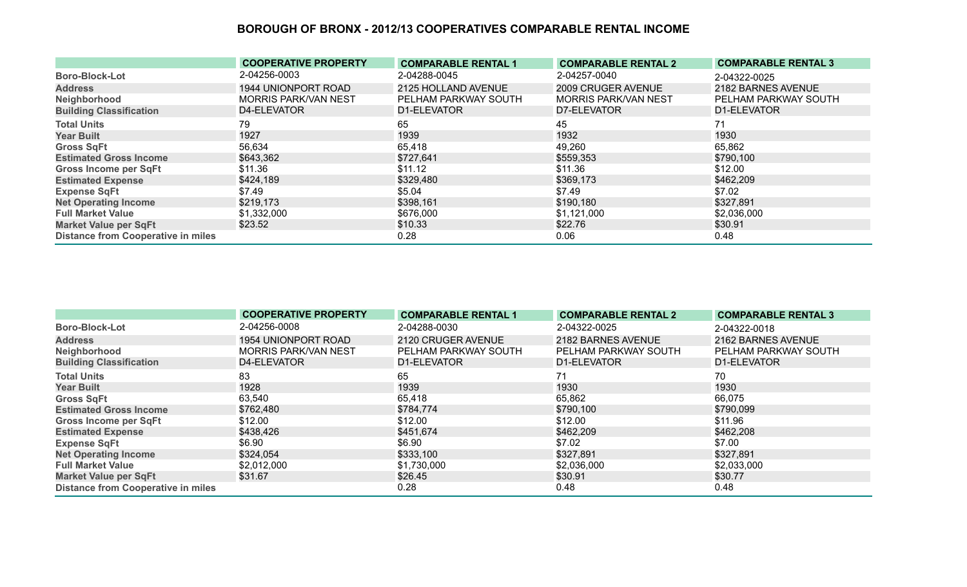|                                           | <b>COOPERATIVE PROPERTY</b> | <b>COMPARABLE RENTAL 1</b> | <b>COMPARABLE RENTAL 2</b>  | <b>COMPARABLE RENTAL 3</b> |
|-------------------------------------------|-----------------------------|----------------------------|-----------------------------|----------------------------|
| <b>Boro-Block-Lot</b>                     | 2-04256-0003                | 2-04288-0045               | 2-04257-0040                | 2-04322-0025               |
| <b>Address</b>                            | 1944 UNIONPORT ROAD         | 2125 HOLLAND AVENUE        | 2009 CRUGER AVENUE          | 2182 BARNES AVENUE         |
| Neighborhood                              | <b>MORRIS PARK/VAN NEST</b> | PELHAM PARKWAY SOUTH       | <b>MORRIS PARK/VAN NEST</b> | PELHAM PARKWAY SOUTH       |
| <b>Building Classification</b>            | D4-ELEVATOR                 | D1-ELEVATOR                | D7-ELEVATOR                 | D1-ELEVATOR                |
| <b>Total Units</b>                        | 79                          | 65                         | 45                          | 71                         |
| <b>Year Built</b>                         | 1927                        | 1939                       | 1932                        | 1930                       |
| <b>Gross SqFt</b>                         | 56,634                      | 65,418                     | 49,260                      | 65,862                     |
| <b>Estimated Gross Income</b>             | \$643,362                   | \$727,641                  | \$559,353                   | \$790,100                  |
| <b>Gross Income per SqFt</b>              | \$11.36                     | \$11.12                    | \$11.36                     | \$12.00                    |
| <b>Estimated Expense</b>                  | \$424,189                   | \$329,480                  | \$369,173                   | \$462,209                  |
| <b>Expense SqFt</b>                       | \$7.49                      | \$5.04                     | \$7.49                      | \$7.02                     |
| <b>Net Operating Income</b>               | \$219,173                   | \$398,161                  | \$190,180                   | \$327,891                  |
| <b>Full Market Value</b>                  | \$1,332,000                 | \$676,000                  | \$1,121,000                 | \$2,036,000                |
| <b>Market Value per SqFt</b>              | \$23.52                     | \$10.33                    | \$22.76                     | \$30.91                    |
| <b>Distance from Cooperative in miles</b> |                             | 0.28                       | 0.06                        | 0.48                       |

|                                           | <b>COOPERATIVE PROPERTY</b> | <b>COMPARABLE RENTAL 1</b> | <b>COMPARABLE RENTAL 2</b> | <b>COMPARABLE RENTAL 3</b> |
|-------------------------------------------|-----------------------------|----------------------------|----------------------------|----------------------------|
| <b>Boro-Block-Lot</b>                     | 2-04256-0008                | 2-04288-0030               | 2-04322-0025               | 2-04322-0018               |
| <b>Address</b>                            | 1954 UNIONPORT ROAD         | 2120 CRUGER AVENUE         | 2182 BARNES AVENUE         | 2162 BARNES AVENUE         |
| Neighborhood                              | <b>MORRIS PARK/VAN NEST</b> | PELHAM PARKWAY SOUTH       | PELHAM PARKWAY SOUTH       | PELHAM PARKWAY SOUTH       |
| <b>Building Classification</b>            | D4-ELEVATOR                 | D1-ELEVATOR                | D1-ELEVATOR                | D1-ELEVATOR                |
| <b>Total Units</b>                        | 83                          | 65                         | 71                         | 70                         |
| <b>Year Built</b>                         | 1928                        | 1939                       | 1930                       | 1930                       |
| <b>Gross SqFt</b>                         | 63,540                      | 65,418                     | 65,862                     | 66,075                     |
| <b>Estimated Gross Income</b>             | \$762,480                   | \$784,774                  | \$790,100                  | \$790,099                  |
| <b>Gross Income per SqFt</b>              | \$12.00                     | \$12.00                    | \$12.00                    | \$11.96                    |
| <b>Estimated Expense</b>                  | \$438,426                   | \$451,674                  | \$462,209                  | \$462,208                  |
| <b>Expense SqFt</b>                       | \$6.90                      | \$6.90                     | \$7.02                     | \$7.00                     |
| <b>Net Operating Income</b>               | \$324,054                   | \$333,100                  | \$327,891                  | \$327,891                  |
| <b>Full Market Value</b>                  | \$2,012,000                 | \$1,730,000                | \$2,036,000                | \$2,033,000                |
| <b>Market Value per SqFt</b>              | \$31.67                     | \$26.45                    | \$30.91                    | \$30.77                    |
| <b>Distance from Cooperative in miles</b> |                             | 0.28                       | 0.48                       | 0.48                       |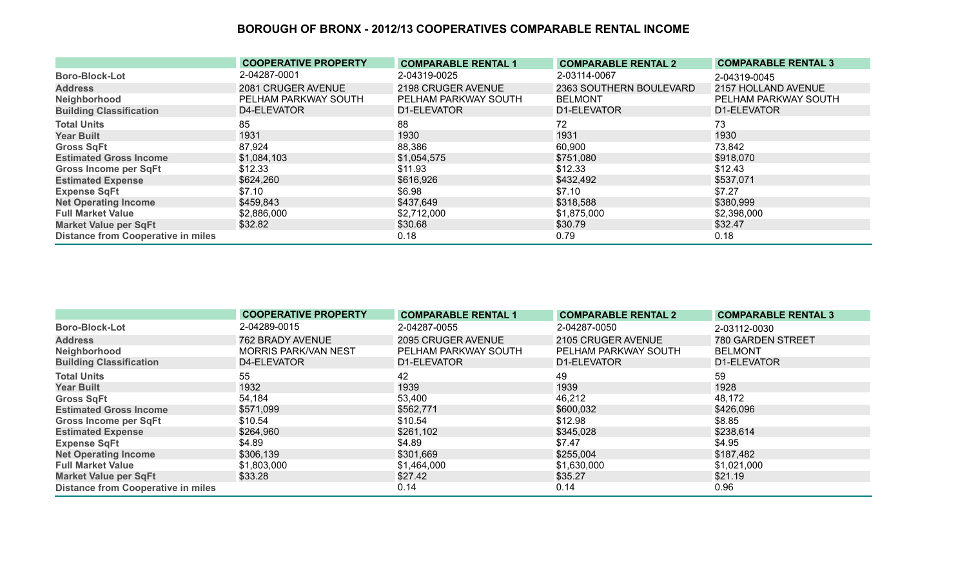|                                           | <b>COOPERATIVE PROPERTY</b> | <b>COMPARABLE RENTAL 1</b> | <b>COMPARABLE RENTAL 2</b> | <b>COMPARABLE RENTAL 3</b> |
|-------------------------------------------|-----------------------------|----------------------------|----------------------------|----------------------------|
| <b>Boro-Block-Lot</b>                     | 2-04287-0001                | 2-04319-0025               | 2-03114-0067               | 2-04319-0045               |
| <b>Address</b>                            | 2081 CRUGER AVENUE          | 2198 CRUGER AVENUE         | 2363 SOUTHERN BOULEVARD    | 2157 HOLLAND AVENUE        |
| Neighborhood                              | PELHAM PARKWAY SOUTH        | PELHAM PARKWAY SOUTH       | <b>BELMONT</b>             | PELHAM PARKWAY SOUTH       |
| <b>Building Classification</b>            | D4-ELEVATOR                 | D1-ELEVATOR                | D1-ELEVATOR                | D1-ELEVATOR                |
| <b>Total Units</b>                        | 85                          | 88                         | 72                         | 73                         |
| <b>Year Built</b>                         | 1931                        | 1930                       | 1931                       | 1930                       |
| <b>Gross SqFt</b>                         | 87,924                      | 88,386                     | 60,900                     | 73,842                     |
| <b>Estimated Gross Income</b>             | \$1,084,103                 | \$1,054,575                | \$751,080                  | \$918,070                  |
| <b>Gross Income per SqFt</b>              | \$12.33                     | \$11.93                    | \$12.33                    | \$12.43                    |
| <b>Estimated Expense</b>                  | \$624,260                   | \$616,926                  | \$432,492                  | \$537,071                  |
| <b>Expense SqFt</b>                       | \$7.10                      | \$6.98                     | \$7.10                     | \$7.27                     |
| <b>Net Operating Income</b>               | \$459,843                   | \$437,649                  | \$318,588                  | \$380,999                  |
| <b>Full Market Value</b>                  | \$2,886,000                 | \$2,712,000                | \$1,875,000                | \$2,398,000                |
| <b>Market Value per SqFt</b>              | \$32.82                     | \$30.68                    | \$30.79                    | \$32.47                    |
| <b>Distance from Cooperative in miles</b> |                             | 0.18                       | 0.79                       | 0.18                       |

|                                           | <b>COOPERATIVE PROPERTY</b> | <b>COMPARABLE RENTAL 1</b> | <b>COMPARABLE RENTAL 2</b> | <b>COMPARABLE RENTAL 3</b> |
|-------------------------------------------|-----------------------------|----------------------------|----------------------------|----------------------------|
| <b>Boro-Block-Lot</b>                     | 2-04289-0015                | 2-04287-0055               | 2-04287-0050               | 2-03112-0030               |
| <b>Address</b>                            | 762 BRADY AVENUE            | 2095 CRUGER AVENUE         | 2105 CRUGER AVENUE         | 780 GARDEN STREET          |
| Neighborhood                              | <b>MORRIS PARK/VAN NEST</b> | PELHAM PARKWAY SOUTH       | PELHAM PARKWAY SOUTH       | <b>BELMONT</b>             |
| <b>Building Classification</b>            | D4-ELEVATOR                 | D1-ELEVATOR                | D1-ELEVATOR                | D1-ELEVATOR                |
| <b>Total Units</b>                        | 55                          | 42                         | 49                         | 59                         |
| <b>Year Built</b>                         | 1932                        | 1939                       | 1939                       | 1928                       |
| <b>Gross SqFt</b>                         | 54,184                      | 53,400                     | 46,212                     | 48,172                     |
| <b>Estimated Gross Income</b>             | \$571,099                   | \$562,771                  | \$600,032                  | \$426,096                  |
| <b>Gross Income per SqFt</b>              | \$10.54                     | \$10.54                    | \$12.98                    | \$8.85                     |
| <b>Estimated Expense</b>                  | \$264,960                   | \$261,102                  | \$345,028                  | \$238,614                  |
| <b>Expense SqFt</b>                       | \$4.89                      | \$4.89                     | \$7.47                     | \$4.95                     |
| <b>Net Operating Income</b>               | \$306,139                   | \$301,669                  | \$255,004                  | \$187,482                  |
| <b>Full Market Value</b>                  | \$1,803,000                 | \$1,464,000                | \$1,630,000                | \$1,021,000                |
| <b>Market Value per SqFt</b>              | \$33.28                     | \$27.42                    | \$35.27                    | \$21.19                    |
| <b>Distance from Cooperative in miles</b> |                             | 0.14                       | 0.14                       | 0.96                       |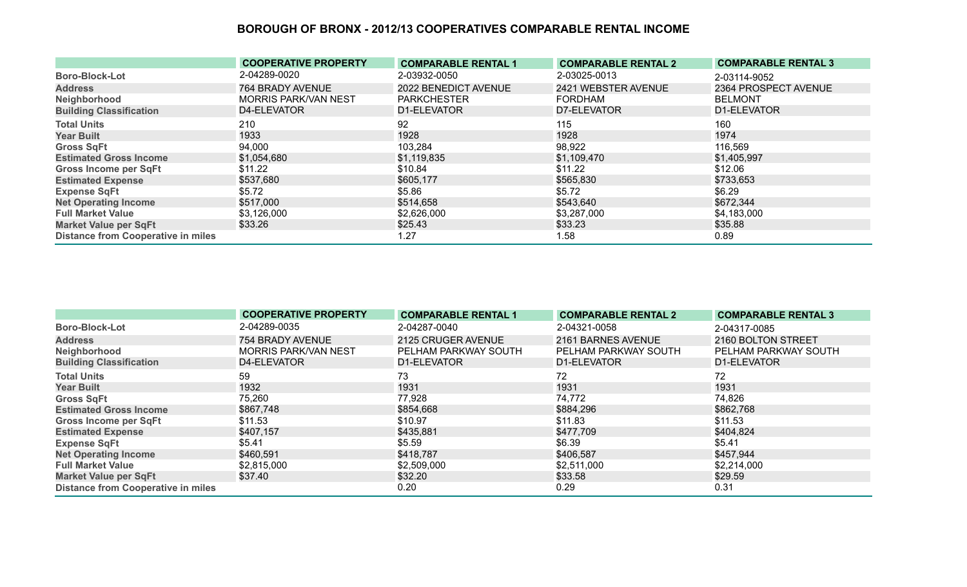|                                           | <b>COOPERATIVE PROPERTY</b> | <b>COMPARABLE RENTAL 1</b> | <b>COMPARABLE RENTAL 2</b> | <b>COMPARABLE RENTAL 3</b> |
|-------------------------------------------|-----------------------------|----------------------------|----------------------------|----------------------------|
| <b>Boro-Block-Lot</b>                     | 2-04289-0020                | 2-03932-0050               | 2-03025-0013               | 2-03114-9052               |
| <b>Address</b>                            | 764 BRADY AVENUE            | 2022 BENEDICT AVENUE       | 2421 WEBSTER AVENUE        | 2364 PROSPECT AVENUE       |
| Neighborhood                              | <b>MORRIS PARK/VAN NEST</b> | <b>PARKCHESTER</b>         | <b>FORDHAM</b>             | <b>BELMONT</b>             |
| <b>Building Classification</b>            | D4-ELEVATOR                 | D1-ELEVATOR                | D7-ELEVATOR                | D1-ELEVATOR                |
| <b>Total Units</b>                        | 210                         | 92                         | 115                        | 160                        |
| <b>Year Built</b>                         | 1933                        | 1928                       | 1928                       | 1974                       |
| <b>Gross SqFt</b>                         | 94,000                      | 103,284                    | 98,922                     | 116,569                    |
| <b>Estimated Gross Income</b>             | \$1,054,680                 | \$1,119,835                | \$1,109,470                | \$1,405,997                |
| <b>Gross Income per SqFt</b>              | \$11.22                     | \$10.84                    | \$11.22                    | \$12.06                    |
| <b>Estimated Expense</b>                  | \$537,680                   | \$605,177                  | \$565,830                  | \$733,653                  |
| <b>Expense SqFt</b>                       | \$5.72                      | \$5.86                     | \$5.72                     | \$6.29                     |
| <b>Net Operating Income</b>               | \$517,000                   | \$514,658                  | \$543,640                  | \$672,344                  |
| <b>Full Market Value</b>                  | \$3,126,000                 | \$2,626,000                | \$3,287,000                | \$4,183,000                |
| <b>Market Value per SqFt</b>              | \$33.26                     | \$25.43                    | \$33.23                    | \$35.88                    |
| <b>Distance from Cooperative in miles</b> |                             | 1.27                       | 1.58                       | 0.89                       |

|                                           | <b>COOPERATIVE PROPERTY</b> | <b>COMPARABLE RENTAL 1</b> | <b>COMPARABLE RENTAL 2</b> | <b>COMPARABLE RENTAL 3</b> |
|-------------------------------------------|-----------------------------|----------------------------|----------------------------|----------------------------|
| <b>Boro-Block-Lot</b>                     | 2-04289-0035                | 2-04287-0040               | 2-04321-0058               | 2-04317-0085               |
| <b>Address</b>                            | 754 BRADY AVENUE            | 2125 CRUGER AVENUE         | 2161 BARNES AVENUE         | 2160 BOLTON STREET         |
| Neighborhood                              | <b>MORRIS PARK/VAN NEST</b> | PELHAM PARKWAY SOUTH       | PELHAM PARKWAY SOUTH       | PELHAM PARKWAY SOUTH       |
| <b>Building Classification</b>            | D4-ELEVATOR                 | D1-ELEVATOR                | D1-ELEVATOR                | D1-ELEVATOR                |
| <b>Total Units</b>                        | 59                          | 73                         | 72                         | 72                         |
| <b>Year Built</b>                         | 1932                        | 1931                       | 1931                       | 1931                       |
| <b>Gross SqFt</b>                         | 75,260                      | 77,928                     | 74,772                     | 74,826                     |
| <b>Estimated Gross Income</b>             | \$867,748                   | \$854,668                  | \$884,296                  | \$862,768                  |
| <b>Gross Income per SqFt</b>              | \$11.53                     | \$10.97                    | \$11.83                    | \$11.53                    |
| <b>Estimated Expense</b>                  | \$407,157                   | \$435,881                  | \$477,709                  | \$404,824                  |
| <b>Expense SqFt</b>                       | \$5.41                      | \$5.59                     | \$6.39                     | \$5.41                     |
| <b>Net Operating Income</b>               | \$460,591                   | \$418,787                  | \$406,587                  | \$457,944                  |
| <b>Full Market Value</b>                  | \$2,815,000                 | \$2,509,000                | \$2,511,000                | \$2,214,000                |
| <b>Market Value per SqFt</b>              | \$37.40                     | \$32.20                    | \$33.58                    | \$29.59                    |
| <b>Distance from Cooperative in miles</b> |                             | 0.20                       | 0.29                       | 0.31                       |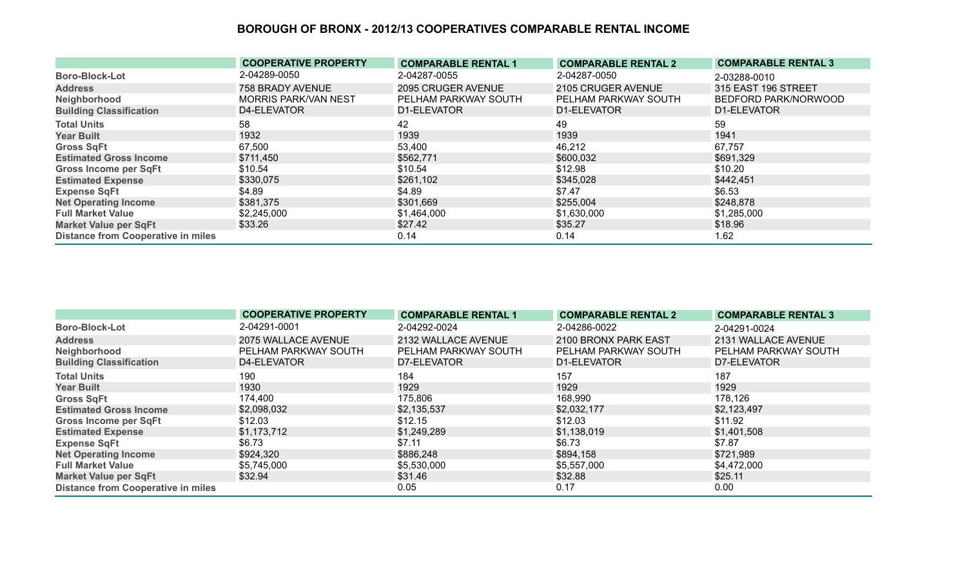|                                           | <b>COOPERATIVE PROPERTY</b> | <b>COMPARABLE RENTAL 1</b> | <b>COMPARABLE RENTAL 2</b> | <b>COMPARABLE RENTAL 3</b> |
|-------------------------------------------|-----------------------------|----------------------------|----------------------------|----------------------------|
| <b>Boro-Block-Lot</b>                     | 2-04289-0050                | 2-04287-0055               | 2-04287-0050               | 2-03288-0010               |
| <b>Address</b>                            | 758 BRADY AVENUE            | 2095 CRUGER AVENUE         | 2105 CRUGER AVENUE         | 315 EAST 196 STREET        |
| Neighborhood                              | <b>MORRIS PARK/VAN NEST</b> | PELHAM PARKWAY SOUTH       | PELHAM PARKWAY SOUTH       | BEDFORD PARK/NORWOOD       |
| <b>Building Classification</b>            | D4-ELEVATOR                 | D1-ELEVATOR                | D1-ELEVATOR                | D1-ELEVATOR                |
| <b>Total Units</b>                        | 58                          | 42                         | 49                         | 59                         |
| <b>Year Built</b>                         | 1932                        | 1939                       | 1939                       | 1941                       |
| <b>Gross SqFt</b>                         | 67,500                      | 53,400                     | 46,212                     | 67,757                     |
| <b>Estimated Gross Income</b>             | \$711,450                   | \$562,771                  | \$600,032                  | \$691,329                  |
| <b>Gross Income per SqFt</b>              | \$10.54                     | \$10.54                    | \$12.98                    | \$10.20                    |
| <b>Estimated Expense</b>                  | \$330,075                   | \$261,102                  | \$345,028                  | \$442,451                  |
| <b>Expense SqFt</b>                       | \$4.89                      | \$4.89                     | \$7.47                     | \$6.53                     |
| <b>Net Operating Income</b>               | \$381,375                   | \$301,669                  | \$255,004                  | \$248,878                  |
| <b>Full Market Value</b>                  | \$2,245,000                 | \$1,464,000                | \$1,630,000                | \$1,285,000                |
| <b>Market Value per SqFt</b>              | \$33.26                     | \$27.42                    | \$35.27                    | \$18.96                    |
| <b>Distance from Cooperative in miles</b> |                             | 0.14                       | 0.14                       | 1.62                       |

|                                           | <b>COOPERATIVE PROPERTY</b> | <b>COMPARABLE RENTAL 1</b> | <b>COMPARABLE RENTAL 2</b> | <b>COMPARABLE RENTAL 3</b> |
|-------------------------------------------|-----------------------------|----------------------------|----------------------------|----------------------------|
| <b>Boro-Block-Lot</b>                     | 2-04291-0001                | 2-04292-0024               | 2-04286-0022               | 2-04291-0024               |
| <b>Address</b>                            | 2075 WALLACE AVENUE         | 2132 WALLACE AVENUE        | 2100 BRONX PARK EAST       | 2131 WALLACE AVENUE        |
| Neighborhood                              | PELHAM PARKWAY SOUTH        | PELHAM PARKWAY SOUTH       | PELHAM PARKWAY SOUTH       | PELHAM PARKWAY SOUTH       |
| <b>Building Classification</b>            | D4-ELEVATOR                 | D7-ELEVATOR                | D1-ELEVATOR                | D7-ELEVATOR                |
| <b>Total Units</b>                        | 190                         | 184                        | 157                        | 187                        |
| <b>Year Built</b>                         | 1930                        | 1929                       | 1929                       | 1929                       |
| <b>Gross SqFt</b>                         | 174,400                     | 175,806                    | 168,990                    | 178,126                    |
| <b>Estimated Gross Income</b>             | \$2,098,032                 | \$2,135,537                | \$2,032,177                | \$2,123,497                |
| <b>Gross Income per SqFt</b>              | \$12.03                     | \$12.15                    | \$12.03                    | \$11.92                    |
| <b>Estimated Expense</b>                  | \$1,173,712                 | \$1,249,289                | \$1,138,019                | \$1,401,508                |
| <b>Expense SqFt</b>                       | \$6.73                      | \$7.11                     | \$6.73                     | \$7.87                     |
| <b>Net Operating Income</b>               | \$924,320                   | \$886,248                  | \$894,158                  | \$721,989                  |
| <b>Full Market Value</b>                  | \$5,745,000                 | \$5,530,000                | \$5,557,000                | \$4,472,000                |
| <b>Market Value per SqFt</b>              | \$32.94                     | \$31.46                    | \$32.88                    | \$25.11                    |
| <b>Distance from Cooperative in miles</b> |                             | 0.05                       | 0.17                       | 0.00                       |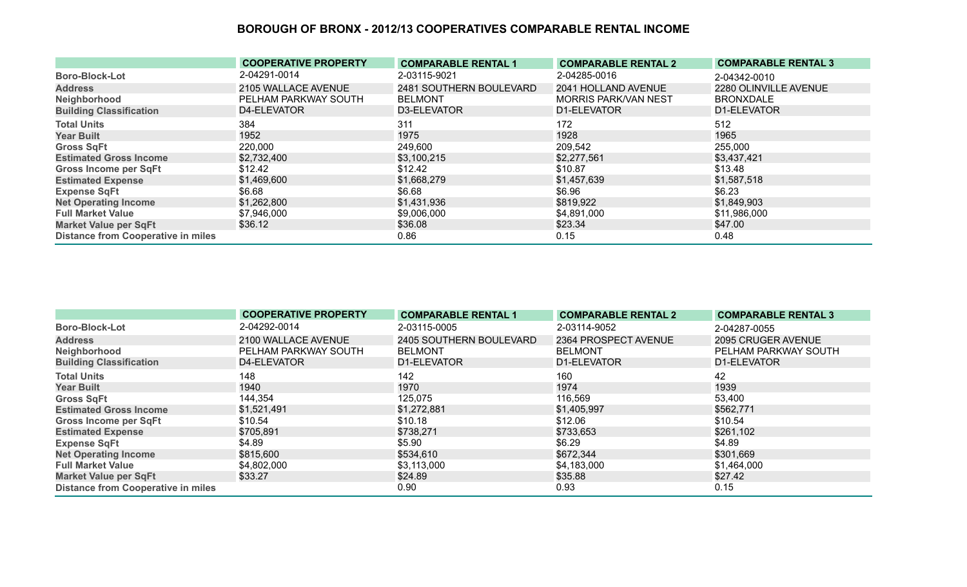|                                           | <b>COOPERATIVE PROPERTY</b> | <b>COMPARABLE RENTAL 1</b> | <b>COMPARABLE RENTAL 2</b>  | <b>COMPARABLE RENTAL 3</b> |
|-------------------------------------------|-----------------------------|----------------------------|-----------------------------|----------------------------|
| <b>Boro-Block-Lot</b>                     | 2-04291-0014                | 2-03115-9021               | 2-04285-0016                | 2-04342-0010               |
| <b>Address</b>                            | 2105 WALLACE AVENUE         | 2481 SOUTHERN BOULEVARD    | 2041 HOLLAND AVENUE         | 2280 OLINVILLE AVENUE      |
| Neighborhood                              | PELHAM PARKWAY SOUTH        | <b>BELMONT</b>             | <b>MORRIS PARK/VAN NEST</b> | <b>BRONXDALE</b>           |
| <b>Building Classification</b>            | D4-ELEVATOR                 | D3-ELEVATOR                | D1-ELEVATOR                 | D1-ELEVATOR                |
| <b>Total Units</b>                        | 384                         | 311                        | 172                         | 512                        |
| <b>Year Built</b>                         | 1952                        | 1975                       | 1928                        | 1965                       |
| <b>Gross SqFt</b>                         | 220,000                     | 249,600                    | 209,542                     | 255,000                    |
| <b>Estimated Gross Income</b>             | \$2,732,400                 | \$3,100,215                | \$2,277,561                 | \$3,437,421                |
| <b>Gross Income per SqFt</b>              | \$12.42                     | \$12.42                    | \$10.87                     | \$13.48                    |
| <b>Estimated Expense</b>                  | \$1,469,600                 | \$1,668,279                | \$1,457,639                 | \$1,587,518                |
| <b>Expense SqFt</b>                       | \$6.68                      | \$6.68                     | \$6.96                      | \$6.23                     |
| <b>Net Operating Income</b>               | \$1,262,800                 | \$1,431,936                | \$819,922                   | \$1,849,903                |
| <b>Full Market Value</b>                  | \$7,946,000                 | \$9,006,000                | \$4,891,000                 | \$11,986,000               |
| <b>Market Value per SqFt</b>              | \$36.12                     | \$36.08                    | \$23.34                     | \$47.00                    |
| <b>Distance from Cooperative in miles</b> |                             | 0.86                       | 0.15                        | 0.48                       |

|                                           | <b>COOPERATIVE PROPERTY</b> | <b>COMPARABLE RENTAL 1</b> | <b>COMPARABLE RENTAL 2</b> | <b>COMPARABLE RENTAL 3</b> |
|-------------------------------------------|-----------------------------|----------------------------|----------------------------|----------------------------|
| <b>Boro-Block-Lot</b>                     | 2-04292-0014                | 2-03115-0005               | 2-03114-9052               | 2-04287-0055               |
| <b>Address</b>                            | 2100 WALLACE AVENUE         | 2405 SOUTHERN BOULEVARD    | 2364 PROSPECT AVENUE       | 2095 CRUGER AVENUE         |
| Neighborhood                              | PELHAM PARKWAY SOUTH        | <b>BELMONT</b>             | <b>BELMONT</b>             | PELHAM PARKWAY SOUTH       |
| <b>Building Classification</b>            | D4-ELEVATOR                 | D1-ELEVATOR                | D1-ELEVATOR                | D1-ELEVATOR                |
| <b>Total Units</b>                        | 148                         | 142                        | 160                        | 42                         |
| <b>Year Built</b>                         | 1940                        | 1970                       | 1974                       | 1939                       |
| <b>Gross SqFt</b>                         | 144,354                     | 125,075                    | 116,569                    | 53,400                     |
| <b>Estimated Gross Income</b>             | \$1,521,491                 | \$1,272,881                | \$1,405,997                | \$562,771                  |
| <b>Gross Income per SqFt</b>              | \$10.54                     | \$10.18                    | \$12.06                    | \$10.54                    |
| <b>Estimated Expense</b>                  | \$705,891                   | \$738,271                  | \$733,653                  | \$261,102                  |
| <b>Expense SqFt</b>                       | \$4.89                      | \$5.90                     | \$6.29                     | \$4.89                     |
| <b>Net Operating Income</b>               | \$815,600                   | \$534,610                  | \$672,344                  | \$301,669                  |
| <b>Full Market Value</b>                  | \$4,802,000                 | \$3,113,000                | \$4,183,000                | \$1,464,000                |
| <b>Market Value per SqFt</b>              | \$33.27                     | \$24.89                    | \$35.88                    | \$27.42                    |
| <b>Distance from Cooperative in miles</b> |                             | 0.90                       | 0.93                       | 0.15                       |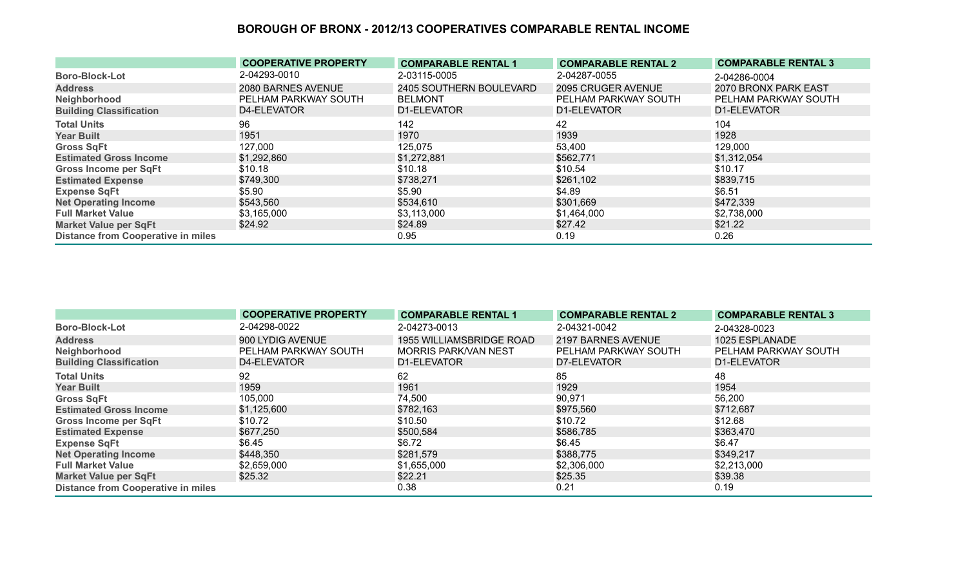|                                           | <b>COOPERATIVE PROPERTY</b> | <b>COMPARABLE RENTAL 1</b> | <b>COMPARABLE RENTAL 2</b> | <b>COMPARABLE RENTAL 3</b> |
|-------------------------------------------|-----------------------------|----------------------------|----------------------------|----------------------------|
| <b>Boro-Block-Lot</b>                     | 2-04293-0010                | 2-03115-0005               | 2-04287-0055               | 2-04286-0004               |
| <b>Address</b>                            | 2080 BARNES AVENUE          | 2405 SOUTHERN BOULEVARD    | 2095 CRUGER AVENUE         | 2070 BRONX PARK EAST       |
| Neighborhood                              | PELHAM PARKWAY SOUTH        | <b>BELMONT</b>             | PELHAM PARKWAY SOUTH       | PELHAM PARKWAY SOUTH       |
| <b>Building Classification</b>            | D4-ELEVATOR                 | D1-ELEVATOR                | D1-ELEVATOR                | D1-ELEVATOR                |
| <b>Total Units</b>                        | 96                          | 142                        | 42                         | 104                        |
| <b>Year Built</b>                         | 1951                        | 1970                       | 1939                       | 1928                       |
| <b>Gross SqFt</b>                         | 127,000                     | 125,075                    | 53,400                     | 129,000                    |
| <b>Estimated Gross Income</b>             | \$1,292,860                 | \$1,272,881                | \$562,771                  | \$1,312,054                |
| <b>Gross Income per SqFt</b>              | \$10.18                     | \$10.18                    | \$10.54                    | \$10.17                    |
| <b>Estimated Expense</b>                  | \$749,300                   | \$738,271                  | \$261,102                  | \$839,715                  |
| <b>Expense SqFt</b>                       | \$5.90                      | \$5.90                     | \$4.89                     | \$6.51                     |
| <b>Net Operating Income</b>               | \$543,560                   | \$534,610                  | \$301,669                  | \$472,339                  |
| <b>Full Market Value</b>                  | \$3,165,000                 | \$3,113,000                | \$1,464,000                | \$2,738,000                |
| <b>Market Value per SqFt</b>              | \$24.92                     | \$24.89                    | \$27.42                    | \$21.22                    |
| <b>Distance from Cooperative in miles</b> |                             | 0.95                       | 0.19                       | 0.26                       |

|                                           | <b>COOPERATIVE PROPERTY</b> | <b>COMPARABLE RENTAL 1</b>  | <b>COMPARABLE RENTAL 2</b> | <b>COMPARABLE RENTAL 3</b> |
|-------------------------------------------|-----------------------------|-----------------------------|----------------------------|----------------------------|
| <b>Boro-Block-Lot</b>                     | 2-04298-0022                | 2-04273-0013                | 2-04321-0042               | 2-04328-0023               |
| <b>Address</b>                            | 900 LYDIG AVENUE            | 1955 WILLIAMSBRIDGE ROAD    | 2197 BARNES AVENUE         | 1025 ESPLANADE             |
| Neighborhood                              | PELHAM PARKWAY SOUTH        | <b>MORRIS PARK/VAN NEST</b> | PELHAM PARKWAY SOUTH       | PELHAM PARKWAY SOUTH       |
| <b>Building Classification</b>            | D4-ELEVATOR                 | D1-ELEVATOR                 | D7-ELEVATOR                | D1-ELEVATOR                |
| <b>Total Units</b>                        | 92                          | 62                          | 85                         | 48                         |
| <b>Year Built</b>                         | 1959                        | 1961                        | 1929                       | 1954                       |
| <b>Gross SqFt</b>                         | 105,000                     | 74,500                      | 90,971                     | 56,200                     |
| <b>Estimated Gross Income</b>             | \$1,125,600                 | \$782,163                   | \$975,560                  | \$712,687                  |
| <b>Gross Income per SqFt</b>              | \$10.72                     | \$10.50                     | \$10.72                    | \$12.68                    |
| <b>Estimated Expense</b>                  | \$677,250                   | \$500,584                   | \$586,785                  | \$363,470                  |
| <b>Expense SqFt</b>                       | \$6.45                      | \$6.72                      | \$6.45                     | \$6.47                     |
| <b>Net Operating Income</b>               | \$448,350                   | \$281,579                   | \$388,775                  | \$349,217                  |
| <b>Full Market Value</b>                  | \$2,659,000                 | \$1,655,000                 | \$2,306,000                | \$2,213,000                |
| <b>Market Value per SqFt</b>              | \$25.32                     | \$22.21                     | \$25.35                    | \$39.38                    |
| <b>Distance from Cooperative in miles</b> |                             | 0.38                        | 0.21                       | 0.19                       |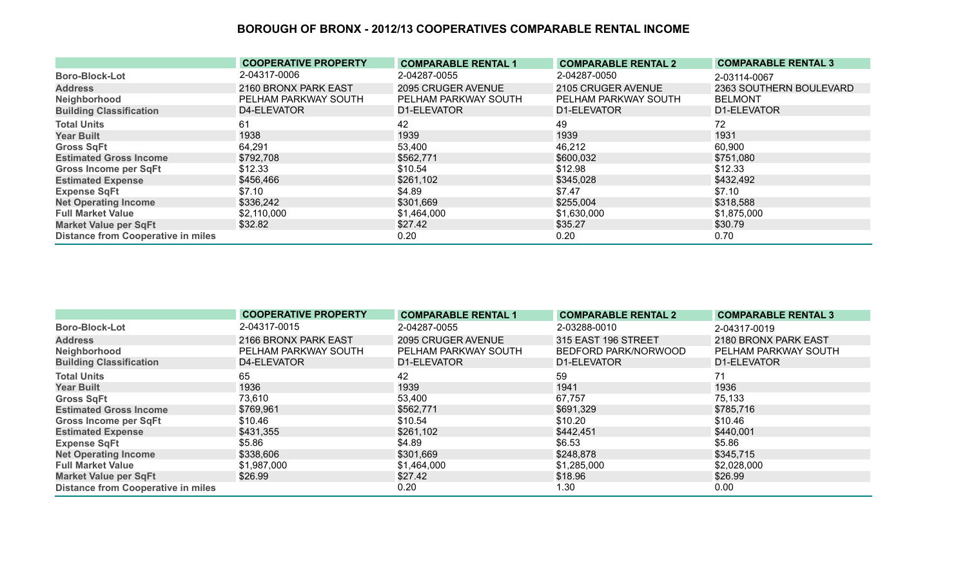|                                           | <b>COOPERATIVE PROPERTY</b> | <b>COMPARABLE RENTAL 1</b> | <b>COMPARABLE RENTAL 2</b> | <b>COMPARABLE RENTAL 3</b> |
|-------------------------------------------|-----------------------------|----------------------------|----------------------------|----------------------------|
| <b>Boro-Block-Lot</b>                     | 2-04317-0006                | 2-04287-0055               | 2-04287-0050               | 2-03114-0067               |
| <b>Address</b>                            | 2160 BRONX PARK EAST        | 2095 CRUGER AVENUE         | 2105 CRUGER AVENUE         | 2363 SOUTHERN BOULEVARD    |
| Neighborhood                              | PELHAM PARKWAY SOUTH        | PELHAM PARKWAY SOUTH       | PELHAM PARKWAY SOUTH       | <b>BELMONT</b>             |
| <b>Building Classification</b>            | D4-ELEVATOR                 | D1-ELEVATOR                | D1-ELEVATOR                | D1-ELEVATOR                |
| <b>Total Units</b>                        | 61                          | 42                         | 49                         | 72                         |
| <b>Year Built</b>                         | 1938                        | 1939                       | 1939                       | 1931                       |
| <b>Gross SqFt</b>                         | 64,291                      | 53,400                     | 46,212                     | 60,900                     |
| <b>Estimated Gross Income</b>             | \$792,708                   | \$562,771                  | \$600,032                  | \$751,080                  |
| Gross Income per SqFt                     | \$12.33                     | \$10.54                    | \$12.98                    | \$12.33                    |
| <b>Estimated Expense</b>                  | \$456,466                   | \$261,102                  | \$345,028                  | \$432,492                  |
| <b>Expense SqFt</b>                       | \$7.10                      | \$4.89                     | \$7.47                     | \$7.10                     |
| <b>Net Operating Income</b>               | \$336,242                   | \$301,669                  | \$255,004                  | \$318,588                  |
| <b>Full Market Value</b>                  | \$2,110,000                 | \$1,464,000                | \$1,630,000                | \$1,875,000                |
| <b>Market Value per SqFt</b>              | \$32.82                     | \$27.42                    | \$35.27                    | \$30.79                    |
| <b>Distance from Cooperative in miles</b> |                             | 0.20                       | 0.20                       | 0.70                       |

|                                           | <b>COOPERATIVE PROPERTY</b> | <b>COMPARABLE RENTAL 1</b> | <b>COMPARABLE RENTAL 2</b> | <b>COMPARABLE RENTAL 3</b> |
|-------------------------------------------|-----------------------------|----------------------------|----------------------------|----------------------------|
| <b>Boro-Block-Lot</b>                     | 2-04317-0015                | 2-04287-0055               | 2-03288-0010               | 2-04317-0019               |
| <b>Address</b>                            | 2166 BRONX PARK EAST        | 2095 CRUGER AVENUE         | 315 EAST 196 STREET        | 2180 BRONX PARK EAST       |
| Neighborhood                              | PELHAM PARKWAY SOUTH        | PELHAM PARKWAY SOUTH       | BEDFORD PARK/NORWOOD       | PELHAM PARKWAY SOUTH       |
| <b>Building Classification</b>            | D4-ELEVATOR                 | D1-ELEVATOR                | D1-ELEVATOR                | D1-ELEVATOR                |
| <b>Total Units</b>                        | 65                          | 42                         | 59                         | 71                         |
| <b>Year Built</b>                         | 1936                        | 1939                       | 1941                       | 1936                       |
| <b>Gross SqFt</b>                         | 73,610                      | 53,400                     | 67,757                     | 75,133                     |
| <b>Estimated Gross Income</b>             | \$769,961                   | \$562,771                  | \$691,329                  | \$785,716                  |
| <b>Gross Income per SqFt</b>              | \$10.46                     | \$10.54                    | \$10.20                    | \$10.46                    |
| <b>Estimated Expense</b>                  | \$431,355                   | \$261,102                  | \$442,451                  | \$440,001                  |
| <b>Expense SqFt</b>                       | \$5.86                      | \$4.89                     | \$6.53                     | \$5.86                     |
| <b>Net Operating Income</b>               | \$338,606                   | \$301,669                  | \$248,878                  | \$345,715                  |
| <b>Full Market Value</b>                  | \$1,987,000                 | \$1,464,000                | \$1,285,000                | \$2,028,000                |
| <b>Market Value per SqFt</b>              | \$26.99                     | \$27.42                    | \$18.96                    | \$26.99                    |
| <b>Distance from Cooperative in miles</b> |                             | 0.20                       | 1.30                       | 0.00                       |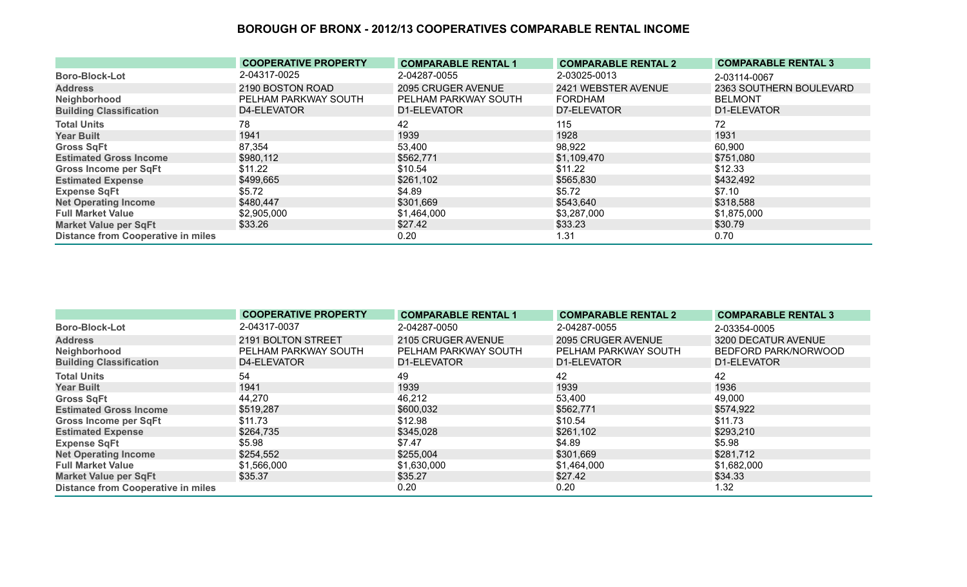|                                           | <b>COOPERATIVE PROPERTY</b> | <b>COMPARABLE RENTAL 1</b> | <b>COMPARABLE RENTAL 2</b> | <b>COMPARABLE RENTAL 3</b> |
|-------------------------------------------|-----------------------------|----------------------------|----------------------------|----------------------------|
| <b>Boro-Block-Lot</b>                     | 2-04317-0025                | 2-04287-0055               | 2-03025-0013               | 2-03114-0067               |
| <b>Address</b>                            | 2190 BOSTON ROAD            | 2095 CRUGER AVENUE         | 2421 WEBSTER AVENUE        | 2363 SOUTHERN BOULEVARD    |
| Neighborhood                              | PELHAM PARKWAY SOUTH        | PELHAM PARKWAY SOUTH       | <b>FORDHAM</b>             | <b>BELMONT</b>             |
| <b>Building Classification</b>            | D4-ELEVATOR                 | D1-ELEVATOR                | D7-ELEVATOR                | D1-ELEVATOR                |
| <b>Total Units</b>                        | 78                          | 42                         | 115                        | 72                         |
| <b>Year Built</b>                         | 1941                        | 1939                       | 1928                       | 1931                       |
| <b>Gross SqFt</b>                         | 87,354                      | 53,400                     | 98,922                     | 60,900                     |
| <b>Estimated Gross Income</b>             | \$980,112                   | \$562,771                  | \$1,109,470                | \$751,080                  |
| Gross Income per SqFt                     | \$11.22                     | \$10.54                    | \$11.22                    | \$12.33                    |
| <b>Estimated Expense</b>                  | \$499,665                   | \$261,102                  | \$565,830                  | \$432,492                  |
| <b>Expense SqFt</b>                       | \$5.72                      | \$4.89                     | \$5.72                     | \$7.10                     |
| <b>Net Operating Income</b>               | \$480,447                   | \$301,669                  | \$543,640                  | \$318,588                  |
| <b>Full Market Value</b>                  | \$2,905,000                 | \$1,464,000                | \$3,287,000                | \$1,875,000                |
| <b>Market Value per SqFt</b>              | \$33.26                     | \$27.42                    | \$33.23                    | \$30.79                    |
| <b>Distance from Cooperative in miles</b> |                             | 0.20                       | 1.31                       | 0.70                       |

|                                           | <b>COOPERATIVE PROPERTY</b> | <b>COMPARABLE RENTAL 1</b> | <b>COMPARABLE RENTAL 2</b> | <b>COMPARABLE RENTAL 3</b> |
|-------------------------------------------|-----------------------------|----------------------------|----------------------------|----------------------------|
| <b>Boro-Block-Lot</b>                     | 2-04317-0037                | 2-04287-0050               | 2-04287-0055               | 2-03354-0005               |
| <b>Address</b>                            | 2191 BOLTON STREET          | 2105 CRUGER AVENUE         | 2095 CRUGER AVENUE         | 3200 DECATUR AVENUE        |
| Neighborhood                              | PELHAM PARKWAY SOUTH        | PELHAM PARKWAY SOUTH       | PELHAM PARKWAY SOUTH       | BEDFORD PARK/NORWOOD       |
| <b>Building Classification</b>            | D4-ELEVATOR                 | D1-ELEVATOR                | D1-ELEVATOR                | D1-ELEVATOR                |
| <b>Total Units</b>                        | 54                          | 49                         | 42                         | 42                         |
| <b>Year Built</b>                         | 1941                        | 1939                       | 1939                       | 1936                       |
| <b>Gross SqFt</b>                         | 44,270                      | 46,212                     | 53,400                     | 49,000                     |
| <b>Estimated Gross Income</b>             | \$519,287                   | \$600,032                  | \$562,771                  | \$574,922                  |
| <b>Gross Income per SqFt</b>              | \$11.73                     | \$12.98                    | \$10.54                    | \$11.73                    |
| <b>Estimated Expense</b>                  | \$264,735                   | \$345,028                  | \$261,102                  | \$293,210                  |
| <b>Expense SqFt</b>                       | \$5.98                      | \$7.47                     | \$4.89                     | \$5.98                     |
| <b>Net Operating Income</b>               | \$254,552                   | \$255,004                  | \$301,669                  | \$281,712                  |
| <b>Full Market Value</b>                  | \$1,566,000                 | \$1,630,000                | \$1,464,000                | \$1,682,000                |
| <b>Market Value per SqFt</b>              | \$35.37                     | \$35.27                    | \$27.42                    | \$34.33                    |
| <b>Distance from Cooperative in miles</b> |                             | 0.20                       | 0.20                       | 1.32                       |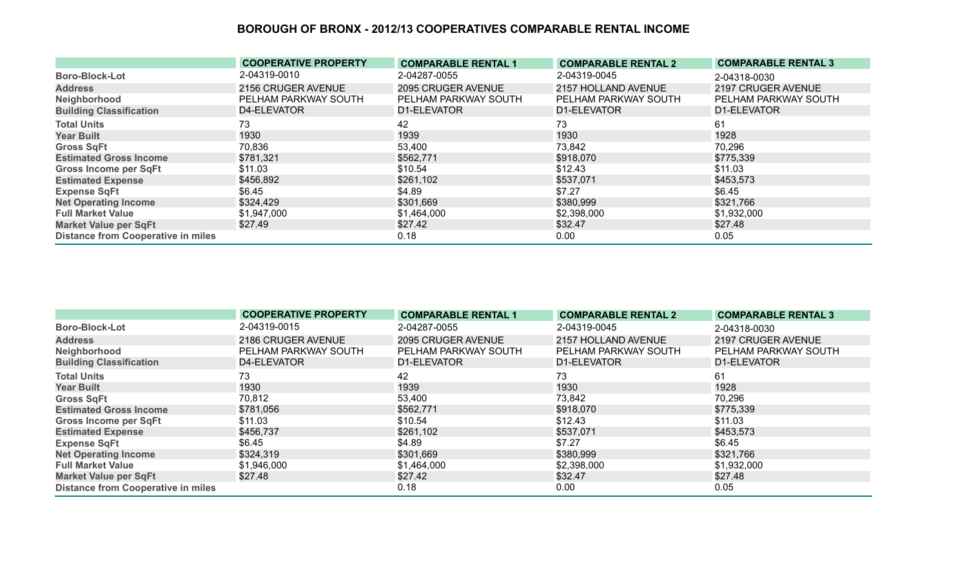|                                           | <b>COOPERATIVE PROPERTY</b> | <b>COMPARABLE RENTAL 1</b> | <b>COMPARABLE RENTAL 2</b> | <b>COMPARABLE RENTAL 3</b> |
|-------------------------------------------|-----------------------------|----------------------------|----------------------------|----------------------------|
| <b>Boro-Block-Lot</b>                     | 2-04319-0010                | 2-04287-0055               | 2-04319-0045               | 2-04318-0030               |
| <b>Address</b>                            | 2156 CRUGER AVENUE          | 2095 CRUGER AVENUE         | 2157 HOLLAND AVENUE        | 2197 CRUGER AVENUE         |
| Neighborhood                              | PELHAM PARKWAY SOUTH        | PELHAM PARKWAY SOUTH       | PELHAM PARKWAY SOUTH       | PELHAM PARKWAY SOUTH       |
| <b>Building Classification</b>            | D4-ELEVATOR                 | D1-ELEVATOR                | D1-ELEVATOR                | D1-ELEVATOR                |
| <b>Total Units</b>                        | 73                          | 42                         | 73                         | 61                         |
| <b>Year Built</b>                         | 1930                        | 1939                       | 1930                       | 1928                       |
| <b>Gross SqFt</b>                         | 70,836                      | 53,400                     | 73,842                     | 70,296                     |
| <b>Estimated Gross Income</b>             | \$781,321                   | \$562,771                  | \$918,070                  | \$775,339                  |
| <b>Gross Income per SqFt</b>              | \$11.03                     | \$10.54                    | \$12.43                    | \$11.03                    |
| <b>Estimated Expense</b>                  | \$456,892                   | \$261,102                  | \$537,071                  | \$453,573                  |
| <b>Expense SqFt</b>                       | \$6.45                      | \$4.89                     | \$7.27                     | \$6.45                     |
| <b>Net Operating Income</b>               | \$324,429                   | \$301,669                  | \$380,999                  | \$321,766                  |
| <b>Full Market Value</b>                  | \$1,947,000                 | \$1,464,000                | \$2,398,000                | \$1,932,000                |
| <b>Market Value per SqFt</b>              | \$27.49                     | \$27.42                    | \$32.47                    | \$27.48                    |
| <b>Distance from Cooperative in miles</b> |                             | 0.18                       | 0.00 <sub>1</sub>          | 0.05                       |

|                                           | <b>COOPERATIVE PROPERTY</b> | <b>COMPARABLE RENTAL 1</b> | <b>COMPARABLE RENTAL 2</b> | <b>COMPARABLE RENTAL 3</b> |
|-------------------------------------------|-----------------------------|----------------------------|----------------------------|----------------------------|
| <b>Boro-Block-Lot</b>                     | 2-04319-0015                | 2-04287-0055               | 2-04319-0045               | 2-04318-0030               |
| <b>Address</b>                            | 2186 CRUGER AVENUE          | 2095 CRUGER AVENUE         | 2157 HOLLAND AVENUE        | 2197 CRUGER AVENUE         |
| Neighborhood                              | PELHAM PARKWAY SOUTH        | PELHAM PARKWAY SOUTH       | PELHAM PARKWAY SOUTH       | PELHAM PARKWAY SOUTH       |
| <b>Building Classification</b>            | D4-ELEVATOR                 | D1-ELEVATOR                | D1-ELEVATOR                | D1-ELEVATOR                |
| <b>Total Units</b>                        | 73                          | 42                         | 73                         | 61                         |
| <b>Year Built</b>                         | 1930                        | 1939                       | 1930                       | 1928                       |
| <b>Gross SqFt</b>                         | 70,812                      | 53,400                     | 73,842                     | 70,296                     |
| <b>Estimated Gross Income</b>             | \$781,056                   | \$562,771                  | \$918,070                  | \$775,339                  |
| <b>Gross Income per SqFt</b>              | \$11.03                     | \$10.54                    | \$12.43                    | \$11.03                    |
| <b>Estimated Expense</b>                  | \$456,737                   | \$261,102                  | \$537,071                  | \$453,573                  |
| <b>Expense SqFt</b>                       | \$6.45                      | \$4.89                     | \$7.27                     | \$6.45                     |
| <b>Net Operating Income</b>               | \$324,319                   | \$301,669                  | \$380,999                  | \$321,766                  |
| <b>Full Market Value</b>                  | \$1,946,000                 | \$1,464,000                | \$2,398,000                | \$1,932,000                |
| <b>Market Value per SqFt</b>              | \$27.48                     | \$27.42                    | \$32.47                    | \$27.48                    |
| <b>Distance from Cooperative in miles</b> |                             | 0.18                       | 0.00                       | 0.05                       |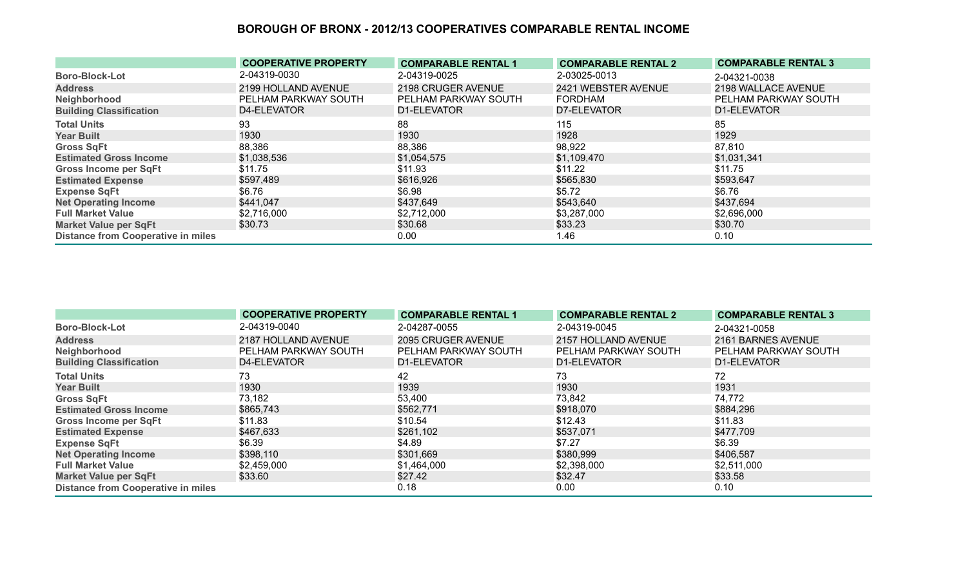|                                           | <b>COOPERATIVE PROPERTY</b> | <b>COMPARABLE RENTAL 1</b> | <b>COMPARABLE RENTAL 2</b> | <b>COMPARABLE RENTAL 3</b> |
|-------------------------------------------|-----------------------------|----------------------------|----------------------------|----------------------------|
| <b>Boro-Block-Lot</b>                     | 2-04319-0030                | 2-04319-0025               | 2-03025-0013               | 2-04321-0038               |
| <b>Address</b>                            | 2199 HOLLAND AVENUE         | 2198 CRUGER AVENUE         | 2421 WEBSTER AVENUE        | 2198 WALLACE AVENUE        |
| Neighborhood                              | PELHAM PARKWAY SOUTH        | PELHAM PARKWAY SOUTH       | <b>FORDHAM</b>             | PELHAM PARKWAY SOUTH       |
| <b>Building Classification</b>            | D4-ELEVATOR                 | D1-ELEVATOR                | D7-ELEVATOR                | D1-ELEVATOR                |
| <b>Total Units</b>                        | 93                          | 88                         | 115                        | 85                         |
| <b>Year Built</b>                         | 1930                        | 1930                       | 1928                       | 1929                       |
| <b>Gross SqFt</b>                         | 88,386                      | 88,386                     | 98,922                     | 87,810                     |
| <b>Estimated Gross Income</b>             | \$1,038,536                 | \$1,054,575                | \$1,109,470                | \$1,031,341                |
| <b>Gross Income per SqFt</b>              | \$11.75                     | \$11.93                    | \$11.22                    | \$11.75                    |
| <b>Estimated Expense</b>                  | \$597,489                   | \$616,926                  | \$565,830                  | \$593,647                  |
| <b>Expense SqFt</b>                       | \$6.76                      | \$6.98                     | \$5.72                     | \$6.76                     |
| <b>Net Operating Income</b>               | \$441,047                   | \$437,649                  | \$543,640                  | \$437,694                  |
| <b>Full Market Value</b>                  | \$2,716,000                 | \$2,712,000                | \$3,287,000                | \$2,696,000                |
| <b>Market Value per SqFt</b>              | \$30.73                     | \$30.68                    | \$33.23                    | \$30.70                    |
| <b>Distance from Cooperative in miles</b> |                             | 0.00                       | 1.46                       | 0.10                       |

|                                           | <b>COOPERATIVE PROPERTY</b> | <b>COMPARABLE RENTAL 1</b> | <b>COMPARABLE RENTAL 2</b> | <b>COMPARABLE RENTAL 3</b> |
|-------------------------------------------|-----------------------------|----------------------------|----------------------------|----------------------------|
| <b>Boro-Block-Lot</b>                     | 2-04319-0040                | 2-04287-0055               | 2-04319-0045               | 2-04321-0058               |
| <b>Address</b>                            | 2187 HOLLAND AVENUE         | 2095 CRUGER AVENUE         | 2157 HOLLAND AVENUE        | 2161 BARNES AVENUE         |
| Neighborhood                              | PELHAM PARKWAY SOUTH        | PELHAM PARKWAY SOUTH       | PELHAM PARKWAY SOUTH       | PELHAM PARKWAY SOUTH       |
| <b>Building Classification</b>            | D4-ELEVATOR                 | D1-ELEVATOR                | D1-ELEVATOR                | D1-ELEVATOR                |
| <b>Total Units</b>                        | 73                          | 42                         | 73                         | 72                         |
| <b>Year Built</b>                         | 1930                        | 1939                       | 1930                       | 1931                       |
| <b>Gross SqFt</b>                         | 73,182                      | 53,400                     | 73,842                     | 74,772                     |
| <b>Estimated Gross Income</b>             | \$865,743                   | \$562,771                  | \$918,070                  | \$884,296                  |
| <b>Gross Income per SqFt</b>              | \$11.83                     | \$10.54                    | \$12.43                    | \$11.83                    |
| <b>Estimated Expense</b>                  | \$467,633                   | \$261,102                  | \$537,071                  | \$477,709                  |
| <b>Expense SqFt</b>                       | \$6.39                      | \$4.89                     | \$7.27                     | \$6.39                     |
| <b>Net Operating Income</b>               | \$398,110                   | \$301,669                  | \$380,999                  | \$406,587                  |
| <b>Full Market Value</b>                  | \$2,459,000                 | \$1,464,000                | \$2,398,000                | \$2,511,000                |
| <b>Market Value per SqFt</b>              | \$33.60                     | \$27.42                    | \$32.47                    | \$33.58                    |
| <b>Distance from Cooperative in miles</b> |                             | 0.18                       | 0.00                       | 0.10                       |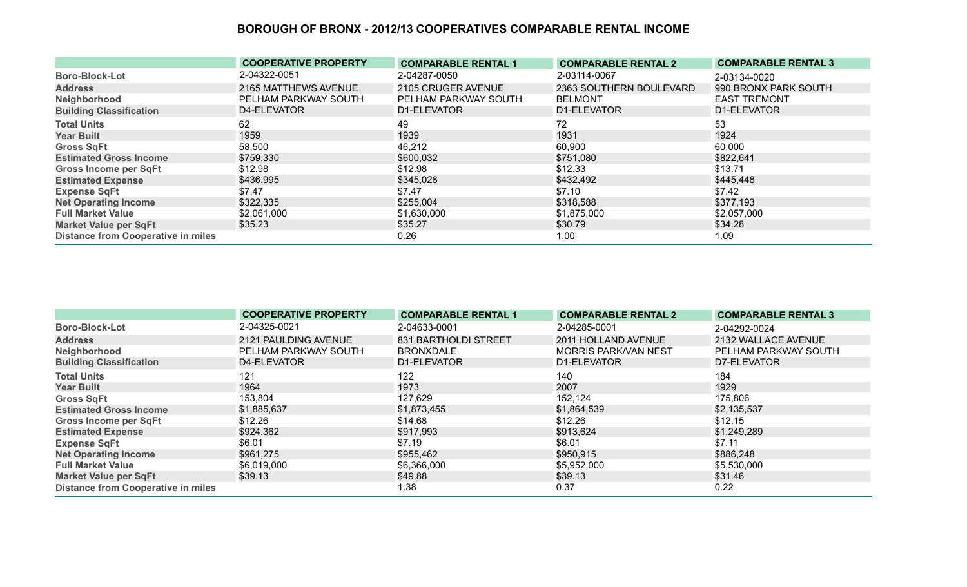|                                           | <b>COOPERATIVE PROPERTY</b> | <b>COMPARABLE RENTAL 1</b> | <b>COMPARABLE RENTAL 2</b> | <b>COMPARABLE RENTAL 3</b> |
|-------------------------------------------|-----------------------------|----------------------------|----------------------------|----------------------------|
| <b>Boro-Block-Lot</b>                     | 2-04322-0051                | 2-04287-0050               | 2-03114-0067               | 2-03134-0020               |
| <b>Address</b>                            | 2165 MATTHEWS AVENUE        | 2105 CRUGER AVENUE         | 2363 SOUTHERN BOULEVARD    | 990 BRONX PARK SOUTH       |
| Neighborhood                              | PELHAM PARKWAY SOUTH        | PELHAM PARKWAY SOUTH       | <b>BELMONT</b>             | <b>EAST TREMONT</b>        |
| <b>Building Classification</b>            | D4-ELEVATOR                 | D1-ELEVATOR                | D1-ELEVATOR                | D1-ELEVATOR                |
| <b>Total Units</b>                        | 62                          | 49                         | 72                         | 53                         |
| <b>Year Built</b>                         | 1959                        | 1939                       | 1931                       | 1924                       |
| <b>Gross SqFt</b>                         | 58,500                      | 46,212                     | 60,900                     | 60,000                     |
| <b>Estimated Gross Income</b>             | \$759,330                   | \$600,032                  | \$751,080                  | \$822,641                  |
| <b>Gross Income per SqFt</b>              | \$12.98                     | \$12.98                    | \$12.33                    | \$13.71                    |
| <b>Estimated Expense</b>                  | \$436,995                   | \$345,028                  | \$432,492                  | \$445,448                  |
| <b>Expense SqFt</b>                       | \$7.47                      | \$7.47                     | \$7.10                     | \$7.42                     |
| <b>Net Operating Income</b>               | \$322,335                   | \$255,004                  | \$318,588                  | \$377,193                  |
| <b>Full Market Value</b>                  | \$2,061,000                 | \$1,630,000                | \$1,875,000                | \$2,057,000                |
| <b>Market Value per SqFt</b>              | \$35.23                     | \$35.27                    | \$30.79                    | \$34.28                    |
| <b>Distance from Cooperative in miles</b> |                             | 0.26                       | 1.00                       | 1.09                       |

|                                           | <b>COOPERATIVE PROPERTY</b> | <b>COMPARABLE RENTAL 1</b>  | <b>COMPARABLE RENTAL 2</b>  | <b>COMPARABLE RENTAL 3</b> |
|-------------------------------------------|-----------------------------|-----------------------------|-----------------------------|----------------------------|
| <b>Boro-Block-Lot</b>                     | 2-04325-0021                | 2-04633-0001                | 2-04285-0001                | 2-04292-0024               |
| <b>Address</b>                            | 2121 PAULDING AVENUE        | <b>831 BARTHOLDI STREET</b> | 2011 HOLLAND AVENUE         | 2132 WALLACE AVENUE        |
| Neighborhood                              | PELHAM PARKWAY SOUTH        | <b>BRONXDALE</b>            | <b>MORRIS PARK/VAN NEST</b> | PELHAM PARKWAY SOUTH       |
| <b>Building Classification</b>            | D4-ELEVATOR                 | D1-ELEVATOR                 | D1-ELEVATOR                 | D7-ELEVATOR                |
| <b>Total Units</b>                        | 121                         | 122                         | 140                         | 184                        |
| <b>Year Built</b>                         | 1964                        | 1973                        | 2007                        | 1929                       |
| <b>Gross SqFt</b>                         | 153,804                     | 127,629                     | 152,124                     | 175,806                    |
| <b>Estimated Gross Income</b>             | \$1,885,637                 | \$1,873,455                 | \$1,864,539                 | \$2,135,537                |
| <b>Gross Income per SqFt</b>              | \$12.26                     | \$14.68                     | \$12.26                     | \$12.15                    |
| <b>Estimated Expense</b>                  | \$924,362                   | \$917,993                   | \$913,624                   | \$1,249,289                |
| <b>Expense SqFt</b>                       | \$6.01                      | \$7.19                      | \$6.01                      | \$7.11                     |
| <b>Net Operating Income</b>               | \$961,275                   | \$955,462                   | \$950,915                   | \$886,248                  |
| <b>Full Market Value</b>                  | \$6,019,000                 | \$6,366,000                 | \$5,952,000                 | \$5,530,000                |
| <b>Market Value per SqFt</b>              | \$39.13                     | \$49.88                     | \$39.13                     | \$31.46                    |
| <b>Distance from Cooperative in miles</b> |                             | 1.38                        | 0.37                        | 0.22                       |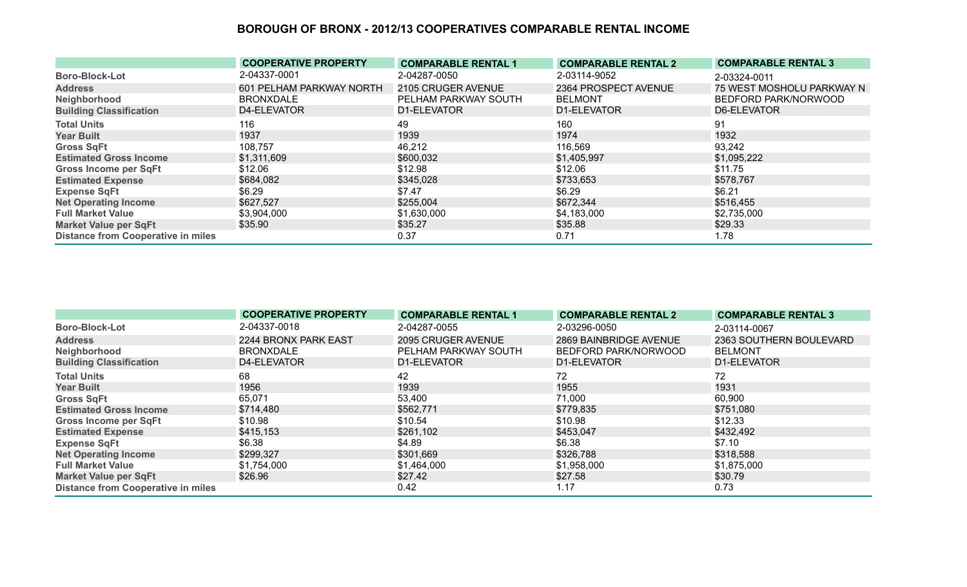|                                           | <b>COOPERATIVE PROPERTY</b> | <b>COMPARABLE RENTAL 1</b> | <b>COMPARABLE RENTAL 2</b> | <b>COMPARABLE RENTAL 3</b> |
|-------------------------------------------|-----------------------------|----------------------------|----------------------------|----------------------------|
| <b>Boro-Block-Lot</b>                     | 2-04337-0001                | 2-04287-0050               | 2-03114-9052               | 2-03324-0011               |
| <b>Address</b>                            | 601 PELHAM PARKWAY NORTH    | 2105 CRUGER AVENUE         | 2364 PROSPECT AVENUE       | 75 WEST MOSHOLU PARKWAY N  |
| Neighborhood                              | <b>BRONXDALE</b>            | PELHAM PARKWAY SOUTH       | <b>BELMONT</b>             | BEDFORD PARK/NORWOOD       |
| <b>Building Classification</b>            | D4-ELEVATOR                 | D1-ELEVATOR                | D1-ELEVATOR                | D6-ELEVATOR                |
| <b>Total Units</b>                        | 116                         | 49                         | 160                        | 91                         |
| <b>Year Built</b>                         | 1937                        | 1939                       | 1974                       | 1932                       |
| <b>Gross SqFt</b>                         | 108,757                     | 46,212                     | 116,569                    | 93,242                     |
| <b>Estimated Gross Income</b>             | \$1,311,609                 | \$600,032                  | \$1,405,997                | \$1,095,222                |
| <b>Gross Income per SqFt</b>              | \$12.06                     | \$12.98                    | \$12.06                    | \$11.75                    |
| <b>Estimated Expense</b>                  | \$684,082                   | \$345,028                  | \$733,653                  | \$578,767                  |
| <b>Expense SqFt</b>                       | \$6.29                      | \$7.47                     | \$6.29                     | \$6.21                     |
| <b>Net Operating Income</b>               | \$627,527                   | \$255,004                  | \$672,344                  | \$516,455                  |
| <b>Full Market Value</b>                  | \$3,904,000                 | \$1,630,000                | \$4,183,000                | \$2,735,000                |
| <b>Market Value per SqFt</b>              | \$35.90                     | \$35.27                    | \$35.88                    | \$29.33                    |
| <b>Distance from Cooperative in miles</b> |                             | 0.37                       | 0.71                       | 1.78                       |

|                                           | <b>COOPERATIVE PROPERTY</b> | <b>COMPARABLE RENTAL 1</b> | <b>COMPARABLE RENTAL 2</b> | <b>COMPARABLE RENTAL 3</b> |
|-------------------------------------------|-----------------------------|----------------------------|----------------------------|----------------------------|
| <b>Boro-Block-Lot</b>                     | 2-04337-0018                | 2-04287-0055               | 2-03296-0050               | 2-03114-0067               |
| <b>Address</b>                            | 2244 BRONX PARK EAST        | 2095 CRUGER AVENUE         | 2869 BAINBRIDGE AVENUE     | 2363 SOUTHERN BOULEVARD    |
| Neighborhood                              | <b>BRONXDALE</b>            | PELHAM PARKWAY SOUTH       | BEDFORD PARK/NORWOOD       | <b>BELMONT</b>             |
| <b>Building Classification</b>            | D4-ELEVATOR                 | D1-ELEVATOR                | D1-ELEVATOR                | D1-ELEVATOR                |
| <b>Total Units</b>                        | 68                          | 42                         | 72                         | 72                         |
| <b>Year Built</b>                         | 1956                        | 1939                       | 1955                       | 1931                       |
| <b>Gross SqFt</b>                         | 65,071                      | 53,400                     | 71,000                     | 60,900                     |
| <b>Estimated Gross Income</b>             | \$714,480                   | \$562,771                  | \$779,835                  | \$751,080                  |
| <b>Gross Income per SqFt</b>              | \$10.98                     | \$10.54                    | \$10.98                    | \$12.33                    |
| <b>Estimated Expense</b>                  | \$415,153                   | \$261,102                  | \$453,047                  | \$432,492                  |
| <b>Expense SqFt</b>                       | \$6.38                      | \$4.89                     | \$6.38                     | \$7.10                     |
| <b>Net Operating Income</b>               | \$299,327                   | \$301,669                  | \$326,788                  | \$318,588                  |
| <b>Full Market Value</b>                  | \$1,754,000                 | \$1,464,000                | \$1,958,000                | \$1,875,000                |
| <b>Market Value per SqFt</b>              | \$26.96                     | \$27.42                    | \$27.58                    | \$30.79                    |
| <b>Distance from Cooperative in miles</b> |                             | 0.42                       | 1.17                       | 0.73                       |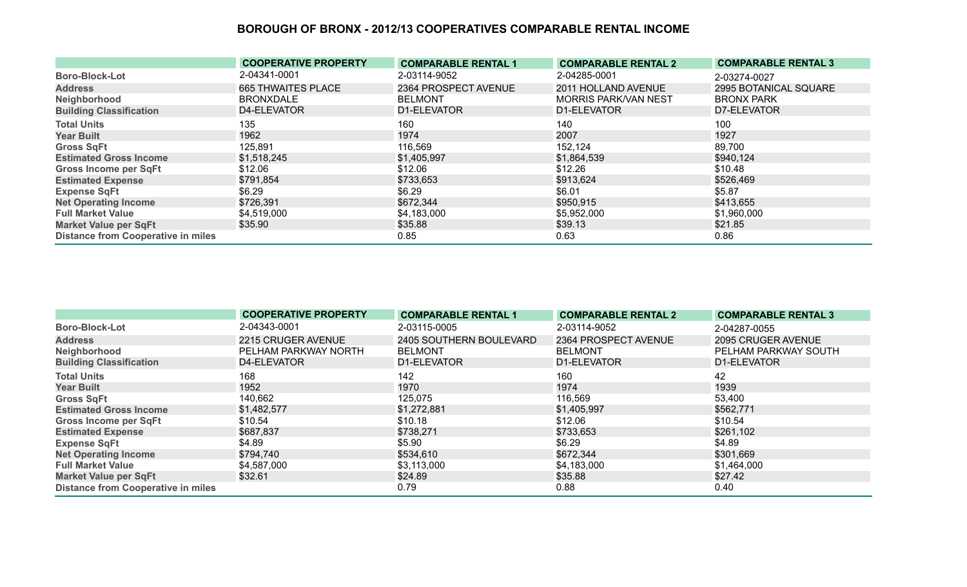|                                           | <b>COOPERATIVE PROPERTY</b> | <b>COMPARABLE RENTAL 1</b> | <b>COMPARABLE RENTAL 2</b>  | <b>COMPARABLE RENTAL 3</b> |
|-------------------------------------------|-----------------------------|----------------------------|-----------------------------|----------------------------|
| <b>Boro-Block-Lot</b>                     | 2-04341-0001                | 2-03114-9052               | 2-04285-0001                | 2-03274-0027               |
| <b>Address</b>                            | <b>665 THWAITES PLACE</b>   | 2364 PROSPECT AVENUE       | 2011 HOLLAND AVENUE         | 2995 BOTANICAL SQUARE      |
| Neighborhood                              | <b>BRONXDALE</b>            | <b>BELMONT</b>             | <b>MORRIS PARK/VAN NEST</b> | <b>BRONX PARK</b>          |
| <b>Building Classification</b>            | D4-ELEVATOR                 | D1-ELEVATOR                | D1-ELEVATOR                 | D7-ELEVATOR                |
| <b>Total Units</b>                        | 135                         | 160                        | 140                         | 100                        |
| <b>Year Built</b>                         | 1962                        | 1974                       | 2007                        | 1927                       |
| <b>Gross SqFt</b>                         | 125,891                     | 116,569                    | 152,124                     | 89,700                     |
| <b>Estimated Gross Income</b>             | \$1,518,245                 | \$1,405,997                | \$1,864,539                 | \$940,124                  |
| <b>Gross Income per SqFt</b>              | \$12.06                     | \$12.06                    | \$12.26                     | \$10.48                    |
| <b>Estimated Expense</b>                  | \$791,854                   | \$733,653                  | \$913,624                   | \$526,469                  |
| <b>Expense SqFt</b>                       | \$6.29                      | \$6.29                     | \$6.01                      | \$5.87                     |
| <b>Net Operating Income</b>               | \$726,391                   | \$672,344                  | \$950,915                   | \$413,655                  |
| <b>Full Market Value</b>                  | \$4,519,000                 | \$4,183,000                | \$5,952,000                 | \$1,960,000                |
| <b>Market Value per SqFt</b>              | \$35.90                     | \$35.88                    | \$39.13                     | \$21.85                    |
| <b>Distance from Cooperative in miles</b> |                             | 0.85                       | 0.63                        | 0.86                       |

|                                           | <b>COOPERATIVE PROPERTY</b> | <b>COMPARABLE RENTAL 1</b> | <b>COMPARABLE RENTAL 2</b> | <b>COMPARABLE RENTAL 3</b> |
|-------------------------------------------|-----------------------------|----------------------------|----------------------------|----------------------------|
| <b>Boro-Block-Lot</b>                     | 2-04343-0001                | 2-03115-0005               | 2-03114-9052               | 2-04287-0055               |
| <b>Address</b>                            | 2215 CRUGER AVENUE          | 2405 SOUTHERN BOULEVARD    | 2364 PROSPECT AVENUE       | 2095 CRUGER AVENUE         |
| Neighborhood                              | PELHAM PARKWAY NORTH        | <b>BELMONT</b>             | <b>BELMONT</b>             | PELHAM PARKWAY SOUTH       |
| <b>Building Classification</b>            | D4-ELEVATOR                 | D1-ELEVATOR                | D1-ELEVATOR                | D1-ELEVATOR                |
| <b>Total Units</b>                        | 168                         | 142                        | 160                        | 42                         |
| <b>Year Built</b>                         | 1952                        | 1970                       | 1974                       | 1939                       |
| <b>Gross SqFt</b>                         | 140,662                     | 125,075                    | 116,569                    | 53,400                     |
| <b>Estimated Gross Income</b>             | \$1,482,577                 | \$1,272,881                | \$1,405,997                | \$562,771                  |
| <b>Gross Income per SqFt</b>              | \$10.54                     | \$10.18                    | \$12.06                    | \$10.54                    |
| <b>Estimated Expense</b>                  | \$687,837                   | \$738,271                  | \$733,653                  | \$261,102                  |
| <b>Expense SqFt</b>                       | \$4.89                      | \$5.90                     | \$6.29                     | \$4.89                     |
| <b>Net Operating Income</b>               | \$794,740                   | \$534,610                  | \$672,344                  | \$301,669                  |
| <b>Full Market Value</b>                  | \$4,587,000                 | \$3,113,000                | \$4,183,000                | \$1,464,000                |
| <b>Market Value per SqFt</b>              | \$32.61                     | \$24.89                    | \$35.88                    | \$27.42                    |
| <b>Distance from Cooperative in miles</b> |                             | 0.79                       | 0.88                       | 0.40                       |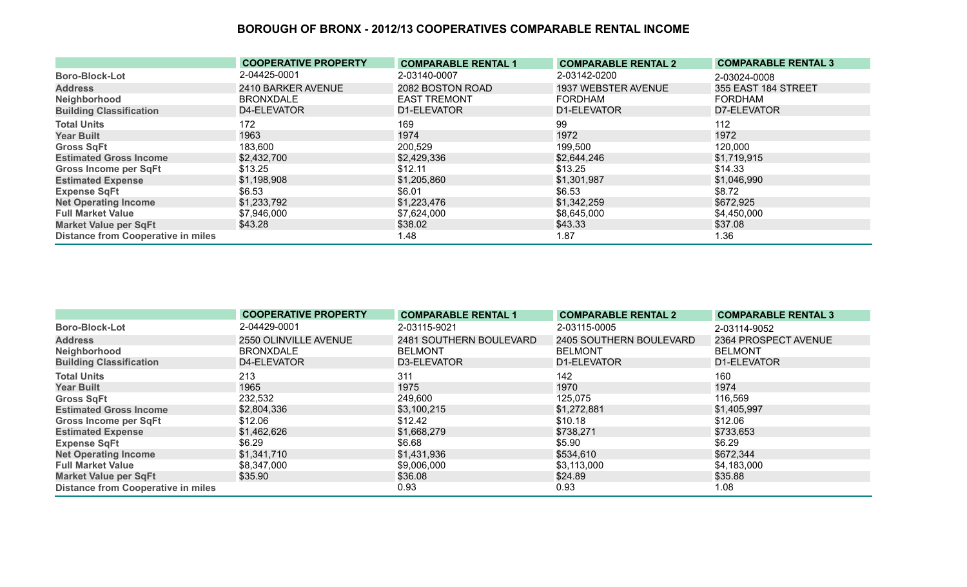|                                           | <b>COOPERATIVE PROPERTY</b> | <b>COMPARABLE RENTAL 1</b> | <b>COMPARABLE RENTAL 2</b> | <b>COMPARABLE RENTAL 3</b> |
|-------------------------------------------|-----------------------------|----------------------------|----------------------------|----------------------------|
| <b>Boro-Block-Lot</b>                     | 2-04425-0001                | 2-03140-0007               | 2-03142-0200               | 2-03024-0008               |
| <b>Address</b>                            | 2410 BARKER AVENUE          | 2082 BOSTON ROAD           | 1937 WEBSTER AVENUE        | 355 EAST 184 STREET        |
| Neighborhood                              | <b>BRONXDALE</b>            | <b>EAST TREMONT</b>        | <b>FORDHAM</b>             | FORDHAM                    |
| <b>Building Classification</b>            | D4-ELEVATOR                 | D1-ELEVATOR                | D1-ELEVATOR                | D7-ELEVATOR                |
| <b>Total Units</b>                        | 172                         | 169                        | 99                         | 112                        |
| <b>Year Built</b>                         | 1963                        | 1974                       | 1972                       | 1972                       |
| <b>Gross SqFt</b>                         | 183,600                     | 200,529                    | 199,500                    | 120,000                    |
| <b>Estimated Gross Income</b>             | \$2,432,700                 | \$2,429,336                | \$2,644,246                | \$1,719,915                |
| <b>Gross Income per SqFt</b>              | \$13.25                     | \$12.11                    | \$13.25                    | \$14.33                    |
| <b>Estimated Expense</b>                  | \$1,198,908                 | \$1,205,860                | \$1,301,987                | \$1,046,990                |
| <b>Expense SqFt</b>                       | \$6.53                      | \$6.01                     | \$6.53                     | \$8.72                     |
| <b>Net Operating Income</b>               | \$1,233,792                 | \$1,223,476                | \$1,342,259                | \$672,925                  |
| <b>Full Market Value</b>                  | \$7,946,000                 | \$7,624,000                | \$8,645,000                | \$4,450,000                |
| <b>Market Value per SqFt</b>              | \$43.28                     | \$38.02                    | \$43.33                    | \$37.08                    |
| <b>Distance from Cooperative in miles</b> |                             | 1.48                       | 1.87                       | 1.36                       |

|                                           | <b>COOPERATIVE PROPERTY</b> | <b>COMPARABLE RENTAL 1</b> | <b>COMPARABLE RENTAL 2</b> | <b>COMPARABLE RENTAL 3</b> |
|-------------------------------------------|-----------------------------|----------------------------|----------------------------|----------------------------|
| <b>Boro-Block-Lot</b>                     | 2-04429-0001                | 2-03115-9021               | 2-03115-0005               | 2-03114-9052               |
| <b>Address</b>                            | 2550 OLINVILLE AVENUE       | 2481 SOUTHERN BOULEVARD    | 2405 SOUTHERN BOULEVARD    | 2364 PROSPECT AVENUE       |
| Neighborhood                              | <b>BRONXDALE</b>            | <b>BELMONT</b>             | <b>BELMONT</b>             | <b>BELMONT</b>             |
| <b>Building Classification</b>            | D4-ELEVATOR                 | D3-ELEVATOR                | D1-ELEVATOR                | D1-ELEVATOR                |
| <b>Total Units</b>                        | 213                         | 311                        | 142                        | 160                        |
| <b>Year Built</b>                         | 1965                        | 1975                       | 1970                       | 1974                       |
| <b>Gross SqFt</b>                         | 232,532                     | 249,600                    | 125,075                    | 116,569                    |
| <b>Estimated Gross Income</b>             | \$2,804,336                 | \$3,100,215                | \$1,272,881                | \$1,405,997                |
| <b>Gross Income per SqFt</b>              | \$12.06                     | \$12.42                    | \$10.18                    | \$12.06                    |
| <b>Estimated Expense</b>                  | \$1,462,626                 | \$1,668,279                | \$738,271                  | \$733,653                  |
| <b>Expense SqFt</b>                       | \$6.29                      | \$6.68                     | \$5.90                     | \$6.29                     |
| <b>Net Operating Income</b>               | \$1,341,710                 | \$1,431,936                | \$534,610                  | \$672,344                  |
| <b>Full Market Value</b>                  | \$8,347,000                 | \$9,006,000                | \$3,113,000                | \$4,183,000                |
| <b>Market Value per SqFt</b>              | \$35.90                     | \$36.08                    | \$24.89                    | \$35.88                    |
| <b>Distance from Cooperative in miles</b> |                             | 0.93                       | 0.93                       | 1.08                       |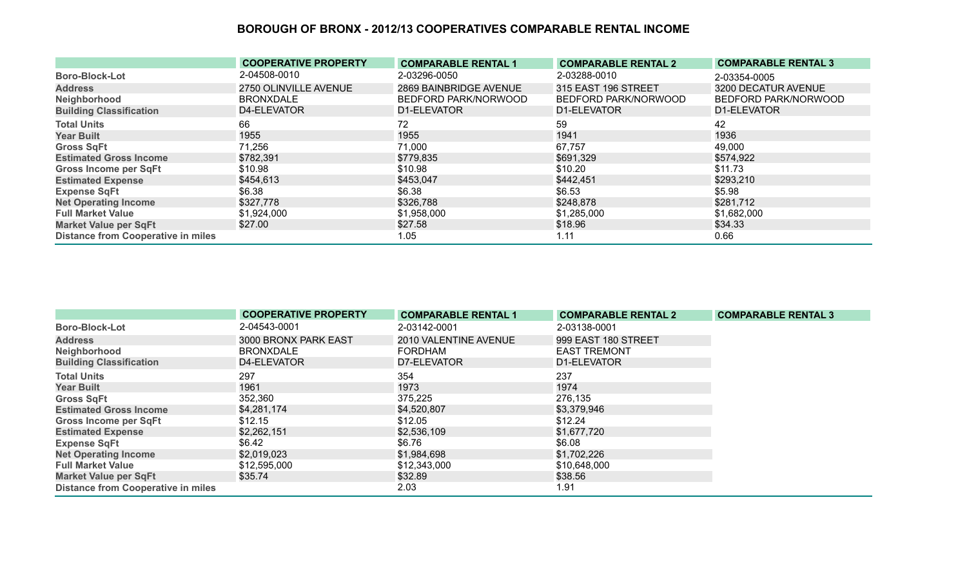|                                           | <b>COOPERATIVE PROPERTY</b> | <b>COMPARABLE RENTAL 1</b> | <b>COMPARABLE RENTAL 2</b> | <b>COMPARABLE RENTAL 3</b> |
|-------------------------------------------|-----------------------------|----------------------------|----------------------------|----------------------------|
| <b>Boro-Block-Lot</b>                     | 2-04508-0010                | 2-03296-0050               | 2-03288-0010               | 2-03354-0005               |
| <b>Address</b>                            | 2750 OLINVILLE AVENUE       | 2869 BAINBRIDGE AVENUE     | 315 EAST 196 STREET        | 3200 DECATUR AVENUE        |
| Neighborhood                              | <b>BRONXDALE</b>            | BEDFORD PARK/NORWOOD       | BEDFORD PARK/NORWOOD       | BEDFORD PARK/NORWOOD       |
| <b>Building Classification</b>            | D4-ELEVATOR                 | D1-ELEVATOR                | D1-ELEVATOR                | D1-ELEVATOR                |
| <b>Total Units</b>                        | 66                          | 72                         | 59                         | 42                         |
| <b>Year Built</b>                         | 1955                        | 1955                       | 1941                       | 1936                       |
| <b>Gross SqFt</b>                         | 71,256                      | 71,000                     | 67,757                     | 49,000                     |
| <b>Estimated Gross Income</b>             | \$782,391                   | \$779,835                  | \$691,329                  | \$574,922                  |
| <b>Gross Income per SqFt</b>              | \$10.98                     | \$10.98                    | \$10.20                    | \$11.73                    |
| <b>Estimated Expense</b>                  | \$454,613                   | \$453,047                  | \$442,451                  | \$293,210                  |
| <b>Expense SqFt</b>                       | \$6.38                      | \$6.38                     | \$6.53                     | \$5.98                     |
| <b>Net Operating Income</b>               | \$327,778                   | \$326,788                  | \$248,878                  | \$281,712                  |
| <b>Full Market Value</b>                  | \$1,924,000                 | \$1,958,000                | \$1,285,000                | \$1,682,000                |
| <b>Market Value per SqFt</b>              | \$27.00                     | \$27.58                    | \$18.96                    | \$34.33                    |
| <b>Distance from Cooperative in miles</b> |                             | 1.05                       | 1.11                       | 0.66                       |

|                                           | <b>COOPERATIVE PROPERTY</b> | <b>COMPARABLE RENTAL 1</b> | <b>COMPARABLE RENTAL 2</b> | <b>COMPARABLE RENTAL 3</b> |
|-------------------------------------------|-----------------------------|----------------------------|----------------------------|----------------------------|
| <b>Boro-Block-Lot</b>                     | 2-04543-0001                | 2-03142-0001               | 2-03138-0001               |                            |
| <b>Address</b>                            | 3000 BRONX PARK EAST        | 2010 VALENTINE AVENUE      | 999 EAST 180 STREET        |                            |
| Neighborhood                              | <b>BRONXDALE</b>            | FORDHAM                    | <b>EAST TREMONT</b>        |                            |
| <b>Building Classification</b>            | D4-ELEVATOR                 | D7-ELEVATOR                | D1-ELEVATOR                |                            |
| <b>Total Units</b>                        | 297                         | 354                        | 237                        |                            |
| <b>Year Built</b>                         | 1961                        | 1973                       | 1974                       |                            |
| <b>Gross SqFt</b>                         | 352,360                     | 375,225                    | 276,135                    |                            |
| <b>Estimated Gross Income</b>             | \$4,281,174                 | \$4,520,807                | \$3,379,946                |                            |
| Gross Income per SqFt                     | \$12.15                     | \$12.05                    | \$12.24                    |                            |
| <b>Estimated Expense</b>                  | \$2,262,151                 | \$2,536,109                | \$1,677,720                |                            |
| <b>Expense SqFt</b>                       | \$6.42                      | \$6.76                     | \$6.08                     |                            |
| <b>Net Operating Income</b>               | \$2,019,023                 | \$1,984,698                | \$1,702,226                |                            |
| <b>Full Market Value</b>                  | \$12,595,000                | \$12,343,000               | \$10,648,000               |                            |
| <b>Market Value per SqFt</b>              | \$35.74                     | \$32.89                    | \$38.56                    |                            |
| <b>Distance from Cooperative in miles</b> |                             | 2.03                       | 1.91                       |                            |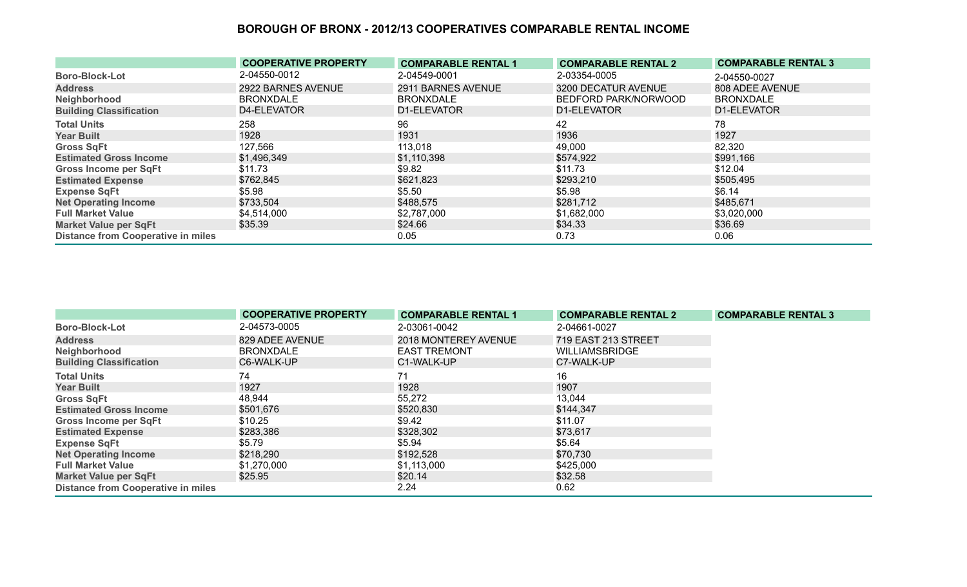|                                           | <b>COOPERATIVE PROPERTY</b> | <b>COMPARABLE RENTAL 1</b> | <b>COMPARABLE RENTAL 2</b> | <b>COMPARABLE RENTAL 3</b> |
|-------------------------------------------|-----------------------------|----------------------------|----------------------------|----------------------------|
| <b>Boro-Block-Lot</b>                     | 2-04550-0012                | 2-04549-0001               | 2-03354-0005               | 2-04550-0027               |
| <b>Address</b>                            | 2922 BARNES AVENUE          | 2911 BARNES AVENUE         | 3200 DECATUR AVENUE        | 808 ADEE AVENUE            |
| Neighborhood                              | <b>BRONXDALE</b>            | <b>BRONXDALE</b>           | BEDFORD PARK/NORWOOD       | <b>BRONXDALE</b>           |
| <b>Building Classification</b>            | D4-ELEVATOR                 | D1-ELEVATOR                | D1-ELEVATOR                | D1-ELEVATOR                |
| <b>Total Units</b>                        | 258                         | 96                         | 42                         | 78                         |
| <b>Year Built</b>                         | 1928                        | 1931                       | 1936                       | 1927                       |
| <b>Gross SqFt</b>                         | 127,566                     | 113,018                    | 49,000                     | 82,320                     |
| <b>Estimated Gross Income</b>             | \$1,496,349                 | \$1,110,398                | \$574,922                  | \$991,166                  |
| <b>Gross Income per SqFt</b>              | \$11.73                     | \$9.82                     | \$11.73                    | \$12.04                    |
| <b>Estimated Expense</b>                  | \$762,845                   | \$621,823                  | \$293,210                  | \$505,495                  |
| <b>Expense SqFt</b>                       | \$5.98                      | \$5.50                     | \$5.98                     | \$6.14                     |
| <b>Net Operating Income</b>               | \$733,504                   | \$488,575                  | \$281,712                  | \$485,671                  |
| <b>Full Market Value</b>                  | \$4,514,000                 | \$2,787,000                | \$1,682,000                | \$3,020,000                |
| <b>Market Value per SqFt</b>              | \$35.39                     | \$24.66                    | \$34.33                    | \$36.69                    |
| <b>Distance from Cooperative in miles</b> |                             | 0.05                       | 0.73                       | 0.06                       |

|                                           | <b>COOPERATIVE PROPERTY</b> | <b>COMPARABLE RENTAL 1</b> | <b>COMPARABLE RENTAL 2</b> | <b>COMPARABLE RENTAL 3</b> |
|-------------------------------------------|-----------------------------|----------------------------|----------------------------|----------------------------|
| <b>Boro-Block-Lot</b>                     | 2-04573-0005                | 2-03061-0042               | 2-04661-0027               |                            |
| <b>Address</b>                            | 829 ADEE AVENUE             | 2018 MONTEREY AVENUE       | 719 EAST 213 STREET        |                            |
| Neighborhood                              | <b>BRONXDALE</b>            | <b>EAST TREMONT</b>        | <b>WILLIAMSBRIDGE</b>      |                            |
| <b>Building Classification</b>            | C6-WALK-UP                  | C1-WALK-UP                 | C7-WALK-UP                 |                            |
| <b>Total Units</b>                        | 74                          | 71                         | 16                         |                            |
| <b>Year Built</b>                         | 1927                        | 1928                       | 1907                       |                            |
| <b>Gross SqFt</b>                         | 48,944                      | 55,272                     | 13,044                     |                            |
| <b>Estimated Gross Income</b>             | \$501,676                   | \$520,830                  | \$144,347                  |                            |
| <b>Gross Income per SqFt</b>              | \$10.25                     | \$9.42                     | \$11.07                    |                            |
| <b>Estimated Expense</b>                  | \$283,386                   | \$328,302                  | \$73,617                   |                            |
| <b>Expense SqFt</b>                       | \$5.79                      | \$5.94                     | \$5.64                     |                            |
| <b>Net Operating Income</b>               | \$218,290                   | \$192,528                  | \$70,730                   |                            |
| <b>Full Market Value</b>                  | \$1,270,000                 | \$1,113,000                | \$425,000                  |                            |
| <b>Market Value per SqFt</b>              | \$25.95                     | \$20.14                    | \$32.58                    |                            |
| <b>Distance from Cooperative in miles</b> |                             | 2.24                       | 0.62                       |                            |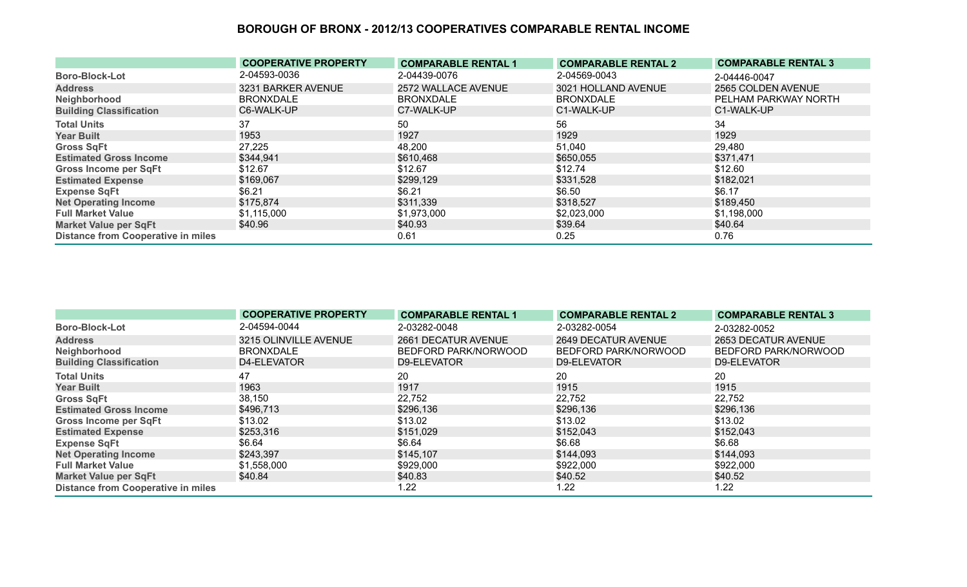|                                           | <b>COOPERATIVE PROPERTY</b> | <b>COMPARABLE RENTAL 1</b> | <b>COMPARABLE RENTAL 2</b> | <b>COMPARABLE RENTAL 3</b> |
|-------------------------------------------|-----------------------------|----------------------------|----------------------------|----------------------------|
| <b>Boro-Block-Lot</b>                     | 2-04593-0036                | 2-04439-0076               | 2-04569-0043               | 2-04446-0047               |
| <b>Address</b>                            | 3231 BARKER AVENUE          | 2572 WALLACE AVENUE        | 3021 HOLLAND AVENUE        | 2565 COLDEN AVENUE         |
| Neighborhood                              | <b>BRONXDALE</b>            | <b>BRONXDALE</b>           | <b>BRONXDALE</b>           | PELHAM PARKWAY NORTH       |
| <b>Building Classification</b>            | C6-WALK-UP                  | C7-WALK-UP                 | C1-WALK-UP                 | C1-WALK-UP                 |
| <b>Total Units</b>                        | 37                          | 50                         | 56                         | 34                         |
| <b>Year Built</b>                         | 1953                        | 1927                       | 1929                       | 1929                       |
| <b>Gross SqFt</b>                         | 27,225                      | 48,200                     | 51,040                     | 29,480                     |
| <b>Estimated Gross Income</b>             | \$344,941                   | \$610,468                  | \$650,055                  | \$371,471                  |
| <b>Gross Income per SqFt</b>              | \$12.67                     | \$12.67                    | \$12.74                    | \$12.60                    |
| <b>Estimated Expense</b>                  | \$169,067                   | \$299,129                  | \$331,528                  | \$182,021                  |
| <b>Expense SqFt</b>                       | \$6.21                      | \$6.21                     | \$6.50                     | \$6.17                     |
| <b>Net Operating Income</b>               | \$175,874                   | \$311,339                  | \$318,527                  | \$189,450                  |
| <b>Full Market Value</b>                  | \$1,115,000                 | \$1,973,000                | \$2,023,000                | \$1,198,000                |
| <b>Market Value per SqFt</b>              | \$40.96                     | \$40.93                    | \$39.64                    | \$40.64                    |
| <b>Distance from Cooperative in miles</b> |                             | 0.61                       | 0.25                       | 0.76                       |

|                                           | <b>COOPERATIVE PROPERTY</b> | <b>COMPARABLE RENTAL 1</b> | <b>COMPARABLE RENTAL 2</b> | <b>COMPARABLE RENTAL 3</b> |
|-------------------------------------------|-----------------------------|----------------------------|----------------------------|----------------------------|
| <b>Boro-Block-Lot</b>                     | 2-04594-0044                | 2-03282-0048               | 2-03282-0054               | 2-03282-0052               |
| <b>Address</b>                            | 3215 OLINVILLE AVENUE       | 2661 DECATUR AVENUE        | 2649 DECATUR AVENUE        | 2653 DECATUR AVENUE        |
| Neighborhood                              | <b>BRONXDALE</b>            | BEDFORD PARK/NORWOOD       | BEDFORD PARK/NORWOOD       | BEDFORD PARK/NORWOOD       |
| <b>Building Classification</b>            | D4-ELEVATOR                 | D9-ELEVATOR                | D9-ELEVATOR                | D9-ELEVATOR                |
| <b>Total Units</b>                        | 47                          | 20                         | 20                         | 20                         |
| <b>Year Built</b>                         | 1963                        | 1917                       | 1915                       | 1915                       |
| <b>Gross SqFt</b>                         | 38,150                      | 22,752                     | 22,752                     | 22,752                     |
| <b>Estimated Gross Income</b>             | \$496,713                   | \$296,136                  | \$296,136                  | \$296,136                  |
| <b>Gross Income per SqFt</b>              | \$13.02                     | \$13.02                    | \$13.02                    | \$13.02                    |
| <b>Estimated Expense</b>                  | \$253,316                   | \$151,029                  | \$152,043                  | \$152,043                  |
| <b>Expense SqFt</b>                       | \$6.64                      | \$6.64                     | \$6.68                     | \$6.68                     |
| <b>Net Operating Income</b>               | \$243,397                   | \$145,107                  | \$144,093                  | \$144,093                  |
| <b>Full Market Value</b>                  | \$1,558,000                 | \$929,000                  | \$922,000                  | \$922,000                  |
| <b>Market Value per SqFt</b>              | \$40.84                     | \$40.83                    | \$40.52                    | \$40.52                    |
| <b>Distance from Cooperative in miles</b> |                             | 1.22                       | 1.22                       | 1.22                       |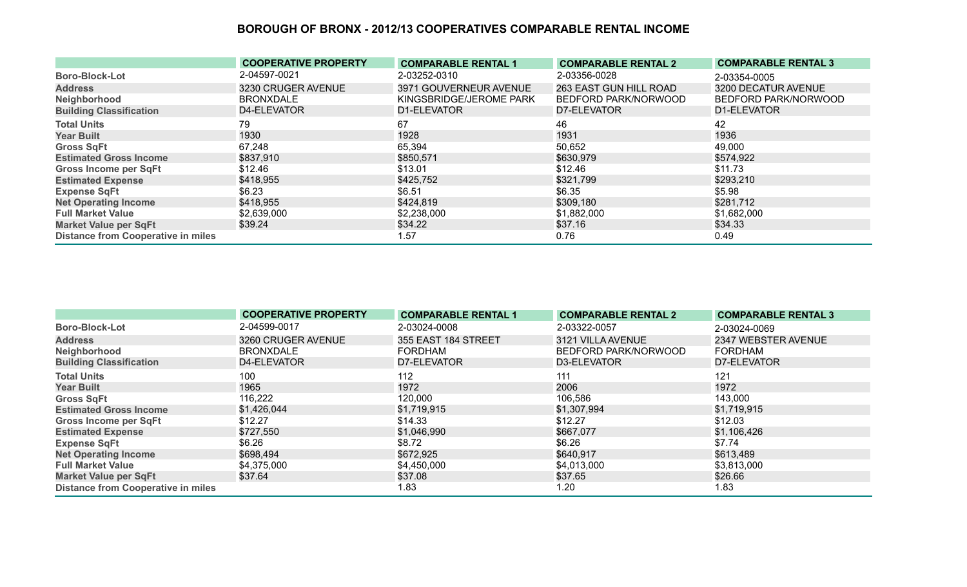|                                           | <b>COOPERATIVE PROPERTY</b> | <b>COMPARABLE RENTAL 1</b> | <b>COMPARABLE RENTAL 2</b> | <b>COMPARABLE RENTAL 3</b> |
|-------------------------------------------|-----------------------------|----------------------------|----------------------------|----------------------------|
| <b>Boro-Block-Lot</b>                     | 2-04597-0021                | 2-03252-0310               | 2-03356-0028               | 2-03354-0005               |
| <b>Address</b>                            | 3230 CRUGER AVENUE          | 3971 GOUVERNEUR AVENUE     | 263 EAST GUN HILL ROAD     | 3200 DECATUR AVENUE        |
| Neighborhood                              | <b>BRONXDALE</b>            | KINGSBRIDGE/JEROME PARK    | BEDFORD PARK/NORWOOD       | BEDFORD PARK/NORWOOD       |
| <b>Building Classification</b>            | D4-ELEVATOR                 | D1-ELEVATOR                | D7-ELEVATOR                | D1-ELEVATOR                |
| <b>Total Units</b>                        | 79                          | 67                         | 46                         | 42                         |
| <b>Year Built</b>                         | 1930                        | 1928                       | 1931                       | 1936                       |
| <b>Gross SqFt</b>                         | 67,248                      | 65,394                     | 50,652                     | 49,000                     |
| <b>Estimated Gross Income</b>             | \$837,910                   | \$850,571                  | \$630,979                  | \$574,922                  |
| <b>Gross Income per SqFt</b>              | \$12.46                     | \$13.01                    | \$12.46                    | \$11.73                    |
| <b>Estimated Expense</b>                  | \$418,955                   | \$425,752                  | \$321,799                  | \$293,210                  |
| <b>Expense SqFt</b>                       | \$6.23                      | \$6.51                     | \$6.35                     | \$5.98                     |
| <b>Net Operating Income</b>               | \$418,955                   | \$424,819                  | \$309,180                  | \$281,712                  |
| <b>Full Market Value</b>                  | \$2,639,000                 | \$2,238,000                | \$1,882,000                | \$1,682,000                |
| <b>Market Value per SqFt</b>              | \$39.24                     | \$34.22                    | \$37.16                    | \$34.33                    |
| <b>Distance from Cooperative in miles</b> |                             | 1.57                       | 0.76                       | 0.49                       |

|                                           | <b>COOPERATIVE PROPERTY</b> | <b>COMPARABLE RENTAL 1</b> | <b>COMPARABLE RENTAL 2</b> | <b>COMPARABLE RENTAL 3</b> |
|-------------------------------------------|-----------------------------|----------------------------|----------------------------|----------------------------|
| <b>Boro-Block-Lot</b>                     | 2-04599-0017                | 2-03024-0008               | 2-03322-0057               | 2-03024-0069               |
| <b>Address</b>                            | 3260 CRUGER AVENUE          | 355 EAST 184 STREET        | 3121 VILLA AVENUE          | 2347 WEBSTER AVENUE        |
| Neighborhood                              | <b>BRONXDALE</b>            | <b>FORDHAM</b>             | BEDFORD PARK/NORWOOD       | <b>FORDHAM</b>             |
| <b>Building Classification</b>            | D4-ELEVATOR                 | D7-ELEVATOR                | D3-ELEVATOR                | D7-ELEVATOR                |
| <b>Total Units</b>                        | 100                         | 112                        | 111                        | 121                        |
| <b>Year Built</b>                         | 1965                        | 1972                       | 2006                       | 1972                       |
| <b>Gross SqFt</b>                         | 116,222                     | 120,000                    | 106,586                    | 143,000                    |
| <b>Estimated Gross Income</b>             | \$1,426,044                 | \$1,719,915                | \$1,307,994                | \$1,719,915                |
| <b>Gross Income per SqFt</b>              | \$12.27                     | \$14.33                    | \$12.27                    | \$12.03                    |
| <b>Estimated Expense</b>                  | \$727,550                   | \$1,046,990                | \$667,077                  | \$1,106,426                |
| <b>Expense SqFt</b>                       | \$6.26                      | \$8.72                     | \$6.26                     | \$7.74                     |
| <b>Net Operating Income</b>               | \$698,494                   | \$672,925                  | \$640,917                  | \$613,489                  |
| <b>Full Market Value</b>                  | \$4,375,000                 | \$4,450,000                | \$4,013,000                | \$3,813,000                |
| <b>Market Value per SqFt</b>              | \$37.64                     | \$37.08                    | \$37.65                    | \$26.66                    |
| <b>Distance from Cooperative in miles</b> |                             | 1.83                       | 1.20                       | 1.83                       |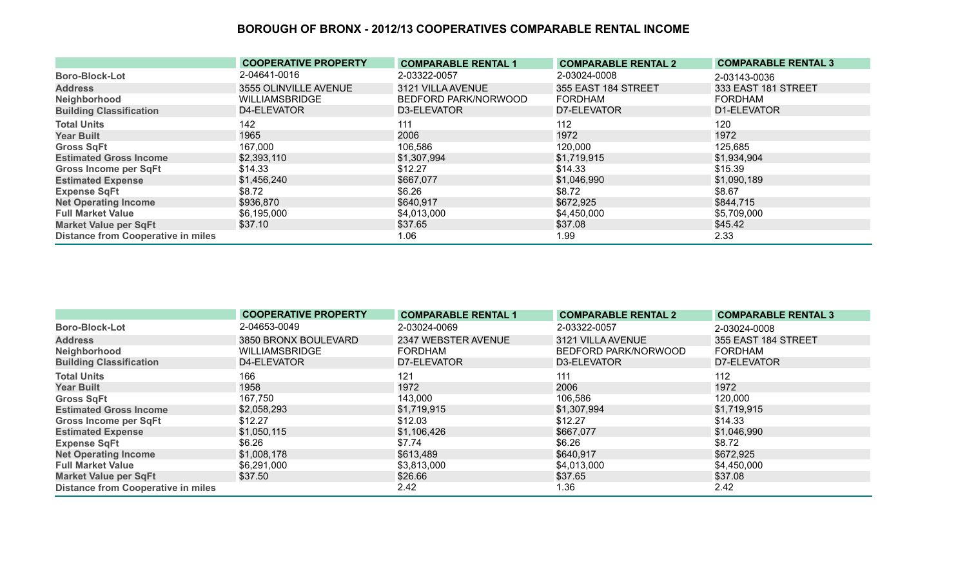|                                           | <b>COOPERATIVE PROPERTY</b> | <b>COMPARABLE RENTAL 1</b> | <b>COMPARABLE RENTAL 2</b> | <b>COMPARABLE RENTAL 3</b> |
|-------------------------------------------|-----------------------------|----------------------------|----------------------------|----------------------------|
| <b>Boro-Block-Lot</b>                     | 2-04641-0016                | 2-03322-0057               | 2-03024-0008               | 2-03143-0036               |
| <b>Address</b>                            | 3555 OLINVILLE AVENUE       | 3121 VILLA AVENUE          | 355 EAST 184 STREET        | 333 EAST 181 STREET        |
| Neighborhood                              | <b>WILLIAMSBRIDGE</b>       | BEDFORD PARK/NORWOOD       | FORDHAM                    | FORDHAM                    |
| <b>Building Classification</b>            | D4-ELEVATOR                 | D3-ELEVATOR                | D7-ELEVATOR                | D1-ELEVATOR                |
| <b>Total Units</b>                        | 142                         | 111                        | 112                        | 120                        |
| <b>Year Built</b>                         | 1965                        | 2006                       | 1972                       | 1972                       |
| <b>Gross SqFt</b>                         | 167,000                     | 106,586                    | 120,000                    | 125,685                    |
| <b>Estimated Gross Income</b>             | \$2,393,110                 | \$1,307,994                | \$1,719,915                | \$1,934,904                |
| <b>Gross Income per SqFt</b>              | \$14.33                     | \$12.27                    | \$14.33                    | \$15.39                    |
| <b>Estimated Expense</b>                  | \$1,456,240                 | \$667,077                  | \$1,046,990                | \$1,090,189                |
| <b>Expense SqFt</b>                       | \$8.72                      | \$6.26                     | \$8.72                     | \$8.67                     |
| <b>Net Operating Income</b>               | \$936,870                   | \$640,917                  | \$672,925                  | \$844,715                  |
| <b>Full Market Value</b>                  | \$6,195,000                 | \$4,013,000                | \$4,450,000                | \$5,709,000                |
| <b>Market Value per SqFt</b>              | \$37.10                     | \$37.65                    | \$37.08                    | \$45.42                    |
| <b>Distance from Cooperative in miles</b> |                             | 1.06                       | 1.99                       | 2.33                       |

|                                           | <b>COOPERATIVE PROPERTY</b> | <b>COMPARABLE RENTAL 1</b> | <b>COMPARABLE RENTAL 2</b> | <b>COMPARABLE RENTAL 3</b> |
|-------------------------------------------|-----------------------------|----------------------------|----------------------------|----------------------------|
| <b>Boro-Block-Lot</b>                     | 2-04653-0049                | 2-03024-0069               | 2-03322-0057               | 2-03024-0008               |
| <b>Address</b>                            | 3850 BRONX BOULEVARD        | 2347 WEBSTER AVENUE        | 3121 VILLA AVENUE          | 355 EAST 184 STREET        |
| Neighborhood                              | <b>WILLIAMSBRIDGE</b>       | <b>FORDHAM</b>             | BEDFORD PARK/NORWOOD       | FORDHAM                    |
| <b>Building Classification</b>            | D4-ELEVATOR                 | D7-ELEVATOR                | D3-ELEVATOR                | D7-ELEVATOR                |
| <b>Total Units</b>                        | 166                         | 121                        | 111                        | 112                        |
| <b>Year Built</b>                         | 1958                        | 1972                       | 2006                       | 1972                       |
| <b>Gross SqFt</b>                         | 167,750                     | 143,000                    | 106,586                    | 120,000                    |
| <b>Estimated Gross Income</b>             | \$2,058,293                 | \$1,719,915                | \$1,307,994                | \$1,719,915                |
| <b>Gross Income per SqFt</b>              | \$12.27                     | \$12.03                    | \$12.27                    | \$14.33                    |
| <b>Estimated Expense</b>                  | \$1,050,115                 | \$1,106,426                | \$667,077                  | \$1,046,990                |
| <b>Expense SqFt</b>                       | \$6.26                      | \$7.74                     | \$6.26                     | \$8.72                     |
| <b>Net Operating Income</b>               | \$1,008,178                 | \$613,489                  | \$640,917                  | \$672,925                  |
| <b>Full Market Value</b>                  | \$6,291,000                 | \$3,813,000                | \$4,013,000                | \$4,450,000                |
| <b>Market Value per SqFt</b>              | \$37.50                     | \$26.66                    | \$37.65                    | \$37.08                    |
| <b>Distance from Cooperative in miles</b> |                             | 2.42                       | 1.36                       | 2.42                       |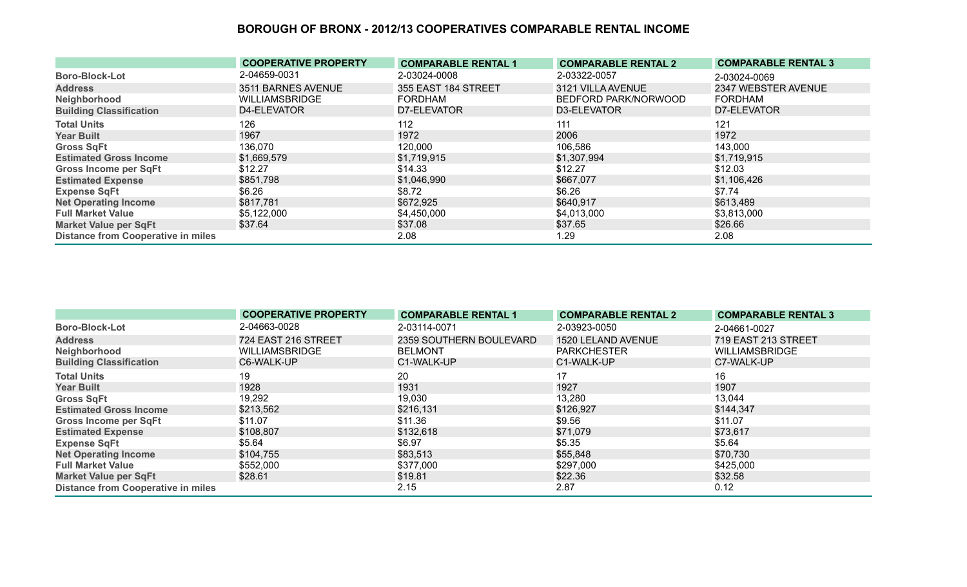|                                           | <b>COOPERATIVE PROPERTY</b> | <b>COMPARABLE RENTAL 1</b> | <b>COMPARABLE RENTAL 2</b> | <b>COMPARABLE RENTAL 3</b> |
|-------------------------------------------|-----------------------------|----------------------------|----------------------------|----------------------------|
| <b>Boro-Block-Lot</b>                     | 2-04659-0031                | 2-03024-0008               | 2-03322-0057               | 2-03024-0069               |
| <b>Address</b>                            | 3511 BARNES AVENUE          | 355 EAST 184 STREET        | 3121 VILLA AVENUE          | 2347 WEBSTER AVENUE        |
| Neighborhood                              | <b>WILLIAMSBRIDGE</b>       | <b>FORDHAM</b>             | BEDFORD PARK/NORWOOD       | <b>FORDHAM</b>             |
| <b>Building Classification</b>            | D4-ELEVATOR                 | D7-ELEVATOR                | D3-ELEVATOR                | D7-ELEVATOR                |
| <b>Total Units</b>                        | 126                         | 112                        | 111                        | 121                        |
| <b>Year Built</b>                         | 1967                        | 1972                       | 2006                       | 1972                       |
| <b>Gross SqFt</b>                         | 136,070                     | 120,000                    | 106,586                    | 143,000                    |
| <b>Estimated Gross Income</b>             | \$1,669,579                 | \$1,719,915                | \$1,307,994                | \$1,719,915                |
| <b>Gross Income per SqFt</b>              | \$12.27                     | \$14.33                    | \$12.27                    | \$12.03                    |
| <b>Estimated Expense</b>                  | \$851,798                   | \$1,046,990                | \$667,077                  | \$1,106,426                |
| <b>Expense SqFt</b>                       | \$6.26                      | \$8.72                     | \$6.26                     | \$7.74                     |
| <b>Net Operating Income</b>               | \$817,781                   | \$672,925                  | \$640,917                  | \$613,489                  |
| <b>Full Market Value</b>                  | \$5,122,000                 | \$4,450,000                | \$4,013,000                | \$3,813,000                |
| <b>Market Value per SqFt</b>              | \$37.64                     | \$37.08                    | \$37.65                    | \$26.66                    |
| <b>Distance from Cooperative in miles</b> |                             | 2.08                       | 1.29                       | 2.08                       |

|                                           | <b>COOPERATIVE PROPERTY</b> | <b>COMPARABLE RENTAL 1</b> | <b>COMPARABLE RENTAL 2</b> | <b>COMPARABLE RENTAL 3</b> |
|-------------------------------------------|-----------------------------|----------------------------|----------------------------|----------------------------|
| <b>Boro-Block-Lot</b>                     | 2-04663-0028                | 2-03114-0071               | 2-03923-0050               | 2-04661-0027               |
| <b>Address</b>                            | 724 EAST 216 STREET         | 2359 SOUTHERN BOULEVARD    | 1520 LELAND AVENUE         | 719 EAST 213 STREET        |
| Neighborhood                              | <b>WILLIAMSBRIDGE</b>       | <b>BELMONT</b>             | <b>PARKCHESTER</b>         | <b>WILLIAMSBRIDGE</b>      |
| <b>Building Classification</b>            | C6-WALK-UP                  | C1-WALK-UP                 | C1-WALK-UP                 | C7-WALK-UP                 |
| <b>Total Units</b>                        | 19                          | 20                         | 17                         | 16                         |
| <b>Year Built</b>                         | 1928                        | 1931                       | 1927                       | 1907                       |
| <b>Gross SqFt</b>                         | 19,292                      | 19,030                     | 13,280                     | 13,044                     |
| <b>Estimated Gross Income</b>             | \$213,562                   | \$216,131                  | \$126,927                  | \$144,347                  |
| <b>Gross Income per SqFt</b>              | \$11.07                     | \$11.36                    | \$9.56                     | \$11.07                    |
| <b>Estimated Expense</b>                  | \$108,807                   | \$132,618                  | \$71,079                   | \$73,617                   |
| <b>Expense SqFt</b>                       | \$5.64                      | \$6.97                     | \$5.35                     | \$5.64                     |
| <b>Net Operating Income</b>               | \$104,755                   | \$83,513                   | \$55,848                   | \$70,730                   |
| <b>Full Market Value</b>                  | \$552,000                   | \$377,000                  | \$297,000                  | \$425,000                  |
| <b>Market Value per SqFt</b>              | \$28.61                     | \$19.81                    | \$22.36                    | \$32.58                    |
| <b>Distance from Cooperative in miles</b> |                             | 2.15                       | 2.87                       | 0.12                       |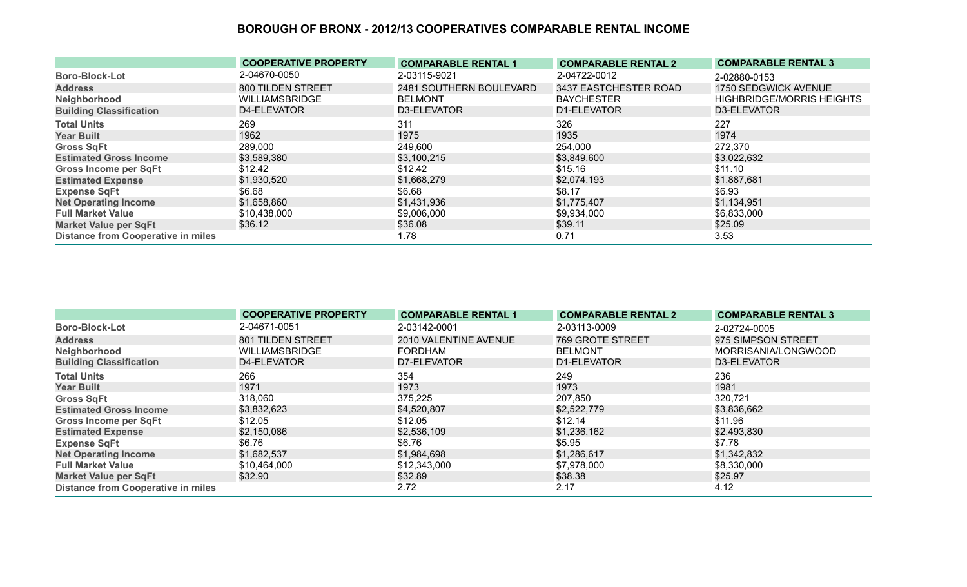|                                           | <b>COOPERATIVE PROPERTY</b> | <b>COMPARABLE RENTAL 1</b> | <b>COMPARABLE RENTAL 2</b> | <b>COMPARABLE RENTAL 3</b>       |
|-------------------------------------------|-----------------------------|----------------------------|----------------------------|----------------------------------|
| <b>Boro-Block-Lot</b>                     | 2-04670-0050                | 2-03115-9021               | 2-04722-0012               | 2-02880-0153                     |
| <b>Address</b>                            | 800 TILDEN STREET           | 2481 SOUTHERN BOULEVARD    | 3437 EASTCHESTER ROAD      | 1750 SEDGWICK AVENUE             |
| Neighborhood                              | <b>WILLIAMSBRIDGE</b>       | <b>BELMONT</b>             | <b>BAYCHESTER</b>          | <b>HIGHBRIDGE/MORRIS HEIGHTS</b> |
| <b>Building Classification</b>            | D4-ELEVATOR                 | D3-ELEVATOR                | D1-ELEVATOR                | D3-ELEVATOR                      |
| <b>Total Units</b>                        | 269                         | 311                        | 326                        | 227                              |
| <b>Year Built</b>                         | 1962                        | 1975                       | 1935                       | 1974                             |
| <b>Gross SqFt</b>                         | 289,000                     | 249,600                    | 254,000                    | 272,370                          |
| <b>Estimated Gross Income</b>             | \$3,589,380                 | \$3,100,215                | \$3,849,600                | \$3,022,632                      |
| <b>Gross Income per SqFt</b>              | \$12.42                     | \$12.42                    | \$15.16                    | \$11.10                          |
| <b>Estimated Expense</b>                  | \$1,930,520                 | \$1,668,279                | \$2,074,193                | \$1,887,681                      |
| <b>Expense SqFt</b>                       | \$6.68                      | \$6.68                     | \$8.17                     | \$6.93                           |
| <b>Net Operating Income</b>               | \$1,658,860                 | \$1,431,936                | \$1,775,407                | \$1,134,951                      |
| <b>Full Market Value</b>                  | \$10,438,000                | \$9,006,000                | \$9,934,000                | \$6,833,000                      |
| <b>Market Value per SqFt</b>              | \$36.12                     | \$36.08                    | \$39.11                    | \$25.09                          |
| <b>Distance from Cooperative in miles</b> |                             | 1.78                       | 0.71                       | 3.53                             |

|                                           | <b>COOPERATIVE PROPERTY</b> | <b>COMPARABLE RENTAL 1</b> | <b>COMPARABLE RENTAL 2</b> | <b>COMPARABLE RENTAL 3</b> |
|-------------------------------------------|-----------------------------|----------------------------|----------------------------|----------------------------|
| <b>Boro-Block-Lot</b>                     | 2-04671-0051                | 2-03142-0001               | 2-03113-0009               | 2-02724-0005               |
| <b>Address</b>                            | 801 TILDEN STREET           | 2010 VALENTINE AVENUE      | <b>769 GROTE STREET</b>    | 975 SIMPSON STREET         |
| Neighborhood                              | <b>WILLIAMSBRIDGE</b>       | FORDHAM                    | <b>BELMONT</b>             | MORRISANIA/LONGWOOD        |
| <b>Building Classification</b>            | D4-ELEVATOR                 | D7-ELEVATOR                | D1-ELEVATOR                | D3-ELEVATOR                |
| <b>Total Units</b>                        | 266                         | 354                        | 249                        | 236                        |
| <b>Year Built</b>                         | 1971                        | 1973                       | 1973                       | 1981                       |
| <b>Gross SqFt</b>                         | 318,060                     | 375,225                    | 207,850                    | 320,721                    |
| <b>Estimated Gross Income</b>             | \$3,832,623                 | \$4,520,807                | \$2,522,779                | \$3,836,662                |
| Gross Income per SqFt                     | \$12.05                     | \$12.05                    | \$12.14                    | \$11.96                    |
| <b>Estimated Expense</b>                  | \$2,150,086                 | \$2,536,109                | \$1,236,162                | \$2,493,830                |
| <b>Expense SqFt</b>                       | \$6.76                      | \$6.76                     | \$5.95                     | \$7.78                     |
| <b>Net Operating Income</b>               | \$1,682,537                 | \$1,984,698                | \$1,286,617                | \$1,342,832                |
| <b>Full Market Value</b>                  | \$10,464,000                | \$12,343,000               | \$7,978,000                | \$8,330,000                |
| <b>Market Value per SqFt</b>              | \$32.90                     | \$32.89                    | \$38.38                    | \$25.97                    |
| <b>Distance from Cooperative in miles</b> |                             | 2.72                       | 2.17                       | 4.12                       |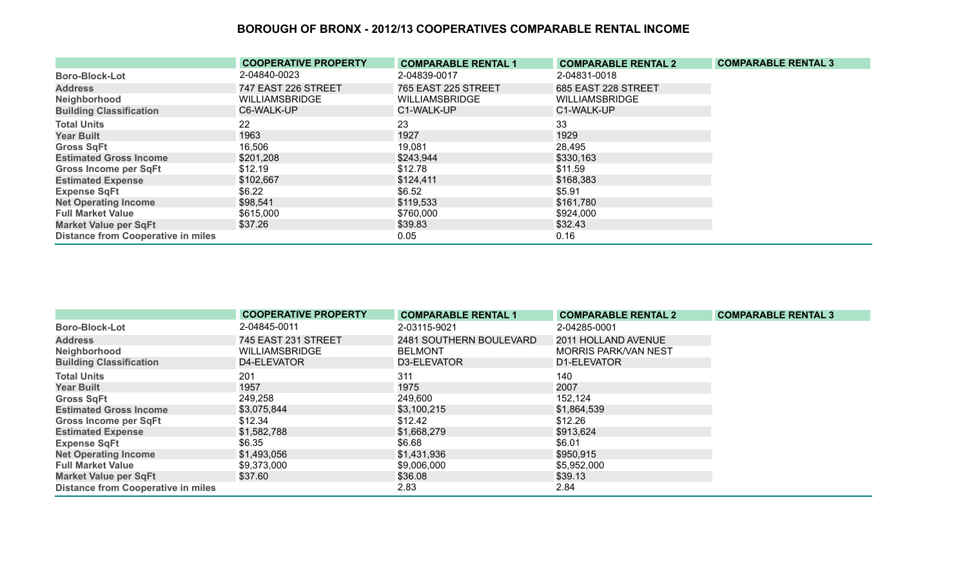|                                           | <b>COOPERATIVE PROPERTY</b> | <b>COMPARABLE RENTAL 1</b> | <b>COMPARABLE RENTAL 2</b> | <b>COMPARABLE RENTAL 3</b> |
|-------------------------------------------|-----------------------------|----------------------------|----------------------------|----------------------------|
| <b>Boro-Block-Lot</b>                     | 2-04840-0023                | 2-04839-0017               | 2-04831-0018               |                            |
| <b>Address</b>                            | 747 EAST 226 STREET         | <b>765 EAST 225 STREET</b> | 685 EAST 228 STREET        |                            |
| Neighborhood                              | <b>WILLIAMSBRIDGE</b>       | <b>WILLIAMSBRIDGE</b>      | <b>WILLIAMSBRIDGE</b>      |                            |
| <b>Building Classification</b>            | C6-WALK-UP                  | C1-WALK-UP                 | C1-WALK-UP                 |                            |
| <b>Total Units</b>                        | 22                          | 23                         | 33                         |                            |
| <b>Year Built</b>                         | 1963                        | 1927                       | 1929                       |                            |
| <b>Gross SqFt</b>                         | 16,506                      | 19,081                     | 28,495                     |                            |
| <b>Estimated Gross Income</b>             | \$201,208                   | \$243,944                  | \$330,163                  |                            |
| <b>Gross Income per SqFt</b>              | \$12.19                     | \$12.78                    | \$11.59                    |                            |
| <b>Estimated Expense</b>                  | \$102,667                   | \$124,411                  | \$168,383                  |                            |
| <b>Expense SqFt</b>                       | \$6.22                      | \$6.52                     | \$5.91                     |                            |
| <b>Net Operating Income</b>               | \$98,541                    | \$119,533                  | \$161,780                  |                            |
| <b>Full Market Value</b>                  | \$615,000                   | \$760,000                  | \$924,000                  |                            |
| <b>Market Value per SqFt</b>              | \$37.26                     | \$39.83                    | \$32.43                    |                            |
| <b>Distance from Cooperative in miles</b> |                             | 0.05                       | 0.16                       |                            |

|                                           | <b>COOPERATIVE PROPERTY</b> | <b>COMPARABLE RENTAL 1</b> | <b>COMPARABLE RENTAL 2</b> | <b>COMPARABLE RENTAL 3</b> |
|-------------------------------------------|-----------------------------|----------------------------|----------------------------|----------------------------|
| <b>Boro-Block-Lot</b>                     | 2-04845-0011                | 2-03115-9021               | 2-04285-0001               |                            |
| <b>Address</b>                            | 745 EAST 231 STREET         | 2481 SOUTHERN BOULEVARD    | 2011 HOLLAND AVENUE        |                            |
| Neighborhood                              | <b>WILLIAMSBRIDGE</b>       | <b>BELMONT</b>             | MORRIS PARK/VAN NEST       |                            |
| <b>Building Classification</b>            | D4-ELEVATOR                 | D3-ELEVATOR                | D1-ELEVATOR                |                            |
| <b>Total Units</b>                        | 201                         | 311                        | 140                        |                            |
| <b>Year Built</b>                         | 1957                        | 1975                       | 2007                       |                            |
| <b>Gross SqFt</b>                         | 249,258                     | 249,600                    | 152,124                    |                            |
| <b>Estimated Gross Income</b>             | \$3,075,844                 | \$3,100,215                | \$1,864,539                |                            |
| <b>Gross Income per SqFt</b>              | \$12.34                     | \$12.42                    | \$12.26                    |                            |
| <b>Estimated Expense</b>                  | \$1,582,788                 | \$1,668,279                | \$913,624                  |                            |
| <b>Expense SqFt</b>                       | \$6.35                      | \$6.68                     | \$6.01                     |                            |
| <b>Net Operating Income</b>               | \$1,493,056                 | \$1,431,936                | \$950,915                  |                            |
| <b>Full Market Value</b>                  | \$9,373,000                 | \$9,006,000                | \$5,952,000                |                            |
| <b>Market Value per SqFt</b>              | \$37.60                     | \$36.08                    | \$39.13                    |                            |
| <b>Distance from Cooperative in miles</b> |                             | 2.83                       | 2.84                       |                            |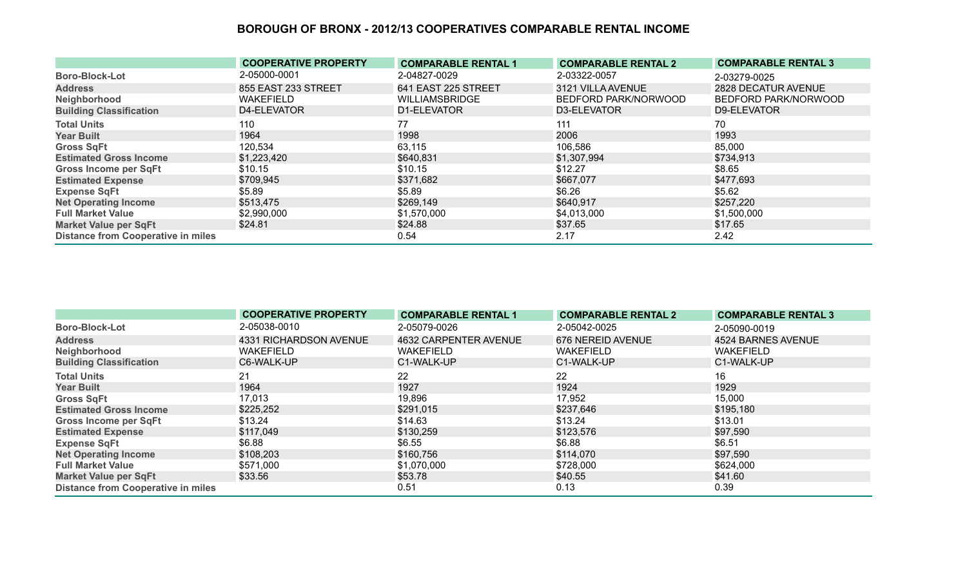|                                           | <b>COOPERATIVE PROPERTY</b> | <b>COMPARABLE RENTAL 1</b> | <b>COMPARABLE RENTAL 2</b> | <b>COMPARABLE RENTAL 3</b> |
|-------------------------------------------|-----------------------------|----------------------------|----------------------------|----------------------------|
| <b>Boro-Block-Lot</b>                     | 2-05000-0001                | 2-04827-0029               | 2-03322-0057               | 2-03279-0025               |
| <b>Address</b>                            | 855 EAST 233 STREET         | 641 EAST 225 STREET        | 3121 VILLA AVENUE          | 2828 DECATUR AVENUE        |
| Neighborhood                              | <b>WAKEFIELD</b>            | <b>WILLIAMSBRIDGE</b>      | BEDFORD PARK/NORWOOD       | BEDFORD PARK/NORWOOD       |
| <b>Building Classification</b>            | D4-ELEVATOR                 | D1-ELEVATOR                | D3-ELEVATOR                | D9-ELEVATOR                |
| <b>Total Units</b>                        | 110                         | 77                         | 111                        | 70                         |
| <b>Year Built</b>                         | 1964                        | 1998                       | 2006                       | 1993                       |
| <b>Gross SqFt</b>                         | 120,534                     | 63,115                     | 106,586                    | 85,000                     |
| <b>Estimated Gross Income</b>             | \$1,223,420                 | \$640,831                  | \$1,307,994                | \$734,913                  |
| <b>Gross Income per SqFt</b>              | \$10.15                     | \$10.15                    | \$12.27                    | \$8.65                     |
| <b>Estimated Expense</b>                  | \$709,945                   | \$371,682                  | \$667,077                  | \$477,693                  |
| <b>Expense SqFt</b>                       | \$5.89                      | \$5.89                     | \$6.26                     | \$5.62                     |
| <b>Net Operating Income</b>               | \$513,475                   | \$269,149                  | \$640,917                  | \$257,220                  |
| <b>Full Market Value</b>                  | \$2,990,000                 | \$1,570,000                | \$4,013,000                | \$1,500,000                |
| <b>Market Value per SqFt</b>              | \$24.81                     | \$24.88                    | \$37.65                    | \$17.65                    |
| <b>Distance from Cooperative in miles</b> |                             | 0.54                       | 2.17                       | 2.42                       |

|                                           | <b>COOPERATIVE PROPERTY</b> | <b>COMPARABLE RENTAL 1</b> | <b>COMPARABLE RENTAL 2</b> | <b>COMPARABLE RENTAL 3</b> |
|-------------------------------------------|-----------------------------|----------------------------|----------------------------|----------------------------|
| <b>Boro-Block-Lot</b>                     | 2-05038-0010                | 2-05079-0026               | 2-05042-0025               | 2-05090-0019               |
| <b>Address</b>                            | 4331 RICHARDSON AVENUE      | 4632 CARPENTER AVENUE      | 676 NEREID AVENUE          | 4524 BARNES AVENUE         |
| Neighborhood                              | <b>WAKEFIELD</b>            | <b>WAKEFIELD</b>           | <b>WAKEFIELD</b>           | <b>WAKEFIELD</b>           |
| <b>Building Classification</b>            | C6-WALK-UP                  | C1-WALK-UP                 | C1-WALK-UP                 | C1-WALK-UP                 |
| <b>Total Units</b>                        | 21                          | 22                         | 22                         | 16                         |
| <b>Year Built</b>                         | 1964                        | 1927                       | 1924                       | 1929                       |
| <b>Gross SqFt</b>                         | 17,013                      | 19,896                     | 17,952                     | 15,000                     |
| <b>Estimated Gross Income</b>             | \$225,252                   | \$291,015                  | \$237,646                  | \$195,180                  |
| <b>Gross Income per SqFt</b>              | \$13.24                     | \$14.63                    | \$13.24                    | \$13.01                    |
| <b>Estimated Expense</b>                  | \$117,049                   | \$130,259                  | \$123,576                  | \$97,590                   |
| <b>Expense SqFt</b>                       | \$6.88                      | \$6.55                     | \$6.88                     | \$6.51                     |
| <b>Net Operating Income</b>               | \$108,203                   | \$160,756                  | \$114,070                  | \$97,590                   |
| <b>Full Market Value</b>                  | \$571,000                   | \$1,070,000                | \$728,000                  | \$624,000                  |
| <b>Market Value per SqFt</b>              | \$33.56                     | \$53.78                    | \$40.55                    | \$41.60                    |
| <b>Distance from Cooperative in miles</b> |                             | 0.51                       | 0.13                       | 0.39                       |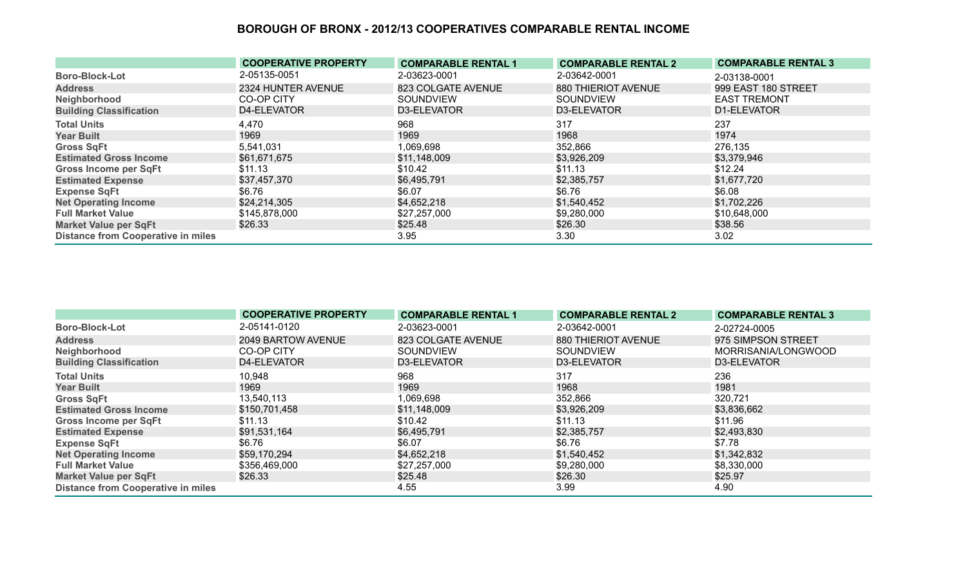|                                           | <b>COOPERATIVE PROPERTY</b> | <b>COMPARABLE RENTAL 1</b> | <b>COMPARABLE RENTAL 2</b> | <b>COMPARABLE RENTAL 3</b> |
|-------------------------------------------|-----------------------------|----------------------------|----------------------------|----------------------------|
| <b>Boro-Block-Lot</b>                     | 2-05135-0051                | 2-03623-0001               | 2-03642-0001               | 2-03138-0001               |
| <b>Address</b>                            | 2324 HUNTER AVENUE          | 823 COLGATE AVENUE         | 880 THIERIOT AVENUE        | 999 EAST 180 STREET        |
| Neighborhood                              | CO-OP CITY                  | <b>SOUNDVIEW</b>           | <b>SOUNDVIEW</b>           | <b>EAST TREMONT</b>        |
| <b>Building Classification</b>            | D4-ELEVATOR                 | D3-ELEVATOR                | D3-ELEVATOR                | D1-ELEVATOR                |
| <b>Total Units</b>                        | 4,470                       | 968                        | 317                        | 237                        |
| <b>Year Built</b>                         | 1969                        | 1969                       | 1968                       | 1974                       |
| <b>Gross SqFt</b>                         | 5,541,031                   | 1,069,698                  | 352,866                    | 276,135                    |
| <b>Estimated Gross Income</b>             | \$61,671,675                | \$11,148,009               | \$3,926,209                | \$3,379,946                |
| <b>Gross Income per SqFt</b>              | \$11.13                     | \$10.42                    | \$11.13                    | \$12.24                    |
| <b>Estimated Expense</b>                  | \$37,457,370                | \$6,495,791                | \$2,385,757                | \$1,677,720                |
| <b>Expense SqFt</b>                       | \$6.76                      | \$6.07                     | \$6.76                     | \$6.08                     |
| <b>Net Operating Income</b>               | \$24,214,305                | \$4,652,218                | \$1,540,452                | \$1,702,226                |
| <b>Full Market Value</b>                  | \$145,878,000               | \$27,257,000               | \$9,280,000                | \$10,648,000               |
| <b>Market Value per SqFt</b>              | \$26.33                     | \$25.48                    | \$26.30                    | \$38.56                    |
| <b>Distance from Cooperative in miles</b> |                             | 3.95                       | 3.30                       | 3.02                       |

|                                           | <b>COOPERATIVE PROPERTY</b> | <b>COMPARABLE RENTAL 1</b> | <b>COMPARABLE RENTAL 2</b> | <b>COMPARABLE RENTAL 3</b> |
|-------------------------------------------|-----------------------------|----------------------------|----------------------------|----------------------------|
| <b>Boro-Block-Lot</b>                     | 2-05141-0120                | 2-03623-0001               | 2-03642-0001               | 2-02724-0005               |
| <b>Address</b>                            | 2049 BARTOW AVENUE          | 823 COLGATE AVENUE         | 880 THIERIOT AVENUE        | 975 SIMPSON STREET         |
| Neighborhood                              | CO-OP CITY                  | <b>SOUNDVIEW</b>           | SOUNDVIEW                  | MORRISANIA/LONGWOOD        |
| <b>Building Classification</b>            | D4-ELEVATOR                 | D3-ELEVATOR                | D3-ELEVATOR                | D3-ELEVATOR                |
| <b>Total Units</b>                        | 10,948                      | 968                        | 317                        | 236                        |
| <b>Year Built</b>                         | 1969                        | 1969                       | 1968                       | 1981                       |
| <b>Gross SqFt</b>                         | 13,540,113                  | 1,069,698                  | 352,866                    | 320,721                    |
| <b>Estimated Gross Income</b>             | \$150,701,458               | \$11,148,009               | \$3,926,209                | \$3,836,662                |
| <b>Gross Income per SqFt</b>              | \$11.13                     | \$10.42                    | \$11.13                    | \$11.96                    |
| <b>Estimated Expense</b>                  | \$91,531,164                | \$6,495,791                | \$2,385,757                | \$2,493,830                |
| <b>Expense SqFt</b>                       | \$6.76                      | \$6.07                     | \$6.76                     | \$7.78                     |
| <b>Net Operating Income</b>               | \$59,170,294                | \$4,652,218                | \$1,540,452                | \$1,342,832                |
| <b>Full Market Value</b>                  | \$356,469,000               | \$27,257,000               | \$9,280,000                | \$8,330,000                |
| <b>Market Value per SqFt</b>              | \$26.33                     | \$25.48                    | \$26.30                    | \$25.97                    |
| <b>Distance from Cooperative in miles</b> |                             | 4.55                       | 3.99                       | 4.90                       |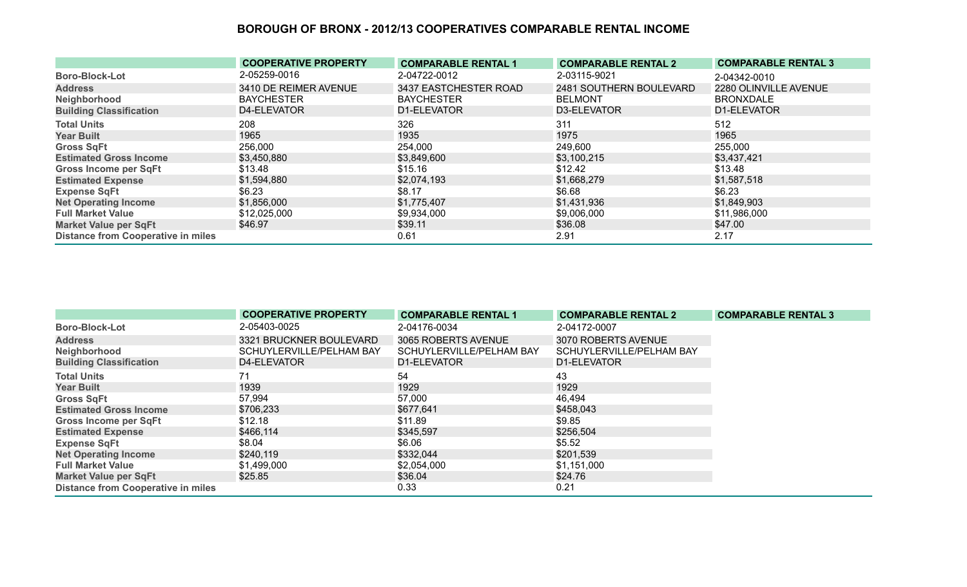|                                           | <b>COOPERATIVE PROPERTY</b> | <b>COMPARABLE RENTAL 1</b> | <b>COMPARABLE RENTAL 2</b> | <b>COMPARABLE RENTAL 3</b> |
|-------------------------------------------|-----------------------------|----------------------------|----------------------------|----------------------------|
| <b>Boro-Block-Lot</b>                     | 2-05259-0016                | 2-04722-0012               | 2-03115-9021               | 2-04342-0010               |
| <b>Address</b>                            | 3410 DE REIMER AVENUE       | 3437 EASTCHESTER ROAD      | 2481 SOUTHERN BOULEVARD    | 2280 OLINVILLE AVENUE      |
| Neighborhood                              | <b>BAYCHESTER</b>           | <b>BAYCHESTER</b>          | <b>BELMONT</b>             | <b>BRONXDALE</b>           |
| <b>Building Classification</b>            | D4-ELEVATOR                 | D1-ELEVATOR                | D3-ELEVATOR                | D1-ELEVATOR                |
| <b>Total Units</b>                        | 208                         | 326                        | 311                        | 512                        |
| <b>Year Built</b>                         | 1965                        | 1935                       | 1975                       | 1965                       |
| <b>Gross SqFt</b>                         | 256,000                     | 254,000                    | 249,600                    | 255,000                    |
| <b>Estimated Gross Income</b>             | \$3,450,880                 | \$3,849,600                | \$3,100,215                | \$3,437,421                |
| <b>Gross Income per SqFt</b>              | \$13.48                     | \$15.16                    | \$12.42                    | \$13.48                    |
| <b>Estimated Expense</b>                  | \$1,594,880                 | \$2,074,193                | \$1,668,279                | \$1,587,518                |
| <b>Expense SqFt</b>                       | \$6.23                      | \$8.17                     | \$6.68                     | \$6.23                     |
| <b>Net Operating Income</b>               | \$1,856,000                 | \$1,775,407                | \$1,431,936                | \$1,849,903                |
| <b>Full Market Value</b>                  | \$12,025,000                | \$9,934,000                | \$9,006,000                | \$11,986,000               |
| <b>Market Value per SqFt</b>              | \$46.97                     | \$39.11                    | \$36.08                    | \$47.00                    |
| <b>Distance from Cooperative in miles</b> |                             | 0.61                       | 2.91                       | 2.17                       |

|                                           | <b>COOPERATIVE PROPERTY</b> | <b>COMPARABLE RENTAL 1</b> | <b>COMPARABLE RENTAL 2</b> | <b>COMPARABLE RENTAL 3</b> |
|-------------------------------------------|-----------------------------|----------------------------|----------------------------|----------------------------|
| <b>Boro-Block-Lot</b>                     | 2-05403-0025                | 2-04176-0034               | 2-04172-0007               |                            |
| <b>Address</b>                            | 3321 BRUCKNER BOULEVARD     | 3065 ROBERTS AVENUE        | 3070 ROBERTS AVENUE        |                            |
| Neighborhood                              | SCHUYLERVILLE/PELHAM BAY    | SCHUYLERVILLE/PELHAM BAY   | SCHUYLERVILLE/PELHAM BAY   |                            |
| <b>Building Classification</b>            | D4-ELEVATOR                 | D1-ELEVATOR                | D1-ELEVATOR                |                            |
| <b>Total Units</b>                        | 71                          | 54                         | 43                         |                            |
| <b>Year Built</b>                         | 1939                        | 1929                       | 1929                       |                            |
| <b>Gross SqFt</b>                         | 57,994                      | 57,000                     | 46,494                     |                            |
| <b>Estimated Gross Income</b>             | \$706,233                   | \$677,641                  | \$458,043                  |                            |
| <b>Gross Income per SqFt</b>              | \$12.18                     | \$11.89                    | \$9.85                     |                            |
| <b>Estimated Expense</b>                  | \$466,114                   | \$345,597                  | \$256,504                  |                            |
| <b>Expense SqFt</b>                       | \$8.04                      | \$6.06                     | \$5.52                     |                            |
| <b>Net Operating Income</b>               | \$240,119                   | \$332,044                  | \$201,539                  |                            |
| <b>Full Market Value</b>                  | \$1,499,000                 | \$2,054,000                | \$1,151,000                |                            |
| <b>Market Value per SqFt</b>              | \$25.85                     | \$36.04                    | \$24.76                    |                            |
| <b>Distance from Cooperative in miles</b> |                             | 0.33                       | 0.21                       |                            |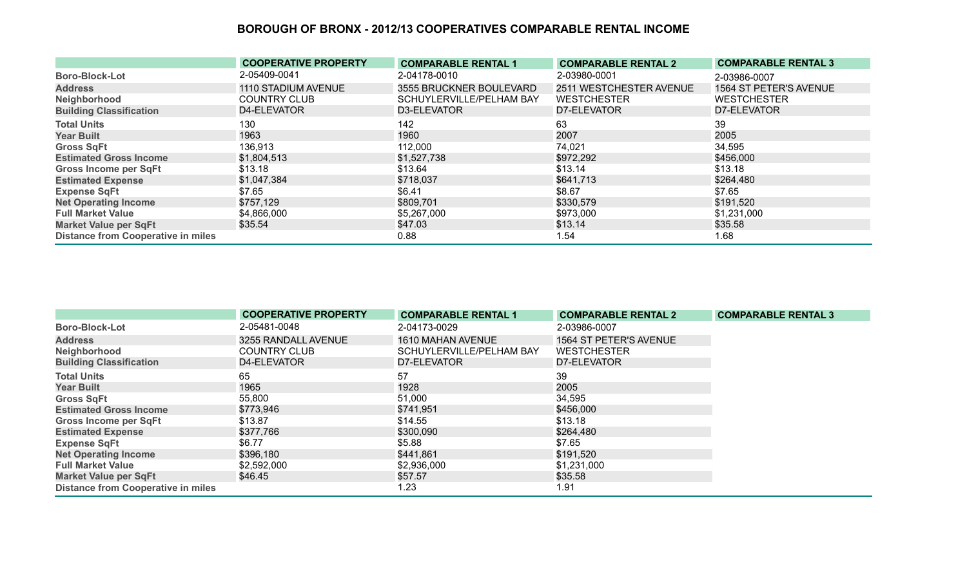|                                           | <b>COOPERATIVE PROPERTY</b> | <b>COMPARABLE RENTAL 1</b> | <b>COMPARABLE RENTAL 2</b> | <b>COMPARABLE RENTAL 3</b> |
|-------------------------------------------|-----------------------------|----------------------------|----------------------------|----------------------------|
| <b>Boro-Block-Lot</b>                     | 2-05409-0041                | 2-04178-0010               | 2-03980-0001               | 2-03986-0007               |
| <b>Address</b>                            | 1110 STADIUM AVENUE         | 3555 BRUCKNER BOULEVARD    | 2511 WESTCHESTER AVENUE    | 1564 ST PETER'S AVENUE     |
| Neighborhood                              | <b>COUNTRY CLUB</b>         | SCHUYLERVILLE/PELHAM BAY   | <b>WESTCHESTER</b>         | <b>WESTCHESTER</b>         |
| <b>Building Classification</b>            | D4-ELEVATOR                 | D3-ELEVATOR                | D7-ELEVATOR                | D7-ELEVATOR                |
| <b>Total Units</b>                        | 130                         | 142                        | 63                         | 39                         |
| <b>Year Built</b>                         | 1963                        | 1960                       | 2007                       | 2005                       |
| <b>Gross SqFt</b>                         | 136,913                     | 112,000                    | 74,021                     | 34,595                     |
| <b>Estimated Gross Income</b>             | \$1,804,513                 | \$1,527,738                | \$972,292                  | \$456,000                  |
| <b>Gross Income per SqFt</b>              | \$13.18                     | \$13.64                    | \$13.14                    | \$13.18                    |
| <b>Estimated Expense</b>                  | \$1,047,384                 | \$718,037                  | \$641,713                  | \$264,480                  |
| <b>Expense SqFt</b>                       | \$7.65                      | \$6.41                     | \$8.67                     | \$7.65                     |
| <b>Net Operating Income</b>               | \$757,129                   | \$809,701                  | \$330,579                  | \$191,520                  |
| <b>Full Market Value</b>                  | \$4,866,000                 | \$5,267,000                | \$973,000                  | \$1,231,000                |
| <b>Market Value per SqFt</b>              | \$35.54                     | \$47.03                    | \$13.14                    | \$35.58                    |
| <b>Distance from Cooperative in miles</b> |                             | 0.88                       | 1.54                       | 1.68                       |

|                                           | <b>COOPERATIVE PROPERTY</b> | <b>COMPARABLE RENTAL 1</b> | <b>COMPARABLE RENTAL 2</b> | <b>COMPARABLE RENTAL 3</b> |
|-------------------------------------------|-----------------------------|----------------------------|----------------------------|----------------------------|
| <b>Boro-Block-Lot</b>                     | 2-05481-0048                | 2-04173-0029               | 2-03986-0007               |                            |
| <b>Address</b>                            | 3255 RANDALL AVENUE         | 1610 MAHAN AVENUE          | 1564 ST PETER'S AVENUE     |                            |
| Neighborhood                              | <b>COUNTRY CLUB</b>         | SCHUYLERVILLE/PELHAM BAY   | <b>WESTCHESTER</b>         |                            |
| <b>Building Classification</b>            | D4-ELEVATOR                 | D7-ELEVATOR                | D7-ELEVATOR                |                            |
| <b>Total Units</b>                        | 65                          | 57                         | 39                         |                            |
| <b>Year Built</b>                         | 1965                        | 1928                       | 2005                       |                            |
| <b>Gross SqFt</b>                         | 55,800                      | 51,000                     | 34,595                     |                            |
| <b>Estimated Gross Income</b>             | \$773,946                   | \$741,951                  | \$456,000                  |                            |
| Gross Income per SqFt                     | \$13.87                     | \$14.55                    | \$13.18                    |                            |
| <b>Estimated Expense</b>                  | \$377,766                   | \$300,090                  | \$264,480                  |                            |
| <b>Expense SqFt</b>                       | \$6.77                      | \$5.88                     | \$7.65                     |                            |
| <b>Net Operating Income</b>               | \$396,180                   | \$441,861                  | \$191,520                  |                            |
| <b>Full Market Value</b>                  | \$2,592,000                 | \$2,936,000                | \$1,231,000                |                            |
| <b>Market Value per SqFt</b>              | \$46.45                     | \$57.57                    | \$35.58                    |                            |
| <b>Distance from Cooperative in miles</b> |                             | 1.23                       | 1.91                       |                            |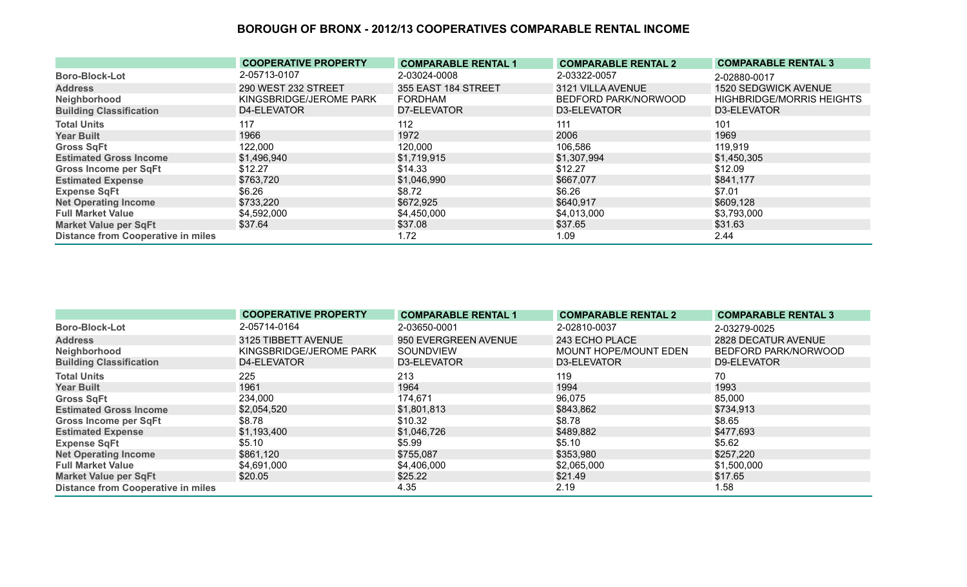|                                           | <b>COOPERATIVE PROPERTY</b> | <b>COMPARABLE RENTAL 1</b> | <b>COMPARABLE RENTAL 2</b> | <b>COMPARABLE RENTAL 3</b>       |
|-------------------------------------------|-----------------------------|----------------------------|----------------------------|----------------------------------|
| <b>Boro-Block-Lot</b>                     | 2-05713-0107                | 2-03024-0008               | 2-03322-0057               | 2-02880-0017                     |
| <b>Address</b>                            | 290 WEST 232 STREET         | 355 EAST 184 STREET        | 3121 VILLA AVENUE          | 1520 SEDGWICK AVENUE             |
| Neighborhood                              | KINGSBRIDGE/JEROME PARK     | <b>FORDHAM</b>             | BEDFORD PARK/NORWOOD       | <b>HIGHBRIDGE/MORRIS HEIGHTS</b> |
| <b>Building Classification</b>            | D4-ELEVATOR                 | D7-ELEVATOR                | D3-ELEVATOR                | D3-ELEVATOR                      |
| <b>Total Units</b>                        | 117                         | 112                        | 111                        | 101                              |
| <b>Year Built</b>                         | 1966                        | 1972                       | 2006                       | 1969                             |
| <b>Gross SqFt</b>                         | 122,000                     | 120,000                    | 106,586                    | 119,919                          |
| <b>Estimated Gross Income</b>             | \$1,496,940                 | \$1,719,915                | \$1,307,994                | \$1,450,305                      |
| <b>Gross Income per SqFt</b>              | \$12.27                     | \$14.33                    | \$12.27                    | \$12.09                          |
| <b>Estimated Expense</b>                  | \$763,720                   | \$1,046,990                | \$667,077                  | \$841,177                        |
| <b>Expense SqFt</b>                       | \$6.26                      | \$8.72                     | \$6.26                     | \$7.01                           |
| <b>Net Operating Income</b>               | \$733,220                   | \$672,925                  | \$640,917                  | \$609,128                        |
| <b>Full Market Value</b>                  | \$4,592,000                 | \$4,450,000                | \$4,013,000                | \$3,793,000                      |
| <b>Market Value per SqFt</b>              | \$37.64                     | \$37.08                    | \$37.65                    | \$31.63                          |
| <b>Distance from Cooperative in miles</b> |                             | 1.72                       | 1.09                       | 2.44                             |

|                                           | <b>COOPERATIVE PROPERTY</b> | <b>COMPARABLE RENTAL 1</b> | <b>COMPARABLE RENTAL 2</b> | <b>COMPARABLE RENTAL 3</b> |
|-------------------------------------------|-----------------------------|----------------------------|----------------------------|----------------------------|
| <b>Boro-Block-Lot</b>                     | 2-05714-0164                | 2-03650-0001               | 2-02810-0037               | 2-03279-0025               |
| <b>Address</b>                            | 3125 TIBBETT AVENUE         | 950 EVERGREEN AVENUE       | 243 ECHO PLACE             | 2828 DECATUR AVENUE        |
| Neighborhood                              | KINGSBRIDGE/JEROME PARK     | SOUNDVIEW                  | MOUNT HOPE/MOUNT EDEN      | BEDFORD PARK/NORWOOD       |
| <b>Building Classification</b>            | D4-ELEVATOR                 | D3-ELEVATOR                | D3-ELEVATOR                | D9-ELEVATOR                |
| <b>Total Units</b>                        | 225                         | 213                        | 119                        | 70                         |
| <b>Year Built</b>                         | 1961                        | 1964                       | 1994                       | 1993                       |
| <b>Gross SqFt</b>                         | 234,000                     | 174,671                    | 96,075                     | 85,000                     |
| <b>Estimated Gross Income</b>             | \$2,054,520                 | \$1,801,813                | \$843,862                  | \$734,913                  |
| <b>Gross Income per SqFt</b>              | \$8.78                      | \$10.32                    | \$8.78                     | \$8.65                     |
| <b>Estimated Expense</b>                  | \$1,193,400                 | \$1,046,726                | \$489,882                  | \$477,693                  |
| <b>Expense SqFt</b>                       | \$5.10                      | \$5.99                     | \$5.10                     | \$5.62                     |
| <b>Net Operating Income</b>               | \$861,120                   | \$755,087                  | \$353,980                  | \$257,220                  |
| <b>Full Market Value</b>                  | \$4,691,000                 | \$4,406,000                | \$2,065,000                | \$1,500,000                |
| <b>Market Value per SqFt</b>              | \$20.05                     | \$25.22                    | \$21.49                    | \$17.65                    |
| <b>Distance from Cooperative in miles</b> |                             | 4.35                       | 2.19                       | 1.58                       |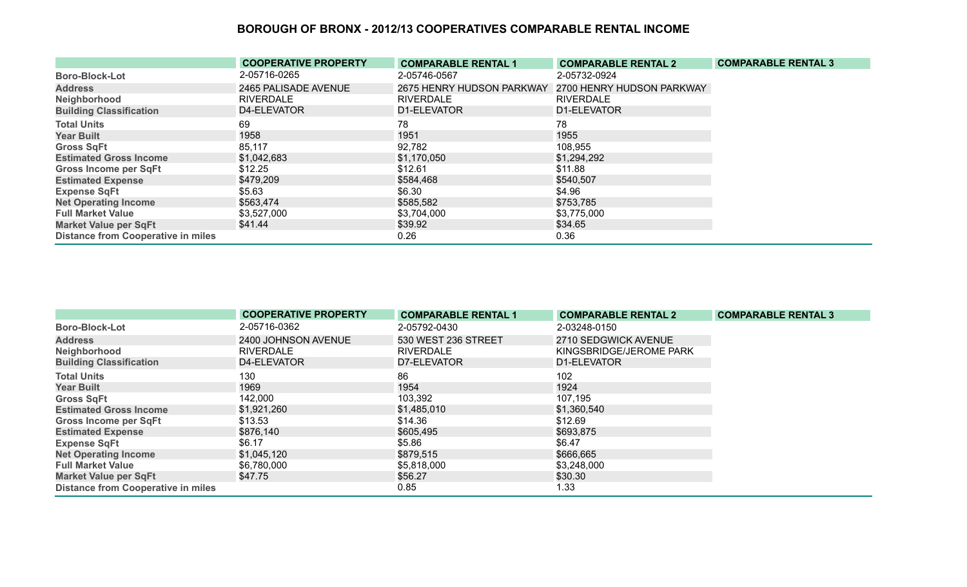|                                           | <b>COOPERATIVE PROPERTY</b> | <b>COMPARABLE RENTAL 1</b> | <b>COMPARABLE RENTAL 2</b> | <b>COMPARABLE RENTAL 3</b> |
|-------------------------------------------|-----------------------------|----------------------------|----------------------------|----------------------------|
| <b>Boro-Block-Lot</b>                     | 2-05716-0265                | 2-05746-0567               | 2-05732-0924               |                            |
| <b>Address</b>                            | 2465 PALISADE AVENUE        | 2675 HENRY HUDSON PARKWAY  | 2700 HENRY HUDSON PARKWAY  |                            |
| Neighborhood                              | <b>RIVERDALE</b>            | <b>RIVERDALE</b>           | <b>RIVERDALE</b>           |                            |
| <b>Building Classification</b>            | D4-ELEVATOR                 | D1-ELEVATOR                | D1-ELEVATOR                |                            |
| <b>Total Units</b>                        | 69                          | 78                         | 78                         |                            |
| <b>Year Built</b>                         | 1958                        | 1951                       | 1955                       |                            |
| <b>Gross SqFt</b>                         | 85,117                      | 92,782                     | 108,955                    |                            |
| <b>Estimated Gross Income</b>             | \$1,042,683                 | \$1,170,050                | \$1,294,292                |                            |
| <b>Gross Income per SqFt</b>              | \$12.25                     | \$12.61                    | \$11.88                    |                            |
| <b>Estimated Expense</b>                  | \$479,209                   | \$584,468                  | \$540,507                  |                            |
| <b>Expense SqFt</b>                       | \$5.63                      | \$6.30                     | \$4.96                     |                            |
| <b>Net Operating Income</b>               | \$563,474                   | \$585,582                  | \$753,785                  |                            |
| <b>Full Market Value</b>                  | \$3,527,000                 | \$3,704,000                | \$3,775,000                |                            |
| <b>Market Value per SqFt</b>              | \$41.44                     | \$39.92                    | \$34.65                    |                            |
| <b>Distance from Cooperative in miles</b> |                             | 0.26                       | 0.36                       |                            |

|                                           | <b>COOPERATIVE PROPERTY</b> | <b>COMPARABLE RENTAL 1</b> | <b>COMPARABLE RENTAL 2</b> | <b>COMPARABLE RENTAL 3</b> |
|-------------------------------------------|-----------------------------|----------------------------|----------------------------|----------------------------|
| <b>Boro-Block-Lot</b>                     | 2-05716-0362                | 2-05792-0430               | 2-03248-0150               |                            |
| <b>Address</b>                            | 2400 JOHNSON AVENUE         | 530 WEST 236 STREET        | 2710 SEDGWICK AVENUE       |                            |
| Neighborhood                              | <b>RIVERDALE</b>            | <b>RIVERDALE</b>           | KINGSBRIDGE/JEROME PARK    |                            |
| <b>Building Classification</b>            | D4-ELEVATOR                 | D7-ELEVATOR                | D1-ELEVATOR                |                            |
| <b>Total Units</b>                        | 130                         | 86                         | 102                        |                            |
| <b>Year Built</b>                         | 1969                        | 1954                       | 1924                       |                            |
| <b>Gross SqFt</b>                         | 142,000                     | 103,392                    | 107,195                    |                            |
| <b>Estimated Gross Income</b>             | \$1,921,260                 | \$1,485,010                | \$1,360,540                |                            |
| Gross Income per SqFt                     | \$13.53                     | \$14.36                    | \$12.69                    |                            |
| <b>Estimated Expense</b>                  | \$876,140                   | \$605,495                  | \$693,875                  |                            |
| <b>Expense SqFt</b>                       | \$6.17                      | \$5.86                     | \$6.47                     |                            |
| <b>Net Operating Income</b>               | \$1,045,120                 | \$879,515                  | \$666,665                  |                            |
| <b>Full Market Value</b>                  | \$6,780,000                 | \$5,818,000                | \$3,248,000                |                            |
| <b>Market Value per SqFt</b>              | \$47.75                     | \$56.27                    | \$30.30                    |                            |
| <b>Distance from Cooperative in miles</b> |                             | 0.85                       | 1.33                       |                            |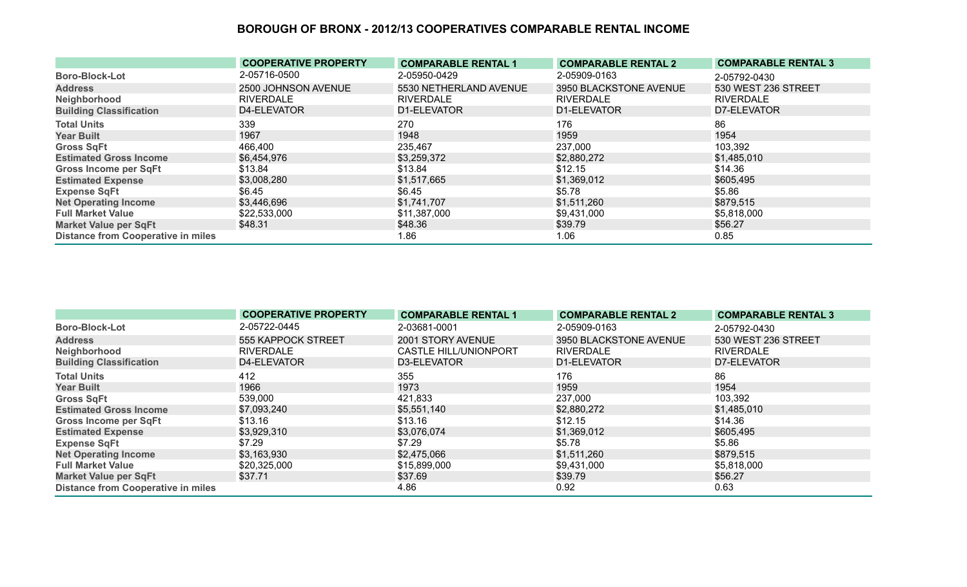|                                           | <b>COOPERATIVE PROPERTY</b> | <b>COMPARABLE RENTAL 1</b> | <b>COMPARABLE RENTAL 2</b> | <b>COMPARABLE RENTAL 3</b> |
|-------------------------------------------|-----------------------------|----------------------------|----------------------------|----------------------------|
| <b>Boro-Block-Lot</b>                     | 2-05716-0500                | 2-05950-0429               | 2-05909-0163               | 2-05792-0430               |
| <b>Address</b>                            | 2500 JOHNSON AVENUE         | 5530 NETHERLAND AVENUE     | 3950 BLACKSTONE AVENUE     | 530 WEST 236 STREET        |
| Neighborhood                              | <b>RIVERDALE</b>            | <b>RIVERDALE</b>           | <b>RIVERDALE</b>           | <b>RIVERDALE</b>           |
| <b>Building Classification</b>            | D4-ELEVATOR                 | D1-ELEVATOR                | D1-ELEVATOR                | D7-ELEVATOR                |
| <b>Total Units</b>                        | 339                         | 270                        | 176                        | 86                         |
| <b>Year Built</b>                         | 1967                        | 1948                       | 1959                       | 1954                       |
| <b>Gross SqFt</b>                         | 466,400                     | 235,467                    | 237,000                    | 103,392                    |
| <b>Estimated Gross Income</b>             | \$6,454,976                 | \$3,259,372                | \$2,880,272                | \$1,485,010                |
| <b>Gross Income per SqFt</b>              | \$13.84                     | \$13.84                    | \$12.15                    | \$14.36                    |
| <b>Estimated Expense</b>                  | \$3,008,280                 | \$1,517,665                | \$1,369,012                | \$605,495                  |
| <b>Expense SqFt</b>                       | \$6.45                      | \$6.45                     | \$5.78                     | \$5.86                     |
| <b>Net Operating Income</b>               | \$3,446,696                 | \$1,741,707                | \$1,511,260                | \$879,515                  |
| <b>Full Market Value</b>                  | \$22,533,000                | \$11,387,000               | \$9,431,000                | \$5,818,000                |
| <b>Market Value per SqFt</b>              | \$48.31                     | \$48.36                    | \$39.79                    | \$56.27                    |
| <b>Distance from Cooperative in miles</b> |                             | 1.86                       | 1.06                       | 0.85                       |

|                                           | <b>COOPERATIVE PROPERTY</b> | <b>COMPARABLE RENTAL 1</b>   | <b>COMPARABLE RENTAL 2</b> | <b>COMPARABLE RENTAL 3</b> |
|-------------------------------------------|-----------------------------|------------------------------|----------------------------|----------------------------|
| <b>Boro-Block-Lot</b>                     | 2-05722-0445                | 2-03681-0001                 | 2-05909-0163               | 2-05792-0430               |
| <b>Address</b>                            | 555 KAPPOCK STREET          | 2001 STORY AVENUE            | 3950 BLACKSTONE AVENUE     | 530 WEST 236 STREET        |
| Neighborhood                              | <b>RIVERDALE</b>            | <b>CASTLE HILL/UNIONPORT</b> | <b>RIVERDALE</b>           | <b>RIVERDALE</b>           |
| <b>Building Classification</b>            | D4-ELEVATOR                 | D3-ELEVATOR                  | D1-ELEVATOR                | D7-ELEVATOR                |
| <b>Total Units</b>                        | 412                         | 355                          | 176                        | 86                         |
| <b>Year Built</b>                         | 1966                        | 1973                         | 1959                       | 1954                       |
| <b>Gross SqFt</b>                         | 539,000                     | 421,833                      | 237,000                    | 103,392                    |
| <b>Estimated Gross Income</b>             | \$7,093,240                 | \$5,551,140                  | \$2,880,272                | \$1,485,010                |
| <b>Gross Income per SqFt</b>              | \$13.16                     | \$13.16                      | \$12.15                    | \$14.36                    |
| <b>Estimated Expense</b>                  | \$3,929,310                 | \$3,076,074                  | \$1,369,012                | \$605,495                  |
| <b>Expense SqFt</b>                       | \$7.29                      | \$7.29                       | \$5.78                     | \$5.86                     |
| <b>Net Operating Income</b>               | \$3,163,930                 | \$2,475,066                  | \$1,511,260                | \$879,515                  |
| <b>Full Market Value</b>                  | \$20,325,000                | \$15,899,000                 | \$9,431,000                | \$5,818,000                |
| <b>Market Value per SqFt</b>              | \$37.71                     | \$37.69                      | \$39.79                    | \$56.27                    |
| <b>Distance from Cooperative in miles</b> |                             | 4.86                         | 0.92                       | 0.63                       |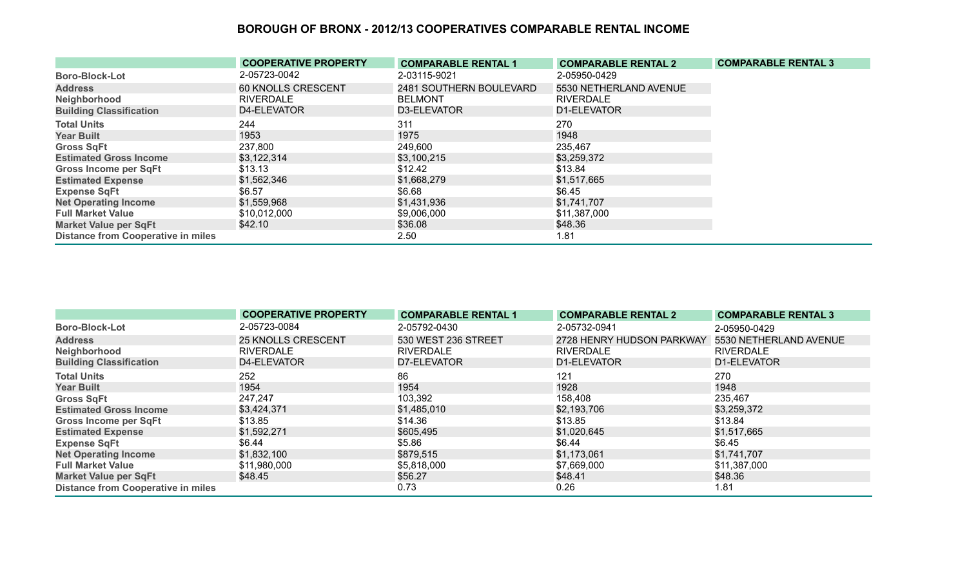|                                           | <b>COOPERATIVE PROPERTY</b> | <b>COMPARABLE RENTAL 1</b> | <b>COMPARABLE RENTAL 2</b> | <b>COMPARABLE RENTAL 3</b> |
|-------------------------------------------|-----------------------------|----------------------------|----------------------------|----------------------------|
| <b>Boro-Block-Lot</b>                     | 2-05723-0042                | 2-03115-9021               | 2-05950-0429               |                            |
| <b>Address</b>                            | 60 KNOLLS CRESCENT          | 2481 SOUTHERN BOULEVARD    | 5530 NETHERLAND AVENUE     |                            |
| Neighborhood                              | <b>RIVERDALE</b>            | <b>BELMONT</b>             | <b>RIVERDALE</b>           |                            |
| <b>Building Classification</b>            | D4-ELEVATOR                 | D3-ELEVATOR                | D1-ELEVATOR                |                            |
| <b>Total Units</b>                        | 244                         | 311                        | 270                        |                            |
| <b>Year Built</b>                         | 1953                        | 1975                       | 1948                       |                            |
| <b>Gross SqFt</b>                         | 237,800                     | 249,600                    | 235,467                    |                            |
| <b>Estimated Gross Income</b>             | \$3,122,314                 | \$3,100,215                | \$3,259,372                |                            |
| <b>Gross Income per SqFt</b>              | \$13.13                     | \$12.42                    | \$13.84                    |                            |
| <b>Estimated Expense</b>                  | \$1,562,346                 | \$1,668,279                | \$1,517,665                |                            |
| <b>Expense SqFt</b>                       | \$6.57                      | \$6.68                     | \$6.45                     |                            |
| <b>Net Operating Income</b>               | \$1,559,968                 | \$1,431,936                | \$1,741,707                |                            |
| <b>Full Market Value</b>                  | \$10,012,000                | \$9,006,000                | \$11,387,000               |                            |
| <b>Market Value per SqFt</b>              | \$42.10                     | \$36.08                    | \$48.36                    |                            |
| <b>Distance from Cooperative in miles</b> |                             | 2.50                       | 1.81                       |                            |

|                                           | <b>COOPERATIVE PROPERTY</b> | <b>COMPARABLE RENTAL 1</b> | <b>COMPARABLE RENTAL 2</b> | <b>COMPARABLE RENTAL 3</b> |
|-------------------------------------------|-----------------------------|----------------------------|----------------------------|----------------------------|
| <b>Boro-Block-Lot</b>                     | 2-05723-0084                | 2-05792-0430               | 2-05732-0941               | 2-05950-0429               |
| <b>Address</b>                            | <b>25 KNOLLS CRESCENT</b>   | 530 WEST 236 STREET        | 2728 HENRY HUDSON PARKWAY  | 5530 NETHERLAND AVENUE     |
| Neighborhood                              | <b>RIVERDALE</b>            | <b>RIVERDALE</b>           | <b>RIVERDALE</b>           | RIVERDALE                  |
| <b>Building Classification</b>            | D4-ELEVATOR                 | D7-ELEVATOR                | D1-ELEVATOR                | D1-ELEVATOR                |
| <b>Total Units</b>                        | 252                         | 86                         | 121                        | 270                        |
| <b>Year Built</b>                         | 1954                        | 1954                       | 1928                       | 1948                       |
| <b>Gross SqFt</b>                         | 247,247                     | 103,392                    | 158,408                    | 235,467                    |
| <b>Estimated Gross Income</b>             | \$3,424,371                 | \$1,485,010                | \$2,193,706                | \$3,259,372                |
| <b>Gross Income per SqFt</b>              | \$13.85                     | \$14.36                    | \$13.85                    | \$13.84                    |
| <b>Estimated Expense</b>                  | \$1,592,271                 | \$605,495                  | \$1,020,645                | \$1,517,665                |
| <b>Expense SqFt</b>                       | \$6.44                      | \$5.86                     | \$6.44                     | \$6.45                     |
| <b>Net Operating Income</b>               | \$1,832,100                 | \$879,515                  | \$1,173,061                | \$1,741,707                |
| <b>Full Market Value</b>                  | \$11,980,000                | \$5,818,000                | \$7,669,000                | \$11,387,000               |
| <b>Market Value per SqFt</b>              | \$48.45                     | \$56.27                    | \$48.41                    | \$48.36                    |
| <b>Distance from Cooperative in miles</b> |                             | 0.73                       | 0.26                       | 1.81                       |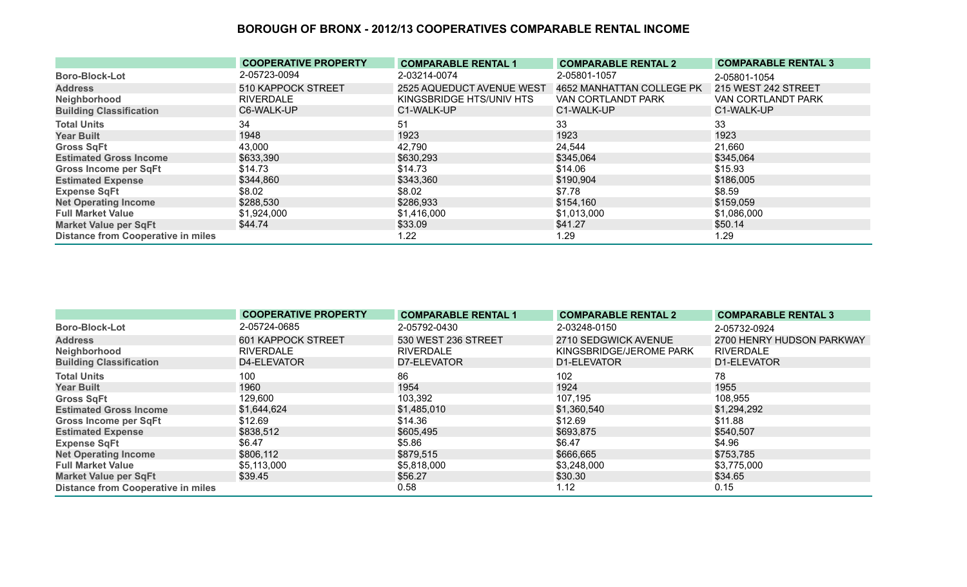|                                           | <b>COOPERATIVE PROPERTY</b> | <b>COMPARABLE RENTAL 1</b>       | <b>COMPARABLE RENTAL 2</b> | <b>COMPARABLE RENTAL 3</b> |
|-------------------------------------------|-----------------------------|----------------------------------|----------------------------|----------------------------|
| <b>Boro-Block-Lot</b>                     | 2-05723-0094                | 2-03214-0074                     | 2-05801-1057               | 2-05801-1054               |
| <b>Address</b>                            | 510 KAPPOCK STREET          | <b>2525 AQUEDUCT AVENUE WEST</b> | 4652 MANHATTAN COLLEGE PK  | 215 WEST 242 STREET        |
| Neighborhood                              | <b>RIVERDALE</b>            | KINGSBRIDGE HTS/UNIV HTS         | VAN CORTLANDT PARK         | <b>VAN CORTLANDT PARK</b>  |
| <b>Building Classification</b>            | C6-WALK-UP                  | C1-WALK-UP                       | C1-WALK-UP                 | C1-WALK-UP                 |
| <b>Total Units</b>                        | 34                          | 51                               | 33                         | 33                         |
| <b>Year Built</b>                         | 1948                        | 1923                             | 1923                       | 1923                       |
| <b>Gross SqFt</b>                         | 43,000                      | 42,790                           | 24,544                     | 21,660                     |
| <b>Estimated Gross Income</b>             | \$633,390                   | \$630,293                        | \$345,064                  | \$345,064                  |
| <b>Gross Income per SqFt</b>              | \$14.73                     | \$14.73                          | \$14.06                    | \$15.93                    |
| <b>Estimated Expense</b>                  | \$344,860                   | \$343,360                        | \$190,904                  | \$186,005                  |
| <b>Expense SqFt</b>                       | \$8.02                      | \$8.02                           | \$7.78                     | \$8.59                     |
| <b>Net Operating Income</b>               | \$288,530                   | \$286,933                        | \$154,160                  | \$159,059                  |
| <b>Full Market Value</b>                  | \$1,924,000                 | \$1,416,000                      | \$1,013,000                | \$1,086,000                |
| <b>Market Value per SqFt</b>              | \$44.74                     | \$33.09                          | \$41.27                    | \$50.14                    |
| <b>Distance from Cooperative in miles</b> |                             | 1.22                             | 1.29                       | 1.29                       |

|                                           | <b>COOPERATIVE PROPERTY</b> | <b>COMPARABLE RENTAL 1</b> | <b>COMPARABLE RENTAL 2</b> | <b>COMPARABLE RENTAL 3</b> |
|-------------------------------------------|-----------------------------|----------------------------|----------------------------|----------------------------|
| <b>Boro-Block-Lot</b>                     | 2-05724-0685                | 2-05792-0430               | 2-03248-0150               | 2-05732-0924               |
| <b>Address</b>                            | 601 KAPPOCK STREET          | 530 WEST 236 STREET        | 2710 SEDGWICK AVENUE       | 2700 HENRY HUDSON PARKWAY  |
| Neighborhood                              | <b>RIVERDALE</b>            | <b>RIVERDALE</b>           | KINGSBRIDGE/JEROME PARK    | <b>RIVERDALE</b>           |
| <b>Building Classification</b>            | D4-ELEVATOR                 | D7-ELEVATOR                | D1-ELEVATOR                | D1-ELEVATOR                |
| <b>Total Units</b>                        | 100                         | 86                         | 102                        | 78                         |
| <b>Year Built</b>                         | 1960                        | 1954                       | 1924                       | 1955                       |
| <b>Gross SqFt</b>                         | 129,600                     | 103,392                    | 107,195                    | 108,955                    |
| <b>Estimated Gross Income</b>             | \$1,644,624                 | \$1,485,010                | \$1,360,540                | \$1,294,292                |
| <b>Gross Income per SqFt</b>              | \$12.69                     | \$14.36                    | \$12.69                    | \$11.88                    |
| <b>Estimated Expense</b>                  | \$838,512                   | \$605,495                  | \$693,875                  | \$540,507                  |
| <b>Expense SqFt</b>                       | \$6.47                      | \$5.86                     | \$6.47                     | \$4.96                     |
| <b>Net Operating Income</b>               | \$806,112                   | \$879,515                  | \$666,665                  | \$753,785                  |
| <b>Full Market Value</b>                  | \$5,113,000                 | \$5,818,000                | \$3,248,000                | \$3,775,000                |
| <b>Market Value per SqFt</b>              | \$39.45                     | \$56.27                    | \$30.30                    | \$34.65                    |
| <b>Distance from Cooperative in miles</b> |                             | 0.58                       | 1.12                       | 0.15                       |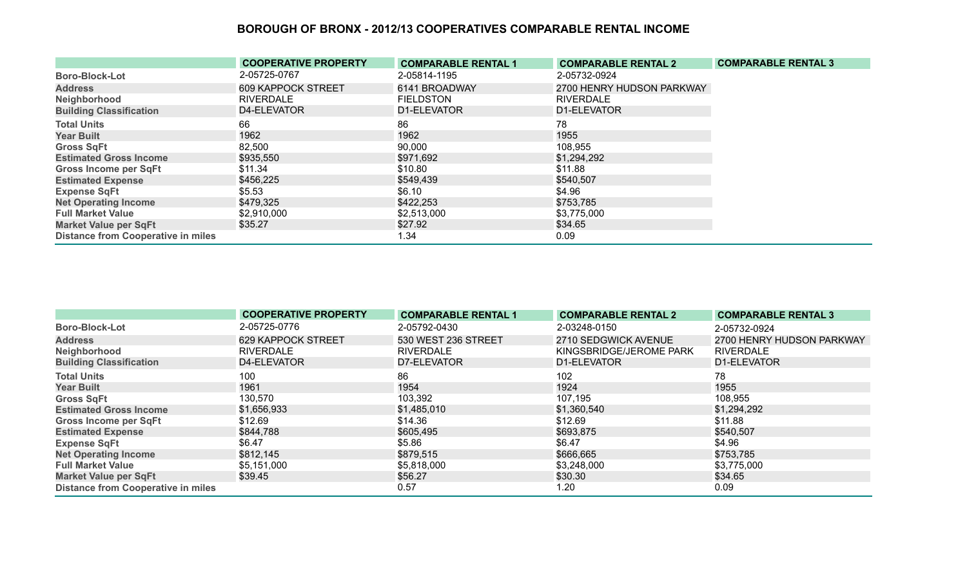|                                           | <b>COOPERATIVE PROPERTY</b> | <b>COMPARABLE RENTAL 1</b> | <b>COMPARABLE RENTAL 2</b> | <b>COMPARABLE RENTAL 3</b> |
|-------------------------------------------|-----------------------------|----------------------------|----------------------------|----------------------------|
| <b>Boro-Block-Lot</b>                     | 2-05725-0767                | 2-05814-1195               | 2-05732-0924               |                            |
| <b>Address</b>                            | 609 KAPPOCK STREET          | 6141 BROADWAY              | 2700 HENRY HUDSON PARKWAY  |                            |
| Neighborhood                              | <b>RIVERDALE</b>            | <b>FIELDSTON</b>           | <b>RIVERDALE</b>           |                            |
| <b>Building Classification</b>            | D4-ELEVATOR                 | D1-ELEVATOR                | D1-ELEVATOR                |                            |
| <b>Total Units</b>                        | 66                          | 86                         | 78                         |                            |
| <b>Year Built</b>                         | 1962                        | 1962                       | 1955                       |                            |
| <b>Gross SqFt</b>                         | 82,500                      | 90,000                     | 108,955                    |                            |
| <b>Estimated Gross Income</b>             | \$935,550                   | \$971,692                  | \$1,294,292                |                            |
| <b>Gross Income per SqFt</b>              | \$11.34                     | \$10.80                    | \$11.88                    |                            |
| <b>Estimated Expense</b>                  | \$456,225                   | \$549,439                  | \$540,507                  |                            |
| <b>Expense SqFt</b>                       | \$5.53                      | \$6.10                     | \$4.96                     |                            |
| <b>Net Operating Income</b>               | \$479,325                   | \$422,253                  | \$753,785                  |                            |
| <b>Full Market Value</b>                  | \$2,910,000                 | \$2,513,000                | \$3,775,000                |                            |
| <b>Market Value per SqFt</b>              | \$35.27                     | \$27.92                    | \$34.65                    |                            |
| <b>Distance from Cooperative in miles</b> |                             | 1.34                       | 0.09                       |                            |

|                                           | <b>COOPERATIVE PROPERTY</b> | <b>COMPARABLE RENTAL 1</b> | <b>COMPARABLE RENTAL 2</b> | <b>COMPARABLE RENTAL 3</b> |
|-------------------------------------------|-----------------------------|----------------------------|----------------------------|----------------------------|
| <b>Boro-Block-Lot</b>                     | 2-05725-0776                | 2-05792-0430               | 2-03248-0150               | 2-05732-0924               |
| <b>Address</b>                            | <b>629 KAPPOCK STREET</b>   | 530 WEST 236 STREET        | 2710 SEDGWICK AVENUE       | 2700 HENRY HUDSON PARKWAY  |
| Neighborhood                              | <b>RIVERDALE</b>            | <b>RIVERDALE</b>           | KINGSBRIDGE/JEROME PARK    | <b>RIVERDALE</b>           |
| <b>Building Classification</b>            | D4-ELEVATOR                 | D7-ELEVATOR                | D1-ELEVATOR                | D1-ELEVATOR                |
| <b>Total Units</b>                        | 100                         | 86                         | 102                        | 78                         |
| <b>Year Built</b>                         | 1961                        | 1954                       | 1924                       | 1955                       |
| <b>Gross SqFt</b>                         | 130,570                     | 103,392                    | 107,195                    | 108,955                    |
| <b>Estimated Gross Income</b>             | \$1,656,933                 | \$1,485,010                | \$1,360,540                | \$1,294,292                |
| <b>Gross Income per SqFt</b>              | \$12.69                     | \$14.36                    | \$12.69                    | \$11.88                    |
| <b>Estimated Expense</b>                  | \$844,788                   | \$605,495                  | \$693,875                  | \$540,507                  |
| <b>Expense SqFt</b>                       | \$6.47                      | \$5.86                     | \$6.47                     | \$4.96                     |
| <b>Net Operating Income</b>               | \$812,145                   | \$879,515                  | \$666,665                  | \$753,785                  |
| <b>Full Market Value</b>                  | \$5,151,000                 | \$5,818,000                | \$3,248,000                | \$3,775,000                |
| <b>Market Value per SqFt</b>              | \$39.45                     | \$56.27                    | \$30.30                    | \$34.65                    |
| <b>Distance from Cooperative in miles</b> |                             | 0.57                       | 1.20                       | 0.09                       |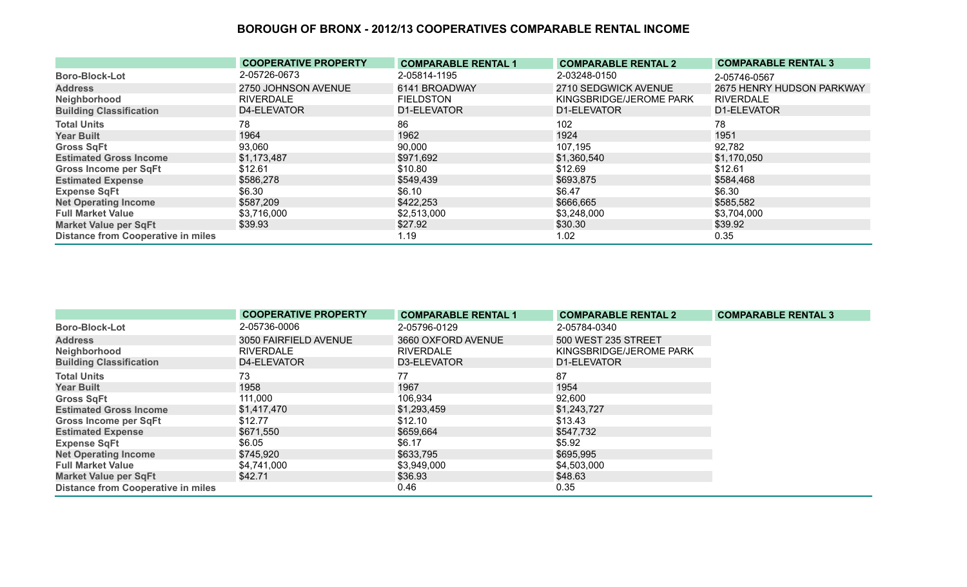|                                           | <b>COOPERATIVE PROPERTY</b> | <b>COMPARABLE RENTAL 1</b> | <b>COMPARABLE RENTAL 2</b> | <b>COMPARABLE RENTAL 3</b> |
|-------------------------------------------|-----------------------------|----------------------------|----------------------------|----------------------------|
| <b>Boro-Block-Lot</b>                     | 2-05726-0673                | 2-05814-1195               | 2-03248-0150               | 2-05746-0567               |
| <b>Address</b>                            | 2750 JOHNSON AVENUE         | 6141 BROADWAY              | 2710 SEDGWICK AVENUE       | 2675 HENRY HUDSON PARKWAY  |
| Neighborhood                              | RIVERDALE                   | <b>FIELDSTON</b>           | KINGSBRIDGE/JEROME PARK    | <b>RIVERDALE</b>           |
| <b>Building Classification</b>            | D4-ELEVATOR                 | D1-ELEVATOR                | D1-ELEVATOR                | D1-ELEVATOR                |
| <b>Total Units</b>                        | 78                          | 86                         | 102                        | 78                         |
| <b>Year Built</b>                         | 1964                        | 1962                       | 1924                       | 1951                       |
| <b>Gross SqFt</b>                         | 93,060                      | 90,000                     | 107,195                    | 92,782                     |
| <b>Estimated Gross Income</b>             | \$1,173,487                 | \$971,692                  | \$1,360,540                | \$1,170,050                |
| Gross Income per SqFt                     | \$12.61                     | \$10.80                    | \$12.69                    | \$12.61                    |
| <b>Estimated Expense</b>                  | \$586,278                   | \$549,439                  | \$693,875                  | \$584,468                  |
| <b>Expense SqFt</b>                       | \$6.30                      | \$6.10                     | \$6.47                     | \$6.30                     |
| <b>Net Operating Income</b>               | \$587,209                   | \$422,253                  | \$666,665                  | \$585,582                  |
| <b>Full Market Value</b>                  | \$3,716,000                 | \$2,513,000                | \$3,248,000                | \$3,704,000                |
| Market Value per SqFt                     | \$39.93                     | \$27.92                    | \$30.30                    | \$39.92                    |
| <b>Distance from Cooperative in miles</b> |                             | 1.19                       | 1.02                       | 0.35                       |

|                                           | <b>COOPERATIVE PROPERTY</b> | <b>COMPARABLE RENTAL 1</b> | <b>COMPARABLE RENTAL 2</b> | <b>COMPARABLE RENTAL 3</b> |
|-------------------------------------------|-----------------------------|----------------------------|----------------------------|----------------------------|
| <b>Boro-Block-Lot</b>                     | 2-05736-0006                | 2-05796-0129               | 2-05784-0340               |                            |
| <b>Address</b>                            | 3050 FAIRFIELD AVENUE       | 3660 OXFORD AVENUE         | 500 WEST 235 STREET        |                            |
| Neighborhood                              | <b>RIVERDALE</b>            | <b>RIVERDALE</b>           | KINGSBRIDGE/JEROME PARK    |                            |
| <b>Building Classification</b>            | <b>D4-ELEVATOR</b>          | D3-ELEVATOR                | D1-ELEVATOR                |                            |
| <b>Total Units</b>                        | 73                          | 77                         | 87                         |                            |
| <b>Year Built</b>                         | 1958                        | 1967                       | 1954                       |                            |
| <b>Gross SqFt</b>                         | 111,000                     | 106,934                    | 92,600                     |                            |
| <b>Estimated Gross Income</b>             | \$1,417,470                 | \$1,293,459                | \$1,243,727                |                            |
| Gross Income per SqFt                     | \$12.77                     | \$12.10                    | \$13.43                    |                            |
| <b>Estimated Expense</b>                  | \$671,550                   | \$659,664                  | \$547,732                  |                            |
| <b>Expense SqFt</b>                       | \$6.05                      | \$6.17                     | \$5.92                     |                            |
| <b>Net Operating Income</b>               | \$745,920                   | \$633,795                  | \$695,995                  |                            |
| <b>Full Market Value</b>                  | \$4,741,000                 | \$3,949,000                | \$4,503,000                |                            |
| <b>Market Value per SqFt</b>              | \$42.71                     | \$36.93                    | \$48.63                    |                            |
| <b>Distance from Cooperative in miles</b> |                             | 0.46                       | 0.35                       |                            |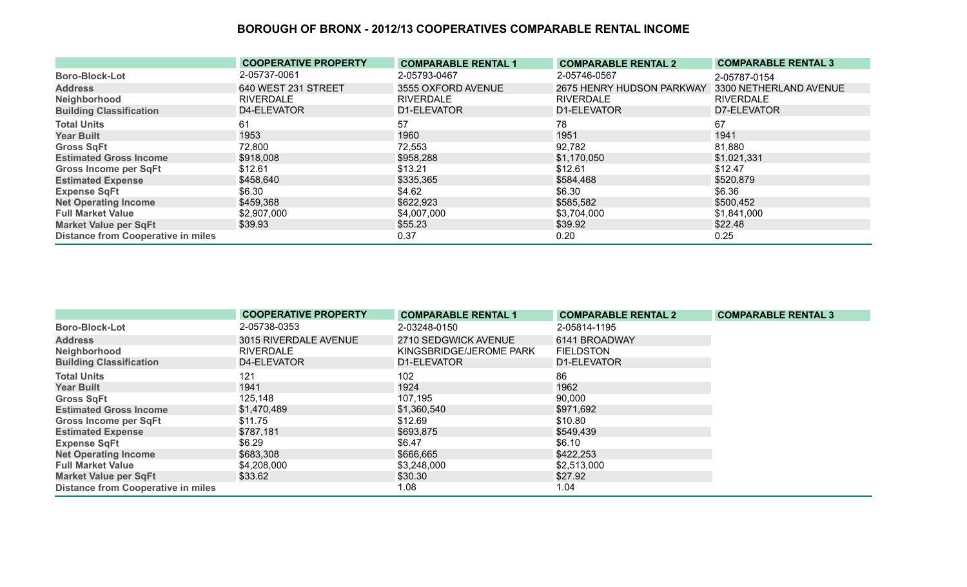|                                           | <b>COOPERATIVE PROPERTY</b> | <b>COMPARABLE RENTAL 1</b> | <b>COMPARABLE RENTAL 2</b> | <b>COMPARABLE RENTAL 3</b> |
|-------------------------------------------|-----------------------------|----------------------------|----------------------------|----------------------------|
| <b>Boro-Block-Lot</b>                     | 2-05737-0061                | 2-05793-0467               | 2-05746-0567               | 2-05787-0154               |
| <b>Address</b>                            | 640 WEST 231 STREET         | 3555 OXFORD AVENUE         | 2675 HENRY HUDSON PARKWAY  | 3300 NETHERLAND AVENUE     |
| Neighborhood                              | <b>RIVERDALE</b>            | <b>RIVERDALE</b>           | <b>RIVERDALE</b>           | <b>RIVERDALE</b>           |
| <b>Building Classification</b>            | D4-ELEVATOR                 | D1-ELEVATOR                | D1-ELEVATOR                | D7-ELEVATOR                |
| <b>Total Units</b>                        | 61                          | 57                         | 78                         | 67                         |
| <b>Year Built</b>                         | 1953                        | 1960                       | 1951                       | 1941                       |
| <b>Gross SqFt</b>                         | 72,800                      | 72,553                     | 92,782                     | 81,880                     |
| <b>Estimated Gross Income</b>             | \$918,008                   | \$958,288                  | \$1,170,050                | \$1,021,331                |
| Gross Income per SqFt                     | \$12.61                     | \$13.21                    | \$12.61                    | \$12.47                    |
| <b>Estimated Expense</b>                  | \$458,640                   | \$335,365                  | \$584,468                  | \$520,879                  |
| <b>Expense SqFt</b>                       | \$6.30                      | \$4.62                     | \$6.30                     | \$6.36                     |
| <b>Net Operating Income</b>               | \$459,368                   | \$622,923                  | \$585,582                  | \$500,452                  |
| <b>Full Market Value</b>                  | \$2,907,000                 | \$4,007,000                | \$3,704,000                | \$1,841,000                |
| <b>Market Value per SqFt</b>              | \$39.93                     | \$55.23                    | \$39.92                    | \$22.48                    |
| <b>Distance from Cooperative in miles</b> |                             | 0.37                       | 0.20                       | 0.25                       |

|                                           | <b>COOPERATIVE PROPERTY</b> | <b>COMPARABLE RENTAL 1</b> | <b>COMPARABLE RENTAL 2</b> | <b>COMPARABLE RENTAL 3</b> |
|-------------------------------------------|-----------------------------|----------------------------|----------------------------|----------------------------|
| <b>Boro-Block-Lot</b>                     | 2-05738-0353                | 2-03248-0150               | 2-05814-1195               |                            |
| <b>Address</b>                            | 3015 RIVERDALE AVENUE       | 2710 SEDGWICK AVENUE       | 6141 BROADWAY              |                            |
| Neighborhood                              | <b>RIVERDALE</b>            | KINGSBRIDGE/JEROME PARK    | <b>FIELDSTON</b>           |                            |
| <b>Building Classification</b>            | D4-ELEVATOR                 | D1-ELEVATOR                | D1-ELEVATOR                |                            |
| <b>Total Units</b>                        | 121                         | 102                        | 86                         |                            |
| <b>Year Built</b>                         | 1941                        | 1924                       | 1962                       |                            |
| <b>Gross SqFt</b>                         | 125,148                     | 107,195                    | 90,000                     |                            |
| <b>Estimated Gross Income</b>             | \$1,470,489                 | \$1,360,540                | \$971,692                  |                            |
| <b>Gross Income per SqFt</b>              | \$11.75                     | \$12.69                    | \$10.80                    |                            |
| <b>Estimated Expense</b>                  | \$787,181                   | \$693,875                  | \$549,439                  |                            |
| <b>Expense SqFt</b>                       | \$6.29                      | \$6.47                     | \$6.10                     |                            |
| <b>Net Operating Income</b>               | \$683,308                   | \$666,665                  | \$422,253                  |                            |
| <b>Full Market Value</b>                  | \$4,208,000                 | \$3,248,000                | \$2,513,000                |                            |
| <b>Market Value per SqFt</b>              | \$33.62                     | \$30.30                    | \$27.92                    |                            |
| <b>Distance from Cooperative in miles</b> |                             | 1.08                       | 1.04                       |                            |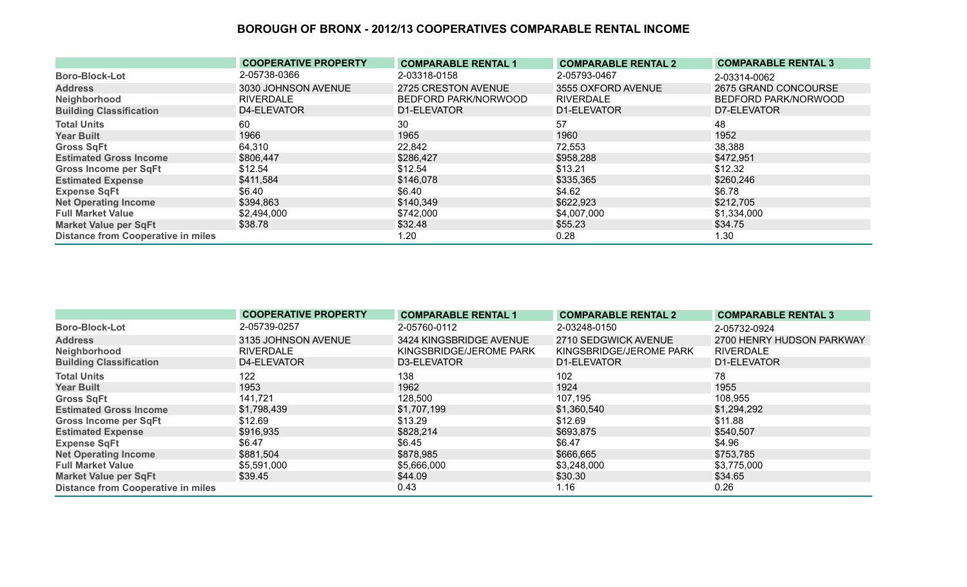|                                           | <b>COOPERATIVE PROPERTY</b> | <b>COMPARABLE RENTAL 1</b> | <b>COMPARABLE RENTAL 2</b> | <b>COMPARABLE RENTAL 3</b> |
|-------------------------------------------|-----------------------------|----------------------------|----------------------------|----------------------------|
| <b>Boro-Block-Lot</b>                     | 2-05738-0366                | 2-03318-0158               | 2-05793-0467               | 2-03314-0062               |
| <b>Address</b>                            | 3030 JOHNSON AVENUE         | 2725 CRESTON AVENUE        | 3555 OXFORD AVENUE         | 2675 GRAND CONCOURSE       |
| Neighborhood                              | <b>RIVERDALE</b>            | BEDFORD PARK/NORWOOD       | <b>RIVERDALE</b>           | BEDFORD PARK/NORWOOD       |
| <b>Building Classification</b>            | D4-ELEVATOR                 | D1-ELEVATOR                | D1-ELEVATOR                | D7-ELEVATOR                |
| <b>Total Units</b>                        | 60                          | 30                         | 57                         | 48                         |
| <b>Year Built</b>                         | 1966                        | 1965                       | 1960                       | 1952                       |
| <b>Gross SqFt</b>                         | 64,310                      | 22,842                     | 72,553                     | 38,388                     |
| <b>Estimated Gross Income</b>             | \$806,447                   | \$286,427                  | \$958,288                  | \$472,951                  |
| <b>Gross Income per SqFt</b>              | \$12.54                     | \$12.54                    | \$13.21                    | \$12.32                    |
| <b>Estimated Expense</b>                  | \$411,584                   | \$146,078                  | \$335,365                  | \$260,246                  |
| <b>Expense SqFt</b>                       | \$6.40                      | \$6.40                     | \$4.62                     | \$6.78                     |
| <b>Net Operating Income</b>               | \$394,863                   | \$140,349                  | \$622,923                  | \$212,705                  |
| <b>Full Market Value</b>                  | \$2,494,000                 | \$742,000                  | \$4,007,000                | \$1,334,000                |
| <b>Market Value per SqFt</b>              | \$38.78                     | \$32.48                    | \$55.23                    | \$34.75                    |
| <b>Distance from Cooperative in miles</b> |                             | 1.20                       | 0.28                       | 1.30                       |

|                                           | <b>COOPERATIVE PROPERTY</b> | <b>COMPARABLE RENTAL 1</b> | <b>COMPARABLE RENTAL 2</b> | <b>COMPARABLE RENTAL 3</b> |
|-------------------------------------------|-----------------------------|----------------------------|----------------------------|----------------------------|
| <b>Boro-Block-Lot</b>                     | 2-05739-0257                | 2-05760-0112               | 2-03248-0150               | 2-05732-0924               |
| <b>Address</b>                            | 3135 JOHNSON AVENUE         | 3424 KINGSBRIDGE AVENUE    | 2710 SEDGWICK AVENUE       | 2700 HENRY HUDSON PARKWAY  |
| Neighborhood                              | <b>RIVERDALE</b>            | KINGSBRIDGE/JEROME PARK    | KINGSBRIDGE/JEROME PARK    | <b>RIVERDALE</b>           |
| <b>Building Classification</b>            | D4-ELEVATOR                 | D3-ELEVATOR                | D1-ELEVATOR                | D1-ELEVATOR                |
| <b>Total Units</b>                        | 122                         | 138                        | 102                        | 78                         |
| <b>Year Built</b>                         | 1953                        | 1962                       | 1924                       | 1955                       |
| <b>Gross SqFt</b>                         | 141,721                     | 128,500                    | 107,195                    | 108,955                    |
| <b>Estimated Gross Income</b>             | \$1,798,439                 | \$1,707,199                | \$1,360,540                | \$1,294,292                |
| <b>Gross Income per SqFt</b>              | \$12.69                     | \$13.29                    | \$12.69                    | \$11.88                    |
| <b>Estimated Expense</b>                  | \$916,935                   | \$828,214                  | \$693,875                  | \$540,507                  |
| <b>Expense SqFt</b>                       | \$6.47                      | \$6.45                     | \$6.47                     | \$4.96                     |
| <b>Net Operating Income</b>               | \$881,504                   | \$878,985                  | \$666,665                  | \$753,785                  |
| <b>Full Market Value</b>                  | \$5,591,000                 | \$5,666,000                | \$3,248,000                | \$3,775,000                |
| <b>Market Value per SqFt</b>              | \$39.45                     | \$44.09                    | \$30.30                    | \$34.65                    |
| <b>Distance from Cooperative in miles</b> |                             | 0.43                       | 1.16                       | 0.26                       |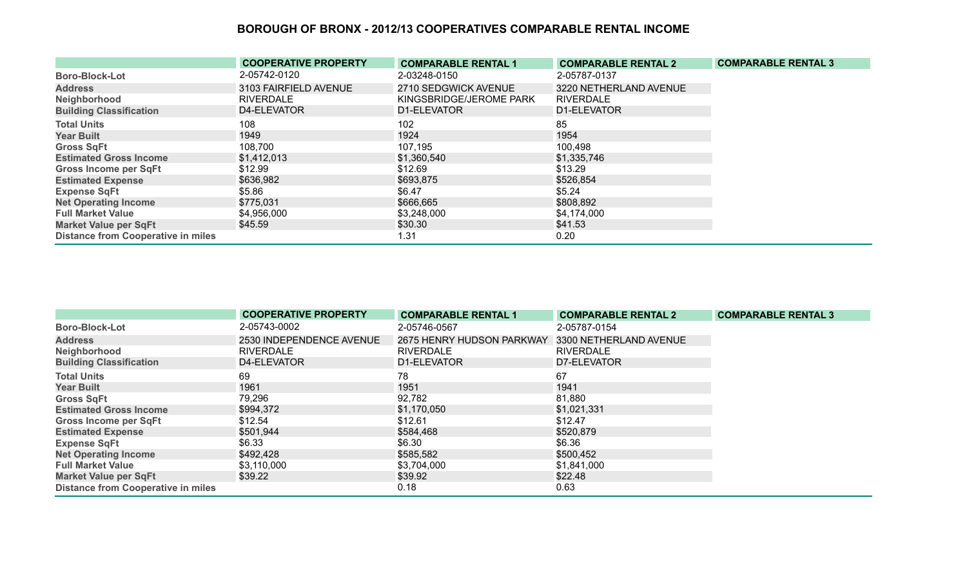|                                           | <b>COOPERATIVE PROPERTY</b> | <b>COMPARABLE RENTAL 1</b> | <b>COMPARABLE RENTAL 2</b> | <b>COMPARABLE RENTAL 3</b> |
|-------------------------------------------|-----------------------------|----------------------------|----------------------------|----------------------------|
| <b>Boro-Block-Lot</b>                     | 2-05742-0120                | 2-03248-0150               | 2-05787-0137               |                            |
| <b>Address</b>                            | 3103 FAIRFIELD AVENUE       | 2710 SEDGWICK AVENUE       | 3220 NETHERLAND AVENUE     |                            |
| Neighborhood                              | <b>RIVERDALE</b>            | KINGSBRIDGE/JEROME PARK    | <b>RIVERDALE</b>           |                            |
| <b>Building Classification</b>            | D4-ELEVATOR                 | D1-ELEVATOR                | D1-ELEVATOR                |                            |
| <b>Total Units</b>                        | 108                         | 102                        | 85                         |                            |
| <b>Year Built</b>                         | 1949                        | 1924                       | 1954                       |                            |
| <b>Gross SqFt</b>                         | 108,700                     | 107,195                    | 100,498                    |                            |
| <b>Estimated Gross Income</b>             | \$1,412,013                 | \$1,360,540                | \$1,335,746                |                            |
| <b>Gross Income per SqFt</b>              | \$12.99                     | \$12.69                    | \$13.29                    |                            |
| <b>Estimated Expense</b>                  | \$636,982                   | \$693,875                  | \$526,854                  |                            |
| <b>Expense SqFt</b>                       | \$5.86                      | \$6.47                     | \$5.24                     |                            |
| <b>Net Operating Income</b>               | \$775,031                   | \$666,665                  | \$808,892                  |                            |
| <b>Full Market Value</b>                  | \$4,956,000                 | \$3,248,000                | \$4,174,000                |                            |
| <b>Market Value per SqFt</b>              | \$45.59                     | \$30.30                    | \$41.53                    |                            |
| <b>Distance from Cooperative in miles</b> |                             | 1.31                       | 0.20                       |                            |

|                                           | <b>COOPERATIVE PROPERTY</b> | <b>COMPARABLE RENTAL 1</b> | <b>COMPARABLE RENTAL 2</b> | <b>COMPARABLE RENTAL 3</b> |
|-------------------------------------------|-----------------------------|----------------------------|----------------------------|----------------------------|
| <b>Boro-Block-Lot</b>                     | 2-05743-0002                | 2-05746-0567               | 2-05787-0154               |                            |
| <b>Address</b>                            | 2530 INDEPENDENCE AVENUE    | 2675 HENRY HUDSON PARKWAY  | 3300 NETHERLAND AVENUE     |                            |
| Neighborhood                              | <b>RIVERDALE</b>            | <b>RIVERDALE</b>           | <b>RIVERDALE</b>           |                            |
| <b>Building Classification</b>            | D4-ELEVATOR                 | D1-ELEVATOR                | D7-ELEVATOR                |                            |
| <b>Total Units</b>                        | 69                          | 78                         | 67                         |                            |
| <b>Year Built</b>                         | 1961                        | 1951                       | 1941                       |                            |
| <b>Gross SqFt</b>                         | 79,296                      | 92,782                     | 81,880                     |                            |
| <b>Estimated Gross Income</b>             | \$994,372                   | \$1,170,050                | \$1,021,331                |                            |
| <b>Gross Income per SqFt</b>              | \$12.54                     | \$12.61                    | \$12.47                    |                            |
| <b>Estimated Expense</b>                  | \$501,944                   | \$584,468                  | \$520,879                  |                            |
| <b>Expense SqFt</b>                       | \$6.33                      | \$6.30                     | \$6.36                     |                            |
| <b>Net Operating Income</b>               | \$492,428                   | \$585,582                  | \$500,452                  |                            |
| <b>Full Market Value</b>                  | \$3,110,000                 | \$3,704,000                | \$1,841,000                |                            |
| <b>Market Value per SqFt</b>              | \$39.22                     | \$39.92                    | \$22.48                    |                            |
| <b>Distance from Cooperative in miles</b> |                             | 0.18                       | 0.63                       |                            |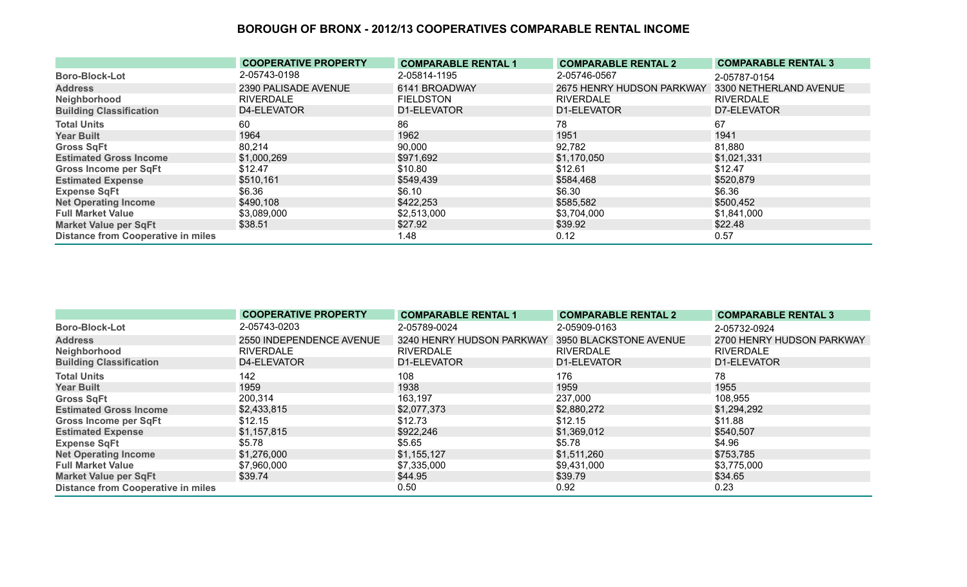|                                           | <b>COOPERATIVE PROPERTY</b> | <b>COMPARABLE RENTAL 1</b> | <b>COMPARABLE RENTAL 2</b> | <b>COMPARABLE RENTAL 3</b> |
|-------------------------------------------|-----------------------------|----------------------------|----------------------------|----------------------------|
| <b>Boro-Block-Lot</b>                     | 2-05743-0198                | 2-05814-1195               | 2-05746-0567               | 2-05787-0154               |
| <b>Address</b>                            | 2390 PALISADE AVENUE        | 6141 BROADWAY              | 2675 HENRY HUDSON PARKWAY  | 3300 NETHERLAND AVENUE     |
| Neighborhood                              | <b>RIVERDALE</b>            | <b>FIELDSTON</b>           | <b>RIVERDALE</b>           | <b>RIVERDALE</b>           |
| <b>Building Classification</b>            | D4-ELEVATOR                 | D1-ELEVATOR                | D1-ELEVATOR                | D7-ELEVATOR                |
| <b>Total Units</b>                        | 60                          | 86                         | 78                         | 67                         |
| <b>Year Built</b>                         | 1964                        | 1962                       | 1951                       | 1941                       |
| <b>Gross SqFt</b>                         | 80,214                      | 90,000                     | 92,782                     | 81,880                     |
| <b>Estimated Gross Income</b>             | \$1,000,269                 | \$971,692                  | \$1,170,050                | \$1,021,331                |
| Gross Income per SqFt                     | \$12.47                     | \$10.80                    | \$12.61                    | \$12.47                    |
| <b>Estimated Expense</b>                  | \$510,161                   | \$549,439                  | \$584,468                  | \$520,879                  |
| <b>Expense SqFt</b>                       | \$6.36                      | \$6.10                     | \$6.30                     | \$6.36                     |
| <b>Net Operating Income</b>               | \$490,108                   | \$422,253                  | \$585,582                  | \$500,452                  |
| <b>Full Market Value</b>                  | \$3,089,000                 | \$2,513,000                | \$3,704,000                | \$1,841,000                |
| <b>Market Value per SqFt</b>              | \$38.51                     | \$27.92                    | \$39.92                    | \$22.48                    |
| <b>Distance from Cooperative in miles</b> |                             | 1.48                       | 0.12                       | 0.57                       |

|                                           | <b>COOPERATIVE PROPERTY</b> | <b>COMPARABLE RENTAL 1</b>                       | <b>COMPARABLE RENTAL 2</b> | <b>COMPARABLE RENTAL 3</b> |
|-------------------------------------------|-----------------------------|--------------------------------------------------|----------------------------|----------------------------|
| <b>Boro-Block-Lot</b>                     | 2-05743-0203                | 2-05789-0024                                     | 2-05909-0163               | 2-05732-0924               |
| <b>Address</b>                            | 2550 INDEPENDENCE AVENUE    | 3240 HENRY HUDSON PARKWAY 3950 BLACKSTONE AVENUE |                            | 2700 HENRY HUDSON PARKWAY  |
| Neighborhood                              | RIVERDALE                   | <b>RIVERDALE</b>                                 | <b>RIVERDALE</b>           | <b>RIVERDALE</b>           |
| <b>Building Classification</b>            | D4-ELEVATOR                 | D1-ELEVATOR                                      | D1-ELEVATOR                | D1-ELEVATOR                |
| <b>Total Units</b>                        | 142                         | 108                                              | 176                        | 78                         |
| <b>Year Built</b>                         | 1959                        | 1938                                             | 1959                       | 1955                       |
| <b>Gross SqFt</b>                         | 200,314                     | 163,197                                          | 237,000                    | 108,955                    |
| <b>Estimated Gross Income</b>             | \$2,433,815                 | \$2,077,373                                      | \$2,880,272                | \$1,294,292                |
| <b>Gross Income per SqFt</b>              | \$12.15                     | \$12.73                                          | \$12.15                    | \$11.88                    |
| <b>Estimated Expense</b>                  | \$1,157,815                 | \$922,246                                        | \$1,369,012                | \$540,507                  |
| <b>Expense SqFt</b>                       | \$5.78                      | \$5.65                                           | \$5.78                     | \$4.96                     |
| <b>Net Operating Income</b>               | \$1,276,000                 | \$1,155,127                                      | \$1,511,260                | \$753,785                  |
| <b>Full Market Value</b>                  | \$7,960,000                 | \$7,335,000                                      | \$9,431,000                | \$3,775,000                |
| <b>Market Value per SqFt</b>              | \$39.74                     | \$44.95                                          | \$39.79                    | \$34.65                    |
| <b>Distance from Cooperative in miles</b> |                             | 0.50                                             | 0.92                       | 0.23                       |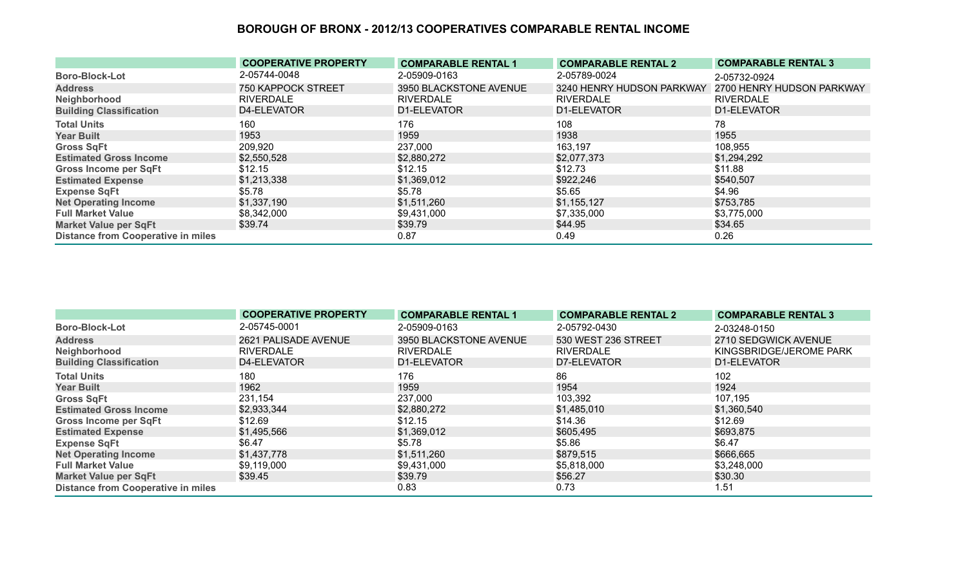|                                           | <b>COOPERATIVE PROPERTY</b> | <b>COMPARABLE RENTAL 1</b> | <b>COMPARABLE RENTAL 2</b> | <b>COMPARABLE RENTAL 3</b> |
|-------------------------------------------|-----------------------------|----------------------------|----------------------------|----------------------------|
| <b>Boro-Block-Lot</b>                     | 2-05744-0048                | 2-05909-0163               | 2-05789-0024               | 2-05732-0924               |
| <b>Address</b>                            | <b>750 KAPPOCK STREET</b>   | 3950 BLACKSTONE AVENUE     | 3240 HENRY HUDSON PARKWAY  | 2700 HENRY HUDSON PARKWAY  |
| Neighborhood                              | RIVERDALE                   | <b>RIVERDALE</b>           | <b>RIVERDALE</b>           | <b>RIVERDALE</b>           |
| <b>Building Classification</b>            | D4-ELEVATOR                 | D1-ELEVATOR                | D1-ELEVATOR                | D1-ELEVATOR                |
| <b>Total Units</b>                        | 160                         | 176                        | 108                        | 78                         |
| <b>Year Built</b>                         | 1953                        | 1959                       | 1938                       | 1955                       |
| <b>Gross SqFt</b>                         | 209,920                     | 237,000                    | 163,197                    | 108,955                    |
| <b>Estimated Gross Income</b>             | \$2,550,528                 | \$2,880,272                | \$2,077,373                | \$1,294,292                |
| <b>Gross Income per SqFt</b>              | \$12.15                     | \$12.15                    | \$12.73                    | \$11.88                    |
| <b>Estimated Expense</b>                  | \$1,213,338                 | \$1,369,012                | \$922,246                  | \$540,507                  |
| <b>Expense SqFt</b>                       | \$5.78                      | \$5.78                     | \$5.65                     | \$4.96                     |
| <b>Net Operating Income</b>               | \$1,337,190                 | \$1,511,260                | \$1,155,127                | \$753,785                  |
| <b>Full Market Value</b>                  | \$8,342,000                 | \$9,431,000                | \$7,335,000                | \$3,775,000                |
| <b>Market Value per SqFt</b>              | \$39.74                     | \$39.79                    | \$44.95                    | \$34.65                    |
| <b>Distance from Cooperative in miles</b> |                             | 0.87                       | 0.49                       | 0.26                       |

|                                           | <b>COOPERATIVE PROPERTY</b> | <b>COMPARABLE RENTAL 1</b> | <b>COMPARABLE RENTAL 2</b> | <b>COMPARABLE RENTAL 3</b> |
|-------------------------------------------|-----------------------------|----------------------------|----------------------------|----------------------------|
| <b>Boro-Block-Lot</b>                     | 2-05745-0001                | 2-05909-0163               | 2-05792-0430               | 2-03248-0150               |
| <b>Address</b>                            | 2621 PALISADE AVENUE        | 3950 BLACKSTONE AVENUE     | 530 WEST 236 STREET        | 2710 SEDGWICK AVENUE       |
| Neighborhood                              | <b>RIVERDALE</b>            | <b>RIVERDALE</b>           | <b>RIVERDALE</b>           | KINGSBRIDGE/JEROME PARK    |
| <b>Building Classification</b>            | D4-ELEVATOR                 | D1-ELEVATOR                | D7-ELEVATOR                | D1-ELEVATOR                |
| <b>Total Units</b>                        | 180                         | 176                        | 86                         | 102                        |
| <b>Year Built</b>                         | 1962                        | 1959                       | 1954                       | 1924                       |
| <b>Gross SqFt</b>                         | 231,154                     | 237,000                    | 103,392                    | 107,195                    |
| <b>Estimated Gross Income</b>             | \$2,933,344                 | \$2,880,272                | \$1,485,010                | \$1,360,540                |
| <b>Gross Income per SqFt</b>              | \$12.69                     | \$12.15                    | \$14.36                    | \$12.69                    |
| <b>Estimated Expense</b>                  | \$1,495,566                 | \$1,369,012                | \$605,495                  | \$693,875                  |
| <b>Expense SqFt</b>                       | \$6.47                      | \$5.78                     | \$5.86                     | \$6.47                     |
| <b>Net Operating Income</b>               | \$1,437,778                 | \$1,511,260                | \$879,515                  | \$666,665                  |
| <b>Full Market Value</b>                  | \$9,119,000                 | \$9,431,000                | \$5,818,000                | \$3,248,000                |
| <b>Market Value per SqFt</b>              | \$39.45                     | \$39.79                    | \$56.27                    | \$30.30                    |
| <b>Distance from Cooperative in miles</b> |                             | 0.83                       | 0.73                       | 1.51                       |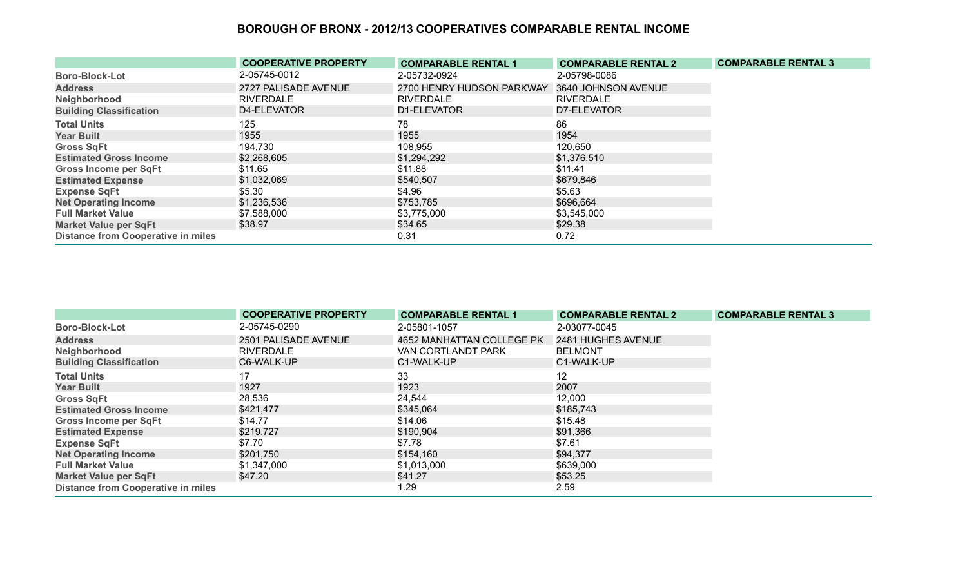|                                           | <b>COOPERATIVE PROPERTY</b> | <b>COMPARABLE RENTAL 1</b> | <b>COMPARABLE RENTAL 2</b> | <b>COMPARABLE RENTAL 3</b> |
|-------------------------------------------|-----------------------------|----------------------------|----------------------------|----------------------------|
| <b>Boro-Block-Lot</b>                     | 2-05745-0012                | 2-05732-0924               | 2-05798-0086               |                            |
| <b>Address</b>                            | 2727 PALISADE AVENUE        | 2700 HENRY HUDSON PARKWAY  | 3640 JOHNSON AVENUE        |                            |
| Neighborhood                              | <b>RIVERDALE</b>            | <b>RIVERDALE</b>           | <b>RIVERDALE</b>           |                            |
| <b>Building Classification</b>            | D4-ELEVATOR                 | D1-ELEVATOR                | D7-ELEVATOR                |                            |
| <b>Total Units</b>                        | 125                         | 78                         | 86                         |                            |
| <b>Year Built</b>                         | 1955                        | 1955                       | 1954                       |                            |
| <b>Gross SqFt</b>                         | 194,730                     | 108,955                    | 120,650                    |                            |
| <b>Estimated Gross Income</b>             | \$2,268,605                 | \$1,294,292                | \$1,376,510                |                            |
| <b>Gross Income per SqFt</b>              | \$11.65                     | \$11.88                    | \$11.41                    |                            |
| <b>Estimated Expense</b>                  | \$1,032,069                 | \$540,507                  | \$679,846                  |                            |
| <b>Expense SqFt</b>                       | \$5.30                      | \$4.96                     | \$5.63                     |                            |
| <b>Net Operating Income</b>               | \$1,236,536                 | \$753,785                  | \$696,664                  |                            |
| <b>Full Market Value</b>                  | \$7,588,000                 | \$3,775,000                | \$3,545,000                |                            |
| <b>Market Value per SqFt</b>              | \$38.97                     | \$34.65                    | \$29.38                    |                            |
| <b>Distance from Cooperative in miles</b> |                             | 0.31                       | 0.72                       |                            |

|                                           | <b>COOPERATIVE PROPERTY</b> | <b>COMPARABLE RENTAL 1</b> | <b>COMPARABLE RENTAL 2</b> | <b>COMPARABLE RENTAL 3</b> |
|-------------------------------------------|-----------------------------|----------------------------|----------------------------|----------------------------|
| <b>Boro-Block-Lot</b>                     | 2-05745-0290                | 2-05801-1057               | 2-03077-0045               |                            |
| <b>Address</b>                            | 2501 PALISADE AVENUE        | 4652 MANHATTAN COLLEGE PK  | 2481 HUGHES AVENUE         |                            |
| Neighborhood                              | <b>RIVERDALE</b>            | VAN CORTLANDT PARK         | <b>BELMONT</b>             |                            |
| <b>Building Classification</b>            | C6-WALK-UP                  | C1-WALK-UP                 | C1-WALK-UP                 |                            |
| <b>Total Units</b>                        | 17                          | 33                         | 12                         |                            |
| <b>Year Built</b>                         | 1927                        | 1923                       | 2007                       |                            |
| <b>Gross SqFt</b>                         | 28,536                      | 24,544                     | 12,000                     |                            |
| <b>Estimated Gross Income</b>             | \$421,477                   | \$345,064                  | \$185,743                  |                            |
| <b>Gross Income per SqFt</b>              | \$14.77                     | \$14.06                    | \$15.48                    |                            |
| <b>Estimated Expense</b>                  | \$219,727                   | \$190,904                  | \$91,366                   |                            |
| <b>Expense SqFt</b>                       | \$7.70                      | \$7.78                     | \$7.61                     |                            |
| <b>Net Operating Income</b>               | \$201,750                   | \$154,160                  | \$94,377                   |                            |
| <b>Full Market Value</b>                  | \$1,347,000                 | \$1,013,000                | \$639,000                  |                            |
| <b>Market Value per SqFt</b>              | \$47.20                     | \$41.27                    | \$53.25                    |                            |
| <b>Distance from Cooperative in miles</b> |                             | 1.29                       | 2.59                       |                            |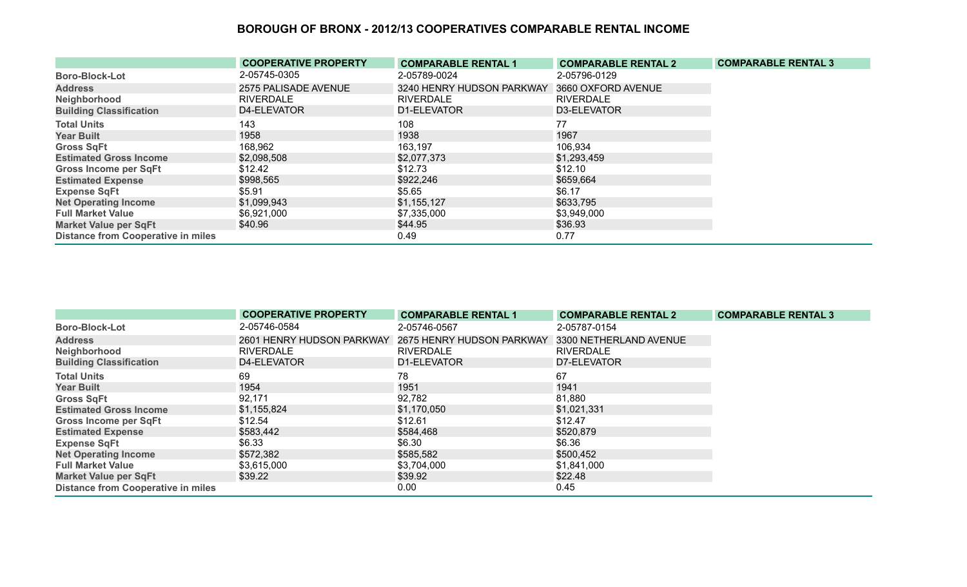|                                           | <b>COOPERATIVE PROPERTY</b> | <b>COMPARABLE RENTAL 1</b> | <b>COMPARABLE RENTAL 2</b> | <b>COMPARABLE RENTAL 3</b> |
|-------------------------------------------|-----------------------------|----------------------------|----------------------------|----------------------------|
| <b>Boro-Block-Lot</b>                     | 2-05745-0305                | 2-05789-0024               | 2-05796-0129               |                            |
| <b>Address</b>                            | 2575 PALISADE AVENUE        | 3240 HENRY HUDSON PARKWAY  | 3660 OXFORD AVENUE         |                            |
| Neighborhood                              | <b>RIVERDALE</b>            | <b>RIVERDALE</b>           | <b>RIVERDALE</b>           |                            |
| <b>Building Classification</b>            | D4-ELEVATOR                 | D1-ELEVATOR                | D3-ELEVATOR                |                            |
| <b>Total Units</b>                        | 143                         | 108                        | 77                         |                            |
| <b>Year Built</b>                         | 1958                        | 1938                       | 1967                       |                            |
| <b>Gross SqFt</b>                         | 168,962                     | 163,197                    | 106,934                    |                            |
| <b>Estimated Gross Income</b>             | \$2,098,508                 | \$2,077,373                | \$1,293,459                |                            |
| <b>Gross Income per SqFt</b>              | \$12.42                     | \$12.73                    | \$12.10                    |                            |
| <b>Estimated Expense</b>                  | \$998,565                   | \$922,246                  | \$659,664                  |                            |
| <b>Expense SqFt</b>                       | \$5.91                      | \$5.65                     | \$6.17                     |                            |
| <b>Net Operating Income</b>               | \$1,099,943                 | \$1,155,127                | \$633,795                  |                            |
| <b>Full Market Value</b>                  | \$6,921,000                 | \$7,335,000                | \$3,949,000                |                            |
| <b>Market Value per SqFt</b>              | \$40.96                     | \$44.95                    | \$36.93                    |                            |
| <b>Distance from Cooperative in miles</b> |                             | 0.49                       | 0.77                       |                            |

|                                           | <b>COOPERATIVE PROPERTY</b> | <b>COMPARABLE RENTAL 1</b> | <b>COMPARABLE RENTAL 2</b> | <b>COMPARABLE RENTAL 3</b> |
|-------------------------------------------|-----------------------------|----------------------------|----------------------------|----------------------------|
| <b>Boro-Block-Lot</b>                     | 2-05746-0584                | 2-05746-0567               | 2-05787-0154               |                            |
| <b>Address</b>                            | 2601 HENRY HUDSON PARKWAY   | 2675 HENRY HUDSON PARKWAY  | 3300 NETHERLAND AVENUE     |                            |
| Neighborhood                              | <b>RIVERDALE</b>            | <b>RIVERDALE</b>           | <b>RIVERDALE</b>           |                            |
| <b>Building Classification</b>            | D4-ELEVATOR                 | D1-ELEVATOR                | D7-ELEVATOR                |                            |
| <b>Total Units</b>                        | 69                          | 78                         | 67                         |                            |
| <b>Year Built</b>                         | 1954                        | 1951                       | 1941                       |                            |
| <b>Gross SqFt</b>                         | 92,171                      | 92,782                     | 81,880                     |                            |
| <b>Estimated Gross Income</b>             | \$1,155,824                 | \$1,170,050                | \$1,021,331                |                            |
| Gross Income per SqFt                     | \$12.54                     | \$12.61                    | \$12.47                    |                            |
| <b>Estimated Expense</b>                  | \$583,442                   | \$584,468                  | \$520,879                  |                            |
| <b>Expense SqFt</b>                       | \$6.33                      | \$6.30                     | \$6.36                     |                            |
| <b>Net Operating Income</b>               | \$572,382                   | \$585,582                  | \$500,452                  |                            |
| <b>Full Market Value</b>                  | \$3,615,000                 | \$3,704,000                | \$1,841,000                |                            |
| <b>Market Value per SqFt</b>              | \$39.22                     | \$39.92                    | \$22.48                    |                            |
| <b>Distance from Cooperative in miles</b> |                             | 0.00                       | 0.45                       |                            |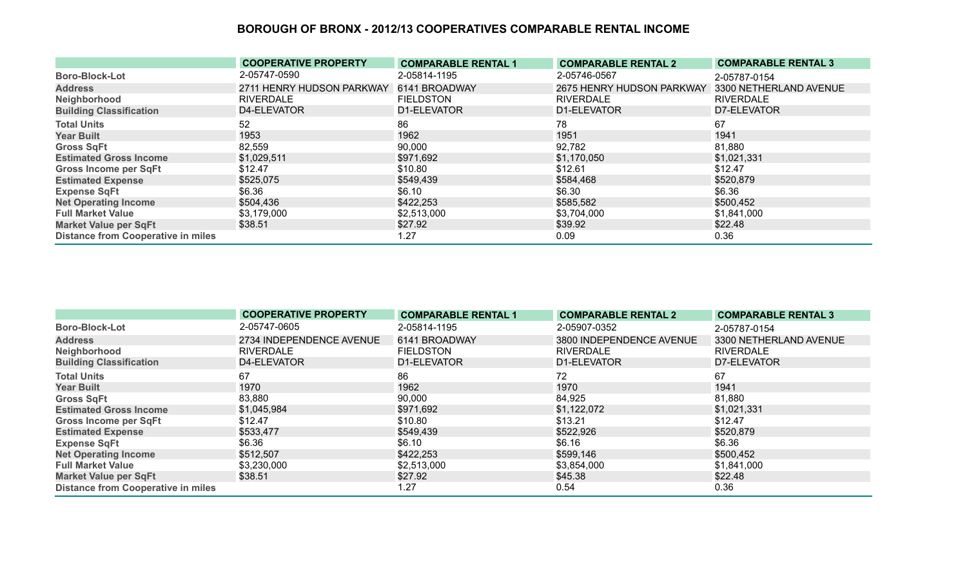|                                           | <b>COOPERATIVE PROPERTY</b> | <b>COMPARABLE RENTAL 1</b> | <b>COMPARABLE RENTAL 2</b> | <b>COMPARABLE RENTAL 3</b> |
|-------------------------------------------|-----------------------------|----------------------------|----------------------------|----------------------------|
| <b>Boro-Block-Lot</b>                     | 2-05747-0590                | 2-05814-1195               | 2-05746-0567               | 2-05787-0154               |
| <b>Address</b>                            | 2711 HENRY HUDSON PARKWAY   | 6141 BROADWAY              | 2675 HENRY HUDSON PARKWAY  | 3300 NETHERLAND AVENUE     |
| Neighborhood                              | <b>RIVERDALE</b>            | <b>FIELDSTON</b>           | <b>RIVERDALE</b>           | <b>RIVERDALE</b>           |
| <b>Building Classification</b>            | D4-ELEVATOR                 | D1-ELEVATOR                | D1-ELEVATOR                | D7-ELEVATOR                |
| <b>Total Units</b>                        | 52                          | 86                         | 78                         | 67                         |
| <b>Year Built</b>                         | 1953                        | 1962                       | 1951                       | 1941                       |
| <b>Gross SqFt</b>                         | 82,559                      | 90,000                     | 92,782                     | 81,880                     |
| <b>Estimated Gross Income</b>             | \$1,029,511                 | \$971,692                  | \$1,170,050                | \$1,021,331                |
| <b>Gross Income per SqFt</b>              | \$12.47                     | \$10.80                    | \$12.61                    | \$12.47                    |
| <b>Estimated Expense</b>                  | \$525,075                   | \$549,439                  | \$584,468                  | \$520,879                  |
| <b>Expense SqFt</b>                       | \$6.36                      | \$6.10                     | \$6.30                     | \$6.36                     |
| <b>Net Operating Income</b>               | \$504,436                   | \$422,253                  | \$585,582                  | \$500,452                  |
| <b>Full Market Value</b>                  | \$3,179,000                 | \$2,513,000                | \$3,704,000                | \$1,841,000                |
| <b>Market Value per SqFt</b>              | \$38.51                     | \$27.92                    | \$39.92                    | \$22.48                    |
| <b>Distance from Cooperative in miles</b> |                             | 1.27                       | 0.09                       | 0.36                       |

|                                           | <b>COOPERATIVE PROPERTY</b> | <b>COMPARABLE RENTAL 1</b> | <b>COMPARABLE RENTAL 2</b> | <b>COMPARABLE RENTAL 3</b> |
|-------------------------------------------|-----------------------------|----------------------------|----------------------------|----------------------------|
| <b>Boro-Block-Lot</b>                     | 2-05747-0605                | 2-05814-1195               | 2-05907-0352               | 2-05787-0154               |
| <b>Address</b>                            | 2734 INDEPENDENCE AVENUE    | 6141 BROADWAY              | 3800 INDEPENDENCE AVENUE   | 3300 NETHERLAND AVENUE     |
| Neighborhood                              | <b>RIVERDALE</b>            | <b>FIELDSTON</b>           | <b>RIVERDALE</b>           | <b>RIVERDALE</b>           |
| <b>Building Classification</b>            | D4-ELEVATOR                 | D1-ELEVATOR                | D1-ELEVATOR                | D7-ELEVATOR                |
| <b>Total Units</b>                        | 67                          | 86                         | 72                         | 67                         |
| <b>Year Built</b>                         | 1970                        | 1962                       | 1970                       | 1941                       |
| <b>Gross SqFt</b>                         | 83,880                      | 90,000                     | 84,925                     | 81,880                     |
| <b>Estimated Gross Income</b>             | \$1,045,984                 | \$971,692                  | \$1,122,072                | \$1,021,331                |
| <b>Gross Income per SqFt</b>              | \$12.47                     | \$10.80                    | \$13.21                    | \$12.47                    |
| <b>Estimated Expense</b>                  | \$533,477                   | \$549,439                  | \$522,926                  | \$520,879                  |
| <b>Expense SqFt</b>                       | \$6.36                      | \$6.10                     | \$6.16                     | \$6.36                     |
| <b>Net Operating Income</b>               | \$512,507                   | \$422,253                  | \$599,146                  | \$500,452                  |
| <b>Full Market Value</b>                  | \$3,230,000                 | \$2,513,000                | \$3,854,000                | \$1,841,000                |
| <b>Market Value per SqFt</b>              | \$38.51                     | \$27.92                    | \$45.38                    | \$22.48                    |
| <b>Distance from Cooperative in miles</b> |                             | 1.27                       | 0.54                       | 0.36                       |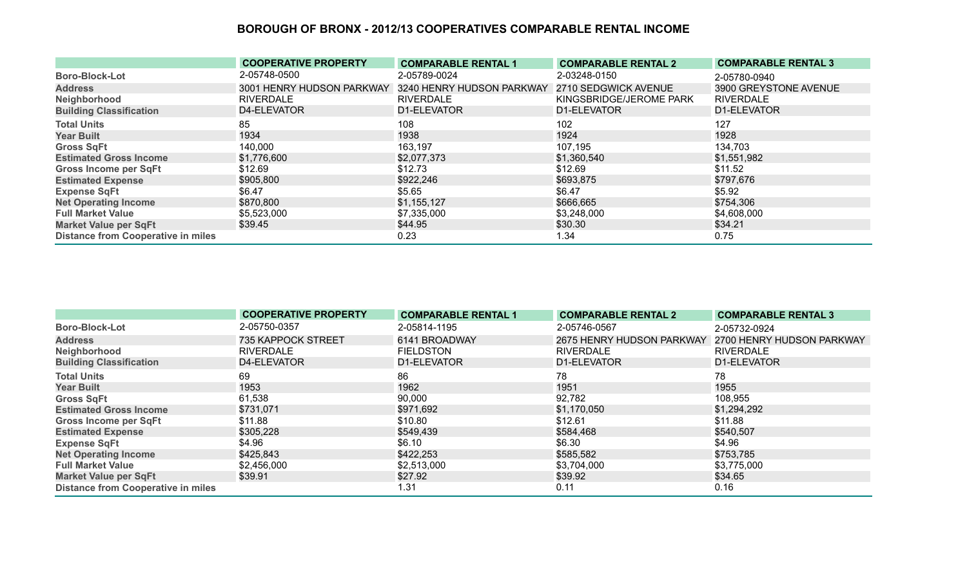|                                           | <b>COOPERATIVE PROPERTY</b> | <b>COMPARABLE RENTAL 1</b> | <b>COMPARABLE RENTAL 2</b> | <b>COMPARABLE RENTAL 3</b> |
|-------------------------------------------|-----------------------------|----------------------------|----------------------------|----------------------------|
| <b>Boro-Block-Lot</b>                     | 2-05748-0500                | 2-05789-0024               | 2-03248-0150               | 2-05780-0940               |
| <b>Address</b>                            | 3001 HENRY HUDSON PARKWAY   | 3240 HENRY HUDSON PARKWAY  | 2710 SEDGWICK AVENUE       | 3900 GREYSTONE AVENUE      |
| Neighborhood                              | <b>RIVERDALE</b>            | <b>RIVERDALE</b>           | KINGSBRIDGE/JEROME PARK    | <b>RIVERDALE</b>           |
| <b>Building Classification</b>            | D4-ELEVATOR                 | D1-ELEVATOR                | D1-ELEVATOR                | D1-ELEVATOR                |
| <b>Total Units</b>                        | 85                          | 108                        | 102                        | 127                        |
| <b>Year Built</b>                         | 1934                        | 1938                       | 1924                       | 1928                       |
| <b>Gross SqFt</b>                         | 140,000                     | 163,197                    | 107,195                    | 134,703                    |
| <b>Estimated Gross Income</b>             | \$1,776,600                 | \$2,077,373                | \$1,360,540                | \$1,551,982                |
| <b>Gross Income per SqFt</b>              | \$12.69                     | \$12.73                    | \$12.69                    | \$11.52                    |
| <b>Estimated Expense</b>                  | \$905,800                   | \$922,246                  | \$693,875                  | \$797,676                  |
| <b>Expense SqFt</b>                       | \$6.47                      | \$5.65                     | \$6.47                     | \$5.92                     |
| <b>Net Operating Income</b>               | \$870,800                   | \$1,155,127                | \$666,665                  | \$754,306                  |
| <b>Full Market Value</b>                  | \$5,523,000                 | \$7,335,000                | \$3,248,000                | \$4,608,000                |
| <b>Market Value per SqFt</b>              | \$39.45                     | \$44.95                    | \$30.30                    | \$34.21                    |
| <b>Distance from Cooperative in miles</b> |                             | 0.23                       | 1.34                       | 0.75                       |

|                                           | <b>COOPERATIVE PROPERTY</b> | <b>COMPARABLE RENTAL 1</b> | <b>COMPARABLE RENTAL 2</b> | <b>COMPARABLE RENTAL 3</b> |
|-------------------------------------------|-----------------------------|----------------------------|----------------------------|----------------------------|
| <b>Boro-Block-Lot</b>                     | 2-05750-0357                | 2-05814-1195               | 2-05746-0567               | 2-05732-0924               |
| <b>Address</b>                            | 735 KAPPOCK STREET          | 6141 BROADWAY              | 2675 HENRY HUDSON PARKWAY  | 2700 HENRY HUDSON PARKWAY  |
| Neighborhood                              | <b>RIVERDALE</b>            | <b>FIELDSTON</b>           | <b>RIVERDALE</b>           | <b>RIVERDALE</b>           |
| <b>Building Classification</b>            | D4-ELEVATOR                 | D1-ELEVATOR                | D1-ELEVATOR                | D1-ELEVATOR                |
| <b>Total Units</b>                        | 69                          | 86                         | 78                         | 78                         |
| <b>Year Built</b>                         | 1953                        | 1962                       | 1951                       | 1955                       |
| <b>Gross SqFt</b>                         | 61,538                      | 90,000                     | 92,782                     | 108,955                    |
| <b>Estimated Gross Income</b>             | \$731,071                   | \$971,692                  | \$1,170,050                | \$1,294,292                |
| <b>Gross Income per SqFt</b>              | \$11.88                     | \$10.80                    | \$12.61                    | \$11.88                    |
| <b>Estimated Expense</b>                  | \$305,228                   | \$549,439                  | \$584,468                  | \$540,507                  |
| <b>Expense SqFt</b>                       | \$4.96                      | \$6.10                     | \$6.30                     | \$4.96                     |
| <b>Net Operating Income</b>               | \$425,843                   | \$422,253                  | \$585,582                  | \$753,785                  |
| <b>Full Market Value</b>                  | \$2,456,000                 | \$2,513,000                | \$3,704,000                | \$3,775,000                |
| <b>Market Value per SqFt</b>              | \$39.91                     | \$27.92                    | \$39.92                    | \$34.65                    |
| <b>Distance from Cooperative in miles</b> |                             | 1.31                       | 0.11                       | 0.16                       |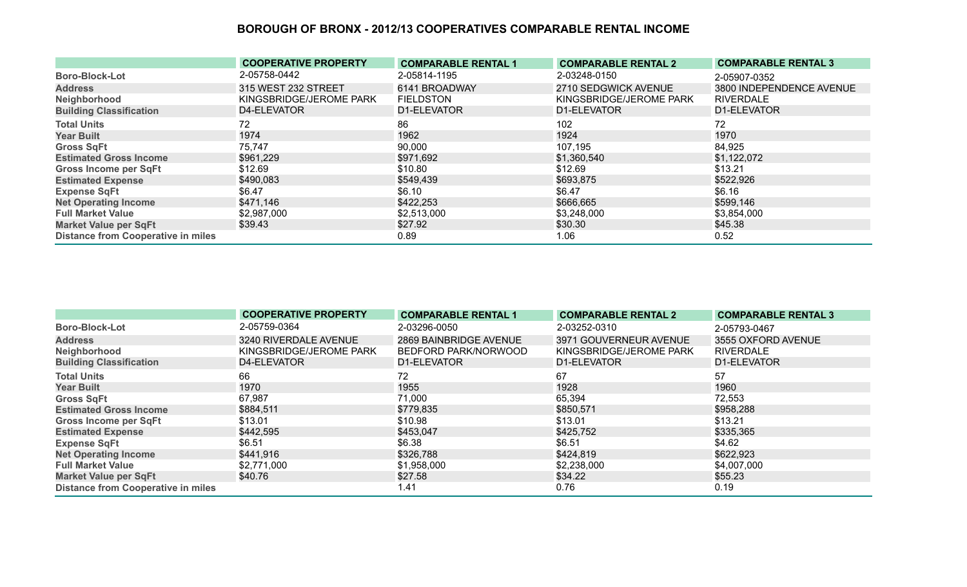|                                           | <b>COOPERATIVE PROPERTY</b> | <b>COMPARABLE RENTAL 1</b> | <b>COMPARABLE RENTAL 2</b> | <b>COMPARABLE RENTAL 3</b> |
|-------------------------------------------|-----------------------------|----------------------------|----------------------------|----------------------------|
| <b>Boro-Block-Lot</b>                     | 2-05758-0442                | 2-05814-1195               | 2-03248-0150               | 2-05907-0352               |
| <b>Address</b>                            | 315 WEST 232 STREET         | 6141 BROADWAY              | 2710 SEDGWICK AVENUE       | 3800 INDEPENDENCE AVENUE   |
| Neighborhood                              | KINGSBRIDGE/JEROME PARK     | <b>FIELDSTON</b>           | KINGSBRIDGE/JEROME PARK    | <b>RIVERDALE</b>           |
| <b>Building Classification</b>            | D4-ELEVATOR                 | D1-ELEVATOR                | D1-ELEVATOR                | D1-ELEVATOR                |
| <b>Total Units</b>                        | 72                          | 86                         | 102                        | 72                         |
| <b>Year Built</b>                         | 1974                        | 1962                       | 1924                       | 1970                       |
| <b>Gross SqFt</b>                         | 75,747                      | 90,000                     | 107,195                    | 84,925                     |
| <b>Estimated Gross Income</b>             | \$961,229                   | \$971,692                  | \$1,360,540                | \$1,122,072                |
| <b>Gross Income per SqFt</b>              | \$12.69                     | \$10.80                    | \$12.69                    | \$13.21                    |
| <b>Estimated Expense</b>                  | \$490,083                   | \$549,439                  | \$693,875                  | \$522,926                  |
| <b>Expense SqFt</b>                       | \$6.47                      | \$6.10                     | \$6.47                     | \$6.16                     |
| <b>Net Operating Income</b>               | \$471,146                   | \$422,253                  | \$666,665                  | \$599,146                  |
| <b>Full Market Value</b>                  | \$2,987,000                 | \$2,513,000                | \$3,248,000                | \$3,854,000                |
| <b>Market Value per SqFt</b>              | \$39.43                     | \$27.92                    | \$30.30                    | \$45.38                    |
| <b>Distance from Cooperative in miles</b> |                             | 0.89                       | 1.06                       | 0.52                       |

|                                           | <b>COOPERATIVE PROPERTY</b> | <b>COMPARABLE RENTAL 1</b> | <b>COMPARABLE RENTAL 2</b> | <b>COMPARABLE RENTAL 3</b> |
|-------------------------------------------|-----------------------------|----------------------------|----------------------------|----------------------------|
| <b>Boro-Block-Lot</b>                     | 2-05759-0364                | 2-03296-0050               | 2-03252-0310               | 2-05793-0467               |
| <b>Address</b>                            | 3240 RIVERDALE AVENUE       | 2869 BAINBRIDGE AVENUE     | 3971 GOUVERNEUR AVENUE     | 3555 OXFORD AVENUE         |
| Neighborhood                              | KINGSBRIDGE/JEROME PARK     | BEDFORD PARK/NORWOOD       | KINGSBRIDGE/JEROME PARK    | <b>RIVERDALE</b>           |
| <b>Building Classification</b>            | D4-ELEVATOR                 | D1-ELEVATOR                | D1-ELEVATOR                | D1-ELEVATOR                |
| <b>Total Units</b>                        | 66                          | 72                         | 67                         | 57                         |
| <b>Year Built</b>                         | 1970                        | 1955                       | 1928                       | 1960                       |
| <b>Gross SqFt</b>                         | 67,987                      | 71,000                     | 65,394                     | 72,553                     |
| <b>Estimated Gross Income</b>             | \$884,511                   | \$779,835                  | \$850,571                  | \$958,288                  |
| <b>Gross Income per SqFt</b>              | \$13.01                     | \$10.98                    | \$13.01                    | \$13.21                    |
| <b>Estimated Expense</b>                  | \$442,595                   | \$453,047                  | \$425,752                  | \$335,365                  |
| <b>Expense SqFt</b>                       | \$6.51                      | \$6.38                     | \$6.51                     | \$4.62                     |
| <b>Net Operating Income</b>               | \$441,916                   | \$326,788                  | \$424,819                  | \$622,923                  |
| <b>Full Market Value</b>                  | \$2,771,000                 | \$1,958,000                | \$2,238,000                | \$4,007,000                |
| <b>Market Value per SqFt</b>              | \$40.76                     | \$27.58                    | \$34.22                    | \$55.23                    |
| <b>Distance from Cooperative in miles</b> |                             | 1.41                       | 0.76                       | 0.19                       |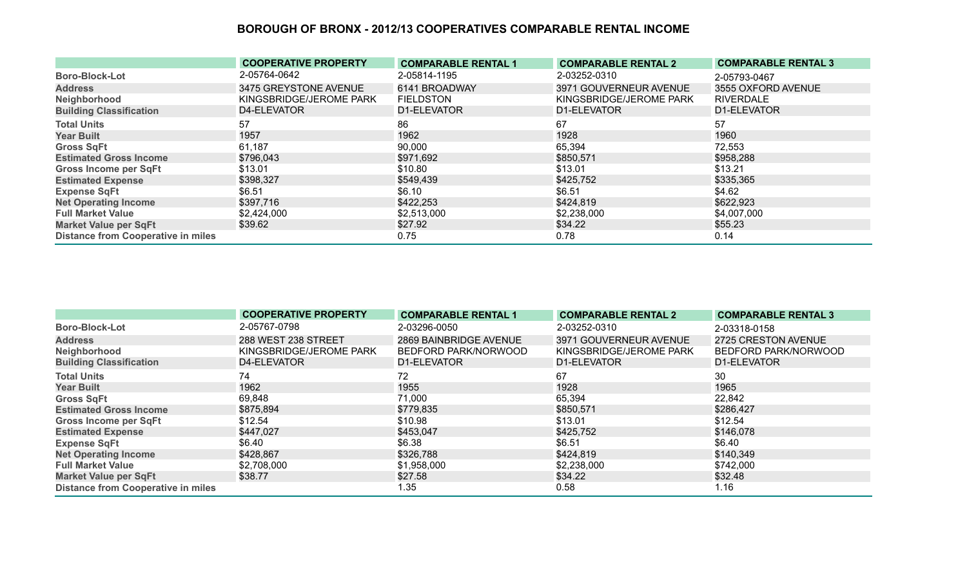|                                           | <b>COOPERATIVE PROPERTY</b> | <b>COMPARABLE RENTAL 1</b> | <b>COMPARABLE RENTAL 2</b> | <b>COMPARABLE RENTAL 3</b> |
|-------------------------------------------|-----------------------------|----------------------------|----------------------------|----------------------------|
| <b>Boro-Block-Lot</b>                     | 2-05764-0642                | 2-05814-1195               | 2-03252-0310               | 2-05793-0467               |
| <b>Address</b>                            | 3475 GREYSTONE AVENUE       | 6141 BROADWAY              | 3971 GOUVERNEUR AVENUE     | 3555 OXFORD AVENUE         |
| Neighborhood                              | KINGSBRIDGE/JEROME PARK     | <b>FIELDSTON</b>           | KINGSBRIDGE/JEROME PARK    | <b>RIVERDALE</b>           |
| <b>Building Classification</b>            | D4-ELEVATOR                 | D1-ELEVATOR                | D1-ELEVATOR                | D1-ELEVATOR                |
| <b>Total Units</b>                        | 57                          | 86                         | 67                         | 57                         |
| <b>Year Built</b>                         | 1957                        | 1962                       | 1928                       | 1960                       |
| <b>Gross SqFt</b>                         | 61,187                      | 90,000                     | 65,394                     | 72,553                     |
| <b>Estimated Gross Income</b>             | \$796,043                   | \$971,692                  | \$850,571                  | \$958,288                  |
| <b>Gross Income per SqFt</b>              | \$13.01                     | \$10.80                    | \$13.01                    | \$13.21                    |
| <b>Estimated Expense</b>                  | \$398,327                   | \$549,439                  | \$425,752                  | \$335,365                  |
| <b>Expense SqFt</b>                       | \$6.51                      | \$6.10                     | \$6.51                     | \$4.62                     |
| <b>Net Operating Income</b>               | \$397,716                   | \$422,253                  | \$424,819                  | \$622,923                  |
| <b>Full Market Value</b>                  | \$2,424,000                 | \$2,513,000                | \$2,238,000                | \$4,007,000                |
| <b>Market Value per SqFt</b>              | \$39.62                     | \$27.92                    | \$34.22                    | \$55.23                    |
| <b>Distance from Cooperative in miles</b> |                             | 0.75                       | 0.78                       | 0.14                       |

|                                           | <b>COOPERATIVE PROPERTY</b> | <b>COMPARABLE RENTAL 1</b> | <b>COMPARABLE RENTAL 2</b> | <b>COMPARABLE RENTAL 3</b> |
|-------------------------------------------|-----------------------------|----------------------------|----------------------------|----------------------------|
| <b>Boro-Block-Lot</b>                     | 2-05767-0798                | 2-03296-0050               | 2-03252-0310               | 2-03318-0158               |
| <b>Address</b>                            | 288 WEST 238 STREET         | 2869 BAINBRIDGE AVENUE     | 3971 GOUVERNEUR AVENUE     | 2725 CRESTON AVENUE        |
| Neighborhood                              | KINGSBRIDGE/JEROME PARK     | BEDFORD PARK/NORWOOD       | KINGSBRIDGE/JEROME PARK    | BEDFORD PARK/NORWOOD       |
| <b>Building Classification</b>            | D4-ELEVATOR                 | D1-ELEVATOR                | D1-ELEVATOR                | D1-ELEVATOR                |
| <b>Total Units</b>                        | 74                          | 72                         | 67                         | 30                         |
| <b>Year Built</b>                         | 1962                        | 1955                       | 1928                       | 1965                       |
| <b>Gross SqFt</b>                         | 69,848                      | 71,000                     | 65,394                     | 22,842                     |
| <b>Estimated Gross Income</b>             | \$875,894                   | \$779,835                  | \$850,571                  | \$286,427                  |
| <b>Gross Income per SqFt</b>              | \$12.54                     | \$10.98                    | \$13.01                    | \$12.54                    |
| <b>Estimated Expense</b>                  | \$447,027                   | \$453,047                  | \$425,752                  | \$146,078                  |
| <b>Expense SqFt</b>                       | \$6.40                      | \$6.38                     | \$6.51                     | \$6.40                     |
| <b>Net Operating Income</b>               | \$428,867                   | \$326,788                  | \$424,819                  | \$140,349                  |
| <b>Full Market Value</b>                  | \$2,708,000                 | \$1,958,000                | \$2,238,000                | \$742,000                  |
| <b>Market Value per SqFt</b>              | \$38.77                     | \$27.58                    | \$34.22                    | \$32.48                    |
| <b>Distance from Cooperative in miles</b> |                             | 1.35                       | 0.58                       | 1.16                       |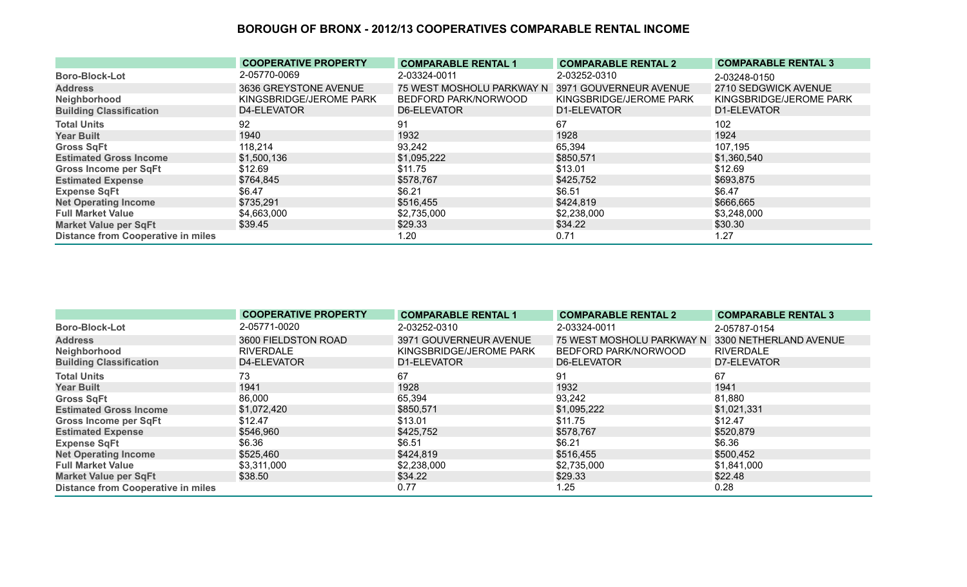|                                           | <b>COOPERATIVE PROPERTY</b> | <b>COMPARABLE RENTAL 1</b> | <b>COMPARABLE RENTAL 2</b> | <b>COMPARABLE RENTAL 3</b> |
|-------------------------------------------|-----------------------------|----------------------------|----------------------------|----------------------------|
| <b>Boro-Block-Lot</b>                     | 2-05770-0069                | 2-03324-0011               | 2-03252-0310               | 2-03248-0150               |
| <b>Address</b>                            | 3636 GREYSTONE AVENUE       | 75 WEST MOSHOLU PARKWAY N  | 3971 GOUVERNEUR AVENUE     | 2710 SEDGWICK AVENUE       |
| Neighborhood                              | KINGSBRIDGE/JEROME PARK     | BEDFORD PARK/NORWOOD       | KINGSBRIDGE/JEROME PARK    | KINGSBRIDGE/JEROME PARK    |
| <b>Building Classification</b>            | D4-ELEVATOR                 | D6-ELEVATOR                | D1-ELEVATOR                | D1-ELEVATOR                |
| <b>Total Units</b>                        | 92                          | 91                         | 67                         | 102                        |
| <b>Year Built</b>                         | 1940                        | 1932                       | 1928                       | 1924                       |
| <b>Gross SqFt</b>                         | 118,214                     | 93,242                     | 65,394                     | 107,195                    |
| <b>Estimated Gross Income</b>             | \$1,500,136                 | \$1,095,222                | \$850,571                  | \$1,360,540                |
| <b>Gross Income per SqFt</b>              | \$12.69                     | \$11.75                    | \$13.01                    | \$12.69                    |
| <b>Estimated Expense</b>                  | \$764,845                   | \$578,767                  | \$425,752                  | \$693,875                  |
| <b>Expense SqFt</b>                       | \$6.47                      | \$6.21                     | \$6.51                     | \$6.47                     |
| <b>Net Operating Income</b>               | \$735,291                   | \$516,455                  | \$424,819                  | \$666,665                  |
| <b>Full Market Value</b>                  | \$4,663,000                 | \$2,735,000                | \$2,238,000                | \$3,248,000                |
| <b>Market Value per SqFt</b>              | \$39.45                     | \$29.33                    | \$34.22                    | \$30.30                    |
| <b>Distance from Cooperative in miles</b> |                             | 1.20                       | 0.71                       | 1.27                       |

|                                           | <b>COOPERATIVE PROPERTY</b> | <b>COMPARABLE RENTAL 1</b> | <b>COMPARABLE RENTAL 2</b>                       | <b>COMPARABLE RENTAL 3</b> |
|-------------------------------------------|-----------------------------|----------------------------|--------------------------------------------------|----------------------------|
| <b>Boro-Block-Lot</b>                     | 2-05771-0020                | 2-03252-0310               | 2-03324-0011                                     | 2-05787-0154               |
| <b>Address</b>                            | 3600 FIELDSTON ROAD         | 3971 GOUVERNEUR AVENUE     | 75 WEST MOSHOLU PARKWAY N 3300 NETHERLAND AVENUE |                            |
| Neighborhood                              | <b>RIVERDALE</b>            | KINGSBRIDGE/JEROME PARK    | BEDFORD PARK/NORWOOD                             | <b>RIVERDALE</b>           |
| <b>Building Classification</b>            | D4-ELEVATOR                 | D1-ELEVATOR                | D6-ELEVATOR                                      | D7-ELEVATOR                |
| <b>Total Units</b>                        | 73                          | 67                         | 91                                               | 67                         |
| <b>Year Built</b>                         | 1941                        | 1928                       | 1932                                             | 1941                       |
| <b>Gross SqFt</b>                         | 86,000                      | 65,394                     | 93,242                                           | 81,880                     |
| <b>Estimated Gross Income</b>             | \$1,072,420                 | \$850,571                  | \$1,095,222                                      | \$1,021,331                |
| <b>Gross Income per SqFt</b>              | \$12.47                     | \$13.01                    | \$11.75                                          | \$12.47                    |
| <b>Estimated Expense</b>                  | \$546,960                   | \$425,752                  | \$578,767                                        | \$520,879                  |
| <b>Expense SqFt</b>                       | \$6.36                      | \$6.51                     | \$6.21                                           | \$6.36                     |
| <b>Net Operating Income</b>               | \$525,460                   | \$424,819                  | \$516,455                                        | \$500,452                  |
| <b>Full Market Value</b>                  | \$3,311,000                 | \$2,238,000                | \$2,735,000                                      | \$1,841,000                |
| <b>Market Value per SqFt</b>              | \$38.50                     | \$34.22                    | \$29.33                                          | \$22.48                    |
| <b>Distance from Cooperative in miles</b> |                             | 0.77                       | 1.25                                             | 0.28                       |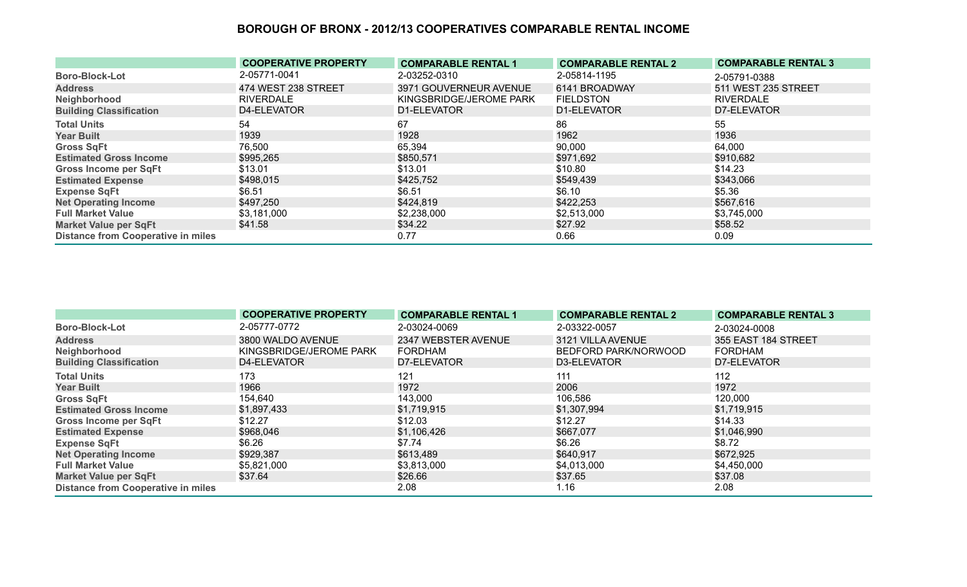|                                           | <b>COOPERATIVE PROPERTY</b> | <b>COMPARABLE RENTAL 1</b> | <b>COMPARABLE RENTAL 2</b> | <b>COMPARABLE RENTAL 3</b> |
|-------------------------------------------|-----------------------------|----------------------------|----------------------------|----------------------------|
| <b>Boro-Block-Lot</b>                     | 2-05771-0041                | 2-03252-0310               | 2-05814-1195               | 2-05791-0388               |
| <b>Address</b>                            | 474 WEST 238 STREET         | 3971 GOUVERNEUR AVENUE     | 6141 BROADWAY              | 511 WEST 235 STREET        |
| Neighborhood                              | <b>RIVERDALE</b>            | KINGSBRIDGE/JEROME PARK    | <b>FIELDSTON</b>           | <b>RIVERDALE</b>           |
| <b>Building Classification</b>            | D4-ELEVATOR                 | D1-ELEVATOR                | D1-ELEVATOR                | D7-ELEVATOR                |
| <b>Total Units</b>                        | 54                          | 67                         | 86                         | 55                         |
| <b>Year Built</b>                         | 1939                        | 1928                       | 1962                       | 1936                       |
| <b>Gross SqFt</b>                         | 76,500                      | 65,394                     | 90,000                     | 64,000                     |
| <b>Estimated Gross Income</b>             | \$995,265                   | \$850,571                  | \$971,692                  | \$910,682                  |
| <b>Gross Income per SqFt</b>              | \$13.01                     | \$13.01                    | \$10.80                    | \$14.23                    |
| <b>Estimated Expense</b>                  | \$498,015                   | \$425,752                  | \$549,439                  | \$343,066                  |
| <b>Expense SqFt</b>                       | \$6.51                      | \$6.51                     | \$6.10                     | \$5.36                     |
| <b>Net Operating Income</b>               | \$497,250                   | \$424,819                  | \$422,253                  | \$567,616                  |
| <b>Full Market Value</b>                  | \$3,181,000                 | \$2,238,000                | \$2,513,000                | \$3,745,000                |
| Market Value per SqFt                     | \$41.58                     | \$34.22                    | \$27.92                    | \$58.52                    |
| <b>Distance from Cooperative in miles</b> |                             | 0.77                       | 0.66                       | 0.09                       |

|                                           | <b>COOPERATIVE PROPERTY</b> | <b>COMPARABLE RENTAL 1</b> | <b>COMPARABLE RENTAL 2</b> | <b>COMPARABLE RENTAL 3</b> |
|-------------------------------------------|-----------------------------|----------------------------|----------------------------|----------------------------|
| <b>Boro-Block-Lot</b>                     | 2-05777-0772                | 2-03024-0069               | 2-03322-0057               | 2-03024-0008               |
| <b>Address</b>                            | 3800 WALDO AVENUE           | 2347 WEBSTER AVENUE        | 3121 VILLA AVENUE          | 355 EAST 184 STREET        |
| Neighborhood                              | KINGSBRIDGE/JEROME PARK     | <b>FORDHAM</b>             | BEDFORD PARK/NORWOOD       | FORDHAM                    |
| <b>Building Classification</b>            | D4-ELEVATOR                 | D7-ELEVATOR                | D3-ELEVATOR                | D7-ELEVATOR                |
| <b>Total Units</b>                        | 173                         | 121                        | 111                        | 112                        |
| <b>Year Built</b>                         | 1966                        | 1972                       | 2006                       | 1972                       |
| <b>Gross SqFt</b>                         | 154,640                     | 143,000                    | 106,586                    | 120,000                    |
| <b>Estimated Gross Income</b>             | \$1,897,433                 | \$1,719,915                | \$1,307,994                | \$1,719,915                |
| <b>Gross Income per SqFt</b>              | \$12.27                     | \$12.03                    | \$12.27                    | \$14.33                    |
| <b>Estimated Expense</b>                  | \$968,046                   | \$1,106,426                | \$667,077                  | \$1,046,990                |
| <b>Expense SqFt</b>                       | \$6.26                      | \$7.74                     | \$6.26                     | \$8.72                     |
| <b>Net Operating Income</b>               | \$929,387                   | \$613,489                  | \$640,917                  | \$672,925                  |
| <b>Full Market Value</b>                  | \$5,821,000                 | \$3,813,000                | \$4,013,000                | \$4,450,000                |
| <b>Market Value per SqFt</b>              | \$37.64                     | \$26.66                    | \$37.65                    | \$37.08                    |
| <b>Distance from Cooperative in miles</b> |                             | 2.08                       | 1.16                       | 2.08                       |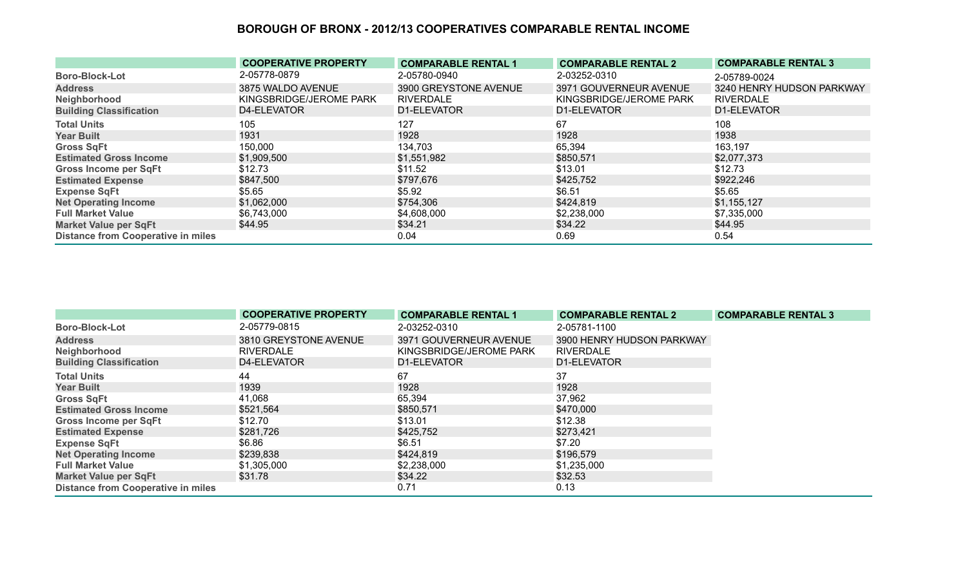|                                           | <b>COOPERATIVE PROPERTY</b> | <b>COMPARABLE RENTAL 1</b> | <b>COMPARABLE RENTAL 2</b> | <b>COMPARABLE RENTAL 3</b> |
|-------------------------------------------|-----------------------------|----------------------------|----------------------------|----------------------------|
| <b>Boro-Block-Lot</b>                     | 2-05778-0879                | 2-05780-0940               | 2-03252-0310               | 2-05789-0024               |
| <b>Address</b>                            | 3875 WALDO AVENUE           | 3900 GREYSTONE AVENUE      | 3971 GOUVERNEUR AVENUE     | 3240 HENRY HUDSON PARKWAY  |
| Neighborhood                              | KINGSBRIDGE/JEROME PARK     | <b>RIVERDALE</b>           | KINGSBRIDGE/JEROME PARK    | <b>RIVERDALE</b>           |
| <b>Building Classification</b>            | D4-ELEVATOR                 | D1-ELEVATOR                | D1-ELEVATOR                | D1-ELEVATOR                |
| <b>Total Units</b>                        | 105                         | 127                        | 67                         | 108                        |
| <b>Year Built</b>                         | 1931                        | 1928                       | 1928                       | 1938                       |
| <b>Gross SqFt</b>                         | 150,000                     | 134,703                    | 65,394                     | 163,197                    |
| <b>Estimated Gross Income</b>             | \$1,909,500                 | \$1,551,982                | \$850,571                  | \$2,077,373                |
| <b>Gross Income per SqFt</b>              | \$12.73                     | \$11.52                    | \$13.01                    | \$12.73                    |
| <b>Estimated Expense</b>                  | \$847,500                   | \$797,676                  | \$425,752                  | \$922,246                  |
| <b>Expense SqFt</b>                       | \$5.65                      | \$5.92                     | \$6.51                     | \$5.65                     |
| <b>Net Operating Income</b>               | \$1,062,000                 | \$754,306                  | \$424,819                  | \$1,155,127                |
| <b>Full Market Value</b>                  | \$6,743,000                 | \$4,608,000                | \$2,238,000                | \$7,335,000                |
| <b>Market Value per SqFt</b>              | \$44.95                     | \$34.21                    | \$34.22                    | \$44.95                    |
| <b>Distance from Cooperative in miles</b> |                             | 0.04                       | 0.69                       | 0.54                       |

|                                           | <b>COOPERATIVE PROPERTY</b> | <b>COMPARABLE RENTAL 1</b> | <b>COMPARABLE RENTAL 2</b> | <b>COMPARABLE RENTAL 3</b> |
|-------------------------------------------|-----------------------------|----------------------------|----------------------------|----------------------------|
| <b>Boro-Block-Lot</b>                     | 2-05779-0815                | 2-03252-0310               | 2-05781-1100               |                            |
| <b>Address</b>                            | 3810 GREYSTONE AVENUE       | 3971 GOUVERNEUR AVENUE     | 3900 HENRY HUDSON PARKWAY  |                            |
| Neighborhood                              | <b>RIVERDALE</b>            | KINGSBRIDGE/JEROME PARK    | <b>RIVERDALE</b>           |                            |
| <b>Building Classification</b>            | D4-ELEVATOR                 | D1-ELEVATOR                | D1-ELEVATOR                |                            |
| <b>Total Units</b>                        | 44                          | 67                         | 37                         |                            |
| <b>Year Built</b>                         | 1939                        | 1928                       | 1928                       |                            |
| <b>Gross SqFt</b>                         | 41,068                      | 65,394                     | 37,962                     |                            |
| <b>Estimated Gross Income</b>             | \$521,564                   | \$850,571                  | \$470,000                  |                            |
| <b>Gross Income per SqFt</b>              | \$12.70                     | \$13.01                    | \$12.38                    |                            |
| <b>Estimated Expense</b>                  | \$281,726                   | \$425,752                  | \$273,421                  |                            |
| <b>Expense SqFt</b>                       | \$6.86                      | \$6.51                     | \$7.20                     |                            |
| <b>Net Operating Income</b>               | \$239,838                   | \$424,819                  | \$196,579                  |                            |
| <b>Full Market Value</b>                  | \$1,305,000                 | \$2,238,000                | \$1,235,000                |                            |
| <b>Market Value per SqFt</b>              | \$31.78                     | \$34.22                    | \$32.53                    |                            |
| <b>Distance from Cooperative in miles</b> |                             | 0.71                       | 0.13                       |                            |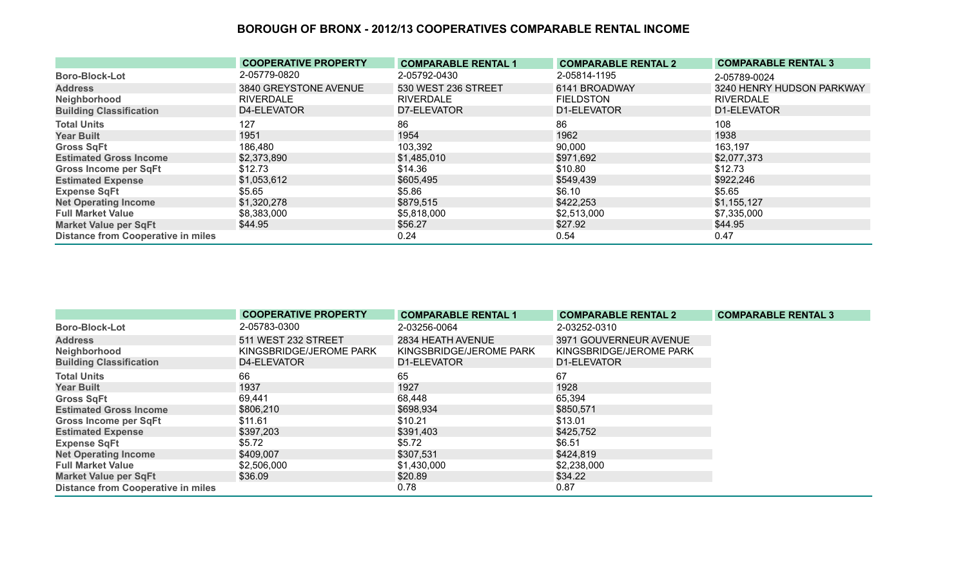|                                           | <b>COOPERATIVE PROPERTY</b> | <b>COMPARABLE RENTAL 1</b> | <b>COMPARABLE RENTAL 2</b> | <b>COMPARABLE RENTAL 3</b> |
|-------------------------------------------|-----------------------------|----------------------------|----------------------------|----------------------------|
| <b>Boro-Block-Lot</b>                     | 2-05779-0820                | 2-05792-0430               | 2-05814-1195               | 2-05789-0024               |
| <b>Address</b>                            | 3840 GREYSTONE AVENUE       | 530 WEST 236 STREET        | 6141 BROADWAY              | 3240 HENRY HUDSON PARKWAY  |
| Neighborhood                              | RIVERDALE                   | <b>RIVERDALE</b>           | <b>FIELDSTON</b>           | <b>RIVERDALE</b>           |
| <b>Building Classification</b>            | D4-ELEVATOR                 | D7-ELEVATOR                | D1-ELEVATOR                | D1-ELEVATOR                |
| <b>Total Units</b>                        | 127                         | 86                         | 86                         | 108                        |
| <b>Year Built</b>                         | 1951                        | 1954                       | 1962                       | 1938                       |
| <b>Gross SqFt</b>                         | 186,480                     | 103,392                    | 90,000                     | 163,197                    |
| <b>Estimated Gross Income</b>             | \$2,373,890                 | \$1,485,010                | \$971,692                  | \$2,077,373                |
| Gross Income per SqFt                     | \$12.73                     | \$14.36                    | \$10.80                    | \$12.73                    |
| <b>Estimated Expense</b>                  | \$1,053,612                 | \$605,495                  | \$549,439                  | \$922,246                  |
| <b>Expense SqFt</b>                       | \$5.65                      | \$5.86                     | \$6.10                     | \$5.65                     |
| <b>Net Operating Income</b>               | \$1,320,278                 | \$879,515                  | \$422,253                  | \$1,155,127                |
| <b>Full Market Value</b>                  | \$8,383,000                 | \$5,818,000                | \$2,513,000                | \$7,335,000                |
| <b>Market Value per SqFt</b>              | \$44.95                     | \$56.27                    | \$27.92                    | \$44.95                    |
| <b>Distance from Cooperative in miles</b> |                             | 0.24                       | 0.54                       | 0.47                       |

|                                           | <b>COOPERATIVE PROPERTY</b> | <b>COMPARABLE RENTAL 1</b> | <b>COMPARABLE RENTAL 2</b> | <b>COMPARABLE RENTAL 3</b> |
|-------------------------------------------|-----------------------------|----------------------------|----------------------------|----------------------------|
| <b>Boro-Block-Lot</b>                     | 2-05783-0300                | 2-03256-0064               | 2-03252-0310               |                            |
| <b>Address</b>                            | 511 WEST 232 STREET         | 2834 HEATH AVENUE          | 3971 GOUVERNEUR AVENUE     |                            |
| Neighborhood                              | KINGSBRIDGE/JEROME PARK     | KINGSBRIDGE/JEROME PARK    | KINGSBRIDGE/JEROME PARK    |                            |
| <b>Building Classification</b>            | D4-ELEVATOR                 | D1-ELEVATOR                | D1-ELEVATOR                |                            |
| <b>Total Units</b>                        | 66                          | 65                         | 67                         |                            |
| <b>Year Built</b>                         | 1937                        | 1927                       | 1928                       |                            |
| <b>Gross SqFt</b>                         | 69,441                      | 68,448                     | 65,394                     |                            |
| <b>Estimated Gross Income</b>             | \$806,210                   | \$698,934                  | \$850,571                  |                            |
| <b>Gross Income per SqFt</b>              | \$11.61                     | \$10.21                    | \$13.01                    |                            |
| <b>Estimated Expense</b>                  | \$397,203                   | \$391,403                  | \$425,752                  |                            |
| <b>Expense SqFt</b>                       | \$5.72                      | \$5.72                     | \$6.51                     |                            |
| <b>Net Operating Income</b>               | \$409,007                   | \$307,531                  | \$424,819                  |                            |
| <b>Full Market Value</b>                  | \$2,506,000                 | \$1,430,000                | \$2,238,000                |                            |
| <b>Market Value per SqFt</b>              | \$36.09                     | \$20.89                    | \$34.22                    |                            |
| <b>Distance from Cooperative in miles</b> |                             | 0.78                       | 0.87                       |                            |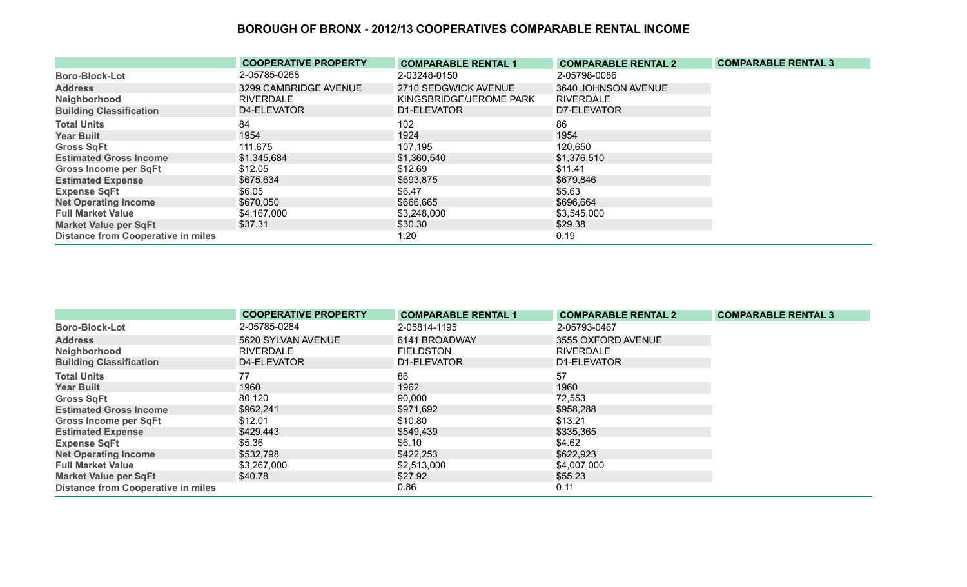|                                           | <b>COOPERATIVE PROPERTY</b> | <b>COMPARABLE RENTAL 1</b> | <b>COMPARABLE RENTAL 2</b> | <b>COMPARABLE RENTAL 3</b> |
|-------------------------------------------|-----------------------------|----------------------------|----------------------------|----------------------------|
| <b>Boro-Block-Lot</b>                     | 2-05785-0268                | 2-03248-0150               | 2-05798-0086               |                            |
| <b>Address</b>                            | 3299 CAMBRIDGE AVENUE       | 2710 SEDGWICK AVENUE       | 3640 JOHNSON AVENUE        |                            |
| Neighborhood                              | <b>RIVERDALE</b>            | KINGSBRIDGE/JEROME PARK    | <b>RIVERDALE</b>           |                            |
| <b>Building Classification</b>            | D4-ELEVATOR                 | D1-ELEVATOR                | D7-ELEVATOR                |                            |
| <b>Total Units</b>                        | 84                          | 102                        | 86                         |                            |
| <b>Year Built</b>                         | 1954                        | 1924                       | 1954                       |                            |
| <b>Gross SqFt</b>                         | 111,675                     | 107,195                    | 120,650                    |                            |
| <b>Estimated Gross Income</b>             | \$1,345,684                 | \$1,360,540                | \$1,376,510                |                            |
| <b>Gross Income per SqFt</b>              | \$12.05                     | \$12.69                    | \$11.41                    |                            |
| <b>Estimated Expense</b>                  | \$675,634                   | \$693,875                  | \$679,846                  |                            |
| <b>Expense SqFt</b>                       | \$6.05                      | \$6.47                     | \$5.63                     |                            |
| <b>Net Operating Income</b>               | \$670,050                   | \$666,665                  | \$696,664                  |                            |
| <b>Full Market Value</b>                  | \$4,167,000                 | \$3,248,000                | \$3,545,000                |                            |
| <b>Market Value per SqFt</b>              | \$37.31                     | \$30.30                    | \$29.38                    |                            |
| <b>Distance from Cooperative in miles</b> |                             | 1.20                       | 0.19                       |                            |

|                                           | <b>COOPERATIVE PROPERTY</b> | <b>COMPARABLE RENTAL 1</b> | <b>COMPARABLE RENTAL 2</b> | <b>COMPARABLE RENTAL 3</b> |
|-------------------------------------------|-----------------------------|----------------------------|----------------------------|----------------------------|
| <b>Boro-Block-Lot</b>                     | 2-05785-0284                | 2-05814-1195               | 2-05793-0467               |                            |
| <b>Address</b>                            | 5620 SYLVAN AVENUE          | 6141 BROADWAY              | 3555 OXFORD AVENUE         |                            |
| Neighborhood                              | <b>RIVERDALE</b>            | <b>FIELDSTON</b>           | <b>RIVERDALE</b>           |                            |
| <b>Building Classification</b>            | D4-ELEVATOR                 | D1-ELEVATOR                | D1-ELEVATOR                |                            |
| <b>Total Units</b>                        | 77                          | 86                         | 57                         |                            |
| <b>Year Built</b>                         | 1960                        | 1962                       | 1960                       |                            |
| <b>Gross SqFt</b>                         | 80,120                      | 90,000                     | 72,553                     |                            |
| <b>Estimated Gross Income</b>             | \$962,241                   | \$971,692                  | \$958,288                  |                            |
| <b>Gross Income per SqFt</b>              | \$12.01                     | \$10.80                    | \$13.21                    |                            |
| <b>Estimated Expense</b>                  | \$429,443                   | \$549,439                  | \$335,365                  |                            |
| <b>Expense SqFt</b>                       | \$5.36                      | \$6.10                     | \$4.62                     |                            |
| <b>Net Operating Income</b>               | \$532,798                   | \$422,253                  | \$622,923                  |                            |
| <b>Full Market Value</b>                  | \$3,267,000                 | \$2,513,000                | \$4,007,000                |                            |
| <b>Market Value per SqFt</b>              | \$40.78                     | \$27.92                    | \$55.23                    |                            |
| <b>Distance from Cooperative in miles</b> |                             | 0.86                       | 0.11                       |                            |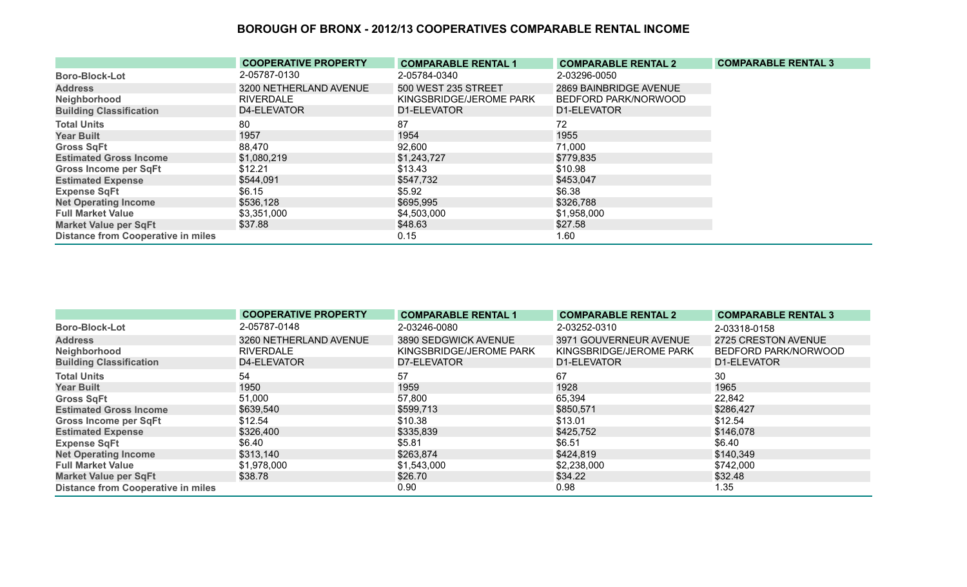|                                           | <b>COOPERATIVE PROPERTY</b> | <b>COMPARABLE RENTAL 1</b> | <b>COMPARABLE RENTAL 2</b> | <b>COMPARABLE RENTAL 3</b> |
|-------------------------------------------|-----------------------------|----------------------------|----------------------------|----------------------------|
| <b>Boro-Block-Lot</b>                     | 2-05787-0130                | 2-05784-0340               | 2-03296-0050               |                            |
| <b>Address</b>                            | 3200 NETHERLAND AVENUE      | 500 WEST 235 STREET        | 2869 BAINBRIDGE AVENUE     |                            |
| Neighborhood                              | <b>RIVERDALE</b>            | KINGSBRIDGE/JEROME PARK    | BEDFORD PARK/NORWOOD       |                            |
| <b>Building Classification</b>            | D4-ELEVATOR                 | D1-ELEVATOR                | D1-ELEVATOR                |                            |
| <b>Total Units</b>                        | 80                          | 87                         | 72                         |                            |
| <b>Year Built</b>                         | 1957                        | 1954                       | 1955                       |                            |
| <b>Gross SqFt</b>                         | 88,470                      | 92,600                     | 71,000                     |                            |
| <b>Estimated Gross Income</b>             | \$1,080,219                 | \$1,243,727                | \$779,835                  |                            |
| <b>Gross Income per SqFt</b>              | \$12.21                     | \$13.43                    | \$10.98                    |                            |
| <b>Estimated Expense</b>                  | \$544,091                   | \$547,732                  | \$453,047                  |                            |
| <b>Expense SqFt</b>                       | \$6.15                      | \$5.92                     | \$6.38                     |                            |
| <b>Net Operating Income</b>               | \$536,128                   | \$695,995                  | \$326,788                  |                            |
| <b>Full Market Value</b>                  | \$3,351,000                 | \$4,503,000                | \$1,958,000                |                            |
| <b>Market Value per SqFt</b>              | \$37.88                     | \$48.63                    | \$27.58                    |                            |
| <b>Distance from Cooperative in miles</b> |                             | 0.15                       | 1.60                       |                            |

|                                           | <b>COOPERATIVE PROPERTY</b> | <b>COMPARABLE RENTAL 1</b> | <b>COMPARABLE RENTAL 2</b> | <b>COMPARABLE RENTAL 3</b> |
|-------------------------------------------|-----------------------------|----------------------------|----------------------------|----------------------------|
| <b>Boro-Block-Lot</b>                     | 2-05787-0148                | 2-03246-0080               | 2-03252-0310               | 2-03318-0158               |
| <b>Address</b>                            | 3260 NETHERLAND AVENUE      | 3890 SEDGWICK AVENUE       | 3971 GOUVERNEUR AVENUE     | 2725 CRESTON AVENUE        |
| Neighborhood                              | <b>RIVERDALE</b>            | KINGSBRIDGE/JEROME PARK    | KINGSBRIDGE/JEROME PARK    | BEDFORD PARK/NORWOOD       |
| <b>Building Classification</b>            | D4-ELEVATOR                 | D7-ELEVATOR                | D1-ELEVATOR                | D1-ELEVATOR                |
| <b>Total Units</b>                        | 54                          | 57                         | 67                         | 30                         |
| <b>Year Built</b>                         | 1950                        | 1959                       | 1928                       | 1965                       |
| <b>Gross SqFt</b>                         | 51,000                      | 57,800                     | 65,394                     | 22,842                     |
| <b>Estimated Gross Income</b>             | \$639,540                   | \$599,713                  | \$850,571                  | \$286,427                  |
| Gross Income per SqFt                     | \$12.54                     | \$10.38                    | \$13.01                    | \$12.54                    |
| <b>Estimated Expense</b>                  | \$326,400                   | \$335,839                  | \$425,752                  | \$146,078                  |
| <b>Expense SqFt</b>                       | \$6.40                      | \$5.81                     | \$6.51                     | \$6.40                     |
| <b>Net Operating Income</b>               | \$313,140                   | \$263,874                  | \$424,819                  | \$140,349                  |
| <b>Full Market Value</b>                  | \$1,978,000                 | \$1,543,000                | \$2,238,000                | \$742,000                  |
| <b>Market Value per SqFt</b>              | \$38.78                     | \$26.70                    | \$34.22                    | \$32.48                    |
| <b>Distance from Cooperative in miles</b> |                             | 0.90                       | 0.98                       | 1.35                       |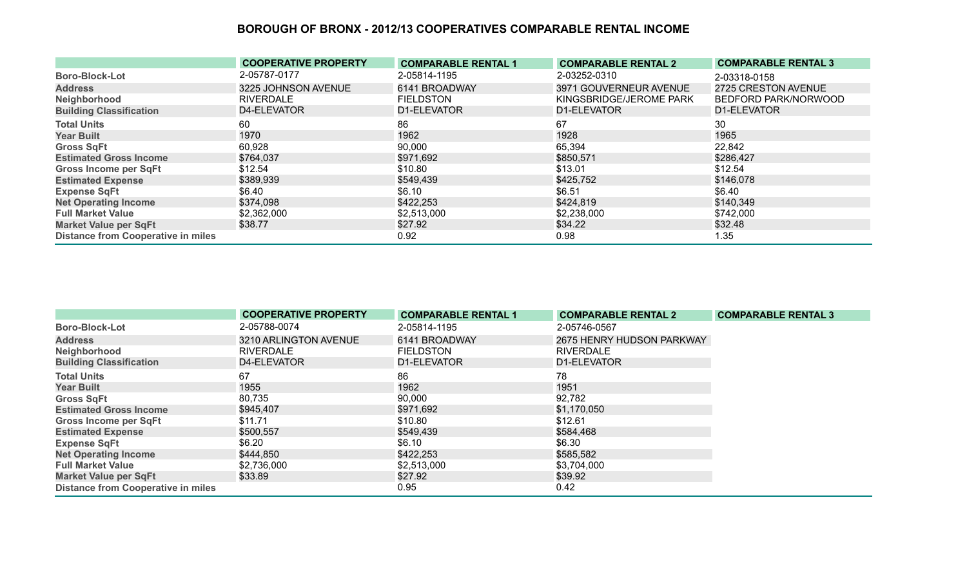|                                           | <b>COOPERATIVE PROPERTY</b> | <b>COMPARABLE RENTAL 1</b> | <b>COMPARABLE RENTAL 2</b> | <b>COMPARABLE RENTAL 3</b> |
|-------------------------------------------|-----------------------------|----------------------------|----------------------------|----------------------------|
| <b>Boro-Block-Lot</b>                     | 2-05787-0177                | 2-05814-1195               | 2-03252-0310               | 2-03318-0158               |
| <b>Address</b>                            | 3225 JOHNSON AVENUE         | 6141 BROADWAY              | 3971 GOUVERNEUR AVENUE     | 2725 CRESTON AVENUE        |
| Neighborhood                              | <b>RIVERDALE</b>            | <b>FIELDSTON</b>           | KINGSBRIDGE/JEROME PARK    | BEDFORD PARK/NORWOOD       |
| <b>Building Classification</b>            | D4-ELEVATOR                 | D1-ELEVATOR                | D1-ELEVATOR                | D1-ELEVATOR                |
| <b>Total Units</b>                        | 60                          | 86                         | 67                         | 30                         |
| <b>Year Built</b>                         | 1970                        | 1962                       | 1928                       | 1965                       |
| <b>Gross SqFt</b>                         | 60,928                      | 90,000                     | 65,394                     | 22,842                     |
| <b>Estimated Gross Income</b>             | \$764,037                   | \$971,692                  | \$850,571                  | \$286,427                  |
| Gross Income per SqFt                     | \$12.54                     | \$10.80                    | \$13.01                    | \$12.54                    |
| <b>Estimated Expense</b>                  | \$389,939                   | \$549,439                  | \$425,752                  | \$146,078                  |
| <b>Expense SqFt</b>                       | \$6.40                      | \$6.10                     | \$6.51                     | \$6.40                     |
| <b>Net Operating Income</b>               | \$374,098                   | \$422,253                  | \$424,819                  | \$140,349                  |
| <b>Full Market Value</b>                  | \$2,362,000                 | \$2,513,000                | \$2,238,000                | \$742,000                  |
| Market Value per SqFt                     | \$38.77                     | \$27.92                    | \$34.22                    | \$32.48                    |
| <b>Distance from Cooperative in miles</b> |                             | 0.92                       | 0.98                       | 1.35                       |

|                                           | <b>COOPERATIVE PROPERTY</b> | <b>COMPARABLE RENTAL 1</b> | <b>COMPARABLE RENTAL 2</b> | <b>COMPARABLE RENTAL 3</b> |
|-------------------------------------------|-----------------------------|----------------------------|----------------------------|----------------------------|
| <b>Boro-Block-Lot</b>                     | 2-05788-0074                | 2-05814-1195               | 2-05746-0567               |                            |
| <b>Address</b>                            | 3210 ARLINGTON AVENUE       | 6141 BROADWAY              | 2675 HENRY HUDSON PARKWAY  |                            |
| Neighborhood                              | RIVERDALE                   | <b>FIELDSTON</b>           | <b>RIVERDALE</b>           |                            |
| <b>Building Classification</b>            | D4-ELEVATOR                 | D1-ELEVATOR                | D1-ELEVATOR                |                            |
| <b>Total Units</b>                        | 67                          | 86                         | 78                         |                            |
| <b>Year Built</b>                         | 1955                        | 1962                       | 1951                       |                            |
| <b>Gross SqFt</b>                         | 80,735                      | 90,000                     | 92,782                     |                            |
| <b>Estimated Gross Income</b>             | \$945,407                   | \$971,692                  | \$1,170,050                |                            |
| <b>Gross Income per SqFt</b>              | \$11.71                     | \$10.80                    | \$12.61                    |                            |
| <b>Estimated Expense</b>                  | \$500,557                   | \$549,439                  | \$584,468                  |                            |
| <b>Expense SqFt</b>                       | \$6.20                      | \$6.10                     | \$6.30                     |                            |
| <b>Net Operating Income</b>               | \$444,850                   | \$422,253                  | \$585,582                  |                            |
| <b>Full Market Value</b>                  | \$2,736,000                 | \$2,513,000                | \$3,704,000                |                            |
| <b>Market Value per SqFt</b>              | \$33.89                     | \$27.92                    | \$39.92                    |                            |
| <b>Distance from Cooperative in miles</b> |                             | 0.95                       | 0.42                       |                            |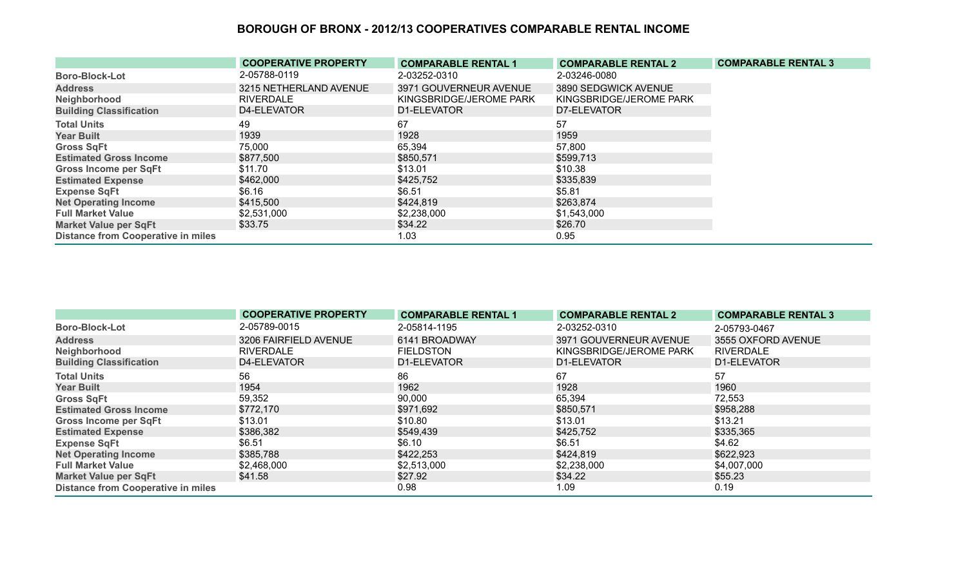|                                           | <b>COOPERATIVE PROPERTY</b> | <b>COMPARABLE RENTAL 1</b> | <b>COMPARABLE RENTAL 2</b> | <b>COMPARABLE RENTAL 3</b> |
|-------------------------------------------|-----------------------------|----------------------------|----------------------------|----------------------------|
| <b>Boro-Block-Lot</b>                     | 2-05788-0119                | 2-03252-0310               | 2-03246-0080               |                            |
| <b>Address</b>                            | 3215 NETHERLAND AVENUE      | 3971 GOUVERNEUR AVENUE     | 3890 SEDGWICK AVENUE       |                            |
| Neighborhood                              | <b>RIVERDALE</b>            | KINGSBRIDGE/JEROME PARK    | KINGSBRIDGE/JEROME PARK    |                            |
| <b>Building Classification</b>            | D4-ELEVATOR                 | D1-ELEVATOR                | D7-ELEVATOR                |                            |
| <b>Total Units</b>                        | 49                          | 67                         | 57                         |                            |
| <b>Year Built</b>                         | 1939                        | 1928                       | 1959                       |                            |
| <b>Gross SqFt</b>                         | 75,000                      | 65,394                     | 57,800                     |                            |
| <b>Estimated Gross Income</b>             | \$877,500                   | \$850,571                  | \$599,713                  |                            |
| <b>Gross Income per SqFt</b>              | \$11.70                     | \$13.01                    | \$10.38                    |                            |
| <b>Estimated Expense</b>                  | \$462,000                   | \$425,752                  | \$335,839                  |                            |
| <b>Expense SqFt</b>                       | \$6.16                      | \$6.51                     | \$5.81                     |                            |
| <b>Net Operating Income</b>               | \$415,500                   | \$424,819                  | \$263,874                  |                            |
| <b>Full Market Value</b>                  | \$2,531,000                 | \$2,238,000                | \$1,543,000                |                            |
| <b>Market Value per SqFt</b>              | \$33.75                     | \$34.22                    | \$26.70                    |                            |
| <b>Distance from Cooperative in miles</b> |                             | 1.03                       | 0.95                       |                            |

|                                           | <b>COOPERATIVE PROPERTY</b> | <b>COMPARABLE RENTAL 1</b> | <b>COMPARABLE RENTAL 2</b> | <b>COMPARABLE RENTAL 3</b> |
|-------------------------------------------|-----------------------------|----------------------------|----------------------------|----------------------------|
| <b>Boro-Block-Lot</b>                     | 2-05789-0015                | 2-05814-1195               | 2-03252-0310               | 2-05793-0467               |
| <b>Address</b>                            | 3206 FAIRFIELD AVENUE       | 6141 BROADWAY              | 3971 GOUVERNEUR AVENUE     | 3555 OXFORD AVENUE         |
| Neighborhood                              | <b>RIVERDALE</b>            | <b>FIELDSTON</b>           | KINGSBRIDGE/JEROME PARK    | <b>RIVERDALE</b>           |
| <b>Building Classification</b>            | D4-ELEVATOR                 | D1-ELEVATOR                | D1-ELEVATOR                | D1-ELEVATOR                |
| <b>Total Units</b>                        | 56                          | 86                         | 67                         | 57                         |
| <b>Year Built</b>                         | 1954                        | 1962                       | 1928                       | 1960                       |
| <b>Gross SqFt</b>                         | 59,352                      | 90,000                     | 65,394                     | 72,553                     |
| <b>Estimated Gross Income</b>             | \$772,170                   | \$971,692                  | \$850,571                  | \$958,288                  |
| <b>Gross Income per SqFt</b>              | \$13.01                     | \$10.80                    | \$13.01                    | \$13.21                    |
| <b>Estimated Expense</b>                  | \$386,382                   | \$549,439                  | \$425,752                  | \$335,365                  |
| <b>Expense SqFt</b>                       | \$6.51                      | \$6.10                     | \$6.51                     | \$4.62                     |
| <b>Net Operating Income</b>               | \$385,788                   | \$422,253                  | \$424,819                  | \$622,923                  |
| <b>Full Market Value</b>                  | \$2,468,000                 | \$2,513,000                | \$2,238,000                | \$4,007,000                |
| <b>Market Value per SqFt</b>              | \$41.58                     | \$27.92                    | \$34.22                    | \$55.23                    |
| <b>Distance from Cooperative in miles</b> |                             | 0.98                       | 1.09                       | 0.19                       |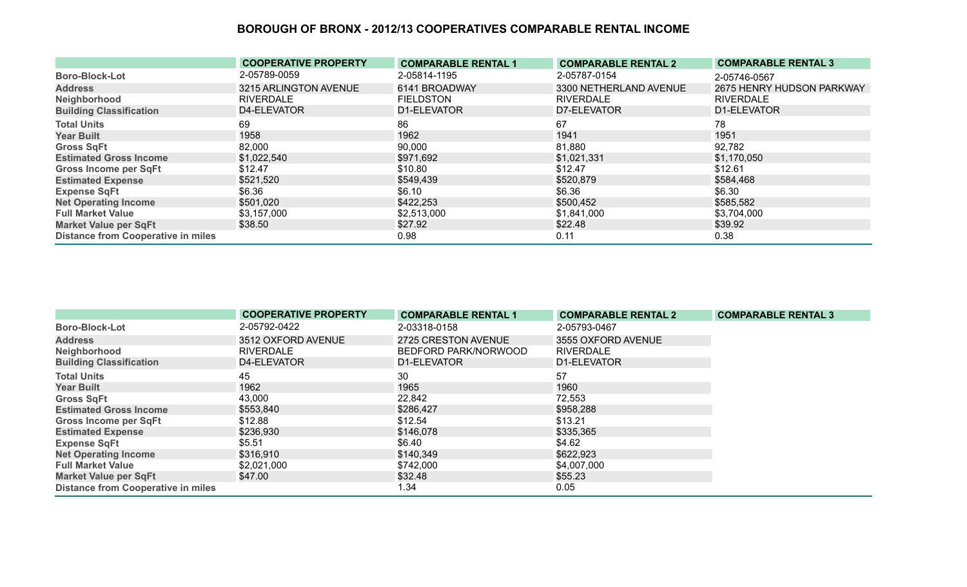|                                           | <b>COOPERATIVE PROPERTY</b> | <b>COMPARABLE RENTAL 1</b> | <b>COMPARABLE RENTAL 2</b> | <b>COMPARABLE RENTAL 3</b> |
|-------------------------------------------|-----------------------------|----------------------------|----------------------------|----------------------------|
| <b>Boro-Block-Lot</b>                     | 2-05789-0059                | 2-05814-1195               | 2-05787-0154               | 2-05746-0567               |
| <b>Address</b>                            | 3215 ARLINGTON AVENUE       | 6141 BROADWAY              | 3300 NETHERLAND AVENUE     | 2675 HENRY HUDSON PARKWAY  |
| Neighborhood                              | RIVERDALE                   | <b>FIELDSTON</b>           | <b>RIVERDALE</b>           | <b>RIVERDALE</b>           |
| <b>Building Classification</b>            | D4-ELEVATOR                 | D1-ELEVATOR                | D7-ELEVATOR                | D1-ELEVATOR                |
| <b>Total Units</b>                        | 69                          | 86                         | 67                         | 78                         |
| <b>Year Built</b>                         | 1958                        | 1962                       | 1941                       | 1951                       |
| <b>Gross SqFt</b>                         | 82,000                      | 90,000                     | 81,880                     | 92,782                     |
| <b>Estimated Gross Income</b>             | \$1,022,540                 | \$971,692                  | \$1,021,331                | \$1,170,050                |
| Gross Income per SqFt                     | \$12.47                     | \$10.80                    | \$12.47                    | \$12.61                    |
| <b>Estimated Expense</b>                  | \$521,520                   | \$549,439                  | \$520,879                  | \$584,468                  |
| <b>Expense SqFt</b>                       | \$6.36                      | \$6.10                     | \$6.36                     | \$6.30                     |
| <b>Net Operating Income</b>               | \$501,020                   | \$422,253                  | \$500,452                  | \$585,582                  |
| <b>Full Market Value</b>                  | \$3,157,000                 | \$2,513,000                | \$1,841,000                | \$3,704,000                |
| <b>Market Value per SqFt</b>              | \$38.50                     | \$27.92                    | \$22.48                    | \$39.92                    |
| <b>Distance from Cooperative in miles</b> |                             | 0.98                       | 0.11                       | 0.38                       |

|                                           | <b>COOPERATIVE PROPERTY</b> | <b>COMPARABLE RENTAL 1</b> | <b>COMPARABLE RENTAL 2</b> | <b>COMPARABLE RENTAL 3</b> |
|-------------------------------------------|-----------------------------|----------------------------|----------------------------|----------------------------|
| <b>Boro-Block-Lot</b>                     | 2-05792-0422                | 2-03318-0158               | 2-05793-0467               |                            |
| <b>Address</b>                            | 3512 OXFORD AVENUE          | 2725 CRESTON AVENUE        | 3555 OXFORD AVENUE         |                            |
| Neighborhood                              | <b>RIVERDALE</b>            | BEDFORD PARK/NORWOOD       | <b>RIVERDALE</b>           |                            |
| <b>Building Classification</b>            | D4-ELEVATOR                 | D1-ELEVATOR                | D1-ELEVATOR                |                            |
| <b>Total Units</b>                        | 45                          | 30                         | 57                         |                            |
| <b>Year Built</b>                         | 1962                        | 1965                       | 1960                       |                            |
| <b>Gross SqFt</b>                         | 43,000                      | 22,842                     | 72,553                     |                            |
| <b>Estimated Gross Income</b>             | \$553,840                   | \$286,427                  | \$958,288                  |                            |
| <b>Gross Income per SqFt</b>              | \$12.88                     | \$12.54                    | \$13.21                    |                            |
| <b>Estimated Expense</b>                  | \$236,930                   | \$146,078                  | \$335,365                  |                            |
| <b>Expense SqFt</b>                       | \$5.51                      | \$6.40                     | \$4.62                     |                            |
| <b>Net Operating Income</b>               | \$316,910                   | \$140,349                  | \$622,923                  |                            |
| <b>Full Market Value</b>                  | \$2,021,000                 | \$742,000                  | \$4,007,000                |                            |
| <b>Market Value per SqFt</b>              | \$47.00                     | \$32.48                    | \$55.23                    |                            |
| <b>Distance from Cooperative in miles</b> |                             | 1.34                       | 0.05                       |                            |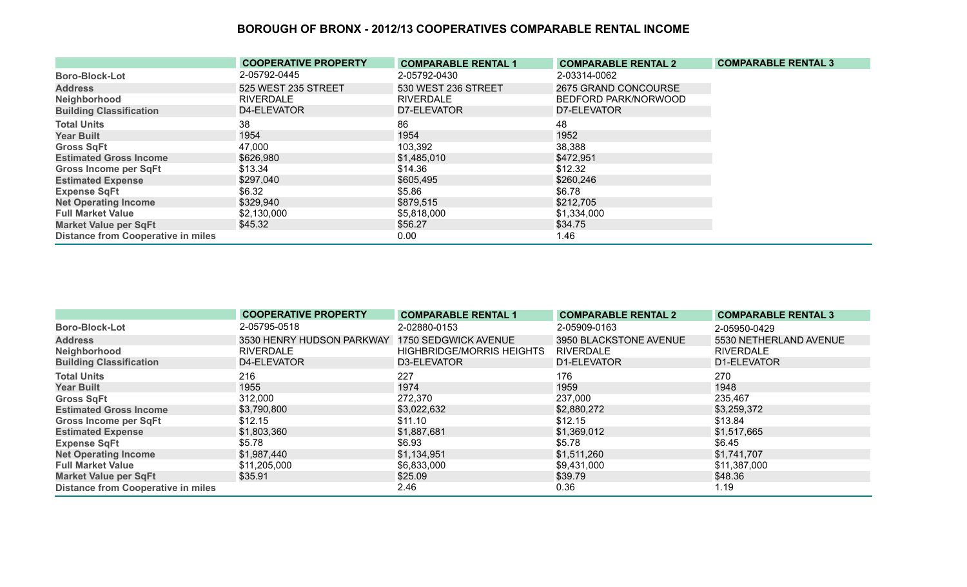|                                           | <b>COOPERATIVE PROPERTY</b> | <b>COMPARABLE RENTAL 1</b> | <b>COMPARABLE RENTAL 2</b> | <b>COMPARABLE RENTAL 3</b> |
|-------------------------------------------|-----------------------------|----------------------------|----------------------------|----------------------------|
| <b>Boro-Block-Lot</b>                     | 2-05792-0445                | 2-05792-0430               | 2-03314-0062               |                            |
| <b>Address</b>                            | 525 WEST 235 STREET         | 530 WEST 236 STREET        | 2675 GRAND CONCOURSE       |                            |
| Neighborhood                              | <b>RIVERDALE</b>            | <b>RIVERDALE</b>           | BEDFORD PARK/NORWOOD       |                            |
| <b>Building Classification</b>            | D4-ELEVATOR                 | D7-ELEVATOR                | D7-ELEVATOR                |                            |
| <b>Total Units</b>                        | 38                          | 86                         | 48                         |                            |
| <b>Year Built</b>                         | 1954                        | 1954                       | 1952                       |                            |
| <b>Gross SqFt</b>                         | 47,000                      | 103,392                    | 38,388                     |                            |
| <b>Estimated Gross Income</b>             | \$626,980                   | \$1,485,010                | \$472,951                  |                            |
| <b>Gross Income per SqFt</b>              | \$13.34                     | \$14.36                    | \$12.32                    |                            |
| <b>Estimated Expense</b>                  | \$297,040                   | \$605,495                  | \$260,246                  |                            |
| <b>Expense SqFt</b>                       | \$6.32                      | \$5.86                     | \$6.78                     |                            |
| <b>Net Operating Income</b>               | \$329,940                   | \$879,515                  | \$212,705                  |                            |
| <b>Full Market Value</b>                  | \$2,130,000                 | \$5,818,000                | \$1,334,000                |                            |
| <b>Market Value per SqFt</b>              | \$45.32                     | \$56.27                    | \$34.75                    |                            |
| <b>Distance from Cooperative in miles</b> |                             | 0.00                       | 1.46                       |                            |

|                                           | <b>COOPERATIVE PROPERTY</b>                    | <b>COMPARABLE RENTAL 1</b>       | <b>COMPARABLE RENTAL 2</b> | <b>COMPARABLE RENTAL 3</b> |
|-------------------------------------------|------------------------------------------------|----------------------------------|----------------------------|----------------------------|
| <b>Boro-Block-Lot</b>                     | 2-05795-0518                                   | 2-02880-0153                     | 2-05909-0163               | 2-05950-0429               |
| <b>Address</b>                            | 3530 HENRY HUDSON PARKWAY 1750 SEDGWICK AVENUE |                                  | 3950 BLACKSTONE AVENUE     | 5530 NETHERLAND AVENUE     |
| Neighborhood                              | <b>RIVERDALE</b>                               | <b>HIGHBRIDGE/MORRIS HEIGHTS</b> | <b>RIVERDALE</b>           | <b>RIVERDALE</b>           |
| <b>Building Classification</b>            | D4-ELEVATOR                                    | D3-ELEVATOR                      | D1-ELEVATOR                | D1-ELEVATOR                |
| <b>Total Units</b>                        | 216                                            | 227                              | 176                        | 270                        |
| <b>Year Built</b>                         | 1955                                           | 1974                             | 1959                       | 1948                       |
| <b>Gross SqFt</b>                         | 312,000                                        | 272,370                          | 237,000                    | 235,467                    |
| <b>Estimated Gross Income</b>             | \$3,790,800                                    | \$3,022,632                      | \$2,880,272                | \$3,259,372                |
| <b>Gross Income per SqFt</b>              | \$12.15                                        | \$11.10                          | \$12.15                    | \$13.84                    |
| <b>Estimated Expense</b>                  | \$1,803,360                                    | \$1,887,681                      | \$1,369,012                | \$1,517,665                |
| <b>Expense SqFt</b>                       | \$5.78                                         | \$6.93                           | \$5.78                     | \$6.45                     |
| <b>Net Operating Income</b>               | \$1,987,440                                    | \$1,134,951                      | \$1,511,260                | \$1,741,707                |
| <b>Full Market Value</b>                  | \$11,205,000                                   | \$6,833,000                      | \$9,431,000                | \$11,387,000               |
| <b>Market Value per SqFt</b>              | \$35.91                                        | \$25.09                          | \$39.79                    | \$48.36                    |
| <b>Distance from Cooperative in miles</b> |                                                | 2.46                             | 0.36                       | 1.19                       |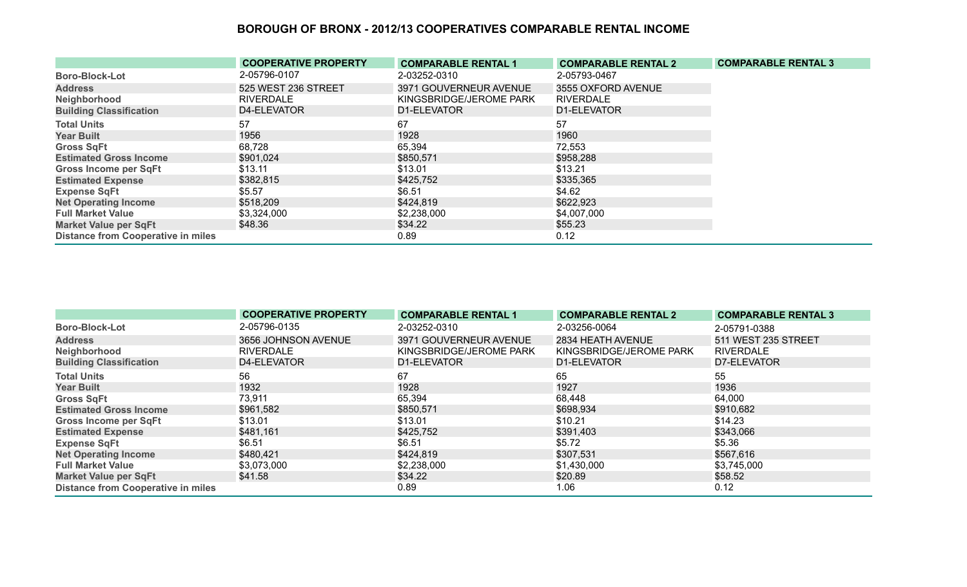|                                           | <b>COOPERATIVE PROPERTY</b> | <b>COMPARABLE RENTAL 1</b> | <b>COMPARABLE RENTAL 2</b> | <b>COMPARABLE RENTAL 3</b> |
|-------------------------------------------|-----------------------------|----------------------------|----------------------------|----------------------------|
| <b>Boro-Block-Lot</b>                     | 2-05796-0107                | 2-03252-0310               | 2-05793-0467               |                            |
| <b>Address</b>                            | 525 WEST 236 STREET         | 3971 GOUVERNEUR AVENUE     | 3555 OXFORD AVENUE         |                            |
| Neighborhood                              | <b>RIVERDALE</b>            | KINGSBRIDGE/JEROME PARK    | <b>RIVERDALE</b>           |                            |
| <b>Building Classification</b>            | D4-ELEVATOR                 | D1-ELEVATOR                | D1-ELEVATOR                |                            |
| <b>Total Units</b>                        | 57                          | 67                         | 57                         |                            |
| <b>Year Built</b>                         | 1956                        | 1928                       | 1960                       |                            |
| <b>Gross SqFt</b>                         | 68,728                      | 65,394                     | 72,553                     |                            |
| <b>Estimated Gross Income</b>             | \$901,024                   | \$850,571                  | \$958,288                  |                            |
| <b>Gross Income per SqFt</b>              | \$13.11                     | \$13.01                    | \$13.21                    |                            |
| <b>Estimated Expense</b>                  | \$382,815                   | \$425,752                  | \$335,365                  |                            |
| <b>Expense SqFt</b>                       | \$5.57                      | \$6.51                     | \$4.62                     |                            |
| <b>Net Operating Income</b>               | \$518,209                   | \$424,819                  | \$622,923                  |                            |
| <b>Full Market Value</b>                  | \$3,324,000                 | \$2,238,000                | \$4,007,000                |                            |
| <b>Market Value per SqFt</b>              | \$48.36                     | \$34.22                    | \$55.23                    |                            |
| <b>Distance from Cooperative in miles</b> |                             | 0.89                       | 0.12                       |                            |

|                                           | <b>COOPERATIVE PROPERTY</b> | <b>COMPARABLE RENTAL 1</b> | <b>COMPARABLE RENTAL 2</b> | <b>COMPARABLE RENTAL 3</b> |
|-------------------------------------------|-----------------------------|----------------------------|----------------------------|----------------------------|
| <b>Boro-Block-Lot</b>                     | 2-05796-0135                | 2-03252-0310               | 2-03256-0064               | 2-05791-0388               |
| <b>Address</b>                            | 3656 JOHNSON AVENUE         | 3971 GOUVERNEUR AVENUE     | 2834 HEATH AVENUE          | 511 WEST 235 STREET        |
| Neighborhood                              | <b>RIVERDALE</b>            | KINGSBRIDGE/JEROME PARK    | KINGSBRIDGE/JEROME PARK    | <b>RIVERDALE</b>           |
| <b>Building Classification</b>            | D4-ELEVATOR                 | D1-ELEVATOR                | D1-ELEVATOR                | D7-ELEVATOR                |
| <b>Total Units</b>                        | 56                          | 67                         | 65                         | 55                         |
| <b>Year Built</b>                         | 1932                        | 1928                       | 1927                       | 1936                       |
| <b>Gross SqFt</b>                         | 73,911                      | 65,394                     | 68,448                     | 64,000                     |
| <b>Estimated Gross Income</b>             | \$961,582                   | \$850,571                  | \$698,934                  | \$910,682                  |
| <b>Gross Income per SqFt</b>              | \$13.01                     | \$13.01                    | \$10.21                    | \$14.23                    |
| <b>Estimated Expense</b>                  | \$481,161                   | \$425,752                  | \$391,403                  | \$343,066                  |
| <b>Expense SqFt</b>                       | \$6.51                      | \$6.51                     | \$5.72                     | \$5.36                     |
| <b>Net Operating Income</b>               | \$480,421                   | \$424,819                  | \$307,531                  | \$567,616                  |
| <b>Full Market Value</b>                  | \$3,073,000                 | \$2,238,000                | \$1,430,000                | \$3,745,000                |
| <b>Market Value per SqFt</b>              | \$41.58                     | \$34.22                    | \$20.89                    | \$58.52                    |
| <b>Distance from Cooperative in miles</b> |                             | 0.89                       | 1.06                       | 0.12                       |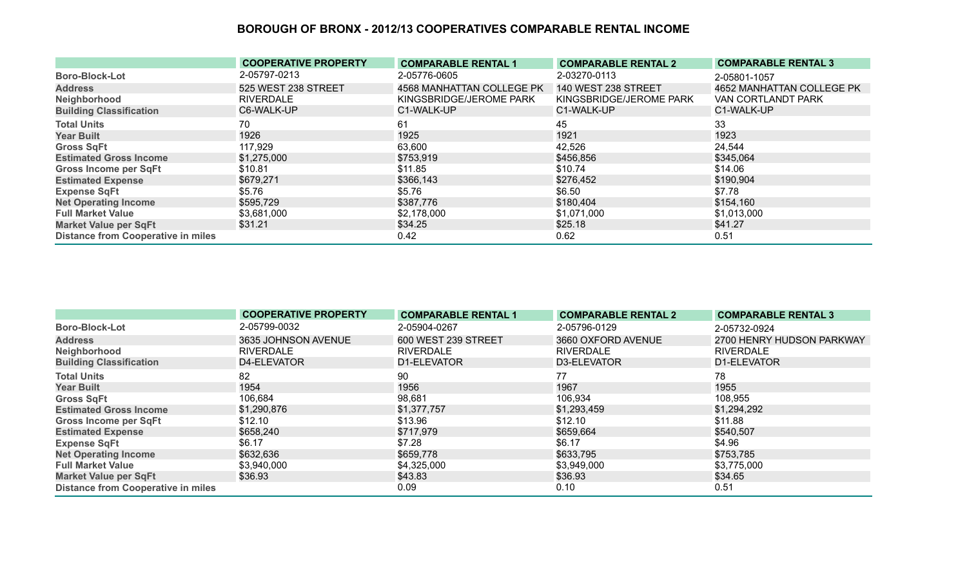|                                           | <b>COOPERATIVE PROPERTY</b> | <b>COMPARABLE RENTAL 1</b> | <b>COMPARABLE RENTAL 2</b> | <b>COMPARABLE RENTAL 3</b> |
|-------------------------------------------|-----------------------------|----------------------------|----------------------------|----------------------------|
| <b>Boro-Block-Lot</b>                     | 2-05797-0213                | 2-05776-0605               | 2-03270-0113               | 2-05801-1057               |
| <b>Address</b>                            | 525 WEST 238 STREET         | 4568 MANHATTAN COLLEGE PK  | <b>140 WEST 238 STREET</b> | 4652 MANHATTAN COLLEGE PK  |
| Neighborhood                              | <b>RIVERDALE</b>            | KINGSBRIDGE/JEROME PARK    | KINGSBRIDGE/JEROME PARK    | VAN CORTLANDT PARK         |
| <b>Building Classification</b>            | C6-WALK-UP                  | C1-WALK-UP                 | C1-WALK-UP                 | C1-WALK-UP                 |
| <b>Total Units</b>                        | 70                          | 61                         | 45                         | 33                         |
| <b>Year Built</b>                         | 1926                        | 1925                       | 1921                       | 1923                       |
| <b>Gross SqFt</b>                         | 117,929                     | 63,600                     | 42,526                     | 24,544                     |
| <b>Estimated Gross Income</b>             | \$1,275,000                 | \$753,919                  | \$456,856                  | \$345,064                  |
| <b>Gross Income per SqFt</b>              | \$10.81                     | \$11.85                    | \$10.74                    | \$14.06                    |
| <b>Estimated Expense</b>                  | \$679,271                   | \$366,143                  | \$276,452                  | \$190,904                  |
| <b>Expense SqFt</b>                       | \$5.76                      | \$5.76                     | \$6.50                     | \$7.78                     |
| <b>Net Operating Income</b>               | \$595,729                   | \$387,776                  | \$180,404                  | \$154,160                  |
| <b>Full Market Value</b>                  | \$3,681,000                 | \$2,178,000                | \$1,071,000                | \$1,013,000                |
| <b>Market Value per SqFt</b>              | \$31.21                     | \$34.25                    | \$25.18                    | \$41.27                    |
| <b>Distance from Cooperative in miles</b> |                             | 0.42                       | 0.62                       | 0.51                       |

|                                           | <b>COOPERATIVE PROPERTY</b> | <b>COMPARABLE RENTAL 1</b> | <b>COMPARABLE RENTAL 2</b> | <b>COMPARABLE RENTAL 3</b> |
|-------------------------------------------|-----------------------------|----------------------------|----------------------------|----------------------------|
| <b>Boro-Block-Lot</b>                     | 2-05799-0032                | 2-05904-0267               | 2-05796-0129               | 2-05732-0924               |
| <b>Address</b>                            | 3635 JOHNSON AVENUE         | 600 WEST 239 STREET        | 3660 OXFORD AVENUE         | 2700 HENRY HUDSON PARKWAY  |
| Neighborhood                              | <b>RIVERDALE</b>            | <b>RIVERDALE</b>           | <b>RIVERDALE</b>           | <b>RIVERDALE</b>           |
| <b>Building Classification</b>            | D4-ELEVATOR                 | D1-ELEVATOR                | D3-ELEVATOR                | D1-ELEVATOR                |
| <b>Total Units</b>                        | 82                          | 90                         | 77                         | 78                         |
| <b>Year Built</b>                         | 1954                        | 1956                       | 1967                       | 1955                       |
| <b>Gross SqFt</b>                         | 106,684                     | 98,681                     | 106,934                    | 108,955                    |
| <b>Estimated Gross Income</b>             | \$1,290,876                 | \$1,377,757                | \$1,293,459                | \$1,294,292                |
| <b>Gross Income per SqFt</b>              | \$12.10                     | \$13.96                    | \$12.10                    | \$11.88                    |
| <b>Estimated Expense</b>                  | \$658,240                   | \$717,979                  | \$659,664                  | \$540,507                  |
| <b>Expense SqFt</b>                       | \$6.17                      | \$7.28                     | \$6.17                     | \$4.96                     |
| <b>Net Operating Income</b>               | \$632,636                   | \$659,778                  | \$633,795                  | \$753,785                  |
| <b>Full Market Value</b>                  | \$3,940,000                 | \$4,325,000                | \$3,949,000                | \$3,775,000                |
| <b>Market Value per SqFt</b>              | \$36.93                     | \$43.83                    | \$36.93                    | \$34.65                    |
| <b>Distance from Cooperative in miles</b> |                             | 0.09                       | 0.10                       | 0.51                       |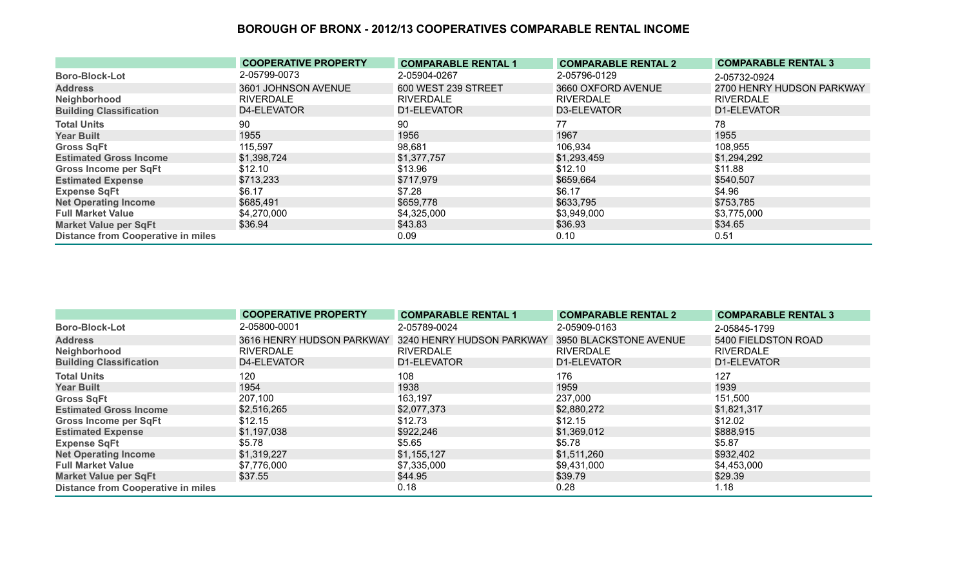|                                           | <b>COOPERATIVE PROPERTY</b> | <b>COMPARABLE RENTAL 1</b> | <b>COMPARABLE RENTAL 2</b> | <b>COMPARABLE RENTAL 3</b> |
|-------------------------------------------|-----------------------------|----------------------------|----------------------------|----------------------------|
| <b>Boro-Block-Lot</b>                     | 2-05799-0073                | 2-05904-0267               | 2-05796-0129               | 2-05732-0924               |
| <b>Address</b>                            | 3601 JOHNSON AVENUE         | 600 WEST 239 STREET        | 3660 OXFORD AVENUE         | 2700 HENRY HUDSON PARKWAY  |
| Neighborhood                              | RIVERDALE                   | <b>RIVERDALE</b>           | <b>RIVERDALE</b>           | <b>RIVERDALE</b>           |
| <b>Building Classification</b>            | D4-ELEVATOR                 | D1-ELEVATOR                | D3-ELEVATOR                | D1-ELEVATOR                |
| <b>Total Units</b>                        | 90                          | 90                         | 77                         | 78                         |
| <b>Year Built</b>                         | 1955                        | 1956                       | 1967                       | 1955                       |
| <b>Gross SqFt</b>                         | 115,597                     | 98,681                     | 106,934                    | 108,955                    |
| <b>Estimated Gross Income</b>             | \$1,398,724                 | \$1,377,757                | \$1,293,459                | \$1,294,292                |
| <b>Gross Income per SqFt</b>              | \$12.10                     | \$13.96                    | \$12.10                    | \$11.88                    |
| <b>Estimated Expense</b>                  | \$713,233                   | \$717,979                  | \$659,664                  | \$540,507                  |
| <b>Expense SqFt</b>                       | \$6.17                      | \$7.28                     | \$6.17                     | \$4.96                     |
| <b>Net Operating Income</b>               | \$685,491                   | \$659,778                  | \$633,795                  | \$753,785                  |
| <b>Full Market Value</b>                  | \$4,270,000                 | \$4,325,000                | \$3,949,000                | \$3,775,000                |
| <b>Market Value per SqFt</b>              | \$36.94                     | \$43.83                    | \$36.93                    | \$34.65                    |
| <b>Distance from Cooperative in miles</b> |                             | 0.09                       | 0.10                       | 0.51                       |

|                                           | <b>COOPERATIVE PROPERTY</b> | <b>COMPARABLE RENTAL 1</b> | <b>COMPARABLE RENTAL 2</b> | <b>COMPARABLE RENTAL 3</b> |
|-------------------------------------------|-----------------------------|----------------------------|----------------------------|----------------------------|
| <b>Boro-Block-Lot</b>                     | 2-05800-0001                | 2-05789-0024               | 2-05909-0163               | 2-05845-1799               |
| <b>Address</b>                            | 3616 HENRY HUDSON PARKWAY   | 3240 HENRY HUDSON PARKWAY  | 3950 BLACKSTONE AVENUE     | 5400 FIELDSTON ROAD        |
| Neighborhood                              | <b>RIVERDALE</b>            | <b>RIVERDALE</b>           | <b>RIVERDALE</b>           | <b>RIVERDALE</b>           |
| <b>Building Classification</b>            | D4-ELEVATOR                 | D1-ELEVATOR                | D1-ELEVATOR                | D1-ELEVATOR                |
| <b>Total Units</b>                        | 120                         | 108                        | 176                        | 127                        |
| <b>Year Built</b>                         | 1954                        | 1938                       | 1959                       | 1939                       |
| <b>Gross SqFt</b>                         | 207,100                     | 163,197                    | 237,000                    | 151,500                    |
| <b>Estimated Gross Income</b>             | \$2,516,265                 | \$2,077,373                | \$2,880,272                | \$1,821,317                |
| <b>Gross Income per SqFt</b>              | \$12.15                     | \$12.73                    | \$12.15                    | \$12.02                    |
| <b>Estimated Expense</b>                  | \$1,197,038                 | \$922,246                  | \$1,369,012                | \$888,915                  |
| <b>Expense SqFt</b>                       | \$5.78                      | \$5.65                     | \$5.78                     | \$5.87                     |
| <b>Net Operating Income</b>               | \$1,319,227                 | \$1,155,127                | \$1,511,260                | \$932,402                  |
| <b>Full Market Value</b>                  | \$7,776,000                 | \$7,335,000                | \$9,431,000                | \$4,453,000                |
| <b>Market Value per SqFt</b>              | \$37.55                     | \$44.95                    | \$39.79                    | \$29.39                    |
| <b>Distance from Cooperative in miles</b> |                             | 0.18                       | 0.28                       | 1.18                       |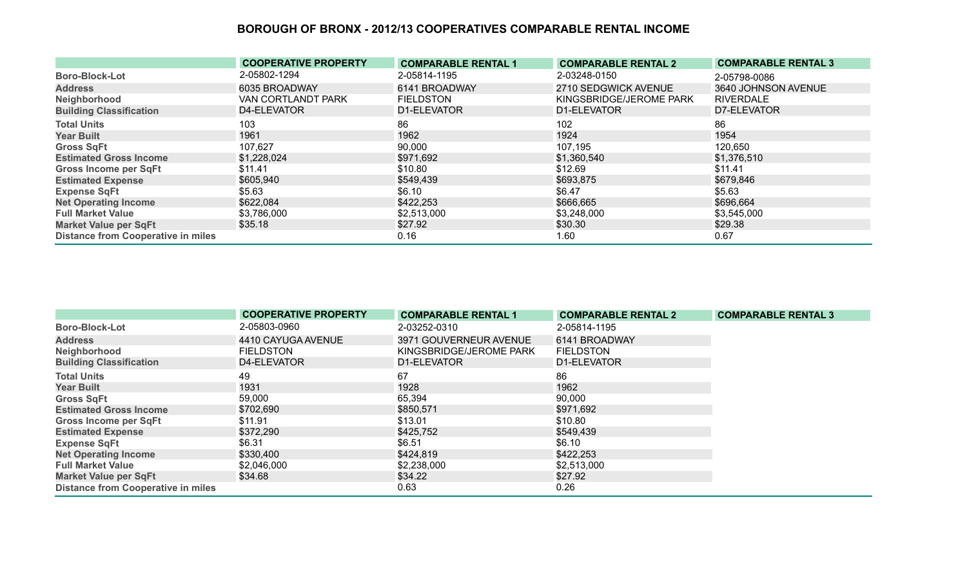|                                           | <b>COOPERATIVE PROPERTY</b> | <b>COMPARABLE RENTAL 1</b> | <b>COMPARABLE RENTAL 2</b> | <b>COMPARABLE RENTAL 3</b> |
|-------------------------------------------|-----------------------------|----------------------------|----------------------------|----------------------------|
| <b>Boro-Block-Lot</b>                     | 2-05802-1294                | 2-05814-1195               | 2-03248-0150               | 2-05798-0086               |
| <b>Address</b>                            | 6035 BROADWAY               | 6141 BROADWAY              | 2710 SEDGWICK AVENUE       | 3640 JOHNSON AVENUE        |
| Neighborhood                              | VAN CORTLANDT PARK          | <b>FIELDSTON</b>           | KINGSBRIDGE/JEROME PARK    | <b>RIVERDALE</b>           |
| <b>Building Classification</b>            | D4-ELEVATOR                 | D1-ELEVATOR                | D1-ELEVATOR                | D7-ELEVATOR                |
| <b>Total Units</b>                        | 103                         | 86                         | 102                        | 86                         |
| <b>Year Built</b>                         | 1961                        | 1962                       | 1924                       | 1954                       |
| <b>Gross SqFt</b>                         | 107,627                     | 90,000                     | 107,195                    | 120,650                    |
| <b>Estimated Gross Income</b>             | \$1,228,024                 | \$971,692                  | \$1,360,540                | \$1,376,510                |
| <b>Gross Income per SqFt</b>              | \$11.41                     | \$10.80                    | \$12.69                    | \$11.41                    |
| <b>Estimated Expense</b>                  | \$605,940                   | \$549,439                  | \$693,875                  | \$679,846                  |
| <b>Expense SqFt</b>                       | \$5.63                      | \$6.10                     | \$6.47                     | \$5.63                     |
| <b>Net Operating Income</b>               | \$622,084                   | \$422,253                  | \$666,665                  | \$696,664                  |
| <b>Full Market Value</b>                  | \$3,786,000                 | \$2,513,000                | \$3,248,000                | \$3,545,000                |
| <b>Market Value per SqFt</b>              | \$35.18                     | \$27.92                    | \$30.30                    | \$29.38                    |
| <b>Distance from Cooperative in miles</b> |                             | 0.16                       | 1.60                       | 0.67                       |

|                                           | <b>COOPERATIVE PROPERTY</b> | <b>COMPARABLE RENTAL 1</b> | <b>COMPARABLE RENTAL 2</b> | <b>COMPARABLE RENTAL 3</b> |
|-------------------------------------------|-----------------------------|----------------------------|----------------------------|----------------------------|
| <b>Boro-Block-Lot</b>                     | 2-05803-0960                | 2-03252-0310               | 2-05814-1195               |                            |
| <b>Address</b>                            | 4410 CAYUGA AVENUE          | 3971 GOUVERNEUR AVENUE     | 6141 BROADWAY              |                            |
| Neighborhood                              | <b>FIELDSTON</b>            | KINGSBRIDGE/JEROME PARK    | <b>FIELDSTON</b>           |                            |
| <b>Building Classification</b>            | D4-ELEVATOR                 | D1-ELEVATOR                | D1-ELEVATOR                |                            |
| <b>Total Units</b>                        | 49                          | 67                         | 86                         |                            |
| <b>Year Built</b>                         | 1931                        | 1928                       | 1962                       |                            |
| <b>Gross SqFt</b>                         | 59,000                      | 65,394                     | 90,000                     |                            |
| <b>Estimated Gross Income</b>             | \$702,690                   | \$850,571                  | \$971,692                  |                            |
| <b>Gross Income per SqFt</b>              | \$11.91                     | \$13.01                    | \$10.80                    |                            |
| <b>Estimated Expense</b>                  | \$372,290                   | \$425,752                  | \$549,439                  |                            |
| <b>Expense SqFt</b>                       | \$6.31                      | \$6.51                     | \$6.10                     |                            |
| <b>Net Operating Income</b>               | \$330,400                   | \$424,819                  | \$422,253                  |                            |
| <b>Full Market Value</b>                  | \$2,046,000                 | \$2,238,000                | \$2,513,000                |                            |
| <b>Market Value per SqFt</b>              | \$34.68                     | \$34.22                    | \$27.92                    |                            |
| <b>Distance from Cooperative in miles</b> |                             | 0.63                       | 0.26                       |                            |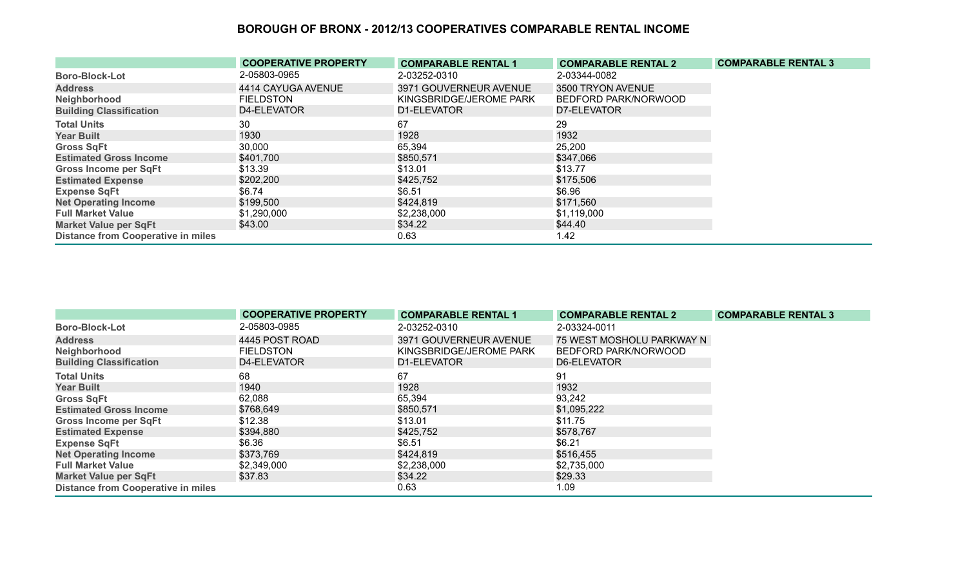|                                           | <b>COOPERATIVE PROPERTY</b> | <b>COMPARABLE RENTAL 1</b> | <b>COMPARABLE RENTAL 2</b> | <b>COMPARABLE RENTAL 3</b> |
|-------------------------------------------|-----------------------------|----------------------------|----------------------------|----------------------------|
| <b>Boro-Block-Lot</b>                     | 2-05803-0965                | 2-03252-0310               | 2-03344-0082               |                            |
| <b>Address</b>                            | 4414 CAYUGA AVENUE          | 3971 GOUVERNEUR AVENUE     | 3500 TRYON AVENUE          |                            |
| Neighborhood                              | <b>FIELDSTON</b>            | KINGSBRIDGE/JEROME PARK    | BEDFORD PARK/NORWOOD       |                            |
| <b>Building Classification</b>            | D4-ELEVATOR                 | D1-ELEVATOR                | D7-ELEVATOR                |                            |
| <b>Total Units</b>                        | 30                          | 67                         | 29                         |                            |
| <b>Year Built</b>                         | 1930                        | 1928                       | 1932                       |                            |
| <b>Gross SqFt</b>                         | 30,000                      | 65,394                     | 25,200                     |                            |
| <b>Estimated Gross Income</b>             | \$401,700                   | \$850,571                  | \$347,066                  |                            |
| <b>Gross Income per SqFt</b>              | \$13.39                     | \$13.01                    | \$13.77                    |                            |
| <b>Estimated Expense</b>                  | \$202,200                   | \$425,752                  | \$175,506                  |                            |
| <b>Expense SqFt</b>                       | \$6.74                      | \$6.51                     | \$6.96                     |                            |
| <b>Net Operating Income</b>               | \$199,500                   | \$424,819                  | \$171,560                  |                            |
| <b>Full Market Value</b>                  | \$1,290,000                 | \$2,238,000                | \$1,119,000                |                            |
| <b>Market Value per SqFt</b>              | \$43.00                     | \$34.22                    | \$44.40                    |                            |
| <b>Distance from Cooperative in miles</b> |                             | 0.63                       | 1.42                       |                            |

|                                           | <b>COOPERATIVE PROPERTY</b> | <b>COMPARABLE RENTAL 1</b> | <b>COMPARABLE RENTAL 2</b> | <b>COMPARABLE RENTAL 3</b> |
|-------------------------------------------|-----------------------------|----------------------------|----------------------------|----------------------------|
| <b>Boro-Block-Lot</b>                     | 2-05803-0985                | 2-03252-0310               | 2-03324-0011               |                            |
| <b>Address</b>                            | 4445 POST ROAD              | 3971 GOUVERNEUR AVENUE     | 75 WEST MOSHOLU PARKWAY N  |                            |
| Neighborhood                              | <b>FIELDSTON</b>            | KINGSBRIDGE/JEROME PARK    | BEDFORD PARK/NORWOOD       |                            |
| <b>Building Classification</b>            | D4-ELEVATOR                 | D1-ELEVATOR                | D6-ELEVATOR                |                            |
| <b>Total Units</b>                        | 68                          | 67                         | 91                         |                            |
| <b>Year Built</b>                         | 1940                        | 1928                       | 1932                       |                            |
| <b>Gross SqFt</b>                         | 62,088                      | 65,394                     | 93,242                     |                            |
| <b>Estimated Gross Income</b>             | \$768,649                   | \$850,571                  | \$1,095,222                |                            |
| <b>Gross Income per SqFt</b>              | \$12.38                     | \$13.01                    | \$11.75                    |                            |
| <b>Estimated Expense</b>                  | \$394,880                   | \$425,752                  | \$578,767                  |                            |
| <b>Expense SqFt</b>                       | \$6.36                      | \$6.51                     | \$6.21                     |                            |
| <b>Net Operating Income</b>               | \$373,769                   | \$424,819                  | \$516,455                  |                            |
| <b>Full Market Value</b>                  | \$2,349,000                 | \$2,238,000                | \$2,735,000                |                            |
| <b>Market Value per SqFt</b>              | \$37.83                     | \$34.22                    | \$29.33                    |                            |
| <b>Distance from Cooperative in miles</b> |                             | 0.63                       | 1.09                       |                            |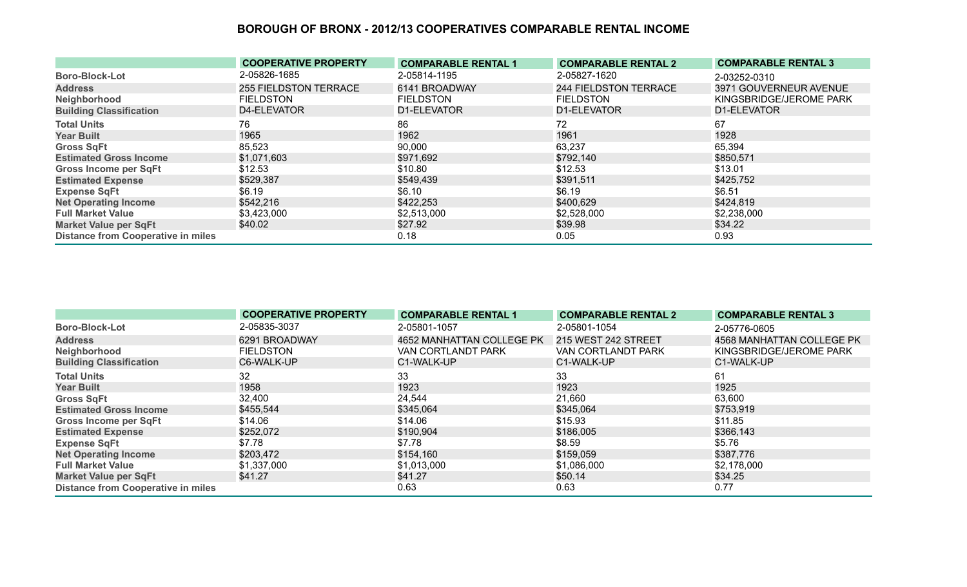|                                           | <b>COOPERATIVE PROPERTY</b>  | <b>COMPARABLE RENTAL 1</b> | <b>COMPARABLE RENTAL 2</b> | <b>COMPARABLE RENTAL 3</b> |
|-------------------------------------------|------------------------------|----------------------------|----------------------------|----------------------------|
| <b>Boro-Block-Lot</b>                     | 2-05826-1685                 | 2-05814-1195               | 2-05827-1620               | 2-03252-0310               |
| <b>Address</b>                            | <b>255 FIELDSTON TERRACE</b> | 6141 BROADWAY              | 244 FIELDSTON TERRACE      | 3971 GOUVERNEUR AVENUE     |
| Neighborhood                              | <b>FIELDSTON</b>             | <b>FIELDSTON</b>           | <b>FIELDSTON</b>           | KINGSBRIDGE/JEROME PARK    |
| <b>Building Classification</b>            | D4-ELEVATOR                  | D1-ELEVATOR                | D1-ELEVATOR                | D1-ELEVATOR                |
| <b>Total Units</b>                        | 76                           | 86                         | 72                         | 67                         |
| <b>Year Built</b>                         | 1965                         | 1962                       | 1961                       | 1928                       |
| <b>Gross SqFt</b>                         | 85,523                       | 90,000                     | 63,237                     | 65,394                     |
| <b>Estimated Gross Income</b>             | \$1,071,603                  | \$971,692                  | \$792,140                  | \$850,571                  |
| <b>Gross Income per SqFt</b>              | \$12.53                      | \$10.80                    | \$12.53                    | \$13.01                    |
| <b>Estimated Expense</b>                  | \$529,387                    | \$549,439                  | \$391,511                  | \$425,752                  |
| <b>Expense SqFt</b>                       | \$6.19                       | \$6.10                     | \$6.19                     | \$6.51                     |
| <b>Net Operating Income</b>               | \$542,216                    | \$422,253                  | \$400,629                  | \$424,819                  |
| <b>Full Market Value</b>                  | \$3,423,000                  | \$2,513,000                | \$2,528,000                | \$2,238,000                |
| <b>Market Value per SqFt</b>              | \$40.02                      | \$27.92                    | \$39.98                    | \$34.22                    |
| <b>Distance from Cooperative in miles</b> |                              | 0.18                       | 0.05                       | 0.93                       |

|                                           | <b>COOPERATIVE PROPERTY</b> | <b>COMPARABLE RENTAL 1</b> | <b>COMPARABLE RENTAL 2</b> | <b>COMPARABLE RENTAL 3</b> |
|-------------------------------------------|-----------------------------|----------------------------|----------------------------|----------------------------|
| <b>Boro-Block-Lot</b>                     | 2-05835-3037                | 2-05801-1057               | 2-05801-1054               | 2-05776-0605               |
| <b>Address</b>                            | 6291 BROADWAY               | 4652 MANHATTAN COLLEGE PK  | 215 WEST 242 STREET        | 4568 MANHATTAN COLLEGE PK  |
| Neighborhood                              | <b>FIELDSTON</b>            | VAN CORTLANDT PARK         | VAN CORTLANDT PARK         | KINGSBRIDGE/JEROME PARK    |
| <b>Building Classification</b>            | C6-WALK-UP                  | C1-WALK-UP                 | C1-WALK-UP                 | C1-WALK-UP                 |
| <b>Total Units</b>                        | 32                          | 33                         | 33                         | 61                         |
| <b>Year Built</b>                         | 1958                        | 1923                       | 1923                       | 1925                       |
| <b>Gross SqFt</b>                         | 32,400                      | 24,544                     | 21,660                     | 63,600                     |
| <b>Estimated Gross Income</b>             | \$455,544                   | \$345,064                  | \$345,064                  | \$753,919                  |
| Gross Income per SqFt                     | \$14.06                     | \$14.06                    | \$15.93                    | \$11.85                    |
| <b>Estimated Expense</b>                  | \$252,072                   | \$190,904                  | \$186,005                  | \$366,143                  |
| <b>Expense SqFt</b>                       | \$7.78                      | \$7.78                     | \$8.59                     | \$5.76                     |
| <b>Net Operating Income</b>               | \$203,472                   | \$154,160                  | \$159,059                  | \$387,776                  |
| <b>Full Market Value</b>                  | \$1,337,000                 | \$1,013,000                | \$1,086,000                | \$2,178,000                |
| <b>Market Value per SqFt</b>              | \$41.27                     | \$41.27                    | \$50.14                    | \$34.25                    |
| <b>Distance from Cooperative in miles</b> |                             | 0.63                       | 0.63                       | 0.77                       |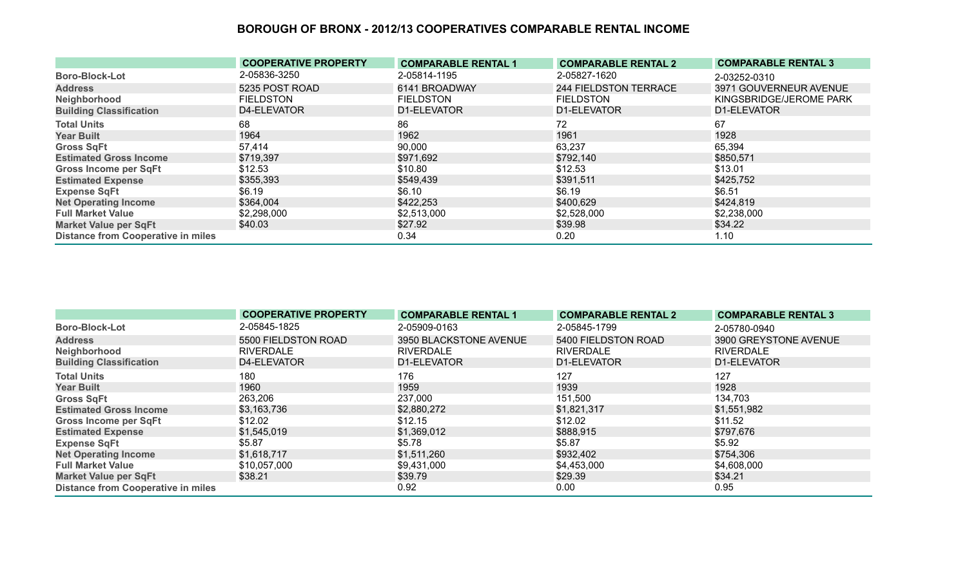|                                           | <b>COOPERATIVE PROPERTY</b> | <b>COMPARABLE RENTAL 1</b> | <b>COMPARABLE RENTAL 2</b> | <b>COMPARABLE RENTAL 3</b> |
|-------------------------------------------|-----------------------------|----------------------------|----------------------------|----------------------------|
| <b>Boro-Block-Lot</b>                     | 2-05836-3250                | 2-05814-1195               | 2-05827-1620               | 2-03252-0310               |
| <b>Address</b>                            | 5235 POST ROAD              | 6141 BROADWAY              | 244 FIELDSTON TERRACE      | 3971 GOUVERNEUR AVENUE     |
| Neighborhood                              | <b>FIELDSTON</b>            | <b>FIELDSTON</b>           | <b>FIELDSTON</b>           | KINGSBRIDGE/JEROME PARK    |
| <b>Building Classification</b>            | D4-ELEVATOR                 | D1-ELEVATOR                | D1-ELEVATOR                | D1-ELEVATOR                |
| <b>Total Units</b>                        | 68                          | 86                         | 72                         | 67                         |
| <b>Year Built</b>                         | 1964                        | 1962                       | 1961                       | 1928                       |
| <b>Gross SqFt</b>                         | 57,414                      | 90,000                     | 63,237                     | 65,394                     |
| <b>Estimated Gross Income</b>             | \$719,397                   | \$971,692                  | \$792,140                  | \$850,571                  |
| <b>Gross Income per SqFt</b>              | \$12.53                     | \$10.80                    | \$12.53                    | \$13.01                    |
| <b>Estimated Expense</b>                  | \$355,393                   | \$549,439                  | \$391,511                  | \$425,752                  |
| <b>Expense SqFt</b>                       | \$6.19                      | \$6.10                     | \$6.19                     | \$6.51                     |
| <b>Net Operating Income</b>               | \$364,004                   | \$422,253                  | \$400,629                  | \$424,819                  |
| <b>Full Market Value</b>                  | \$2,298,000                 | \$2,513,000                | \$2,528,000                | \$2,238,000                |
| <b>Market Value per SqFt</b>              | \$40.03                     | \$27.92                    | \$39.98                    | \$34.22                    |
| <b>Distance from Cooperative in miles</b> |                             | 0.34                       | 0.20                       | 1.10                       |

|                                           | <b>COOPERATIVE PROPERTY</b> | <b>COMPARABLE RENTAL 1</b> | <b>COMPARABLE RENTAL 2</b> | <b>COMPARABLE RENTAL 3</b> |
|-------------------------------------------|-----------------------------|----------------------------|----------------------------|----------------------------|
| <b>Boro-Block-Lot</b>                     | 2-05845-1825                | 2-05909-0163               | 2-05845-1799               | 2-05780-0940               |
| <b>Address</b>                            | 5500 FIELDSTON ROAD         | 3950 BLACKSTONE AVENUE     | 5400 FIELDSTON ROAD        | 3900 GREYSTONE AVENUE      |
| Neighborhood                              | <b>RIVERDALE</b>            | <b>RIVERDALE</b>           | <b>RIVERDALE</b>           | <b>RIVERDALE</b>           |
| <b>Building Classification</b>            | D4-ELEVATOR                 | D1-ELEVATOR                | D1-ELEVATOR                | D1-ELEVATOR                |
| <b>Total Units</b>                        | 180                         | 176                        | 127                        | 127                        |
| <b>Year Built</b>                         | 1960                        | 1959                       | 1939                       | 1928                       |
| <b>Gross SqFt</b>                         | 263,206                     | 237,000                    | 151,500                    | 134,703                    |
| <b>Estimated Gross Income</b>             | \$3,163,736                 | \$2,880,272                | \$1,821,317                | \$1,551,982                |
| <b>Gross Income per SqFt</b>              | \$12.02                     | \$12.15                    | \$12.02                    | \$11.52                    |
| <b>Estimated Expense</b>                  | \$1,545,019                 | \$1,369,012                | \$888,915                  | \$797,676                  |
| <b>Expense SqFt</b>                       | \$5.87                      | \$5.78                     | \$5.87                     | \$5.92                     |
| <b>Net Operating Income</b>               | \$1,618,717                 | \$1,511,260                | \$932,402                  | \$754,306                  |
| <b>Full Market Value</b>                  | \$10,057,000                | \$9,431,000                | \$4,453,000                | \$4,608,000                |
| <b>Market Value per SqFt</b>              | \$38.21                     | \$39.79                    | \$29.39                    | \$34.21                    |
| <b>Distance from Cooperative in miles</b> |                             | 0.92                       | 0.00                       | 0.95                       |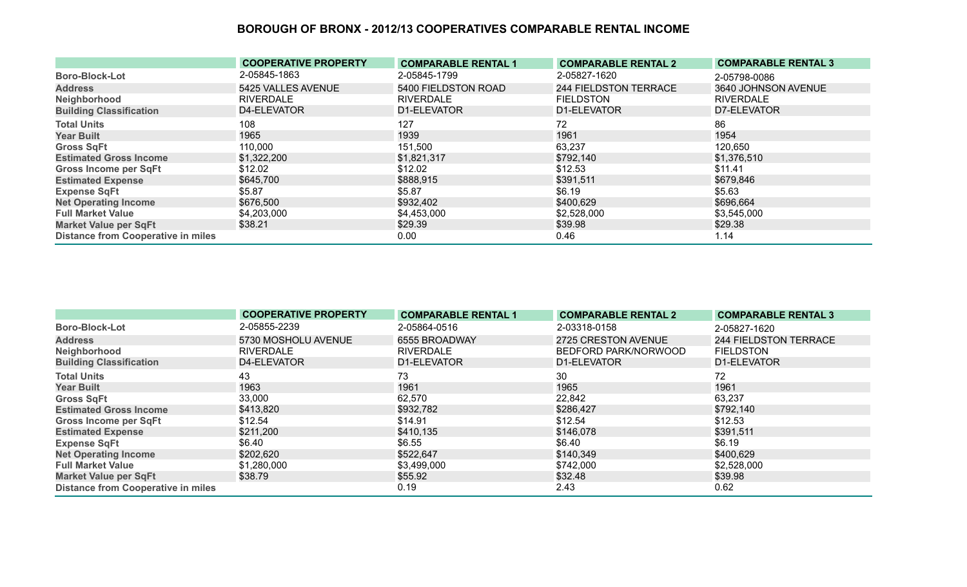|                                           | <b>COOPERATIVE PROPERTY</b> | <b>COMPARABLE RENTAL 1</b> | <b>COMPARABLE RENTAL 2</b>   | <b>COMPARABLE RENTAL 3</b> |
|-------------------------------------------|-----------------------------|----------------------------|------------------------------|----------------------------|
| <b>Boro-Block-Lot</b>                     | 2-05845-1863                | 2-05845-1799               | 2-05827-1620                 | 2-05798-0086               |
| <b>Address</b>                            | 5425 VALLES AVENUE          | 5400 FIELDSTON ROAD        | <b>244 FIELDSTON TERRACE</b> | 3640 JOHNSON AVENUE        |
| Neighborhood                              | <b>RIVERDALE</b>            | <b>RIVERDALE</b>           | <b>FIELDSTON</b>             | <b>RIVERDALE</b>           |
| <b>Building Classification</b>            | D4-ELEVATOR                 | D1-ELEVATOR                | D1-ELEVATOR                  | D7-ELEVATOR                |
| <b>Total Units</b>                        | 108                         | 127                        | 72                           | 86                         |
| <b>Year Built</b>                         | 1965                        | 1939                       | 1961                         | 1954                       |
| <b>Gross SqFt</b>                         | 110,000                     | 151,500                    | 63,237                       | 120,650                    |
| <b>Estimated Gross Income</b>             | \$1,322,200                 | \$1,821,317                | \$792,140                    | \$1,376,510                |
| <b>Gross Income per SqFt</b>              | \$12.02                     | \$12.02                    | \$12.53                      | \$11.41                    |
| <b>Estimated Expense</b>                  | \$645,700                   | \$888,915                  | \$391,511                    | \$679,846                  |
| <b>Expense SqFt</b>                       | \$5.87                      | \$5.87                     | \$6.19                       | \$5.63                     |
| <b>Net Operating Income</b>               | \$676,500                   | \$932,402                  | \$400,629                    | \$696,664                  |
| <b>Full Market Value</b>                  | \$4,203,000                 | \$4,453,000                | \$2,528,000                  | \$3,545,000                |
| <b>Market Value per SqFt</b>              | \$38.21                     | \$29.39                    | \$39.98                      | \$29.38                    |
| <b>Distance from Cooperative in miles</b> |                             | 0.00                       | 0.46                         | 1.14                       |

|                                           | <b>COOPERATIVE PROPERTY</b> | <b>COMPARABLE RENTAL 1</b> | <b>COMPARABLE RENTAL 2</b> | <b>COMPARABLE RENTAL 3</b> |
|-------------------------------------------|-----------------------------|----------------------------|----------------------------|----------------------------|
| <b>Boro-Block-Lot</b>                     | 2-05855-2239                | 2-05864-0516               | 2-03318-0158               | 2-05827-1620               |
| <b>Address</b>                            | 5730 MOSHOLU AVENUE         | 6555 BROADWAY              | 2725 CRESTON AVENUE        | 244 FIELDSTON TERRACE      |
| Neighborhood                              | <b>RIVERDALE</b>            | <b>RIVERDALE</b>           | BEDFORD PARK/NORWOOD       | <b>FIELDSTON</b>           |
| <b>Building Classification</b>            | D4-ELEVATOR                 | D1-ELEVATOR                | D1-ELEVATOR                | D1-ELEVATOR                |
| <b>Total Units</b>                        | 43                          | 73                         | 30                         | 72                         |
| <b>Year Built</b>                         | 1963                        | 1961                       | 1965                       | 1961                       |
| <b>Gross SqFt</b>                         | 33,000                      | 62,570                     | 22,842                     | 63,237                     |
| <b>Estimated Gross Income</b>             | \$413,820                   | \$932,782                  | \$286,427                  | \$792,140                  |
| <b>Gross Income per SqFt</b>              | \$12.54                     | \$14.91                    | \$12.54                    | \$12.53                    |
| <b>Estimated Expense</b>                  | \$211,200                   | \$410,135                  | \$146,078                  | \$391,511                  |
| <b>Expense SqFt</b>                       | \$6.40                      | \$6.55                     | \$6.40                     | \$6.19                     |
| <b>Net Operating Income</b>               | \$202,620                   | \$522,647                  | \$140,349                  | \$400,629                  |
| <b>Full Market Value</b>                  | \$1,280,000                 | \$3,499,000                | \$742,000                  | \$2,528,000                |
| <b>Market Value per SqFt</b>              | \$38.79                     | \$55.92                    | \$32.48                    | \$39.98                    |
| <b>Distance from Cooperative in miles</b> |                             | 0.19                       | 2.43                       | 0.62                       |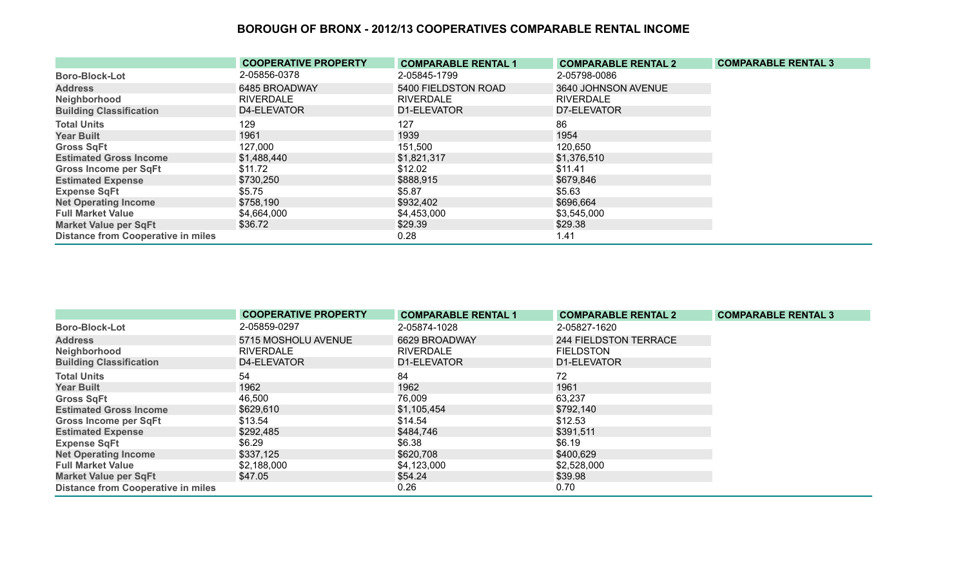|                                           | <b>COOPERATIVE PROPERTY</b> | <b>COMPARABLE RENTAL 1</b> | <b>COMPARABLE RENTAL 2</b> | <b>COMPARABLE RENTAL 3</b> |
|-------------------------------------------|-----------------------------|----------------------------|----------------------------|----------------------------|
| <b>Boro-Block-Lot</b>                     | 2-05856-0378                | 2-05845-1799               | 2-05798-0086               |                            |
| <b>Address</b>                            | 6485 BROADWAY               | 5400 FIELDSTON ROAD        | 3640 JOHNSON AVENUE        |                            |
| Neighborhood                              | <b>RIVERDALE</b>            | <b>RIVERDALE</b>           | <b>RIVERDALE</b>           |                            |
| <b>Building Classification</b>            | D4-ELEVATOR                 | D1-ELEVATOR                | D7-ELEVATOR                |                            |
| <b>Total Units</b>                        | 129                         | 127                        | 86                         |                            |
| <b>Year Built</b>                         | 1961                        | 1939                       | 1954                       |                            |
| <b>Gross SqFt</b>                         | 127,000                     | 151,500                    | 120,650                    |                            |
| <b>Estimated Gross Income</b>             | \$1,488,440                 | \$1,821,317                | \$1,376,510                |                            |
| <b>Gross Income per SqFt</b>              | \$11.72                     | \$12.02                    | \$11.41                    |                            |
| <b>Estimated Expense</b>                  | \$730,250                   | \$888,915                  | \$679,846                  |                            |
| <b>Expense SqFt</b>                       | \$5.75                      | \$5.87                     | \$5.63                     |                            |
| <b>Net Operating Income</b>               | \$758,190                   | \$932,402                  | \$696,664                  |                            |
| <b>Full Market Value</b>                  | \$4,664,000                 | \$4,453,000                | \$3,545,000                |                            |
| <b>Market Value per SqFt</b>              | \$36.72                     | \$29.39                    | \$29.38                    |                            |
| <b>Distance from Cooperative in miles</b> |                             | 0.28                       | 1.41                       |                            |

|                                           | <b>COOPERATIVE PROPERTY</b> | <b>COMPARABLE RENTAL 1</b> | <b>COMPARABLE RENTAL 2</b> | <b>COMPARABLE RENTAL 3</b> |
|-------------------------------------------|-----------------------------|----------------------------|----------------------------|----------------------------|
| <b>Boro-Block-Lot</b>                     | 2-05859-0297                | 2-05874-1028               | 2-05827-1620               |                            |
| <b>Address</b>                            | 5715 MOSHOLU AVENUE         | 6629 BROADWAY              | 244 FIELDSTON TERRACE      |                            |
| Neighborhood                              | <b>RIVERDALE</b>            | <b>RIVERDALE</b>           | <b>FIELDSTON</b>           |                            |
| <b>Building Classification</b>            | D4-ELEVATOR                 | D1-ELEVATOR                | D1-ELEVATOR                |                            |
| <b>Total Units</b>                        | 54                          | 84                         | 72                         |                            |
| <b>Year Built</b>                         | 1962                        | 1962                       | 1961                       |                            |
| <b>Gross SqFt</b>                         | 46,500                      | 76,009                     | 63,237                     |                            |
| <b>Estimated Gross Income</b>             | \$629,610                   | \$1,105,454                | \$792,140                  |                            |
| <b>Gross Income per SqFt</b>              | \$13.54                     | \$14.54                    | \$12.53                    |                            |
| <b>Estimated Expense</b>                  | \$292,485                   | \$484,746                  | \$391,511                  |                            |
| <b>Expense SqFt</b>                       | \$6.29                      | \$6.38                     | \$6.19                     |                            |
| <b>Net Operating Income</b>               | \$337,125                   | \$620,708                  | \$400,629                  |                            |
| <b>Full Market Value</b>                  | \$2,188,000                 | \$4,123,000                | \$2,528,000                |                            |
| <b>Market Value per SqFt</b>              | \$47.05                     | \$54.24                    | \$39.98                    |                            |
| <b>Distance from Cooperative in miles</b> |                             | 0.26                       | 0.70                       |                            |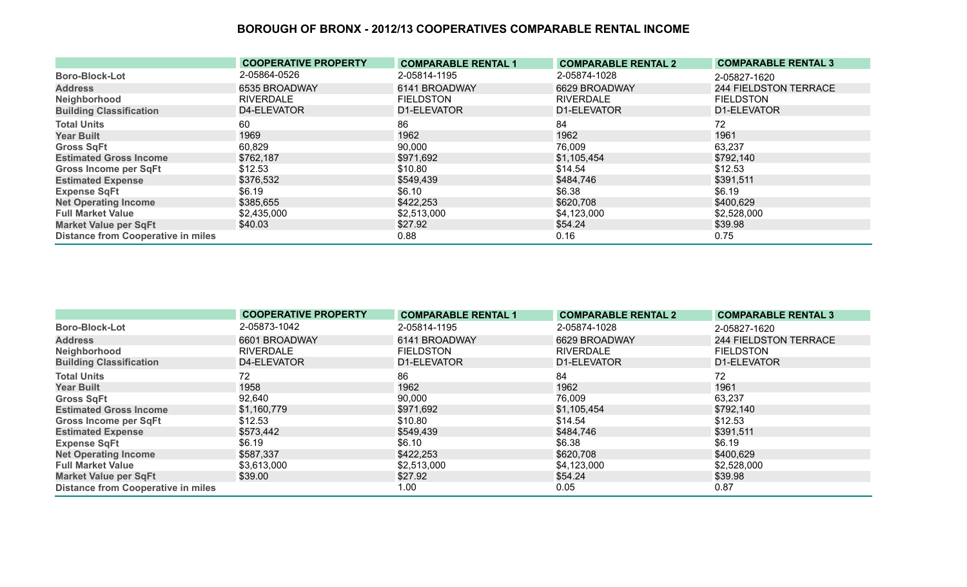|                                           | <b>COOPERATIVE PROPERTY</b> | <b>COMPARABLE RENTAL 1</b> | <b>COMPARABLE RENTAL 2</b> | <b>COMPARABLE RENTAL 3</b> |
|-------------------------------------------|-----------------------------|----------------------------|----------------------------|----------------------------|
| <b>Boro-Block-Lot</b>                     | 2-05864-0526                | 2-05814-1195               | 2-05874-1028               | 2-05827-1620               |
| <b>Address</b>                            | 6535 BROADWAY               | 6141 BROADWAY              | 6629 BROADWAY              | 244 FIELDSTON TERRACE      |
| Neighborhood                              | <b>RIVERDALE</b>            | <b>FIELDSTON</b>           | <b>RIVERDALE</b>           | <b>FIELDSTON</b>           |
| <b>Building Classification</b>            | D4-ELEVATOR                 | D1-ELEVATOR                | D1-ELEVATOR                | D1-ELEVATOR                |
| <b>Total Units</b>                        | 60                          | 86                         | 84                         | 72                         |
| <b>Year Built</b>                         | 1969                        | 1962                       | 1962                       | 1961                       |
| <b>Gross SqFt</b>                         | 60,829                      | 90,000                     | 76,009                     | 63,237                     |
| <b>Estimated Gross Income</b>             | \$762,187                   | \$971,692                  | \$1,105,454                | \$792,140                  |
| <b>Gross Income per SqFt</b>              | \$12.53                     | \$10.80                    | \$14.54                    | \$12.53                    |
| <b>Estimated Expense</b>                  | \$376,532                   | \$549,439                  | \$484,746                  | \$391,511                  |
| <b>Expense SqFt</b>                       | \$6.19                      | \$6.10                     | \$6.38                     | \$6.19                     |
| <b>Net Operating Income</b>               | \$385,655                   | \$422,253                  | \$620,708                  | \$400,629                  |
| <b>Full Market Value</b>                  | \$2,435,000                 | \$2,513,000                | \$4,123,000                | \$2,528,000                |
| <b>Market Value per SqFt</b>              | \$40.03                     | \$27.92                    | \$54.24                    | \$39.98                    |
| <b>Distance from Cooperative in miles</b> |                             | 0.88                       | 0.16                       | 0.75                       |

|                                           | <b>COOPERATIVE PROPERTY</b> | <b>COMPARABLE RENTAL 1</b> | <b>COMPARABLE RENTAL 2</b> | <b>COMPARABLE RENTAL 3</b> |
|-------------------------------------------|-----------------------------|----------------------------|----------------------------|----------------------------|
| <b>Boro-Block-Lot</b>                     | 2-05873-1042                | 2-05814-1195               | 2-05874-1028               | 2-05827-1620               |
| <b>Address</b>                            | 6601 BROADWAY               | 6141 BROADWAY              | 6629 BROADWAY              | 244 FIELDSTON TERRACE      |
| Neighborhood                              | <b>RIVERDALE</b>            | <b>FIELDSTON</b>           | <b>RIVERDALE</b>           | <b>FIELDSTON</b>           |
| <b>Building Classification</b>            | D4-ELEVATOR                 | D1-ELEVATOR                | D1-ELEVATOR                | D1-ELEVATOR                |
| <b>Total Units</b>                        | 72                          | 86                         | 84                         | 72                         |
| <b>Year Built</b>                         | 1958                        | 1962                       | 1962                       | 1961                       |
| <b>Gross SqFt</b>                         | 92,640                      | 90,000                     | 76,009                     | 63,237                     |
| <b>Estimated Gross Income</b>             | \$1,160,779                 | \$971,692                  | \$1,105,454                | \$792,140                  |
| <b>Gross Income per SqFt</b>              | \$12.53                     | \$10.80                    | \$14.54                    | \$12.53                    |
| <b>Estimated Expense</b>                  | \$573,442                   | \$549,439                  | \$484,746                  | \$391,511                  |
| <b>Expense SqFt</b>                       | \$6.19                      | \$6.10                     | \$6.38                     | \$6.19                     |
| <b>Net Operating Income</b>               | \$587,337                   | \$422,253                  | \$620,708                  | \$400,629                  |
| <b>Full Market Value</b>                  | \$3,613,000                 | \$2,513,000                | \$4,123,000                | \$2,528,000                |
| <b>Market Value per SqFt</b>              | \$39.00                     | \$27.92                    | \$54.24                    | \$39.98                    |
| <b>Distance from Cooperative in miles</b> |                             | 1.00                       | 0.05                       | 0.87                       |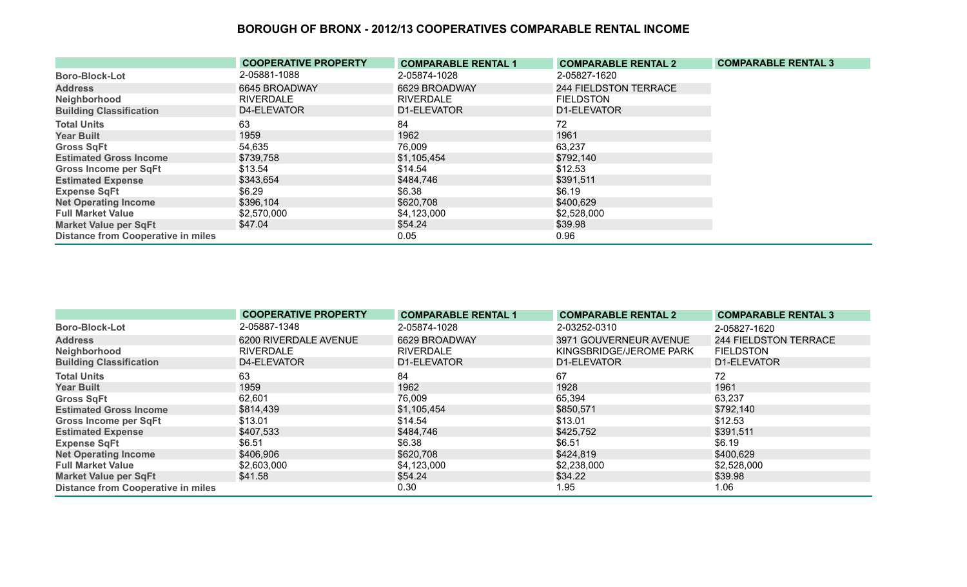|                                           | <b>COOPERATIVE PROPERTY</b> | <b>COMPARABLE RENTAL 1</b> | <b>COMPARABLE RENTAL 2</b> | <b>COMPARABLE RENTAL 3</b> |
|-------------------------------------------|-----------------------------|----------------------------|----------------------------|----------------------------|
| <b>Boro-Block-Lot</b>                     | 2-05881-1088                | 2-05874-1028               | 2-05827-1620               |                            |
| <b>Address</b>                            | 6645 BROADWAY               | 6629 BROADWAY              | 244 FIELDSTON TERRACE      |                            |
| Neighborhood                              | <b>RIVERDALE</b>            | <b>RIVERDALE</b>           | <b>FIELDSTON</b>           |                            |
| <b>Building Classification</b>            | D4-ELEVATOR                 | D1-ELEVATOR                | D1-ELEVATOR                |                            |
| <b>Total Units</b>                        | 63                          | 84                         | 72                         |                            |
| <b>Year Built</b>                         | 1959                        | 1962                       | 1961                       |                            |
| <b>Gross SqFt</b>                         | 54,635                      | 76,009                     | 63,237                     |                            |
| <b>Estimated Gross Income</b>             | \$739,758                   | \$1,105,454                | \$792,140                  |                            |
| <b>Gross Income per SqFt</b>              | \$13.54                     | \$14.54                    | \$12.53                    |                            |
| <b>Estimated Expense</b>                  | \$343,654                   | \$484,746                  | \$391,511                  |                            |
| <b>Expense SqFt</b>                       | \$6.29                      | \$6.38                     | \$6.19                     |                            |
| <b>Net Operating Income</b>               | \$396,104                   | \$620,708                  | \$400,629                  |                            |
| <b>Full Market Value</b>                  | \$2,570,000                 | \$4,123,000                | \$2,528,000                |                            |
| <b>Market Value per SqFt</b>              | \$47.04                     | \$54.24                    | \$39.98                    |                            |
| <b>Distance from Cooperative in miles</b> |                             | 0.05                       | 0.96                       |                            |

|                                           | <b>COOPERATIVE PROPERTY</b> | <b>COMPARABLE RENTAL 1</b> | <b>COMPARABLE RENTAL 2</b> | <b>COMPARABLE RENTAL 3</b> |
|-------------------------------------------|-----------------------------|----------------------------|----------------------------|----------------------------|
| <b>Boro-Block-Lot</b>                     | 2-05887-1348                | 2-05874-1028               | 2-03252-0310               | 2-05827-1620               |
| <b>Address</b>                            | 6200 RIVERDALE AVENUE       | 6629 BROADWAY              | 3971 GOUVERNEUR AVENUE     | 244 FIELDSTON TERRACE      |
| Neighborhood                              | <b>RIVERDALE</b>            | <b>RIVERDALE</b>           | KINGSBRIDGE/JEROME PARK    | <b>FIELDSTON</b>           |
| <b>Building Classification</b>            | D4-ELEVATOR                 | D1-ELEVATOR                | D1-ELEVATOR                | D1-ELEVATOR                |
| <b>Total Units</b>                        | 63                          | 84                         | 67                         | 72                         |
| <b>Year Built</b>                         | 1959                        | 1962                       | 1928                       | 1961                       |
| <b>Gross SqFt</b>                         | 62,601                      | 76,009                     | 65,394                     | 63,237                     |
| <b>Estimated Gross Income</b>             | \$814,439                   | \$1,105,454                | \$850,571                  | \$792,140                  |
| <b>Gross Income per SqFt</b>              | \$13.01                     | \$14.54                    | \$13.01                    | \$12.53                    |
| <b>Estimated Expense</b>                  | \$407,533                   | \$484,746                  | \$425,752                  | \$391,511                  |
| <b>Expense SqFt</b>                       | \$6.51                      | \$6.38                     | \$6.51                     | \$6.19                     |
| <b>Net Operating Income</b>               | \$406,906                   | \$620,708                  | \$424,819                  | \$400,629                  |
| <b>Full Market Value</b>                  | \$2,603,000                 | \$4,123,000                | \$2,238,000                | \$2,528,000                |
| <b>Market Value per SqFt</b>              | \$41.58                     | \$54.24                    | \$34.22                    | \$39.98                    |
| <b>Distance from Cooperative in miles</b> |                             | 0.30                       | 1.95                       | 1.06                       |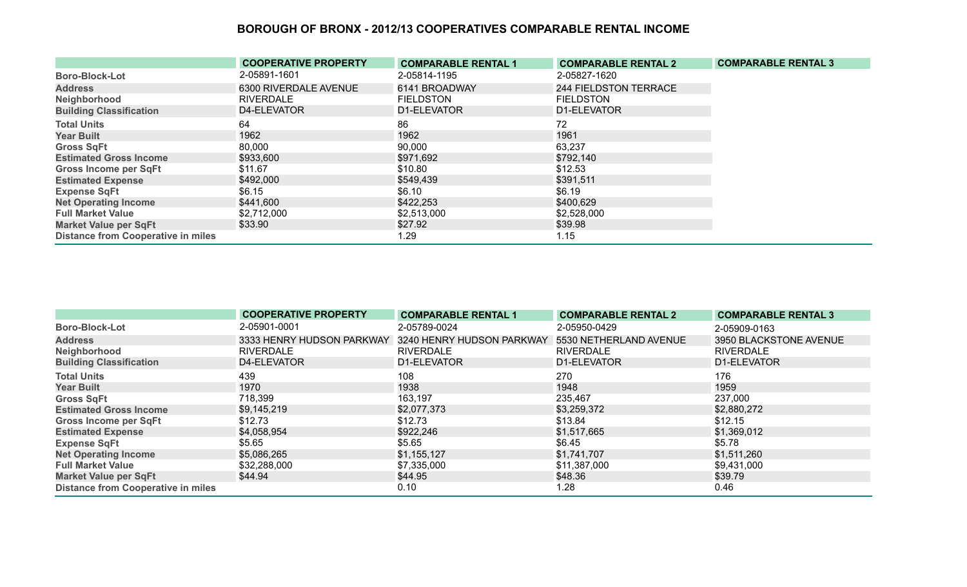|                                           | <b>COOPERATIVE PROPERTY</b> | <b>COMPARABLE RENTAL 1</b> | <b>COMPARABLE RENTAL 2</b>   | <b>COMPARABLE RENTAL 3</b> |
|-------------------------------------------|-----------------------------|----------------------------|------------------------------|----------------------------|
| <b>Boro-Block-Lot</b>                     | 2-05891-1601                | 2-05814-1195               | 2-05827-1620                 |                            |
| <b>Address</b>                            | 6300 RIVERDALE AVENUE       | 6141 BROADWAY              | <b>244 FIELDSTON TERRACE</b> |                            |
| Neighborhood                              | <b>RIVERDALE</b>            | <b>FIELDSTON</b>           | <b>FIELDSTON</b>             |                            |
| <b>Building Classification</b>            | D4-ELEVATOR                 | D1-ELEVATOR                | D1-ELEVATOR                  |                            |
| <b>Total Units</b>                        | 64                          | 86                         | 72                           |                            |
| <b>Year Built</b>                         | 1962                        | 1962                       | 1961                         |                            |
| <b>Gross SqFt</b>                         | 80,000                      | 90,000                     | 63,237                       |                            |
| <b>Estimated Gross Income</b>             | \$933,600                   | \$971,692                  | \$792,140                    |                            |
| <b>Gross Income per SqFt</b>              | \$11.67                     | \$10.80                    | \$12.53                      |                            |
| <b>Estimated Expense</b>                  | \$492,000                   | \$549,439                  | \$391,511                    |                            |
| <b>Expense SqFt</b>                       | \$6.15                      | \$6.10                     | \$6.19                       |                            |
| <b>Net Operating Income</b>               | \$441,600                   | \$422,253                  | \$400,629                    |                            |
| <b>Full Market Value</b>                  | \$2,712,000                 | \$2,513,000                | \$2,528,000                  |                            |
| <b>Market Value per SqFt</b>              | \$33.90                     | \$27.92                    | \$39.98                      |                            |
| <b>Distance from Cooperative in miles</b> |                             | 1.29                       | 1.15                         |                            |

|                                           | <b>COOPERATIVE PROPERTY</b> | <b>COMPARABLE RENTAL 1</b> | <b>COMPARABLE RENTAL 2</b> | <b>COMPARABLE RENTAL 3</b> |
|-------------------------------------------|-----------------------------|----------------------------|----------------------------|----------------------------|
| <b>Boro-Block-Lot</b>                     | 2-05901-0001                | 2-05789-0024               | 2-05950-0429               | 2-05909-0163               |
| <b>Address</b>                            | 3333 HENRY HUDSON PARKWAY   | 3240 HENRY HUDSON PARKWAY  | 5530 NETHERLAND AVENUE     | 3950 BLACKSTONE AVENUE     |
| Neighborhood                              | <b>RIVERDALE</b>            | <b>RIVERDALE</b>           | <b>RIVERDALE</b>           | <b>RIVERDALE</b>           |
| <b>Building Classification</b>            | D4-ELEVATOR                 | D1-ELEVATOR                | D1-ELEVATOR                | D1-ELEVATOR                |
| <b>Total Units</b>                        | 439                         | 108                        | 270                        | 176                        |
| <b>Year Built</b>                         | 1970                        | 1938                       | 1948                       | 1959                       |
| <b>Gross SqFt</b>                         | 718,399                     | 163,197                    | 235,467                    | 237,000                    |
| <b>Estimated Gross Income</b>             | \$9,145,219                 | \$2,077,373                | \$3,259,372                | \$2,880,272                |
| <b>Gross Income per SqFt</b>              | \$12.73                     | \$12.73                    | \$13.84                    | \$12.15                    |
| <b>Estimated Expense</b>                  | \$4,058,954                 | \$922,246                  | \$1,517,665                | \$1,369,012                |
| <b>Expense SqFt</b>                       | \$5.65                      | \$5.65                     | \$6.45                     | \$5.78                     |
| <b>Net Operating Income</b>               | \$5,086,265                 | \$1,155,127                | \$1,741,707                | \$1,511,260                |
| <b>Full Market Value</b>                  | \$32,288,000                | \$7,335,000                | \$11,387,000               | \$9,431,000                |
| <b>Market Value per SqFt</b>              | \$44.94                     | \$44.95                    | \$48.36                    | \$39.79                    |
| <b>Distance from Cooperative in miles</b> |                             | 0.10                       | 1.28                       | 0.46                       |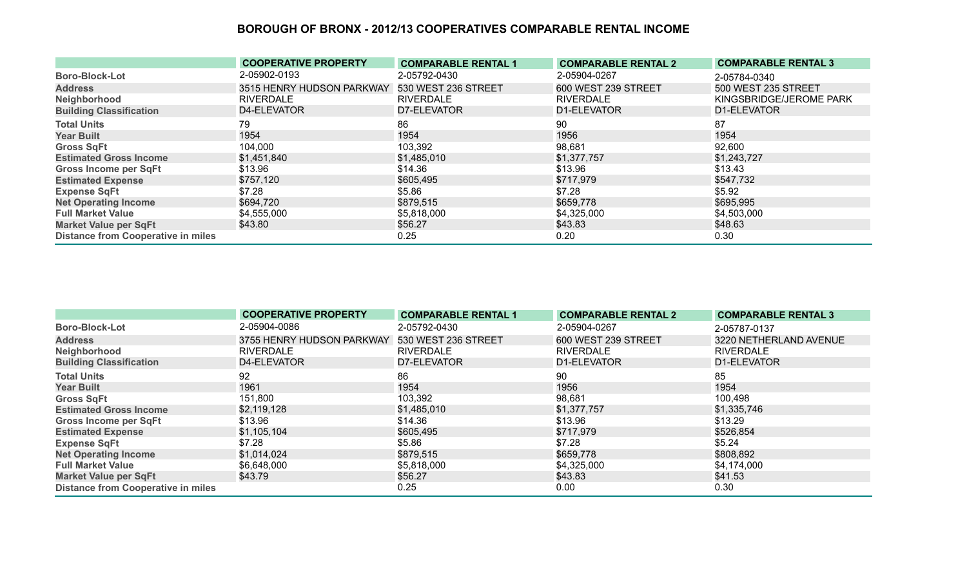|                                           | <b>COOPERATIVE PROPERTY</b> | <b>COMPARABLE RENTAL 1</b> | <b>COMPARABLE RENTAL 2</b> | <b>COMPARABLE RENTAL 3</b> |
|-------------------------------------------|-----------------------------|----------------------------|----------------------------|----------------------------|
| <b>Boro-Block-Lot</b>                     | 2-05902-0193                | 2-05792-0430               | 2-05904-0267               | 2-05784-0340               |
| <b>Address</b>                            | 3515 HENRY HUDSON PARKWAY   | 530 WEST 236 STREET        | 600 WEST 239 STREET        | 500 WEST 235 STREET        |
| Neighborhood                              | <b>RIVERDALE</b>            | <b>RIVERDALE</b>           | <b>RIVERDALE</b>           | KINGSBRIDGE/JEROME PARK    |
| <b>Building Classification</b>            | D4-ELEVATOR                 | D7-ELEVATOR                | D1-ELEVATOR                | D1-ELEVATOR                |
| <b>Total Units</b>                        | 79                          | 86                         | 90                         | 87                         |
| <b>Year Built</b>                         | 1954                        | 1954                       | 1956                       | 1954                       |
| <b>Gross SqFt</b>                         | 104,000                     | 103,392                    | 98,681                     | 92,600                     |
| <b>Estimated Gross Income</b>             | \$1,451,840                 | \$1,485,010                | \$1,377,757                | \$1,243,727                |
| <b>Gross Income per SqFt</b>              | \$13.96                     | \$14.36                    | \$13.96                    | \$13.43                    |
| <b>Estimated Expense</b>                  | \$757,120                   | \$605,495                  | \$717,979                  | \$547,732                  |
| <b>Expense SqFt</b>                       | \$7.28                      | \$5.86                     | \$7.28                     | \$5.92                     |
| <b>Net Operating Income</b>               | \$694,720                   | \$879,515                  | \$659,778                  | \$695,995                  |
| <b>Full Market Value</b>                  | \$4,555,000                 | \$5,818,000                | \$4,325,000                | \$4,503,000                |
| <b>Market Value per SqFt</b>              | \$43.80                     | \$56.27                    | \$43.83                    | \$48.63                    |
| <b>Distance from Cooperative in miles</b> |                             | 0.25                       | 0.20                       | 0.30                       |

|                                           | <b>COOPERATIVE PROPERTY</b> | <b>COMPARABLE RENTAL 1</b> | <b>COMPARABLE RENTAL 2</b> | <b>COMPARABLE RENTAL 3</b> |
|-------------------------------------------|-----------------------------|----------------------------|----------------------------|----------------------------|
| <b>Boro-Block-Lot</b>                     | 2-05904-0086                | 2-05792-0430               | 2-05904-0267               | 2-05787-0137               |
| <b>Address</b>                            | 3755 HENRY HUDSON PARKWAY   | 530 WEST 236 STREET        | 600 WEST 239 STREET        | 3220 NETHERLAND AVENUE     |
| Neighborhood                              | <b>RIVERDALE</b>            | <b>RIVERDALE</b>           | <b>RIVERDALE</b>           | <b>RIVERDALE</b>           |
| <b>Building Classification</b>            | D4-ELEVATOR                 | D7-ELEVATOR                | D1-ELEVATOR                | D1-ELEVATOR                |
| <b>Total Units</b>                        | 92                          | 86                         | 90                         | 85                         |
| <b>Year Built</b>                         | 1961                        | 1954                       | 1956                       | 1954                       |
| <b>Gross SqFt</b>                         | 151,800                     | 103,392                    | 98,681                     | 100,498                    |
| <b>Estimated Gross Income</b>             | \$2,119,128                 | \$1,485,010                | \$1,377,757                | \$1,335,746                |
| <b>Gross Income per SqFt</b>              | \$13.96                     | \$14.36                    | \$13.96                    | \$13.29                    |
| <b>Estimated Expense</b>                  | \$1,105,104                 | \$605,495                  | \$717,979                  | \$526,854                  |
| <b>Expense SqFt</b>                       | \$7.28                      | \$5.86                     | \$7.28                     | \$5.24                     |
| <b>Net Operating Income</b>               | \$1,014,024                 | \$879,515                  | \$659,778                  | \$808,892                  |
| <b>Full Market Value</b>                  | \$6,648,000                 | \$5,818,000                | \$4,325,000                | \$4,174,000                |
| <b>Market Value per SqFt</b>              | \$43.79                     | \$56.27                    | \$43.83                    | \$41.53                    |
| <b>Distance from Cooperative in miles</b> |                             | 0.25                       | 0.00                       | 0.30                       |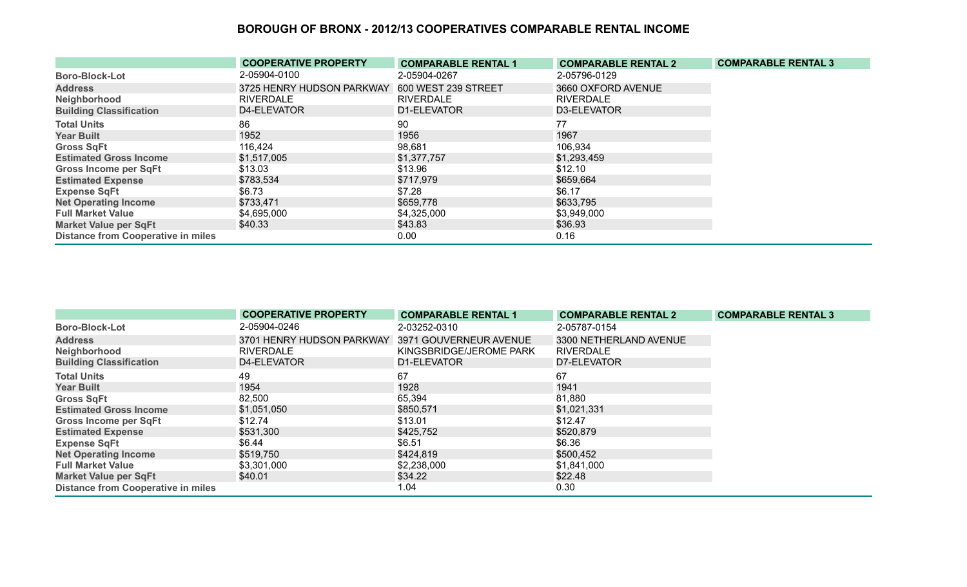|                                           | <b>COOPERATIVE PROPERTY</b> | <b>COMPARABLE RENTAL 1</b> | <b>COMPARABLE RENTAL 2</b> | <b>COMPARABLE RENTAL 3</b> |
|-------------------------------------------|-----------------------------|----------------------------|----------------------------|----------------------------|
| <b>Boro-Block-Lot</b>                     | 2-05904-0100                | 2-05904-0267               | 2-05796-0129               |                            |
| <b>Address</b>                            | 3725 HENRY HUDSON PARKWAY   | 600 WEST 239 STREET        | 3660 OXFORD AVENUE         |                            |
| Neighborhood                              | <b>RIVERDALE</b>            | <b>RIVERDALE</b>           | <b>RIVERDALE</b>           |                            |
| <b>Building Classification</b>            | D4-ELEVATOR                 | D1-ELEVATOR                | D3-ELEVATOR                |                            |
| <b>Total Units</b>                        | 86                          | 90                         | 77                         |                            |
| <b>Year Built</b>                         | 1952                        | 1956                       | 1967                       |                            |
| <b>Gross SqFt</b>                         | 116,424                     | 98,681                     | 106,934                    |                            |
| <b>Estimated Gross Income</b>             | \$1,517,005                 | \$1,377,757                | \$1,293,459                |                            |
| <b>Gross Income per SqFt</b>              | \$13.03                     | \$13.96                    | \$12.10                    |                            |
| <b>Estimated Expense</b>                  | \$783,534                   | \$717,979                  | \$659,664                  |                            |
| <b>Expense SqFt</b>                       | \$6.73                      | \$7.28                     | \$6.17                     |                            |
| <b>Net Operating Income</b>               | \$733,471                   | \$659,778                  | \$633,795                  |                            |
| <b>Full Market Value</b>                  | \$4,695,000                 | \$4,325,000                | \$3,949,000                |                            |
| <b>Market Value per SqFt</b>              | \$40.33                     | \$43.83                    | \$36.93                    |                            |
| <b>Distance from Cooperative in miles</b> |                             | 0.00                       | 0.16                       |                            |

|                                           | <b>COOPERATIVE PROPERTY</b>                      | <b>COMPARABLE RENTAL 1</b> | <b>COMPARABLE RENTAL 2</b> | <b>COMPARABLE RENTAL 3</b> |
|-------------------------------------------|--------------------------------------------------|----------------------------|----------------------------|----------------------------|
| <b>Boro-Block-Lot</b>                     | 2-05904-0246                                     | 2-03252-0310               | 2-05787-0154               |                            |
| <b>Address</b>                            | 3701 HENRY HUDSON PARKWAY 3971 GOUVERNEUR AVENUE |                            | 3300 NETHERLAND AVENUE     |                            |
| Neighborhood                              | <b>RIVERDALE</b>                                 | KINGSBRIDGE/JEROME PARK    | <b>RIVERDALE</b>           |                            |
| <b>Building Classification</b>            | D4-ELEVATOR                                      | D1-ELEVATOR                | D7-ELEVATOR                |                            |
| <b>Total Units</b>                        | 49                                               | 67                         | 67                         |                            |
| <b>Year Built</b>                         | 1954                                             | 1928                       | 1941                       |                            |
| <b>Gross SqFt</b>                         | 82,500                                           | 65,394                     | 81,880                     |                            |
| <b>Estimated Gross Income</b>             | \$1,051,050                                      | \$850,571                  | \$1,021,331                |                            |
| <b>Gross Income per SqFt</b>              | \$12.74                                          | \$13.01                    | \$12.47                    |                            |
| <b>Estimated Expense</b>                  | \$531,300                                        | \$425,752                  | \$520,879                  |                            |
| <b>Expense SqFt</b>                       | \$6.44                                           | \$6.51                     | \$6.36                     |                            |
| <b>Net Operating Income</b>               | \$519,750                                        | \$424,819                  | \$500,452                  |                            |
| <b>Full Market Value</b>                  | \$3,301,000                                      | \$2,238,000                | \$1,841,000                |                            |
| <b>Market Value per SqFt</b>              | \$40.01                                          | \$34.22                    | \$22.48                    |                            |
| <b>Distance from Cooperative in miles</b> |                                                  | 1.04                       | 0.30                       |                            |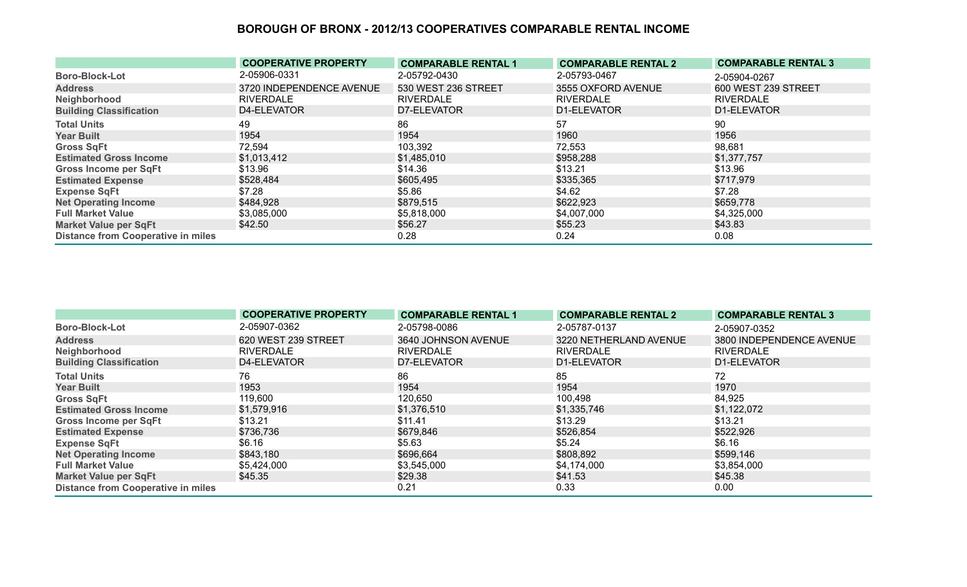|                                           | <b>COOPERATIVE PROPERTY</b> | <b>COMPARABLE RENTAL 1</b> | <b>COMPARABLE RENTAL 2</b> | <b>COMPARABLE RENTAL 3</b> |
|-------------------------------------------|-----------------------------|----------------------------|----------------------------|----------------------------|
| <b>Boro-Block-Lot</b>                     | 2-05906-0331                | 2-05792-0430               | 2-05793-0467               | 2-05904-0267               |
| <b>Address</b>                            | 3720 INDEPENDENCE AVENUE    | 530 WEST 236 STREET        | 3555 OXFORD AVENUE         | 600 WEST 239 STREET        |
| Neighborhood                              | <b>RIVERDALE</b>            | <b>RIVERDALE</b>           | <b>RIVERDALE</b>           | <b>RIVERDALE</b>           |
| <b>Building Classification</b>            | D4-ELEVATOR                 | D7-ELEVATOR                | D1-ELEVATOR                | D1-ELEVATOR                |
| <b>Total Units</b>                        | 49                          | 86                         | 57                         | 90                         |
| <b>Year Built</b>                         | 1954                        | 1954                       | 1960                       | 1956                       |
| <b>Gross SqFt</b>                         | 72,594                      | 103,392                    | 72,553                     | 98,681                     |
| <b>Estimated Gross Income</b>             | \$1,013,412                 | \$1,485,010                | \$958,288                  | \$1,377,757                |
| <b>Gross Income per SqFt</b>              | \$13.96                     | \$14.36                    | \$13.21                    | \$13.96                    |
| <b>Estimated Expense</b>                  | \$528,484                   | \$605,495                  | \$335,365                  | \$717,979                  |
| <b>Expense SqFt</b>                       | \$7.28                      | \$5.86                     | \$4.62                     | \$7.28                     |
| <b>Net Operating Income</b>               | \$484,928                   | \$879,515                  | \$622,923                  | \$659,778                  |
| <b>Full Market Value</b>                  | \$3,085,000                 | \$5,818,000                | \$4,007,000                | \$4,325,000                |
| <b>Market Value per SqFt</b>              | \$42.50                     | \$56.27                    | \$55.23                    | \$43.83                    |
| <b>Distance from Cooperative in miles</b> |                             | 0.28                       | 0.24                       | 0.08                       |

|                                           | <b>COOPERATIVE PROPERTY</b> | <b>COMPARABLE RENTAL 1</b> | <b>COMPARABLE RENTAL 2</b> | <b>COMPARABLE RENTAL 3</b> |
|-------------------------------------------|-----------------------------|----------------------------|----------------------------|----------------------------|
| <b>Boro-Block-Lot</b>                     | 2-05907-0362                | 2-05798-0086               | 2-05787-0137               | 2-05907-0352               |
| <b>Address</b>                            | 620 WEST 239 STREET         | 3640 JOHNSON AVENUE        | 3220 NETHERLAND AVENUE     | 3800 INDEPENDENCE AVENUE   |
| Neighborhood                              | <b>RIVERDALE</b>            | <b>RIVERDALE</b>           | <b>RIVERDALE</b>           | <b>RIVERDALE</b>           |
| <b>Building Classification</b>            | D4-ELEVATOR                 | D7-ELEVATOR                | D1-ELEVATOR                | D1-ELEVATOR                |
| <b>Total Units</b>                        | 76                          | 86                         | 85                         | 72                         |
| <b>Year Built</b>                         | 1953                        | 1954                       | 1954                       | 1970                       |
| <b>Gross SqFt</b>                         | 119,600                     | 120,650                    | 100,498                    | 84,925                     |
| <b>Estimated Gross Income</b>             | \$1,579,916                 | \$1,376,510                | \$1,335,746                | \$1,122,072                |
| <b>Gross Income per SqFt</b>              | \$13.21                     | \$11.41                    | \$13.29                    | \$13.21                    |
| <b>Estimated Expense</b>                  | \$736,736                   | \$679,846                  | \$526,854                  | \$522,926                  |
| <b>Expense SqFt</b>                       | \$6.16                      | \$5.63                     | \$5.24                     | \$6.16                     |
| <b>Net Operating Income</b>               | \$843,180                   | \$696,664                  | \$808,892                  | \$599,146                  |
| <b>Full Market Value</b>                  | \$5,424,000                 | \$3,545,000                | \$4,174,000                | \$3,854,000                |
| <b>Market Value per SqFt</b>              | \$45.35                     | \$29.38                    | \$41.53                    | \$45.38                    |
| <b>Distance from Cooperative in miles</b> |                             | 0.21                       | 0.33                       | 0.00                       |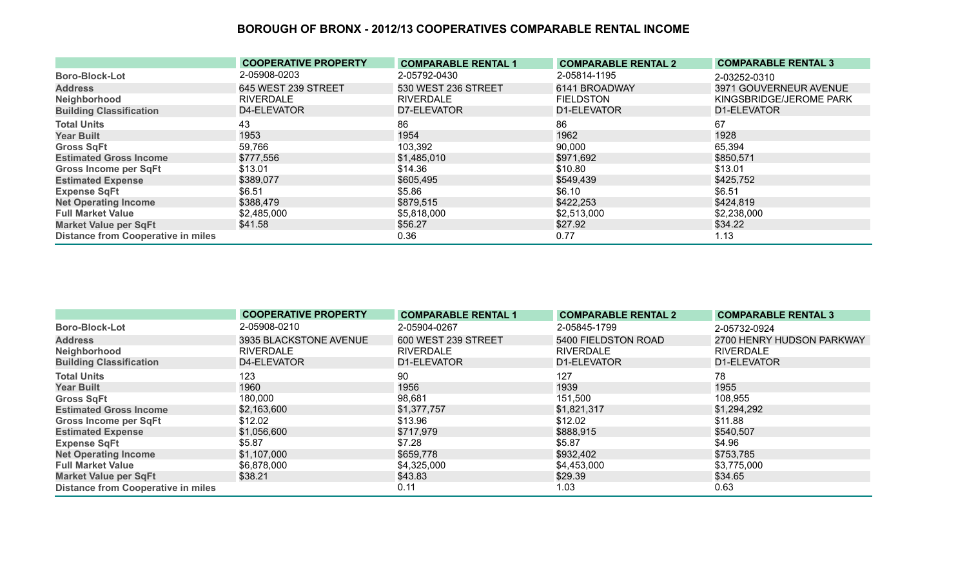|                                           | <b>COOPERATIVE PROPERTY</b> | <b>COMPARABLE RENTAL 1</b> | <b>COMPARABLE RENTAL 2</b> | <b>COMPARABLE RENTAL 3</b> |
|-------------------------------------------|-----------------------------|----------------------------|----------------------------|----------------------------|
| <b>Boro-Block-Lot</b>                     | 2-05908-0203                | 2-05792-0430               | 2-05814-1195               | 2-03252-0310               |
| <b>Address</b>                            | 645 WEST 239 STREET         | 530 WEST 236 STREET        | 6141 BROADWAY              | 3971 GOUVERNEUR AVENUE     |
| Neighborhood                              | <b>RIVERDALE</b>            | <b>RIVERDALE</b>           | <b>FIELDSTON</b>           | KINGSBRIDGE/JEROME PARK    |
| <b>Building Classification</b>            | D4-ELEVATOR                 | D7-ELEVATOR                | D1-ELEVATOR                | D1-ELEVATOR                |
| <b>Total Units</b>                        | 43                          | 86                         | 86                         | 67                         |
| <b>Year Built</b>                         | 1953                        | 1954                       | 1962                       | 1928                       |
| <b>Gross SqFt</b>                         | 59,766                      | 103,392                    | 90,000                     | 65,394                     |
| <b>Estimated Gross Income</b>             | \$777,556                   | \$1,485,010                | \$971,692                  | \$850,571                  |
| <b>Gross Income per SqFt</b>              | \$13.01                     | \$14.36                    | \$10.80                    | \$13.01                    |
| <b>Estimated Expense</b>                  | \$389,077                   | \$605,495                  | \$549,439                  | \$425,752                  |
| <b>Expense SqFt</b>                       | \$6.51                      | \$5.86                     | \$6.10                     | \$6.51                     |
| <b>Net Operating Income</b>               | \$388,479                   | \$879,515                  | \$422,253                  | \$424,819                  |
| <b>Full Market Value</b>                  | \$2,485,000                 | \$5,818,000                | \$2,513,000                | \$2,238,000                |
| <b>Market Value per SqFt</b>              | \$41.58                     | \$56.27                    | \$27.92                    | \$34.22                    |
| <b>Distance from Cooperative in miles</b> |                             | 0.36                       | 0.77                       | 1.13                       |

|                                           | <b>COOPERATIVE PROPERTY</b> | <b>COMPARABLE RENTAL 1</b> | <b>COMPARABLE RENTAL 2</b> | <b>COMPARABLE RENTAL 3</b> |
|-------------------------------------------|-----------------------------|----------------------------|----------------------------|----------------------------|
| <b>Boro-Block-Lot</b>                     | 2-05908-0210                | 2-05904-0267               | 2-05845-1799               | 2-05732-0924               |
| <b>Address</b>                            | 3935 BLACKSTONE AVENUE      | 600 WEST 239 STREET        | 5400 FIELDSTON ROAD        | 2700 HENRY HUDSON PARKWAY  |
| Neighborhood                              | RIVERDALE                   | <b>RIVERDALE</b>           | <b>RIVERDALE</b>           | <b>RIVERDALE</b>           |
| <b>Building Classification</b>            | D4-ELEVATOR                 | D1-ELEVATOR                | D1-ELEVATOR                | D1-ELEVATOR                |
| <b>Total Units</b>                        | 123                         | 90                         | 127                        | 78                         |
| <b>Year Built</b>                         | 1960                        | 1956                       | 1939                       | 1955                       |
| <b>Gross SqFt</b>                         | 180,000                     | 98,681                     | 151,500                    | 108,955                    |
| <b>Estimated Gross Income</b>             | \$2,163,600                 | \$1,377,757                | \$1,821,317                | \$1,294,292                |
| <b>Gross Income per SqFt</b>              | \$12.02                     | \$13.96                    | \$12.02                    | \$11.88                    |
| <b>Estimated Expense</b>                  | \$1,056,600                 | \$717,979                  | \$888,915                  | \$540,507                  |
| <b>Expense SqFt</b>                       | \$5.87                      | \$7.28                     | \$5.87                     | \$4.96                     |
| <b>Net Operating Income</b>               | \$1,107,000                 | \$659,778                  | \$932,402                  | \$753,785                  |
| <b>Full Market Value</b>                  | \$6,878,000                 | \$4,325,000                | \$4,453,000                | \$3,775,000                |
| <b>Market Value per SqFt</b>              | \$38.21                     | \$43.83                    | \$29.39                    | \$34.65                    |
| <b>Distance from Cooperative in miles</b> |                             | 0.11                       | 1.03                       | 0.63                       |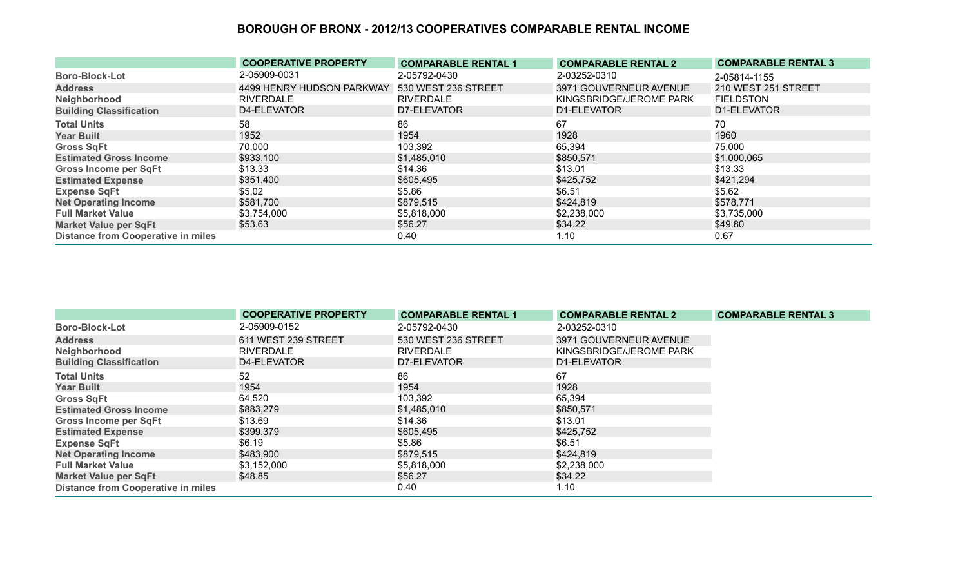|                                           | <b>COOPERATIVE PROPERTY</b> | <b>COMPARABLE RENTAL 1</b> | <b>COMPARABLE RENTAL 2</b> | <b>COMPARABLE RENTAL 3</b> |
|-------------------------------------------|-----------------------------|----------------------------|----------------------------|----------------------------|
| <b>Boro-Block-Lot</b>                     | 2-05909-0031                | 2-05792-0430               | 2-03252-0310               | 2-05814-1155               |
| <b>Address</b>                            | 4499 HENRY HUDSON PARKWAY   | 530 WEST 236 STREET        | 3971 GOUVERNEUR AVENUE     | 210 WEST 251 STREET        |
| Neighborhood                              | <b>RIVERDALE</b>            | <b>RIVERDALE</b>           | KINGSBRIDGE/JEROME PARK    | <b>FIELDSTON</b>           |
| <b>Building Classification</b>            | D4-ELEVATOR                 | D7-ELEVATOR                | D1-ELEVATOR                | D1-ELEVATOR                |
| <b>Total Units</b>                        | 58                          | 86                         | 67                         | 70                         |
| <b>Year Built</b>                         | 1952                        | 1954                       | 1928                       | 1960                       |
| <b>Gross SqFt</b>                         | 70,000                      | 103,392                    | 65,394                     | 75,000                     |
| <b>Estimated Gross Income</b>             | \$933,100                   | \$1,485,010                | \$850,571                  | \$1,000,065                |
| <b>Gross Income per SqFt</b>              | \$13.33                     | \$14.36                    | \$13.01                    | \$13.33                    |
| <b>Estimated Expense</b>                  | \$351,400                   | \$605,495                  | \$425,752                  | \$421,294                  |
| <b>Expense SqFt</b>                       | \$5.02                      | \$5.86                     | \$6.51                     | \$5.62                     |
| <b>Net Operating Income</b>               | \$581,700                   | \$879,515                  | \$424,819                  | \$578,771                  |
| <b>Full Market Value</b>                  | \$3,754,000                 | \$5,818,000                | \$2,238,000                | \$3,735,000                |
| <b>Market Value per SqFt</b>              | \$53.63                     | \$56.27                    | \$34.22                    | \$49.80                    |
| <b>Distance from Cooperative in miles</b> |                             | 0.40                       | 1.10                       | 0.67                       |

|                                           | <b>COOPERATIVE PROPERTY</b> | <b>COMPARABLE RENTAL 1</b> | <b>COMPARABLE RENTAL 2</b> | <b>COMPARABLE RENTAL 3</b> |
|-------------------------------------------|-----------------------------|----------------------------|----------------------------|----------------------------|
| <b>Boro-Block-Lot</b>                     | 2-05909-0152                | 2-05792-0430               | 2-03252-0310               |                            |
| <b>Address</b>                            | 611 WEST 239 STREET         | 530 WEST 236 STREET        | 3971 GOUVERNEUR AVENUE     |                            |
| Neighborhood                              | <b>RIVERDALE</b>            | <b>RIVERDALE</b>           | KINGSBRIDGE/JEROME PARK    |                            |
| <b>Building Classification</b>            | D4-ELEVATOR                 | D7-ELEVATOR                | D1-ELEVATOR                |                            |
| <b>Total Units</b>                        | 52                          | 86                         | 67                         |                            |
| <b>Year Built</b>                         | 1954                        | 1954                       | 1928                       |                            |
| <b>Gross SqFt</b>                         | 64,520                      | 103,392                    | 65,394                     |                            |
| <b>Estimated Gross Income</b>             | \$883,279                   | \$1,485,010                | \$850,571                  |                            |
| <b>Gross Income per SqFt</b>              | \$13.69                     | \$14.36                    | \$13.01                    |                            |
| <b>Estimated Expense</b>                  | \$399,379                   | \$605,495                  | \$425,752                  |                            |
| <b>Expense SqFt</b>                       | \$6.19                      | \$5.86                     | \$6.51                     |                            |
| <b>Net Operating Income</b>               | \$483,900                   | \$879,515                  | \$424,819                  |                            |
| <b>Full Market Value</b>                  | \$3,152,000                 | \$5,818,000                | \$2,238,000                |                            |
| <b>Market Value per SqFt</b>              | \$48.85                     | \$56.27                    | \$34.22                    |                            |
| <b>Distance from Cooperative in miles</b> |                             | 0.40                       | 1.10                       |                            |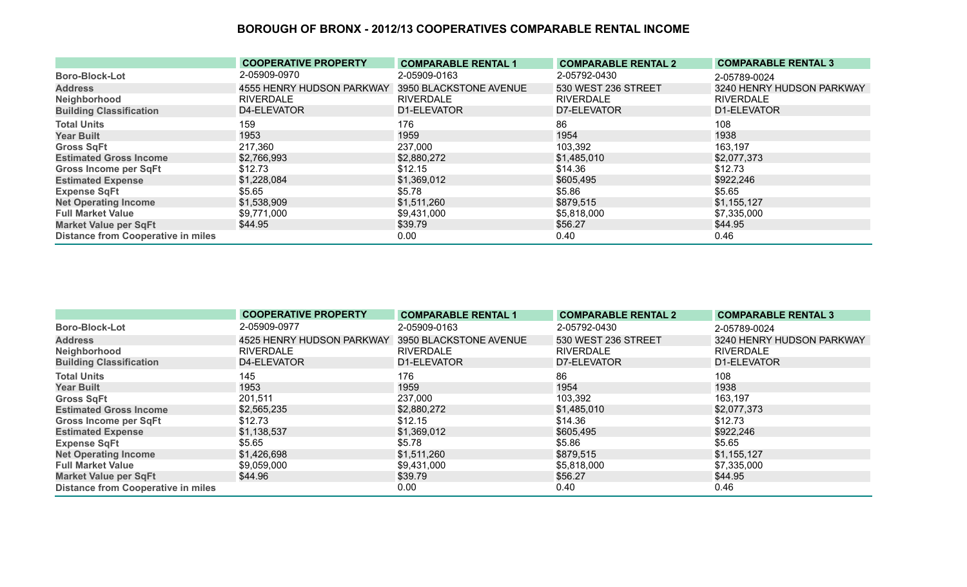|                                           | <b>COOPERATIVE PROPERTY</b> | <b>COMPARABLE RENTAL 1</b> | <b>COMPARABLE RENTAL 2</b> | <b>COMPARABLE RENTAL 3</b> |
|-------------------------------------------|-----------------------------|----------------------------|----------------------------|----------------------------|
| <b>Boro-Block-Lot</b>                     | 2-05909-0970                | 2-05909-0163               | 2-05792-0430               | 2-05789-0024               |
| <b>Address</b>                            | 4555 HENRY HUDSON PARKWAY   | 3950 BLACKSTONE AVENUE     | 530 WEST 236 STREET        | 3240 HENRY HUDSON PARKWAY  |
| Neighborhood                              | RIVERDALE                   | <b>RIVERDALE</b>           | <b>RIVERDALE</b>           | <b>RIVERDALE</b>           |
| <b>Building Classification</b>            | D4-ELEVATOR                 | D1-ELEVATOR                | D7-ELEVATOR                | D1-ELEVATOR                |
| <b>Total Units</b>                        | 159                         | 176                        | 86                         | 108                        |
| <b>Year Built</b>                         | 1953                        | 1959                       | 1954                       | 1938                       |
| <b>Gross SqFt</b>                         | 217,360                     | 237,000                    | 103,392                    | 163,197                    |
| <b>Estimated Gross Income</b>             | \$2,766,993                 | \$2,880,272                | \$1,485,010                | \$2,077,373                |
| Gross Income per SqFt                     | \$12.73                     | \$12.15                    | \$14.36                    | \$12.73                    |
| <b>Estimated Expense</b>                  | \$1,228,084                 | \$1,369,012                | \$605,495                  | \$922,246                  |
| <b>Expense SqFt</b>                       | \$5.65                      | \$5.78                     | \$5.86                     | \$5.65                     |
| <b>Net Operating Income</b>               | \$1,538,909                 | \$1,511,260                | \$879,515                  | \$1,155,127                |
| <b>Full Market Value</b>                  | \$9,771,000                 | \$9,431,000                | \$5,818,000                | \$7,335,000                |
| <b>Market Value per SqFt</b>              | \$44.95                     | \$39.79                    | \$56.27                    | \$44.95                    |
| <b>Distance from Cooperative in miles</b> |                             | 0.00                       | 0.40                       | 0.46                       |

|                                           | <b>COOPERATIVE PROPERTY</b> | <b>COMPARABLE RENTAL 1</b> | <b>COMPARABLE RENTAL 2</b> | <b>COMPARABLE RENTAL 3</b> |
|-------------------------------------------|-----------------------------|----------------------------|----------------------------|----------------------------|
| <b>Boro-Block-Lot</b>                     | 2-05909-0977                | 2-05909-0163               | 2-05792-0430               | 2-05789-0024               |
| <b>Address</b>                            | 4525 HENRY HUDSON PARKWAY   | 3950 BLACKSTONE AVENUE     | 530 WEST 236 STREET        | 3240 HENRY HUDSON PARKWAY  |
| Neighborhood                              | RIVERDALE                   | <b>RIVERDALE</b>           | <b>RIVERDALE</b>           | <b>RIVERDALE</b>           |
| <b>Building Classification</b>            | D4-ELEVATOR                 | D1-ELEVATOR                | D7-ELEVATOR                | D1-ELEVATOR                |
| <b>Total Units</b>                        | 145                         | 176                        | 86                         | 108                        |
| <b>Year Built</b>                         | 1953                        | 1959                       | 1954                       | 1938                       |
| <b>Gross SqFt</b>                         | 201,511                     | 237,000                    | 103,392                    | 163,197                    |
| <b>Estimated Gross Income</b>             | \$2,565,235                 | \$2,880,272                | \$1,485,010                | \$2,077,373                |
| <b>Gross Income per SqFt</b>              | \$12.73                     | \$12.15                    | \$14.36                    | \$12.73                    |
| <b>Estimated Expense</b>                  | \$1,138,537                 | \$1,369,012                | \$605,495                  | \$922,246                  |
| <b>Expense SqFt</b>                       | \$5.65                      | \$5.78                     | \$5.86                     | \$5.65                     |
| <b>Net Operating Income</b>               | \$1,426,698                 | \$1,511,260                | \$879,515                  | \$1,155,127                |
| <b>Full Market Value</b>                  | \$9,059,000                 | \$9,431,000                | \$5,818,000                | \$7,335,000                |
| <b>Market Value per SqFt</b>              | \$44.96                     | \$39.79                    | \$56.27                    | \$44.95                    |
| <b>Distance from Cooperative in miles</b> |                             | 0.00                       | 0.40                       | 0.46                       |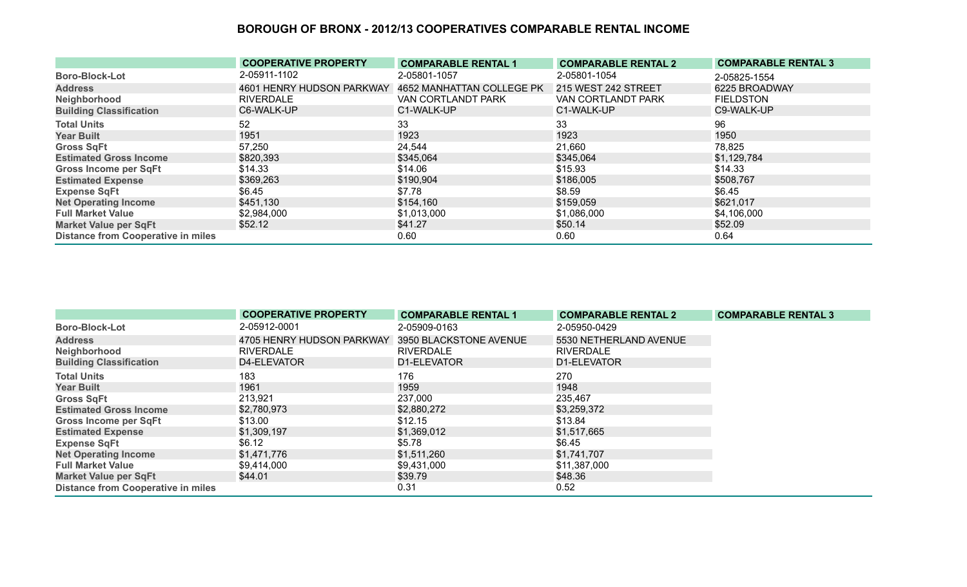|                                           | <b>COOPERATIVE PROPERTY</b> | <b>COMPARABLE RENTAL 1</b> | <b>COMPARABLE RENTAL 2</b> | <b>COMPARABLE RENTAL 3</b> |
|-------------------------------------------|-----------------------------|----------------------------|----------------------------|----------------------------|
| <b>Boro-Block-Lot</b>                     | 2-05911-1102                | 2-05801-1057               | 2-05801-1054               | 2-05825-1554               |
| <b>Address</b>                            | 4601 HENRY HUDSON PARKWAY   | 4652 MANHATTAN COLLEGE PK  | 215 WEST 242 STREET        | 6225 BROADWAY              |
| Neighborhood                              | <b>RIVERDALE</b>            | VAN CORTLANDT PARK         | VAN CORTLANDT PARK         | <b>FIELDSTON</b>           |
| <b>Building Classification</b>            | C6-WALK-UP                  | C1-WALK-UP                 | C1-WALK-UP                 | C9-WALK-UP                 |
| <b>Total Units</b>                        | 52                          | 33                         | 33                         | 96                         |
| <b>Year Built</b>                         | 1951                        | 1923                       | 1923                       | 1950                       |
| <b>Gross SqFt</b>                         | 57,250                      | 24,544                     | 21,660                     | 78,825                     |
| <b>Estimated Gross Income</b>             | \$820,393                   | \$345,064                  | \$345,064                  | \$1,129,784                |
| <b>Gross Income per SqFt</b>              | \$14.33                     | \$14.06                    | \$15.93                    | \$14.33                    |
| <b>Estimated Expense</b>                  | \$369,263                   | \$190,904                  | \$186,005                  | \$508,767                  |
| <b>Expense SqFt</b>                       | \$6.45                      | \$7.78                     | \$8.59                     | \$6.45                     |
| <b>Net Operating Income</b>               | \$451,130                   | \$154,160                  | \$159,059                  | \$621,017                  |
| <b>Full Market Value</b>                  | \$2,984,000                 | \$1,013,000                | \$1,086,000                | \$4,106,000                |
| <b>Market Value per SqFt</b>              | \$52.12                     | \$41.27                    | \$50.14                    | \$52.09                    |
| <b>Distance from Cooperative in miles</b> |                             | 0.60                       | 0.60                       | 0.64                       |

|                                           | <b>COOPERATIVE PROPERTY</b> | <b>COMPARABLE RENTAL 1</b> | <b>COMPARABLE RENTAL 2</b> | <b>COMPARABLE RENTAL 3</b> |
|-------------------------------------------|-----------------------------|----------------------------|----------------------------|----------------------------|
| <b>Boro-Block-Lot</b>                     | 2-05912-0001                | 2-05909-0163               | 2-05950-0429               |                            |
| <b>Address</b>                            | 4705 HENRY HUDSON PARKWAY   | 3950 BLACKSTONE AVENUE     | 5530 NETHERLAND AVENUE     |                            |
| Neighborhood                              | <b>RIVERDALE</b>            | <b>RIVERDALE</b>           | <b>RIVERDALE</b>           |                            |
| <b>Building Classification</b>            | D4-ELEVATOR                 | D1-ELEVATOR                | D1-ELEVATOR                |                            |
| <b>Total Units</b>                        | 183                         | 176                        | 270                        |                            |
| <b>Year Built</b>                         | 1961                        | 1959                       | 1948                       |                            |
| <b>Gross SqFt</b>                         | 213,921                     | 237,000                    | 235,467                    |                            |
| <b>Estimated Gross Income</b>             | \$2,780,973                 | \$2,880,272                | \$3,259,372                |                            |
| <b>Gross Income per SqFt</b>              | \$13.00                     | \$12.15                    | \$13.84                    |                            |
| <b>Estimated Expense</b>                  | \$1,309,197                 | \$1,369,012                | \$1,517,665                |                            |
| <b>Expense SqFt</b>                       | \$6.12                      | \$5.78                     | \$6.45                     |                            |
| <b>Net Operating Income</b>               | \$1,471,776                 | \$1,511,260                | \$1,741,707                |                            |
| <b>Full Market Value</b>                  | \$9,414,000                 | \$9,431,000                | \$11,387,000               |                            |
| <b>Market Value per SqFt</b>              | \$44.01                     | \$39.79                    | \$48.36                    |                            |
| <b>Distance from Cooperative in miles</b> |                             | 0.31                       | 0.52                       |                            |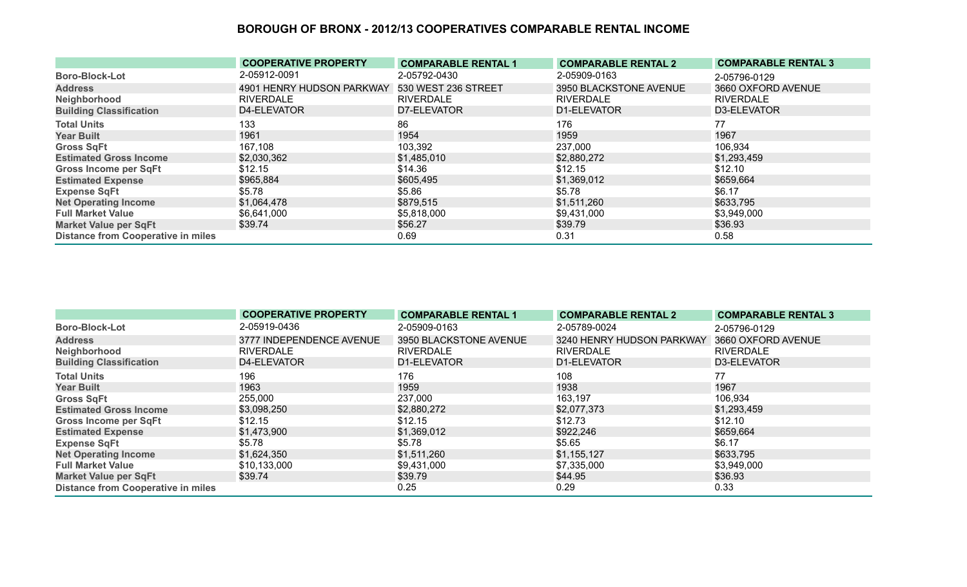|                                           | <b>COOPERATIVE PROPERTY</b> | <b>COMPARABLE RENTAL 1</b> | <b>COMPARABLE RENTAL 2</b> | <b>COMPARABLE RENTAL 3</b> |
|-------------------------------------------|-----------------------------|----------------------------|----------------------------|----------------------------|
| <b>Boro-Block-Lot</b>                     | 2-05912-0091                | 2-05792-0430               | 2-05909-0163               | 2-05796-0129               |
| <b>Address</b>                            | 4901 HENRY HUDSON PARKWAY   | 530 WEST 236 STREET        | 3950 BLACKSTONE AVENUE     | 3660 OXFORD AVENUE         |
| Neighborhood                              | <b>RIVERDALE</b>            | <b>RIVERDALE</b>           | <b>RIVERDALE</b>           | <b>RIVERDALE</b>           |
| <b>Building Classification</b>            | D4-ELEVATOR                 | D7-ELEVATOR                | D1-ELEVATOR                | D3-ELEVATOR                |
| <b>Total Units</b>                        | 133                         | 86                         | 176                        | 77                         |
| <b>Year Built</b>                         | 1961                        | 1954                       | 1959                       | 1967                       |
| <b>Gross SqFt</b>                         | 167,108                     | 103,392                    | 237,000                    | 106,934                    |
| <b>Estimated Gross Income</b>             | \$2,030,362                 | \$1,485,010                | \$2,880,272                | \$1,293,459                |
| <b>Gross Income per SqFt</b>              | \$12.15                     | \$14.36                    | \$12.15                    | \$12.10                    |
| <b>Estimated Expense</b>                  | \$965,884                   | \$605,495                  | \$1,369,012                | \$659,664                  |
| <b>Expense SqFt</b>                       | \$5.78                      | \$5.86                     | \$5.78                     | \$6.17                     |
| <b>Net Operating Income</b>               | \$1,064,478                 | \$879,515                  | \$1,511,260                | \$633,795                  |
| <b>Full Market Value</b>                  | \$6,641,000                 | \$5,818,000                | \$9,431,000                | \$3,949,000                |
| <b>Market Value per SqFt</b>              | \$39.74                     | \$56.27                    | \$39.79                    | \$36.93                    |
| <b>Distance from Cooperative in miles</b> |                             | 0.69                       | 0.31                       | 0.58                       |

|                                           | <b>COOPERATIVE PROPERTY</b> | <b>COMPARABLE RENTAL 1</b> | <b>COMPARABLE RENTAL 2</b> | <b>COMPARABLE RENTAL 3</b> |
|-------------------------------------------|-----------------------------|----------------------------|----------------------------|----------------------------|
| <b>Boro-Block-Lot</b>                     | 2-05919-0436                | 2-05909-0163               | 2-05789-0024               | 2-05796-0129               |
| <b>Address</b>                            | 3777 INDEPENDENCE AVENUE    | 3950 BLACKSTONE AVENUE     | 3240 HENRY HUDSON PARKWAY  | 3660 OXFORD AVENUE         |
| Neighborhood                              | <b>RIVERDALE</b>            | <b>RIVERDALE</b>           | <b>RIVERDALE</b>           | <b>RIVERDALE</b>           |
| <b>Building Classification</b>            | D4-ELEVATOR                 | D1-ELEVATOR                | D1-ELEVATOR                | D3-ELEVATOR                |
| <b>Total Units</b>                        | 196                         | 176                        | 108                        | 77                         |
| <b>Year Built</b>                         | 1963                        | 1959                       | 1938                       | 1967                       |
| <b>Gross SqFt</b>                         | 255,000                     | 237,000                    | 163,197                    | 106,934                    |
| <b>Estimated Gross Income</b>             | \$3,098,250                 | \$2,880,272                | \$2,077,373                | \$1,293,459                |
| <b>Gross Income per SqFt</b>              | \$12.15                     | \$12.15                    | \$12.73                    | \$12.10                    |
| <b>Estimated Expense</b>                  | \$1,473,900                 | \$1,369,012                | \$922,246                  | \$659,664                  |
| <b>Expense SqFt</b>                       | \$5.78                      | \$5.78                     | \$5.65                     | \$6.17                     |
| <b>Net Operating Income</b>               | \$1,624,350                 | \$1,511,260                | \$1,155,127                | \$633,795                  |
| <b>Full Market Value</b>                  | \$10,133,000                | \$9,431,000                | \$7,335,000                | \$3,949,000                |
| <b>Market Value per SqFt</b>              | \$39.74                     | \$39.79                    | \$44.95                    | \$36.93                    |
| <b>Distance from Cooperative in miles</b> |                             | 0.25                       | 0.29                       | 0.33                       |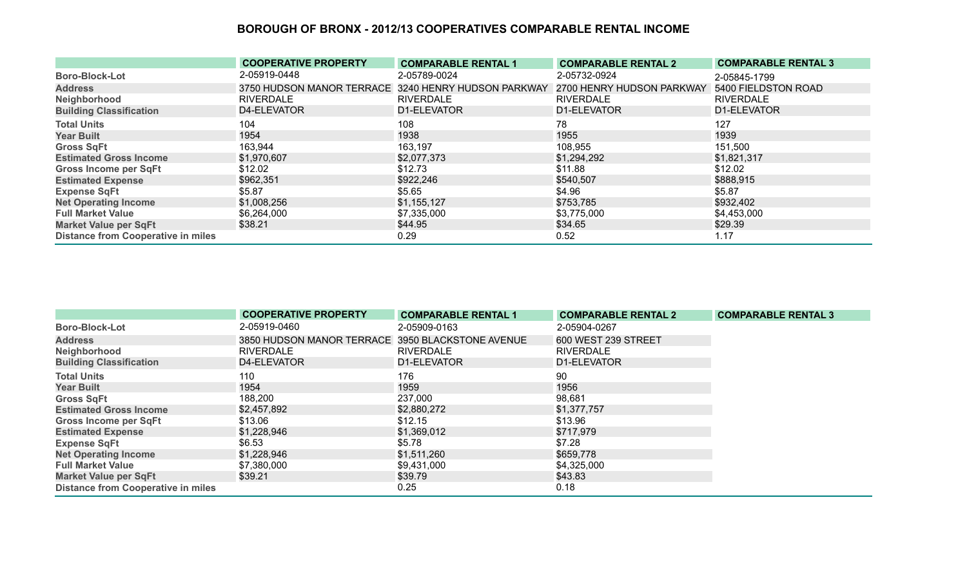|                                           | <b>COOPERATIVE PROPERTY</b>                         | <b>COMPARABLE RENTAL 1</b> | <b>COMPARABLE RENTAL 2</b> | <b>COMPARABLE RENTAL 3</b> |
|-------------------------------------------|-----------------------------------------------------|----------------------------|----------------------------|----------------------------|
| <b>Boro-Block-Lot</b>                     | 2-05919-0448                                        | 2-05789-0024               | 2-05732-0924               | 2-05845-1799               |
| <b>Address</b>                            | 3750 HUDSON MANOR TERRACE 3240 HENRY HUDSON PARKWAY |                            | 2700 HENRY HUDSON PARKWAY  | 5400 FIELDSTON ROAD        |
| Neighborhood                              | <b>RIVERDALE</b>                                    | <b>RIVERDALE</b>           | <b>RIVERDALE</b>           | <b>RIVERDALE</b>           |
| <b>Building Classification</b>            | D4-ELEVATOR                                         | D1-ELEVATOR                | D1-ELEVATOR                | D1-ELEVATOR                |
| <b>Total Units</b>                        | 104                                                 | 108                        | 78                         | 127                        |
| <b>Year Built</b>                         | 1954                                                | 1938                       | 1955                       | 1939                       |
| <b>Gross SqFt</b>                         | 163,944                                             | 163,197                    | 108,955                    | 151,500                    |
| <b>Estimated Gross Income</b>             | \$1,970,607                                         | \$2,077,373                | \$1,294,292                | \$1,821,317                |
| <b>Gross Income per SqFt</b>              | \$12.02                                             | \$12.73                    | \$11.88                    | \$12.02                    |
| <b>Estimated Expense</b>                  | \$962,351                                           | \$922,246                  | \$540,507                  | \$888,915                  |
| <b>Expense SqFt</b>                       | \$5.87                                              | \$5.65                     | \$4.96                     | \$5.87                     |
| <b>Net Operating Income</b>               | \$1,008,256                                         | \$1,155,127                | \$753,785                  | \$932,402                  |
| <b>Full Market Value</b>                  | \$6,264,000                                         | \$7,335,000                | \$3,775,000                | \$4,453,000                |
| <b>Market Value per SqFt</b>              | \$38.21                                             | \$44.95                    | \$34.65                    | \$29.39                    |
| <b>Distance from Cooperative in miles</b> |                                                     | 0.29                       | 0.52                       | 1.17                       |

|                                           | <b>COOPERATIVE PROPERTY</b>                      | <b>COMPARABLE RENTAL 1</b> | <b>COMPARABLE RENTAL 2</b> | <b>COMPARABLE RENTAL 3</b> |
|-------------------------------------------|--------------------------------------------------|----------------------------|----------------------------|----------------------------|
| <b>Boro-Block-Lot</b>                     | 2-05919-0460                                     | 2-05909-0163               | 2-05904-0267               |                            |
| <b>Address</b>                            | 3850 HUDSON MANOR TERRACE 3950 BLACKSTONE AVENUE |                            | 600 WEST 239 STREET        |                            |
| Neighborhood                              | <b>RIVERDALE</b>                                 | <b>RIVERDALE</b>           | <b>RIVERDALE</b>           |                            |
| <b>Building Classification</b>            | D4-ELEVATOR                                      | D1-ELEVATOR                | D1-ELEVATOR                |                            |
| <b>Total Units</b>                        | 110                                              | 176                        | 90                         |                            |
| <b>Year Built</b>                         | 1954                                             | 1959                       | 1956                       |                            |
| <b>Gross SqFt</b>                         | 188,200                                          | 237,000                    | 98,681                     |                            |
| <b>Estimated Gross Income</b>             | \$2,457,892                                      | \$2,880,272                | \$1,377,757                |                            |
| <b>Gross Income per SqFt</b>              | \$13.06                                          | \$12.15                    | \$13.96                    |                            |
| <b>Estimated Expense</b>                  | \$1,228,946                                      | \$1,369,012                | \$717,979                  |                            |
| <b>Expense SqFt</b>                       | \$6.53                                           | \$5.78                     | \$7.28                     |                            |
| <b>Net Operating Income</b>               | \$1,228,946                                      | \$1,511,260                | \$659,778                  |                            |
| <b>Full Market Value</b>                  | \$7,380,000                                      | \$9,431,000                | \$4,325,000                |                            |
| <b>Market Value per SqFt</b>              | \$39.21                                          | \$39.79                    | \$43.83                    |                            |
| <b>Distance from Cooperative in miles</b> |                                                  | 0.25                       | 0.18                       |                            |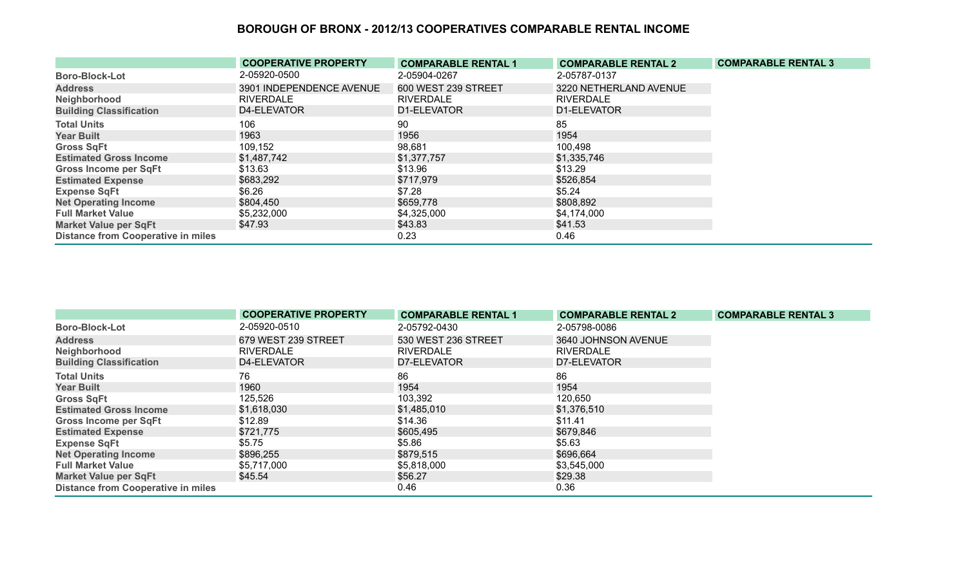|                                           | <b>COOPERATIVE PROPERTY</b> | <b>COMPARABLE RENTAL 1</b> | <b>COMPARABLE RENTAL 2</b> | <b>COMPARABLE RENTAL 3</b> |
|-------------------------------------------|-----------------------------|----------------------------|----------------------------|----------------------------|
| <b>Boro-Block-Lot</b>                     | 2-05920-0500                | 2-05904-0267               | 2-05787-0137               |                            |
| <b>Address</b>                            | 3901 INDEPENDENCE AVENUE    | 600 WEST 239 STREET        | 3220 NETHERLAND AVENUE     |                            |
| Neighborhood                              | <b>RIVERDALE</b>            | <b>RIVERDALE</b>           | <b>RIVERDALE</b>           |                            |
| <b>Building Classification</b>            | D4-ELEVATOR                 | D1-ELEVATOR                | D1-ELEVATOR                |                            |
| <b>Total Units</b>                        | 106                         | 90                         | 85                         |                            |
| <b>Year Built</b>                         | 1963                        | 1956                       | 1954                       |                            |
| <b>Gross SqFt</b>                         | 109,152                     | 98,681                     | 100,498                    |                            |
| <b>Estimated Gross Income</b>             | \$1,487,742                 | \$1,377,757                | \$1,335,746                |                            |
| <b>Gross Income per SqFt</b>              | \$13.63                     | \$13.96                    | \$13.29                    |                            |
| <b>Estimated Expense</b>                  | \$683,292                   | \$717,979                  | \$526,854                  |                            |
| <b>Expense SqFt</b>                       | \$6.26                      | \$7.28                     | \$5.24                     |                            |
| <b>Net Operating Income</b>               | \$804,450                   | \$659,778                  | \$808,892                  |                            |
| <b>Full Market Value</b>                  | \$5,232,000                 | \$4,325,000                | \$4,174,000                |                            |
| <b>Market Value per SqFt</b>              | \$47.93                     | \$43.83                    | \$41.53                    |                            |
| <b>Distance from Cooperative in miles</b> |                             | 0.23                       | 0.46                       |                            |

|                                           | <b>COOPERATIVE PROPERTY</b> | <b>COMPARABLE RENTAL 1</b> | <b>COMPARABLE RENTAL 2</b> | <b>COMPARABLE RENTAL 3</b> |
|-------------------------------------------|-----------------------------|----------------------------|----------------------------|----------------------------|
| <b>Boro-Block-Lot</b>                     | 2-05920-0510                | 2-05792-0430               | 2-05798-0086               |                            |
| <b>Address</b>                            | 679 WEST 239 STREET         | 530 WEST 236 STREET        | 3640 JOHNSON AVENUE        |                            |
| Neighborhood                              | <b>RIVERDALE</b>            | <b>RIVERDALE</b>           | <b>RIVERDALE</b>           |                            |
| <b>Building Classification</b>            | D4-ELEVATOR                 | D7-ELEVATOR                | D7-ELEVATOR                |                            |
| <b>Total Units</b>                        | 76                          | 86                         | 86                         |                            |
| <b>Year Built</b>                         | 1960                        | 1954                       | 1954                       |                            |
| <b>Gross SqFt</b>                         | 125,526                     | 103,392                    | 120,650                    |                            |
| <b>Estimated Gross Income</b>             | \$1,618,030                 | \$1,485,010                | \$1,376,510                |                            |
| <b>Gross Income per SqFt</b>              | \$12.89                     | \$14.36                    | \$11.41                    |                            |
| <b>Estimated Expense</b>                  | \$721,775                   | \$605,495                  | \$679,846                  |                            |
| <b>Expense SqFt</b>                       | \$5.75                      | \$5.86                     | \$5.63                     |                            |
| <b>Net Operating Income</b>               | \$896,255                   | \$879,515                  | \$696,664                  |                            |
| <b>Full Market Value</b>                  | \$5,717,000                 | \$5,818,000                | \$3,545,000                |                            |
| <b>Market Value per SqFt</b>              | \$45.54                     | \$56.27                    | \$29.38                    |                            |
| <b>Distance from Cooperative in miles</b> |                             | 0.46                       | 0.36                       |                            |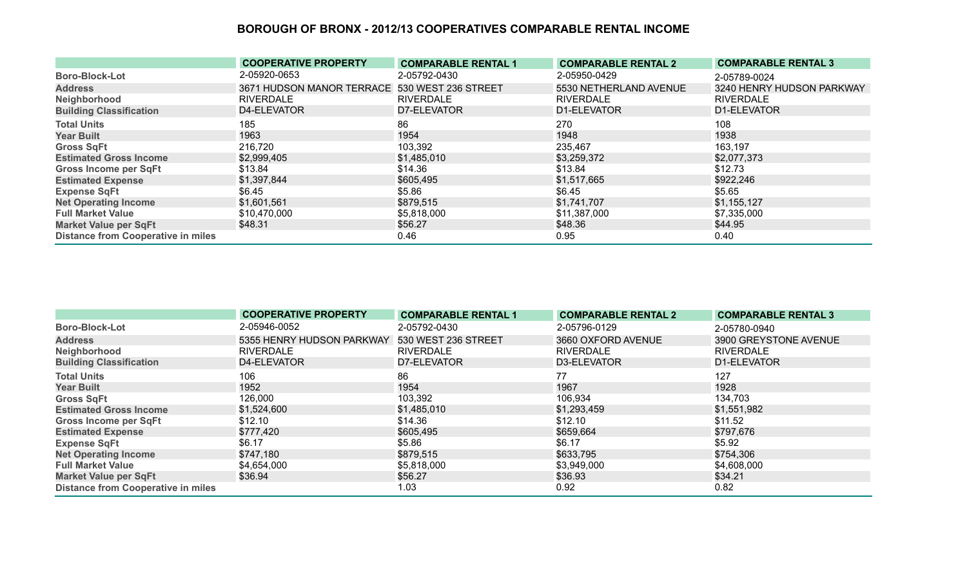|                                           | <b>COOPERATIVE PROPERTY</b>                   | <b>COMPARABLE RENTAL 1</b> | <b>COMPARABLE RENTAL 2</b> | <b>COMPARABLE RENTAL 3</b> |
|-------------------------------------------|-----------------------------------------------|----------------------------|----------------------------|----------------------------|
| <b>Boro-Block-Lot</b>                     | 2-05920-0653                                  | 2-05792-0430               | 2-05950-0429               | 2-05789-0024               |
| <b>Address</b>                            | 3671 HUDSON MANOR TERRACE 530 WEST 236 STREET |                            | 5530 NETHERLAND AVENUE     | 3240 HENRY HUDSON PARKWAY  |
| Neighborhood                              | RIVERDALE                                     | <b>RIVERDALE</b>           | <b>RIVERDALE</b>           | <b>RIVERDALE</b>           |
| <b>Building Classification</b>            | D4-ELEVATOR                                   | D7-ELEVATOR                | D1-ELEVATOR                | D1-ELEVATOR                |
| <b>Total Units</b>                        | 185                                           | 86                         | 270                        | 108                        |
| <b>Year Built</b>                         | 1963                                          | 1954                       | 1948                       | 1938                       |
| <b>Gross SqFt</b>                         | 216,720                                       | 103,392                    | 235,467                    | 163,197                    |
| <b>Estimated Gross Income</b>             | \$2,999,405                                   | \$1,485,010                | \$3,259,372                | \$2,077,373                |
| <b>Gross Income per SqFt</b>              | \$13.84                                       | \$14.36                    | \$13.84                    | \$12.73                    |
| <b>Estimated Expense</b>                  | \$1,397,844                                   | \$605,495                  | \$1,517,665                | \$922,246                  |
| <b>Expense SqFt</b>                       | \$6.45                                        | \$5.86                     | \$6.45                     | \$5.65                     |
| <b>Net Operating Income</b>               | \$1,601,561                                   | \$879,515                  | \$1,741,707                | \$1,155,127                |
| <b>Full Market Value</b>                  | \$10,470,000                                  | \$5,818,000                | \$11,387,000               | \$7,335,000                |
| <b>Market Value per SqFt</b>              | \$48.31                                       | \$56.27                    | \$48.36                    | \$44.95                    |
| <b>Distance from Cooperative in miles</b> |                                               | 0.46                       | 0.95                       | 0.40                       |

|                                           | <b>COOPERATIVE PROPERTY</b> | <b>COMPARABLE RENTAL 1</b> | <b>COMPARABLE RENTAL 2</b> | <b>COMPARABLE RENTAL 3</b> |
|-------------------------------------------|-----------------------------|----------------------------|----------------------------|----------------------------|
| <b>Boro-Block-Lot</b>                     | 2-05946-0052                | 2-05792-0430               | 2-05796-0129               | 2-05780-0940               |
| <b>Address</b>                            | 5355 HENRY HUDSON PARKWAY   | 530 WEST 236 STREET        | 3660 OXFORD AVENUE         | 3900 GREYSTONE AVENUE      |
| Neighborhood                              | <b>RIVERDALE</b>            | <b>RIVERDALE</b>           | <b>RIVERDALE</b>           | <b>RIVERDALE</b>           |
| <b>Building Classification</b>            | D4-ELEVATOR                 | D7-ELEVATOR                | D3-ELEVATOR                | D1-ELEVATOR                |
| <b>Total Units</b>                        | 106                         | 86                         | 77                         | 127                        |
| <b>Year Built</b>                         | 1952                        | 1954                       | 1967                       | 1928                       |
| <b>Gross SqFt</b>                         | 126,000                     | 103,392                    | 106,934                    | 134,703                    |
| <b>Estimated Gross Income</b>             | \$1,524,600                 | \$1,485,010                | \$1,293,459                | \$1,551,982                |
| <b>Gross Income per SqFt</b>              | \$12.10                     | \$14.36                    | \$12.10                    | \$11.52                    |
| <b>Estimated Expense</b>                  | \$777,420                   | \$605,495                  | \$659,664                  | \$797,676                  |
| <b>Expense SqFt</b>                       | \$6.17                      | \$5.86                     | \$6.17                     | \$5.92                     |
| <b>Net Operating Income</b>               | \$747,180                   | \$879,515                  | \$633,795                  | \$754,306                  |
| <b>Full Market Value</b>                  | \$4,654,000                 | \$5,818,000                | \$3,949,000                | \$4,608,000                |
| <b>Market Value per SqFt</b>              | \$36.94                     | \$56.27                    | \$36.93                    | \$34.21                    |
| <b>Distance from Cooperative in miles</b> |                             | 1.03                       | 0.92                       | 0.82                       |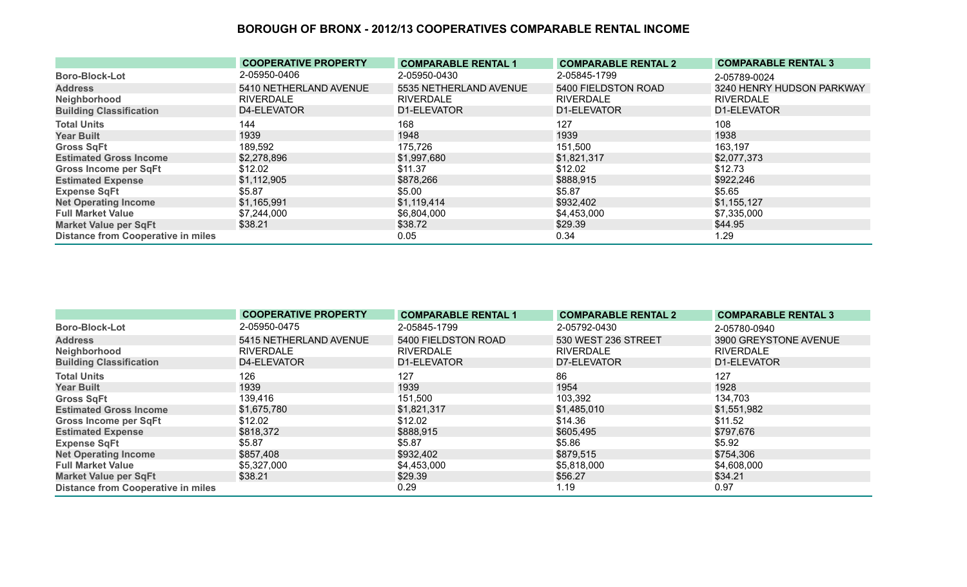|                                           | <b>COOPERATIVE PROPERTY</b> | <b>COMPARABLE RENTAL 1</b> | <b>COMPARABLE RENTAL 2</b> | <b>COMPARABLE RENTAL 3</b> |
|-------------------------------------------|-----------------------------|----------------------------|----------------------------|----------------------------|
| <b>Boro-Block-Lot</b>                     | 2-05950-0406                | 2-05950-0430               | 2-05845-1799               | 2-05789-0024               |
| <b>Address</b>                            | 5410 NETHERLAND AVENUE      | 5535 NETHERLAND AVENUE     | 5400 FIELDSTON ROAD        | 3240 HENRY HUDSON PARKWAY  |
| Neighborhood                              | RIVERDALE                   | <b>RIVERDALE</b>           | <b>RIVERDALE</b>           | <b>RIVERDALE</b>           |
| <b>Building Classification</b>            | D4-ELEVATOR                 | D1-ELEVATOR                | D1-ELEVATOR                | D1-ELEVATOR                |
| <b>Total Units</b>                        | 144                         | 168                        | 127                        | 108                        |
| <b>Year Built</b>                         | 1939                        | 1948                       | 1939                       | 1938                       |
| <b>Gross SqFt</b>                         | 189,592                     | 175,726                    | 151,500                    | 163,197                    |
| <b>Estimated Gross Income</b>             | \$2,278,896                 | \$1,997,680                | \$1,821,317                | \$2,077,373                |
| <b>Gross Income per SqFt</b>              | \$12.02                     | \$11.37                    | \$12.02                    | \$12.73                    |
| <b>Estimated Expense</b>                  | \$1,112,905                 | \$878,266                  | \$888,915                  | \$922,246                  |
| <b>Expense SqFt</b>                       | \$5.87                      | \$5.00                     | \$5.87                     | \$5.65                     |
| <b>Net Operating Income</b>               | \$1,165,991                 | \$1,119,414                | \$932,402                  | \$1,155,127                |
| <b>Full Market Value</b>                  | \$7,244,000                 | \$6,804,000                | \$4,453,000                | \$7,335,000                |
| <b>Market Value per SqFt</b>              | \$38.21                     | \$38.72                    | \$29.39                    | \$44.95                    |
| <b>Distance from Cooperative in miles</b> |                             | 0.05                       | 0.34                       | 1.29                       |

|                                           | <b>COOPERATIVE PROPERTY</b> | <b>COMPARABLE RENTAL 1</b> | <b>COMPARABLE RENTAL 2</b> | <b>COMPARABLE RENTAL 3</b> |
|-------------------------------------------|-----------------------------|----------------------------|----------------------------|----------------------------|
| <b>Boro-Block-Lot</b>                     | 2-05950-0475                | 2-05845-1799               | 2-05792-0430               | 2-05780-0940               |
| <b>Address</b>                            | 5415 NETHERLAND AVENUE      | 5400 FIELDSTON ROAD        | 530 WEST 236 STREET        | 3900 GREYSTONE AVENUE      |
| Neighborhood                              | <b>RIVERDALE</b>            | <b>RIVERDALE</b>           | <b>RIVERDALE</b>           | <b>RIVERDALE</b>           |
| <b>Building Classification</b>            | D4-ELEVATOR                 | D1-ELEVATOR                | D7-ELEVATOR                | D1-ELEVATOR                |
| <b>Total Units</b>                        | 126                         | 127                        | 86                         | 127                        |
| <b>Year Built</b>                         | 1939                        | 1939                       | 1954                       | 1928                       |
| <b>Gross SqFt</b>                         | 139,416                     | 151,500                    | 103,392                    | 134,703                    |
| <b>Estimated Gross Income</b>             | \$1,675,780                 | \$1,821,317                | \$1,485,010                | \$1,551,982                |
| <b>Gross Income per SqFt</b>              | \$12.02                     | \$12.02                    | \$14.36                    | \$11.52                    |
| <b>Estimated Expense</b>                  | \$818,372                   | \$888,915                  | \$605,495                  | \$797,676                  |
| <b>Expense SqFt</b>                       | \$5.87                      | \$5.87                     | \$5.86                     | \$5.92                     |
| <b>Net Operating Income</b>               | \$857,408                   | \$932,402                  | \$879,515                  | \$754,306                  |
| <b>Full Market Value</b>                  | \$5,327,000                 | \$4,453,000                | \$5,818,000                | \$4,608,000                |
| <b>Market Value per SqFt</b>              | \$38.21                     | \$29.39                    | \$56.27                    | \$34.21                    |
| <b>Distance from Cooperative in miles</b> |                             | 0.29                       | 1.19                       | 0.97                       |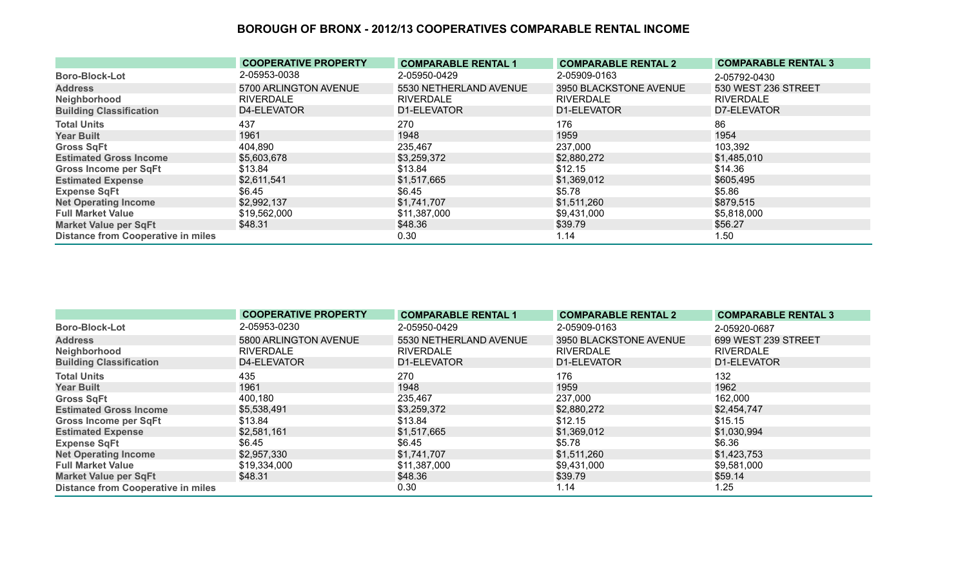|                                           | <b>COOPERATIVE PROPERTY</b> | <b>COMPARABLE RENTAL 1</b> | <b>COMPARABLE RENTAL 2</b> | <b>COMPARABLE RENTAL 3</b> |
|-------------------------------------------|-----------------------------|----------------------------|----------------------------|----------------------------|
| <b>Boro-Block-Lot</b>                     | 2-05953-0038                | 2-05950-0429               | 2-05909-0163               | 2-05792-0430               |
| <b>Address</b>                            | 5700 ARLINGTON AVENUE       | 5530 NETHERLAND AVENUE     | 3950 BLACKSTONE AVENUE     | 530 WEST 236 STREET        |
| Neighborhood                              | <b>RIVERDALE</b>            | <b>RIVERDALE</b>           | <b>RIVERDALE</b>           | <b>RIVERDALE</b>           |
| <b>Building Classification</b>            | D4-ELEVATOR                 | D1-ELEVATOR                | D1-ELEVATOR                | D7-ELEVATOR                |
| <b>Total Units</b>                        | 437                         | 270                        | 176                        | 86                         |
| <b>Year Built</b>                         | 1961                        | 1948                       | 1959                       | 1954                       |
| <b>Gross SqFt</b>                         | 404,890                     | 235,467                    | 237,000                    | 103,392                    |
| <b>Estimated Gross Income</b>             | \$5,603,678                 | \$3,259,372                | \$2,880,272                | \$1,485,010                |
| <b>Gross Income per SqFt</b>              | \$13.84                     | \$13.84                    | \$12.15                    | \$14.36                    |
| <b>Estimated Expense</b>                  | \$2,611,541                 | \$1,517,665                | \$1,369,012                | \$605,495                  |
| <b>Expense SqFt</b>                       | \$6.45                      | \$6.45                     | \$5.78                     | \$5.86                     |
| <b>Net Operating Income</b>               | \$2,992,137                 | \$1,741,707                | \$1,511,260                | \$879,515                  |
| <b>Full Market Value</b>                  | \$19,562,000                | \$11,387,000               | \$9,431,000                | \$5,818,000                |
| <b>Market Value per SqFt</b>              | \$48.31                     | \$48.36                    | \$39.79                    | \$56.27                    |
| <b>Distance from Cooperative in miles</b> |                             | 0.30                       | 1.14                       | 1.50                       |

|                                           | <b>COOPERATIVE PROPERTY</b> | <b>COMPARABLE RENTAL 1</b> | <b>COMPARABLE RENTAL 2</b> | <b>COMPARABLE RENTAL 3</b> |
|-------------------------------------------|-----------------------------|----------------------------|----------------------------|----------------------------|
| <b>Boro-Block-Lot</b>                     | 2-05953-0230                | 2-05950-0429               | 2-05909-0163               | 2-05920-0687               |
| <b>Address</b>                            | 5800 ARLINGTON AVENUE       | 5530 NETHERLAND AVENUE     | 3950 BLACKSTONE AVENUE     | 699 WEST 239 STREET        |
| Neighborhood                              | <b>RIVERDALE</b>            | <b>RIVERDALE</b>           | <b>RIVERDALE</b>           | <b>RIVERDALE</b>           |
| <b>Building Classification</b>            | D4-ELEVATOR                 | D1-ELEVATOR                | D1-ELEVATOR                | D1-ELEVATOR                |
| <b>Total Units</b>                        | 435                         | 270                        | 176                        | 132                        |
| <b>Year Built</b>                         | 1961                        | 1948                       | 1959                       | 1962                       |
| <b>Gross SqFt</b>                         | 400,180                     | 235,467                    | 237,000                    | 162,000                    |
| <b>Estimated Gross Income</b>             | \$5,538,491                 | \$3,259,372                | \$2,880,272                | \$2,454,747                |
| <b>Gross Income per SqFt</b>              | \$13.84                     | \$13.84                    | \$12.15                    | \$15.15                    |
| <b>Estimated Expense</b>                  | \$2,581,161                 | \$1,517,665                | \$1,369,012                | \$1,030,994                |
| <b>Expense SqFt</b>                       | \$6.45                      | \$6.45                     | \$5.78                     | \$6.36                     |
| <b>Net Operating Income</b>               | \$2,957,330                 | \$1,741,707                | \$1,511,260                | \$1,423,753                |
| <b>Full Market Value</b>                  | \$19,334,000                | \$11,387,000               | \$9,431,000                | \$9,581,000                |
| <b>Market Value per SqFt</b>              | \$48.31                     | \$48.36                    | \$39.79                    | \$59.14                    |
| <b>Distance from Cooperative in miles</b> |                             | 0.30                       | 1.14                       | 1.25                       |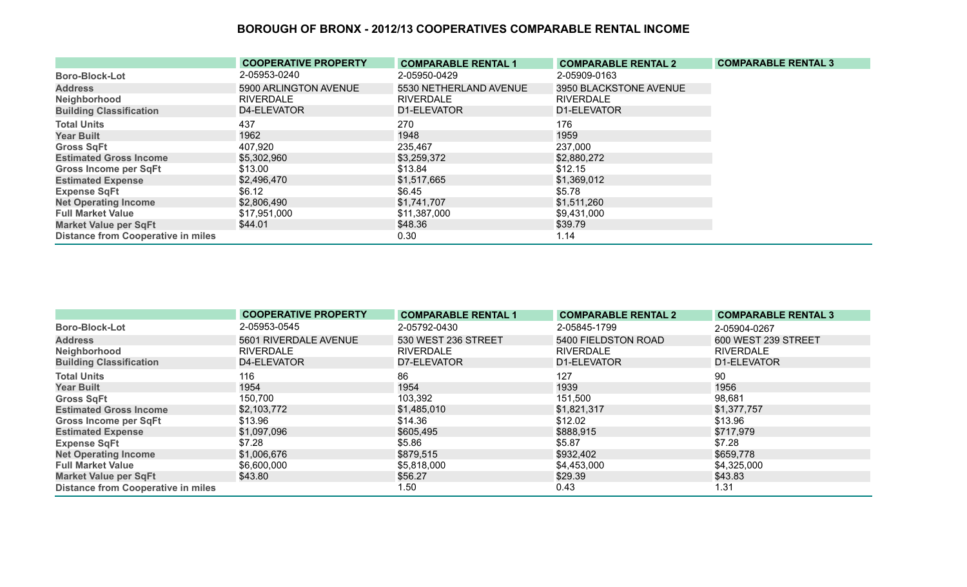|                                           | <b>COOPERATIVE PROPERTY</b> | <b>COMPARABLE RENTAL 1</b> | <b>COMPARABLE RENTAL 2</b> | <b>COMPARABLE RENTAL 3</b> |
|-------------------------------------------|-----------------------------|----------------------------|----------------------------|----------------------------|
| <b>Boro-Block-Lot</b>                     | 2-05953-0240                | 2-05950-0429               | 2-05909-0163               |                            |
| <b>Address</b>                            | 5900 ARLINGTON AVENUE       | 5530 NETHERLAND AVENUE     | 3950 BLACKSTONE AVENUE     |                            |
| Neighborhood                              | <b>RIVERDALE</b>            | <b>RIVERDALE</b>           | <b>RIVERDALE</b>           |                            |
| <b>Building Classification</b>            | D4-ELEVATOR                 | D1-ELEVATOR                | D1-ELEVATOR                |                            |
| <b>Total Units</b>                        | 437                         | 270                        | 176                        |                            |
| <b>Year Built</b>                         | 1962                        | 1948                       | 1959                       |                            |
| <b>Gross SqFt</b>                         | 407,920                     | 235,467                    | 237,000                    |                            |
| <b>Estimated Gross Income</b>             | \$5,302,960                 | \$3,259,372                | \$2,880,272                |                            |
| <b>Gross Income per SqFt</b>              | \$13.00                     | \$13.84                    | \$12.15                    |                            |
| <b>Estimated Expense</b>                  | \$2,496,470                 | \$1,517,665                | \$1,369,012                |                            |
| <b>Expense SqFt</b>                       | \$6.12                      | \$6.45                     | \$5.78                     |                            |
| <b>Net Operating Income</b>               | \$2,806,490                 | \$1,741,707                | \$1,511,260                |                            |
| <b>Full Market Value</b>                  | \$17,951,000                | \$11,387,000               | \$9,431,000                |                            |
| <b>Market Value per SqFt</b>              | \$44.01                     | \$48.36                    | \$39.79                    |                            |
| <b>Distance from Cooperative in miles</b> |                             | 0.30                       | 1.14                       |                            |

|                                           | <b>COOPERATIVE PROPERTY</b> | <b>COMPARABLE RENTAL 1</b> | <b>COMPARABLE RENTAL 2</b> | <b>COMPARABLE RENTAL 3</b> |
|-------------------------------------------|-----------------------------|----------------------------|----------------------------|----------------------------|
| <b>Boro-Block-Lot</b>                     | 2-05953-0545                | 2-05792-0430               | 2-05845-1799               | 2-05904-0267               |
| <b>Address</b>                            | 5601 RIVERDALE AVENUE       | 530 WEST 236 STREET        | 5400 FIELDSTON ROAD        | 600 WEST 239 STREET        |
| Neighborhood                              | <b>RIVERDALE</b>            | <b>RIVERDALE</b>           | RIVERDALE                  | <b>RIVERDALE</b>           |
| <b>Building Classification</b>            | D4-ELEVATOR                 | D7-ELEVATOR                | D1-ELEVATOR                | D1-ELEVATOR                |
| <b>Total Units</b>                        | 116                         | 86                         | 127                        | 90                         |
| <b>Year Built</b>                         | 1954                        | 1954                       | 1939                       | 1956                       |
| <b>Gross SqFt</b>                         | 150,700                     | 103,392                    | 151,500                    | 98,681                     |
| <b>Estimated Gross Income</b>             | \$2,103,772                 | \$1,485,010                | \$1,821,317                | \$1,377,757                |
| <b>Gross Income per SqFt</b>              | \$13.96                     | \$14.36                    | \$12.02                    | \$13.96                    |
| <b>Estimated Expense</b>                  | \$1,097,096                 | \$605,495                  | \$888,915                  | \$717,979                  |
| <b>Expense SqFt</b>                       | \$7.28                      | \$5.86                     | \$5.87                     | \$7.28                     |
| <b>Net Operating Income</b>               | \$1,006,676                 | \$879,515                  | \$932,402                  | \$659,778                  |
| <b>Full Market Value</b>                  | \$6,600,000                 | \$5,818,000                | \$4,453,000                | \$4,325,000                |
| <b>Market Value per SqFt</b>              | \$43.80                     | \$56.27                    | \$29.39                    | \$43.83                    |
| <b>Distance from Cooperative in miles</b> |                             | 1.50                       | 0.43                       | 1.31                       |